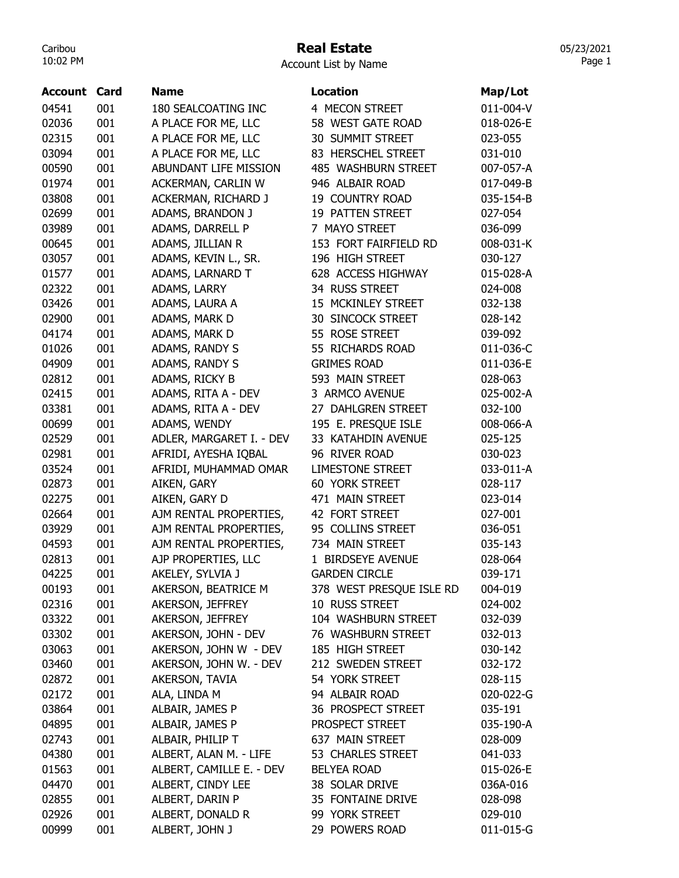## Real Estate

05/23/2021 Page 1

| <b>Account Card</b> |     | Name                     | <b>Location</b>          | Map/Lot   |
|---------------------|-----|--------------------------|--------------------------|-----------|
| 04541               | 001 | 180 SEALCOATING INC      | 4 MECON STREET           | 011-004-V |
| 02036               | 001 | A PLACE FOR ME, LLC      | 58 WEST GATE ROAD        | 018-026-E |
| 02315               | 001 | A PLACE FOR ME, LLC      | 30 SUMMIT STREET         | 023-055   |
| 03094               | 001 | A PLACE FOR ME, LLC      | 83 HERSCHEL STREET       | 031-010   |
| 00590               | 001 | ABUNDANT LIFE MISSION    | 485 WASHBURN STREET      | 007-057-A |
| 01974               | 001 | ACKERMAN, CARLIN W       | 946 ALBAIR ROAD          | 017-049-B |
| 03808               | 001 | ACKERMAN, RICHARD J      | <b>19 COUNTRY ROAD</b>   | 035-154-B |
| 02699               | 001 | ADAMS, BRANDON J         | 19 PATTEN STREET         | 027-054   |
| 03989               | 001 | ADAMS, DARRELL P         | 7 MAYO STREET            | 036-099   |
| 00645               | 001 | ADAMS, JILLIAN R         | 153 FORT FAIRFIELD RD    | 008-031-K |
| 03057               | 001 | ADAMS, KEVIN L., SR.     | 196 HIGH STREET          | 030-127   |
| 01577               | 001 | ADAMS, LARNARD T         | 628 ACCESS HIGHWAY       | 015-028-A |
| 02322               | 001 | ADAMS, LARRY             | 34 RUSS STREET           | 024-008   |
| 03426               | 001 | ADAMS, LAURA A           | 15 MCKINLEY STREET       | 032-138   |
| 02900               | 001 | ADAMS, MARK D            | <b>30 SINCOCK STREET</b> | 028-142   |
| 04174               | 001 | ADAMS, MARK D            | 55 ROSE STREET           | 039-092   |
| 01026               | 001 | ADAMS, RANDY S           | 55 RICHARDS ROAD         | 011-036-C |
| 04909               | 001 | ADAMS, RANDY S           | <b>GRIMES ROAD</b>       | 011-036-E |
| 02812               | 001 | ADAMS, RICKY B           | 593 MAIN STREET          | 028-063   |
| 02415               | 001 | ADAMS, RITA A - DEV      | 3 ARMCO AVENUE           | 025-002-A |
| 03381               | 001 | ADAMS, RITA A - DEV      | 27 DAHLGREN STREET       | 032-100   |
| 00699               | 001 | ADAMS, WENDY             | 195 E. PRESQUE ISLE      | 008-066-A |
| 02529               | 001 | ADLER, MARGARET I. - DEV | 33 KATAHDIN AVENUE       | 025-125   |
| 02981               | 001 | AFRIDI, AYESHA IQBAL     | 96 RIVER ROAD            | 030-023   |
| 03524               | 001 | AFRIDI, MUHAMMAD OMAR    | <b>LIMESTONE STREET</b>  | 033-011-A |
| 02873               | 001 | AIKEN, GARY              | <b>60 YORK STREET</b>    | 028-117   |
| 02275               | 001 | AIKEN, GARY D            | 471 MAIN STREET          | 023-014   |
| 02664               | 001 | AJM RENTAL PROPERTIES,   | 42 FORT STREET           | 027-001   |
| 03929               | 001 | AJM RENTAL PROPERTIES,   | 95 COLLINS STREET        | 036-051   |
| 04593               | 001 | AJM RENTAL PROPERTIES,   | 734 MAIN STREET          | 035-143   |
| 02813               | 001 | AJP PROPERTIES, LLC      | 1 BIRDSEYE AVENUE        | 028-064   |
| 04225               | 001 | AKELEY, SYLVIA J         | <b>GARDEN CIRCLE</b>     | 039-171   |
| 00193               | 001 | AKERSON, BEATRICE M      | 378 WEST PRESQUE ISLE RD | 004-019   |
| 02316               | 001 | AKERSON, JEFFREY         | 10 RUSS STREET           | 024-002   |
| 03322               | 001 | AKERSON, JEFFREY         | 104 WASHBURN STREET      | 032-039   |
| 03302               | 001 | AKERSON, JOHN - DEV      | 76 WASHBURN STREET       | 032-013   |
| 03063               | 001 | AKERSON, JOHN W - DEV    | 185 HIGH STREET          | 030-142   |
| 03460               | 001 | AKERSON, JOHN W. - DEV   | 212 SWEDEN STREET        | 032-172   |
| 02872               | 001 | AKERSON, TAVIA           | 54 YORK STREET           | 028-115   |
| 02172               | 001 | ALA, LINDA M             | 94 ALBAIR ROAD           | 020-022-G |
| 03864               | 001 | ALBAIR, JAMES P          | 36 PROSPECT STREET       | 035-191   |
| 04895               | 001 | ALBAIR, JAMES P          | PROSPECT STREET          | 035-190-A |
| 02743               | 001 | ALBAIR, PHILIP T         | 637 MAIN STREET          | 028-009   |
| 04380               | 001 | ALBERT, ALAN M. - LIFE   | 53 CHARLES STREET        | 041-033   |
| 01563               | 001 | ALBERT, CAMILLE E. - DEV | <b>BELYEA ROAD</b>       | 015-026-E |
| 04470               | 001 | ALBERT, CINDY LEE        | 38 SOLAR DRIVE           | 036A-016  |
| 02855               | 001 | ALBERT, DARIN P          | 35 FONTAINE DRIVE        | 028-098   |
| 02926               | 001 | ALBERT, DONALD R         | 99 YORK STREET           | 029-010   |
| 00999               | 001 | ALBERT, JOHN J           | 29 POWERS ROAD           | 011-015-G |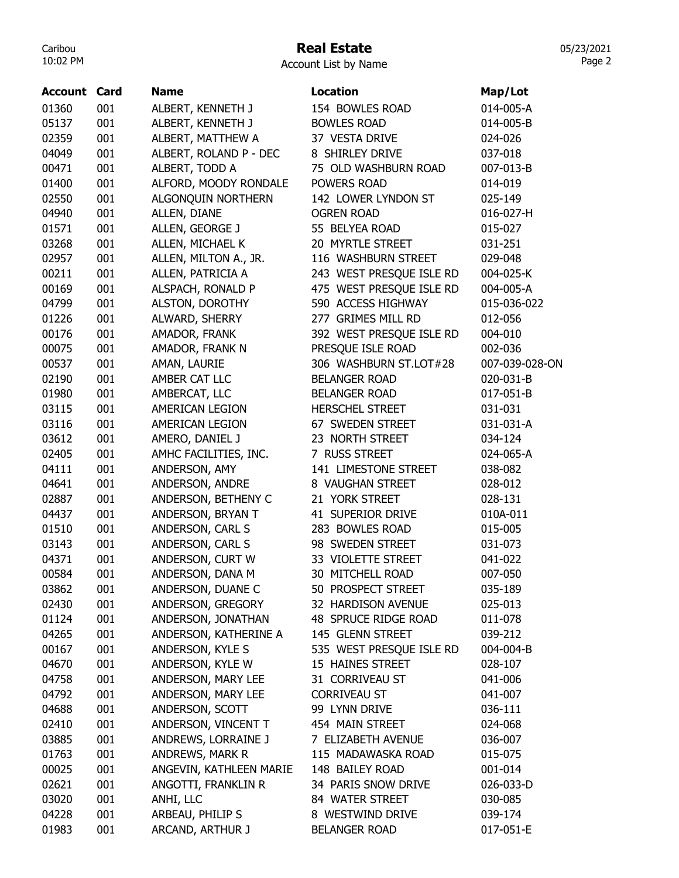# Real Estate

Account List by Name

| <b>Account Card</b> |     | <b>Name</b>             | Location                 | Map/Lot        |
|---------------------|-----|-------------------------|--------------------------|----------------|
| 01360               | 001 | ALBERT, KENNETH J       | 154 BOWLES ROAD          | 014-005-A      |
| 05137               | 001 | ALBERT, KENNETH J       | <b>BOWLES ROAD</b>       | 014-005-B      |
| 02359               | 001 | ALBERT, MATTHEW A       | 37 VESTA DRIVE           | 024-026        |
| 04049               | 001 | ALBERT, ROLAND P - DEC  | 8 SHIRLEY DRIVE          | 037-018        |
| 00471               | 001 | ALBERT, TODD A          | 75 OLD WASHBURN ROAD     | 007-013-B      |
| 01400               | 001 | ALFORD, MOODY RONDALE   | POWERS ROAD              | 014-019        |
| 02550               | 001 | ALGONQUIN NORTHERN      | 142 LOWER LYNDON ST      | 025-149        |
| 04940               | 001 | ALLEN, DIANE            | <b>OGREN ROAD</b>        | 016-027-H      |
| 01571               | 001 | ALLEN, GEORGE J         | 55 BELYEA ROAD           | 015-027        |
| 03268               | 001 | ALLEN, MICHAEL K        | 20 MYRTLE STREET         | 031-251        |
| 02957               | 001 | ALLEN, MILTON A., JR.   | 116 WASHBURN STREET      | 029-048        |
| 00211               | 001 | ALLEN, PATRICIA A       | 243 WEST PRESQUE ISLE RD | 004-025-K      |
| 00169               | 001 | ALSPACH, RONALD P       | 475 WEST PRESQUE ISLE RD | 004-005-A      |
| 04799               | 001 | ALSTON, DOROTHY         | 590 ACCESS HIGHWAY       | 015-036-022    |
| 01226               | 001 | ALWARD, SHERRY          | 277 GRIMES MILL RD       | 012-056        |
| 00176               | 001 | AMADOR, FRANK           | 392 WEST PRESQUE ISLE RD | 004-010        |
| 00075               | 001 | AMADOR, FRANK N         | PRESQUE ISLE ROAD        | 002-036        |
| 00537               | 001 | AMAN, LAURIE            | 306 WASHBURN ST.LOT#28   | 007-039-028-ON |
| 02190               | 001 | AMBER CAT LLC           | <b>BELANGER ROAD</b>     | 020-031-B      |
| 01980               | 001 | AMBERCAT, LLC           | <b>BELANGER ROAD</b>     | 017-051-B      |
| 03115               | 001 | AMERICAN LEGION         | <b>HERSCHEL STREET</b>   | 031-031        |
| 03116               | 001 | AMERICAN LEGION         | 67 SWEDEN STREET         | 031-031-A      |
| 03612               | 001 | AMERO, DANIEL J         | 23 NORTH STREET          | 034-124        |
| 02405               | 001 | AMHC FACILITIES, INC.   | 7 RUSS STREET            | 024-065-A      |
| 04111               | 001 | ANDERSON, AMY           | 141 LIMESTONE STREET     | 038-082        |
| 04641               | 001 | ANDERSON, ANDRE         | 8 VAUGHAN STREET         | 028-012        |
| 02887               | 001 | ANDERSON, BETHENY C     | 21 YORK STREET           | 028-131        |
| 04437               | 001 | ANDERSON, BRYAN T       | 41 SUPERIOR DRIVE        | 010A-011       |
| 01510               | 001 | ANDERSON, CARL S        | 283 BOWLES ROAD          | 015-005        |
| 03143               | 001 | ANDERSON, CARL S        | 98 SWEDEN STREET         | 031-073        |
| 04371               | 001 | ANDERSON, CURT W        | 33 VIOLETTE STREET       | 041-022        |
| 00584               | 001 | ANDERSON, DANA M        | 30 MITCHELL ROAD         | 007-050        |
| 03862               | 001 | ANDERSON, DUANE C       | 50 PROSPECT STREET       | 035-189        |
| 02430               | 001 | ANDERSON, GREGORY       | 32 HARDISON AVENUE       | 025-013        |
| 01124               | 001 | ANDERSON, JONATHAN      | 48 SPRUCE RIDGE ROAD     | 011-078        |
| 04265               | 001 | ANDERSON, KATHERINE A   | 145 GLENN STREET         | 039-212        |
| 00167               | 001 | ANDERSON, KYLE S        | 535 WEST PRESQUE ISLE RD | 004-004-B      |
| 04670               | 001 | ANDERSON, KYLE W        | 15 HAINES STREET         | 028-107        |
| 04758               | 001 | ANDERSON, MARY LEE      | 31 CORRIVEAU ST          | 041-006        |
| 04792               | 001 | ANDERSON, MARY LEE      | <b>CORRIVEAU ST</b>      | 041-007        |
| 04688               | 001 | ANDERSON, SCOTT         | 99 LYNN DRIVE            | 036-111        |
| 02410               | 001 | ANDERSON, VINCENT T     | 454 MAIN STREET          | 024-068        |
| 03885               | 001 | ANDREWS, LORRAINE J     | 7 ELIZABETH AVENUE       | 036-007        |
| 01763               | 001 | ANDREWS, MARK R         | 115 MADAWASKA ROAD       | 015-075        |
| 00025               | 001 | ANGEVIN, KATHLEEN MARIE | 148 BAILEY ROAD          | 001-014        |
| 02621               | 001 | ANGOTTI, FRANKLIN R     | 34 PARIS SNOW DRIVE      | 026-033-D      |
| 03020               | 001 | ANHI, LLC               | 84 WATER STREET          | 030-085        |
| 04228               | 001 | ARBEAU, PHILIP S        | 8 WESTWIND DRIVE         | 039-174        |
| 01983               | 001 | ARCAND, ARTHUR J        | <b>BELANGER ROAD</b>     | 017-051-E      |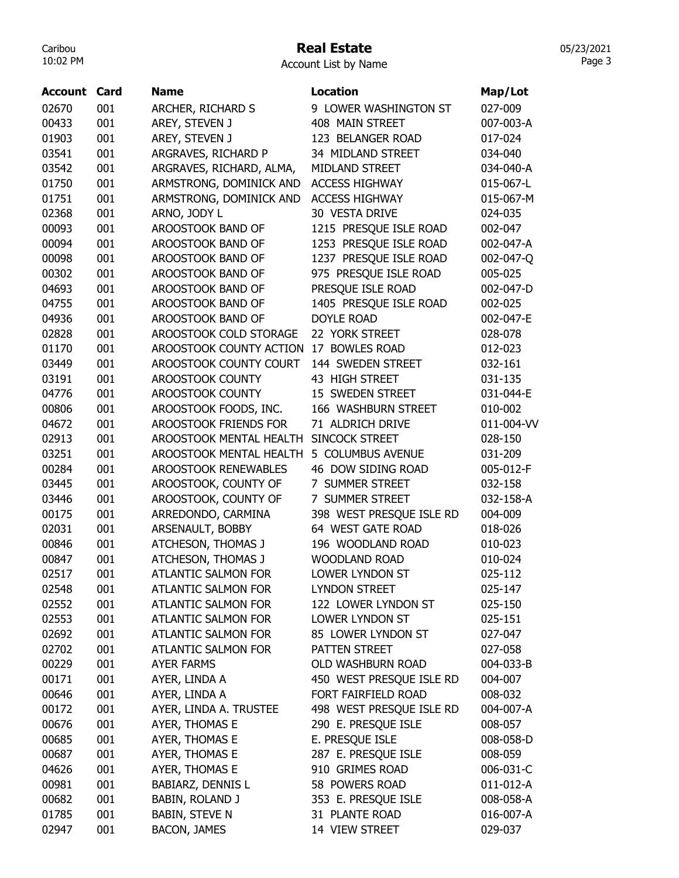## Real Estate

Account List by Name

| Account | Card | <b>Name</b>                 | <b>Location</b>          | Map/Lot    |
|---------|------|-----------------------------|--------------------------|------------|
| 02670   | 001  | ARCHER, RICHARD S           | 9 LOWER WASHINGTON ST    | 027-009    |
| 00433   | 001  | AREY, STEVEN J              | 408 MAIN STREET          | 007-003-A  |
| 01903   | 001  | AREY, STEVEN J              | 123 BELANGER ROAD        | 017-024    |
| 03541   | 001  | ARGRAVES, RICHARD P         | 34 MIDLAND STREET        | 034-040    |
| 03542   | 001  | ARGRAVES, RICHARD, ALMA,    | MIDLAND STREET           | 034-040-A  |
| 01750   | 001  | ARMSTRONG, DOMINICK AND     | <b>ACCESS HIGHWAY</b>    | 015-067-L  |
| 01751   | 001  | ARMSTRONG, DOMINICK AND     | <b>ACCESS HIGHWAY</b>    | 015-067-M  |
| 02368   | 001  | ARNO, JODY L                | 30 VESTA DRIVE           | 024-035    |
| 00093   | 001  | AROOSTOOK BAND OF           | 1215 PRESQUE ISLE ROAD   | 002-047    |
| 00094   | 001  | AROOSTOOK BAND OF           | 1253 PRESQUE ISLE ROAD   | 002-047-A  |
| 00098   | 001  | AROOSTOOK BAND OF           | 1237 PRESQUE ISLE ROAD   | 002-047-Q  |
| 00302   | 001  | AROOSTOOK BAND OF           | 975 PRESQUE ISLE ROAD    | 005-025    |
| 04693   | 001  | AROOSTOOK BAND OF           | PRESQUE ISLE ROAD        | 002-047-D  |
| 04755   | 001  | AROOSTOOK BAND OF           | 1405 PRESQUE ISLE ROAD   | 002-025    |
| 04936   | 001  | AROOSTOOK BAND OF           | <b>DOYLE ROAD</b>        | 002-047-E  |
| 02828   | 001  | AROOSTOOK COLD STORAGE      | 22 YORK STREET           | 028-078    |
| 01170   | 001  | AROOSTOOK COUNTY ACTION     | 17 BOWLES ROAD           | 012-023    |
| 03449   | 001  | AROOSTOOK COUNTY COURT      | 144 SWEDEN STREET        | 032-161    |
| 03191   | 001  | AROOSTOOK COUNTY            | 43 HIGH STREET           | 031-135    |
| 04776   | 001  | AROOSTOOK COUNTY            | 15 SWEDEN STREET         | 031-044-E  |
| 00806   | 001  | AROOSTOOK FOODS, INC.       | 166 WASHBURN STREET      | 010-002    |
| 04672   | 001  | AROOSTOOK FRIENDS FOR       | 71 ALDRICH DRIVE         | 011-004-VV |
| 02913   | 001  | AROOSTOOK MENTAL HEALTH     | <b>SINCOCK STREET</b>    | 028-150    |
| 03251   | 001  | AROOSTOOK MENTAL HEALTH     | 5 COLUMBUS AVENUE        | 031-209    |
| 00284   | 001  | <b>AROOSTOOK RENEWABLES</b> | 46 DOW SIDING ROAD       | 005-012-F  |
| 03445   | 001  | AROOSTOOK, COUNTY OF        | 7 SUMMER STREET          | 032-158    |
| 03446   | 001  | AROOSTOOK, COUNTY OF        | 7 SUMMER STREET          | 032-158-A  |
| 00175   | 001  | ARREDONDO, CARMINA          | 398 WEST PRESQUE ISLE RD | 004-009    |
| 02031   | 001  | ARSENAULT, BOBBY            | 64 WEST GATE ROAD        | 018-026    |
| 00846   | 001  | ATCHESON, THOMAS J          | 196 WOODLAND ROAD        | 010-023    |
| 00847   | 001  | ATCHESON, THOMAS J          | WOODLAND ROAD            | 010-024    |
| 02517   | 001  | <b>ATLANTIC SALMON FOR</b>  | LOWER LYNDON ST          | 025-112    |
| 02548   | 001  | ATLANTIC SALMON FOR         | <b>LYNDON STREET</b>     | 025-147    |
| 02552   | 001  | ATLANTIC SALMON FOR         | 122 LOWER LYNDON ST      | 025-150    |
| 02553   | 001  | ATLANTIC SALMON FOR         | LOWER LYNDON ST          | 025-151    |
| 02692   | 001  | <b>ATLANTIC SALMON FOR</b>  | 85 LOWER LYNDON ST       | 027-047    |
| 02702   | 001  | ATLANTIC SALMON FOR         | PATTEN STREET            | 027-058    |
| 00229   | 001  | <b>AYER FARMS</b>           | OLD WASHBURN ROAD        | 004-033-B  |
| 00171   | 001  | AYER, LINDA A               | 450 WEST PRESQUE ISLE RD | 004-007    |
| 00646   | 001  | AYER, LINDA A               | FORT FAIRFIELD ROAD      | 008-032    |
| 00172   | 001  | AYER, LINDA A. TRUSTEE      | 498 WEST PRESQUE ISLE RD | 004-007-A  |
| 00676   | 001  | AYER, THOMAS E              | 290 E. PRESQUE ISLE      | 008-057    |
| 00685   | 001  | AYER, THOMAS E              | E. PRESQUE ISLE          | 008-058-D  |
| 00687   | 001  | AYER, THOMAS E              | 287 E. PRESQUE ISLE      | 008-059    |
| 04626   | 001  | AYER, THOMAS E              | 910 GRIMES ROAD          | 006-031-C  |
| 00981   | 001  | <b>BABIARZ, DENNIS L</b>    | 58 POWERS ROAD           | 011-012-A  |
| 00682   | 001  | BABIN, ROLAND J             | 353 E. PRESQUE ISLE      | 008-058-A  |
| 01785   | 001  | <b>BABIN, STEVE N</b>       | 31 PLANTE ROAD           | 016-007-A  |
| 02947   | 001  | <b>BACON, JAMES</b>         | 14 VIEW STREET           | 029-037    |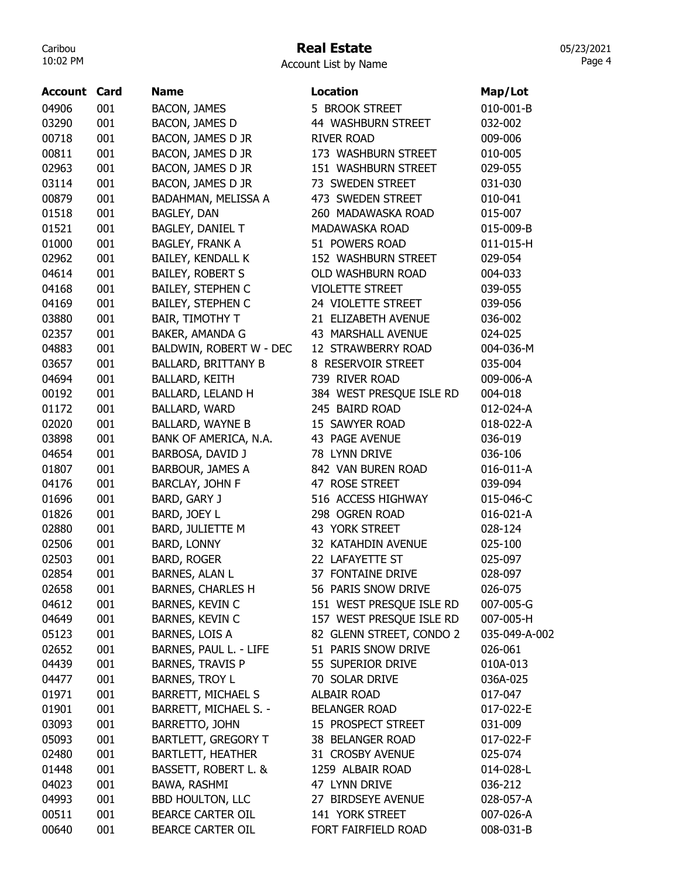# Real Estate

05/23/2021 Page 4

| 010-001-B<br>001<br>5 BROOK STREET<br><b>BACON, JAMES</b><br>001<br><b>BACON, JAMES D</b><br>44 WASHBURN STREET<br>032-002<br>001<br>BACON, JAMES D JR<br><b>RIVER ROAD</b><br>009-006<br>001<br>BACON, JAMES D JR<br>173 WASHBURN STREET<br>010-005<br>02963<br>001<br>BACON, JAMES D JR<br>151 WASHBURN STREET<br>029-055<br>001<br>BACON, JAMES D JR<br>73 SWEDEN STREET<br>031-030<br>001<br>BADAHMAN, MELISSA A<br>473 SWEDEN STREET<br>010-041<br>001<br>BAGLEY, DAN<br>260 MADAWASKA ROAD<br>015-007<br>01521<br>001<br>BAGLEY, DANIEL T<br>MADAWASKA ROAD<br>015-009-B<br>001<br>51 POWERS ROAD<br>011-015-H<br><b>BAGLEY, FRANK A</b><br>001<br>BAILEY, KENDALL K<br>152 WASHBURN STREET<br>029-054<br>04614<br>001<br>BAILEY, ROBERT S<br>OLD WASHBURN ROAD<br>004-033<br>04168<br>001<br><b>BAILEY, STEPHEN C</b><br><b>VIOLETTE STREET</b><br>039-055<br>001<br>BAILEY, STEPHEN C<br>24 VIOLETTE STREET<br>039-056<br>03880<br>001<br><b>BAIR, TIMOTHY T</b><br>21 ELIZABETH AVENUE<br>036-002<br>001<br>02357<br>BAKER, AMANDA G<br>43 MARSHALL AVENUE<br>024-025<br>04883<br>001<br>BALDWIN, ROBERT W - DEC<br>12 STRAWBERRY ROAD<br>004-036-M<br>001<br>03657<br><b>BALLARD, BRITTANY B</b><br>8 RESERVOIR STREET<br>035-004<br>04694<br>001<br><b>BALLARD, KEITH</b><br>739 RIVER ROAD<br>009-006-A<br>00192<br>001<br>BALLARD, LELAND H<br>384 WEST PRESQUE ISLE RD<br>004-018<br>01172<br>001<br>BALLARD, WARD<br>245 BAIRD ROAD<br>012-024-A<br>02020<br>001<br><b>BALLARD, WAYNE B</b><br>15 SAWYER ROAD<br>018-022-A<br>BANK OF AMERICA, N.A.<br>03898<br>001<br>43 PAGE AVENUE<br>036-019<br>001<br>78 LYNN DRIVE<br>04654<br>BARBOSA, DAVID J<br>036-106<br>001<br>01807<br>BARBOUR, JAMES A<br>842 VAN BUREN ROAD<br>016-011-A<br>001<br>47 ROSE STREET<br>04176<br>BARCLAY, JOHN F<br>039-094<br>01696<br>001<br>BARD, GARY J<br>516 ACCESS HIGHWAY<br>015-046-C<br>298 OGREN ROAD<br>01826<br>001<br>BARD, JOEY L<br>016-021-A<br>02880<br>001<br>BARD, JULIETTE M<br>43 YORK STREET<br>028-124<br>001<br>BARD, LONNY<br>02506<br>32 KATAHDIN AVENUE<br>025-100<br><b>BARD, ROGER</b><br>02503<br>001<br>22 LAFAYETTE ST<br>025-097<br>001<br>02854<br>BARNES, ALAN L<br>37 FONTAINE DRIVE<br>028-097<br>02658<br>001<br><b>BARNES, CHARLES H</b><br>56 PARIS SNOW DRIVE<br>026-075<br>BARNES, KEVIN C<br>151 WEST PRESQUE ISLE RD<br>04612<br>001<br>007-005-G<br>BARNES, KEVIN C<br>157 WEST PRESQUE ISLE RD<br>007-005-H<br>04649<br>001<br>82 GLENN STREET, CONDO 2<br>05123<br>001<br>BARNES, LOIS A<br>035-049-A-002<br>BARNES, PAUL L. - LIFE<br>02652<br>001<br>51 PARIS SNOW DRIVE<br>026-061<br><b>BARNES, TRAVIS P</b><br>04439<br>55 SUPERIOR DRIVE<br>001<br>010A-013<br>04477<br>001<br>BARNES, TROY L<br>70 SOLAR DRIVE<br>036A-025<br><b>BARRETT, MICHAEL S</b><br>01971<br>001<br>ALBAIR ROAD<br>017-047<br>01901<br>001<br>BARRETT, MICHAEL S. -<br><b>BELANGER ROAD</b><br>017-022-E<br>BARRETTO, JOHN<br>031-009<br>03093<br>001<br>15 PROSPECT STREET<br><b>BARTLETT, GREGORY T</b><br>05093<br>001<br>38 BELANGER ROAD<br>017-022-F<br><b>BARTLETT, HEATHER</b><br>31 CROSBY AVENUE<br>02480<br>001<br>025-074<br>01448<br>001<br>BASSETT, ROBERT L. &<br>1259 ALBAIR ROAD<br>014-028-L<br>04023<br>001<br>BAWA, RASHMI<br>47 LYNN DRIVE<br>036-212<br>04993<br>001<br><b>BBD HOULTON, LLC</b><br>27 BIRDSEYE AVENUE<br>028-057-A<br>00511<br>001<br><b>BEARCE CARTER OIL</b><br>141 YORK STREET<br>007-026-A | Account | Card | <b>Name</b>       | <b>Location</b>     | Map/Lot   |
|---------------------------------------------------------------------------------------------------------------------------------------------------------------------------------------------------------------------------------------------------------------------------------------------------------------------------------------------------------------------------------------------------------------------------------------------------------------------------------------------------------------------------------------------------------------------------------------------------------------------------------------------------------------------------------------------------------------------------------------------------------------------------------------------------------------------------------------------------------------------------------------------------------------------------------------------------------------------------------------------------------------------------------------------------------------------------------------------------------------------------------------------------------------------------------------------------------------------------------------------------------------------------------------------------------------------------------------------------------------------------------------------------------------------------------------------------------------------------------------------------------------------------------------------------------------------------------------------------------------------------------------------------------------------------------------------------------------------------------------------------------------------------------------------------------------------------------------------------------------------------------------------------------------------------------------------------------------------------------------------------------------------------------------------------------------------------------------------------------------------------------------------------------------------------------------------------------------------------------------------------------------------------------------------------------------------------------------------------------------------------------------------------------------------------------------------------------------------------------------------------------------------------------------------------------------------------------------------------------------------------------------------------------------------------------------------------------------------------------------------------------------------------------------------------------------------------------------------------------------------------------------------------------------------------------------------------------------------------------------------------------------------------------------------------------------------------------------------------------------------------------------------------------------------------------------------------------------------------------------------------------------------------------------------------------------------------------------------------------------------------------------------------------------------------------------------------------------|---------|------|-------------------|---------------------|-----------|
|                                                                                                                                                                                                                                                                                                                                                                                                                                                                                                                                                                                                                                                                                                                                                                                                                                                                                                                                                                                                                                                                                                                                                                                                                                                                                                                                                                                                                                                                                                                                                                                                                                                                                                                                                                                                                                                                                                                                                                                                                                                                                                                                                                                                                                                                                                                                                                                                                                                                                                                                                                                                                                                                                                                                                                                                                                                                                                                                                                                                                                                                                                                                                                                                                                                                                                                                                                                                                                                               | 04906   |      |                   |                     |           |
|                                                                                                                                                                                                                                                                                                                                                                                                                                                                                                                                                                                                                                                                                                                                                                                                                                                                                                                                                                                                                                                                                                                                                                                                                                                                                                                                                                                                                                                                                                                                                                                                                                                                                                                                                                                                                                                                                                                                                                                                                                                                                                                                                                                                                                                                                                                                                                                                                                                                                                                                                                                                                                                                                                                                                                                                                                                                                                                                                                                                                                                                                                                                                                                                                                                                                                                                                                                                                                                               | 03290   |      |                   |                     |           |
|                                                                                                                                                                                                                                                                                                                                                                                                                                                                                                                                                                                                                                                                                                                                                                                                                                                                                                                                                                                                                                                                                                                                                                                                                                                                                                                                                                                                                                                                                                                                                                                                                                                                                                                                                                                                                                                                                                                                                                                                                                                                                                                                                                                                                                                                                                                                                                                                                                                                                                                                                                                                                                                                                                                                                                                                                                                                                                                                                                                                                                                                                                                                                                                                                                                                                                                                                                                                                                                               | 00718   |      |                   |                     |           |
|                                                                                                                                                                                                                                                                                                                                                                                                                                                                                                                                                                                                                                                                                                                                                                                                                                                                                                                                                                                                                                                                                                                                                                                                                                                                                                                                                                                                                                                                                                                                                                                                                                                                                                                                                                                                                                                                                                                                                                                                                                                                                                                                                                                                                                                                                                                                                                                                                                                                                                                                                                                                                                                                                                                                                                                                                                                                                                                                                                                                                                                                                                                                                                                                                                                                                                                                                                                                                                                               | 00811   |      |                   |                     |           |
|                                                                                                                                                                                                                                                                                                                                                                                                                                                                                                                                                                                                                                                                                                                                                                                                                                                                                                                                                                                                                                                                                                                                                                                                                                                                                                                                                                                                                                                                                                                                                                                                                                                                                                                                                                                                                                                                                                                                                                                                                                                                                                                                                                                                                                                                                                                                                                                                                                                                                                                                                                                                                                                                                                                                                                                                                                                                                                                                                                                                                                                                                                                                                                                                                                                                                                                                                                                                                                                               |         |      |                   |                     |           |
|                                                                                                                                                                                                                                                                                                                                                                                                                                                                                                                                                                                                                                                                                                                                                                                                                                                                                                                                                                                                                                                                                                                                                                                                                                                                                                                                                                                                                                                                                                                                                                                                                                                                                                                                                                                                                                                                                                                                                                                                                                                                                                                                                                                                                                                                                                                                                                                                                                                                                                                                                                                                                                                                                                                                                                                                                                                                                                                                                                                                                                                                                                                                                                                                                                                                                                                                                                                                                                                               | 03114   |      |                   |                     |           |
|                                                                                                                                                                                                                                                                                                                                                                                                                                                                                                                                                                                                                                                                                                                                                                                                                                                                                                                                                                                                                                                                                                                                                                                                                                                                                                                                                                                                                                                                                                                                                                                                                                                                                                                                                                                                                                                                                                                                                                                                                                                                                                                                                                                                                                                                                                                                                                                                                                                                                                                                                                                                                                                                                                                                                                                                                                                                                                                                                                                                                                                                                                                                                                                                                                                                                                                                                                                                                                                               | 00879   |      |                   |                     |           |
|                                                                                                                                                                                                                                                                                                                                                                                                                                                                                                                                                                                                                                                                                                                                                                                                                                                                                                                                                                                                                                                                                                                                                                                                                                                                                                                                                                                                                                                                                                                                                                                                                                                                                                                                                                                                                                                                                                                                                                                                                                                                                                                                                                                                                                                                                                                                                                                                                                                                                                                                                                                                                                                                                                                                                                                                                                                                                                                                                                                                                                                                                                                                                                                                                                                                                                                                                                                                                                                               | 01518   |      |                   |                     |           |
|                                                                                                                                                                                                                                                                                                                                                                                                                                                                                                                                                                                                                                                                                                                                                                                                                                                                                                                                                                                                                                                                                                                                                                                                                                                                                                                                                                                                                                                                                                                                                                                                                                                                                                                                                                                                                                                                                                                                                                                                                                                                                                                                                                                                                                                                                                                                                                                                                                                                                                                                                                                                                                                                                                                                                                                                                                                                                                                                                                                                                                                                                                                                                                                                                                                                                                                                                                                                                                                               |         |      |                   |                     |           |
|                                                                                                                                                                                                                                                                                                                                                                                                                                                                                                                                                                                                                                                                                                                                                                                                                                                                                                                                                                                                                                                                                                                                                                                                                                                                                                                                                                                                                                                                                                                                                                                                                                                                                                                                                                                                                                                                                                                                                                                                                                                                                                                                                                                                                                                                                                                                                                                                                                                                                                                                                                                                                                                                                                                                                                                                                                                                                                                                                                                                                                                                                                                                                                                                                                                                                                                                                                                                                                                               | 01000   |      |                   |                     |           |
|                                                                                                                                                                                                                                                                                                                                                                                                                                                                                                                                                                                                                                                                                                                                                                                                                                                                                                                                                                                                                                                                                                                                                                                                                                                                                                                                                                                                                                                                                                                                                                                                                                                                                                                                                                                                                                                                                                                                                                                                                                                                                                                                                                                                                                                                                                                                                                                                                                                                                                                                                                                                                                                                                                                                                                                                                                                                                                                                                                                                                                                                                                                                                                                                                                                                                                                                                                                                                                                               | 02962   |      |                   |                     |           |
|                                                                                                                                                                                                                                                                                                                                                                                                                                                                                                                                                                                                                                                                                                                                                                                                                                                                                                                                                                                                                                                                                                                                                                                                                                                                                                                                                                                                                                                                                                                                                                                                                                                                                                                                                                                                                                                                                                                                                                                                                                                                                                                                                                                                                                                                                                                                                                                                                                                                                                                                                                                                                                                                                                                                                                                                                                                                                                                                                                                                                                                                                                                                                                                                                                                                                                                                                                                                                                                               |         |      |                   |                     |           |
|                                                                                                                                                                                                                                                                                                                                                                                                                                                                                                                                                                                                                                                                                                                                                                                                                                                                                                                                                                                                                                                                                                                                                                                                                                                                                                                                                                                                                                                                                                                                                                                                                                                                                                                                                                                                                                                                                                                                                                                                                                                                                                                                                                                                                                                                                                                                                                                                                                                                                                                                                                                                                                                                                                                                                                                                                                                                                                                                                                                                                                                                                                                                                                                                                                                                                                                                                                                                                                                               |         |      |                   |                     |           |
|                                                                                                                                                                                                                                                                                                                                                                                                                                                                                                                                                                                                                                                                                                                                                                                                                                                                                                                                                                                                                                                                                                                                                                                                                                                                                                                                                                                                                                                                                                                                                                                                                                                                                                                                                                                                                                                                                                                                                                                                                                                                                                                                                                                                                                                                                                                                                                                                                                                                                                                                                                                                                                                                                                                                                                                                                                                                                                                                                                                                                                                                                                                                                                                                                                                                                                                                                                                                                                                               | 04169   |      |                   |                     |           |
|                                                                                                                                                                                                                                                                                                                                                                                                                                                                                                                                                                                                                                                                                                                                                                                                                                                                                                                                                                                                                                                                                                                                                                                                                                                                                                                                                                                                                                                                                                                                                                                                                                                                                                                                                                                                                                                                                                                                                                                                                                                                                                                                                                                                                                                                                                                                                                                                                                                                                                                                                                                                                                                                                                                                                                                                                                                                                                                                                                                                                                                                                                                                                                                                                                                                                                                                                                                                                                                               |         |      |                   |                     |           |
|                                                                                                                                                                                                                                                                                                                                                                                                                                                                                                                                                                                                                                                                                                                                                                                                                                                                                                                                                                                                                                                                                                                                                                                                                                                                                                                                                                                                                                                                                                                                                                                                                                                                                                                                                                                                                                                                                                                                                                                                                                                                                                                                                                                                                                                                                                                                                                                                                                                                                                                                                                                                                                                                                                                                                                                                                                                                                                                                                                                                                                                                                                                                                                                                                                                                                                                                                                                                                                                               |         |      |                   |                     |           |
|                                                                                                                                                                                                                                                                                                                                                                                                                                                                                                                                                                                                                                                                                                                                                                                                                                                                                                                                                                                                                                                                                                                                                                                                                                                                                                                                                                                                                                                                                                                                                                                                                                                                                                                                                                                                                                                                                                                                                                                                                                                                                                                                                                                                                                                                                                                                                                                                                                                                                                                                                                                                                                                                                                                                                                                                                                                                                                                                                                                                                                                                                                                                                                                                                                                                                                                                                                                                                                                               |         |      |                   |                     |           |
|                                                                                                                                                                                                                                                                                                                                                                                                                                                                                                                                                                                                                                                                                                                                                                                                                                                                                                                                                                                                                                                                                                                                                                                                                                                                                                                                                                                                                                                                                                                                                                                                                                                                                                                                                                                                                                                                                                                                                                                                                                                                                                                                                                                                                                                                                                                                                                                                                                                                                                                                                                                                                                                                                                                                                                                                                                                                                                                                                                                                                                                                                                                                                                                                                                                                                                                                                                                                                                                               |         |      |                   |                     |           |
|                                                                                                                                                                                                                                                                                                                                                                                                                                                                                                                                                                                                                                                                                                                                                                                                                                                                                                                                                                                                                                                                                                                                                                                                                                                                                                                                                                                                                                                                                                                                                                                                                                                                                                                                                                                                                                                                                                                                                                                                                                                                                                                                                                                                                                                                                                                                                                                                                                                                                                                                                                                                                                                                                                                                                                                                                                                                                                                                                                                                                                                                                                                                                                                                                                                                                                                                                                                                                                                               |         |      |                   |                     |           |
|                                                                                                                                                                                                                                                                                                                                                                                                                                                                                                                                                                                                                                                                                                                                                                                                                                                                                                                                                                                                                                                                                                                                                                                                                                                                                                                                                                                                                                                                                                                                                                                                                                                                                                                                                                                                                                                                                                                                                                                                                                                                                                                                                                                                                                                                                                                                                                                                                                                                                                                                                                                                                                                                                                                                                                                                                                                                                                                                                                                                                                                                                                                                                                                                                                                                                                                                                                                                                                                               |         |      |                   |                     |           |
|                                                                                                                                                                                                                                                                                                                                                                                                                                                                                                                                                                                                                                                                                                                                                                                                                                                                                                                                                                                                                                                                                                                                                                                                                                                                                                                                                                                                                                                                                                                                                                                                                                                                                                                                                                                                                                                                                                                                                                                                                                                                                                                                                                                                                                                                                                                                                                                                                                                                                                                                                                                                                                                                                                                                                                                                                                                                                                                                                                                                                                                                                                                                                                                                                                                                                                                                                                                                                                                               |         |      |                   |                     |           |
|                                                                                                                                                                                                                                                                                                                                                                                                                                                                                                                                                                                                                                                                                                                                                                                                                                                                                                                                                                                                                                                                                                                                                                                                                                                                                                                                                                                                                                                                                                                                                                                                                                                                                                                                                                                                                                                                                                                                                                                                                                                                                                                                                                                                                                                                                                                                                                                                                                                                                                                                                                                                                                                                                                                                                                                                                                                                                                                                                                                                                                                                                                                                                                                                                                                                                                                                                                                                                                                               |         |      |                   |                     |           |
|                                                                                                                                                                                                                                                                                                                                                                                                                                                                                                                                                                                                                                                                                                                                                                                                                                                                                                                                                                                                                                                                                                                                                                                                                                                                                                                                                                                                                                                                                                                                                                                                                                                                                                                                                                                                                                                                                                                                                                                                                                                                                                                                                                                                                                                                                                                                                                                                                                                                                                                                                                                                                                                                                                                                                                                                                                                                                                                                                                                                                                                                                                                                                                                                                                                                                                                                                                                                                                                               |         |      |                   |                     |           |
|                                                                                                                                                                                                                                                                                                                                                                                                                                                                                                                                                                                                                                                                                                                                                                                                                                                                                                                                                                                                                                                                                                                                                                                                                                                                                                                                                                                                                                                                                                                                                                                                                                                                                                                                                                                                                                                                                                                                                                                                                                                                                                                                                                                                                                                                                                                                                                                                                                                                                                                                                                                                                                                                                                                                                                                                                                                                                                                                                                                                                                                                                                                                                                                                                                                                                                                                                                                                                                                               |         |      |                   |                     |           |
|                                                                                                                                                                                                                                                                                                                                                                                                                                                                                                                                                                                                                                                                                                                                                                                                                                                                                                                                                                                                                                                                                                                                                                                                                                                                                                                                                                                                                                                                                                                                                                                                                                                                                                                                                                                                                                                                                                                                                                                                                                                                                                                                                                                                                                                                                                                                                                                                                                                                                                                                                                                                                                                                                                                                                                                                                                                                                                                                                                                                                                                                                                                                                                                                                                                                                                                                                                                                                                                               |         |      |                   |                     |           |
|                                                                                                                                                                                                                                                                                                                                                                                                                                                                                                                                                                                                                                                                                                                                                                                                                                                                                                                                                                                                                                                                                                                                                                                                                                                                                                                                                                                                                                                                                                                                                                                                                                                                                                                                                                                                                                                                                                                                                                                                                                                                                                                                                                                                                                                                                                                                                                                                                                                                                                                                                                                                                                                                                                                                                                                                                                                                                                                                                                                                                                                                                                                                                                                                                                                                                                                                                                                                                                                               |         |      |                   |                     |           |
|                                                                                                                                                                                                                                                                                                                                                                                                                                                                                                                                                                                                                                                                                                                                                                                                                                                                                                                                                                                                                                                                                                                                                                                                                                                                                                                                                                                                                                                                                                                                                                                                                                                                                                                                                                                                                                                                                                                                                                                                                                                                                                                                                                                                                                                                                                                                                                                                                                                                                                                                                                                                                                                                                                                                                                                                                                                                                                                                                                                                                                                                                                                                                                                                                                                                                                                                                                                                                                                               |         |      |                   |                     |           |
|                                                                                                                                                                                                                                                                                                                                                                                                                                                                                                                                                                                                                                                                                                                                                                                                                                                                                                                                                                                                                                                                                                                                                                                                                                                                                                                                                                                                                                                                                                                                                                                                                                                                                                                                                                                                                                                                                                                                                                                                                                                                                                                                                                                                                                                                                                                                                                                                                                                                                                                                                                                                                                                                                                                                                                                                                                                                                                                                                                                                                                                                                                                                                                                                                                                                                                                                                                                                                                                               |         |      |                   |                     |           |
|                                                                                                                                                                                                                                                                                                                                                                                                                                                                                                                                                                                                                                                                                                                                                                                                                                                                                                                                                                                                                                                                                                                                                                                                                                                                                                                                                                                                                                                                                                                                                                                                                                                                                                                                                                                                                                                                                                                                                                                                                                                                                                                                                                                                                                                                                                                                                                                                                                                                                                                                                                                                                                                                                                                                                                                                                                                                                                                                                                                                                                                                                                                                                                                                                                                                                                                                                                                                                                                               |         |      |                   |                     |           |
|                                                                                                                                                                                                                                                                                                                                                                                                                                                                                                                                                                                                                                                                                                                                                                                                                                                                                                                                                                                                                                                                                                                                                                                                                                                                                                                                                                                                                                                                                                                                                                                                                                                                                                                                                                                                                                                                                                                                                                                                                                                                                                                                                                                                                                                                                                                                                                                                                                                                                                                                                                                                                                                                                                                                                                                                                                                                                                                                                                                                                                                                                                                                                                                                                                                                                                                                                                                                                                                               |         |      |                   |                     |           |
|                                                                                                                                                                                                                                                                                                                                                                                                                                                                                                                                                                                                                                                                                                                                                                                                                                                                                                                                                                                                                                                                                                                                                                                                                                                                                                                                                                                                                                                                                                                                                                                                                                                                                                                                                                                                                                                                                                                                                                                                                                                                                                                                                                                                                                                                                                                                                                                                                                                                                                                                                                                                                                                                                                                                                                                                                                                                                                                                                                                                                                                                                                                                                                                                                                                                                                                                                                                                                                                               |         |      |                   |                     |           |
|                                                                                                                                                                                                                                                                                                                                                                                                                                                                                                                                                                                                                                                                                                                                                                                                                                                                                                                                                                                                                                                                                                                                                                                                                                                                                                                                                                                                                                                                                                                                                                                                                                                                                                                                                                                                                                                                                                                                                                                                                                                                                                                                                                                                                                                                                                                                                                                                                                                                                                                                                                                                                                                                                                                                                                                                                                                                                                                                                                                                                                                                                                                                                                                                                                                                                                                                                                                                                                                               |         |      |                   |                     |           |
|                                                                                                                                                                                                                                                                                                                                                                                                                                                                                                                                                                                                                                                                                                                                                                                                                                                                                                                                                                                                                                                                                                                                                                                                                                                                                                                                                                                                                                                                                                                                                                                                                                                                                                                                                                                                                                                                                                                                                                                                                                                                                                                                                                                                                                                                                                                                                                                                                                                                                                                                                                                                                                                                                                                                                                                                                                                                                                                                                                                                                                                                                                                                                                                                                                                                                                                                                                                                                                                               |         |      |                   |                     |           |
|                                                                                                                                                                                                                                                                                                                                                                                                                                                                                                                                                                                                                                                                                                                                                                                                                                                                                                                                                                                                                                                                                                                                                                                                                                                                                                                                                                                                                                                                                                                                                                                                                                                                                                                                                                                                                                                                                                                                                                                                                                                                                                                                                                                                                                                                                                                                                                                                                                                                                                                                                                                                                                                                                                                                                                                                                                                                                                                                                                                                                                                                                                                                                                                                                                                                                                                                                                                                                                                               |         |      |                   |                     |           |
|                                                                                                                                                                                                                                                                                                                                                                                                                                                                                                                                                                                                                                                                                                                                                                                                                                                                                                                                                                                                                                                                                                                                                                                                                                                                                                                                                                                                                                                                                                                                                                                                                                                                                                                                                                                                                                                                                                                                                                                                                                                                                                                                                                                                                                                                                                                                                                                                                                                                                                                                                                                                                                                                                                                                                                                                                                                                                                                                                                                                                                                                                                                                                                                                                                                                                                                                                                                                                                                               |         |      |                   |                     |           |
|                                                                                                                                                                                                                                                                                                                                                                                                                                                                                                                                                                                                                                                                                                                                                                                                                                                                                                                                                                                                                                                                                                                                                                                                                                                                                                                                                                                                                                                                                                                                                                                                                                                                                                                                                                                                                                                                                                                                                                                                                                                                                                                                                                                                                                                                                                                                                                                                                                                                                                                                                                                                                                                                                                                                                                                                                                                                                                                                                                                                                                                                                                                                                                                                                                                                                                                                                                                                                                                               |         |      |                   |                     |           |
|                                                                                                                                                                                                                                                                                                                                                                                                                                                                                                                                                                                                                                                                                                                                                                                                                                                                                                                                                                                                                                                                                                                                                                                                                                                                                                                                                                                                                                                                                                                                                                                                                                                                                                                                                                                                                                                                                                                                                                                                                                                                                                                                                                                                                                                                                                                                                                                                                                                                                                                                                                                                                                                                                                                                                                                                                                                                                                                                                                                                                                                                                                                                                                                                                                                                                                                                                                                                                                                               |         |      |                   |                     |           |
|                                                                                                                                                                                                                                                                                                                                                                                                                                                                                                                                                                                                                                                                                                                                                                                                                                                                                                                                                                                                                                                                                                                                                                                                                                                                                                                                                                                                                                                                                                                                                                                                                                                                                                                                                                                                                                                                                                                                                                                                                                                                                                                                                                                                                                                                                                                                                                                                                                                                                                                                                                                                                                                                                                                                                                                                                                                                                                                                                                                                                                                                                                                                                                                                                                                                                                                                                                                                                                                               |         |      |                   |                     |           |
|                                                                                                                                                                                                                                                                                                                                                                                                                                                                                                                                                                                                                                                                                                                                                                                                                                                                                                                                                                                                                                                                                                                                                                                                                                                                                                                                                                                                                                                                                                                                                                                                                                                                                                                                                                                                                                                                                                                                                                                                                                                                                                                                                                                                                                                                                                                                                                                                                                                                                                                                                                                                                                                                                                                                                                                                                                                                                                                                                                                                                                                                                                                                                                                                                                                                                                                                                                                                                                                               |         |      |                   |                     |           |
|                                                                                                                                                                                                                                                                                                                                                                                                                                                                                                                                                                                                                                                                                                                                                                                                                                                                                                                                                                                                                                                                                                                                                                                                                                                                                                                                                                                                                                                                                                                                                                                                                                                                                                                                                                                                                                                                                                                                                                                                                                                                                                                                                                                                                                                                                                                                                                                                                                                                                                                                                                                                                                                                                                                                                                                                                                                                                                                                                                                                                                                                                                                                                                                                                                                                                                                                                                                                                                                               |         |      |                   |                     |           |
|                                                                                                                                                                                                                                                                                                                                                                                                                                                                                                                                                                                                                                                                                                                                                                                                                                                                                                                                                                                                                                                                                                                                                                                                                                                                                                                                                                                                                                                                                                                                                                                                                                                                                                                                                                                                                                                                                                                                                                                                                                                                                                                                                                                                                                                                                                                                                                                                                                                                                                                                                                                                                                                                                                                                                                                                                                                                                                                                                                                                                                                                                                                                                                                                                                                                                                                                                                                                                                                               |         |      |                   |                     |           |
|                                                                                                                                                                                                                                                                                                                                                                                                                                                                                                                                                                                                                                                                                                                                                                                                                                                                                                                                                                                                                                                                                                                                                                                                                                                                                                                                                                                                                                                                                                                                                                                                                                                                                                                                                                                                                                                                                                                                                                                                                                                                                                                                                                                                                                                                                                                                                                                                                                                                                                                                                                                                                                                                                                                                                                                                                                                                                                                                                                                                                                                                                                                                                                                                                                                                                                                                                                                                                                                               |         |      |                   |                     |           |
|                                                                                                                                                                                                                                                                                                                                                                                                                                                                                                                                                                                                                                                                                                                                                                                                                                                                                                                                                                                                                                                                                                                                                                                                                                                                                                                                                                                                                                                                                                                                                                                                                                                                                                                                                                                                                                                                                                                                                                                                                                                                                                                                                                                                                                                                                                                                                                                                                                                                                                                                                                                                                                                                                                                                                                                                                                                                                                                                                                                                                                                                                                                                                                                                                                                                                                                                                                                                                                                               |         |      |                   |                     |           |
|                                                                                                                                                                                                                                                                                                                                                                                                                                                                                                                                                                                                                                                                                                                                                                                                                                                                                                                                                                                                                                                                                                                                                                                                                                                                                                                                                                                                                                                                                                                                                                                                                                                                                                                                                                                                                                                                                                                                                                                                                                                                                                                                                                                                                                                                                                                                                                                                                                                                                                                                                                                                                                                                                                                                                                                                                                                                                                                                                                                                                                                                                                                                                                                                                                                                                                                                                                                                                                                               |         |      |                   |                     |           |
|                                                                                                                                                                                                                                                                                                                                                                                                                                                                                                                                                                                                                                                                                                                                                                                                                                                                                                                                                                                                                                                                                                                                                                                                                                                                                                                                                                                                                                                                                                                                                                                                                                                                                                                                                                                                                                                                                                                                                                                                                                                                                                                                                                                                                                                                                                                                                                                                                                                                                                                                                                                                                                                                                                                                                                                                                                                                                                                                                                                                                                                                                                                                                                                                                                                                                                                                                                                                                                                               |         |      |                   |                     |           |
|                                                                                                                                                                                                                                                                                                                                                                                                                                                                                                                                                                                                                                                                                                                                                                                                                                                                                                                                                                                                                                                                                                                                                                                                                                                                                                                                                                                                                                                                                                                                                                                                                                                                                                                                                                                                                                                                                                                                                                                                                                                                                                                                                                                                                                                                                                                                                                                                                                                                                                                                                                                                                                                                                                                                                                                                                                                                                                                                                                                                                                                                                                                                                                                                                                                                                                                                                                                                                                                               |         |      |                   |                     |           |
|                                                                                                                                                                                                                                                                                                                                                                                                                                                                                                                                                                                                                                                                                                                                                                                                                                                                                                                                                                                                                                                                                                                                                                                                                                                                                                                                                                                                                                                                                                                                                                                                                                                                                                                                                                                                                                                                                                                                                                                                                                                                                                                                                                                                                                                                                                                                                                                                                                                                                                                                                                                                                                                                                                                                                                                                                                                                                                                                                                                                                                                                                                                                                                                                                                                                                                                                                                                                                                                               |         |      |                   |                     |           |
|                                                                                                                                                                                                                                                                                                                                                                                                                                                                                                                                                                                                                                                                                                                                                                                                                                                                                                                                                                                                                                                                                                                                                                                                                                                                                                                                                                                                                                                                                                                                                                                                                                                                                                                                                                                                                                                                                                                                                                                                                                                                                                                                                                                                                                                                                                                                                                                                                                                                                                                                                                                                                                                                                                                                                                                                                                                                                                                                                                                                                                                                                                                                                                                                                                                                                                                                                                                                                                                               |         |      |                   |                     |           |
|                                                                                                                                                                                                                                                                                                                                                                                                                                                                                                                                                                                                                                                                                                                                                                                                                                                                                                                                                                                                                                                                                                                                                                                                                                                                                                                                                                                                                                                                                                                                                                                                                                                                                                                                                                                                                                                                                                                                                                                                                                                                                                                                                                                                                                                                                                                                                                                                                                                                                                                                                                                                                                                                                                                                                                                                                                                                                                                                                                                                                                                                                                                                                                                                                                                                                                                                                                                                                                                               | 00640   | 001  | BEARCE CARTER OIL | FORT FAIRFIELD ROAD | 008-031-B |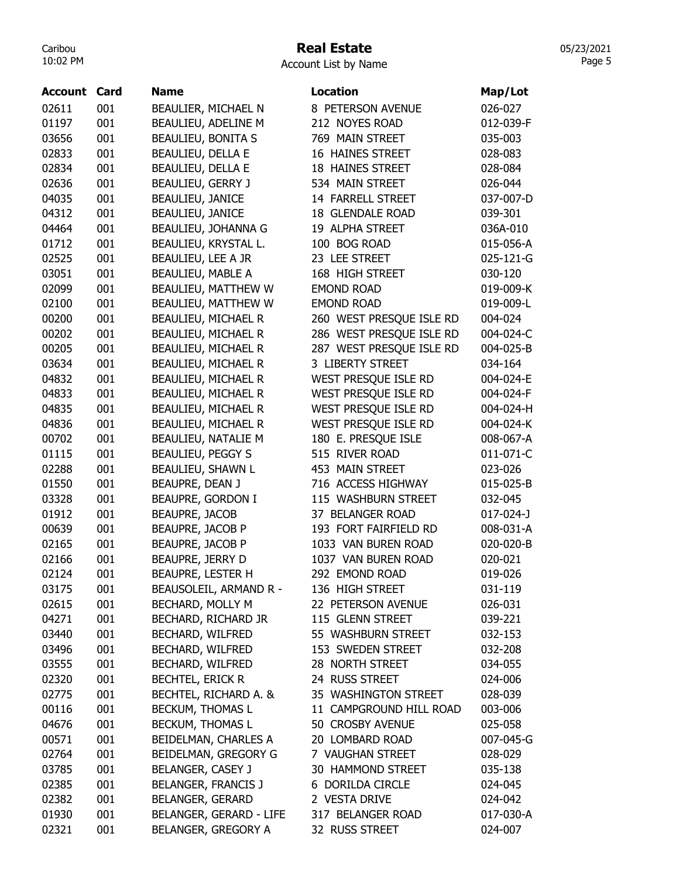## Real Estate

05/23/2021 Page 5

| Account | Card | <b>Name</b>                    | Location                 | Map/Lot   |
|---------|------|--------------------------------|--------------------------|-----------|
| 02611   | 001  | BEAULIER, MICHAEL N            | 8 PETERSON AVENUE        | 026-027   |
| 01197   | 001  | BEAULIEU, ADELINE M            | 212 NOYES ROAD           | 012-039-F |
| 03656   | 001  | <b>BEAULIEU, BONITA S</b>      | 769 MAIN STREET          | 035-003   |
| 02833   | 001  | <b>BEAULIEU, DELLA E</b>       | 16 HAINES STREET         | 028-083   |
| 02834   | 001  | <b>BEAULIEU, DELLA E</b>       | 18 HAINES STREET         | 028-084   |
| 02636   | 001  | BEAULIEU, GERRY J              | 534 MAIN STREET          | 026-044   |
| 04035   | 001  | BEAULIEU, JANICE               | 14 FARRELL STREET        | 037-007-D |
| 04312   | 001  | BEAULIEU, JANICE               | 18 GLENDALE ROAD         | 039-301   |
| 04464   | 001  | BEAULIEU, JOHANNA G            | 19 ALPHA STREET          | 036A-010  |
| 01712   | 001  | BEAULIEU, KRYSTAL L.           | 100 BOG ROAD             | 015-056-A |
| 02525   | 001  | BEAULIEU, LEE A JR             | 23 LEE STREET            | 025-121-G |
| 03051   | 001  | BEAULIEU, MABLE A              | 168 HIGH STREET          | 030-120   |
| 02099   | 001  | BEAULIEU, MATTHEW W            | <b>EMOND ROAD</b>        | 019-009-K |
| 02100   | 001  | BEAULIEU, MATTHEW W            | <b>EMOND ROAD</b>        | 019-009-L |
| 00200   | 001  | <b>BEAULIEU, MICHAEL R</b>     | 260 WEST PRESQUE ISLE RD | 004-024   |
| 00202   | 001  | BEAULIEU, MICHAEL R            | 286 WEST PRESQUE ISLE RD | 004-024-C |
| 00205   | 001  | <b>BEAULIEU, MICHAEL R</b>     | 287 WEST PRESQUE ISLE RD | 004-025-B |
| 03634   | 001  | <b>BEAULIEU, MICHAEL R</b>     | 3 LIBERTY STREET         | 034-164   |
| 04832   | 001  | BEAULIEU, MICHAEL R            | WEST PRESQUE ISLE RD     | 004-024-E |
| 04833   | 001  | BEAULIEU, MICHAEL R            | WEST PRESQUE ISLE RD     | 004-024-F |
| 04835   | 001  | BEAULIEU, MICHAEL R            | WEST PRESQUE ISLE RD     | 004-024-H |
| 04836   | 001  | BEAULIEU, MICHAEL R            | WEST PRESQUE ISLE RD     | 004-024-K |
| 00702   | 001  | BEAULIEU, NATALIE M            | 180 E. PRESQUE ISLE      | 008-067-A |
| 01115   | 001  | <b>BEAULIEU, PEGGY S</b>       | 515 RIVER ROAD           | 011-071-C |
| 02288   | 001  | BEAULIEU, SHAWN L              | 453 MAIN STREET          | 023-026   |
| 01550   | 001  | BEAUPRE, DEAN J                | 716 ACCESS HIGHWAY       | 015-025-B |
| 03328   | 001  | BEAUPRE, GORDON I              | 115 WASHBURN STREET      | 032-045   |
| 01912   | 001  | <b>BEAUPRE, JACOB</b>          | 37 BELANGER ROAD         | 017-024-J |
| 00639   | 001  | <b>BEAUPRE, JACOB P</b>        | 193 FORT FAIRFIELD RD    | 008-031-A |
| 02165   | 001  | BEAUPRE, JACOB P               | 1033 VAN BUREN ROAD      | 020-020-B |
| 02166   | 001  | <b>BEAUPRE, JERRY D</b>        | 1037 VAN BUREN ROAD      | 020-021   |
| 02124   | 001  | BEAUPRE, LESTER H              | 292 EMOND ROAD           | 019-026   |
| 03175   | 001  | BEAUSOLEIL, ARMAND R -         | 136 HIGH STREET          | 031-119   |
| 02615   | 001  | BECHARD, MOLLY M               | 22 PETERSON AVENUE       | 026-031   |
| 04271   | 001  | BECHARD, RICHARD JR            | 115 GLENN STREET         | 039-221   |
| 03440   | 001  | <b>BECHARD, WILFRED</b>        | 55 WASHBURN STREET       | 032-153   |
| 03496   | 001  | BECHARD, WILFRED               | 153 SWEDEN STREET        | 032-208   |
| 03555   | 001  | BECHARD, WILFRED               | 28 NORTH STREET          | 034-055   |
| 02320   | 001  | <b>BECHTEL, ERICK R</b>        | 24 RUSS STREET           | 024-006   |
| 02775   | 001  | BECHTEL, RICHARD A. &          | 35 WASHINGTON STREET     | 028-039   |
| 00116   | 001  | <b>BECKUM, THOMAS L</b>        | 11 CAMPGROUND HILL ROAD  | 003-006   |
| 04676   | 001  | BECKUM, THOMAS L               | 50 CROSBY AVENUE         | 025-058   |
| 00571   | 001  | BEIDELMAN, CHARLES A           | 20 LOMBARD ROAD          | 007-045-G |
| 02764   | 001  | BEIDELMAN, GREGORY G           | 7 VAUGHAN STREET         | 028-029   |
| 03785   | 001  | BELANGER, CASEY J              | 30 HAMMOND STREET        | 035-138   |
| 02385   | 001  | <b>BELANGER, FRANCIS J</b>     | 6 DORILDA CIRCLE         | 024-045   |
| 02382   | 001  | <b>BELANGER, GERARD</b>        | 2 VESTA DRIVE            | 024-042   |
| 01930   | 001  | <b>BELANGER, GERARD - LIFE</b> | 317 BELANGER ROAD        | 017-030-A |
| 02321   | 001  | BELANGER, GREGORY A            | 32 RUSS STREET           | 024-007   |
|         |      |                                |                          |           |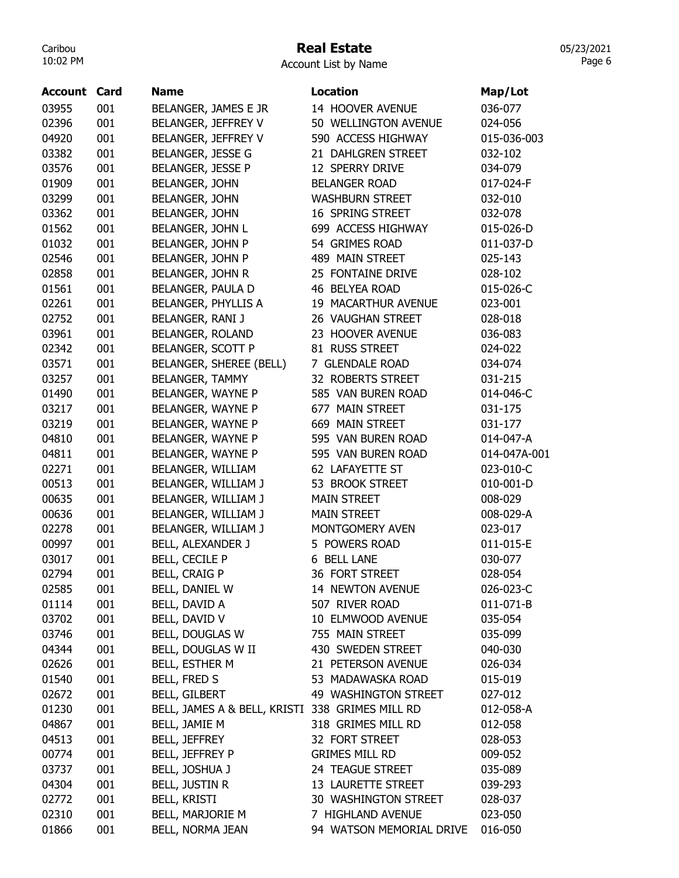# Real Estate

| <b>Account Card</b> |     | <b>Name</b>                                     | Location                 | Map/Lot      |
|---------------------|-----|-------------------------------------------------|--------------------------|--------------|
| 03955               | 001 | BELANGER, JAMES E JR                            | 14 HOOVER AVENUE         | 036-077      |
| 02396               | 001 | BELANGER, JEFFREY V                             | 50 WELLINGTON AVENUE     | 024-056      |
| 04920               | 001 | BELANGER, JEFFREY V                             | 590 ACCESS HIGHWAY       | 015-036-003  |
| 03382               | 001 | BELANGER, JESSE G                               | 21 DAHLGREN STREET       | 032-102      |
| 03576               | 001 | BELANGER, JESSE P                               | 12 SPERRY DRIVE          | 034-079      |
| 01909               | 001 | <b>BELANGER, JOHN</b>                           | <b>BELANGER ROAD</b>     | 017-024-F    |
| 03299               | 001 | <b>BELANGER, JOHN</b>                           | <b>WASHBURN STREET</b>   | 032-010      |
| 03362               | 001 | <b>BELANGER, JOHN</b>                           | 16 SPRING STREET         | 032-078      |
| 01562               | 001 | BELANGER, JOHN L                                | 699 ACCESS HIGHWAY       | 015-026-D    |
| 01032               | 001 | <b>BELANGER, JOHN P</b>                         | 54 GRIMES ROAD           | 011-037-D    |
| 02546               | 001 | BELANGER, JOHN P                                | 489 MAIN STREET          | 025-143      |
| 02858               | 001 | BELANGER, JOHN R                                | 25 FONTAINE DRIVE        | 028-102      |
| 01561               | 001 | BELANGER, PAULA D                               | 46 BELYEA ROAD           | 015-026-C    |
| 02261               | 001 | BELANGER, PHYLLIS A                             | 19 MACARTHUR AVENUE      | 023-001      |
| 02752               | 001 | BELANGER, RANI J                                | 26 VAUGHAN STREET        | 028-018      |
| 03961               | 001 | BELANGER, ROLAND                                | 23 HOOVER AVENUE         | 036-083      |
| 02342               | 001 | BELANGER, SCOTT P                               | 81 RUSS STREET           | 024-022      |
| 03571               | 001 | BELANGER, SHEREE (BELL)                         | 7 GLENDALE ROAD          | 034-074      |
| 03257               | 001 | <b>BELANGER, TAMMY</b>                          | 32 ROBERTS STREET        | 031-215      |
| 01490               | 001 | BELANGER, WAYNE P                               | 585 VAN BUREN ROAD       | 014-046-C    |
| 03217               | 001 | BELANGER, WAYNE P                               | 677 MAIN STREET          | 031-175      |
| 03219               | 001 | BELANGER, WAYNE P                               | 669 MAIN STREET          | 031-177      |
| 04810               | 001 | BELANGER, WAYNE P                               | 595 VAN BUREN ROAD       | 014-047-A    |
| 04811               | 001 | BELANGER, WAYNE P                               | 595 VAN BUREN ROAD       | 014-047A-001 |
| 02271               | 001 | BELANGER, WILLIAM                               | 62 LAFAYETTE ST          | 023-010-C    |
| 00513               | 001 | BELANGER, WILLIAM J                             | 53 BROOK STREET          | 010-001-D    |
| 00635               | 001 | BELANGER, WILLIAM J                             | <b>MAIN STREET</b>       | 008-029      |
| 00636               | 001 | BELANGER, WILLIAM J                             | <b>MAIN STREET</b>       | 008-029-A    |
| 02278               | 001 | BELANGER, WILLIAM J                             | MONTGOMERY AVEN          | 023-017      |
| 00997               | 001 | <b>BELL, ALEXANDER J</b>                        | 5 POWERS ROAD            | 011-015-E    |
| 03017               | 001 | BELL, CECILE P                                  | 6 BELL LANE              | 030-077      |
| 02794               | 001 | <b>BELL, CRAIG P</b>                            | 36 FORT STREET           | 028-054      |
| 02585               | 001 | BELL, DANIEL W                                  | 14 NEWTON AVENUE         | 026-023-C    |
| 01114               | 001 | BELL, DAVID A                                   | 507 RIVER ROAD           | 011-071-B    |
| 03702               | 001 | BELL, DAVID V                                   | 10 ELMWOOD AVENUE        | 035-054      |
| 03746               | 001 | BELL, DOUGLAS W                                 | 755 MAIN STREET          | 035-099      |
| 04344               | 001 | BELL, DOUGLAS W II                              | 430 SWEDEN STREET        | 040-030      |
| 02626               | 001 | BELL, ESTHER M                                  | 21 PETERSON AVENUE       | 026-034      |
| 01540               | 001 | BELL, FRED S                                    | 53 MADAWASKA ROAD        | 015-019      |
| 02672               | 001 | <b>BELL, GILBERT</b>                            | 49 WASHINGTON STREET     | 027-012      |
| 01230               | 001 | BELL, JAMES A & BELL, KRISTI 338 GRIMES MILL RD |                          | 012-058-A    |
| 04867               | 001 | BELL, JAMIE M                                   | 318 GRIMES MILL RD       | 012-058      |
| 04513               | 001 | <b>BELL, JEFFREY</b>                            | 32 FORT STREET           | 028-053      |
| 00774               | 001 | BELL, JEFFREY P                                 | <b>GRIMES MILL RD</b>    | 009-052      |
| 03737               | 001 | BELL, JOSHUA J                                  | 24 TEAGUE STREET         | 035-089      |
| 04304               | 001 | BELL, JUSTIN R                                  | 13 LAURETTE STREET       | 039-293      |
| 02772               | 001 | <b>BELL, KRISTI</b>                             | 30 WASHINGTON STREET     | 028-037      |
| 02310               | 001 | BELL, MARJORIE M                                | 7 HIGHLAND AVENUE        | 023-050      |
| 01866               | 001 | BELL, NORMA JEAN                                | 94 WATSON MEMORIAL DRIVE | 016-050      |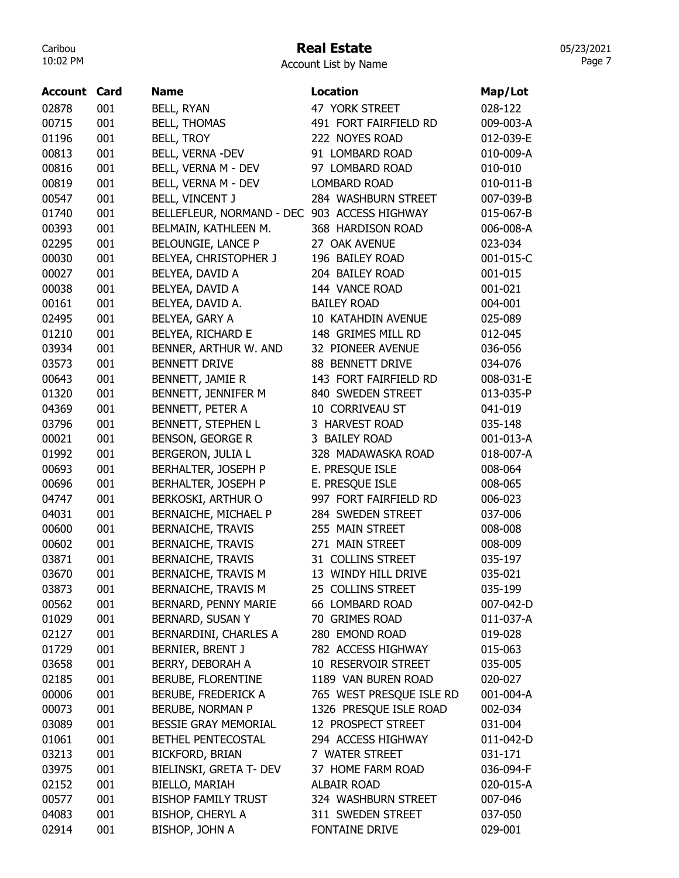## Real Estate

05/23/2021 Page 7

| Account | Card | <b>Name</b>                                  | <b>Location</b>          | Map/Lot   |
|---------|------|----------------------------------------------|--------------------------|-----------|
| 02878   | 001  | <b>BELL, RYAN</b>                            | 47 YORK STREET           | 028-122   |
| 00715   | 001  | <b>BELL, THOMAS</b>                          | 491 FORT FAIRFIELD RD    | 009-003-A |
| 01196   | 001  | <b>BELL, TROY</b>                            | 222 NOYES ROAD           | 012-039-E |
| 00813   | 001  | BELL, VERNA -DEV                             | 91 LOMBARD ROAD          | 010-009-A |
| 00816   | 001  | BELL, VERNA M - DEV                          | 97 LOMBARD ROAD          | 010-010   |
| 00819   | 001  | BELL, VERNA M - DEV                          | <b>LOMBARD ROAD</b>      | 010-011-B |
| 00547   | 001  | <b>BELL, VINCENT J</b>                       | 284 WASHBURN STREET      | 007-039-B |
| 01740   | 001  | BELLEFLEUR, NORMAND - DEC 903 ACCESS HIGHWAY |                          | 015-067-B |
| 00393   | 001  | BELMAIN, KATHLEEN M.                         | 368 HARDISON ROAD        | 006-008-A |
| 02295   | 001  | BELOUNGIE, LANCE P                           | 27 OAK AVENUE            | 023-034   |
| 00030   | 001  | <b>BELYEA, CHRISTOPHER J</b>                 | 196 BAILEY ROAD          | 001-015-C |
| 00027   | 001  | BELYEA, DAVID A                              | 204 BAILEY ROAD          | 001-015   |
| 00038   | 001  | BELYEA, DAVID A                              | 144 VANCE ROAD           | 001-021   |
| 00161   | 001  | BELYEA, DAVID A.                             | <b>BAILEY ROAD</b>       | 004-001   |
| 02495   | 001  | BELYEA, GARY A                               | 10 KATAHDIN AVENUE       | 025-089   |
| 01210   | 001  | BELYEA, RICHARD E                            | 148 GRIMES MILL RD       | 012-045   |
| 03934   | 001  | BENNER, ARTHUR W. AND                        | 32 PIONEER AVENUE        | 036-056   |
| 03573   | 001  | <b>BENNETT DRIVE</b>                         | 88 BENNETT DRIVE         | 034-076   |
| 00643   | 001  | BENNETT, JAMIE R                             | 143 FORT FAIRFIELD RD    | 008-031-E |
| 01320   | 001  | BENNETT, JENNIFER M                          | 840 SWEDEN STREET        | 013-035-P |
| 04369   | 001  | BENNETT, PETER A                             | 10 CORRIVEAU ST          | 041-019   |
| 03796   | 001  | BENNETT, STEPHEN L                           | 3 HARVEST ROAD           | 035-148   |
| 00021   | 001  | <b>BENSON, GEORGE R</b>                      | 3 BAILEY ROAD            | 001-013-A |
| 01992   | 001  | BERGERON, JULIA L                            | 328 MADAWASKA ROAD       | 018-007-A |
| 00693   | 001  | BERHALTER, JOSEPH P                          | E. PRESQUE ISLE          | 008-064   |
| 00696   | 001  | <b>BERHALTER, JOSEPH P</b>                   | E. PRESQUE ISLE          | 008-065   |
| 04747   | 001  | BERKOSKI, ARTHUR O                           | 997 FORT FAIRFIELD RD    | 006-023   |
| 04031   | 001  | BERNAICHE, MICHAEL P                         | 284 SWEDEN STREET        | 037-006   |
| 00600   | 001  | <b>BERNAICHE, TRAVIS</b>                     | 255 MAIN STREET          | 008-008   |
| 00602   | 001  | <b>BERNAICHE, TRAVIS</b>                     | 271 MAIN STREET          | 008-009   |
| 03871   | 001  | <b>BERNAICHE, TRAVIS</b>                     | 31 COLLINS STREET        | 035-197   |
| 03670   | 001  | BERNAICHE, TRAVIS M                          | 13 WINDY HILL DRIVE      | 035-021   |
| 03873   | 001  | <b>BERNAICHE, TRAVIS M</b>                   | 25 COLLINS STREET        | 035-199   |
| 00562   | 001  | <b>BERNARD, PENNY MARIE</b>                  | 66 LOMBARD ROAD          | 007-042-D |
| 01029   | 001  | BERNARD, SUSAN Y                             | 70 GRIMES ROAD           | 011-037-A |
| 02127   | 001  | BERNARDINI, CHARLES A                        | 280 EMOND ROAD           | 019-028   |
| 01729   | 001  | BERNIER, BRENT J                             | 782 ACCESS HIGHWAY       | 015-063   |
| 03658   | 001  | BERRY, DEBORAH A                             | 10 RESERVOIR STREET      | 035-005   |
| 02185   | 001  | BERUBE, FLORENTINE                           | 1189 VAN BUREN ROAD      | 020-027   |
| 00006   | 001  | BERUBE, FREDERICK A                          | 765 WEST PRESQUE ISLE RD | 001-004-A |
| 00073   |      | BERUBE, NORMAN P                             | 1326 PRESQUE ISLE ROAD   | 002-034   |
|         | 001  |                                              |                          |           |
| 03089   | 001  | <b>BESSIE GRAY MEMORIAL</b>                  | 12 PROSPECT STREET       | 031-004   |
| 01061   | 001  | BETHEL PENTECOSTAL                           | 294 ACCESS HIGHWAY       | 011-042-D |
| 03213   | 001  | <b>BICKFORD, BRIAN</b>                       | 7 WATER STREET           | 031-171   |
| 03975   | 001  | BIELINSKI, GRETA T- DEV                      | 37 HOME FARM ROAD        | 036-094-F |
| 02152   | 001  | BIELLO, MARIAH                               | <b>ALBAIR ROAD</b>       | 020-015-A |
| 00577   | 001  | <b>BISHOP FAMILY TRUST</b>                   | 324 WASHBURN STREET      | 007-046   |
| 04083   | 001  | BISHOP, CHERYL A                             | 311 SWEDEN STREET        | 037-050   |
| 02914   | 001  | BISHOP, JOHN A                               | FONTAINE DRIVE           | 029-001   |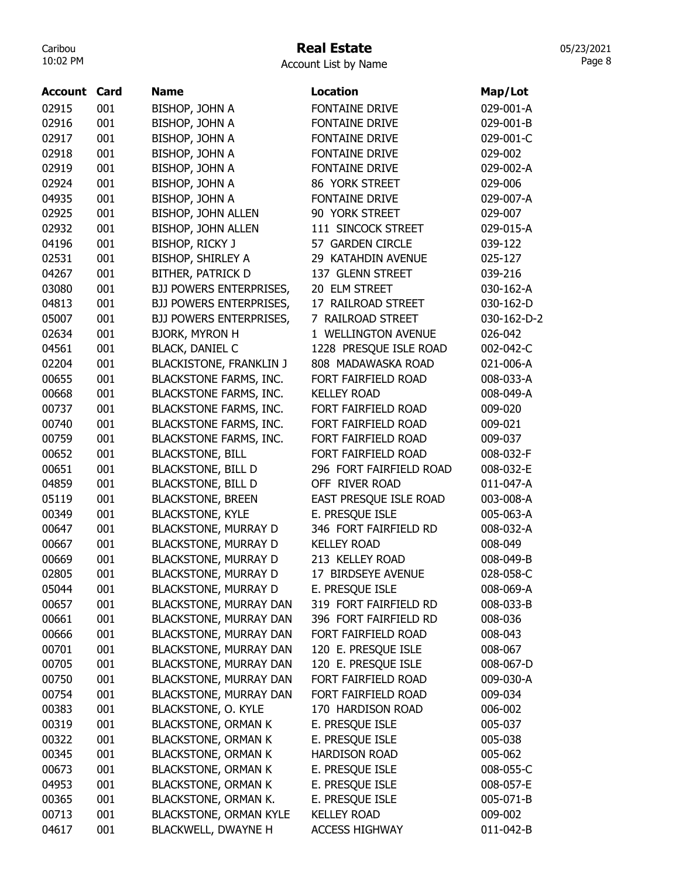#### Real Estate

Account List by Name

| 02915<br>001<br>BISHOP, JOHN A<br><b>FONTAINE DRIVE</b><br>029-001-A<br>02916<br>001<br>BISHOP, JOHN A<br><b>FONTAINE DRIVE</b><br>029-001-B<br>001<br>02917<br>BISHOP, JOHN A<br><b>FONTAINE DRIVE</b><br>029-001-C<br>001<br>02918<br>BISHOP, JOHN A<br><b>FONTAINE DRIVE</b><br>029-002<br>02919<br>001<br>BISHOP, JOHN A<br><b>FONTAINE DRIVE</b><br>029-002-A<br>02924<br>001<br>BISHOP, JOHN A<br>86 YORK STREET<br>029-006<br>001<br>04935<br>FONTAINE DRIVE<br>029-007-A<br>BISHOP, JOHN A<br>001<br>BISHOP, JOHN ALLEN<br>90 YORK STREET<br>029-007<br>02925<br>001<br>BISHOP, JOHN ALLEN<br>111 SINCOCK STREET<br>029-015-A<br>02932<br>001<br>04196<br>BISHOP, RICKY J<br>57 GARDEN CIRCLE<br>039-122<br>001<br>02531<br><b>BISHOP, SHIRLEY A</b><br>29 KATAHDIN AVENUE<br>025-127<br>001<br>04267<br><b>BITHER, PATRICK D</b><br>137 GLENN STREET<br>039-216<br>03080<br>001<br><b>BJJ POWERS ENTERPRISES,</b><br>20 ELM STREET<br>030-162-A<br>001<br>BJJ POWERS ENTERPRISES,<br>17 RAILROAD STREET<br>030-162-D<br>04813<br>001<br>05007<br>BJJ POWERS ENTERPRISES,<br>7 RAILROAD STREET<br>030-162-D-2<br>001<br><b>BJORK, MYRON H</b><br>1 WELLINGTON AVENUE<br>026-042<br>02634<br>001<br><b>BLACK, DANIEL C</b><br>1228 PRESQUE ISLE ROAD<br>04561<br>002-042-C<br>001<br><b>BLACKISTONE, FRANKLIN J</b><br>808 MADAWASKA ROAD<br>021-006-A<br>02204<br>001<br>00655<br><b>BLACKSTONE FARMS, INC.</b><br>008-033-A<br>FORT FAIRFIELD ROAD<br>00668<br>001<br><b>BLACKSTONE FARMS, INC.</b><br><b>KELLEY ROAD</b><br>008-049-A<br>001<br><b>BLACKSTONE FARMS, INC.</b><br>FORT FAIRFIELD ROAD<br>00737<br>009-020<br>001<br><b>BLACKSTONE FARMS, INC.</b><br>FORT FAIRFIELD ROAD<br>00740<br>009-021<br>001<br><b>BLACKSTONE FARMS, INC.</b><br>00759<br>FORT FAIRFIELD ROAD<br>009-037<br>001<br><b>BLACKSTONE, BILL</b><br>FORT FAIRFIELD ROAD<br>008-032-F<br>00652<br><b>BLACKSTONE, BILL D</b><br>00651<br>001<br>296 FORT FAIRFIELD ROAD<br>008-032-E<br>001<br>04859<br><b>BLACKSTONE, BILL D</b><br>OFF RIVER ROAD<br>011-047-A<br>001<br>05119<br><b>BLACKSTONE, BREEN</b><br>EAST PRESQUE ISLE ROAD<br>003-008-A<br>E. PRESQUE ISLE<br>001<br><b>BLACKSTONE, KYLE</b><br>005-063-A<br>00349<br>001<br><b>BLACKSTONE, MURRAY D</b><br>346 FORT FAIRFIELD RD<br>00647<br>008-032-A<br>00667<br>001<br><b>BLACKSTONE, MURRAY D</b><br><b>KELLEY ROAD</b><br>008-049<br>001<br><b>BLACKSTONE, MURRAY D</b><br>00669<br>213 KELLEY ROAD<br>008-049-B<br><b>BLACKSTONE, MURRAY D</b><br>02805<br>001<br>17 BIRDSEYE AVENUE<br>028-058-C<br>001<br><b>BLACKSTONE, MURRAY D</b><br>E. PRESQUE ISLE<br>05044<br>008-069-A<br>001<br>319 FORT FAIRFIELD RD<br><b>BLACKSTONE, MURRAY DAN</b><br>00657<br>008-033-B<br>001<br>BLACKSTONE, MURRAY DAN<br>396 FORT FAIRFIELD RD<br>00661<br>008-036<br>00666<br>001<br><b>BLACKSTONE, MURRAY DAN</b><br>FORT FAIRFIELD ROAD<br>008-043<br>001<br>00701<br><b>BLACKSTONE, MURRAY DAN</b><br>120 E. PRESQUE ISLE<br>008-067<br>001<br>BLACKSTONE, MURRAY DAN<br>120 E. PRESQUE ISLE<br>00705<br>008-067-D<br>001<br><b>BLACKSTONE, MURRAY DAN</b><br>FORT FAIRFIELD ROAD<br>00750<br>009-030-A<br>001<br>BLACKSTONE, MURRAY DAN<br>FORT FAIRFIELD ROAD<br>009-034<br>00754<br>001<br><b>BLACKSTONE, O. KYLE</b><br>00383<br>170 HARDISON ROAD<br>006-002<br>001<br>00319<br><b>BLACKSTONE, ORMAN K</b><br>E. PRESQUE ISLE<br>005-037<br>001<br>00322<br><b>BLACKSTONE, ORMAN K</b><br>E. PRESQUE ISLE<br>005-038<br>001<br><b>BLACKSTONE, ORMAN K</b><br><b>HARDISON ROAD</b><br>005-062<br>00345<br>001<br>00673<br><b>BLACKSTONE, ORMAN K</b><br>E. PRESQUE ISLE<br>008-055-C<br>001<br><b>BLACKSTONE, ORMAN K</b><br>E. PRESQUE ISLE<br>04953<br>008-057-E<br>001<br>BLACKSTONE, ORMAN K.<br>E. PRESQUE ISLE<br>00365<br>005-071-B<br>001<br><b>BLACKSTONE, ORMAN KYLE</b><br><b>KELLEY ROAD</b><br>00713<br>009-002<br>001<br>04617<br><b>BLACKWELL, DWAYNE H</b><br><b>ACCESS HIGHWAY</b><br>011-042-B | Account | Card | <b>Name</b> | <b>Location</b> | Map/Lot |
|------------------------------------------------------------------------------------------------------------------------------------------------------------------------------------------------------------------------------------------------------------------------------------------------------------------------------------------------------------------------------------------------------------------------------------------------------------------------------------------------------------------------------------------------------------------------------------------------------------------------------------------------------------------------------------------------------------------------------------------------------------------------------------------------------------------------------------------------------------------------------------------------------------------------------------------------------------------------------------------------------------------------------------------------------------------------------------------------------------------------------------------------------------------------------------------------------------------------------------------------------------------------------------------------------------------------------------------------------------------------------------------------------------------------------------------------------------------------------------------------------------------------------------------------------------------------------------------------------------------------------------------------------------------------------------------------------------------------------------------------------------------------------------------------------------------------------------------------------------------------------------------------------------------------------------------------------------------------------------------------------------------------------------------------------------------------------------------------------------------------------------------------------------------------------------------------------------------------------------------------------------------------------------------------------------------------------------------------------------------------------------------------------------------------------------------------------------------------------------------------------------------------------------------------------------------------------------------------------------------------------------------------------------------------------------------------------------------------------------------------------------------------------------------------------------------------------------------------------------------------------------------------------------------------------------------------------------------------------------------------------------------------------------------------------------------------------------------------------------------------------------------------------------------------------------------------------------------------------------------------------------------------------------------------------------------------------------------------------------------------------------------------------------------------------------------------------------------------------------------------------------------------------------------------------------------------------------------------------------------------------------------------------------------------------------------------------------------------------------------------------------------------------------------------------------------------------------------------------------------------------------------------------------------------------------------------------------------------|---------|------|-------------|-----------------|---------|
|                                                                                                                                                                                                                                                                                                                                                                                                                                                                                                                                                                                                                                                                                                                                                                                                                                                                                                                                                                                                                                                                                                                                                                                                                                                                                                                                                                                                                                                                                                                                                                                                                                                                                                                                                                                                                                                                                                                                                                                                                                                                                                                                                                                                                                                                                                                                                                                                                                                                                                                                                                                                                                                                                                                                                                                                                                                                                                                                                                                                                                                                                                                                                                                                                                                                                                                                                                                                                                                                                                                                                                                                                                                                                                                                                                                                                                                                                                                                                                        |         |      |             |                 |         |
|                                                                                                                                                                                                                                                                                                                                                                                                                                                                                                                                                                                                                                                                                                                                                                                                                                                                                                                                                                                                                                                                                                                                                                                                                                                                                                                                                                                                                                                                                                                                                                                                                                                                                                                                                                                                                                                                                                                                                                                                                                                                                                                                                                                                                                                                                                                                                                                                                                                                                                                                                                                                                                                                                                                                                                                                                                                                                                                                                                                                                                                                                                                                                                                                                                                                                                                                                                                                                                                                                                                                                                                                                                                                                                                                                                                                                                                                                                                                                                        |         |      |             |                 |         |
|                                                                                                                                                                                                                                                                                                                                                                                                                                                                                                                                                                                                                                                                                                                                                                                                                                                                                                                                                                                                                                                                                                                                                                                                                                                                                                                                                                                                                                                                                                                                                                                                                                                                                                                                                                                                                                                                                                                                                                                                                                                                                                                                                                                                                                                                                                                                                                                                                                                                                                                                                                                                                                                                                                                                                                                                                                                                                                                                                                                                                                                                                                                                                                                                                                                                                                                                                                                                                                                                                                                                                                                                                                                                                                                                                                                                                                                                                                                                                                        |         |      |             |                 |         |
|                                                                                                                                                                                                                                                                                                                                                                                                                                                                                                                                                                                                                                                                                                                                                                                                                                                                                                                                                                                                                                                                                                                                                                                                                                                                                                                                                                                                                                                                                                                                                                                                                                                                                                                                                                                                                                                                                                                                                                                                                                                                                                                                                                                                                                                                                                                                                                                                                                                                                                                                                                                                                                                                                                                                                                                                                                                                                                                                                                                                                                                                                                                                                                                                                                                                                                                                                                                                                                                                                                                                                                                                                                                                                                                                                                                                                                                                                                                                                                        |         |      |             |                 |         |
|                                                                                                                                                                                                                                                                                                                                                                                                                                                                                                                                                                                                                                                                                                                                                                                                                                                                                                                                                                                                                                                                                                                                                                                                                                                                                                                                                                                                                                                                                                                                                                                                                                                                                                                                                                                                                                                                                                                                                                                                                                                                                                                                                                                                                                                                                                                                                                                                                                                                                                                                                                                                                                                                                                                                                                                                                                                                                                                                                                                                                                                                                                                                                                                                                                                                                                                                                                                                                                                                                                                                                                                                                                                                                                                                                                                                                                                                                                                                                                        |         |      |             |                 |         |
|                                                                                                                                                                                                                                                                                                                                                                                                                                                                                                                                                                                                                                                                                                                                                                                                                                                                                                                                                                                                                                                                                                                                                                                                                                                                                                                                                                                                                                                                                                                                                                                                                                                                                                                                                                                                                                                                                                                                                                                                                                                                                                                                                                                                                                                                                                                                                                                                                                                                                                                                                                                                                                                                                                                                                                                                                                                                                                                                                                                                                                                                                                                                                                                                                                                                                                                                                                                                                                                                                                                                                                                                                                                                                                                                                                                                                                                                                                                                                                        |         |      |             |                 |         |
|                                                                                                                                                                                                                                                                                                                                                                                                                                                                                                                                                                                                                                                                                                                                                                                                                                                                                                                                                                                                                                                                                                                                                                                                                                                                                                                                                                                                                                                                                                                                                                                                                                                                                                                                                                                                                                                                                                                                                                                                                                                                                                                                                                                                                                                                                                                                                                                                                                                                                                                                                                                                                                                                                                                                                                                                                                                                                                                                                                                                                                                                                                                                                                                                                                                                                                                                                                                                                                                                                                                                                                                                                                                                                                                                                                                                                                                                                                                                                                        |         |      |             |                 |         |
|                                                                                                                                                                                                                                                                                                                                                                                                                                                                                                                                                                                                                                                                                                                                                                                                                                                                                                                                                                                                                                                                                                                                                                                                                                                                                                                                                                                                                                                                                                                                                                                                                                                                                                                                                                                                                                                                                                                                                                                                                                                                                                                                                                                                                                                                                                                                                                                                                                                                                                                                                                                                                                                                                                                                                                                                                                                                                                                                                                                                                                                                                                                                                                                                                                                                                                                                                                                                                                                                                                                                                                                                                                                                                                                                                                                                                                                                                                                                                                        |         |      |             |                 |         |
|                                                                                                                                                                                                                                                                                                                                                                                                                                                                                                                                                                                                                                                                                                                                                                                                                                                                                                                                                                                                                                                                                                                                                                                                                                                                                                                                                                                                                                                                                                                                                                                                                                                                                                                                                                                                                                                                                                                                                                                                                                                                                                                                                                                                                                                                                                                                                                                                                                                                                                                                                                                                                                                                                                                                                                                                                                                                                                                                                                                                                                                                                                                                                                                                                                                                                                                                                                                                                                                                                                                                                                                                                                                                                                                                                                                                                                                                                                                                                                        |         |      |             |                 |         |
|                                                                                                                                                                                                                                                                                                                                                                                                                                                                                                                                                                                                                                                                                                                                                                                                                                                                                                                                                                                                                                                                                                                                                                                                                                                                                                                                                                                                                                                                                                                                                                                                                                                                                                                                                                                                                                                                                                                                                                                                                                                                                                                                                                                                                                                                                                                                                                                                                                                                                                                                                                                                                                                                                                                                                                                                                                                                                                                                                                                                                                                                                                                                                                                                                                                                                                                                                                                                                                                                                                                                                                                                                                                                                                                                                                                                                                                                                                                                                                        |         |      |             |                 |         |
|                                                                                                                                                                                                                                                                                                                                                                                                                                                                                                                                                                                                                                                                                                                                                                                                                                                                                                                                                                                                                                                                                                                                                                                                                                                                                                                                                                                                                                                                                                                                                                                                                                                                                                                                                                                                                                                                                                                                                                                                                                                                                                                                                                                                                                                                                                                                                                                                                                                                                                                                                                                                                                                                                                                                                                                                                                                                                                                                                                                                                                                                                                                                                                                                                                                                                                                                                                                                                                                                                                                                                                                                                                                                                                                                                                                                                                                                                                                                                                        |         |      |             |                 |         |
|                                                                                                                                                                                                                                                                                                                                                                                                                                                                                                                                                                                                                                                                                                                                                                                                                                                                                                                                                                                                                                                                                                                                                                                                                                                                                                                                                                                                                                                                                                                                                                                                                                                                                                                                                                                                                                                                                                                                                                                                                                                                                                                                                                                                                                                                                                                                                                                                                                                                                                                                                                                                                                                                                                                                                                                                                                                                                                                                                                                                                                                                                                                                                                                                                                                                                                                                                                                                                                                                                                                                                                                                                                                                                                                                                                                                                                                                                                                                                                        |         |      |             |                 |         |
|                                                                                                                                                                                                                                                                                                                                                                                                                                                                                                                                                                                                                                                                                                                                                                                                                                                                                                                                                                                                                                                                                                                                                                                                                                                                                                                                                                                                                                                                                                                                                                                                                                                                                                                                                                                                                                                                                                                                                                                                                                                                                                                                                                                                                                                                                                                                                                                                                                                                                                                                                                                                                                                                                                                                                                                                                                                                                                                                                                                                                                                                                                                                                                                                                                                                                                                                                                                                                                                                                                                                                                                                                                                                                                                                                                                                                                                                                                                                                                        |         |      |             |                 |         |
|                                                                                                                                                                                                                                                                                                                                                                                                                                                                                                                                                                                                                                                                                                                                                                                                                                                                                                                                                                                                                                                                                                                                                                                                                                                                                                                                                                                                                                                                                                                                                                                                                                                                                                                                                                                                                                                                                                                                                                                                                                                                                                                                                                                                                                                                                                                                                                                                                                                                                                                                                                                                                                                                                                                                                                                                                                                                                                                                                                                                                                                                                                                                                                                                                                                                                                                                                                                                                                                                                                                                                                                                                                                                                                                                                                                                                                                                                                                                                                        |         |      |             |                 |         |
|                                                                                                                                                                                                                                                                                                                                                                                                                                                                                                                                                                                                                                                                                                                                                                                                                                                                                                                                                                                                                                                                                                                                                                                                                                                                                                                                                                                                                                                                                                                                                                                                                                                                                                                                                                                                                                                                                                                                                                                                                                                                                                                                                                                                                                                                                                                                                                                                                                                                                                                                                                                                                                                                                                                                                                                                                                                                                                                                                                                                                                                                                                                                                                                                                                                                                                                                                                                                                                                                                                                                                                                                                                                                                                                                                                                                                                                                                                                                                                        |         |      |             |                 |         |
|                                                                                                                                                                                                                                                                                                                                                                                                                                                                                                                                                                                                                                                                                                                                                                                                                                                                                                                                                                                                                                                                                                                                                                                                                                                                                                                                                                                                                                                                                                                                                                                                                                                                                                                                                                                                                                                                                                                                                                                                                                                                                                                                                                                                                                                                                                                                                                                                                                                                                                                                                                                                                                                                                                                                                                                                                                                                                                                                                                                                                                                                                                                                                                                                                                                                                                                                                                                                                                                                                                                                                                                                                                                                                                                                                                                                                                                                                                                                                                        |         |      |             |                 |         |
|                                                                                                                                                                                                                                                                                                                                                                                                                                                                                                                                                                                                                                                                                                                                                                                                                                                                                                                                                                                                                                                                                                                                                                                                                                                                                                                                                                                                                                                                                                                                                                                                                                                                                                                                                                                                                                                                                                                                                                                                                                                                                                                                                                                                                                                                                                                                                                                                                                                                                                                                                                                                                                                                                                                                                                                                                                                                                                                                                                                                                                                                                                                                                                                                                                                                                                                                                                                                                                                                                                                                                                                                                                                                                                                                                                                                                                                                                                                                                                        |         |      |             |                 |         |
|                                                                                                                                                                                                                                                                                                                                                                                                                                                                                                                                                                                                                                                                                                                                                                                                                                                                                                                                                                                                                                                                                                                                                                                                                                                                                                                                                                                                                                                                                                                                                                                                                                                                                                                                                                                                                                                                                                                                                                                                                                                                                                                                                                                                                                                                                                                                                                                                                                                                                                                                                                                                                                                                                                                                                                                                                                                                                                                                                                                                                                                                                                                                                                                                                                                                                                                                                                                                                                                                                                                                                                                                                                                                                                                                                                                                                                                                                                                                                                        |         |      |             |                 |         |
|                                                                                                                                                                                                                                                                                                                                                                                                                                                                                                                                                                                                                                                                                                                                                                                                                                                                                                                                                                                                                                                                                                                                                                                                                                                                                                                                                                                                                                                                                                                                                                                                                                                                                                                                                                                                                                                                                                                                                                                                                                                                                                                                                                                                                                                                                                                                                                                                                                                                                                                                                                                                                                                                                                                                                                                                                                                                                                                                                                                                                                                                                                                                                                                                                                                                                                                                                                                                                                                                                                                                                                                                                                                                                                                                                                                                                                                                                                                                                                        |         |      |             |                 |         |
|                                                                                                                                                                                                                                                                                                                                                                                                                                                                                                                                                                                                                                                                                                                                                                                                                                                                                                                                                                                                                                                                                                                                                                                                                                                                                                                                                                                                                                                                                                                                                                                                                                                                                                                                                                                                                                                                                                                                                                                                                                                                                                                                                                                                                                                                                                                                                                                                                                                                                                                                                                                                                                                                                                                                                                                                                                                                                                                                                                                                                                                                                                                                                                                                                                                                                                                                                                                                                                                                                                                                                                                                                                                                                                                                                                                                                                                                                                                                                                        |         |      |             |                 |         |
|                                                                                                                                                                                                                                                                                                                                                                                                                                                                                                                                                                                                                                                                                                                                                                                                                                                                                                                                                                                                                                                                                                                                                                                                                                                                                                                                                                                                                                                                                                                                                                                                                                                                                                                                                                                                                                                                                                                                                                                                                                                                                                                                                                                                                                                                                                                                                                                                                                                                                                                                                                                                                                                                                                                                                                                                                                                                                                                                                                                                                                                                                                                                                                                                                                                                                                                                                                                                                                                                                                                                                                                                                                                                                                                                                                                                                                                                                                                                                                        |         |      |             |                 |         |
|                                                                                                                                                                                                                                                                                                                                                                                                                                                                                                                                                                                                                                                                                                                                                                                                                                                                                                                                                                                                                                                                                                                                                                                                                                                                                                                                                                                                                                                                                                                                                                                                                                                                                                                                                                                                                                                                                                                                                                                                                                                                                                                                                                                                                                                                                                                                                                                                                                                                                                                                                                                                                                                                                                                                                                                                                                                                                                                                                                                                                                                                                                                                                                                                                                                                                                                                                                                                                                                                                                                                                                                                                                                                                                                                                                                                                                                                                                                                                                        |         |      |             |                 |         |
|                                                                                                                                                                                                                                                                                                                                                                                                                                                                                                                                                                                                                                                                                                                                                                                                                                                                                                                                                                                                                                                                                                                                                                                                                                                                                                                                                                                                                                                                                                                                                                                                                                                                                                                                                                                                                                                                                                                                                                                                                                                                                                                                                                                                                                                                                                                                                                                                                                                                                                                                                                                                                                                                                                                                                                                                                                                                                                                                                                                                                                                                                                                                                                                                                                                                                                                                                                                                                                                                                                                                                                                                                                                                                                                                                                                                                                                                                                                                                                        |         |      |             |                 |         |
|                                                                                                                                                                                                                                                                                                                                                                                                                                                                                                                                                                                                                                                                                                                                                                                                                                                                                                                                                                                                                                                                                                                                                                                                                                                                                                                                                                                                                                                                                                                                                                                                                                                                                                                                                                                                                                                                                                                                                                                                                                                                                                                                                                                                                                                                                                                                                                                                                                                                                                                                                                                                                                                                                                                                                                                                                                                                                                                                                                                                                                                                                                                                                                                                                                                                                                                                                                                                                                                                                                                                                                                                                                                                                                                                                                                                                                                                                                                                                                        |         |      |             |                 |         |
|                                                                                                                                                                                                                                                                                                                                                                                                                                                                                                                                                                                                                                                                                                                                                                                                                                                                                                                                                                                                                                                                                                                                                                                                                                                                                                                                                                                                                                                                                                                                                                                                                                                                                                                                                                                                                                                                                                                                                                                                                                                                                                                                                                                                                                                                                                                                                                                                                                                                                                                                                                                                                                                                                                                                                                                                                                                                                                                                                                                                                                                                                                                                                                                                                                                                                                                                                                                                                                                                                                                                                                                                                                                                                                                                                                                                                                                                                                                                                                        |         |      |             |                 |         |
|                                                                                                                                                                                                                                                                                                                                                                                                                                                                                                                                                                                                                                                                                                                                                                                                                                                                                                                                                                                                                                                                                                                                                                                                                                                                                                                                                                                                                                                                                                                                                                                                                                                                                                                                                                                                                                                                                                                                                                                                                                                                                                                                                                                                                                                                                                                                                                                                                                                                                                                                                                                                                                                                                                                                                                                                                                                                                                                                                                                                                                                                                                                                                                                                                                                                                                                                                                                                                                                                                                                                                                                                                                                                                                                                                                                                                                                                                                                                                                        |         |      |             |                 |         |
|                                                                                                                                                                                                                                                                                                                                                                                                                                                                                                                                                                                                                                                                                                                                                                                                                                                                                                                                                                                                                                                                                                                                                                                                                                                                                                                                                                                                                                                                                                                                                                                                                                                                                                                                                                                                                                                                                                                                                                                                                                                                                                                                                                                                                                                                                                                                                                                                                                                                                                                                                                                                                                                                                                                                                                                                                                                                                                                                                                                                                                                                                                                                                                                                                                                                                                                                                                                                                                                                                                                                                                                                                                                                                                                                                                                                                                                                                                                                                                        |         |      |             |                 |         |
|                                                                                                                                                                                                                                                                                                                                                                                                                                                                                                                                                                                                                                                                                                                                                                                                                                                                                                                                                                                                                                                                                                                                                                                                                                                                                                                                                                                                                                                                                                                                                                                                                                                                                                                                                                                                                                                                                                                                                                                                                                                                                                                                                                                                                                                                                                                                                                                                                                                                                                                                                                                                                                                                                                                                                                                                                                                                                                                                                                                                                                                                                                                                                                                                                                                                                                                                                                                                                                                                                                                                                                                                                                                                                                                                                                                                                                                                                                                                                                        |         |      |             |                 |         |
|                                                                                                                                                                                                                                                                                                                                                                                                                                                                                                                                                                                                                                                                                                                                                                                                                                                                                                                                                                                                                                                                                                                                                                                                                                                                                                                                                                                                                                                                                                                                                                                                                                                                                                                                                                                                                                                                                                                                                                                                                                                                                                                                                                                                                                                                                                                                                                                                                                                                                                                                                                                                                                                                                                                                                                                                                                                                                                                                                                                                                                                                                                                                                                                                                                                                                                                                                                                                                                                                                                                                                                                                                                                                                                                                                                                                                                                                                                                                                                        |         |      |             |                 |         |
|                                                                                                                                                                                                                                                                                                                                                                                                                                                                                                                                                                                                                                                                                                                                                                                                                                                                                                                                                                                                                                                                                                                                                                                                                                                                                                                                                                                                                                                                                                                                                                                                                                                                                                                                                                                                                                                                                                                                                                                                                                                                                                                                                                                                                                                                                                                                                                                                                                                                                                                                                                                                                                                                                                                                                                                                                                                                                                                                                                                                                                                                                                                                                                                                                                                                                                                                                                                                                                                                                                                                                                                                                                                                                                                                                                                                                                                                                                                                                                        |         |      |             |                 |         |
|                                                                                                                                                                                                                                                                                                                                                                                                                                                                                                                                                                                                                                                                                                                                                                                                                                                                                                                                                                                                                                                                                                                                                                                                                                                                                                                                                                                                                                                                                                                                                                                                                                                                                                                                                                                                                                                                                                                                                                                                                                                                                                                                                                                                                                                                                                                                                                                                                                                                                                                                                                                                                                                                                                                                                                                                                                                                                                                                                                                                                                                                                                                                                                                                                                                                                                                                                                                                                                                                                                                                                                                                                                                                                                                                                                                                                                                                                                                                                                        |         |      |             |                 |         |
|                                                                                                                                                                                                                                                                                                                                                                                                                                                                                                                                                                                                                                                                                                                                                                                                                                                                                                                                                                                                                                                                                                                                                                                                                                                                                                                                                                                                                                                                                                                                                                                                                                                                                                                                                                                                                                                                                                                                                                                                                                                                                                                                                                                                                                                                                                                                                                                                                                                                                                                                                                                                                                                                                                                                                                                                                                                                                                                                                                                                                                                                                                                                                                                                                                                                                                                                                                                                                                                                                                                                                                                                                                                                                                                                                                                                                                                                                                                                                                        |         |      |             |                 |         |
|                                                                                                                                                                                                                                                                                                                                                                                                                                                                                                                                                                                                                                                                                                                                                                                                                                                                                                                                                                                                                                                                                                                                                                                                                                                                                                                                                                                                                                                                                                                                                                                                                                                                                                                                                                                                                                                                                                                                                                                                                                                                                                                                                                                                                                                                                                                                                                                                                                                                                                                                                                                                                                                                                                                                                                                                                                                                                                                                                                                                                                                                                                                                                                                                                                                                                                                                                                                                                                                                                                                                                                                                                                                                                                                                                                                                                                                                                                                                                                        |         |      |             |                 |         |
|                                                                                                                                                                                                                                                                                                                                                                                                                                                                                                                                                                                                                                                                                                                                                                                                                                                                                                                                                                                                                                                                                                                                                                                                                                                                                                                                                                                                                                                                                                                                                                                                                                                                                                                                                                                                                                                                                                                                                                                                                                                                                                                                                                                                                                                                                                                                                                                                                                                                                                                                                                                                                                                                                                                                                                                                                                                                                                                                                                                                                                                                                                                                                                                                                                                                                                                                                                                                                                                                                                                                                                                                                                                                                                                                                                                                                                                                                                                                                                        |         |      |             |                 |         |
|                                                                                                                                                                                                                                                                                                                                                                                                                                                                                                                                                                                                                                                                                                                                                                                                                                                                                                                                                                                                                                                                                                                                                                                                                                                                                                                                                                                                                                                                                                                                                                                                                                                                                                                                                                                                                                                                                                                                                                                                                                                                                                                                                                                                                                                                                                                                                                                                                                                                                                                                                                                                                                                                                                                                                                                                                                                                                                                                                                                                                                                                                                                                                                                                                                                                                                                                                                                                                                                                                                                                                                                                                                                                                                                                                                                                                                                                                                                                                                        |         |      |             |                 |         |
|                                                                                                                                                                                                                                                                                                                                                                                                                                                                                                                                                                                                                                                                                                                                                                                                                                                                                                                                                                                                                                                                                                                                                                                                                                                                                                                                                                                                                                                                                                                                                                                                                                                                                                                                                                                                                                                                                                                                                                                                                                                                                                                                                                                                                                                                                                                                                                                                                                                                                                                                                                                                                                                                                                                                                                                                                                                                                                                                                                                                                                                                                                                                                                                                                                                                                                                                                                                                                                                                                                                                                                                                                                                                                                                                                                                                                                                                                                                                                                        |         |      |             |                 |         |
|                                                                                                                                                                                                                                                                                                                                                                                                                                                                                                                                                                                                                                                                                                                                                                                                                                                                                                                                                                                                                                                                                                                                                                                                                                                                                                                                                                                                                                                                                                                                                                                                                                                                                                                                                                                                                                                                                                                                                                                                                                                                                                                                                                                                                                                                                                                                                                                                                                                                                                                                                                                                                                                                                                                                                                                                                                                                                                                                                                                                                                                                                                                                                                                                                                                                                                                                                                                                                                                                                                                                                                                                                                                                                                                                                                                                                                                                                                                                                                        |         |      |             |                 |         |
|                                                                                                                                                                                                                                                                                                                                                                                                                                                                                                                                                                                                                                                                                                                                                                                                                                                                                                                                                                                                                                                                                                                                                                                                                                                                                                                                                                                                                                                                                                                                                                                                                                                                                                                                                                                                                                                                                                                                                                                                                                                                                                                                                                                                                                                                                                                                                                                                                                                                                                                                                                                                                                                                                                                                                                                                                                                                                                                                                                                                                                                                                                                                                                                                                                                                                                                                                                                                                                                                                                                                                                                                                                                                                                                                                                                                                                                                                                                                                                        |         |      |             |                 |         |
|                                                                                                                                                                                                                                                                                                                                                                                                                                                                                                                                                                                                                                                                                                                                                                                                                                                                                                                                                                                                                                                                                                                                                                                                                                                                                                                                                                                                                                                                                                                                                                                                                                                                                                                                                                                                                                                                                                                                                                                                                                                                                                                                                                                                                                                                                                                                                                                                                                                                                                                                                                                                                                                                                                                                                                                                                                                                                                                                                                                                                                                                                                                                                                                                                                                                                                                                                                                                                                                                                                                                                                                                                                                                                                                                                                                                                                                                                                                                                                        |         |      |             |                 |         |
|                                                                                                                                                                                                                                                                                                                                                                                                                                                                                                                                                                                                                                                                                                                                                                                                                                                                                                                                                                                                                                                                                                                                                                                                                                                                                                                                                                                                                                                                                                                                                                                                                                                                                                                                                                                                                                                                                                                                                                                                                                                                                                                                                                                                                                                                                                                                                                                                                                                                                                                                                                                                                                                                                                                                                                                                                                                                                                                                                                                                                                                                                                                                                                                                                                                                                                                                                                                                                                                                                                                                                                                                                                                                                                                                                                                                                                                                                                                                                                        |         |      |             |                 |         |
|                                                                                                                                                                                                                                                                                                                                                                                                                                                                                                                                                                                                                                                                                                                                                                                                                                                                                                                                                                                                                                                                                                                                                                                                                                                                                                                                                                                                                                                                                                                                                                                                                                                                                                                                                                                                                                                                                                                                                                                                                                                                                                                                                                                                                                                                                                                                                                                                                                                                                                                                                                                                                                                                                                                                                                                                                                                                                                                                                                                                                                                                                                                                                                                                                                                                                                                                                                                                                                                                                                                                                                                                                                                                                                                                                                                                                                                                                                                                                                        |         |      |             |                 |         |
|                                                                                                                                                                                                                                                                                                                                                                                                                                                                                                                                                                                                                                                                                                                                                                                                                                                                                                                                                                                                                                                                                                                                                                                                                                                                                                                                                                                                                                                                                                                                                                                                                                                                                                                                                                                                                                                                                                                                                                                                                                                                                                                                                                                                                                                                                                                                                                                                                                                                                                                                                                                                                                                                                                                                                                                                                                                                                                                                                                                                                                                                                                                                                                                                                                                                                                                                                                                                                                                                                                                                                                                                                                                                                                                                                                                                                                                                                                                                                                        |         |      |             |                 |         |
|                                                                                                                                                                                                                                                                                                                                                                                                                                                                                                                                                                                                                                                                                                                                                                                                                                                                                                                                                                                                                                                                                                                                                                                                                                                                                                                                                                                                                                                                                                                                                                                                                                                                                                                                                                                                                                                                                                                                                                                                                                                                                                                                                                                                                                                                                                                                                                                                                                                                                                                                                                                                                                                                                                                                                                                                                                                                                                                                                                                                                                                                                                                                                                                                                                                                                                                                                                                                                                                                                                                                                                                                                                                                                                                                                                                                                                                                                                                                                                        |         |      |             |                 |         |
|                                                                                                                                                                                                                                                                                                                                                                                                                                                                                                                                                                                                                                                                                                                                                                                                                                                                                                                                                                                                                                                                                                                                                                                                                                                                                                                                                                                                                                                                                                                                                                                                                                                                                                                                                                                                                                                                                                                                                                                                                                                                                                                                                                                                                                                                                                                                                                                                                                                                                                                                                                                                                                                                                                                                                                                                                                                                                                                                                                                                                                                                                                                                                                                                                                                                                                                                                                                                                                                                                                                                                                                                                                                                                                                                                                                                                                                                                                                                                                        |         |      |             |                 |         |
|                                                                                                                                                                                                                                                                                                                                                                                                                                                                                                                                                                                                                                                                                                                                                                                                                                                                                                                                                                                                                                                                                                                                                                                                                                                                                                                                                                                                                                                                                                                                                                                                                                                                                                                                                                                                                                                                                                                                                                                                                                                                                                                                                                                                                                                                                                                                                                                                                                                                                                                                                                                                                                                                                                                                                                                                                                                                                                                                                                                                                                                                                                                                                                                                                                                                                                                                                                                                                                                                                                                                                                                                                                                                                                                                                                                                                                                                                                                                                                        |         |      |             |                 |         |
|                                                                                                                                                                                                                                                                                                                                                                                                                                                                                                                                                                                                                                                                                                                                                                                                                                                                                                                                                                                                                                                                                                                                                                                                                                                                                                                                                                                                                                                                                                                                                                                                                                                                                                                                                                                                                                                                                                                                                                                                                                                                                                                                                                                                                                                                                                                                                                                                                                                                                                                                                                                                                                                                                                                                                                                                                                                                                                                                                                                                                                                                                                                                                                                                                                                                                                                                                                                                                                                                                                                                                                                                                                                                                                                                                                                                                                                                                                                                                                        |         |      |             |                 |         |
|                                                                                                                                                                                                                                                                                                                                                                                                                                                                                                                                                                                                                                                                                                                                                                                                                                                                                                                                                                                                                                                                                                                                                                                                                                                                                                                                                                                                                                                                                                                                                                                                                                                                                                                                                                                                                                                                                                                                                                                                                                                                                                                                                                                                                                                                                                                                                                                                                                                                                                                                                                                                                                                                                                                                                                                                                                                                                                                                                                                                                                                                                                                                                                                                                                                                                                                                                                                                                                                                                                                                                                                                                                                                                                                                                                                                                                                                                                                                                                        |         |      |             |                 |         |
|                                                                                                                                                                                                                                                                                                                                                                                                                                                                                                                                                                                                                                                                                                                                                                                                                                                                                                                                                                                                                                                                                                                                                                                                                                                                                                                                                                                                                                                                                                                                                                                                                                                                                                                                                                                                                                                                                                                                                                                                                                                                                                                                                                                                                                                                                                                                                                                                                                                                                                                                                                                                                                                                                                                                                                                                                                                                                                                                                                                                                                                                                                                                                                                                                                                                                                                                                                                                                                                                                                                                                                                                                                                                                                                                                                                                                                                                                                                                                                        |         |      |             |                 |         |
|                                                                                                                                                                                                                                                                                                                                                                                                                                                                                                                                                                                                                                                                                                                                                                                                                                                                                                                                                                                                                                                                                                                                                                                                                                                                                                                                                                                                                                                                                                                                                                                                                                                                                                                                                                                                                                                                                                                                                                                                                                                                                                                                                                                                                                                                                                                                                                                                                                                                                                                                                                                                                                                                                                                                                                                                                                                                                                                                                                                                                                                                                                                                                                                                                                                                                                                                                                                                                                                                                                                                                                                                                                                                                                                                                                                                                                                                                                                                                                        |         |      |             |                 |         |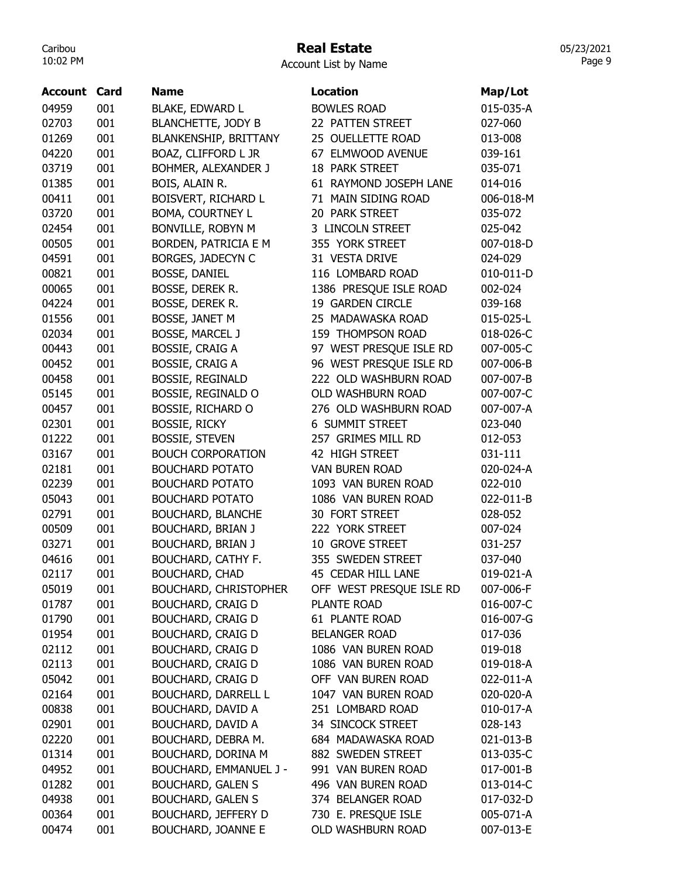## Real Estate

Account List by Name

| Account | Card | <b>Name</b>                  | Location                 | Map/Lot   |
|---------|------|------------------------------|--------------------------|-----------|
| 04959   | 001  | <b>BLAKE, EDWARD L</b>       | <b>BOWLES ROAD</b>       | 015-035-A |
| 02703   | 001  | <b>BLANCHETTE, JODY B</b>    | 22 PATTEN STREET         | 027-060   |
| 01269   | 001  | <b>BLANKENSHIP, BRITTANY</b> | 25 OUELLETTE ROAD        | 013-008   |
| 04220   | 001  | BOAZ, CLIFFORD L JR          | 67 ELMWOOD AVENUE        | 039-161   |
| 03719   | 001  | BOHMER, ALEXANDER J          | <b>18 PARK STREET</b>    | 035-071   |
| 01385   | 001  | BOIS, ALAIN R.               | 61 RAYMOND JOSEPH LANE   | 014-016   |
| 00411   | 001  | BOISVERT, RICHARD L          | 71 MAIN SIDING ROAD      | 006-018-M |
| 03720   | 001  | <b>BOMA, COURTNEY L</b>      | 20 PARK STREET           | 035-072   |
| 02454   | 001  | BONVILLE, ROBYN M            | 3 LINCOLN STREET         | 025-042   |
| 00505   | 001  | BORDEN, PATRICIA E M         | 355 YORK STREET          | 007-018-D |
| 04591   | 001  | BORGES, JADECYN C            | 31 VESTA DRIVE           | 024-029   |
| 00821   | 001  | <b>BOSSE, DANIEL</b>         | 116 LOMBARD ROAD         | 010-011-D |
| 00065   | 001  | BOSSE, DEREK R.              | 1386 PRESQUE ISLE ROAD   | 002-024   |
| 04224   | 001  | BOSSE, DEREK R.              | 19 GARDEN CIRCLE         | 039-168   |
| 01556   | 001  | BOSSE, JANET M               | 25 MADAWASKA ROAD        | 015-025-L |
| 02034   | 001  | <b>BOSSE, MARCEL J</b>       | 159 THOMPSON ROAD        | 018-026-C |
| 00443   | 001  | <b>BOSSIE, CRAIG A</b>       | 97 WEST PRESQUE ISLE RD  | 007-005-C |
| 00452   | 001  | <b>BOSSIE, CRAIG A</b>       | 96 WEST PRESQUE ISLE RD  | 007-006-B |
| 00458   | 001  | <b>BOSSIE, REGINALD</b>      | 222 OLD WASHBURN ROAD    | 007-007-B |
| 05145   | 001  | BOSSIE, REGINALD O           | OLD WASHBURN ROAD        | 007-007-C |
| 00457   | 001  | <b>BOSSIE, RICHARD O</b>     | 276 OLD WASHBURN ROAD    | 007-007-A |
| 02301   | 001  | <b>BOSSIE, RICKY</b>         | <b>6 SUMMIT STREET</b>   | 023-040   |
| 01222   | 001  | <b>BOSSIE, STEVEN</b>        | 257 GRIMES MILL RD       | 012-053   |
| 03167   | 001  | <b>BOUCH CORPORATION</b>     | 42 HIGH STREET           | 031-111   |
| 02181   | 001  | <b>BOUCHARD POTATO</b>       | <b>VAN BUREN ROAD</b>    | 020-024-A |
| 02239   | 001  | <b>BOUCHARD POTATO</b>       | 1093 VAN BUREN ROAD      | 022-010   |
| 05043   | 001  | <b>BOUCHARD POTATO</b>       | 1086 VAN BUREN ROAD      | 022-011-B |
| 02791   | 001  | <b>BOUCHARD, BLANCHE</b>     | 30 FORT STREET           | 028-052   |
| 00509   | 001  | <b>BOUCHARD, BRIAN J</b>     | 222 YORK STREET          | 007-024   |
| 03271   | 001  | <b>BOUCHARD, BRIAN J</b>     | 10 GROVE STREET          | 031-257   |
| 04616   | 001  | BOUCHARD, CATHY F.           | 355 SWEDEN STREET        | 037-040   |
| 02117   | 001  | <b>BOUCHARD, CHAD</b>        | 45 CEDAR HILL LANE       | 019-021-A |
| 05019   | 001  | <b>BOUCHARD, CHRISTOPHER</b> | OFF WEST PRESQUE ISLE RD | 007-006-F |
| 01787   | 001  | <b>BOUCHARD, CRAIG D</b>     | PLANTE ROAD              | 016-007-C |
| 01790   | 001  | <b>BOUCHARD, CRAIG D</b>     | 61 PLANTE ROAD           | 016-007-G |
| 01954   | 001  | <b>BOUCHARD, CRAIG D</b>     | <b>BELANGER ROAD</b>     | 017-036   |
| 02112   | 001  | <b>BOUCHARD, CRAIG D</b>     | 1086 VAN BUREN ROAD      | 019-018   |
| 02113   | 001  | <b>BOUCHARD, CRAIG D</b>     | 1086 VAN BUREN ROAD      | 019-018-A |
| 05042   | 001  | <b>BOUCHARD, CRAIG D</b>     | OFF VAN BUREN ROAD       | 022-011-A |
| 02164   | 001  | <b>BOUCHARD, DARRELL L</b>   | 1047 VAN BUREN ROAD      | 020-020-A |
| 00838   | 001  | <b>BOUCHARD, DAVID A</b>     | 251 LOMBARD ROAD         | 010-017-A |
| 02901   | 001  | <b>BOUCHARD, DAVID A</b>     | 34 SINCOCK STREET        | 028-143   |
| 02220   | 001  | BOUCHARD, DEBRA M.           | 684 MADAWASKA ROAD       | 021-013-B |
| 01314   | 001  | BOUCHARD, DORINA M           | 882 SWEDEN STREET        | 013-035-C |
| 04952   | 001  | BOUCHARD, EMMANUEL J -       | 991 VAN BUREN ROAD       | 017-001-B |
| 01282   | 001  | <b>BOUCHARD, GALEN S</b>     | 496 VAN BUREN ROAD       | 013-014-C |
| 04938   | 001  | <b>BOUCHARD, GALEN S</b>     | 374 BELANGER ROAD        | 017-032-D |
| 00364   | 001  | <b>BOUCHARD, JEFFERY D</b>   | 730 E. PRESQUE ISLE      | 005-071-A |
| 00474   | 001  | <b>BOUCHARD, JOANNE E</b>    | OLD WASHBURN ROAD        | 007-013-E |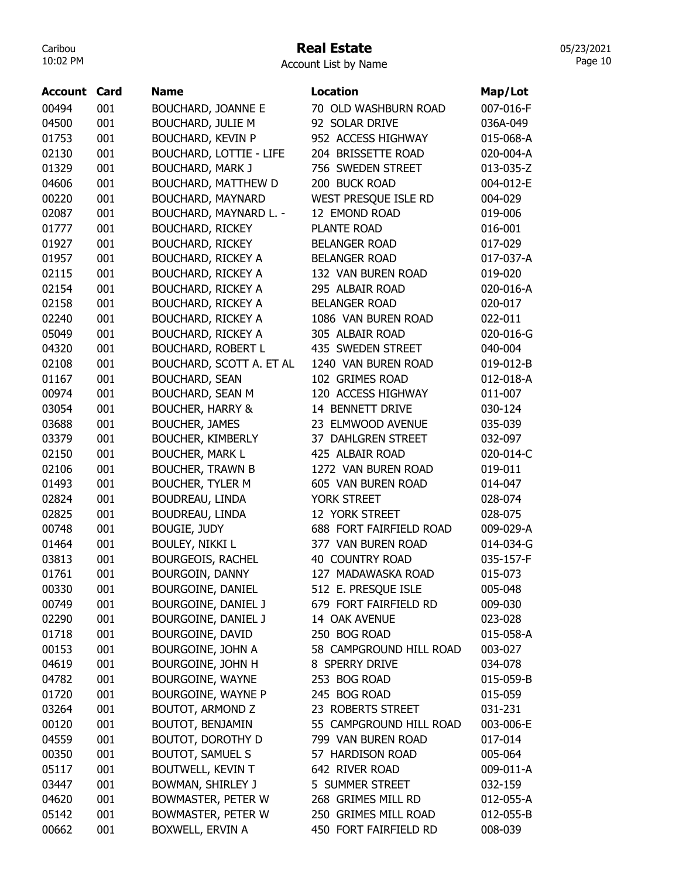# Real Estate

Account List by Name

| Account | Card | <b>Name</b>                    | <b>Location</b>         | Map/Lot   |
|---------|------|--------------------------------|-------------------------|-----------|
| 00494   | 001  | <b>BOUCHARD, JOANNE E</b>      | 70 OLD WASHBURN ROAD    | 007-016-F |
| 04500   | 001  | <b>BOUCHARD, JULIE M</b>       | 92 SOLAR DRIVE          | 036A-049  |
| 01753   | 001  | <b>BOUCHARD, KEVIN P</b>       | 952 ACCESS HIGHWAY      | 015-068-A |
| 02130   | 001  | <b>BOUCHARD, LOTTIE - LIFE</b> | 204 BRISSETTE ROAD      | 020-004-A |
| 01329   | 001  | <b>BOUCHARD, MARK J</b>        | 756 SWEDEN STREET       | 013-035-Z |
| 04606   | 001  | <b>BOUCHARD, MATTHEW D</b>     | 200 BUCK ROAD           | 004-012-E |
| 00220   | 001  | <b>BOUCHARD, MAYNARD</b>       | WEST PRESQUE ISLE RD    | 004-029   |
| 02087   | 001  | BOUCHARD, MAYNARD L. -         | 12 EMOND ROAD           | 019-006   |
| 01777   | 001  | <b>BOUCHARD, RICKEY</b>        | PLANTE ROAD             | 016-001   |
| 01927   | 001  | <b>BOUCHARD, RICKEY</b>        | <b>BELANGER ROAD</b>    | 017-029   |
| 01957   | 001  | <b>BOUCHARD, RICKEY A</b>      | <b>BELANGER ROAD</b>    | 017-037-A |
| 02115   | 001  | <b>BOUCHARD, RICKEY A</b>      | 132 VAN BUREN ROAD      | 019-020   |
| 02154   | 001  | <b>BOUCHARD, RICKEY A</b>      | 295 ALBAIR ROAD         | 020-016-A |
| 02158   | 001  | <b>BOUCHARD, RICKEY A</b>      | <b>BELANGER ROAD</b>    | 020-017   |
| 02240   | 001  | <b>BOUCHARD, RICKEY A</b>      | 1086 VAN BUREN ROAD     | 022-011   |
| 05049   | 001  | <b>BOUCHARD, RICKEY A</b>      | 305 ALBAIR ROAD         | 020-016-G |
| 04320   | 001  | <b>BOUCHARD, ROBERT L</b>      | 435 SWEDEN STREET       | 040-004   |
| 02108   | 001  | BOUCHARD, SCOTT A. ET AL       | 1240 VAN BUREN ROAD     | 019-012-B |
| 01167   | 001  | <b>BOUCHARD, SEAN</b>          | 102 GRIMES ROAD         | 012-018-A |
| 00974   | 001  | <b>BOUCHARD, SEAN M</b>        | 120 ACCESS HIGHWAY      | 011-007   |
| 03054   | 001  | <b>BOUCHER, HARRY &amp;</b>    | 14 BENNETT DRIVE        | 030-124   |
| 03688   | 001  | <b>BOUCHER, JAMES</b>          | 23 ELMWOOD AVENUE       | 035-039   |
| 03379   | 001  | <b>BOUCHER, KIMBERLY</b>       | 37 DAHLGREN STREET      | 032-097   |
| 02150   | 001  | <b>BOUCHER, MARK L</b>         | 425 ALBAIR ROAD         | 020-014-C |
| 02106   | 001  | <b>BOUCHER, TRAWN B</b>        | 1272 VAN BUREN ROAD     | 019-011   |
| 01493   | 001  | <b>BOUCHER, TYLER M</b>        | 605 VAN BUREN ROAD      | 014-047   |
| 02824   | 001  | <b>BOUDREAU, LINDA</b>         | YORK STREET             | 028-074   |
| 02825   | 001  | BOUDREAU, LINDA                | <b>12 YORK STREET</b>   | 028-075   |
| 00748   | 001  | <b>BOUGIE, JUDY</b>            | 688 FORT FAIRFIELD ROAD | 009-029-A |
| 01464   | 001  | <b>BOULEY, NIKKI L</b>         | 377 VAN BUREN ROAD      | 014-034-G |
| 03813   | 001  | <b>BOURGEOIS, RACHEL</b>       | 40 COUNTRY ROAD         | 035-157-F |
| 01761   | 001  | <b>BOURGOIN, DANNY</b>         | 127 MADAWASKA ROAD      | 015-073   |
| 00330   | 001  | <b>BOURGOINE, DANIEL</b>       | 512 E. PRESQUE ISLE     | 005-048   |
| 00749   | 001  | BOURGOINE, DANIEL J            | 679 FORT FAIRFIELD RD   | 009-030   |
| 02290   | 001  | BOURGOINE, DANIEL J            | 14 OAK AVENUE           | 023-028   |
| 01718   | 001  | BOURGOINE, DAVID               | 250 BOG ROAD            | 015-058-A |
| 00153   | 001  | BOURGOINE, JOHN A              | 58 CAMPGROUND HILL ROAD | 003-027   |
| 04619   | 001  | BOURGOINE, JOHN H              | 8 SPERRY DRIVE          | 034-078   |
| 04782   | 001  | BOURGOINE, WAYNE               | 253 BOG ROAD            | 015-059-B |
| 01720   | 001  | BOURGOINE, WAYNE P             | 245 BOG ROAD            | 015-059   |
| 03264   | 001  | <b>BOUTOT, ARMOND Z</b>        | 23 ROBERTS STREET       | 031-231   |
| 00120   | 001  | <b>BOUTOT, BENJAMIN</b>        | 55 CAMPGROUND HILL ROAD | 003-006-E |
| 04559   | 001  | BOUTOT, DOROTHY D              | 799 VAN BUREN ROAD      | 017-014   |
| 00350   | 001  | <b>BOUTOT, SAMUEL S</b>        | 57 HARDISON ROAD        | 005-064   |
| 05117   | 001  | BOUTWELL, KEVIN T              | 642 RIVER ROAD          | 009-011-A |
| 03447   | 001  | BOWMAN, SHIRLEY J              | 5 SUMMER STREET         | 032-159   |
| 04620   | 001  | BOWMASTER, PETER W             | 268 GRIMES MILL RD      | 012-055-A |
| 05142   | 001  | BOWMASTER, PETER W             | 250 GRIMES MILL ROAD    | 012-055-B |
| 00662   | 001  | BOXWELL, ERVIN A               | 450 FORT FAIRFIELD RD   | 008-039   |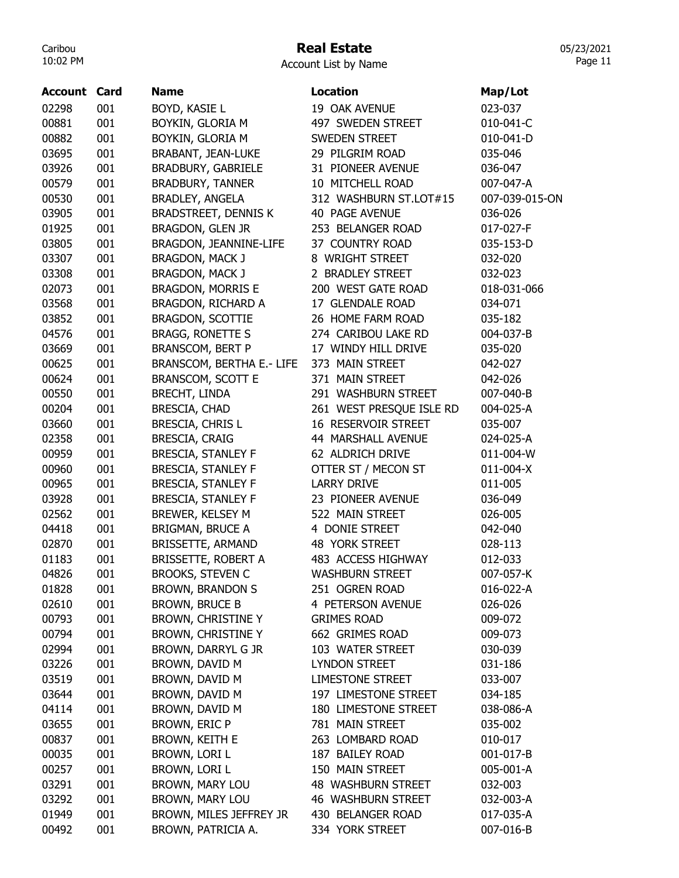# Real Estate

Account List by Name

| 001<br>BOYD, KASIE L<br>02298<br>19 OAK AVENUE<br>023-037<br>001<br>00881<br>BOYKIN, GLORIA M<br>497 SWEDEN STREET<br>00882<br>001<br>BOYKIN, GLORIA M<br>SWEDEN STREET<br>03695<br>001<br>29 PILGRIM ROAD<br><b>BRABANT, JEAN-LUKE</b><br>035-046<br>001<br>03926<br>BRADBURY, GABRIELE<br>31 PIONEER AVENUE<br>036-047<br>001<br>00579<br><b>BRADBURY, TANNER</b><br>10 MITCHELL ROAD | 010-041-C<br>010-041-D<br>007-047-A<br>007-039-015-ON<br>017-027-F<br>035-153-D |
|-----------------------------------------------------------------------------------------------------------------------------------------------------------------------------------------------------------------------------------------------------------------------------------------------------------------------------------------------------------------------------------------|---------------------------------------------------------------------------------|
|                                                                                                                                                                                                                                                                                                                                                                                         |                                                                                 |
|                                                                                                                                                                                                                                                                                                                                                                                         |                                                                                 |
|                                                                                                                                                                                                                                                                                                                                                                                         |                                                                                 |
|                                                                                                                                                                                                                                                                                                                                                                                         |                                                                                 |
|                                                                                                                                                                                                                                                                                                                                                                                         |                                                                                 |
|                                                                                                                                                                                                                                                                                                                                                                                         |                                                                                 |
| 00530<br>001<br>312 WASHBURN ST.LOT#15<br><b>BRADLEY, ANGELA</b>                                                                                                                                                                                                                                                                                                                        |                                                                                 |
| 03905<br>001<br><b>BRADSTREET, DENNIS K</b><br><b>40 PAGE AVENUE</b><br>036-026                                                                                                                                                                                                                                                                                                         |                                                                                 |
| 001<br>01925<br>BRAGDON, GLEN JR<br>253 BELANGER ROAD                                                                                                                                                                                                                                                                                                                                   |                                                                                 |
| 03805<br>001<br>37 COUNTRY ROAD<br>BRAGDON, JEANNINE-LIFE                                                                                                                                                                                                                                                                                                                               |                                                                                 |
| 03307<br>001<br>BRAGDON, MACK J<br>8 WRIGHT STREET<br>032-020                                                                                                                                                                                                                                                                                                                           |                                                                                 |
| 001<br>03308<br>BRAGDON, MACK J<br>2 BRADLEY STREET<br>032-023                                                                                                                                                                                                                                                                                                                          |                                                                                 |
| 001<br>02073<br><b>BRAGDON, MORRIS E</b><br>200 WEST GATE ROAD                                                                                                                                                                                                                                                                                                                          | 018-031-066                                                                     |
| 001<br>03568<br>BRAGDON, RICHARD A<br>17 GLENDALE ROAD<br>034-071                                                                                                                                                                                                                                                                                                                       |                                                                                 |
| 03852<br>001<br><b>BRAGDON, SCOTTIE</b><br>26 HOME FARM ROAD<br>035-182                                                                                                                                                                                                                                                                                                                 |                                                                                 |
| 001<br>274 CARIBOU LAKE RD<br>04576<br><b>BRAGG, RONETTE S</b>                                                                                                                                                                                                                                                                                                                          | 004-037-B                                                                       |
| 03669<br>001<br>17 WINDY HILL DRIVE<br><b>BRANSCOM, BERT P</b><br>035-020                                                                                                                                                                                                                                                                                                               |                                                                                 |
| 001<br>00625<br>BRANSCOM, BERTHA E.- LIFE<br>373 MAIN STREET<br>042-027                                                                                                                                                                                                                                                                                                                 |                                                                                 |
| 00624<br>001<br><b>BRANSCOM, SCOTT E</b><br>371 MAIN STREET<br>042-026                                                                                                                                                                                                                                                                                                                  |                                                                                 |
| 001<br>00550<br><b>BRECHT, LINDA</b><br>291 WASHBURN STREET                                                                                                                                                                                                                                                                                                                             | 007-040-B                                                                       |
| 001<br>00204<br>BRESCIA, CHAD<br>261 WEST PRESQUE ISLE RD                                                                                                                                                                                                                                                                                                                               | 004-025-A                                                                       |
| 001<br>03660<br>BRESCIA, CHRIS L<br>16 RESERVOIR STREET<br>035-007                                                                                                                                                                                                                                                                                                                      |                                                                                 |
| 02358<br>001<br>BRESCIA, CRAIG<br>44 MARSHALL AVENUE                                                                                                                                                                                                                                                                                                                                    | 024-025-A                                                                       |
| 00959<br>001<br><b>BRESCIA, STANLEY F</b><br>62 ALDRICH DRIVE                                                                                                                                                                                                                                                                                                                           | 011-004-W                                                                       |
| 00960<br>001<br><b>BRESCIA, STANLEY F</b><br>OTTER ST / MECON ST                                                                                                                                                                                                                                                                                                                        | 011-004-X                                                                       |
| 001<br>00965<br><b>BRESCIA, STANLEY F</b><br><b>LARRY DRIVE</b><br>011-005                                                                                                                                                                                                                                                                                                              |                                                                                 |
| 001<br>03928<br><b>BRESCIA, STANLEY F</b><br>23 PIONEER AVENUE<br>036-049                                                                                                                                                                                                                                                                                                               |                                                                                 |
| 001<br>02562<br>BREWER, KELSEY M<br>522 MAIN STREET<br>026-005                                                                                                                                                                                                                                                                                                                          |                                                                                 |
| 001<br>4 DONIE STREET<br>04418<br><b>BRIGMAN, BRUCE A</b><br>042-040                                                                                                                                                                                                                                                                                                                    |                                                                                 |
| 02870<br>001<br>48 YORK STREET<br>BRISSETTE, ARMAND<br>028-113                                                                                                                                                                                                                                                                                                                          |                                                                                 |
| 01183<br>001<br>BRISSETTE, ROBERT A<br>483 ACCESS HIGHWAY<br>012-033                                                                                                                                                                                                                                                                                                                    |                                                                                 |
| 04826<br>001<br><b>BROOKS, STEVEN C</b><br><b>WASHBURN STREET</b>                                                                                                                                                                                                                                                                                                                       | 007-057-K                                                                       |
| 001<br>01828<br><b>BROWN, BRANDON S</b><br>251 OGREN ROAD                                                                                                                                                                                                                                                                                                                               | 016-022-A                                                                       |
| 001<br>02610<br><b>BROWN, BRUCE B</b><br>4 PETERSON AVENUE<br>026-026                                                                                                                                                                                                                                                                                                                   |                                                                                 |
| 00793<br>001<br>BROWN, CHRISTINE Y<br><b>GRIMES ROAD</b><br>009-072                                                                                                                                                                                                                                                                                                                     |                                                                                 |
| 00794<br>001<br>BROWN, CHRISTINE Y<br>662 GRIMES ROAD<br>009-073                                                                                                                                                                                                                                                                                                                        |                                                                                 |
| 02994<br>001<br>103 WATER STREET<br>BROWN, DARRYL G JR<br>030-039                                                                                                                                                                                                                                                                                                                       |                                                                                 |
| 001<br>03226<br>BROWN, DAVID M<br><b>LYNDON STREET</b><br>031-186                                                                                                                                                                                                                                                                                                                       |                                                                                 |
| 03519<br>001<br>BROWN, DAVID M<br><b>LIMESTONE STREET</b><br>033-007                                                                                                                                                                                                                                                                                                                    |                                                                                 |
| 001<br>BROWN, DAVID M<br>197 LIMESTONE STREET<br>03644<br>034-185                                                                                                                                                                                                                                                                                                                       |                                                                                 |
| 04114<br>001<br>BROWN, DAVID M<br>180 LIMESTONE STREET                                                                                                                                                                                                                                                                                                                                  | 038-086-A                                                                       |
| 03655<br>001<br>BROWN, ERIC P<br>781 MAIN STREET<br>035-002                                                                                                                                                                                                                                                                                                                             |                                                                                 |
| 00837<br>001<br>BROWN, KEITH E<br>263 LOMBARD ROAD<br>010-017                                                                                                                                                                                                                                                                                                                           |                                                                                 |
| 00035<br>001<br>BROWN, LORI L<br>187 BAILEY ROAD                                                                                                                                                                                                                                                                                                                                        | 001-017-B                                                                       |
| 001<br>00257<br>BROWN, LORI L<br>150 MAIN STREET                                                                                                                                                                                                                                                                                                                                        | 005-001-A                                                                       |
| 001<br>03291<br>BROWN, MARY LOU<br>48 WASHBURN STREET<br>032-003                                                                                                                                                                                                                                                                                                                        |                                                                                 |
| 03292<br>001<br>BROWN, MARY LOU<br><b>46 WASHBURN STREET</b>                                                                                                                                                                                                                                                                                                                            | 032-003-A                                                                       |
| 01949<br>001<br>BROWN, MILES JEFFREY JR<br>430 BELANGER ROAD                                                                                                                                                                                                                                                                                                                            | 017-035-A                                                                       |
| 00492<br>001<br>BROWN, PATRICIA A.<br>334 YORK STREET                                                                                                                                                                                                                                                                                                                                   | 007-016-B                                                                       |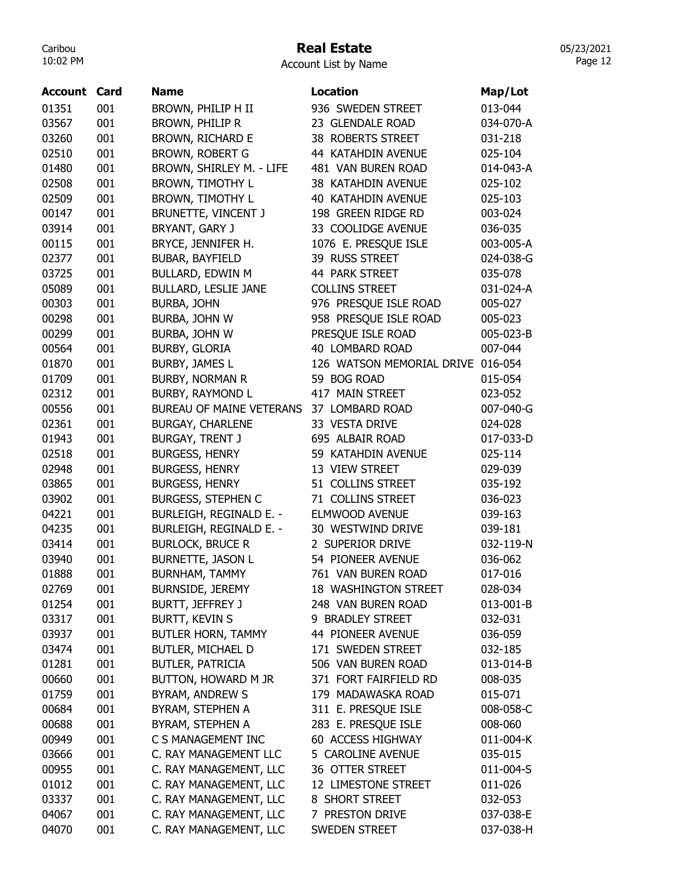# Real Estate

| Account List by Name |  |  |
|----------------------|--|--|
|----------------------|--|--|

| <b>Account Card</b> |     | Name                        | <b>Location</b>           | Map/Lot   |
|---------------------|-----|-----------------------------|---------------------------|-----------|
| 01351               | 001 | BROWN, PHILIP H II          | 936 SWEDEN STREET         | 013-044   |
| 03567               | 001 | BROWN, PHILIP R             | 23 GLENDALE ROAD          | 034-070-A |
| 03260               | 001 | BROWN, RICHARD E            | 38 ROBERTS STREET         | 031-218   |
| 02510               | 001 | <b>BROWN, ROBERT G</b>      | 44 KATAHDIN AVENUE        | 025-104   |
| 01480               | 001 | BROWN, SHIRLEY M. - LIFE    | 481 VAN BUREN ROAD        | 014-043-A |
| 02508               | 001 | <b>BROWN, TIMOTHY L</b>     | 38 KATAHDIN AVENUE        | 025-102   |
| 02509               | 001 | <b>BROWN, TIMOTHY L</b>     | 40 KATAHDIN AVENUE        | 025-103   |
| 00147               | 001 | BRUNETTE, VINCENT J         | 198 GREEN RIDGE RD        | 003-024   |
| 03914               | 001 | BRYANT, GARY J              | 33 COOLIDGE AVENUE        | 036-035   |
| 00115               | 001 | BRYCE, JENNIFER H.          | 1076 E. PRESQUE ISLE      | 003-005-A |
| 02377               | 001 | <b>BUBAR, BAYFIELD</b>      | 39 RUSS STREET            | 024-038-G |
| 03725               | 001 | BULLARD, EDWIN M            | 44 PARK STREET            | 035-078   |
| 05089               | 001 | <b>BULLARD, LESLIE JANE</b> | <b>COLLINS STREET</b>     | 031-024-A |
| 00303               | 001 | BURBA, JOHN                 | 976 PRESQUE ISLE ROAD     | 005-027   |
| 00298               | 001 | BURBA, JOHN W               | 958 PRESQUE ISLE ROAD     | 005-023   |
| 00299               | 001 | BURBA, JOHN W               | PRESQUE ISLE ROAD         | 005-023-B |
| 00564               | 001 | <b>BURBY, GLORIA</b>        | 40 LOMBARD ROAD           | 007-044   |
| 01870               | 001 | <b>BURBY, JAMES L</b>       | 126 WATSON MEMORIAL DRIVE | 016-054   |
| 01709               | 001 | <b>BURBY, NORMAN R</b>      | 59 BOG ROAD               | 015-054   |
| 02312               | 001 | <b>BURBY, RAYMOND L</b>     | 417 MAIN STREET           | 023-052   |
| 00556               | 001 | BUREAU OF MAINE VETERANS    | 37 LOMBARD ROAD           | 007-040-G |
| 02361               | 001 | <b>BURGAY, CHARLENE</b>     | 33 VESTA DRIVE            | 024-028   |
| 01943               | 001 | <b>BURGAY, TRENT J</b>      | 695 ALBAIR ROAD           | 017-033-D |
| 02518               | 001 | <b>BURGESS, HENRY</b>       | 59 KATAHDIN AVENUE        | 025-114   |
| 02948               | 001 | <b>BURGESS, HENRY</b>       | 13 VIEW STREET            | 029-039   |
| 03865               | 001 | <b>BURGESS, HENRY</b>       | 51 COLLINS STREET         | 035-192   |
| 03902               | 001 | <b>BURGESS, STEPHEN C</b>   | 71 COLLINS STREET         | 036-023   |
| 04221               | 001 | BURLEIGH, REGINALD E. -     | <b>ELMWOOD AVENUE</b>     | 039-163   |
| 04235               | 001 | BURLEIGH, REGINALD E. -     | 30 WESTWIND DRIVE         | 039-181   |
| 03414               | 001 | <b>BURLOCK, BRUCE R</b>     | 2 SUPERIOR DRIVE          | 032-119-N |
| 03940               | 001 | <b>BURNETTE, JASON L</b>    | 54 PIONEER AVENUE         | 036-062   |
| 01888               | 001 | BURNHAM, TAMMY              | 761 VAN BUREN ROAD        | 017-016   |
| 02769               | 001 | <b>BURNSIDE, JEREMY</b>     | 18 WASHINGTON STREET      | 028-034   |
| 01254               | 001 | BURTT, JEFFREY J            | 248 VAN BUREN ROAD        | 013-001-B |
| 03317               | 001 | <b>BURTT, KEVIN S</b>       | 9 BRADLEY STREET          | 032-031   |
| 03937               | 001 | BUTLER HORN, TAMMY          | 44 PIONEER AVENUE         | 036-059   |
| 03474               | 001 | BUTLER, MICHAEL D           | 171 SWEDEN STREET         | 032-185   |
| 01281               | 001 | <b>BUTLER, PATRICIA</b>     | 506 VAN BUREN ROAD        | 013-014-B |
| 00660               | 001 | BUTTON, HOWARD M JR         | 371 FORT FAIRFIELD RD     | 008-035   |
| 01759               | 001 | BYRAM, ANDREW S             | 179 MADAWASKA ROAD        | 015-071   |
| 00684               | 001 | BYRAM, STEPHEN A            | 311 E. PRESQUE ISLE       | 008-058-C |
| 00688               | 001 | BYRAM, STEPHEN A            | 283 E. PRESQUE ISLE       | 008-060   |
| 00949               | 001 | C S MANAGEMENT INC          | 60 ACCESS HIGHWAY         | 011-004-K |
| 03666               | 001 | C. RAY MANAGEMENT LLC       | 5 CAROLINE AVENUE         | 035-015   |
| 00955               | 001 | C. RAY MANAGEMENT, LLC      | 36 OTTER STREET           | 011-004-S |
| 01012               | 001 | C. RAY MANAGEMENT, LLC      | 12 LIMESTONE STREET       | 011-026   |
| 03337               | 001 | C. RAY MANAGEMENT, LLC      | 8 SHORT STREET            | 032-053   |
| 04067               | 001 | C. RAY MANAGEMENT, LLC      | 7 PRESTON DRIVE           | 037-038-E |
| 04070               | 001 | C. RAY MANAGEMENT, LLC      | SWEDEN STREET             | 037-038-H |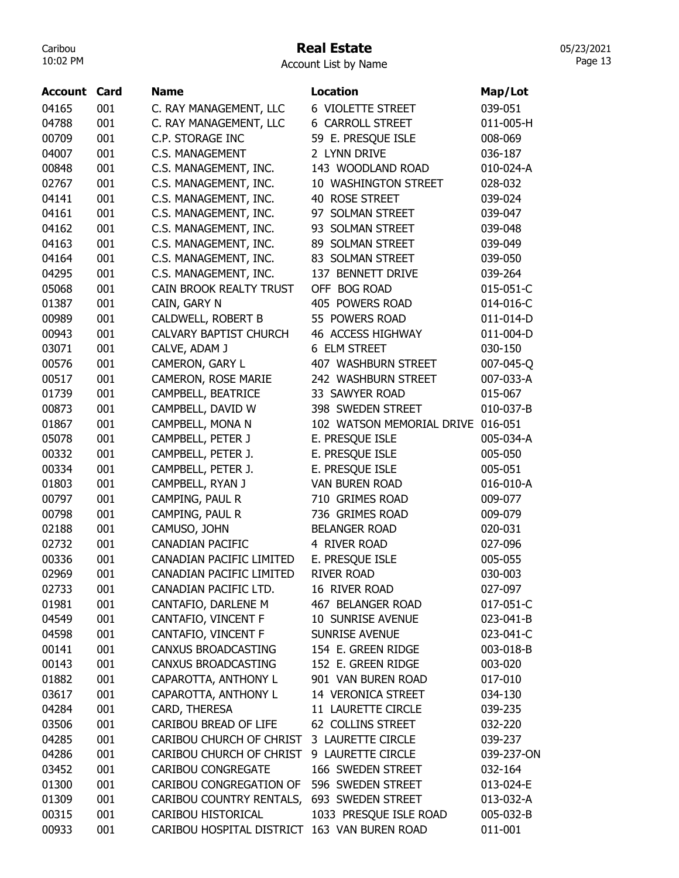## Real Estate

05/23/2021 Page 13

| Account | Card | <b>Name</b>                                  | <b>Location</b>                   | Map/Lot    |
|---------|------|----------------------------------------------|-----------------------------------|------------|
| 04165   | 001  | C. RAY MANAGEMENT, LLC                       | 6 VIOLETTE STREET                 | 039-051    |
| 04788   | 001  | C. RAY MANAGEMENT, LLC                       | <b>6 CARROLL STREET</b>           | 011-005-H  |
| 00709   | 001  | C.P. STORAGE INC                             | 59 E. PRESQUE ISLE                | 008-069    |
| 04007   | 001  | <b>C.S. MANAGEMENT</b>                       | 2 LYNN DRIVE                      | 036-187    |
| 00848   | 001  | C.S. MANAGEMENT, INC.                        | 143 WOODLAND ROAD                 | 010-024-A  |
| 02767   | 001  | C.S. MANAGEMENT, INC.                        | 10 WASHINGTON STREET              | 028-032    |
| 04141   | 001  | C.S. MANAGEMENT, INC.                        | 40 ROSE STREET                    | 039-024    |
| 04161   | 001  | C.S. MANAGEMENT, INC.                        | 97 SOLMAN STREET                  | 039-047    |
| 04162   | 001  | C.S. MANAGEMENT, INC.                        | 93 SOLMAN STREET                  | 039-048    |
| 04163   | 001  | C.S. MANAGEMENT, INC.                        | 89 SOLMAN STREET                  | 039-049    |
| 04164   | 001  | C.S. MANAGEMENT, INC.                        | 83 SOLMAN STREET                  | 039-050    |
| 04295   | 001  | C.S. MANAGEMENT, INC.                        | 137 BENNETT DRIVE                 | 039-264    |
| 05068   | 001  | CAIN BROOK REALTY TRUST                      | OFF BOG ROAD                      | 015-051-C  |
| 01387   | 001  | CAIN, GARY N                                 | 405 POWERS ROAD                   | 014-016-C  |
| 00989   | 001  | CALDWELL, ROBERT B                           | 55 POWERS ROAD                    | 011-014-D  |
| 00943   | 001  | <b>CALVARY BAPTIST CHURCH</b>                | 46 ACCESS HIGHWAY                 | 011-004-D  |
| 03071   | 001  | CALVE, ADAM J                                | 6 ELM STREET                      | 030-150    |
| 00576   | 001  | CAMERON, GARY L                              | 407 WASHBURN STREET               | 007-045-Q  |
| 00517   | 001  | CAMERON, ROSE MARIE                          | 242 WASHBURN STREET               | 007-033-A  |
| 01739   | 001  | CAMPBELL, BEATRICE                           | 33 SAWYER ROAD                    | 015-067    |
| 00873   | 001  | CAMPBELL, DAVID W                            | 398 SWEDEN STREET                 | 010-037-B  |
| 01867   | 001  | CAMPBELL, MONA N                             | 102 WATSON MEMORIAL DRIVE 016-051 |            |
| 05078   | 001  | CAMPBELL, PETER J                            | E. PRESQUE ISLE                   | 005-034-A  |
| 00332   | 001  | CAMPBELL, PETER J.                           | E. PRESQUE ISLE                   | 005-050    |
| 00334   | 001  | CAMPBELL, PETER J.                           | E. PRESQUE ISLE                   | 005-051    |
| 01803   | 001  | CAMPBELL, RYAN J                             | <b>VAN BUREN ROAD</b>             | 016-010-A  |
| 00797   | 001  | CAMPING, PAUL R                              | 710 GRIMES ROAD                   | 009-077    |
| 00798   | 001  | CAMPING, PAUL R                              | 736 GRIMES ROAD                   | 009-079    |
| 02188   | 001  | CAMUSO, JOHN                                 | <b>BELANGER ROAD</b>              | 020-031    |
| 02732   | 001  | <b>CANADIAN PACIFIC</b>                      | 4 RIVER ROAD                      | 027-096    |
| 00336   | 001  | CANADIAN PACIFIC LIMITED                     | E. PRESQUE ISLE                   | 005-055    |
| 02969   | 001  | CANADIAN PACIFIC LIMITED                     | <b>RIVER ROAD</b>                 | 030-003    |
| 02733   | 001  | CANADIAN PACIFIC LTD.                        | 16 RIVER ROAD                     | 027-097    |
| 01981   | 001  | CANTAFIO, DARLENE M                          | 467 BELANGER ROAD                 | 017-051-C  |
| 04549   | 001  | CANTAFIO, VINCENT F                          | 10 SUNRISE AVENUE                 | 023-041-B  |
| 04598   | 001  | CANTAFIO, VINCENT F                          | <b>SUNRISE AVENUE</b>             | 023-041-C  |
| 00141   | 001  | CANXUS BROADCASTING                          | 154 E. GREEN RIDGE                | 003-018-B  |
| 00143   | 001  | CANXUS BROADCASTING                          | 152 E. GREEN RIDGE                | 003-020    |
| 01882   | 001  | CAPAROTTA, ANTHONY L                         | 901 VAN BUREN ROAD                | 017-010    |
| 03617   | 001  | CAPAROTTA, ANTHONY L                         | 14 VERONICA STREET                | 034-130    |
| 04284   | 001  | CARD, THERESA                                | 11 LAURETTE CIRCLE                | 039-235    |
| 03506   | 001  | CARIBOU BREAD OF LIFE                        | 62 COLLINS STREET                 | 032-220    |
| 04285   | 001  | CARIBOU CHURCH OF CHRIST                     | 3 LAURETTE CIRCLE                 | 039-237    |
| 04286   | 001  | CARIBOU CHURCH OF CHRIST                     | 9 LAURETTE CIRCLE                 | 039-237-ON |
| 03452   | 001  | <b>CARIBOU CONGREGATE</b>                    | 166 SWEDEN STREET                 | 032-164    |
| 01300   | 001  | CARIBOU CONGREGATION OF                      | 596 SWEDEN STREET                 | 013-024-E  |
| 01309   | 001  | CARIBOU COUNTRY RENTALS,                     | 693 SWEDEN STREET                 | 013-032-A  |
| 00315   | 001  | CARIBOU HISTORICAL                           | 1033 PRESQUE ISLE ROAD            | 005-032-B  |
| 00933   | 001  | CARIBOU HOSPITAL DISTRICT 163 VAN BUREN ROAD |                                   | 011-001    |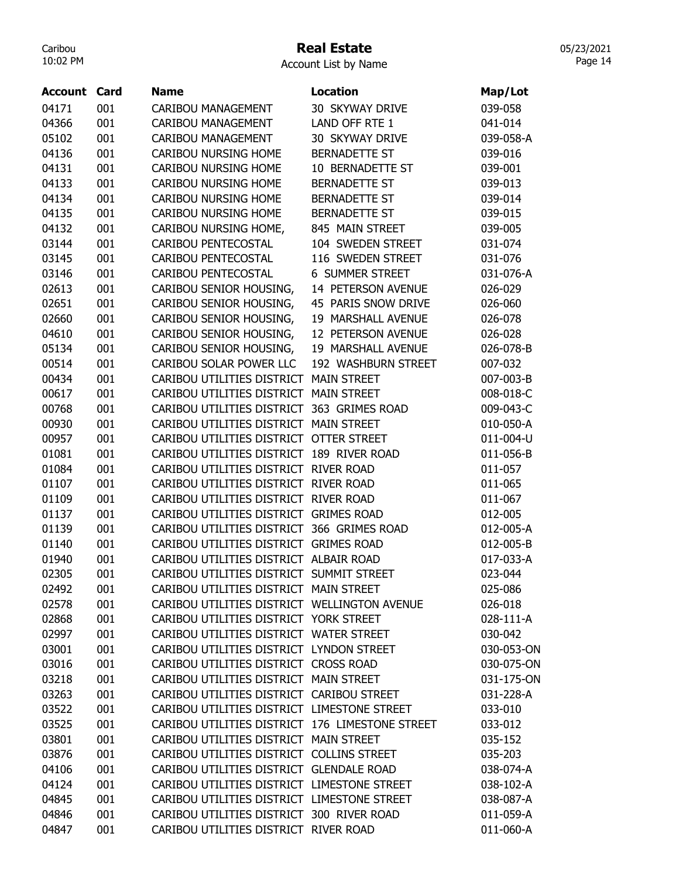#### Real Estate

Account List by Name

| <b>Account Card</b> |     | <b>Name</b>                                     | <b>Location</b>        | Map/Lot    |
|---------------------|-----|-------------------------------------------------|------------------------|------------|
| 04171               | 001 | CARIBOU MANAGEMENT                              | 30 SKYWAY DRIVE        | 039-058    |
| 04366               | 001 | CARIBOU MANAGEMENT                              | LAND OFF RTE 1         | 041-014    |
| 05102               | 001 | CARIBOU MANAGEMENT                              | 30 SKYWAY DRIVE        | 039-058-A  |
| 04136               | 001 | <b>CARIBOU NURSING HOME</b>                     | <b>BERNADETTE ST</b>   | 039-016    |
| 04131               | 001 | CARIBOU NURSING HOME                            | 10 BERNADETTE ST       | 039-001    |
| 04133               | 001 | CARIBOU NURSING HOME                            | BERNADETTE ST          | 039-013    |
| 04134               | 001 | <b>CARIBOU NURSING HOME</b>                     | BERNADETTE ST          | 039-014    |
| 04135               | 001 | <b>CARIBOU NURSING HOME</b>                     | <b>BERNADETTE ST</b>   | 039-015    |
| 04132               | 001 | CARIBOU NURSING HOME,                           | 845 MAIN STREET        | 039-005    |
| 03144               | 001 | CARIBOU PENTECOSTAL                             | 104 SWEDEN STREET      | 031-074    |
| 03145               | 001 | CARIBOU PENTECOSTAL                             | 116 SWEDEN STREET      | 031-076    |
| 03146               | 001 | CARIBOU PENTECOSTAL                             | <b>6 SUMMER STREET</b> | 031-076-A  |
| 02613               | 001 | CARIBOU SENIOR HOUSING,                         | 14 PETERSON AVENUE     | 026-029    |
| 02651               | 001 | CARIBOU SENIOR HOUSING,                         | 45 PARIS SNOW DRIVE    | 026-060    |
| 02660               | 001 | CARIBOU SENIOR HOUSING,                         | 19 MARSHALL AVENUE     | 026-078    |
| 04610               | 001 | CARIBOU SENIOR HOUSING,                         | 12 PETERSON AVENUE     | 026-028    |
| 05134               | 001 | CARIBOU SENIOR HOUSING,                         | 19 MARSHALL AVENUE     | 026-078-B  |
| 00514               | 001 | CARIBOU SOLAR POWER LLC                         | 192 WASHBURN STREET    | 007-032    |
| 00434               | 001 | CARIBOU UTILITIES DISTRICT MAIN STREET          |                        | 007-003-B  |
| 00617               | 001 | CARIBOU UTILITIES DISTRICT MAIN STREET          |                        | 008-018-C  |
| 00768               | 001 | CARIBOU UTILITIES DISTRICT 363 GRIMES ROAD      |                        | 009-043-C  |
| 00930               | 001 | CARIBOU UTILITIES DISTRICT MAIN STREET          |                        | 010-050-A  |
| 00957               | 001 | CARIBOU UTILITIES DISTRICT OTTER STREET         |                        | 011-004-U  |
| 01081               | 001 | CARIBOU UTILITIES DISTRICT                      | 189 RIVER ROAD         | 011-056-B  |
| 01084               | 001 | CARIBOU UTILITIES DISTRICT RIVER ROAD           |                        | 011-057    |
| 01107               | 001 | CARIBOU UTILITIES DISTRICT RIVER ROAD           |                        | 011-065    |
| 01109               | 001 | CARIBOU UTILITIES DISTRICT RIVER ROAD           |                        | 011-067    |
| 01137               | 001 | CARIBOU UTILITIES DISTRICT GRIMES ROAD          |                        | 012-005    |
| 01139               | 001 | CARIBOU UTILITIES DISTRICT 366 GRIMES ROAD      |                        | 012-005-A  |
| 01140               | 001 | CARIBOU UTILITIES DISTRICT GRIMES ROAD          |                        | 012-005-B  |
| 01940               | 001 | CARIBOU UTILITIES DISTRICT ALBAIR ROAD          |                        | 017-033-A  |
| 02305               | 001 | CARIBOU UTILITIES DISTRICT SUMMIT STREET        |                        | 023-044    |
| 02492               | 001 | CARIBOU UTILITIES DISTRICT MAIN STREET          |                        | 025-086    |
| 02578               | 001 | CARIBOU UTILITIES DISTRICT WELLINGTON AVENUE    |                        | 026-018    |
| 02868               | 001 | CARIBOU UTILITIES DISTRICT YORK STREET          |                        | 028-111-A  |
| 02997               | 001 | CARIBOU UTILITIES DISTRICT WATER STREET         |                        | 030-042    |
| 03001               | 001 | CARIBOU UTILITIES DISTRICT LYNDON STREET        |                        | 030-053-ON |
| 03016               | 001 | CARIBOU UTILITIES DISTRICT CROSS ROAD           |                        | 030-075-ON |
| 03218               | 001 | CARIBOU UTILITIES DISTRICT MAIN STREET          |                        | 031-175-ON |
| 03263               | 001 | CARIBOU UTILITIES DISTRICT CARIBOU STREET       |                        | 031-228-A  |
| 03522               | 001 | CARIBOU UTILITIES DISTRICT LIMESTONE STREET     |                        | 033-010    |
| 03525               | 001 | CARIBOU UTILITIES DISTRICT 176 LIMESTONE STREET |                        | 033-012    |
| 03801               | 001 | CARIBOU UTILITIES DISTRICT MAIN STREET          |                        | 035-152    |
| 03876               | 001 | CARIBOU UTILITIES DISTRICT COLLINS STREET       |                        | 035-203    |
| 04106               | 001 | CARIBOU UTILITIES DISTRICT GLENDALE ROAD        |                        | 038-074-A  |
| 04124               | 001 | CARIBOU UTILITIES DISTRICT LIMESTONE STREET     |                        | 038-102-A  |
| 04845               | 001 | CARIBOU UTILITIES DISTRICT LIMESTONE STREET     |                        | 038-087-A  |
| 04846               | 001 | CARIBOU UTILITIES DISTRICT 300 RIVER ROAD       |                        | 011-059-A  |
| 04847               | 001 | CARIBOU UTILITIES DISTRICT RIVER ROAD           |                        | 011-060-A  |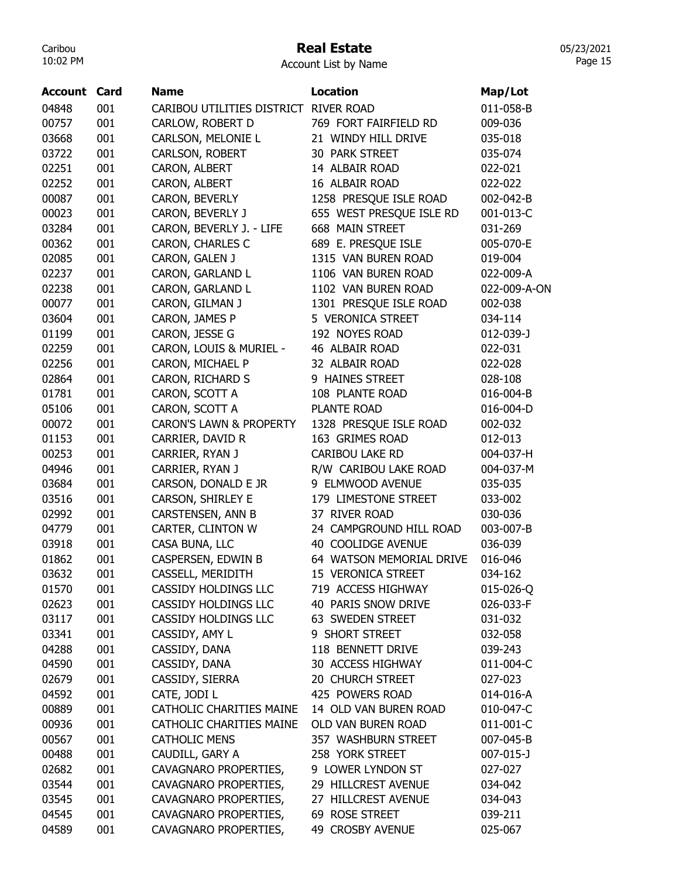# Real Estate

05/23/2021 Page 15

| <b>Account Card</b> |     | <b>Name</b>                        | <b>Location</b>          | Map/Lot      |
|---------------------|-----|------------------------------------|--------------------------|--------------|
| 04848               | 001 | CARIBOU UTILITIES DISTRICT         | <b>RIVER ROAD</b>        | 011-058-B    |
| 00757               | 001 | CARLOW, ROBERT D                   | 769 FORT FAIRFIELD RD    | 009-036      |
| 03668               | 001 | CARLSON, MELONIE L                 | 21 WINDY HILL DRIVE      | 035-018      |
| 03722               | 001 | CARLSON, ROBERT                    | 30 PARK STREET           | 035-074      |
| 02251               | 001 | CARON, ALBERT                      | 14 ALBAIR ROAD           | 022-021      |
| 02252               | 001 | CARON, ALBERT                      | 16 ALBAIR ROAD           | 022-022      |
| 00087               | 001 | CARON, BEVERLY                     | 1258 PRESQUE ISLE ROAD   | 002-042-B    |
| 00023               | 001 | CARON, BEVERLY J                   | 655 WEST PRESQUE ISLE RD | 001-013-C    |
| 03284               | 001 | CARON, BEVERLY J. - LIFE           | 668 MAIN STREET          | 031-269      |
| 00362               | 001 | CARON, CHARLES C                   | 689 E. PRESQUE ISLE      | 005-070-E    |
| 02085               | 001 | CARON, GALEN J                     | 1315 VAN BUREN ROAD      | 019-004      |
| 02237               | 001 | CARON, GARLAND L                   | 1106 VAN BUREN ROAD      | 022-009-A    |
| 02238               | 001 | CARON, GARLAND L                   | 1102 VAN BUREN ROAD      | 022-009-A-ON |
| 00077               | 001 | CARON, GILMAN J                    | 1301 PRESQUE ISLE ROAD   | 002-038      |
| 03604               | 001 | CARON, JAMES P                     | 5 VERONICA STREET        | 034-114      |
| 01199               | 001 | CARON, JESSE G                     | 192 NOYES ROAD           | 012-039-J    |
| 02259               | 001 | CARON, LOUIS & MURIEL -            | 46 ALBAIR ROAD           | 022-031      |
| 02256               | 001 | CARON, MICHAEL P                   | 32 ALBAIR ROAD           | 022-028      |
| 02864               | 001 | CARON, RICHARD S                   | 9 HAINES STREET          | 028-108      |
| 01781               | 001 | CARON, SCOTT A                     | 108 PLANTE ROAD          | 016-004-B    |
| 05106               | 001 | CARON, SCOTT A                     | <b>PLANTE ROAD</b>       | 016-004-D    |
| 00072               | 001 | <b>CARON'S LAWN &amp; PROPERTY</b> | 1328 PRESQUE ISLE ROAD   | 002-032      |
| 01153               | 001 | CARRIER, DAVID R                   | 163 GRIMES ROAD          | 012-013      |
| 00253               | 001 | CARRIER, RYAN J                    | <b>CARIBOU LAKE RD</b>   | 004-037-H    |
| 04946               | 001 | CARRIER, RYAN J                    | R/W CARIBOU LAKE ROAD    | 004-037-M    |
| 03684               | 001 | CARSON, DONALD E JR                | 9 ELMWOOD AVENUE         | 035-035      |
| 03516               | 001 | CARSON, SHIRLEY E                  | 179 LIMESTONE STREET     | 033-002      |
| 02992               | 001 | CARSTENSEN, ANN B                  | 37 RIVER ROAD            | 030-036      |
| 04779               | 001 | CARTER, CLINTON W                  | 24 CAMPGROUND HILL ROAD  | 003-007-B    |
| 03918               | 001 | CASA BUNA, LLC                     | 40 COOLIDGE AVENUE       | 036-039      |
| 01862               | 001 | CASPERSEN, EDWIN B                 | 64 WATSON MEMORIAL DRIVE | 016-046      |
| 03632               | 001 | CASSELL, MERIDITH                  | 15 VERONICA STREET       | 034-162      |
| 01570               | 001 | CASSIDY HOLDINGS LLC               | 719 ACCESS HIGHWAY       | 015-026-Q    |
| 02623               | 001 | CASSIDY HOLDINGS LLC               | 40 PARIS SNOW DRIVE      | 026-033-F    |
| 03117               | 001 | CASSIDY HOLDINGS LLC               | 63 SWEDEN STREET         | 031-032      |
| 03341               | 001 | CASSIDY, AMY L                     | 9 SHORT STREET           | 032-058      |
| 04288               | 001 | CASSIDY, DANA                      | 118 BENNETT DRIVE        | 039-243      |
| 04590               | 001 | CASSIDY, DANA                      | 30 ACCESS HIGHWAY        | 011-004-C    |
| 02679               | 001 | CASSIDY, SIERRA                    | 20 CHURCH STREET         | 027-023      |
| 04592               | 001 | CATE, JODI L                       | 425 POWERS ROAD          | 014-016-A    |
| 00889               | 001 | CATHOLIC CHARITIES MAINE           | 14 OLD VAN BUREN ROAD    | 010-047-C    |
| 00936               | 001 | CATHOLIC CHARITIES MAINE           | OLD VAN BUREN ROAD       | 011-001-C    |
| 00567               | 001 | <b>CATHOLIC MENS</b>               | 357 WASHBURN STREET      | 007-045-B    |
| 00488               | 001 | CAUDILL, GARY A                    | 258 YORK STREET          | 007-015-J    |
| 02682               | 001 | CAVAGNARO PROPERTIES,              | 9 LOWER LYNDON ST        | 027-027      |
| 03544               | 001 | CAVAGNARO PROPERTIES,              | 29 HILLCREST AVENUE      | 034-042      |
| 03545               | 001 | CAVAGNARO PROPERTIES,              | 27 HILLCREST AVENUE      | 034-043      |
| 04545               | 001 | CAVAGNARO PROPERTIES,              | 69 ROSE STREET           | 039-211      |
| 04589               | 001 | CAVAGNARO PROPERTIES,              | 49 CROSBY AVENUE         | 025-067      |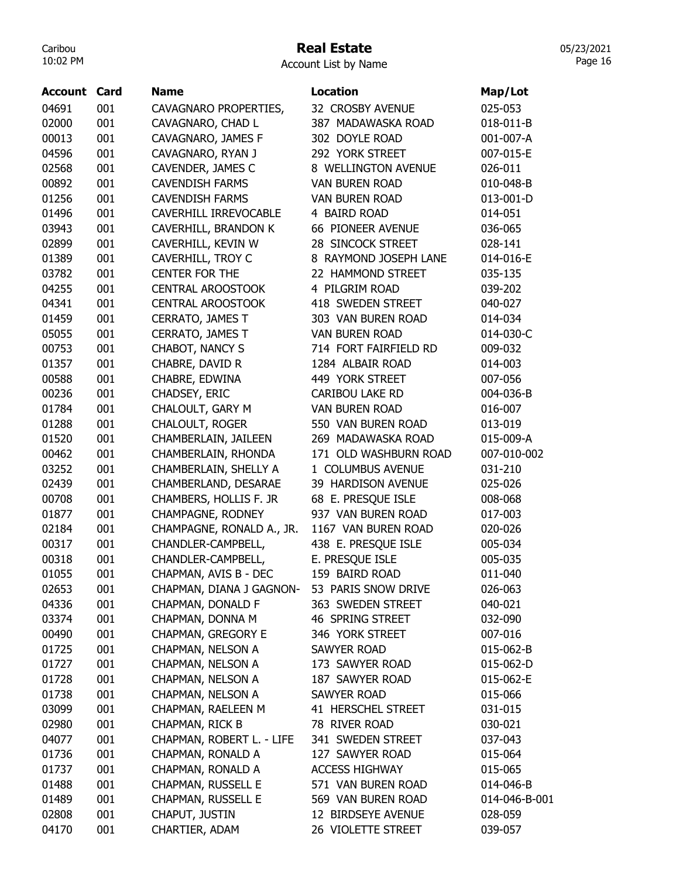## Real Estate

Account List by Name

| <b>Account</b> | Card | <b>Name</b>               | <b>Location</b>        | Map/Lot       |
|----------------|------|---------------------------|------------------------|---------------|
| 04691          | 001  | CAVAGNARO PROPERTIES,     | 32 CROSBY AVENUE       | 025-053       |
| 02000          | 001  | CAVAGNARO, CHAD L         | 387 MADAWASKA ROAD     | 018-011-B     |
| 00013          | 001  | CAVAGNARO, JAMES F        | 302 DOYLE ROAD         | 001-007-A     |
| 04596          | 001  | CAVAGNARO, RYAN J         | 292 YORK STREET        | 007-015-E     |
| 02568          | 001  | CAVENDER, JAMES C         | 8 WELLINGTON AVENUE    | 026-011       |
| 00892          | 001  | <b>CAVENDISH FARMS</b>    | <b>VAN BUREN ROAD</b>  | 010-048-B     |
| 01256          | 001  | <b>CAVENDISH FARMS</b>    | <b>VAN BUREN ROAD</b>  | 013-001-D     |
| 01496          | 001  | CAVERHILL IRREVOCABLE     | 4 BAIRD ROAD           | 014-051       |
| 03943          | 001  | CAVERHILL, BRANDON K      | 66 PIONEER AVENUE      | 036-065       |
| 02899          | 001  | CAVERHILL, KEVIN W        | 28 SINCOCK STREET      | 028-141       |
| 01389          | 001  | CAVERHILL, TROY C         | 8 RAYMOND JOSEPH LANE  | 014-016-E     |
| 03782          | 001  | <b>CENTER FOR THE</b>     | 22 HAMMOND STREET      | 035-135       |
| 04255          | 001  | <b>CENTRAL AROOSTOOK</b>  | 4 PILGRIM ROAD         | 039-202       |
| 04341          | 001  | <b>CENTRAL AROOSTOOK</b>  | 418 SWEDEN STREET      | 040-027       |
| 01459          | 001  | CERRATO, JAMES T          | 303 VAN BUREN ROAD     | 014-034       |
| 05055          | 001  | CERRATO, JAMES T          | <b>VAN BUREN ROAD</b>  | 014-030-C     |
| 00753          | 001  | CHABOT, NANCY S           | 714 FORT FAIRFIELD RD  | 009-032       |
| 01357          | 001  | CHABRE, DAVID R           | 1284 ALBAIR ROAD       | 014-003       |
| 00588          | 001  | CHABRE, EDWINA            | 449 YORK STREET        | 007-056       |
| 00236          | 001  | CHADSEY, ERIC             | <b>CARIBOU LAKE RD</b> | 004-036-B     |
| 01784          | 001  | CHALOULT, GARY M          | <b>VAN BUREN ROAD</b>  | 016-007       |
| 01288          | 001  | <b>CHALOULT, ROGER</b>    | 550 VAN BUREN ROAD     | 013-019       |
| 01520          | 001  | CHAMBERLAIN, JAILEEN      | 269 MADAWASKA ROAD     | 015-009-A     |
| 00462          | 001  | CHAMBERLAIN, RHONDA       | 171 OLD WASHBURN ROAD  | 007-010-002   |
| 03252          | 001  | CHAMBERLAIN, SHELLY A     | 1 COLUMBUS AVENUE      | 031-210       |
| 02439          | 001  | CHAMBERLAND, DESARAE      | 39 HARDISON AVENUE     | 025-026       |
| 00708          | 001  | CHAMBERS, HOLLIS F. JR    | 68 E. PRESQUE ISLE     | 008-068       |
| 01877          | 001  | CHAMPAGNE, RODNEY         | 937 VAN BUREN ROAD     | 017-003       |
| 02184          | 001  | CHAMPAGNE, RONALD A., JR. | 1167 VAN BUREN ROAD    | 020-026       |
| 00317          | 001  | CHANDLER-CAMPBELL,        | 438 E. PRESQUE ISLE    | 005-034       |
| 00318          | 001  | CHANDLER-CAMPBELL,        | E. PRESQUE ISLE        | 005-035       |
| 01055          | 001  | CHAPMAN, AVIS B - DEC     | 159 BAIRD ROAD         | 011-040       |
| 02653          | 001  | CHAPMAN, DIANA J GAGNON-  | 53 PARIS SNOW DRIVE    | 026-063       |
| 04336          | 001  | CHAPMAN, DONALD F         | 363 SWEDEN STREET      | 040-021       |
| 03374          | 001  | CHAPMAN, DONNA M          | 46 SPRING STREET       | 032-090       |
| 00490          | 001  | CHAPMAN, GREGORY E        | 346 YORK STREET        | 007-016       |
| 01725          | 001  | CHAPMAN, NELSON A         | SAWYER ROAD            | 015-062-B     |
| 01727          | 001  | CHAPMAN, NELSON A         | 173 SAWYER ROAD        | 015-062-D     |
| 01728          | 001  | CHAPMAN, NELSON A         | 187 SAWYER ROAD        | 015-062-E     |
| 01738          | 001  | CHAPMAN, NELSON A         | <b>SAWYER ROAD</b>     | 015-066       |
| 03099          | 001  | CHAPMAN, RAELEEN M        | 41 HERSCHEL STREET     | 031-015       |
| 02980          | 001  | CHAPMAN, RICK B           | 78 RIVER ROAD          | 030-021       |
| 04077          | 001  | CHAPMAN, ROBERT L. - LIFE | 341 SWEDEN STREET      | 037-043       |
| 01736          | 001  | CHAPMAN, RONALD A         | 127 SAWYER ROAD        | 015-064       |
| 01737          | 001  | CHAPMAN, RONALD A         | <b>ACCESS HIGHWAY</b>  | 015-065       |
| 01488          | 001  | CHAPMAN, RUSSELL E        | 571 VAN BUREN ROAD     | 014-046-B     |
| 01489          | 001  | CHAPMAN, RUSSELL E        | 569 VAN BUREN ROAD     | 014-046-B-001 |
| 02808          | 001  | CHAPUT, JUSTIN            | 12 BIRDSEYE AVENUE     | 028-059       |
| 04170          | 001  | CHARTIER, ADAM            | 26 VIOLETTE STREET     | 039-057       |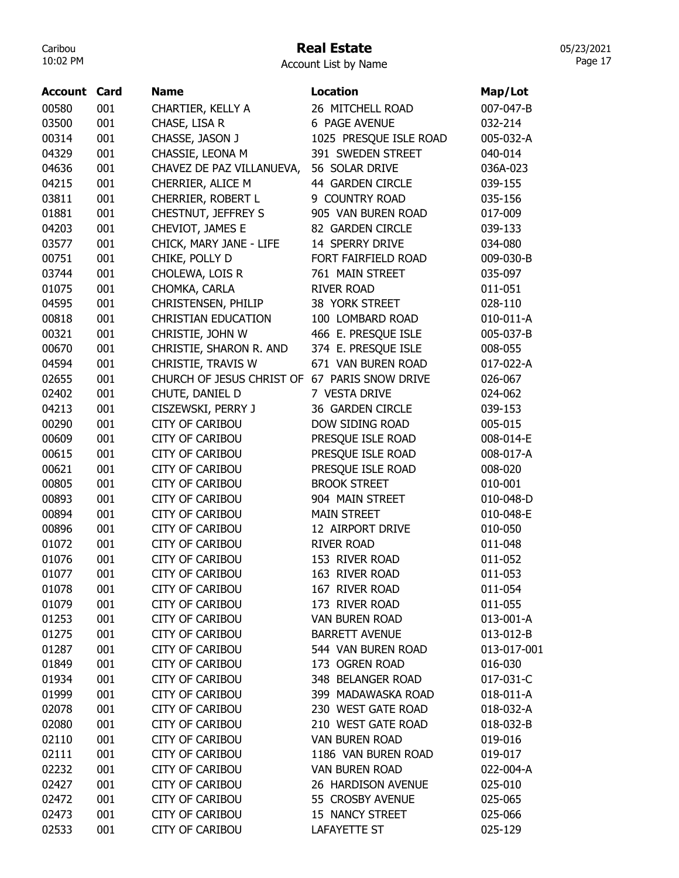# Real Estate

Account List by Name

| <b>Account Card</b> |     | <b>Name</b>                                   | <b>Location</b>        | Map/Lot     |
|---------------------|-----|-----------------------------------------------|------------------------|-------------|
| 00580               | 001 | CHARTIER, KELLY A                             | 26 MITCHELL ROAD       | 007-047-B   |
| 03500               | 001 | CHASE, LISA R                                 | 6 PAGE AVENUE          | 032-214     |
| 00314               | 001 | CHASSE, JASON J                               | 1025 PRESQUE ISLE ROAD | 005-032-A   |
| 04329               | 001 | CHASSIE, LEONA M                              | 391 SWEDEN STREET      | 040-014     |
| 04636               | 001 | CHAVEZ DE PAZ VILLANUEVA,                     | 56 SOLAR DRIVE         | 036A-023    |
| 04215               | 001 | CHERRIER, ALICE M                             | 44 GARDEN CIRCLE       | 039-155     |
| 03811               | 001 | CHERRIER, ROBERT L                            | 9 COUNTRY ROAD         | 035-156     |
| 01881               | 001 | CHESTNUT, JEFFREY S                           | 905 VAN BUREN ROAD     | 017-009     |
| 04203               | 001 | CHEVIOT, JAMES E                              | 82 GARDEN CIRCLE       | 039-133     |
| 03577               | 001 | CHICK, MARY JANE - LIFE                       | 14 SPERRY DRIVE        | 034-080     |
| 00751               | 001 | CHIKE, POLLY D                                | FORT FAIRFIELD ROAD    | 009-030-B   |
| 03744               | 001 | CHOLEWA, LOIS R                               | 761 MAIN STREET        | 035-097     |
| 01075               | 001 | CHOMKA, CARLA                                 | <b>RIVER ROAD</b>      | 011-051     |
| 04595               | 001 | CHRISTENSEN, PHILIP                           | 38 YORK STREET         | 028-110     |
| 00818               | 001 | <b>CHRISTIAN EDUCATION</b>                    | 100 LOMBARD ROAD       | 010-011-A   |
| 00321               | 001 | CHRISTIE, JOHN W                              | 466 E. PRESQUE ISLE    | 005-037-B   |
| 00670               | 001 | CHRISTIE, SHARON R. AND                       | 374 E. PRESQUE ISLE    | 008-055     |
| 04594               | 001 | CHRISTIE, TRAVIS W                            | 671 VAN BUREN ROAD     | 017-022-A   |
| 02655               | 001 | CHURCH OF JESUS CHRIST OF 67 PARIS SNOW DRIVE |                        | 026-067     |
| 02402               | 001 | CHUTE, DANIEL D                               | 7 VESTA DRIVE          | 024-062     |
| 04213               | 001 | CISZEWSKI, PERRY J                            | 36 GARDEN CIRCLE       | 039-153     |
| 00290               | 001 | <b>CITY OF CARIBOU</b>                        | DOW SIDING ROAD        | 005-015     |
| 00609               | 001 | <b>CITY OF CARIBOU</b>                        | PRESQUE ISLE ROAD      | 008-014-E   |
| 00615               | 001 | <b>CITY OF CARIBOU</b>                        | PRESQUE ISLE ROAD      | 008-017-A   |
| 00621               | 001 | <b>CITY OF CARIBOU</b>                        | PRESQUE ISLE ROAD      | 008-020     |
| 00805               | 001 | <b>CITY OF CARIBOU</b>                        | <b>BROOK STREET</b>    | 010-001     |
| 00893               | 001 | <b>CITY OF CARIBOU</b>                        | 904 MAIN STREET        | 010-048-D   |
| 00894               | 001 | <b>CITY OF CARIBOU</b>                        | <b>MAIN STREET</b>     | 010-048-E   |
| 00896               | 001 | <b>CITY OF CARIBOU</b>                        | 12 AIRPORT DRIVE       | 010-050     |
| 01072               | 001 | <b>CITY OF CARIBOU</b>                        | <b>RIVER ROAD</b>      | 011-048     |
| 01076               | 001 | <b>CITY OF CARIBOU</b>                        | 153 RIVER ROAD         | 011-052     |
| 01077               | 001 | <b>CITY OF CARIBOU</b>                        | 163 RIVER ROAD         | 011-053     |
| 01078               | 001 | <b>CITY OF CARIBOU</b>                        | 167 RIVER ROAD         | 011-054     |
| 01079               | 001 | <b>CITY OF CARIBOU</b>                        | 173 RIVER ROAD         | 011-055     |
| 01253               | 001 | <b>CITY OF CARIBOU</b>                        | VAN BUREN ROAD         | 013-001-A   |
| 01275               | 001 | <b>CITY OF CARIBOU</b>                        | <b>BARRETT AVENUE</b>  | 013-012-B   |
| 01287               | 001 | <b>CITY OF CARIBOU</b>                        | 544 VAN BUREN ROAD     | 013-017-001 |
| 01849               | 001 | <b>CITY OF CARIBOU</b>                        | 173 OGREN ROAD         | 016-030     |
| 01934               | 001 | <b>CITY OF CARIBOU</b>                        | 348 BELANGER ROAD      | 017-031-C   |
| 01999               | 001 | <b>CITY OF CARIBOU</b>                        | 399 MADAWASKA ROAD     | 018-011-A   |
| 02078               | 001 | <b>CITY OF CARIBOU</b>                        | 230 WEST GATE ROAD     | 018-032-A   |
| 02080               | 001 | <b>CITY OF CARIBOU</b>                        | 210 WEST GATE ROAD     | 018-032-B   |
| 02110               | 001 | <b>CITY OF CARIBOU</b>                        | VAN BUREN ROAD         | 019-016     |
| 02111               | 001 | <b>CITY OF CARIBOU</b>                        | 1186 VAN BUREN ROAD    | 019-017     |
| 02232               | 001 | <b>CITY OF CARIBOU</b>                        | <b>VAN BUREN ROAD</b>  | 022-004-A   |
| 02427               | 001 | <b>CITY OF CARIBOU</b>                        | 26 HARDISON AVENUE     | 025-010     |
| 02472               | 001 | <b>CITY OF CARIBOU</b>                        | 55 CROSBY AVENUE       | 025-065     |
| 02473               | 001 | <b>CITY OF CARIBOU</b>                        | 15 NANCY STREET        | 025-066     |
| 02533               | 001 | <b>CITY OF CARIBOU</b>                        | LAFAYETTE ST           | 025-129     |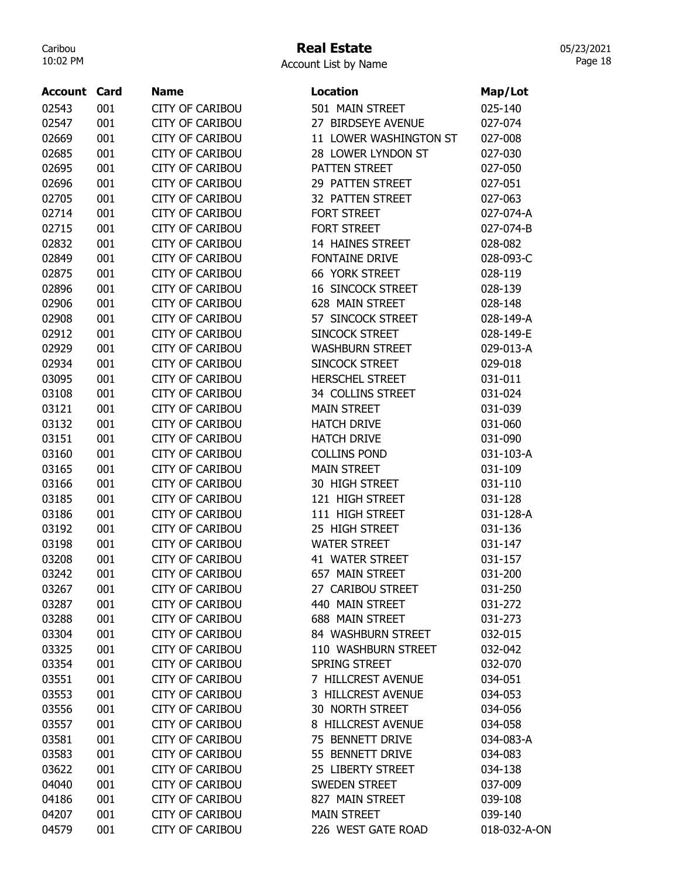## Real Estate

05/23/2021 Page 18

| <b>Account Card</b> |     | <b>Name</b>            | <b>Location</b>          | Map/Lot      |
|---------------------|-----|------------------------|--------------------------|--------------|
| 02543               | 001 | <b>CITY OF CARIBOU</b> | 501 MAIN STREET          | 025-140      |
| 02547               | 001 | <b>CITY OF CARIBOU</b> | 27 BIRDSEYE AVENUE       | 027-074      |
| 02669               | 001 | <b>CITY OF CARIBOU</b> | 11 LOWER WASHINGTON ST   | 027-008      |
| 02685               | 001 | <b>CITY OF CARIBOU</b> | 28 LOWER LYNDON ST       | 027-030      |
| 02695               | 001 | <b>CITY OF CARIBOU</b> | PATTEN STREET            | 027-050      |
| 02696               | 001 | <b>CITY OF CARIBOU</b> | 29 PATTEN STREET         | 027-051      |
| 02705               | 001 | <b>CITY OF CARIBOU</b> | 32 PATTEN STREET         | 027-063      |
| 02714               | 001 | <b>CITY OF CARIBOU</b> | FORT STREET              | 027-074-A    |
| 02715               | 001 | <b>CITY OF CARIBOU</b> | FORT STREET              | 027-074-B    |
| 02832               | 001 | <b>CITY OF CARIBOU</b> | 14 HAINES STREET         | 028-082      |
| 02849               | 001 | <b>CITY OF CARIBOU</b> | <b>FONTAINE DRIVE</b>    | 028-093-C    |
| 02875               | 001 | <b>CITY OF CARIBOU</b> | 66 YORK STREET           | 028-119      |
| 02896               | 001 | <b>CITY OF CARIBOU</b> | <b>16 SINCOCK STREET</b> | 028-139      |
| 02906               | 001 | <b>CITY OF CARIBOU</b> | 628 MAIN STREET          | 028-148      |
| 02908               | 001 | <b>CITY OF CARIBOU</b> | 57 SINCOCK STREET        | 028-149-A    |
| 02912               | 001 | <b>CITY OF CARIBOU</b> | SINCOCK STREET           | 028-149-E    |
| 02929               | 001 | <b>CITY OF CARIBOU</b> | <b>WASHBURN STREET</b>   | 029-013-A    |
| 02934               | 001 | <b>CITY OF CARIBOU</b> | SINCOCK STREET           | 029-018      |
| 03095               | 001 | <b>CITY OF CARIBOU</b> | <b>HERSCHEL STREET</b>   | 031-011      |
| 03108               | 001 | <b>CITY OF CARIBOU</b> | 34 COLLINS STREET        | 031-024      |
| 03121               | 001 | <b>CITY OF CARIBOU</b> | <b>MAIN STREET</b>       | 031-039      |
| 03132               | 001 | <b>CITY OF CARIBOU</b> | <b>HATCH DRIVE</b>       | 031-060      |
| 03151               | 001 | <b>CITY OF CARIBOU</b> | <b>HATCH DRIVE</b>       | 031-090      |
| 03160               | 001 | <b>CITY OF CARIBOU</b> | <b>COLLINS POND</b>      | 031-103-A    |
| 03165               | 001 | <b>CITY OF CARIBOU</b> | <b>MAIN STREET</b>       | 031-109      |
| 03166               | 001 | <b>CITY OF CARIBOU</b> | 30 HIGH STREET           | 031-110      |
| 03185               | 001 | <b>CITY OF CARIBOU</b> | 121 HIGH STREET          | 031-128      |
| 03186               | 001 | <b>CITY OF CARIBOU</b> | 111 HIGH STREET          | 031-128-A    |
| 03192               | 001 | <b>CITY OF CARIBOU</b> | 25 HIGH STREET           | 031-136      |
| 03198               | 001 | <b>CITY OF CARIBOU</b> | <b>WATER STREET</b>      | 031-147      |
| 03208               | 001 | <b>CITY OF CARIBOU</b> | 41 WATER STREET          | 031-157      |
| 03242               | 001 | <b>CITY OF CARIBOU</b> | 657 MAIN STREET          | 031-200      |
| 03267               | 001 | <b>CITY OF CARIBOU</b> | 27 CARIBOU STREET        | 031-250      |
| 03287               | 001 | <b>CITY OF CARIBOU</b> | 440 MAIN STREET          | 031-272      |
| 03288               | 001 | <b>CITY OF CARIBOU</b> | 688 MAIN STREET          | 031-273      |
| 03304               | 001 | <b>CITY OF CARIBOU</b> | 84 WASHBURN STREET       | 032-015      |
| 03325               | 001 | <b>CITY OF CARIBOU</b> | 110 WASHBURN STREET      | 032-042      |
| 03354               | 001 | <b>CITY OF CARIBOU</b> | SPRING STREET            | 032-070      |
| 03551               | 001 | <b>CITY OF CARIBOU</b> | 7 HILLCREST AVENUE       | 034-051      |
| 03553               | 001 | <b>CITY OF CARIBOU</b> | 3 HILLCREST AVENUE       | 034-053      |
| 03556               | 001 | <b>CITY OF CARIBOU</b> | 30 NORTH STREET          | 034-056      |
| 03557               | 001 | <b>CITY OF CARIBOU</b> | 8 HILLCREST AVENUE       | 034-058      |
| 03581               | 001 | <b>CITY OF CARIBOU</b> | 75 BENNETT DRIVE         | 034-083-A    |
| 03583               | 001 | <b>CITY OF CARIBOU</b> | 55 BENNETT DRIVE         | 034-083      |
| 03622               | 001 | <b>CITY OF CARIBOU</b> | 25 LIBERTY STREET        | 034-138      |
| 04040               | 001 | <b>CITY OF CARIBOU</b> | <b>SWEDEN STREET</b>     | 037-009      |
| 04186               | 001 | <b>CITY OF CARIBOU</b> | 827 MAIN STREET          | 039-108      |
| 04207               | 001 | <b>CITY OF CARIBOU</b> | <b>MAIN STREET</b>       | 039-140      |
| 04579               | 001 | <b>CITY OF CARIBOU</b> | 226 WEST GATE ROAD       | 018-032-A-ON |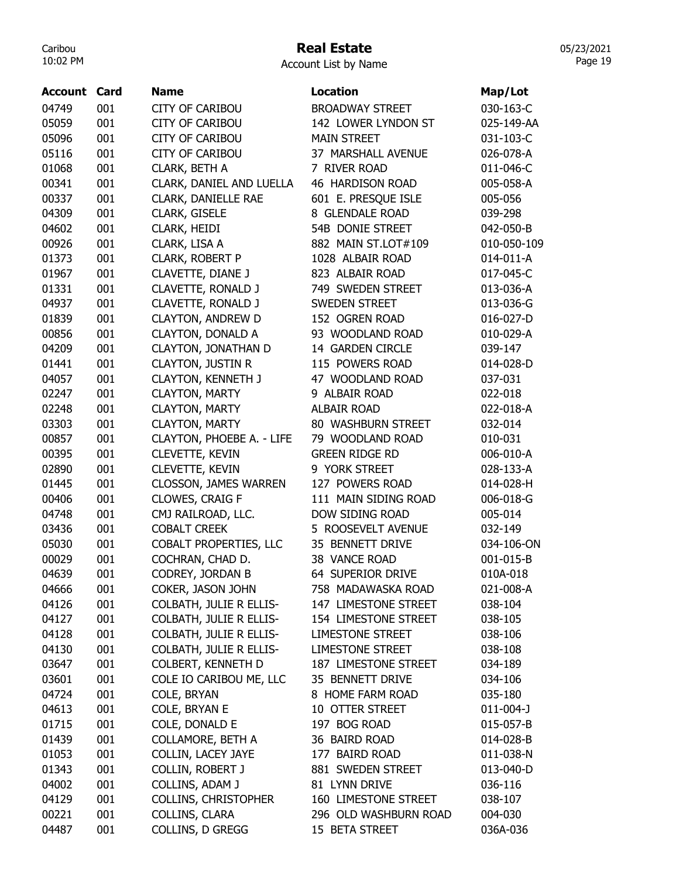# Real Estate

Account List by Name

| <b>Account Card</b> |     | <b>Name</b>                  | <b>Location</b>         | Map/Lot     |
|---------------------|-----|------------------------------|-------------------------|-------------|
| 04749               | 001 | <b>CITY OF CARIBOU</b>       | <b>BROADWAY STREET</b>  | 030-163-C   |
| 05059               | 001 | <b>CITY OF CARIBOU</b>       | 142 LOWER LYNDON ST     | 025-149-AA  |
| 05096               | 001 | <b>CITY OF CARIBOU</b>       | <b>MAIN STREET</b>      | 031-103-C   |
| 05116               | 001 | <b>CITY OF CARIBOU</b>       | 37 MARSHALL AVENUE      | 026-078-A   |
| 01068               | 001 | CLARK, BETH A                | 7 RIVER ROAD            | 011-046-C   |
| 00341               | 001 | CLARK, DANIEL AND LUELLA     | <b>46 HARDISON ROAD</b> | 005-058-A   |
| 00337               | 001 | CLARK, DANIELLE RAE          | 601 E. PRESQUE ISLE     | 005-056     |
| 04309               | 001 | CLARK, GISELE                | 8 GLENDALE ROAD         | 039-298     |
| 04602               | 001 | CLARK, HEIDI                 | 54B DONIE STREET        | 042-050-B   |
| 00926               | 001 | CLARK, LISA A                | 882 MAIN ST.LOT#109     | 010-050-109 |
| 01373               | 001 | CLARK, ROBERT P              | 1028 ALBAIR ROAD        | 014-011-A   |
| 01967               | 001 | CLAVETTE, DIANE J            | 823 ALBAIR ROAD         | 017-045-C   |
| 01331               | 001 | CLAVETTE, RONALD J           | 749 SWEDEN STREET       | 013-036-A   |
| 04937               | 001 | CLAVETTE, RONALD J           | SWEDEN STREET           | 013-036-G   |
| 01839               | 001 | <b>CLAYTON, ANDREW D</b>     | 152 OGREN ROAD          | 016-027-D   |
| 00856               | 001 | <b>CLAYTON, DONALD A</b>     | 93 WOODLAND ROAD        | 010-029-A   |
| 04209               | 001 | CLAYTON, JONATHAN D          | 14 GARDEN CIRCLE        | 039-147     |
| 01441               | 001 | <b>CLAYTON, JUSTIN R</b>     | 115 POWERS ROAD         | 014-028-D   |
| 04057               | 001 | <b>CLAYTON, KENNETH J</b>    | 47 WOODLAND ROAD        | 037-031     |
| 02247               | 001 | <b>CLAYTON, MARTY</b>        | 9 ALBAIR ROAD           | 022-018     |
| 02248               | 001 | <b>CLAYTON, MARTY</b>        | <b>ALBAIR ROAD</b>      | 022-018-A   |
| 03303               | 001 | <b>CLAYTON, MARTY</b>        | 80 WASHBURN STREET      | 032-014     |
| 00857               | 001 | CLAYTON, PHOEBE A. - LIFE    | 79 WOODLAND ROAD        | 010-031     |
| 00395               | 001 | <b>CLEVETTE, KEVIN</b>       | <b>GREEN RIDGE RD</b>   | 006-010-A   |
| 02890               | 001 | <b>CLEVETTE, KEVIN</b>       | 9 YORK STREET           | 028-133-A   |
| 01445               | 001 | <b>CLOSSON, JAMES WARREN</b> | 127 POWERS ROAD         | 014-028-H   |
| 00406               | 001 | CLOWES, CRAIG F              | 111 MAIN SIDING ROAD    | 006-018-G   |
| 04748               | 001 | CMJ RAILROAD, LLC.           | DOW SIDING ROAD         | 005-014     |
| 03436               | 001 | <b>COBALT CREEK</b>          | 5 ROOSEVELT AVENUE      | 032-149     |
| 05030               | 001 | COBALT PROPERTIES, LLC       | 35 BENNETT DRIVE        | 034-106-ON  |
| 00029               | 001 | COCHRAN, CHAD D.             | 38 VANCE ROAD           | 001-015-B   |
| 04639               | 001 | CODREY, JORDAN B             | 64 SUPERIOR DRIVE       | 010A-018    |
| 04666               | 001 | COKER, JASON JOHN            | 758 MADAWASKA ROAD      | 021-008-A   |
| 04126               | 001 | COLBATH, JULIE R ELLIS-      | 147 LIMESTONE STREET    | 038-104     |
| 04127               | 001 | COLBATH, JULIE R ELLIS-      | 154 LIMESTONE STREET    | 038-105     |
| 04128               | 001 | COLBATH, JULIE R ELLIS-      | <b>LIMESTONE STREET</b> | 038-106     |
| 04130               | 001 | COLBATH, JULIE R ELLIS-      | <b>LIMESTONE STREET</b> | 038-108     |
| 03647               | 001 | COLBERT, KENNETH D           | 187 LIMESTONE STREET    | 034-189     |
| 03601               | 001 | COLE IO CARIBOU ME, LLC      | 35 BENNETT DRIVE        | 034-106     |
| 04724               | 001 | COLE, BRYAN                  | 8 HOME FARM ROAD        | 035-180     |
|                     | 001 | COLE, BRYAN E                | 10 OTTER STREET         |             |
| 04613<br>01715      | 001 | COLE, DONALD E               | 197 BOG ROAD            | 011-004-J   |
|                     | 001 | COLLAMORE, BETH A            |                         | 015-057-B   |
| 01439               |     |                              | 36 BAIRD ROAD           | 014-028-B   |
| 01053               | 001 | COLLIN, LACEY JAYE           | 177 BAIRD ROAD          | 011-038-N   |
| 01343               | 001 | COLLIN, ROBERT J             | 881 SWEDEN STREET       | 013-040-D   |
| 04002               | 001 | COLLINS, ADAM J              | 81 LYNN DRIVE           | 036-116     |
| 04129               | 001 | <b>COLLINS, CHRISTOPHER</b>  | 160 LIMESTONE STREET    | 038-107     |
| 00221               | 001 | COLLINS, CLARA               | 296 OLD WASHBURN ROAD   | 004-030     |
| 04487               | 001 | COLLINS, D GREGG             | 15 BETA STREET          | 036A-036    |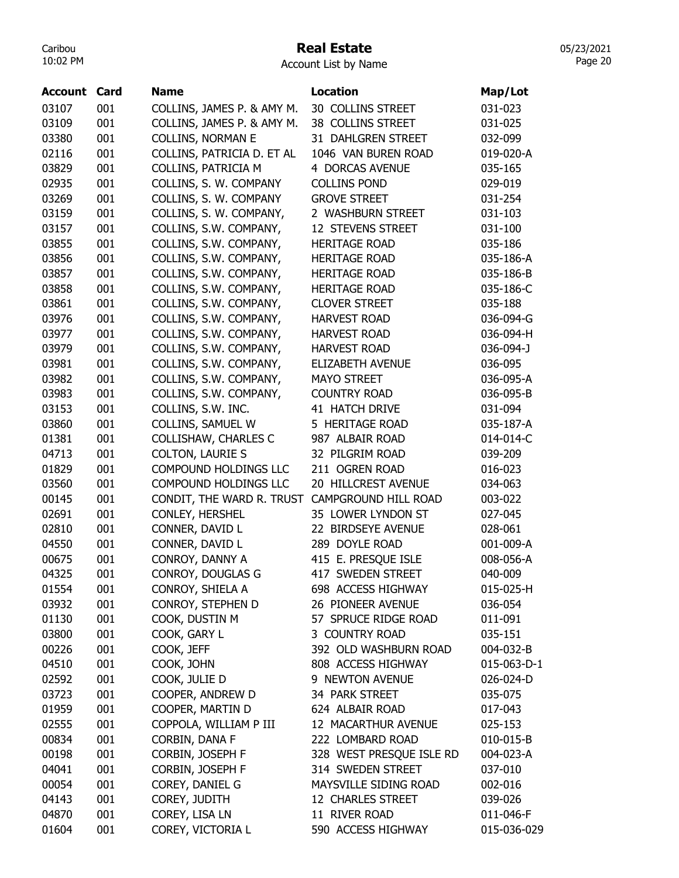## Real Estate

Account List by Name

| <b>Account Card</b> |     | <b>Name</b>                                    | <b>Location</b>          | Map/Lot     |
|---------------------|-----|------------------------------------------------|--------------------------|-------------|
| 03107               | 001 | COLLINS, JAMES P. & AMY M.                     | 30 COLLINS STREET        | 031-023     |
| 03109               | 001 | COLLINS, JAMES P. & AMY M.                     | 38 COLLINS STREET        | 031-025     |
| 03380               | 001 | <b>COLLINS, NORMAN E</b>                       | 31 DAHLGREN STREET       | 032-099     |
| 02116               | 001 | COLLINS, PATRICIA D. ET AL                     | 1046 VAN BUREN ROAD      | 019-020-A   |
| 03829               | 001 | COLLINS, PATRICIA M                            | 4 DORCAS AVENUE          | 035-165     |
| 02935               | 001 | COLLINS, S. W. COMPANY                         | <b>COLLINS POND</b>      | 029-019     |
| 03269               | 001 | COLLINS, S. W. COMPANY                         | <b>GROVE STREET</b>      | 031-254     |
| 03159               | 001 | COLLINS, S. W. COMPANY,                        | 2 WASHBURN STREET        | 031-103     |
| 03157               | 001 | COLLINS, S.W. COMPANY,                         | 12 STEVENS STREET        | 031-100     |
| 03855               | 001 | COLLINS, S.W. COMPANY,                         | <b>HERITAGE ROAD</b>     | 035-186     |
| 03856               | 001 | COLLINS, S.W. COMPANY,                         | <b>HERITAGE ROAD</b>     | 035-186-A   |
| 03857               | 001 | COLLINS, S.W. COMPANY,                         | <b>HERITAGE ROAD</b>     | 035-186-B   |
| 03858               | 001 | COLLINS, S.W. COMPANY,                         | <b>HERITAGE ROAD</b>     | 035-186-C   |
| 03861               | 001 | COLLINS, S.W. COMPANY,                         | <b>CLOVER STREET</b>     | 035-188     |
| 03976               | 001 | COLLINS, S.W. COMPANY,                         | <b>HARVEST ROAD</b>      | 036-094-G   |
| 03977               | 001 | COLLINS, S.W. COMPANY,                         | <b>HARVEST ROAD</b>      | 036-094-H   |
| 03979               | 001 | COLLINS, S.W. COMPANY,                         | <b>HARVEST ROAD</b>      | 036-094-J   |
| 03981               | 001 | COLLINS, S.W. COMPANY,                         | <b>ELIZABETH AVENUE</b>  | 036-095     |
| 03982               | 001 | COLLINS, S.W. COMPANY,                         | <b>MAYO STREET</b>       | 036-095-A   |
| 03983               | 001 | COLLINS, S.W. COMPANY,                         | <b>COUNTRY ROAD</b>      | 036-095-B   |
| 03153               | 001 | COLLINS, S.W. INC.                             | 41 HATCH DRIVE           | 031-094     |
| 03860               | 001 | COLLINS, SAMUEL W                              | 5 HERITAGE ROAD          | 035-187-A   |
| 01381               | 001 | COLLISHAW, CHARLES C                           | 987 ALBAIR ROAD          | 014-014-C   |
| 04713               | 001 | <b>COLTON, LAURIE S</b>                        | 32 PILGRIM ROAD          | 039-209     |
| 01829               | 001 | COMPOUND HOLDINGS LLC                          | 211 OGREN ROAD           | 016-023     |
| 03560               | 001 | COMPOUND HOLDINGS LLC                          | 20 HILLCREST AVENUE      | 034-063     |
| 00145               | 001 | CONDIT, THE WARD R. TRUST CAMPGROUND HILL ROAD |                          | 003-022     |
| 02691               | 001 | CONLEY, HERSHEL                                | 35 LOWER LYNDON ST       | 027-045     |
| 02810               | 001 | CONNER, DAVID L                                | 22 BIRDSEYE AVENUE       | 028-061     |
| 04550               | 001 | CONNER, DAVID L                                | 289 DOYLE ROAD           | 001-009-A   |
| 00675               | 001 | CONROY, DANNY A                                | 415 E. PRESQUE ISLE      | 008-056-A   |
| 04325               | 001 | CONROY, DOUGLAS G                              | 417 SWEDEN STREET        | 040-009     |
| 01554               | 001 | CONROY, SHIELA A                               | 698 ACCESS HIGHWAY       | 015-025-H   |
| 03932               | 001 | CONROY, STEPHEN D                              | 26 PIONEER AVENUE        | 036-054     |
| 01130               | 001 | COOK, DUSTIN M                                 | 57 SPRUCE RIDGE ROAD     | 011-091     |
| 03800               | 001 | COOK, GARY L                                   | 3 COUNTRY ROAD           | 035-151     |
| 00226               | 001 | COOK, JEFF                                     | 392 OLD WASHBURN ROAD    | 004-032-B   |
| 04510               | 001 | COOK, JOHN                                     | 808 ACCESS HIGHWAY       | 015-063-D-1 |
| 02592               | 001 | COOK, JULIE D                                  | 9 NEWTON AVENUE          | 026-024-D   |
| 03723               | 001 | COOPER, ANDREW D                               | 34 PARK STREET           | 035-075     |
| 01959               | 001 | COOPER, MARTIN D                               | 624 ALBAIR ROAD          | 017-043     |
| 02555               | 001 | COPPOLA, WILLIAM P III                         | 12 MACARTHUR AVENUE      | 025-153     |
| 00834               | 001 | CORBIN, DANA F                                 | 222 LOMBARD ROAD         | 010-015-B   |
| 00198               | 001 | CORBIN, JOSEPH F                               | 328 WEST PRESQUE ISLE RD | 004-023-A   |
| 04041               | 001 | CORBIN, JOSEPH F                               | 314 SWEDEN STREET        | 037-010     |
| 00054               | 001 | COREY, DANIEL G                                | MAYSVILLE SIDING ROAD    | 002-016     |
| 04143               | 001 | COREY, JUDITH                                  | 12 CHARLES STREET        | 039-026     |
| 04870               | 001 | COREY, LISA LN                                 | 11 RIVER ROAD            | 011-046-F   |
| 01604               | 001 | COREY, VICTORIA L                              | 590 ACCESS HIGHWAY       | 015-036-029 |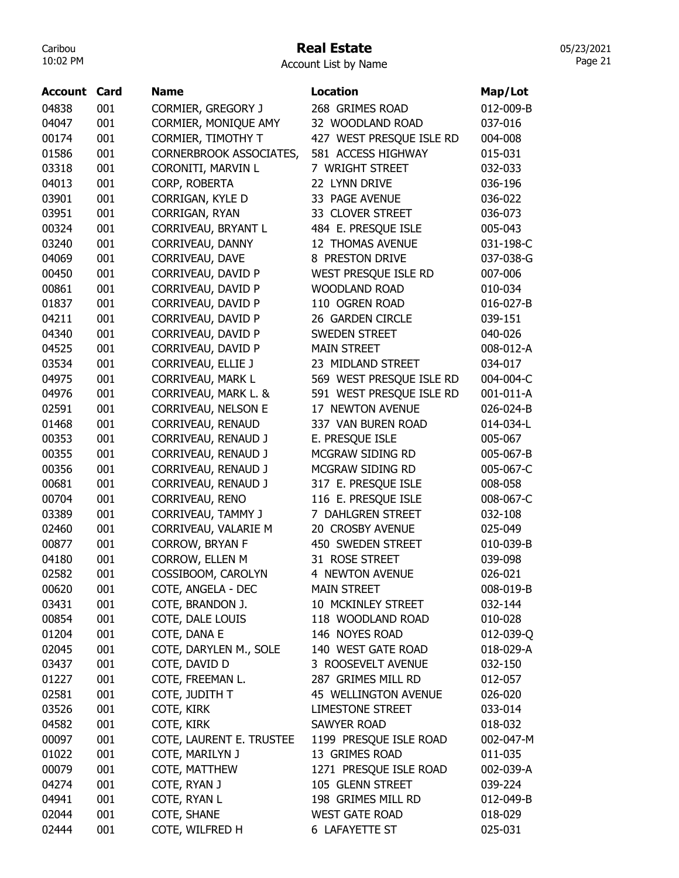#### Real Estate

Account List by Name

| <b>Account</b> | Card | <b>Name</b>               | <b>Location</b>          | Map/Lot   |
|----------------|------|---------------------------|--------------------------|-----------|
| 04838          | 001  | <b>CORMIER, GREGORY J</b> | 268 GRIMES ROAD          | 012-009-B |
| 04047          | 001  | CORMIER, MONIQUE AMY      | 32 WOODLAND ROAD         | 037-016   |
| 00174          | 001  | CORMIER, TIMOTHY T        | 427 WEST PRESQUE ISLE RD | 004-008   |
| 01586          | 001  | CORNERBROOK ASSOCIATES,   | 581 ACCESS HIGHWAY       | 015-031   |
| 03318          | 001  | CORONITI, MARVIN L        | 7 WRIGHT STREET          | 032-033   |
| 04013          | 001  | CORP, ROBERTA             | 22 LYNN DRIVE            | 036-196   |
| 03901          | 001  | CORRIGAN, KYLE D          | 33 PAGE AVENUE           | 036-022   |
| 03951          | 001  | CORRIGAN, RYAN            | 33 CLOVER STREET         | 036-073   |
| 00324          | 001  | CORRIVEAU, BRYANT L       | 484 E. PRESQUE ISLE      | 005-043   |
| 03240          | 001  | CORRIVEAU, DANNY          | 12 THOMAS AVENUE         | 031-198-C |
| 04069          | 001  | CORRIVEAU, DAVE           | 8 PRESTON DRIVE          | 037-038-G |
| 00450          | 001  | CORRIVEAU, DAVID P        | WEST PRESQUE ISLE RD     | 007-006   |
| 00861          | 001  | CORRIVEAU, DAVID P        | <b>WOODLAND ROAD</b>     | 010-034   |
| 01837          | 001  | CORRIVEAU, DAVID P        | 110 OGREN ROAD           | 016-027-B |
| 04211          | 001  | CORRIVEAU, DAVID P        | 26 GARDEN CIRCLE         | 039-151   |
| 04340          | 001  | CORRIVEAU, DAVID P        | <b>SWEDEN STREET</b>     | 040-026   |
| 04525          | 001  | CORRIVEAU, DAVID P        | <b>MAIN STREET</b>       | 008-012-A |
| 03534          | 001  | CORRIVEAU, ELLIE J        | 23 MIDLAND STREET        | 034-017   |
| 04975          | 001  | <b>CORRIVEAU, MARK L</b>  | 569 WEST PRESQUE ISLE RD | 004-004-C |
| 04976          | 001  | CORRIVEAU, MARK L. &      | 591 WEST PRESQUE ISLE RD | 001-011-A |
| 02591          | 001  | CORRIVEAU, NELSON E       | 17 NEWTON AVENUE         | 026-024-B |
| 01468          | 001  | CORRIVEAU, RENAUD         | 337 VAN BUREN ROAD       | 014-034-L |
| 00353          | 001  | CORRIVEAU, RENAUD J       | E. PRESQUE ISLE          | 005-067   |
| 00355          | 001  | CORRIVEAU, RENAUD J       | MCGRAW SIDING RD         | 005-067-B |
| 00356          | 001  | CORRIVEAU, RENAUD J       | MCGRAW SIDING RD         | 005-067-C |
| 00681          | 001  | CORRIVEAU, RENAUD J       | 317 E. PRESQUE ISLE      | 008-058   |
| 00704          | 001  | CORRIVEAU, RENO           | 116 E. PRESQUE ISLE      | 008-067-C |
| 03389          | 001  | CORRIVEAU, TAMMY J        | 7 DAHLGREN STREET        | 032-108   |
| 02460          | 001  | CORRIVEAU, VALARIE M      | 20 CROSBY AVENUE         | 025-049   |
| 00877          | 001  | <b>CORROW, BRYAN F</b>    | 450 SWEDEN STREET        | 010-039-B |
| 04180          | 001  | CORROW, ELLEN M           | 31 ROSE STREET           | 039-098   |
| 02582          | 001  | COSSIBOOM, CAROLYN        | 4 NEWTON AVENUE          | 026-021   |
| 00620          | 001  | COTE, ANGELA - DEC        | <b>MAIN STREET</b>       | 008-019-B |
| 03431          | 001  | COTE, BRANDON J.          | 10 MCKINLEY STREET       | 032-144   |
| 00854          | 001  | COTE, DALE LOUIS          | 118 WOODLAND ROAD        | 010-028   |
| 01204          | 001  | COTE, DANA E              | 146 NOYES ROAD           | 012-039-Q |
| 02045          | 001  | COTE, DARYLEN M., SOLE    | 140 WEST GATE ROAD       | 018-029-A |
| 03437          | 001  | COTE, DAVID D             | 3 ROOSEVELT AVENUE       | 032-150   |
| 01227          | 001  | COTE, FREEMAN L.          | 287 GRIMES MILL RD       | 012-057   |
| 02581          | 001  | COTE, JUDITH T            | 45 WELLINGTON AVENUE     | 026-020   |
| 03526          | 001  | COTE, KIRK                | <b>LIMESTONE STREET</b>  | 033-014   |
| 04582          | 001  | COTE, KIRK                | <b>SAWYER ROAD</b>       | 018-032   |
| 00097          | 001  | COTE, LAURENT E. TRUSTEE  | 1199 PRESQUE ISLE ROAD   | 002-047-M |
| 01022          | 001  | COTE, MARILYN J           | 13 GRIMES ROAD           | 011-035   |
| 00079          | 001  | COTE, MATTHEW             | 1271 PRESQUE ISLE ROAD   | 002-039-A |
| 04274          | 001  | COTE, RYAN J              | 105 GLENN STREET         | 039-224   |
| 04941          | 001  | COTE, RYAN L              | 198 GRIMES MILL RD       | 012-049-B |
| 02044          | 001  | COTE, SHANE               | <b>WEST GATE ROAD</b>    | 018-029   |
| 02444          | 001  | COTE, WILFRED H           | <b>6 LAFAYETTE ST</b>    | 025-031   |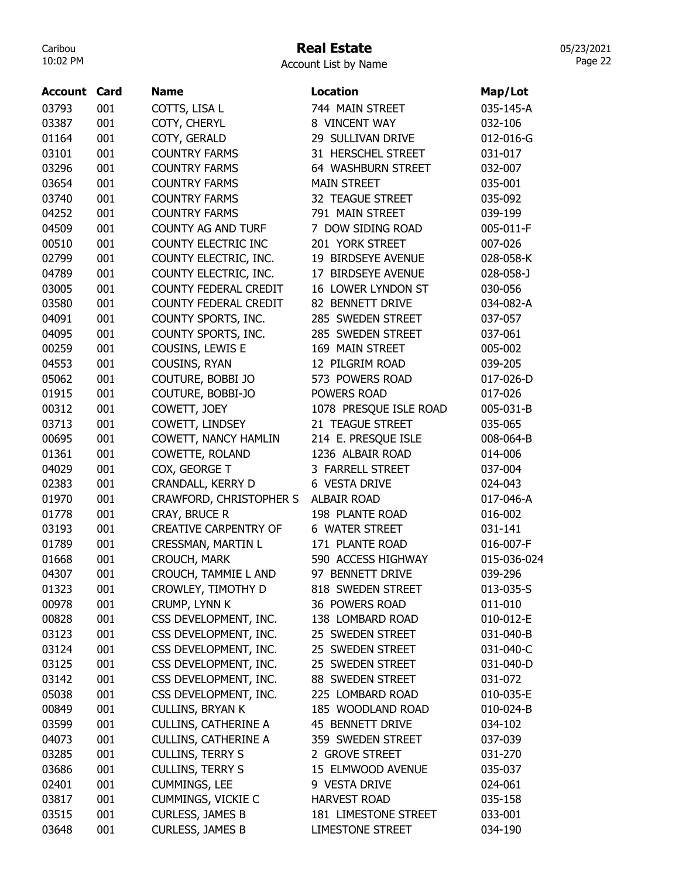# Real Estate

| Account List by Name |  |  |
|----------------------|--|--|
|----------------------|--|--|

| <b>Account Card</b> |     | <b>Name</b>                  | Location                | Map/Lot     |
|---------------------|-----|------------------------------|-------------------------|-------------|
| 03793               | 001 | COTTS, LISA L                | 744 MAIN STREET         | 035-145-A   |
| 03387               | 001 | COTY, CHERYL                 | 8 VINCENT WAY           | 032-106     |
| 01164               | 001 | COTY, GERALD                 | 29 SULLIVAN DRIVE       | 012-016-G   |
| 03101               | 001 | <b>COUNTRY FARMS</b>         | 31 HERSCHEL STREET      | 031-017     |
| 03296               | 001 | <b>COUNTRY FARMS</b>         | 64 WASHBURN STREET      | 032-007     |
| 03654               | 001 | <b>COUNTRY FARMS</b>         | <b>MAIN STREET</b>      | 035-001     |
| 03740               | 001 | <b>COUNTRY FARMS</b>         | 32 TEAGUE STREET        | 035-092     |
| 04252               | 001 | <b>COUNTRY FARMS</b>         | 791 MAIN STREET         | 039-199     |
| 04509               | 001 | <b>COUNTY AG AND TURF</b>    | 7 DOW SIDING ROAD       | 005-011-F   |
| 00510               | 001 | COUNTY ELECTRIC INC          | 201 YORK STREET         | 007-026     |
| 02799               | 001 | COUNTY ELECTRIC, INC.        | 19 BIRDSEYE AVENUE      | 028-058-K   |
| 04789               | 001 | COUNTY ELECTRIC, INC.        | 17 BIRDSEYE AVENUE      | 028-058-J   |
| 03005               | 001 | COUNTY FEDERAL CREDIT        | 16 LOWER LYNDON ST      | 030-056     |
| 03580               | 001 | COUNTY FEDERAL CREDIT        | 82 BENNETT DRIVE        | 034-082-A   |
| 04091               | 001 | COUNTY SPORTS, INC.          | 285 SWEDEN STREET       | 037-057     |
| 04095               | 001 | COUNTY SPORTS, INC.          | 285 SWEDEN STREET       | 037-061     |
| 00259               | 001 | COUSINS, LEWIS E             | 169 MAIN STREET         | 005-002     |
| 04553               | 001 | COUSINS, RYAN                | 12 PILGRIM ROAD         | 039-205     |
| 05062               | 001 | COUTURE, BOBBI JO            | 573 POWERS ROAD         | 017-026-D   |
| 01915               | 001 | COUTURE, BOBBI-JO            | POWERS ROAD             | 017-026     |
| 00312               | 001 | COWETT, JOEY                 | 1078 PRESQUE ISLE ROAD  | 005-031-B   |
| 03713               | 001 | COWETT, LINDSEY              | 21 TEAGUE STREET        | 035-065     |
| 00695               | 001 | COWETT, NANCY HAMLIN         | 214 E. PRESQUE ISLE     | 008-064-B   |
| 01361               | 001 | COWETTE, ROLAND              | 1236 ALBAIR ROAD        | 014-006     |
| 04029               | 001 | COX, GEORGE T                | 3 FARRELL STREET        | 037-004     |
| 02383               | 001 | CRANDALL, KERRY D            | 6 VESTA DRIVE           | 024-043     |
| 01970               | 001 | CRAWFORD, CHRISTOPHER S      | <b>ALBAIR ROAD</b>      | 017-046-A   |
| 01778               | 001 | CRAY, BRUCE R                | 198 PLANTE ROAD         | 016-002     |
| 03193               | 001 | <b>CREATIVE CARPENTRY OF</b> | 6 WATER STREET          | 031-141     |
| 01789               | 001 | CRESSMAN, MARTIN L           | 171 PLANTE ROAD         | 016-007-F   |
| 01668               | 001 | CROUCH, MARK                 | 590 ACCESS HIGHWAY      | 015-036-024 |
| 04307               | 001 | CROUCH, TAMMIE L AND         | 97 BENNETT DRIVE        | 039-296     |
| 01323               | 001 | CROWLEY, TIMOTHY D           | 818 SWEDEN STREET       | 013-035-S   |
| 00978               | 001 | CRUMP, LYNN K                | 36 POWERS ROAD          | 011-010     |
| 00828               | 001 | CSS DEVELOPMENT, INC.        | 138 LOMBARD ROAD        | 010-012-E   |
| 03123               | 001 | CSS DEVELOPMENT, INC.        | 25 SWEDEN STREET        | 031-040-B   |
| 03124               | 001 | CSS DEVELOPMENT, INC.        | 25 SWEDEN STREET        | 031-040-C   |
| 03125               | 001 | CSS DEVELOPMENT, INC.        | 25 SWEDEN STREET        | 031-040-D   |
| 03142               | 001 | CSS DEVELOPMENT, INC.        | 88 SWEDEN STREET        | 031-072     |
| 05038               | 001 | CSS DEVELOPMENT, INC.        | 225 LOMBARD ROAD        | 010-035-E   |
| 00849               | 001 | <b>CULLINS, BRYAN K</b>      | 185 WOODLAND ROAD       | 010-024-B   |
| 03599               | 001 | <b>CULLINS, CATHERINE A</b>  | 45 BENNETT DRIVE        | 034-102     |
| 04073               | 001 | <b>CULLINS, CATHERINE A</b>  | 359 SWEDEN STREET       | 037-039     |
| 03285               | 001 | <b>CULLINS, TERRY S</b>      | 2 GROVE STREET          | 031-270     |
| 03686               | 001 | <b>CULLINS, TERRY S</b>      | 15 ELMWOOD AVENUE       | 035-037     |
| 02401               | 001 | <b>CUMMINGS, LEE</b>         | 9 VESTA DRIVE           | 024-061     |
| 03817               | 001 | <b>CUMMINGS, VICKIE C</b>    | <b>HARVEST ROAD</b>     | 035-158     |
| 03515               | 001 | <b>CURLESS, JAMES B</b>      | 181 LIMESTONE STREET    | 033-001     |
| 03648               | 001 | <b>CURLESS, JAMES B</b>      | <b>LIMESTONE STREET</b> | 034-190     |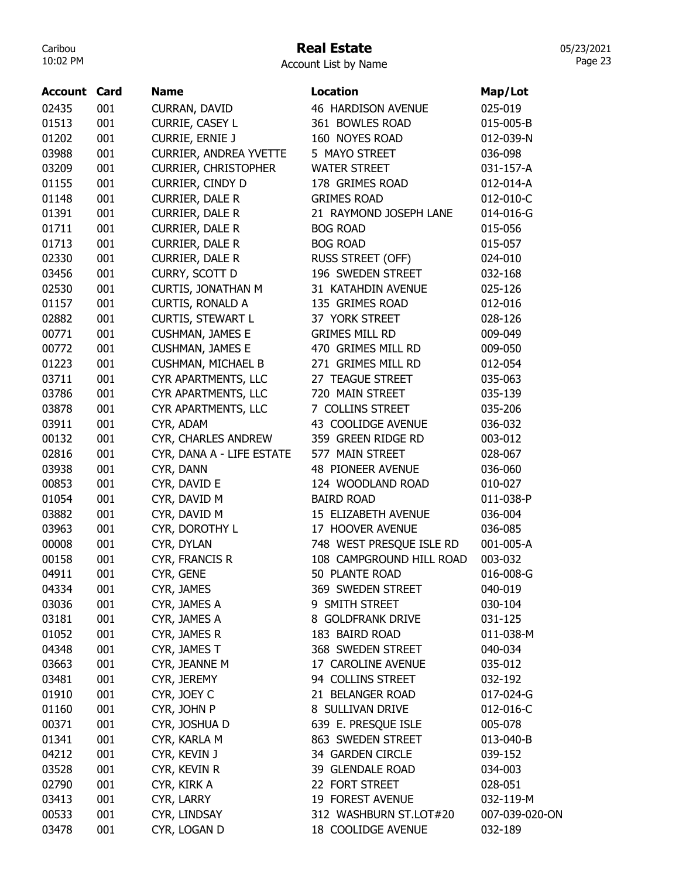# Real Estate

Account List by Name

| <b>Account Card</b> |     | <b>Name</b>                   | Location                 | Map/Lot        |
|---------------------|-----|-------------------------------|--------------------------|----------------|
| 02435               | 001 | CURRAN, DAVID                 | 46 HARDISON AVENUE       | 025-019        |
| 01513               | 001 | CURRIE, CASEY L               | 361 BOWLES ROAD          | 015-005-B      |
| 01202               | 001 | <b>CURRIE, ERNIE J</b>        | 160 NOYES ROAD           | 012-039-N      |
| 03988               | 001 | <b>CURRIER, ANDREA YVETTE</b> | 5 MAYO STREET            | 036-098        |
| 03209               | 001 | <b>CURRIER, CHRISTOPHER</b>   | <b>WATER STREET</b>      | 031-157-A      |
| 01155               | 001 | CURRIER, CINDY D              | 178 GRIMES ROAD          | 012-014-A      |
| 01148               | 001 | CURRIER, DALE R               | <b>GRIMES ROAD</b>       | 012-010-C      |
| 01391               | 001 | CURRIER, DALE R               | 21 RAYMOND JOSEPH LANE   | 014-016-G      |
| 01711               | 001 | <b>CURRIER, DALE R</b>        | <b>BOG ROAD</b>          | 015-056        |
| 01713               | 001 | <b>CURRIER, DALE R</b>        | <b>BOG ROAD</b>          | 015-057        |
| 02330               | 001 | CURRIER, DALE R               | RUSS STREET (OFF)        | 024-010        |
| 03456               | 001 | CURRY, SCOTT D                | 196 SWEDEN STREET        | 032-168        |
| 02530               | 001 | <b>CURTIS, JONATHAN M</b>     | 31 KATAHDIN AVENUE       | 025-126        |
| 01157               | 001 | <b>CURTIS, RONALD A</b>       | 135 GRIMES ROAD          | 012-016        |
| 02882               | 001 | <b>CURTIS, STEWART L</b>      | 37 YORK STREET           | 028-126        |
| 00771               | 001 | <b>CUSHMAN, JAMES E</b>       | <b>GRIMES MILL RD</b>    | 009-049        |
| 00772               | 001 | <b>CUSHMAN, JAMES E</b>       | 470 GRIMES MILL RD       | 009-050        |
| 01223               | 001 | <b>CUSHMAN, MICHAEL B</b>     | 271 GRIMES MILL RD       | 012-054        |
| 03711               | 001 | CYR APARTMENTS, LLC           | 27 TEAGUE STREET         | 035-063        |
| 03786               | 001 | CYR APARTMENTS, LLC           | 720 MAIN STREET          | 035-139        |
| 03878               | 001 | CYR APARTMENTS, LLC           | 7 COLLINS STREET         | 035-206        |
| 03911               | 001 | CYR, ADAM                     | 43 COOLIDGE AVENUE       | 036-032        |
| 00132               | 001 | CYR, CHARLES ANDREW           | 359 GREEN RIDGE RD       | 003-012        |
| 02816               | 001 | CYR, DANA A - LIFE ESTATE     | 577 MAIN STREET          | 028-067        |
| 03938               | 001 | CYR, DANN                     | 48 PIONEER AVENUE        | 036-060        |
| 00853               | 001 | CYR, DAVID E                  | 124 WOODLAND ROAD        | 010-027        |
| 01054               | 001 | CYR, DAVID M                  | <b>BAIRD ROAD</b>        | 011-038-P      |
| 03882               | 001 | CYR, DAVID M                  | 15 ELIZABETH AVENUE      | 036-004        |
| 03963               | 001 | CYR, DOROTHY L                | 17 HOOVER AVENUE         | 036-085        |
| 00008               | 001 | CYR, DYLAN                    | 748 WEST PRESQUE ISLE RD | 001-005-A      |
| 00158               | 001 | CYR, FRANCIS R                | 108 CAMPGROUND HILL ROAD | 003-032        |
| 04911               | 001 | CYR, GENE                     | 50 PLANTE ROAD           | 016-008-G      |
| 04334               | 001 | CYR, JAMES                    | 369 SWEDEN STREET        | 040-019        |
| 03036               | 001 | CYR, JAMES A                  | 9 SMITH STREET           | 030-104        |
| 03181               | 001 | CYR, JAMES A                  | 8 GOLDFRANK DRIVE        | 031-125        |
| 01052               | 001 | CYR, JAMES R                  | 183 BAIRD ROAD           | 011-038-M      |
| 04348               | 001 | CYR, JAMES T                  | 368 SWEDEN STREET        | 040-034        |
| 03663               | 001 | CYR, JEANNE M                 | 17 CAROLINE AVENUE       | 035-012        |
| 03481               | 001 | CYR, JEREMY                   | 94 COLLINS STREET        | 032-192        |
| 01910               | 001 | CYR, JOEY C                   | 21 BELANGER ROAD         | 017-024-G      |
| 01160               | 001 | CYR, JOHN P                   | 8 SULLIVAN DRIVE         | 012-016-C      |
| 00371               | 001 | CYR, JOSHUA D                 | 639 E. PRESQUE ISLE      | 005-078        |
| 01341               | 001 | CYR, KARLA M                  | 863 SWEDEN STREET        | 013-040-B      |
| 04212               | 001 | CYR, KEVIN J                  | 34 GARDEN CIRCLE         | 039-152        |
| 03528               | 001 | CYR, KEVIN R                  | 39 GLENDALE ROAD         | 034-003        |
| 02790               | 001 | CYR, KIRK A                   | 22 FORT STREET           | 028-051        |
| 03413               | 001 | CYR, LARRY                    | 19 FOREST AVENUE         | 032-119-M      |
| 00533               | 001 | CYR, LINDSAY                  | 312 WASHBURN ST.LOT#20   | 007-039-020-ON |
| 03478               | 001 | CYR, LOGAN D                  | 18 COOLIDGE AVENUE       | 032-189        |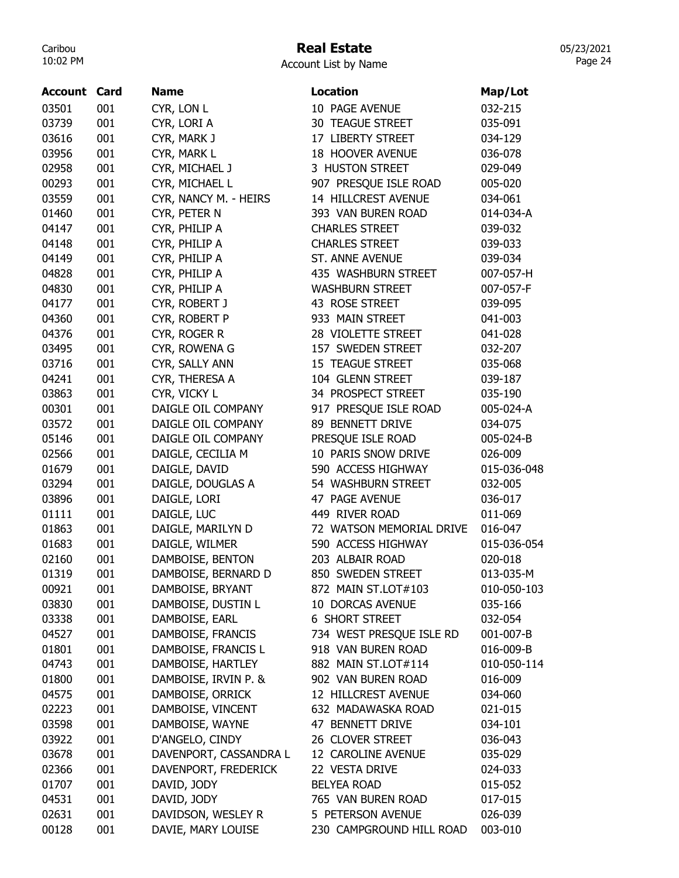# Real Estate

|  | <b>Account List by Name</b> |  |  |  |
|--|-----------------------------|--|--|--|
|--|-----------------------------|--|--|--|

| <b>Account Card</b> |            | <b>Name</b>                            | <b>Location</b>                         | Map/Lot     |
|---------------------|------------|----------------------------------------|-----------------------------------------|-------------|
| 03501               | 001        | CYR, LON L                             | 10 PAGE AVENUE                          | 032-215     |
| 03739               | 001        | CYR, LORI A                            | 30 TEAGUE STREET                        | 035-091     |
| 03616               | 001        | CYR, MARK J                            | 17 LIBERTY STREET                       | 034-129     |
| 03956               | 001        | CYR, MARK L                            | 18 HOOVER AVENUE                        | 036-078     |
| 02958               | 001        | CYR, MICHAEL J                         | 3 HUSTON STREET                         | 029-049     |
| 00293               | 001        | CYR, MICHAEL L                         | 907 PRESQUE ISLE ROAD                   | 005-020     |
| 03559               | 001        | CYR, NANCY M. - HEIRS                  | 14 HILLCREST AVENUE                     | 034-061     |
| 01460               | 001        | CYR, PETER N                           | 393 VAN BUREN ROAD                      | 014-034-A   |
| 04147               | 001        | CYR, PHILIP A                          | <b>CHARLES STREET</b>                   | 039-032     |
| 04148               | 001        | CYR, PHILIP A                          | <b>CHARLES STREET</b>                   | 039-033     |
| 04149               | 001        | CYR, PHILIP A                          | ST. ANNE AVENUE                         | 039-034     |
| 04828               | 001        | CYR, PHILIP A                          | 435 WASHBURN STREET                     | 007-057-H   |
| 04830               | 001        | CYR, PHILIP A                          | <b>WASHBURN STREET</b>                  | 007-057-F   |
| 04177               | 001        | CYR, ROBERT J                          | 43 ROSE STREET                          | 039-095     |
| 04360               | 001        | CYR, ROBERT P                          | 933 MAIN STREET                         | 041-003     |
| 04376               | 001        | CYR, ROGER R                           | 28 VIOLETTE STREET                      | 041-028     |
| 03495               | 001        | CYR, ROWENA G                          | 157 SWEDEN STREET                       | 032-207     |
| 03716               | 001        | CYR, SALLY ANN                         | 15 TEAGUE STREET                        | 035-068     |
| 04241               | 001        | CYR, THERESA A                         | 104 GLENN STREET                        | 039-187     |
| 03863               | 001        | CYR, VICKY L                           | 34 PROSPECT STREET                      | 035-190     |
| 00301               | 001        | DAIGLE OIL COMPANY                     | 917 PRESQUE ISLE ROAD                   | 005-024-A   |
| 03572               | 001        | DAIGLE OIL COMPANY                     | 89 BENNETT DRIVE                        | 034-075     |
| 05146               | 001        | DAIGLE OIL COMPANY                     | PRESQUE ISLE ROAD                       | 005-024-B   |
| 02566               | 001        | DAIGLE, CECILIA M                      | 10 PARIS SNOW DRIVE                     | 026-009     |
| 01679               | 001        | DAIGLE, DAVID                          | 590 ACCESS HIGHWAY                      | 015-036-048 |
| 03294               | 001        | DAIGLE, DOUGLAS A                      | 54 WASHBURN STREET                      | 032-005     |
| 03896               | 001        | DAIGLE, LORI                           | 47 PAGE AVENUE                          | 036-017     |
| 01111               | 001        | DAIGLE, LUC                            | 449 RIVER ROAD                          | 011-069     |
| 01863               | 001        | DAIGLE, MARILYN D                      | 72 WATSON MEMORIAL DRIVE                | 016-047     |
| 01683               | 001        |                                        | 590 ACCESS HIGHWAY                      | 015-036-054 |
| 02160               | 001        | DAIGLE, WILMER<br>DAMBOISE, BENTON     | 203 ALBAIR ROAD                         | 020-018     |
| 01319               | 001        |                                        | 850 SWEDEN STREET                       | 013-035-M   |
|                     |            | DAMBOISE, BERNARD D                    |                                         |             |
| 00921<br>03830      | 001<br>001 | DAMBOISE, BRYANT<br>DAMBOISE, DUSTIN L | 872 MAIN ST.LOT#103<br>10 DORCAS AVENUE | 010-050-103 |
|                     | 001        | DAMBOISE, EARL                         | <b>6 SHORT STREET</b>                   | 035-166     |
| 03338               |            |                                        |                                         | 032-054     |
| 04527               | 001        | DAMBOISE, FRANCIS                      | 734 WEST PRESQUE ISLE RD                | 001-007-B   |
| 01801               | 001        | DAMBOISE, FRANCIS L                    | 918 VAN BUREN ROAD                      | 016-009-B   |
| 04743               | 001        | DAMBOISE, HARTLEY                      | 882 MAIN ST.LOT#114                     | 010-050-114 |
| 01800               | 001        | DAMBOISE, IRVIN P. &                   | 902 VAN BUREN ROAD                      | 016-009     |
| 04575               | 001        | DAMBOISE, ORRICK                       | 12 HILLCREST AVENUE                     | 034-060     |
| 02223               | 001        | DAMBOISE, VINCENT                      | 632 MADAWASKA ROAD                      | 021-015     |
| 03598               | 001        | DAMBOISE, WAYNE                        | 47 BENNETT DRIVE                        | 034-101     |
| 03922               | 001        | D'ANGELO, CINDY                        | 26 CLOVER STREET                        | 036-043     |
| 03678               | 001        | DAVENPORT, CASSANDRA L                 | 12 CAROLINE AVENUE                      | 035-029     |
| 02366               | 001        | DAVENPORT, FREDERICK                   | 22 VESTA DRIVE                          | 024-033     |
| 01707               | 001        | DAVID, JODY                            | <b>BELYEA ROAD</b>                      | 015-052     |
| 04531               | 001        | DAVID, JODY                            | 765 VAN BUREN ROAD                      | 017-015     |
| 02631               | 001        | DAVIDSON, WESLEY R                     | 5 PETERSON AVENUE                       | 026-039     |
| 00128               | 001        | DAVIE, MARY LOUISE                     | 230 CAMPGROUND HILL ROAD                | 003-010     |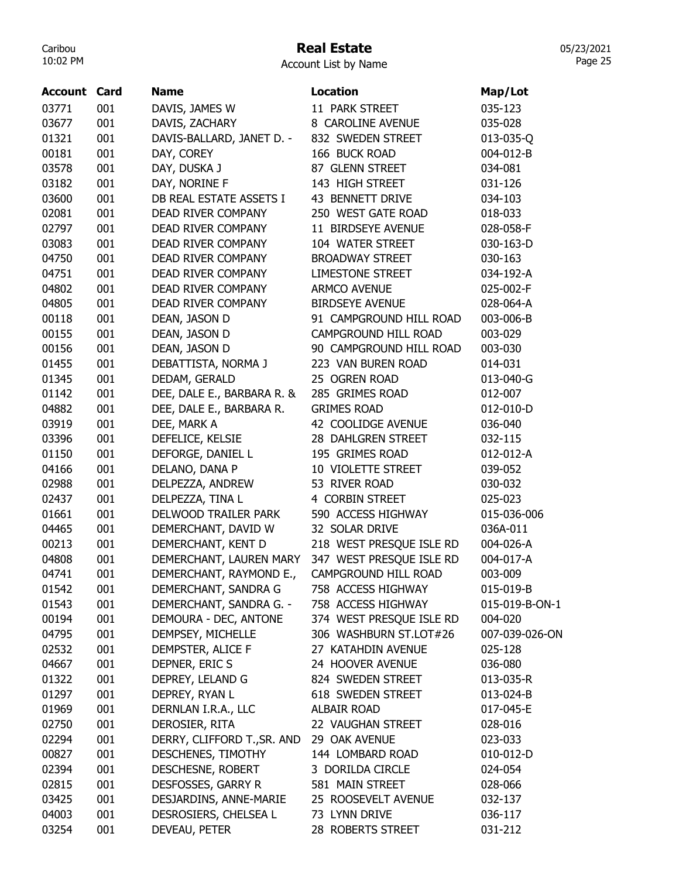# Real Estate

Account List by Name

| <b>Account Card</b> |     | <b>Name</b>                 | Location                 | Map/Lot        |
|---------------------|-----|-----------------------------|--------------------------|----------------|
| 03771               | 001 | DAVIS, JAMES W              | 11 PARK STREET           | 035-123        |
| 03677               | 001 | DAVIS, ZACHARY              | 8 CAROLINE AVENUE        | 035-028        |
| 01321               | 001 | DAVIS-BALLARD, JANET D. -   | 832 SWEDEN STREET        | 013-035-Q      |
| 00181               | 001 | DAY, COREY                  | 166 BUCK ROAD            | 004-012-B      |
| 03578               | 001 | DAY, DUSKA J                | 87 GLENN STREET          | 034-081        |
| 03182               | 001 | DAY, NORINE F               | 143 HIGH STREET          | 031-126        |
| 03600               | 001 | DB REAL ESTATE ASSETS I     | 43 BENNETT DRIVE         | 034-103        |
| 02081               | 001 | DEAD RIVER COMPANY          | 250 WEST GATE ROAD       | 018-033        |
|                     |     |                             | 11 BIRDSEYE AVENUE       |                |
| 02797               | 001 | DEAD RIVER COMPANY          |                          | 028-058-F      |
| 03083               | 001 | DEAD RIVER COMPANY          | 104 WATER STREET         | 030-163-D      |
| 04750               | 001 | DEAD RIVER COMPANY          | <b>BROADWAY STREET</b>   | 030-163        |
| 04751               | 001 | DEAD RIVER COMPANY          | <b>LIMESTONE STREET</b>  | 034-192-A      |
| 04802               | 001 | DEAD RIVER COMPANY          | <b>ARMCO AVENUE</b>      | 025-002-F      |
| 04805               | 001 | DEAD RIVER COMPANY          | <b>BIRDSEYE AVENUE</b>   | 028-064-A      |
| 00118               | 001 | DEAN, JASON D               | 91 CAMPGROUND HILL ROAD  | 003-006-B      |
| 00155               | 001 | DEAN, JASON D               | CAMPGROUND HILL ROAD     | 003-029        |
| 00156               | 001 | DEAN, JASON D               | 90 CAMPGROUND HILL ROAD  | 003-030        |
| 01455               | 001 | DEBATTISTA, NORMA J         | 223 VAN BUREN ROAD       | 014-031        |
| 01345               | 001 | DEDAM, GERALD               | 25 OGREN ROAD            | 013-040-G      |
| 01142               | 001 | DEE, DALE E., BARBARA R. &  | 285 GRIMES ROAD          | 012-007        |
| 04882               | 001 | DEE, DALE E., BARBARA R.    | <b>GRIMES ROAD</b>       | 012-010-D      |
| 03919               | 001 | DEE, MARK A                 | 42 COOLIDGE AVENUE       | 036-040        |
| 03396               | 001 | DEFELICE, KELSIE            | 28 DAHLGREN STREET       | 032-115        |
| 01150               | 001 | DEFORGE, DANIEL L           | 195 GRIMES ROAD          | 012-012-A      |
| 04166               | 001 | DELANO, DANA P              | 10 VIOLETTE STREET       | 039-052        |
| 02988               | 001 | DELPEZZA, ANDREW            | 53 RIVER ROAD            | 030-032        |
| 02437               | 001 | DELPEZZA, TINA L            | 4 CORBIN STREET          | 025-023        |
| 01661               | 001 | DELWOOD TRAILER PARK        | 590 ACCESS HIGHWAY       | 015-036-006    |
| 04465               | 001 | DEMERCHANT, DAVID W         | 32 SOLAR DRIVE           | 036A-011       |
| 00213               | 001 | DEMERCHANT, KENT D          | 218 WEST PRESQUE ISLE RD | 004-026-A      |
| 04808               | 001 | DEMERCHANT, LAUREN MARY     | 347 WEST PRESQUE ISLE RD | 004-017-A      |
| 04741               | 001 | DEMERCHANT, RAYMOND E.,     | CAMPGROUND HILL ROAD     | 003-009        |
| 01542               | 001 | DEMERCHANT, SANDRA G        | 758 ACCESS HIGHWAY       | 015-019-B      |
| 01543               | 001 | DEMERCHANT, SANDRA G. -     | 758 ACCESS HIGHWAY       | 015-019-B-ON-1 |
| 00194               | 001 | DEMOURA - DEC, ANTONE       | 374 WEST PRESQUE ISLE RD | 004-020        |
| 04795               | 001 | DEMPSEY, MICHELLE           | 306 WASHBURN ST.LOT#26   | 007-039-026-ON |
| 02532               | 001 | DEMPSTER, ALICE F           | 27 KATAHDIN AVENUE       | 025-128        |
| 04667               | 001 | DEPNER, ERIC S              | 24 HOOVER AVENUE         | 036-080        |
| 01322               | 001 | DEPREY, LELAND G            | 824 SWEDEN STREET        | 013-035-R      |
| 01297               | 001 | DEPREY, RYAN L              | 618 SWEDEN STREET        | 013-024-B      |
| 01969               | 001 | DERNLAN I.R.A., LLC         | <b>ALBAIR ROAD</b>       | 017-045-E      |
| 02750               | 001 | DEROSIER, RITA              | 22 VAUGHAN STREET        | 028-016        |
| 02294               | 001 | DERRY, CLIFFORD T., SR. AND | 29 OAK AVENUE            | 023-033        |
| 00827               | 001 | DESCHENES, TIMOTHY          | 144 LOMBARD ROAD         | 010-012-D      |
| 02394               | 001 | DESCHESNE, ROBERT           | 3 DORILDA CIRCLE         | 024-054        |
| 02815               | 001 | DESFOSSES, GARRY R          | 581 MAIN STREET          | 028-066        |
| 03425               | 001 | DESJARDINS, ANNE-MARIE      | 25 ROOSEVELT AVENUE      | 032-137        |
| 04003               | 001 | DESROSIERS, CHELSEA L       | 73 LYNN DRIVE            | 036-117        |
| 03254               | 001 | DEVEAU, PETER               | 28 ROBERTS STREET        | 031-212        |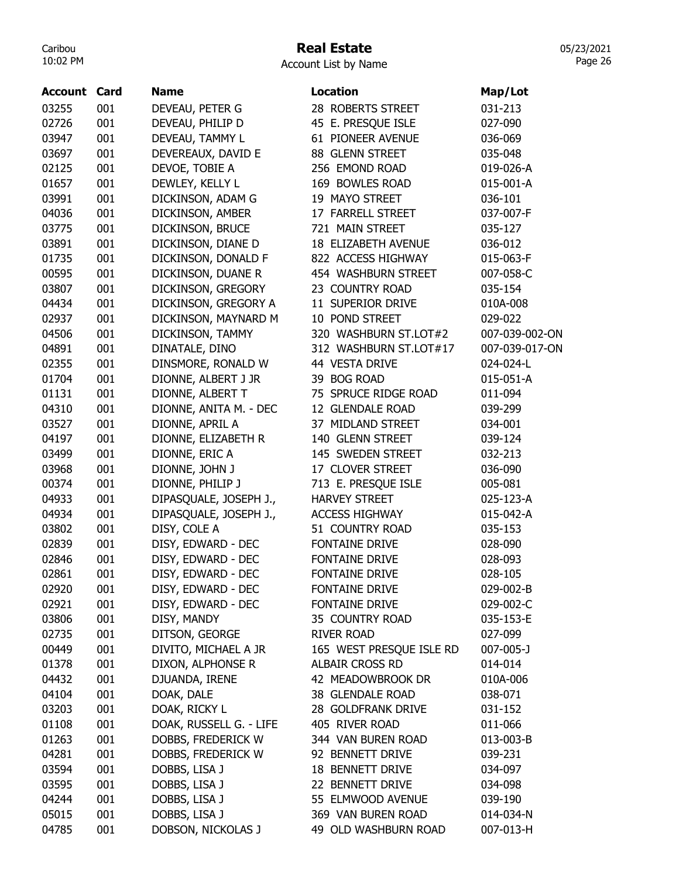# Real Estate

Account List by Name

| <b>Account Card</b> |     | <b>Name</b>             | <b>Location</b>          | Map/Lot         |
|---------------------|-----|-------------------------|--------------------------|-----------------|
| 03255               | 001 | DEVEAU, PETER G         | 28 ROBERTS STREET        | 031-213         |
| 02726               | 001 | DEVEAU, PHILIP D        | 45 E. PRESQUE ISLE       | 027-090         |
| 03947               | 001 | DEVEAU, TAMMY L         | 61 PIONEER AVENUE        | 036-069         |
| 03697               | 001 | DEVEREAUX, DAVID E      | 88 GLENN STREET          | 035-048         |
| 02125               | 001 | DEVOE, TOBIE A          | 256 EMOND ROAD           | 019-026-A       |
| 01657               | 001 | DEWLEY, KELLY L         | 169 BOWLES ROAD          | 015-001-A       |
| 03991               | 001 | DICKINSON, ADAM G       | 19 MAYO STREET           | 036-101         |
| 04036               | 001 | DICKINSON, AMBER        | 17 FARRELL STREET        | 037-007-F       |
| 03775               | 001 | DICKINSON, BRUCE        | 721 MAIN STREET          | 035-127         |
| 03891               | 001 | DICKINSON, DIANE D      | 18 ELIZABETH AVENUE      | 036-012         |
| 01735               | 001 | DICKINSON, DONALD F     | 822 ACCESS HIGHWAY       | 015-063-F       |
| 00595               | 001 | DICKINSON, DUANE R      | 454 WASHBURN STREET      | 007-058-C       |
| 03807               | 001 | DICKINSON, GREGORY      | 23 COUNTRY ROAD          | 035-154         |
| 04434               | 001 | DICKINSON, GREGORY A    | 11 SUPERIOR DRIVE        | 010A-008        |
| 02937               | 001 | DICKINSON, MAYNARD M    | 10 POND STREET           | 029-022         |
| 04506               | 001 | DICKINSON, TAMMY        | 320 WASHBURN ST.LOT#2    | 007-039-002-ON  |
| 04891               | 001 | DINATALE, DINO          | 312 WASHBURN ST.LOT#17   | 007-039-017-ON  |
| 02355               | 001 | DINSMORE, RONALD W      | 44 VESTA DRIVE           | 024-024-L       |
| 01704               | 001 | DIONNE, ALBERT J JR     | 39 BOG ROAD              | 015-051-A       |
| 01131               | 001 | DIONNE, ALBERT T        | 75 SPRUCE RIDGE ROAD     | 011-094         |
| 04310               | 001 | DIONNE, ANITA M. - DEC  | 12 GLENDALE ROAD         | 039-299         |
| 03527               | 001 | DIONNE, APRIL A         | 37 MIDLAND STREET        | 034-001         |
| 04197               | 001 | DIONNE, ELIZABETH R     | 140 GLENN STREET         | 039-124         |
| 03499               | 001 | DIONNE, ERIC A          | 145 SWEDEN STREET        | 032-213         |
| 03968               | 001 | DIONNE, JOHN J          | 17 CLOVER STREET         | 036-090         |
| 00374               | 001 | DIONNE, PHILIP J        | 713 E. PRESQUE ISLE      | 005-081         |
| 04933               | 001 | DIPASQUALE, JOSEPH J.,  | <b>HARVEY STREET</b>     | 025-123-A       |
| 04934               | 001 | DIPASQUALE, JOSEPH J.,  | <b>ACCESS HIGHWAY</b>    | 015-042-A       |
| 03802               | 001 | DISY, COLE A            | 51 COUNTRY ROAD          | 035-153         |
| 02839               | 001 | DISY, EDWARD - DEC      | <b>FONTAINE DRIVE</b>    | 028-090         |
| 02846               | 001 | DISY, EDWARD - DEC      | <b>FONTAINE DRIVE</b>    | 028-093         |
| 02861               | 001 | DISY, EDWARD - DEC      | <b>FONTAINE DRIVE</b>    | 028-105         |
| 02920               | 001 | DISY, EDWARD - DEC      | <b>FONTAINE DRIVE</b>    | 029-002-B       |
| 02921               | 001 | DISY, EDWARD - DEC      | FONTAINE DRIVE           | 029-002-C       |
| 03806               | 001 | DISY, MANDY             | 35 COUNTRY ROAD          | 035-153-E       |
| 02735               | 001 | DITSON, GEORGE          | <b>RIVER ROAD</b>        | 027-099         |
| 00449               | 001 | DIVITO, MICHAEL A JR    | 165 WEST PRESQUE ISLE RD | $007 - 005 - J$ |
| 01378               | 001 | DIXON, ALPHONSE R       | ALBAIR CROSS RD          | 014-014         |
| 04432               | 001 | DJUANDA, IRENE          | 42 MEADOWBROOK DR        | 010A-006        |
| 04104               | 001 | DOAK, DALE              | 38 GLENDALE ROAD         | 038-071         |
| 03203               | 001 | DOAK, RICKY L           | 28 GOLDFRANK DRIVE       | 031-152         |
| 01108               | 001 | DOAK, RUSSELL G. - LIFE | 405 RIVER ROAD           | 011-066         |
| 01263               | 001 | DOBBS, FREDERICK W      | 344 VAN BUREN ROAD       | 013-003-B       |
| 04281               | 001 | DOBBS, FREDERICK W      | 92 BENNETT DRIVE         | 039-231         |
| 03594               | 001 | DOBBS, LISA J           | 18 BENNETT DRIVE         | 034-097         |
| 03595               | 001 | DOBBS, LISA J           | 22 BENNETT DRIVE         | 034-098         |
| 04244               | 001 | DOBBS, LISA J           | 55 ELMWOOD AVENUE        | 039-190         |
| 05015               | 001 | DOBBS, LISA J           | 369 VAN BUREN ROAD       | 014-034-N       |
| 04785               | 001 | DOBSON, NICKOLAS J      | 49 OLD WASHBURN ROAD     | 007-013-H       |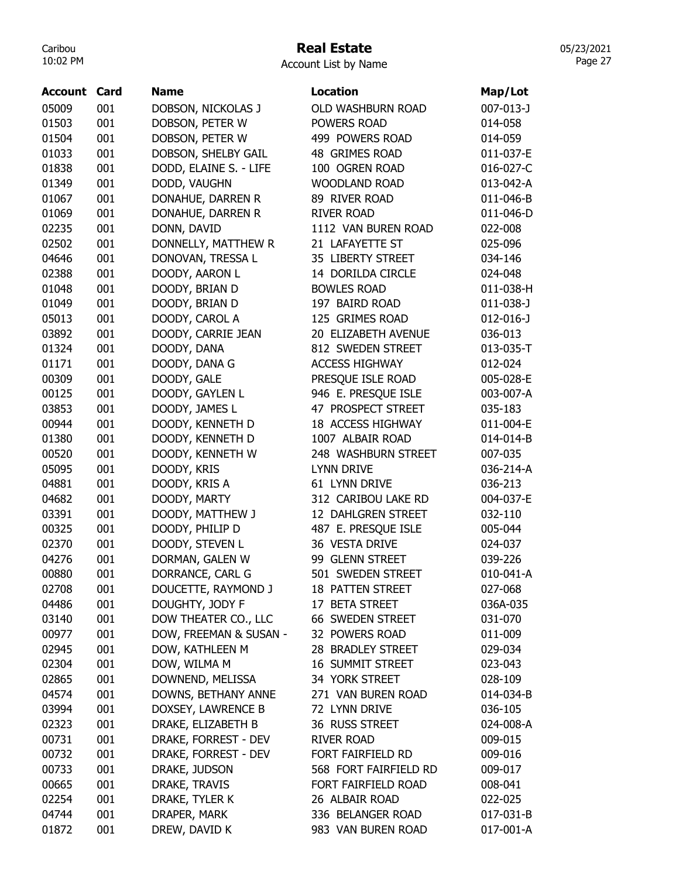## Real Estate

05/23/2021 Page 27

| <b>Account</b> | Card | <b>Name</b>            | <b>Location</b>          | Map/Lot         |
|----------------|------|------------------------|--------------------------|-----------------|
| 05009          | 001  | DOBSON, NICKOLAS J     | <b>OLD WASHBURN ROAD</b> | 007-013-J       |
| 01503          | 001  | DOBSON, PETER W        | <b>POWERS ROAD</b>       | 014-058         |
| 01504          | 001  | DOBSON, PETER W        | 499 POWERS ROAD          | 014-059         |
| 01033          | 001  | DOBSON, SHELBY GAIL    | 48 GRIMES ROAD           | 011-037-E       |
| 01838          | 001  | DODD, ELAINE S. - LIFE | 100 OGREN ROAD           | 016-027-C       |
| 01349          | 001  | DODD, VAUGHN           | <b>WOODLAND ROAD</b>     | 013-042-A       |
| 01067          | 001  | DONAHUE, DARREN R      | 89 RIVER ROAD            | 011-046-B       |
| 01069          | 001  | DONAHUE, DARREN R      | <b>RIVER ROAD</b>        | 011-046-D       |
| 02235          | 001  | DONN, DAVID            | 1112 VAN BUREN ROAD      | 022-008         |
| 02502          | 001  | DONNELLY, MATTHEW R    | 21 LAFAYETTE ST          | 025-096         |
| 04646          | 001  | DONOVAN, TRESSA L      | 35 LIBERTY STREET        | 034-146         |
| 02388          | 001  | DOODY, AARON L         | 14 DORILDA CIRCLE        | 024-048         |
| 01048          | 001  | DOODY, BRIAN D         | <b>BOWLES ROAD</b>       | 011-038-H       |
| 01049          | 001  | DOODY, BRIAN D         | 197 BAIRD ROAD           | $011 - 038 - J$ |
| 05013          | 001  | DOODY, CAROL A         | 125 GRIMES ROAD          | $012 - 016 - J$ |
| 03892          | 001  | DOODY, CARRIE JEAN     | 20 ELIZABETH AVENUE      | 036-013         |
| 01324          | 001  | DOODY, DANA            | 812 SWEDEN STREET        | 013-035-T       |
| 01171          | 001  | DOODY, DANA G          | <b>ACCESS HIGHWAY</b>    | 012-024         |
| 00309          | 001  | DOODY, GALE            | PRESQUE ISLE ROAD        | 005-028-E       |
| 00125          | 001  | DOODY, GAYLEN L        | 946 E. PRESQUE ISLE      | 003-007-A       |
| 03853          | 001  | DOODY, JAMES L         | 47 PROSPECT STREET       | 035-183         |
| 00944          | 001  | DOODY, KENNETH D       | 18 ACCESS HIGHWAY        | 011-004-E       |
| 01380          | 001  | DOODY, KENNETH D       | 1007 ALBAIR ROAD         | 014-014-B       |
| 00520          | 001  | DOODY, KENNETH W       | 248 WASHBURN STREET      | 007-035         |
| 05095          | 001  | DOODY, KRIS            | <b>LYNN DRIVE</b>        | 036-214-A       |
| 04881          | 001  | DOODY, KRIS A          | 61 LYNN DRIVE            | 036-213         |
| 04682          | 001  | DOODY, MARTY           | 312 CARIBOU LAKE RD      | 004-037-E       |
| 03391          | 001  | DOODY, MATTHEW J       | 12 DAHLGREN STREET       | 032-110         |
| 00325          | 001  | DOODY, PHILIP D        | 487 E. PRESQUE ISLE      | 005-044         |
| 02370          | 001  | DOODY, STEVEN L        | 36 VESTA DRIVE           | 024-037         |
| 04276          | 001  | DORMAN, GALEN W        | 99 GLENN STREET          | 039-226         |
| 00880          | 001  | DORRANCE, CARL G       | 501 SWEDEN STREET        | 010-041-A       |
| 02708          | 001  | DOUCETTE, RAYMOND J    | 18 PATTEN STREET         | 027-068         |
| 04486          | 001  | DOUGHTY, JODY F        | 17 BETA STREET           | 036A-035        |
| 03140          | 001  | DOW THEATER CO., LLC   | 66 SWEDEN STREET         | 031-070         |
| 00977          | 001  | DOW, FREEMAN & SUSAN - | 32 POWERS ROAD           | 011-009         |
| 02945          | 001  | DOW, KATHLEEN M        | 28 BRADLEY STREET        | 029-034         |
| 02304          | 001  | DOW, WILMA M           | 16 SUMMIT STREET         | 023-043         |
| 02865          | 001  | DOWNEND, MELISSA       | 34 YORK STREET           | 028-109         |
| 04574          | 001  | DOWNS, BETHANY ANNE    | 271 VAN BUREN ROAD       | 014-034-B       |
| 03994          | 001  | DOXSEY, LAWRENCE B     | 72 LYNN DRIVE            | 036-105         |
| 02323          | 001  | DRAKE, ELIZABETH B     | 36 RUSS STREET           | 024-008-A       |
| 00731          | 001  | DRAKE, FORREST - DEV   | <b>RIVER ROAD</b>        | 009-015         |
| 00732          | 001  | DRAKE, FORREST - DEV   | FORT FAIRFIELD RD        | 009-016         |
| 00733          | 001  | DRAKE, JUDSON          | 568 FORT FAIRFIELD RD    | 009-017         |
| 00665          | 001  | DRAKE, TRAVIS          | FORT FAIRFIELD ROAD      | 008-041         |
| 02254          | 001  | DRAKE, TYLER K         | 26 ALBAIR ROAD           | 022-025         |
| 04744          | 001  | DRAPER, MARK           | 336 BELANGER ROAD        | 017-031-B       |
| 01872          | 001  | DREW, DAVID K          | 983 VAN BUREN ROAD       | 017-001-A       |
|                |      |                        |                          |                 |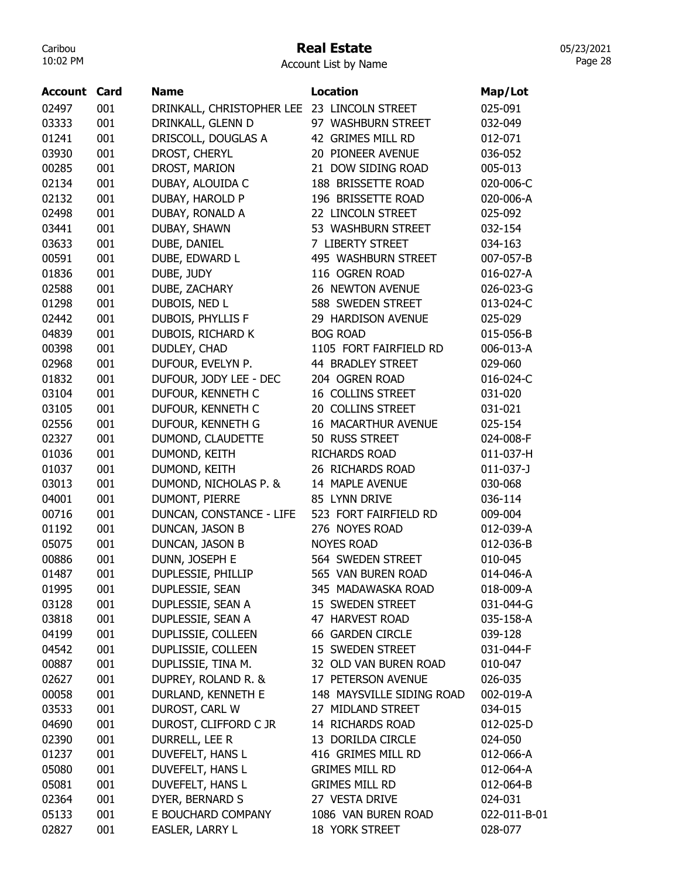## Real Estate

05/23/2021 Page 28

| Account | Card | <b>Name</b>                                 | <b>Location</b>           | Map/Lot      |
|---------|------|---------------------------------------------|---------------------------|--------------|
| 02497   | 001  | DRINKALL, CHRISTOPHER LEE 23 LINCOLN STREET |                           | 025-091      |
| 03333   | 001  | DRINKALL, GLENN D                           | 97 WASHBURN STREET        | 032-049      |
| 01241   | 001  | DRISCOLL, DOUGLAS A                         | 42 GRIMES MILL RD         | 012-071      |
| 03930   | 001  | DROST, CHERYL                               | 20 PIONEER AVENUE         | 036-052      |
| 00285   | 001  | DROST, MARION                               | 21 DOW SIDING ROAD        | 005-013      |
| 02134   | 001  | DUBAY, ALOUIDA C                            | 188 BRISSETTE ROAD        | 020-006-C    |
| 02132   | 001  | DUBAY, HAROLD P                             | 196 BRISSETTE ROAD        | 020-006-A    |
| 02498   | 001  | DUBAY, RONALD A                             | 22 LINCOLN STREET         | 025-092      |
| 03441   | 001  | DUBAY, SHAWN                                | 53 WASHBURN STREET        | 032-154      |
| 03633   | 001  | DUBE, DANIEL                                | 7 LIBERTY STREET          | 034-163      |
| 00591   | 001  | DUBE, EDWARD L                              | 495 WASHBURN STREET       | 007-057-B    |
| 01836   | 001  | DUBE, JUDY                                  | 116 OGREN ROAD            | 016-027-A    |
| 02588   | 001  | DUBE, ZACHARY                               | 26 NEWTON AVENUE          | 026-023-G    |
| 01298   | 001  | DUBOIS, NED L                               | 588 SWEDEN STREET         | 013-024-C    |
| 02442   | 001  | DUBOIS, PHYLLIS F                           | 29 HARDISON AVENUE        | 025-029      |
| 04839   | 001  | DUBOIS, RICHARD K                           | <b>BOG ROAD</b>           | 015-056-B    |
| 00398   | 001  | DUDLEY, CHAD                                | 1105 FORT FAIRFIELD RD    | 006-013-A    |
| 02968   | 001  | DUFOUR, EVELYN P.                           | 44 BRADLEY STREET         | 029-060      |
| 01832   | 001  | DUFOUR, JODY LEE - DEC                      | 204 OGREN ROAD            | 016-024-C    |
| 03104   | 001  | DUFOUR, KENNETH C                           | 16 COLLINS STREET         | 031-020      |
| 03105   | 001  | DUFOUR, KENNETH C                           | 20 COLLINS STREET         | 031-021      |
| 02556   | 001  | DUFOUR, KENNETH G                           | 16 MACARTHUR AVENUE       | 025-154      |
| 02327   | 001  | DUMOND, CLAUDETTE                           | 50 RUSS STREET            | 024-008-F    |
| 01036   | 001  | DUMOND, KEITH                               | <b>RICHARDS ROAD</b>      | 011-037-H    |
| 01037   | 001  | DUMOND, KEITH                               | 26 RICHARDS ROAD          | $011-037-$   |
| 03013   | 001  | DUMOND, NICHOLAS P. &                       | 14 MAPLE AVENUE           | 030-068      |
| 04001   | 001  | DUMONT, PIERRE                              | 85 LYNN DRIVE             | 036-114      |
| 00716   | 001  | DUNCAN, CONSTANCE - LIFE                    | 523 FORT FAIRFIELD RD     | 009-004      |
| 01192   | 001  | DUNCAN, JASON B                             | 276 NOYES ROAD            | 012-039-A    |
|         |      |                                             | <b>NOYES ROAD</b>         |              |
| 05075   | 001  | DUNCAN, JASON B                             | 564 SWEDEN STREET         | 012-036-B    |
| 00886   | 001  | DUNN, JOSEPH E                              | 565 VAN BUREN ROAD        | 010-045      |
| 01487   | 001  | DUPLESSIE, PHILLIP<br>DUPLESSIE, SEAN       |                           | 014-046-A    |
| 01995   | 001  |                                             | 345 MADAWASKA ROAD        | 018-009-A    |
| 03128   | 001  | DUPLESSIE, SEAN A                           | 15 SWEDEN STREET          | 031-044-G    |
| 03818   | 001  | DUPLESSIE, SEAN A                           | 47 HARVEST ROAD           | 035-158-A    |
| 04199   | 001  | DUPLISSIE, COLLEEN                          | 66 GARDEN CIRCLE          | 039-128      |
| 04542   | 001  | DUPLISSIE, COLLEEN                          | 15 SWEDEN STREET          | 031-044-F    |
| 00887   | 001  | DUPLISSIE, TINA M.                          | 32 OLD VAN BUREN ROAD     | 010-047      |
| 02627   | 001  | DUPREY, ROLAND R. &                         | 17 PETERSON AVENUE        | 026-035      |
| 00058   | 001  | DURLAND, KENNETH E                          | 148 MAYSVILLE SIDING ROAD | 002-019-A    |
| 03533   | 001  | DUROST, CARL W                              | 27 MIDLAND STREET         | 034-015      |
| 04690   | 001  | DUROST, CLIFFORD C JR                       | 14 RICHARDS ROAD          | 012-025-D    |
| 02390   | 001  | DURRELL, LEE R                              | 13 DORILDA CIRCLE         | 024-050      |
| 01237   | 001  | DUVEFELT, HANS L                            | 416 GRIMES MILL RD        | 012-066-A    |
| 05080   | 001  | DUVEFELT, HANS L                            | <b>GRIMES MILL RD</b>     | 012-064-A    |
| 05081   | 001  | DUVEFELT, HANS L                            | <b>GRIMES MILL RD</b>     | 012-064-B    |
| 02364   | 001  | DYER, BERNARD S                             | 27 VESTA DRIVE            | 024-031      |
| 05133   | 001  | E BOUCHARD COMPANY                          | 1086 VAN BUREN ROAD       | 022-011-B-01 |
| 02827   | 001  | EASLER, LARRY L                             | 18 YORK STREET            | 028-077      |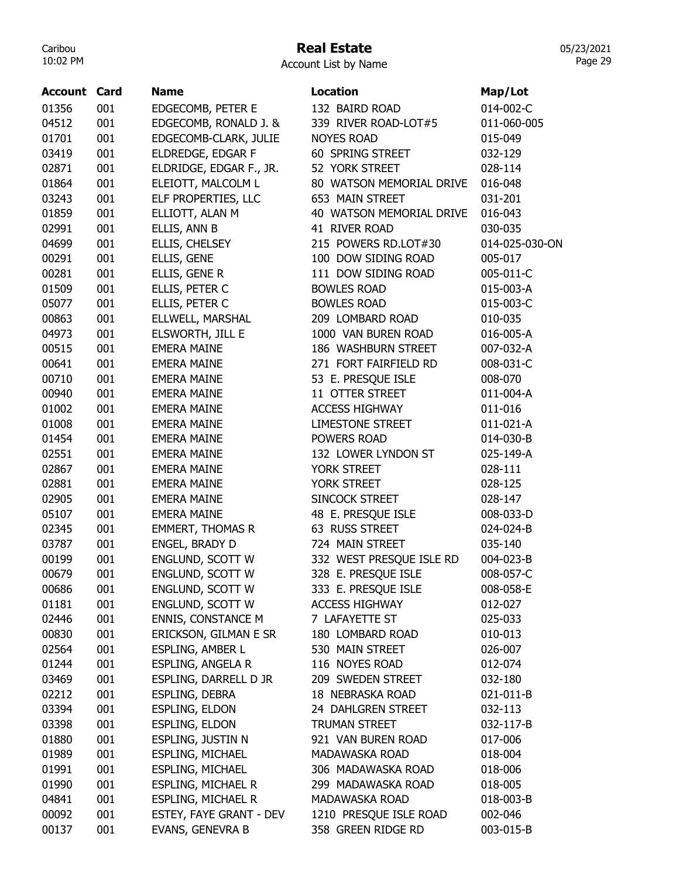# Real Estate

05/23/2021 Page 29

| <b>Account Card</b> |     | <b>Name</b>               | <b>Location</b>          | Map/Lot        |
|---------------------|-----|---------------------------|--------------------------|----------------|
| 01356               | 001 | EDGECOMB, PETER E         | 132 BAIRD ROAD           | 014-002-C      |
| 04512               | 001 | EDGECOMB, RONALD J. &     | 339 RIVER ROAD-LOT#5     | 011-060-005    |
| 01701               | 001 | EDGECOMB-CLARK, JULIE     | <b>NOYES ROAD</b>        | 015-049        |
| 03419               | 001 | ELDREDGE, EDGAR F         | 60 SPRING STREET         | 032-129        |
| 02871               | 001 | ELDRIDGE, EDGAR F., JR.   | 52 YORK STREET           | 028-114        |
| 01864               | 001 | ELEIOTT, MALCOLM L        | 80 WATSON MEMORIAL DRIVE | 016-048        |
| 03243               | 001 | ELF PROPERTIES, LLC       | 653 MAIN STREET          | 031-201        |
| 01859               | 001 | ELLIOTT, ALAN M           | 40 WATSON MEMORIAL DRIVE | 016-043        |
| 02991               | 001 | ELLIS, ANN B              | 41 RIVER ROAD            | 030-035        |
| 04699               | 001 | ELLIS, CHELSEY            | 215 POWERS RD.LOT#30     | 014-025-030-ON |
| 00291               | 001 | ELLIS, GENE               | 100 DOW SIDING ROAD      | 005-017        |
| 00281               | 001 | ELLIS, GENE R             | 111 DOW SIDING ROAD      | 005-011-C      |
| 01509               | 001 | ELLIS, PETER C            | <b>BOWLES ROAD</b>       | 015-003-A      |
| 05077               | 001 | ELLIS, PETER C            | <b>BOWLES ROAD</b>       | 015-003-C      |
| 00863               | 001 | ELLWELL, MARSHAL          | 209 LOMBARD ROAD         | 010-035        |
| 04973               | 001 | ELSWORTH, JILL E          | 1000 VAN BUREN ROAD      | 016-005-A      |
| 00515               | 001 | <b>EMERA MAINE</b>        | 186 WASHBURN STREET      | 007-032-A      |
| 00641               | 001 | <b>EMERA MAINE</b>        | 271 FORT FAIRFIELD RD    | 008-031-C      |
| 00710               | 001 | <b>EMERA MAINE</b>        | 53 E. PRESQUE ISLE       | 008-070        |
| 00940               | 001 | <b>EMERA MAINE</b>        | 11 OTTER STREET          | 011-004-A      |
| 01002               | 001 | <b>EMERA MAINE</b>        | <b>ACCESS HIGHWAY</b>    | 011-016        |
| 01008               | 001 | <b>EMERA MAINE</b>        | <b>LIMESTONE STREET</b>  | 011-021-A      |
| 01454               | 001 | <b>EMERA MAINE</b>        | POWERS ROAD              | 014-030-B      |
| 02551               | 001 | <b>EMERA MAINE</b>        | 132 LOWER LYNDON ST      | 025-149-A      |
| 02867               | 001 | <b>EMERA MAINE</b>        | YORK STREET              | 028-111        |
| 02881               | 001 | <b>EMERA MAINE</b>        | YORK STREET              | 028-125        |
| 02905               | 001 | <b>EMERA MAINE</b>        | SINCOCK STREET           | 028-147        |
| 05107               | 001 | <b>EMERA MAINE</b>        | 48 E. PRESQUE ISLE       | 008-033-D      |
| 02345               | 001 | <b>EMMERT, THOMAS R</b>   | 63 RUSS STREET           | 024-024-B      |
| 03787               | 001 | ENGEL, BRADY D            | 724 MAIN STREET          | 035-140        |
| 00199               | 001 | ENGLUND, SCOTT W          | 332 WEST PRESQUE ISLE RD | 004-023-B      |
| 00679               | 001 | ENGLUND, SCOTT W          | 328 E. PRESQUE ISLE      | 008-057-C      |
| 00686               | 001 | ENGLUND, SCOTT W          | 333 E. PRESQUE ISLE      | 008-058-E      |
| 01181               | 001 | ENGLUND, SCOTT W          | <b>ACCESS HIGHWAY</b>    | 012-027        |
| 02446               | 001 | <b>ENNIS, CONSTANCE M</b> | 7 LAFAYETTE ST           | 025-033        |
| 00830               | 001 | ERICKSON, GILMAN E SR     | 180 LOMBARD ROAD         | 010-013        |
| 02564               | 001 | ESPLING, AMBER L          | 530 MAIN STREET          | 026-007        |
| 01244               | 001 | ESPLING, ANGELA R         | 116 NOYES ROAD           | 012-074        |
| 03469               | 001 | ESPLING, DARRELL D JR     | 209 SWEDEN STREET        | 032-180        |
| 02212               | 001 | ESPLING, DEBRA            | 18 NEBRASKA ROAD         | 021-011-B      |
| 03394               | 001 | ESPLING, ELDON            | 24 DAHLGREN STREET       | 032-113        |
| 03398               | 001 | <b>ESPLING, ELDON</b>     | <b>TRUMAN STREET</b>     | 032-117-B      |
| 01880               | 001 | ESPLING, JUSTIN N         | 921 VAN BUREN ROAD       | 017-006        |
| 01989               | 001 | ESPLING, MICHAEL          | MADAWASKA ROAD           | 018-004        |
| 01991               | 001 | <b>ESPLING, MICHAEL</b>   | 306 MADAWASKA ROAD       | 018-006        |
| 01990               | 001 | ESPLING, MICHAEL R        | 299 MADAWASKA ROAD       | 018-005        |
| 04841               | 001 | <b>ESPLING, MICHAEL R</b> | MADAWASKA ROAD           | 018-003-B      |
| 00092               | 001 | ESTEY, FAYE GRANT - DEV   | 1210 PRESQUE ISLE ROAD   | 002-046        |
| 00137               | 001 | EVANS, GENEVRA B          | 358 GREEN RIDGE RD       | 003-015-B      |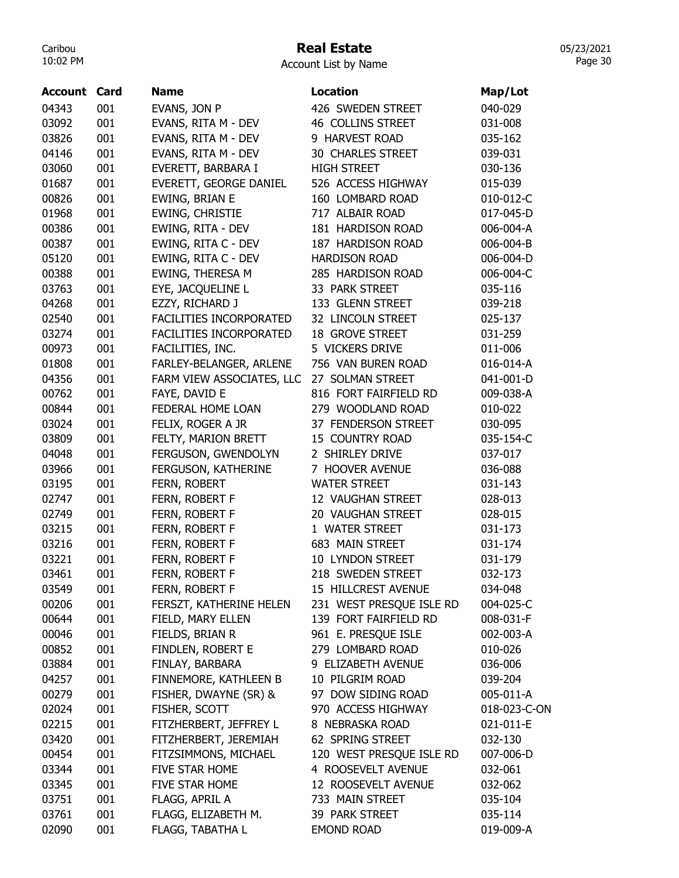## Real Estate

Account List by Name

| <b>Account Card</b> |     | <b>Name</b>                    | Location                 | Map/Lot      |
|---------------------|-----|--------------------------------|--------------------------|--------------|
| 04343               | 001 | EVANS, JON P                   | 426 SWEDEN STREET        | 040-029      |
| 03092               | 001 | EVANS, RITA M - DEV            | 46 COLLINS STREET        | 031-008      |
| 03826               | 001 | EVANS, RITA M - DEV            | 9 HARVEST ROAD           | 035-162      |
| 04146               | 001 | EVANS, RITA M - DEV            | <b>30 CHARLES STREET</b> | 039-031      |
| 03060               | 001 | EVERETT, BARBARA I             | <b>HIGH STREET</b>       | 030-136      |
| 01687               | 001 | EVERETT, GEORGE DANIEL         | 526 ACCESS HIGHWAY       | 015-039      |
| 00826               | 001 | EWING, BRIAN E                 | 160 LOMBARD ROAD         | 010-012-C    |
| 01968               | 001 | EWING, CHRISTIE                | 717 ALBAIR ROAD          | 017-045-D    |
| 00386               | 001 | EWING, RITA - DEV              | 181 HARDISON ROAD        | 006-004-A    |
| 00387               | 001 | EWING, RITA C - DEV            | 187 HARDISON ROAD        | 006-004-B    |
| 05120               | 001 | EWING, RITA C - DEV            | <b>HARDISON ROAD</b>     | 006-004-D    |
| 00388               | 001 | EWING, THERESA M               | 285 HARDISON ROAD        | 006-004-C    |
| 03763               | 001 | EYE, JACQUELINE L              | 33 PARK STREET           | 035-116      |
| 04268               | 001 | EZZY, RICHARD J                | 133 GLENN STREET         | 039-218      |
| 02540               | 001 | FACILITIES INCORPORATED        | 32 LINCOLN STREET        | 025-137      |
| 03274               | 001 | <b>FACILITIES INCORPORATED</b> | <b>18 GROVE STREET</b>   | 031-259      |
| 00973               | 001 | FACILITIES, INC.               | 5 VICKERS DRIVE          | 011-006      |
| 01808               | 001 | FARLEY-BELANGER, ARLENE        | 756 VAN BUREN ROAD       | 016-014-A    |
| 04356               | 001 | FARM VIEW ASSOCIATES, LLC      | 27 SOLMAN STREET         | 041-001-D    |
| 00762               | 001 | FAYE, DAVID E                  | 816 FORT FAIRFIELD RD    | 009-038-A    |
| 00844               | 001 | FEDERAL HOME LOAN              | 279 WOODLAND ROAD        | 010-022      |
| 03024               | 001 | FELIX, ROGER A JR              | 37 FENDERSON STREET      | 030-095      |
| 03809               | 001 | FELTY, MARION BRETT            | <b>15 COUNTRY ROAD</b>   | 035-154-C    |
| 04048               | 001 | FERGUSON, GWENDOLYN            | 2 SHIRLEY DRIVE          | 037-017      |
| 03966               | 001 | FERGUSON, KATHERINE            | 7 HOOVER AVENUE          | 036-088      |
| 03195               | 001 | FERN, ROBERT                   | <b>WATER STREET</b>      | 031-143      |
| 02747               | 001 | FERN, ROBERT F                 | 12 VAUGHAN STREET        | 028-013      |
| 02749               | 001 | FERN, ROBERT F                 | 20 VAUGHAN STREET        | 028-015      |
| 03215               | 001 | FERN, ROBERT F                 | 1 WATER STREET           | 031-173      |
| 03216               | 001 | FERN, ROBERT F                 | 683 MAIN STREET          | 031-174      |
| 03221               | 001 | FERN, ROBERT F                 | 10 LYNDON STREET         | 031-179      |
| 03461               | 001 | FERN, ROBERT F                 | 218 SWEDEN STREET        | 032-173      |
| 03549               | 001 | FERN, ROBERT F                 | 15 HILLCREST AVENUE      | 034-048      |
| 00206               | 001 | FERSZT, KATHERINE HELEN        | 231 WEST PRESQUE ISLE RD | 004-025-C    |
| 00644               | 001 | FIELD, MARY ELLEN              | 139 FORT FAIRFIELD RD    | 008-031-F    |
| 00046               | 001 | FIELDS, BRIAN R                | 961 E. PRESQUE ISLE      | 002-003-A    |
| 00852               | 001 | FINDLEN, ROBERT E              | 279 LOMBARD ROAD         | 010-026      |
| 03884               | 001 | FINLAY, BARBARA                | 9 ELIZABETH AVENUE       | 036-006      |
| 04257               | 001 | FINNEMORE, KATHLEEN B          | 10 PILGRIM ROAD          | 039-204      |
| 00279               | 001 | FISHER, DWAYNE (SR) &          | 97 DOW SIDING ROAD       | 005-011-A    |
| 02024               | 001 | FISHER, SCOTT                  | 970 ACCESS HIGHWAY       | 018-023-C-ON |
| 02215               | 001 | FITZHERBERT, JEFFREY L         | 8 NEBRASKA ROAD          | 021-011-E    |
| 03420               | 001 | FITZHERBERT, JEREMIAH          | 62 SPRING STREET         | 032-130      |
| 00454               | 001 | FITZSIMMONS, MICHAEL           | 120 WEST PRESQUE ISLE RD | 007-006-D    |
| 03344               | 001 | FIVE STAR HOME                 | 4 ROOSEVELT AVENUE       | 032-061      |
| 03345               | 001 | FIVE STAR HOME                 | 12 ROOSEVELT AVENUE      | 032-062      |
| 03751               | 001 | FLAGG, APRIL A                 | 733 MAIN STREET          | 035-104      |
| 03761               | 001 | FLAGG, ELIZABETH M.            | 39 PARK STREET           | 035-114      |
| 02090               | 001 | FLAGG, TABATHA L               | <b>EMOND ROAD</b>        | 019-009-A    |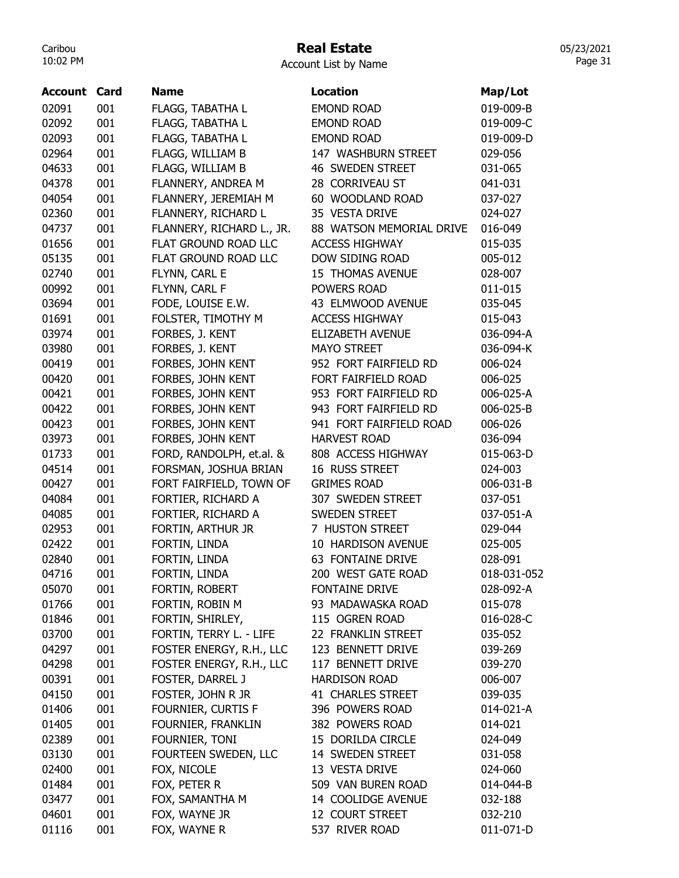# Real Estate

Account List by Name

| <b>Account Card</b> |     | <b>Name</b>               | <b>Location</b>          | Map/Lot     |
|---------------------|-----|---------------------------|--------------------------|-------------|
| 02091               | 001 | FLAGG, TABATHA L          | <b>EMOND ROAD</b>        | 019-009-B   |
| 02092               | 001 | FLAGG, TABATHA L          | <b>EMOND ROAD</b>        | 019-009-C   |
| 02093               | 001 | FLAGG, TABATHA L          | <b>EMOND ROAD</b>        | 019-009-D   |
| 02964               | 001 | FLAGG, WILLIAM B          | 147 WASHBURN STREET      | 029-056     |
| 04633               | 001 | FLAGG, WILLIAM B          | <b>46 SWEDEN STREET</b>  | 031-065     |
| 04378               | 001 | FLANNERY, ANDREA M        | 28 CORRIVEAU ST          | 041-031     |
| 04054               | 001 | FLANNERY, JEREMIAH M      | 60 WOODLAND ROAD         | 037-027     |
| 02360               | 001 | FLANNERY, RICHARD L       | 35 VESTA DRIVE           | 024-027     |
| 04737               | 001 | FLANNERY, RICHARD L., JR. | 88 WATSON MEMORIAL DRIVE | 016-049     |
| 01656               | 001 | FLAT GROUND ROAD LLC      | <b>ACCESS HIGHWAY</b>    | 015-035     |
| 05135               | 001 | FLAT GROUND ROAD LLC      | DOW SIDING ROAD          | 005-012     |
| 02740               | 001 | FLYNN, CARL E             | 15 THOMAS AVENUE         | 028-007     |
| 00992               | 001 | FLYNN, CARL F             | POWERS ROAD              | 011-015     |
| 03694               | 001 | FODE, LOUISE E.W.         | 43 ELMWOOD AVENUE        | 035-045     |
| 01691               | 001 | FOLSTER, TIMOTHY M        | <b>ACCESS HIGHWAY</b>    | 015-043     |
| 03974               | 001 | FORBES, J. KENT           | ELIZABETH AVENUE         | 036-094-A   |
| 03980               | 001 | FORBES, J. KENT           | <b>MAYO STREET</b>       | 036-094-K   |
| 00419               | 001 | FORBES, JOHN KENT         | 952 FORT FAIRFIELD RD    | 006-024     |
| 00420               | 001 | FORBES, JOHN KENT         | FORT FAIRFIELD ROAD      | 006-025     |
| 00421               | 001 | FORBES, JOHN KENT         | 953 FORT FAIRFIELD RD    | 006-025-A   |
| 00422               | 001 | FORBES, JOHN KENT         | 943 FORT FAIRFIELD RD    | 006-025-B   |
| 00423               | 001 | FORBES, JOHN KENT         | 941 FORT FAIRFIELD ROAD  | 006-026     |
| 03973               | 001 | FORBES, JOHN KENT         | <b>HARVEST ROAD</b>      | 036-094     |
| 01733               | 001 | FORD, RANDOLPH, et.al. &  | 808 ACCESS HIGHWAY       | 015-063-D   |
| 04514               | 001 | FORSMAN, JOSHUA BRIAN     | 16 RUSS STREET           | 024-003     |
| 00427               | 001 | FORT FAIRFIELD, TOWN OF   | <b>GRIMES ROAD</b>       | 006-031-B   |
| 04084               | 001 | FORTIER, RICHARD A        | 307 SWEDEN STREET        | 037-051     |
| 04085               | 001 | FORTIER, RICHARD A        | <b>SWEDEN STREET</b>     | 037-051-A   |
| 02953               | 001 | FORTIN, ARTHUR JR         | 7 HUSTON STREET          | 029-044     |
| 02422               | 001 | FORTIN, LINDA             | 10 HARDISON AVENUE       | 025-005     |
| 02840               | 001 | FORTIN, LINDA             | 63 FONTAINE DRIVE        | 028-091     |
| 04716               | 001 | FORTIN, LINDA             | 200 WEST GATE ROAD       | 018-031-052 |
| 05070               | 001 | FORTIN, ROBERT            | <b>FONTAINE DRIVE</b>    | 028-092-A   |
| 01766               | 001 | FORTIN, ROBIN M           | 93 MADAWASKA ROAD        | 015-078     |
| 01846               | 001 | FORTIN, SHIRLEY,          | 115 OGREN ROAD           | 016-028-C   |
| 03700               | 001 | FORTIN, TERRY L. - LIFE   | 22 FRANKLIN STREET       | 035-052     |
| 04297               | 001 | FOSTER ENERGY, R.H., LLC  | 123 BENNETT DRIVE        | 039-269     |
| 04298               | 001 | FOSTER ENERGY, R.H., LLC  | 117 BENNETT DRIVE        | 039-270     |
| 00391               | 001 | FOSTER, DARREL J          | <b>HARDISON ROAD</b>     | 006-007     |
| 04150               | 001 | FOSTER, JOHN R JR         | 41 CHARLES STREET        | 039-035     |
| 01406               | 001 | FOURNIER, CURTIS F        | 396 POWERS ROAD          | 014-021-A   |
| 01405               | 001 | FOURNIER, FRANKLIN        | 382 POWERS ROAD          | 014-021     |
| 02389               | 001 | FOURNIER, TONI            | 15 DORILDA CIRCLE        | 024-049     |
| 03130               | 001 | FOURTEEN SWEDEN, LLC      | 14 SWEDEN STREET         | 031-058     |
| 02400               | 001 | FOX, NICOLE               | 13 VESTA DRIVE           | 024-060     |
| 01484               | 001 | FOX, PETER R              | 509 VAN BUREN ROAD       | 014-044-B   |
| 03477               | 001 | FOX, SAMANTHA M           | 14 COOLIDGE AVENUE       | 032-188     |
| 04601               | 001 | FOX, WAYNE JR             | 12 COURT STREET          | 032-210     |
| 01116               | 001 | FOX, WAYNE R              | 537 RIVER ROAD           | 011-071-D   |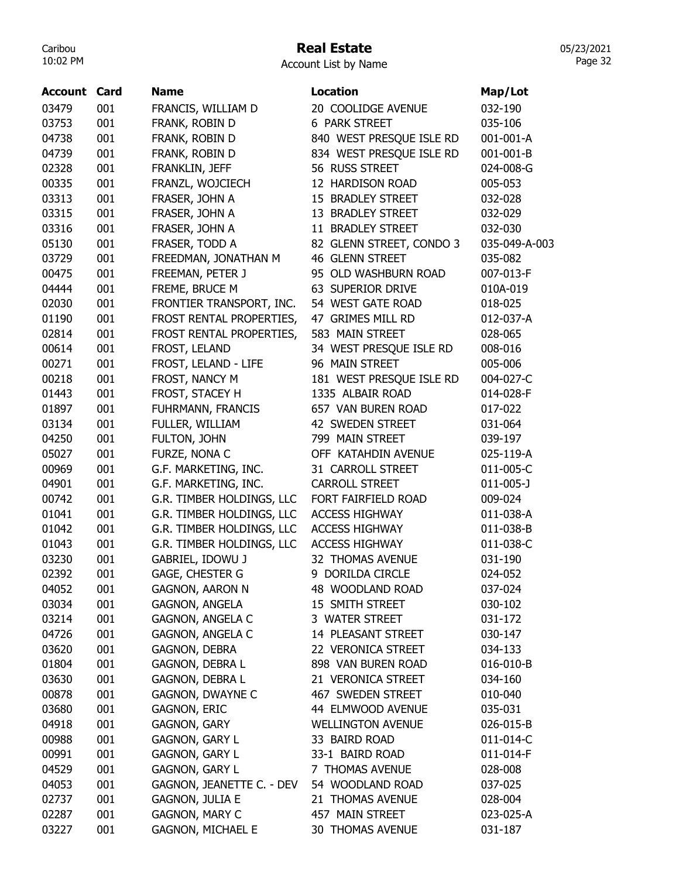# Real Estate

Account List by Name

| Account        | Card       | <b>Name</b>                                        | <b>Location</b>                     | Map/Lot              |
|----------------|------------|----------------------------------------------------|-------------------------------------|----------------------|
| 03479          | 001        | FRANCIS, WILLIAM D                                 | 20 COOLIDGE AVENUE                  | 032-190              |
| 03753          | 001        | FRANK, ROBIN D                                     | 6 PARK STREET                       | 035-106              |
| 04738          | 001        | FRANK, ROBIN D                                     | 840 WEST PRESQUE ISLE RD            | 001-001-A            |
| 04739          | 001        | FRANK, ROBIN D                                     | 834 WEST PRESQUE ISLE RD            | 001-001-B            |
| 02328          | 001        | FRANKLIN, JEFF                                     | 56 RUSS STREET                      | 024-008-G            |
| 00335          | 001        | FRANZL, WOJCIECH                                   | 12 HARDISON ROAD                    | 005-053              |
| 03313          | 001        | FRASER, JOHN A                                     | 15 BRADLEY STREET                   | 032-028              |
| 03315          | 001        | FRASER, JOHN A                                     | 13 BRADLEY STREET                   | 032-029              |
| 03316          | 001        | FRASER, JOHN A                                     | 11 BRADLEY STREET                   | 032-030              |
| 05130          | 001        | FRASER, TODD A                                     | 82 GLENN STREET, CONDO 3            | 035-049-A-003        |
| 03729          | 001        | FREEDMAN, JONATHAN M                               | 46 GLENN STREET                     | 035-082              |
| 00475          | 001        | FREEMAN, PETER J                                   | 95 OLD WASHBURN ROAD                | 007-013-F            |
| 04444          | 001        | FREME, BRUCE M                                     | 63 SUPERIOR DRIVE                   | 010A-019             |
| 02030          | 001        | FRONTIER TRANSPORT, INC.                           | 54 WEST GATE ROAD                   | 018-025              |
| 01190          | 001        | FROST RENTAL PROPERTIES,                           | 47 GRIMES MILL RD                   | 012-037-A            |
| 02814          | 001        | FROST RENTAL PROPERTIES,                           | 583 MAIN STREET                     | 028-065              |
| 00614          | 001        | FROST, LELAND                                      | 34 WEST PRESQUE ISLE RD             | 008-016              |
| 00271          | 001        | FROST, LELAND - LIFE                               | 96 MAIN STREET                      | 005-006              |
| 00218          | 001        | FROST, NANCY M                                     | 181 WEST PRESQUE ISLE RD            | 004-027-C            |
| 01443          | 001        | FROST, STACEY H                                    | 1335 ALBAIR ROAD                    | 014-028-F            |
| 01897          | 001        | FUHRMANN, FRANCIS                                  | 657 VAN BUREN ROAD                  | 017-022              |
| 03134          | 001        | FULLER, WILLIAM                                    | 42 SWEDEN STREET                    | 031-064              |
| 04250          | 001        | FULTON, JOHN                                       | 799 MAIN STREET                     | 039-197              |
| 05027          | 001        | FURZE, NONA C                                      | OFF KATAHDIN AVENUE                 | 025-119-A            |
| 00969          | 001        | G.F. MARKETING, INC.                               | 31 CARROLL STREET                   | 011-005-C            |
| 04901          | 001        | G.F. MARKETING, INC.                               | CARROLL STREET                      | $011 - 005 - J$      |
| 00742          | 001        | G.R. TIMBER HOLDINGS, LLC                          | FORT FAIRFIELD ROAD                 | 009-024              |
| 01041          | 001        | G.R. TIMBER HOLDINGS, LLC                          | <b>ACCESS HIGHWAY</b>               | 011-038-A            |
| 01042          | 001        | G.R. TIMBER HOLDINGS, LLC                          | <b>ACCESS HIGHWAY</b>               | 011-038-B            |
| 01043          | 001        | G.R. TIMBER HOLDINGS, LLC                          | <b>ACCESS HIGHWAY</b>               | 011-038-C            |
| 03230          | 001        | GABRIEL, IDOWU J                                   | 32 THOMAS AVENUE                    | 031-190              |
| 02392          | 001        | GAGE, CHESTER G                                    | 9 DORILDA CIRCLE                    | 024-052              |
| 04052          | 001        | GAGNON, AARON N                                    | 48 WOODLAND ROAD                    | 037-024              |
| 03034          | 001        | GAGNON, ANGELA                                     | 15 SMITH STREET                     | 030-102              |
| 03214          | 001        | <b>GAGNON, ANGELA C</b>                            | 3 WATER STREET                      | 031-172              |
| 04726          | 001        | <b>GAGNON, ANGELA C</b>                            | 14 PLEASANT STREET                  | 030-147              |
| 03620          | 001        | <b>GAGNON, DEBRA</b>                               | 22 VERONICA STREET                  | 034-133              |
| 01804          | 001        | GAGNON, DEBRA L                                    | 898 VAN BUREN ROAD                  | 016-010-B            |
| 03630          | 001        | <b>GAGNON, DEBRA L</b>                             | 21 VERONICA STREET                  | 034-160              |
| 00878          | 001        | <b>GAGNON, DWAYNE C</b>                            | 467 SWEDEN STREET                   | 010-040              |
| 03680          | 001        | <b>GAGNON, ERIC</b>                                | 44 ELMWOOD AVENUE                   | 035-031              |
| 04918          | 001        | <b>GAGNON, GARY</b>                                | <b>WELLINGTON AVENUE</b>            | 026-015-B            |
| 00988          | 001        | <b>GAGNON, GARY L</b>                              | 33 BAIRD ROAD                       | 011-014-C            |
| 00991          | 001        | <b>GAGNON, GARY L</b>                              | 33-1 BAIRD ROAD                     | 011-014-F            |
|                |            |                                                    |                                     |                      |
| 04529<br>04053 | 001<br>001 | <b>GAGNON, GARY L</b><br>GAGNON, JEANETTE C. - DEV | 7 THOMAS AVENUE<br>54 WOODLAND ROAD | 028-008              |
| 02737          | 001        | <b>GAGNON, JULIA E</b>                             | 21 THOMAS AVENUE                    | 037-025              |
| 02287          | 001        |                                                    | 457 MAIN STREET                     | 028-004              |
|                | 001        | <b>GAGNON, MARY C</b><br><b>GAGNON, MICHAEL E</b>  | <b>30 THOMAS AVENUE</b>             | 023-025-A<br>031-187 |
| 03227          |            |                                                    |                                     |                      |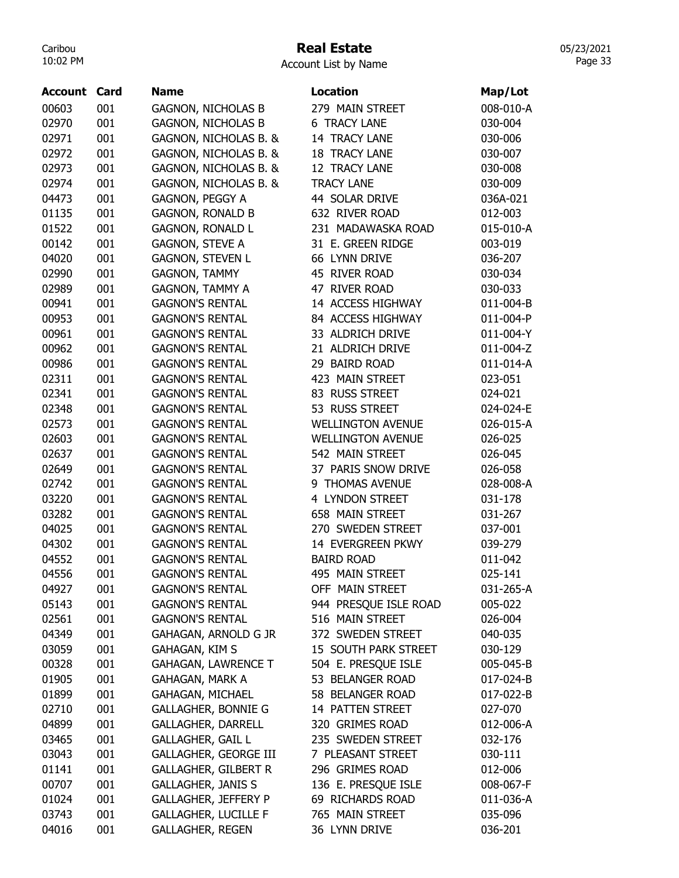# Real Estate

Account List by Name

| <b>Account Card</b> |     | <b>Name</b>                 | <b>Location</b>          | Map/Lot   |
|---------------------|-----|-----------------------------|--------------------------|-----------|
| 00603               | 001 | <b>GAGNON, NICHOLAS B</b>   | 279 MAIN STREET          | 008-010-A |
| 02970               | 001 | <b>GAGNON, NICHOLAS B</b>   | <b>6 TRACY LANE</b>      | 030-004   |
| 02971               | 001 | GAGNON, NICHOLAS B. &       | 14 TRACY LANE            | 030-006   |
| 02972               | 001 | GAGNON, NICHOLAS B. &       | <b>18 TRACY LANE</b>     | 030-007   |
| 02973               | 001 | GAGNON, NICHOLAS B. &       | 12 TRACY LANE            | 030-008   |
| 02974               | 001 | GAGNON, NICHOLAS B. &       | <b>TRACY LANE</b>        | 030-009   |
| 04473               | 001 | GAGNON, PEGGY A             | 44 SOLAR DRIVE           | 036A-021  |
| 01135               | 001 | <b>GAGNON, RONALD B</b>     | 632 RIVER ROAD           | 012-003   |
| 01522               | 001 | <b>GAGNON, RONALD L</b>     | 231 MADAWASKA ROAD       | 015-010-A |
| 00142               | 001 | <b>GAGNON, STEVE A</b>      | 31 E. GREEN RIDGE        | 003-019   |
| 04020               | 001 | <b>GAGNON, STEVEN L</b>     | 66 LYNN DRIVE            | 036-207   |
| 02990               | 001 | <b>GAGNON, TAMMY</b>        | 45 RIVER ROAD            | 030-034   |
| 02989               | 001 | <b>GAGNON, TAMMY A</b>      | 47 RIVER ROAD            | 030-033   |
| 00941               | 001 | <b>GAGNON'S RENTAL</b>      | 14 ACCESS HIGHWAY        | 011-004-B |
| 00953               | 001 | <b>GAGNON'S RENTAL</b>      | 84 ACCESS HIGHWAY        | 011-004-P |
| 00961               | 001 | <b>GAGNON'S RENTAL</b>      | 33 ALDRICH DRIVE         | 011-004-Y |
| 00962               | 001 | <b>GAGNON'S RENTAL</b>      | 21 ALDRICH DRIVE         | 011-004-Z |
| 00986               | 001 | <b>GAGNON'S RENTAL</b>      | 29 BAIRD ROAD            | 011-014-A |
| 02311               | 001 | <b>GAGNON'S RENTAL</b>      | 423 MAIN STREET          | 023-051   |
| 02341               | 001 | <b>GAGNON'S RENTAL</b>      | 83 RUSS STREET           | 024-021   |
| 02348               | 001 | <b>GAGNON'S RENTAL</b>      | 53 RUSS STREET           | 024-024-E |
| 02573               | 001 | <b>GAGNON'S RENTAL</b>      | <b>WELLINGTON AVENUE</b> | 026-015-A |
| 02603               | 001 | <b>GAGNON'S RENTAL</b>      | <b>WELLINGTON AVENUE</b> | 026-025   |
| 02637               | 001 | <b>GAGNON'S RENTAL</b>      | 542 MAIN STREET          | 026-045   |
| 02649               | 001 | <b>GAGNON'S RENTAL</b>      | 37 PARIS SNOW DRIVE      | 026-058   |
| 02742               | 001 | <b>GAGNON'S RENTAL</b>      | 9 THOMAS AVENUE          | 028-008-A |
| 03220               | 001 | <b>GAGNON'S RENTAL</b>      | 4 LYNDON STREET          | 031-178   |
| 03282               | 001 | <b>GAGNON'S RENTAL</b>      | 658 MAIN STREET          | 031-267   |
| 04025               | 001 | <b>GAGNON'S RENTAL</b>      | 270 SWEDEN STREET        | 037-001   |
| 04302               | 001 | <b>GAGNON'S RENTAL</b>      | 14 EVERGREEN PKWY        | 039-279   |
| 04552               | 001 | <b>GAGNON'S RENTAL</b>      | <b>BAIRD ROAD</b>        | 011-042   |
| 04556               | 001 | <b>GAGNON'S RENTAL</b>      | 495 MAIN STREET          | 025-141   |
| 04927               | 001 | <b>GAGNON'S RENTAL</b>      | OFF MAIN STREET          | 031-265-A |
| 05143               | 001 | <b>GAGNON'S RENTAL</b>      | 944 PRESQUE ISLE ROAD    | 005-022   |
| 02561               | 001 | <b>GAGNON'S RENTAL</b>      | 516 MAIN STREET          | 026-004   |
| 04349               | 001 | GAHAGAN, ARNOLD G JR        | 372 SWEDEN STREET        | 040-035   |
| 03059               | 001 | GAHAGAN, KIM S              | 15 SOUTH PARK STREET     | 030-129   |
| 00328               | 001 | <b>GAHAGAN, LAWRENCE T</b>  | 504 E. PRESQUE ISLE      | 005-045-B |
| 01905               | 001 | <b>GAHAGAN, MARK A</b>      | 53 BELANGER ROAD         | 017-024-B |
| 01899               | 001 | GAHAGAN, MICHAEL            | 58 BELANGER ROAD         | 017-022-B |
| 02710               | 001 | <b>GALLAGHER, BONNIE G</b>  | 14 PATTEN STREET         | 027-070   |
| 04899               | 001 | <b>GALLAGHER, DARRELL</b>   | 320 GRIMES ROAD          | 012-006-A |
| 03465               | 001 | <b>GALLAGHER, GAIL L</b>    | 235 SWEDEN STREET        | 032-176   |
| 03043               | 001 | GALLAGHER, GEORGE III       | 7 PLEASANT STREET        | 030-111   |
| 01141               | 001 | <b>GALLAGHER, GILBERT R</b> | 296 GRIMES ROAD          | 012-006   |
| 00707               | 001 | <b>GALLAGHER, JANIS S</b>   | 136 E. PRESQUE ISLE      | 008-067-F |
| 01024               | 001 | <b>GALLAGHER, JEFFERY P</b> | 69 RICHARDS ROAD         | 011-036-A |
| 03743               | 001 | <b>GALLAGHER, LUCILLE F</b> | 765 MAIN STREET          | 035-096   |
| 04016               | 001 | <b>GALLAGHER, REGEN</b>     | 36 LYNN DRIVE            | 036-201   |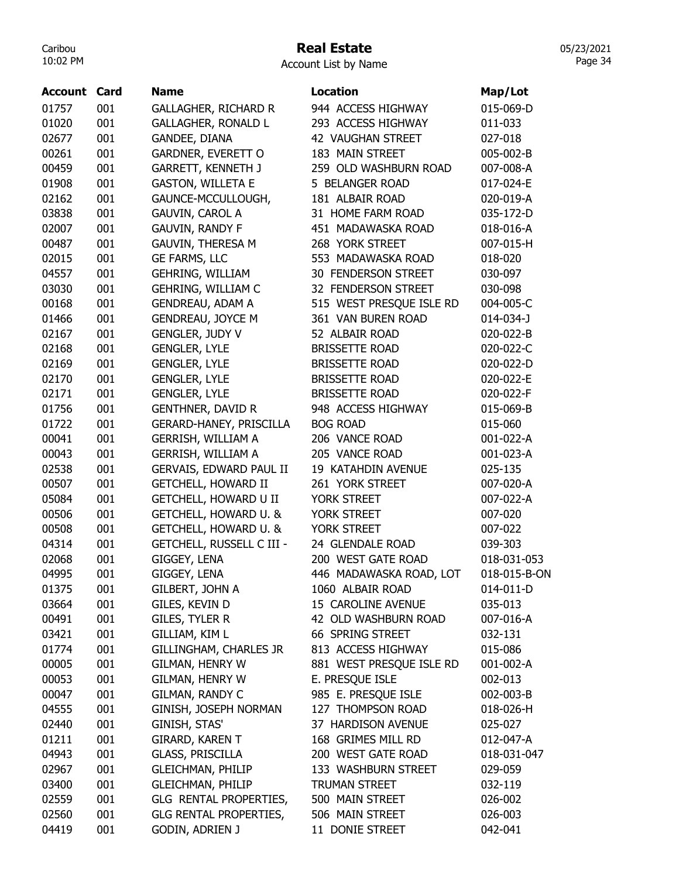#### Real Estate

05/23/2021 Page 34

| <b>Account</b> | Card | <b>Name</b>                      | <b>Location</b>          | Map/Lot      |
|----------------|------|----------------------------------|--------------------------|--------------|
| 01757          | 001  | <b>GALLAGHER, RICHARD R</b>      | 944 ACCESS HIGHWAY       | 015-069-D    |
| 01020          | 001  | <b>GALLAGHER, RONALD L</b>       | 293 ACCESS HIGHWAY       | 011-033      |
| 02677          | 001  | GANDEE, DIANA                    | 42 VAUGHAN STREET        | 027-018      |
| 00261          | 001  | GARDNER, EVERETT O               | 183 MAIN STREET          | 005-002-B    |
| 00459          | 001  | <b>GARRETT, KENNETH J</b>        | 259 OLD WASHBURN ROAD    | 007-008-A    |
| 01908          | 001  | <b>GASTON, WILLETA E</b>         | 5 BELANGER ROAD          | 017-024-E    |
| 02162          | 001  | GAUNCE-MCCULLOUGH,               | 181 ALBAIR ROAD          | 020-019-A    |
| 03838          | 001  | <b>GAUVIN, CAROL A</b>           | 31 HOME FARM ROAD        | 035-172-D    |
| 02007          | 001  | <b>GAUVIN, RANDY F</b>           | 451 MADAWASKA ROAD       | 018-016-A    |
| 00487          | 001  | <b>GAUVIN, THERESA M</b>         | 268 YORK STREET          | 007-015-H    |
| 02015          | 001  | <b>GE FARMS, LLC</b>             | 553 MADAWASKA ROAD       | 018-020      |
| 04557          | 001  | GEHRING, WILLIAM                 | 30 FENDERSON STREET      | 030-097      |
| 03030          | 001  | GEHRING, WILLIAM C               | 32 FENDERSON STREET      | 030-098      |
| 00168          | 001  | <b>GENDREAU, ADAM A</b>          | 515 WEST PRESQUE ISLE RD | 004-005-C    |
| 01466          | 001  | <b>GENDREAU, JOYCE M</b>         | 361 VAN BUREN ROAD       | 014-034-J    |
| 02167          | 001  | <b>GENGLER, JUDY V</b>           | 52 ALBAIR ROAD           | 020-022-B    |
| 02168          | 001  | <b>GENGLER, LYLE</b>             | <b>BRISSETTE ROAD</b>    | 020-022-C    |
| 02169          | 001  | <b>GENGLER, LYLE</b>             | <b>BRISSETTE ROAD</b>    | 020-022-D    |
| 02170          | 001  | <b>GENGLER, LYLE</b>             | <b>BRISSETTE ROAD</b>    | 020-022-E    |
| 02171          | 001  | <b>GENGLER, LYLE</b>             | <b>BRISSETTE ROAD</b>    | 020-022-F    |
| 01756          | 001  | <b>GENTHNER, DAVID R</b>         | 948 ACCESS HIGHWAY       | 015-069-B    |
| 01722          | 001  | GERARD-HANEY, PRISCILLA          | <b>BOG ROAD</b>          | 015-060      |
| 00041          | 001  | <b>GERRISH, WILLIAM A</b>        | 206 VANCE ROAD           | 001-022-A    |
| 00043          | 001  | GERRISH, WILLIAM A               | 205 VANCE ROAD           | 001-023-A    |
| 02538          | 001  | GERVAIS, EDWARD PAUL II          | 19 KATAHDIN AVENUE       | 025-135      |
| 00507          | 001  | <b>GETCHELL, HOWARD II</b>       | 261 YORK STREET          | 007-020-A    |
| 05084          | 001  | <b>GETCHELL, HOWARD U II</b>     | YORK STREET              | 007-022-A    |
| 00506          | 001  | GETCHELL, HOWARD U. &            | YORK STREET              | 007-020      |
| 00508          | 001  | GETCHELL, HOWARD U. &            | YORK STREET              | 007-022      |
| 04314          | 001  | <b>GETCHELL, RUSSELL C III -</b> | 24 GLENDALE ROAD         | 039-303      |
| 02068          | 001  | GIGGEY, LENA                     | 200 WEST GATE ROAD       | 018-031-053  |
| 04995          | 001  | GIGGEY, LENA                     | 446 MADAWASKA ROAD, LOT  | 018-015-B-ON |
| 01375          | 001  | GILBERT, JOHN A                  | 1060 ALBAIR ROAD         | 014-011-D    |
| 03664          | 001  | GILES, KEVIN D                   | 15 CAROLINE AVENUE       | 035-013      |
| 00491          | 001  | GILES, TYLER R                   | 42 OLD WASHBURN ROAD     | 007-016-A    |
| 03421          | 001  | GILLIAM, KIM L                   | 66 SPRING STREET         | 032-131      |
| 01774          | 001  | GILLINGHAM, CHARLES JR           | 813 ACCESS HIGHWAY       | 015-086      |
| 00005          | 001  | <b>GILMAN, HENRY W</b>           | 881 WEST PRESQUE ISLE RD | 001-002-A    |
| 00053          | 001  | <b>GILMAN, HENRY W</b>           | E. PRESQUE ISLE          | 002-013      |
| 00047          | 001  | GILMAN, RANDY C                  | 985 E. PRESQUE ISLE      | 002-003-B    |
| 04555          | 001  | GINISH, JOSEPH NORMAN            | 127 THOMPSON ROAD        | 018-026-H    |
| 02440          | 001  | GINISH, STAS'                    | 37 HARDISON AVENUE       | 025-027      |
| 01211          | 001  | GIRARD, KAREN T                  | 168 GRIMES MILL RD       | 012-047-A    |
| 04943          | 001  | <b>GLASS, PRISCILLA</b>          | 200 WEST GATE ROAD       | 018-031-047  |
|                | 001  | <b>GLEICHMAN, PHILIP</b>         | 133 WASHBURN STREET      | 029-059      |
| 02967<br>03400 | 001  | <b>GLEICHMAN, PHILIP</b>         | <b>TRUMAN STREET</b>     | 032-119      |
| 02559          | 001  |                                  | 500 MAIN STREET          | 026-002      |
| 02560          | 001  | GLG RENTAL PROPERTIES,           | 506 MAIN STREET          |              |
|                |      | GLG RENTAL PROPERTIES,           |                          | 026-003      |
| 04419          | 001  | GODIN, ADRIEN J                  | 11 DONIE STREET          | 042-041      |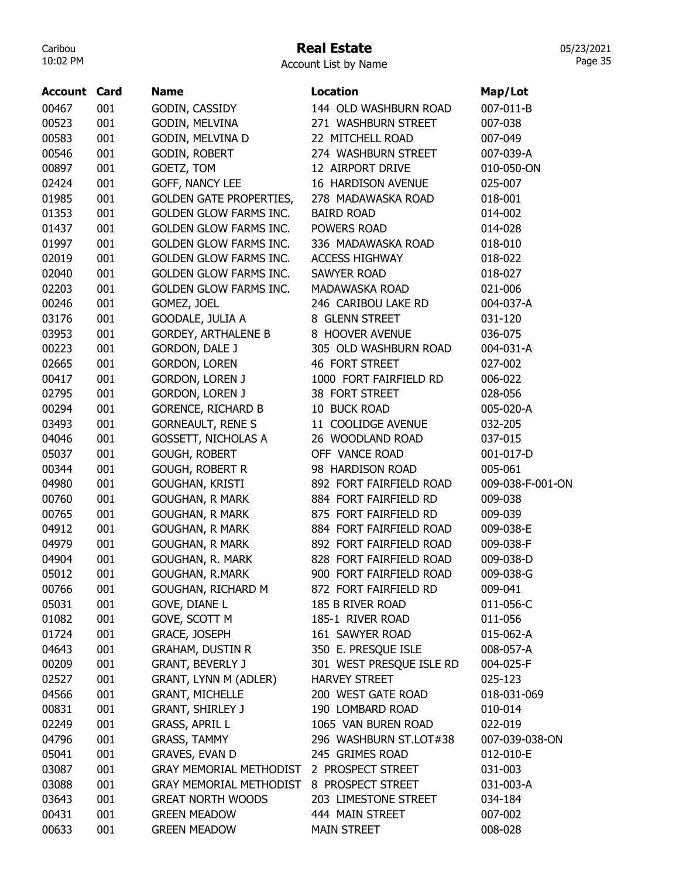# Real Estate

| Account List by Name |  |  |  |
|----------------------|--|--|--|
|----------------------|--|--|--|

| <b>Account Card</b> |     | <b>Name</b>                    | <b>Location</b>                         | Map/Lot          |
|---------------------|-----|--------------------------------|-----------------------------------------|------------------|
| 00467               | 001 | GODIN, CASSIDY                 | 144 OLD WASHBURN ROAD                   | 007-011-B        |
| 00523               | 001 | GODIN, MELVINA                 | 271 WASHBURN STREET                     | 007-038          |
| 00583               | 001 | GODIN, MELVINA D               | 22 MITCHELL ROAD                        | 007-049          |
| 00546               | 001 | GODIN, ROBERT                  | 274 WASHBURN STREET                     | 007-039-A        |
| 00897               | 001 | GOETZ, TOM                     | 12 AIRPORT DRIVE                        | 010-050-ON       |
| 02424               | 001 | GOFF, NANCY LEE                | 16 HARDISON AVENUE                      | 025-007          |
| 01985               | 001 | <b>GOLDEN GATE PROPERTIES,</b> | 278 MADAWASKA ROAD                      | 018-001          |
| 01353               | 001 | <b>GOLDEN GLOW FARMS INC.</b>  | <b>BAIRD ROAD</b>                       | 014-002          |
| 01437               | 001 | <b>GOLDEN GLOW FARMS INC.</b>  | POWERS ROAD                             | 014-028          |
| 01997               | 001 | <b>GOLDEN GLOW FARMS INC.</b>  | 336 MADAWASKA ROAD                      | 018-010          |
| 02019               | 001 | <b>GOLDEN GLOW FARMS INC.</b>  | <b>ACCESS HIGHWAY</b>                   | 018-022          |
| 02040               | 001 | <b>GOLDEN GLOW FARMS INC.</b>  | <b>SAWYER ROAD</b>                      | 018-027          |
| 02203               | 001 | GOLDEN GLOW FARMS INC.         | MADAWASKA ROAD                          | 021-006          |
| 00246               | 001 | GOMEZ, JOEL                    | 246 CARIBOU LAKE RD                     | 004-037-A        |
| 03176               | 001 | GOODALE, JULIA A               | 8 GLENN STREET                          | 031-120          |
| 03953               | 001 | <b>GORDEY, ARTHALENE B</b>     | 8 HOOVER AVENUE                         | 036-075          |
| 00223               | 001 | <b>GORDON, DALE J</b>          | 305 OLD WASHBURN ROAD                   | 004-031-A        |
| 02665               | 001 | GORDON, LOREN                  | 46 FORT STREET                          | 027-002          |
| 00417               | 001 | <b>GORDON, LOREN J</b>         | 1000 FORT FAIRFIELD RD                  | 006-022          |
| 02795               | 001 | <b>GORDON, LOREN J</b>         | 38 FORT STREET                          | 028-056          |
| 00294               | 001 | <b>GORENCE, RICHARD B</b>      | 10 BUCK ROAD                            | 005-020-A        |
| 03493               | 001 | <b>GORNEAULT, RENE S</b>       | 11 COOLIDGE AVENUE                      | 032-205          |
| 04046               | 001 | <b>GOSSETT, NICHOLAS A</b>     | 26 WOODLAND ROAD                        | 037-015          |
| 05037               | 001 | GOUGH, ROBERT                  | OFF VANCE ROAD                          | 001-017-D        |
| 00344               | 001 | <b>GOUGH, ROBERT R</b>         | 98 HARDISON ROAD                        | 005-061          |
| 04980               | 001 | GOUGHAN, KRISTI                | 892 FORT FAIRFIELD ROAD                 | 009-038-F-001-ON |
| 00760               | 001 | <b>GOUGHAN, R MARK</b>         | 884 FORT FAIRFIELD RD                   | 009-038          |
| 00765               | 001 | <b>GOUGHAN, R MARK</b>         | 875 FORT FAIRFIELD RD                   | 009-039          |
| 04912               | 001 | <b>GOUGHAN, R MARK</b>         | 884 FORT FAIRFIELD ROAD                 | 009-038-E        |
| 04979               | 001 | <b>GOUGHAN, R MARK</b>         | 892 FORT FAIRFIELD ROAD                 | 009-038-F        |
| 04904               | 001 | GOUGHAN, R. MARK               | 828 FORT FAIRFIELD ROAD                 | 009-038-D        |
| 05012               | 001 | GOUGHAN, R.MARK                | 900 FORT FAIRFIELD ROAD                 | 009-038-G        |
| 00766               | 001 | GOUGHAN, RICHARD M             | 872 FORT FAIRFIELD RD                   | 009-041          |
| 05031               | 001 | GOVE, DIANE L                  | 185 B RIVER ROAD                        | 011-056-C        |
| 01082               | 001 | GOVE, SCOTT M                  | 185-1 RIVER ROAD                        | 011-056          |
| 01724               | 001 | GRACE, JOSEPH                  | 161 SAWYER ROAD                         | 015-062-A        |
| 04643               | 001 | <b>GRAHAM, DUSTIN R</b>        | 350 E. PRESQUE ISLE                     | 008-057-A        |
| 00209               | 001 | <b>GRANT, BEVERLY J</b>        | 301 WEST PRESQUE ISLE RD                | 004-025-F        |
| 02527               | 001 | GRANT, LYNN M (ADLER)          | <b>HARVEY STREET</b>                    | 025-123          |
| 04566               | 001 | <b>GRANT, MICHELLE</b>         | 200 WEST GATE ROAD                      | 018-031-069      |
|                     |     |                                |                                         |                  |
| 00831               | 001 | <b>GRANT, SHIRLEY J</b>        | 190 LOMBARD ROAD<br>1065 VAN BUREN ROAD | 010-014          |
| 02249               | 001 | <b>GRASS, APRIL L</b>          |                                         | 022-019          |
| 04796               | 001 | <b>GRASS, TAMMY</b>            | 296 WASHBURN ST.LOT#38                  | 007-039-038-ON   |
| 05041               | 001 | <b>GRAVES, EVAN D</b>          | 245 GRIMES ROAD                         | 012-010-E        |
| 03087               | 001 | <b>GRAY MEMORIAL METHODIST</b> | 2 PROSPECT STREET                       | 031-003          |
| 03088               | 001 | <b>GRAY MEMORIAL METHODIST</b> | 8 PROSPECT STREET                       | 031-003-A        |
| 03643               | 001 | <b>GREAT NORTH WOODS</b>       | 203 LIMESTONE STREET                    | 034-184          |
| 00431               | 001 | <b>GREEN MEADOW</b>            | 444 MAIN STREET                         | 007-002          |
| 00633               | 001 | <b>GREEN MEADOW</b>            | <b>MAIN STREET</b>                      | 008-028          |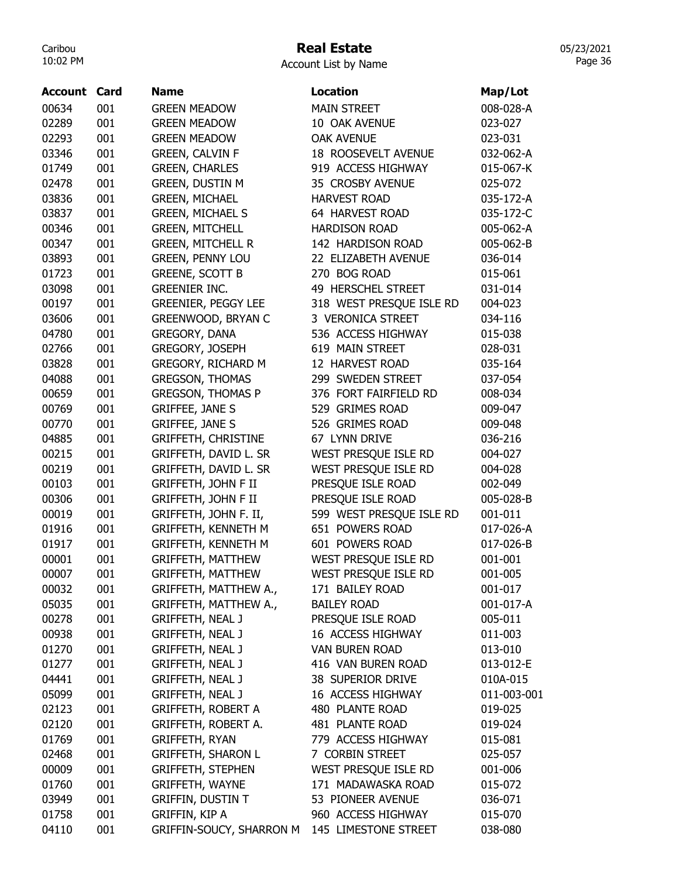# Real Estate

| <b>Account Card</b> |            | <b>Name</b>                | <b>Location</b>                           | Map/Lot     |
|---------------------|------------|----------------------------|-------------------------------------------|-------------|
| 00634               | 001        | <b>GREEN MEADOW</b>        | <b>MAIN STREET</b>                        | 008-028-A   |
| 02289               | 001        | <b>GREEN MEADOW</b>        | 10 OAK AVENUE                             | 023-027     |
| 02293               | 001        | <b>GREEN MEADOW</b>        | <b>OAK AVENUE</b>                         | 023-031     |
| 03346               | 001        | <b>GREEN, CALVIN F</b>     | <b>18 ROOSEVELT AVENUE</b>                | 032-062-A   |
| 01749               | 001        | <b>GREEN, CHARLES</b>      | 919 ACCESS HIGHWAY                        | 015-067-K   |
| 02478               | 001        | <b>GREEN, DUSTIN M</b>     | 35 CROSBY AVENUE                          | 025-072     |
|                     | 001        | <b>GREEN, MICHAEL</b>      | <b>HARVEST ROAD</b>                       |             |
| 03836               |            |                            |                                           | 035-172-A   |
| 03837               | 001<br>001 | <b>GREEN, MICHAEL S</b>    | 64 HARVEST ROAD                           | 035-172-C   |
| 00346               |            | <b>GREEN, MITCHELL</b>     | <b>HARDISON ROAD</b><br>142 HARDISON ROAD | 005-062-A   |
| 00347               | 001        | <b>GREEN, MITCHELL R</b>   |                                           | 005-062-B   |
| 03893               | 001        | <b>GREEN, PENNY LOU</b>    | 22 ELIZABETH AVENUE                       | 036-014     |
| 01723               | 001        | <b>GREENE, SCOTT B</b>     | 270 BOG ROAD                              | 015-061     |
| 03098               | 001        | <b>GREENIER INC.</b>       | 49 HERSCHEL STREET                        | 031-014     |
| 00197               | 001        | <b>GREENIER, PEGGY LEE</b> | 318 WEST PRESQUE ISLE RD                  | 004-023     |
| 03606               | 001        | <b>GREENWOOD, BRYAN C</b>  | 3 VERONICA STREET                         | 034-116     |
| 04780               | 001        | GREGORY, DANA              | 536 ACCESS HIGHWAY                        | 015-038     |
| 02766               | 001        | GREGORY, JOSEPH            | 619 MAIN STREET                           | 028-031     |
| 03828               | 001        | <b>GREGORY, RICHARD M</b>  | 12 HARVEST ROAD                           | 035-164     |
| 04088               | 001        | <b>GREGSON, THOMAS</b>     | 299 SWEDEN STREET                         | 037-054     |
| 00659               | 001        | <b>GREGSON, THOMAS P</b>   | 376 FORT FAIRFIELD RD                     | 008-034     |
| 00769               | 001        | <b>GRIFFEE, JANE S</b>     | 529 GRIMES ROAD                           | 009-047     |
| 00770               | 001        | <b>GRIFFEE, JANE S</b>     | 526 GRIMES ROAD                           | 009-048     |
| 04885               | 001        | <b>GRIFFETH, CHRISTINE</b> | 67 LYNN DRIVE                             | 036-216     |
| 00215               | 001        | GRIFFETH, DAVID L. SR      | WEST PRESQUE ISLE RD                      | 004-027     |
| 00219               | 001        | GRIFFETH, DAVID L. SR      | WEST PRESQUE ISLE RD                      | 004-028     |
| 00103               | 001        | GRIFFETH, JOHN F II        | PRESQUE ISLE ROAD                         | 002-049     |
| 00306               | 001        | <b>GRIFFETH, JOHN F II</b> | PRESQUE ISLE ROAD                         | 005-028-B   |
| 00019               | 001        | GRIFFETH, JOHN F. II,      | 599 WEST PRESQUE ISLE RD                  | 001-011     |
| 01916               | 001        | <b>GRIFFETH, KENNETH M</b> | 651 POWERS ROAD                           | 017-026-A   |
| 01917               | 001        | <b>GRIFFETH, KENNETH M</b> | 601 POWERS ROAD                           | 017-026-B   |
| 00001               | 001        | <b>GRIFFETH, MATTHEW</b>   | WEST PRESQUE ISLE RD                      | 001-001     |
| 00007               | 001        | GRIFFETH, MATTHEW          | WEST PRESQUE ISLE RD                      | 001-005     |
| 00032               | 001        | GRIFFETH, MATTHEW A.,      | 171 BAILEY ROAD                           | 001-017     |
| 05035               | 001        | GRIFFETH, MATTHEW A.,      | <b>BAILEY ROAD</b>                        | 001-017-A   |
| 00278               | 001        | <b>GRIFFETH, NEAL J</b>    | PRESQUE ISLE ROAD                         | 005-011     |
| 00938               | 001        | <b>GRIFFETH, NEAL J</b>    | 16 ACCESS HIGHWAY                         | 011-003     |
| 01270               | 001        | <b>GRIFFETH, NEAL J</b>    | VAN BUREN ROAD                            | 013-010     |
| 01277               | 001        | <b>GRIFFETH, NEAL J</b>    | 416 VAN BUREN ROAD                        | 013-012-E   |
| 04441               | 001        | <b>GRIFFETH, NEAL J</b>    | 38 SUPERIOR DRIVE                         | 010A-015    |
| 05099               | 001        | <b>GRIFFETH, NEAL J</b>    | 16 ACCESS HIGHWAY                         | 011-003-001 |
| 02123               | 001        | <b>GRIFFETH, ROBERT A</b>  | 480 PLANTE ROAD                           | 019-025     |
| 02120               | 001        | GRIFFETH, ROBERT A.        | 481 PLANTE ROAD                           | 019-024     |
| 01769               | 001        | <b>GRIFFETH, RYAN</b>      | 779 ACCESS HIGHWAY                        | 015-081     |
| 02468               | 001        | <b>GRIFFETH, SHARON L</b>  | 7 CORBIN STREET                           | 025-057     |
| 00009               | 001        | <b>GRIFFETH, STEPHEN</b>   | WEST PRESQUE ISLE RD                      | 001-006     |
| 01760               | 001        | GRIFFETH, WAYNE            | 171 MADAWASKA ROAD                        | 015-072     |
| 03949               | 001        | <b>GRIFFIN, DUSTIN T</b>   | 53 PIONEER AVENUE                         | 036-071     |
| 01758               | 001        | GRIFFIN, KIP A             | 960 ACCESS HIGHWAY                        | 015-070     |
| 04110               | 001        | GRIFFIN-SOUCY, SHARRON M   | 145 LIMESTONE STREET                      | 038-080     |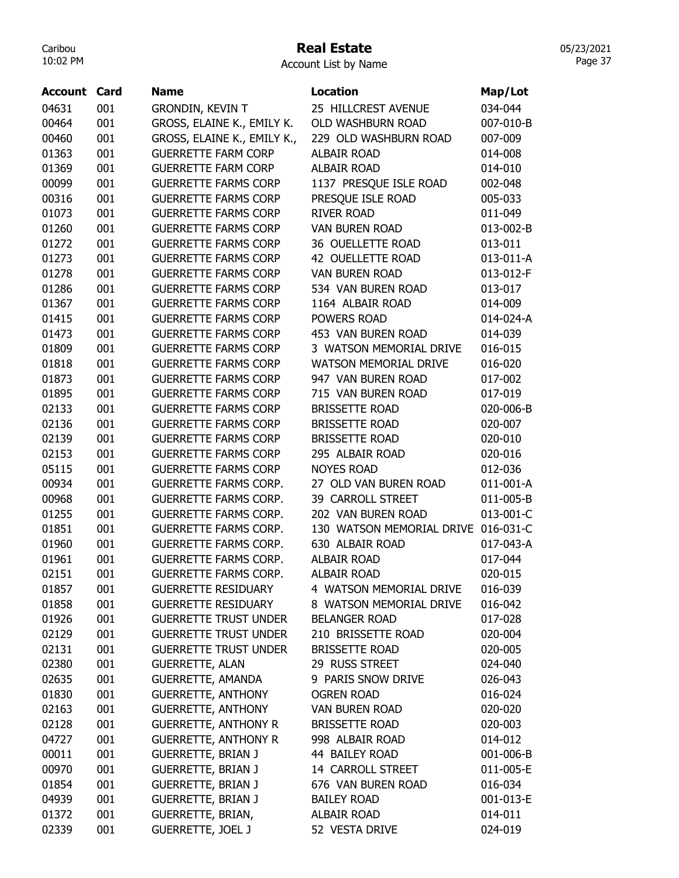#### Real Estate

Account List by Name

| Account | Card | <b>Name</b>                  | <b>Location</b>                     | Map/Lot   |
|---------|------|------------------------------|-------------------------------------|-----------|
| 04631   | 001  | <b>GRONDIN, KEVIN T</b>      | 25 HILLCREST AVENUE                 | 034-044   |
| 00464   | 001  | GROSS, ELAINE K., EMILY K.   | OLD WASHBURN ROAD                   | 007-010-B |
| 00460   | 001  | GROSS, ELAINE K., EMILY K.,  | 229 OLD WASHBURN ROAD               | 007-009   |
| 01363   | 001  | <b>GUERRETTE FARM CORP</b>   | <b>ALBAIR ROAD</b>                  | 014-008   |
| 01369   | 001  | <b>GUERRETTE FARM CORP</b>   | <b>ALBAIR ROAD</b>                  | 014-010   |
| 00099   | 001  | <b>GUERRETTE FARMS CORP</b>  | 1137 PRESQUE ISLE ROAD              | 002-048   |
| 00316   | 001  | <b>GUERRETTE FARMS CORP</b>  | PRESQUE ISLE ROAD                   | 005-033   |
| 01073   | 001  | <b>GUERRETTE FARMS CORP</b>  | <b>RIVER ROAD</b>                   | 011-049   |
| 01260   | 001  | <b>GUERRETTE FARMS CORP</b>  | <b>VAN BUREN ROAD</b>               | 013-002-B |
| 01272   | 001  | <b>GUERRETTE FARMS CORP</b>  | 36 OUELLETTE ROAD                   | 013-011   |
| 01273   | 001  | <b>GUERRETTE FARMS CORP</b>  | 42 OUELLETTE ROAD                   | 013-011-A |
| 01278   | 001  | <b>GUERRETTE FARMS CORP</b>  | <b>VAN BUREN ROAD</b>               | 013-012-F |
| 01286   | 001  | <b>GUERRETTE FARMS CORP</b>  | 534 VAN BUREN ROAD                  | 013-017   |
| 01367   | 001  | <b>GUERRETTE FARMS CORP</b>  | 1164 ALBAIR ROAD                    | 014-009   |
| 01415   | 001  | <b>GUERRETTE FARMS CORP</b>  | POWERS ROAD                         | 014-024-A |
| 01473   | 001  | <b>GUERRETTE FARMS CORP</b>  | 453 VAN BUREN ROAD                  | 014-039   |
| 01809   | 001  | <b>GUERRETTE FARMS CORP</b>  | 3 WATSON MEMORIAL DRIVE             | 016-015   |
| 01818   | 001  | <b>GUERRETTE FARMS CORP</b>  | <b>WATSON MEMORIAL DRIVE</b>        | 016-020   |
| 01873   | 001  | <b>GUERRETTE FARMS CORP</b>  | 947 VAN BUREN ROAD                  | 017-002   |
| 01895   | 001  | <b>GUERRETTE FARMS CORP</b>  | 715 VAN BUREN ROAD                  | 017-019   |
| 02133   | 001  | <b>GUERRETTE FARMS CORP</b>  | <b>BRISSETTE ROAD</b>               | 020-006-B |
| 02136   | 001  | <b>GUERRETTE FARMS CORP</b>  | <b>BRISSETTE ROAD</b>               | 020-007   |
| 02139   | 001  | <b>GUERRETTE FARMS CORP</b>  | <b>BRISSETTE ROAD</b>               | 020-010   |
| 02153   | 001  | <b>GUERRETTE FARMS CORP</b>  | 295 ALBAIR ROAD                     | 020-016   |
| 05115   | 001  | <b>GUERRETTE FARMS CORP</b>  | <b>NOYES ROAD</b>                   | 012-036   |
| 00934   | 001  | <b>GUERRETTE FARMS CORP.</b> | 27 OLD VAN BUREN ROAD               | 011-001-A |
| 00968   | 001  | <b>GUERRETTE FARMS CORP.</b> | <b>39 CARROLL STREET</b>            | 011-005-B |
| 01255   | 001  | <b>GUERRETTE FARMS CORP.</b> | 202 VAN BUREN ROAD                  | 013-001-C |
| 01851   | 001  | <b>GUERRETTE FARMS CORP.</b> | 130 WATSON MEMORIAL DRIVE 016-031-C |           |
| 01960   | 001  | <b>GUERRETTE FARMS CORP.</b> | 630 ALBAIR ROAD                     | 017-043-A |
| 01961   | 001  | <b>GUERRETTE FARMS CORP.</b> | <b>ALBAIR ROAD</b>                  | 017-044   |
| 02151   | 001  | <b>GUERRETTE FARMS CORP.</b> | <b>ALBAIR ROAD</b>                  | 020-015   |
| 01857   | 001  | <b>GUERRETTE RESIDUARY</b>   | 4 WATSON MEMORIAL DRIVE             | 016-039   |
| 01858   | 001  | <b>GUERRETTE RESIDUARY</b>   | 8 WATSON MEMORIAL DRIVE             | 016-042   |
| 01926   | 001  | <b>GUERRETTE TRUST UNDER</b> | <b>BELANGER ROAD</b>                | 017-028   |
| 02129   | 001  | <b>GUERRETTE TRUST UNDER</b> | 210 BRISSETTE ROAD                  | 020-004   |
| 02131   | 001  | <b>GUERRETTE TRUST UNDER</b> | <b>BRISSETTE ROAD</b>               | 020-005   |
| 02380   | 001  | <b>GUERRETTE, ALAN</b>       | 29 RUSS STREET                      | 024-040   |
| 02635   | 001  | <b>GUERRETTE, AMANDA</b>     | 9 PARIS SNOW DRIVE                  | 026-043   |
| 01830   | 001  | <b>GUERRETTE, ANTHONY</b>    | <b>OGREN ROAD</b>                   | 016-024   |
| 02163   | 001  | <b>GUERRETTE, ANTHONY</b>    | VAN BUREN ROAD                      | 020-020   |
| 02128   | 001  | <b>GUERRETTE, ANTHONY R</b>  | <b>BRISSETTE ROAD</b>               | 020-003   |
| 04727   | 001  | <b>GUERRETTE, ANTHONY R</b>  | 998 ALBAIR ROAD                     | 014-012   |
| 00011   | 001  | <b>GUERRETTE, BRIAN J</b>    | 44 BAILEY ROAD                      | 001-006-B |
| 00970   | 001  | <b>GUERRETTE, BRIAN J</b>    | 14 CARROLL STREET                   | 011-005-E |
| 01854   | 001  | <b>GUERRETTE, BRIAN J</b>    | 676 VAN BUREN ROAD                  | 016-034   |
| 04939   | 001  | <b>GUERRETTE, BRIAN J</b>    | <b>BAILEY ROAD</b>                  | 001-013-E |
| 01372   | 001  | GUERRETTE, BRIAN,            | <b>ALBAIR ROAD</b>                  | 014-011   |
| 02339   | 001  | <b>GUERRETTE, JOEL J</b>     | 52 VESTA DRIVE                      | 024-019   |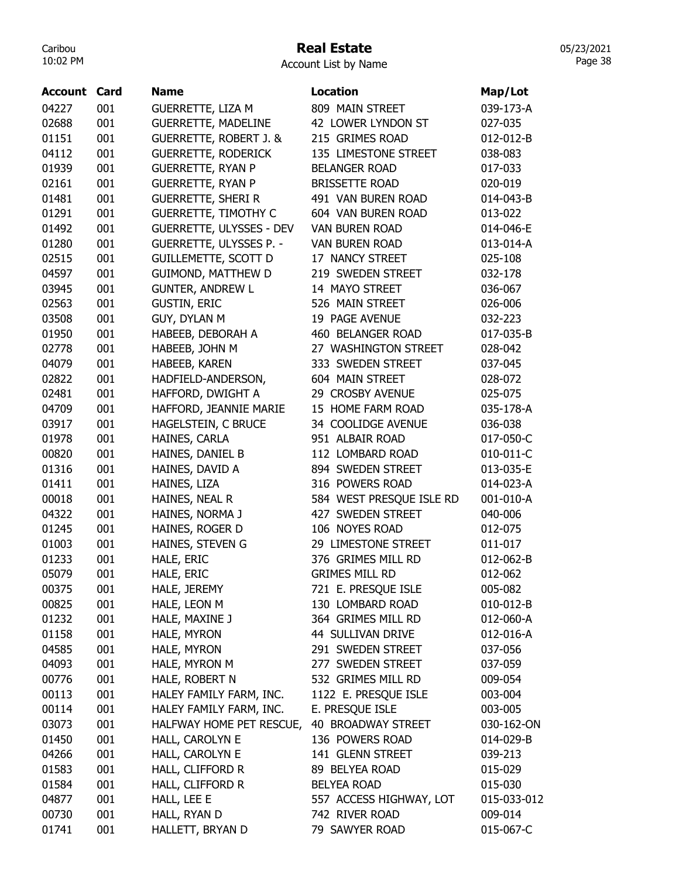## Real Estate

Account List by Name

| 04227<br>001<br>GUERRETTE, LIZA M<br>809 MAIN STREET<br>039-173-A<br>02688<br>001<br><b>GUERRETTE, MADELINE</b><br>42 LOWER LYNDON ST<br>027-035<br>01151<br>001<br><b>GUERRETTE, ROBERT J. &amp;</b><br>215 GRIMES ROAD<br>012-012-B<br>04112<br>001<br><b>GUERRETTE, RODERICK</b><br>135 LIMESTONE STREET<br>038-083<br>01939<br>001<br><b>GUERRETTE, RYAN P</b><br><b>BELANGER ROAD</b><br>017-033<br>02161<br>001<br><b>GUERRETTE, RYAN P</b><br><b>BRISSETTE ROAD</b><br>020-019<br>01481<br>001<br>491 VAN BUREN ROAD<br><b>GUERRETTE, SHERI R</b><br>014-043-B<br>001<br>604 VAN BUREN ROAD<br>01291<br><b>GUERRETTE, TIMOTHY C</b><br>013-022<br>01492<br>001<br>GUERRETTE, ULYSSES - DEV<br><b>VAN BUREN ROAD</b><br>014-046-E<br>001<br>01280<br><b>GUERRETTE, ULYSSES P. -</b><br><b>VAN BUREN ROAD</b><br>013-014-A<br>02515<br>001<br><b>GUILLEMETTE, SCOTT D</b><br>17 NANCY STREET<br>025-108<br>04597<br>001<br>GUIMOND, MATTHEW D<br>219 SWEDEN STREET<br>032-178<br>03945<br>001<br><b>GUNTER, ANDREW L</b><br>14 MAYO STREET<br>036-067<br>001<br>02563<br><b>GUSTIN, ERIC</b><br>526 MAIN STREET<br>026-006<br>GUY, DYLAN M<br>03508<br>001<br>19 PAGE AVENUE<br>032-223<br>001<br>01950<br>HABEEB, DEBORAH A<br>460 BELANGER ROAD<br>017-035-B<br>001<br>02778<br>27 WASHINGTON STREET<br>HABEEB, JOHN M<br>028-042<br>04079<br>001<br>333 SWEDEN STREET<br>HABEEB, KAREN<br>037-045<br>02822<br>001<br>604 MAIN STREET<br>HADFIELD-ANDERSON,<br>028-072<br>001<br>02481<br>HAFFORD, DWIGHT A<br>29 CROSBY AVENUE<br>025-075<br>001<br>04709<br>HAFFORD, JEANNIE MARIE<br>15 HOME FARM ROAD<br>035-178-A<br>03917<br>001<br>HAGELSTEIN, C BRUCE<br>34 COOLIDGE AVENUE<br>036-038<br>01978<br>001<br>HAINES, CARLA<br>951 ALBAIR ROAD<br>017-050-C<br>00820<br>001<br>HAINES, DANIEL B<br>112 LOMBARD ROAD<br>010-011-C<br>001<br>01316<br>894 SWEDEN STREET<br>HAINES, DAVID A<br>013-035-E<br>01411<br>001<br>316 POWERS ROAD<br>HAINES, LIZA<br>014-023-A<br>001<br>584 WEST PRESQUE ISLE RD<br>00018<br>HAINES, NEAL R<br>001-010-A<br>001<br>427 SWEDEN STREET<br>04322<br>HAINES, NORMA J<br>040-006<br>01245<br>001<br>106 NOYES ROAD<br>HAINES, ROGER D<br>012-075<br>01003<br>001<br>HAINES, STEVEN G<br>29 LIMESTONE STREET<br>011-017<br>001<br>376 GRIMES MILL RD<br>01233<br>HALE, ERIC<br>012-062-B<br>05079<br><b>GRIMES MILL RD</b><br>012-062<br>001<br>HALE, ERIC<br>HALE, JEREMY<br>721 E. PRESQUE ISLE<br>00375<br>001<br>005-082<br>00825<br>001<br>HALE, LEON M<br>130 LOMBARD ROAD<br>010-012-B<br>01232<br>001<br>364 GRIMES MILL RD<br>HALE, MAXINE J<br>012-060-A<br>01158<br>001<br>44 SULLIVAN DRIVE<br>012-016-A<br>HALE, MYRON<br>04585<br>001<br>291 SWEDEN STREET<br>HALE, MYRON<br>037-056<br>001<br>HALE, MYRON M<br>277 SWEDEN STREET<br>04093<br>037-059<br>001<br>HALE, ROBERT N<br>532 GRIMES MILL RD<br>00776<br>009-054<br>00113<br>001<br>HALEY FAMILY FARM, INC.<br>1122 E. PRESQUE ISLE<br>003-004<br>001<br>00114<br>HALEY FAMILY FARM, INC.<br>E. PRESQUE ISLE<br>003-005<br>001<br>HALFWAY HOME PET RESCUE,<br>40 BROADWAY STREET<br>03073<br>030-162-ON<br>01450<br>001<br>136 POWERS ROAD<br>HALL, CAROLYN E<br>014-029-B<br>001<br>141 GLENN STREET<br>04266<br>HALL, CAROLYN E<br>039-213<br>HALL, CLIFFORD R<br>01583<br>001<br>89 BELYEA ROAD<br>015-029<br>01584<br>HALL, CLIFFORD R<br><b>BELYEA ROAD</b><br>001<br>015-030<br>04877<br>001<br>HALL, LEE E<br>557 ACCESS HIGHWAY, LOT<br>015-033-012 | <b>Account Card</b> | <b>Name</b> | <b>Location</b> | Map/Lot |
|--------------------------------------------------------------------------------------------------------------------------------------------------------------------------------------------------------------------------------------------------------------------------------------------------------------------------------------------------------------------------------------------------------------------------------------------------------------------------------------------------------------------------------------------------------------------------------------------------------------------------------------------------------------------------------------------------------------------------------------------------------------------------------------------------------------------------------------------------------------------------------------------------------------------------------------------------------------------------------------------------------------------------------------------------------------------------------------------------------------------------------------------------------------------------------------------------------------------------------------------------------------------------------------------------------------------------------------------------------------------------------------------------------------------------------------------------------------------------------------------------------------------------------------------------------------------------------------------------------------------------------------------------------------------------------------------------------------------------------------------------------------------------------------------------------------------------------------------------------------------------------------------------------------------------------------------------------------------------------------------------------------------------------------------------------------------------------------------------------------------------------------------------------------------------------------------------------------------------------------------------------------------------------------------------------------------------------------------------------------------------------------------------------------------------------------------------------------------------------------------------------------------------------------------------------------------------------------------------------------------------------------------------------------------------------------------------------------------------------------------------------------------------------------------------------------------------------------------------------------------------------------------------------------------------------------------------------------------------------------------------------------------------------------------------------------------------------------------------------------------------------------------------------------------------------------------------------------------------------------------------------------------------------------------------------------------------------------------------------------------------------------------------------------------------------------------------------------------------------|---------------------|-------------|-----------------|---------|
|                                                                                                                                                                                                                                                                                                                                                                                                                                                                                                                                                                                                                                                                                                                                                                                                                                                                                                                                                                                                                                                                                                                                                                                                                                                                                                                                                                                                                                                                                                                                                                                                                                                                                                                                                                                                                                                                                                                                                                                                                                                                                                                                                                                                                                                                                                                                                                                                                                                                                                                                                                                                                                                                                                                                                                                                                                                                                                                                                                                                                                                                                                                                                                                                                                                                                                                                                                                                                                                                                |                     |             |                 |         |
|                                                                                                                                                                                                                                                                                                                                                                                                                                                                                                                                                                                                                                                                                                                                                                                                                                                                                                                                                                                                                                                                                                                                                                                                                                                                                                                                                                                                                                                                                                                                                                                                                                                                                                                                                                                                                                                                                                                                                                                                                                                                                                                                                                                                                                                                                                                                                                                                                                                                                                                                                                                                                                                                                                                                                                                                                                                                                                                                                                                                                                                                                                                                                                                                                                                                                                                                                                                                                                                                                |                     |             |                 |         |
|                                                                                                                                                                                                                                                                                                                                                                                                                                                                                                                                                                                                                                                                                                                                                                                                                                                                                                                                                                                                                                                                                                                                                                                                                                                                                                                                                                                                                                                                                                                                                                                                                                                                                                                                                                                                                                                                                                                                                                                                                                                                                                                                                                                                                                                                                                                                                                                                                                                                                                                                                                                                                                                                                                                                                                                                                                                                                                                                                                                                                                                                                                                                                                                                                                                                                                                                                                                                                                                                                |                     |             |                 |         |
|                                                                                                                                                                                                                                                                                                                                                                                                                                                                                                                                                                                                                                                                                                                                                                                                                                                                                                                                                                                                                                                                                                                                                                                                                                                                                                                                                                                                                                                                                                                                                                                                                                                                                                                                                                                                                                                                                                                                                                                                                                                                                                                                                                                                                                                                                                                                                                                                                                                                                                                                                                                                                                                                                                                                                                                                                                                                                                                                                                                                                                                                                                                                                                                                                                                                                                                                                                                                                                                                                |                     |             |                 |         |
|                                                                                                                                                                                                                                                                                                                                                                                                                                                                                                                                                                                                                                                                                                                                                                                                                                                                                                                                                                                                                                                                                                                                                                                                                                                                                                                                                                                                                                                                                                                                                                                                                                                                                                                                                                                                                                                                                                                                                                                                                                                                                                                                                                                                                                                                                                                                                                                                                                                                                                                                                                                                                                                                                                                                                                                                                                                                                                                                                                                                                                                                                                                                                                                                                                                                                                                                                                                                                                                                                |                     |             |                 |         |
|                                                                                                                                                                                                                                                                                                                                                                                                                                                                                                                                                                                                                                                                                                                                                                                                                                                                                                                                                                                                                                                                                                                                                                                                                                                                                                                                                                                                                                                                                                                                                                                                                                                                                                                                                                                                                                                                                                                                                                                                                                                                                                                                                                                                                                                                                                                                                                                                                                                                                                                                                                                                                                                                                                                                                                                                                                                                                                                                                                                                                                                                                                                                                                                                                                                                                                                                                                                                                                                                                |                     |             |                 |         |
|                                                                                                                                                                                                                                                                                                                                                                                                                                                                                                                                                                                                                                                                                                                                                                                                                                                                                                                                                                                                                                                                                                                                                                                                                                                                                                                                                                                                                                                                                                                                                                                                                                                                                                                                                                                                                                                                                                                                                                                                                                                                                                                                                                                                                                                                                                                                                                                                                                                                                                                                                                                                                                                                                                                                                                                                                                                                                                                                                                                                                                                                                                                                                                                                                                                                                                                                                                                                                                                                                |                     |             |                 |         |
|                                                                                                                                                                                                                                                                                                                                                                                                                                                                                                                                                                                                                                                                                                                                                                                                                                                                                                                                                                                                                                                                                                                                                                                                                                                                                                                                                                                                                                                                                                                                                                                                                                                                                                                                                                                                                                                                                                                                                                                                                                                                                                                                                                                                                                                                                                                                                                                                                                                                                                                                                                                                                                                                                                                                                                                                                                                                                                                                                                                                                                                                                                                                                                                                                                                                                                                                                                                                                                                                                |                     |             |                 |         |
|                                                                                                                                                                                                                                                                                                                                                                                                                                                                                                                                                                                                                                                                                                                                                                                                                                                                                                                                                                                                                                                                                                                                                                                                                                                                                                                                                                                                                                                                                                                                                                                                                                                                                                                                                                                                                                                                                                                                                                                                                                                                                                                                                                                                                                                                                                                                                                                                                                                                                                                                                                                                                                                                                                                                                                                                                                                                                                                                                                                                                                                                                                                                                                                                                                                                                                                                                                                                                                                                                |                     |             |                 |         |
|                                                                                                                                                                                                                                                                                                                                                                                                                                                                                                                                                                                                                                                                                                                                                                                                                                                                                                                                                                                                                                                                                                                                                                                                                                                                                                                                                                                                                                                                                                                                                                                                                                                                                                                                                                                                                                                                                                                                                                                                                                                                                                                                                                                                                                                                                                                                                                                                                                                                                                                                                                                                                                                                                                                                                                                                                                                                                                                                                                                                                                                                                                                                                                                                                                                                                                                                                                                                                                                                                |                     |             |                 |         |
|                                                                                                                                                                                                                                                                                                                                                                                                                                                                                                                                                                                                                                                                                                                                                                                                                                                                                                                                                                                                                                                                                                                                                                                                                                                                                                                                                                                                                                                                                                                                                                                                                                                                                                                                                                                                                                                                                                                                                                                                                                                                                                                                                                                                                                                                                                                                                                                                                                                                                                                                                                                                                                                                                                                                                                                                                                                                                                                                                                                                                                                                                                                                                                                                                                                                                                                                                                                                                                                                                |                     |             |                 |         |
|                                                                                                                                                                                                                                                                                                                                                                                                                                                                                                                                                                                                                                                                                                                                                                                                                                                                                                                                                                                                                                                                                                                                                                                                                                                                                                                                                                                                                                                                                                                                                                                                                                                                                                                                                                                                                                                                                                                                                                                                                                                                                                                                                                                                                                                                                                                                                                                                                                                                                                                                                                                                                                                                                                                                                                                                                                                                                                                                                                                                                                                                                                                                                                                                                                                                                                                                                                                                                                                                                |                     |             |                 |         |
|                                                                                                                                                                                                                                                                                                                                                                                                                                                                                                                                                                                                                                                                                                                                                                                                                                                                                                                                                                                                                                                                                                                                                                                                                                                                                                                                                                                                                                                                                                                                                                                                                                                                                                                                                                                                                                                                                                                                                                                                                                                                                                                                                                                                                                                                                                                                                                                                                                                                                                                                                                                                                                                                                                                                                                                                                                                                                                                                                                                                                                                                                                                                                                                                                                                                                                                                                                                                                                                                                |                     |             |                 |         |
|                                                                                                                                                                                                                                                                                                                                                                                                                                                                                                                                                                                                                                                                                                                                                                                                                                                                                                                                                                                                                                                                                                                                                                                                                                                                                                                                                                                                                                                                                                                                                                                                                                                                                                                                                                                                                                                                                                                                                                                                                                                                                                                                                                                                                                                                                                                                                                                                                                                                                                                                                                                                                                                                                                                                                                                                                                                                                                                                                                                                                                                                                                                                                                                                                                                                                                                                                                                                                                                                                |                     |             |                 |         |
|                                                                                                                                                                                                                                                                                                                                                                                                                                                                                                                                                                                                                                                                                                                                                                                                                                                                                                                                                                                                                                                                                                                                                                                                                                                                                                                                                                                                                                                                                                                                                                                                                                                                                                                                                                                                                                                                                                                                                                                                                                                                                                                                                                                                                                                                                                                                                                                                                                                                                                                                                                                                                                                                                                                                                                                                                                                                                                                                                                                                                                                                                                                                                                                                                                                                                                                                                                                                                                                                                |                     |             |                 |         |
|                                                                                                                                                                                                                                                                                                                                                                                                                                                                                                                                                                                                                                                                                                                                                                                                                                                                                                                                                                                                                                                                                                                                                                                                                                                                                                                                                                                                                                                                                                                                                                                                                                                                                                                                                                                                                                                                                                                                                                                                                                                                                                                                                                                                                                                                                                                                                                                                                                                                                                                                                                                                                                                                                                                                                                                                                                                                                                                                                                                                                                                                                                                                                                                                                                                                                                                                                                                                                                                                                |                     |             |                 |         |
|                                                                                                                                                                                                                                                                                                                                                                                                                                                                                                                                                                                                                                                                                                                                                                                                                                                                                                                                                                                                                                                                                                                                                                                                                                                                                                                                                                                                                                                                                                                                                                                                                                                                                                                                                                                                                                                                                                                                                                                                                                                                                                                                                                                                                                                                                                                                                                                                                                                                                                                                                                                                                                                                                                                                                                                                                                                                                                                                                                                                                                                                                                                                                                                                                                                                                                                                                                                                                                                                                |                     |             |                 |         |
|                                                                                                                                                                                                                                                                                                                                                                                                                                                                                                                                                                                                                                                                                                                                                                                                                                                                                                                                                                                                                                                                                                                                                                                                                                                                                                                                                                                                                                                                                                                                                                                                                                                                                                                                                                                                                                                                                                                                                                                                                                                                                                                                                                                                                                                                                                                                                                                                                                                                                                                                                                                                                                                                                                                                                                                                                                                                                                                                                                                                                                                                                                                                                                                                                                                                                                                                                                                                                                                                                |                     |             |                 |         |
|                                                                                                                                                                                                                                                                                                                                                                                                                                                                                                                                                                                                                                                                                                                                                                                                                                                                                                                                                                                                                                                                                                                                                                                                                                                                                                                                                                                                                                                                                                                                                                                                                                                                                                                                                                                                                                                                                                                                                                                                                                                                                                                                                                                                                                                                                                                                                                                                                                                                                                                                                                                                                                                                                                                                                                                                                                                                                                                                                                                                                                                                                                                                                                                                                                                                                                                                                                                                                                                                                |                     |             |                 |         |
|                                                                                                                                                                                                                                                                                                                                                                                                                                                                                                                                                                                                                                                                                                                                                                                                                                                                                                                                                                                                                                                                                                                                                                                                                                                                                                                                                                                                                                                                                                                                                                                                                                                                                                                                                                                                                                                                                                                                                                                                                                                                                                                                                                                                                                                                                                                                                                                                                                                                                                                                                                                                                                                                                                                                                                                                                                                                                                                                                                                                                                                                                                                                                                                                                                                                                                                                                                                                                                                                                |                     |             |                 |         |
|                                                                                                                                                                                                                                                                                                                                                                                                                                                                                                                                                                                                                                                                                                                                                                                                                                                                                                                                                                                                                                                                                                                                                                                                                                                                                                                                                                                                                                                                                                                                                                                                                                                                                                                                                                                                                                                                                                                                                                                                                                                                                                                                                                                                                                                                                                                                                                                                                                                                                                                                                                                                                                                                                                                                                                                                                                                                                                                                                                                                                                                                                                                                                                                                                                                                                                                                                                                                                                                                                |                     |             |                 |         |
|                                                                                                                                                                                                                                                                                                                                                                                                                                                                                                                                                                                                                                                                                                                                                                                                                                                                                                                                                                                                                                                                                                                                                                                                                                                                                                                                                                                                                                                                                                                                                                                                                                                                                                                                                                                                                                                                                                                                                                                                                                                                                                                                                                                                                                                                                                                                                                                                                                                                                                                                                                                                                                                                                                                                                                                                                                                                                                                                                                                                                                                                                                                                                                                                                                                                                                                                                                                                                                                                                |                     |             |                 |         |
|                                                                                                                                                                                                                                                                                                                                                                                                                                                                                                                                                                                                                                                                                                                                                                                                                                                                                                                                                                                                                                                                                                                                                                                                                                                                                                                                                                                                                                                                                                                                                                                                                                                                                                                                                                                                                                                                                                                                                                                                                                                                                                                                                                                                                                                                                                                                                                                                                                                                                                                                                                                                                                                                                                                                                                                                                                                                                                                                                                                                                                                                                                                                                                                                                                                                                                                                                                                                                                                                                |                     |             |                 |         |
|                                                                                                                                                                                                                                                                                                                                                                                                                                                                                                                                                                                                                                                                                                                                                                                                                                                                                                                                                                                                                                                                                                                                                                                                                                                                                                                                                                                                                                                                                                                                                                                                                                                                                                                                                                                                                                                                                                                                                                                                                                                                                                                                                                                                                                                                                                                                                                                                                                                                                                                                                                                                                                                                                                                                                                                                                                                                                                                                                                                                                                                                                                                                                                                                                                                                                                                                                                                                                                                                                |                     |             |                 |         |
|                                                                                                                                                                                                                                                                                                                                                                                                                                                                                                                                                                                                                                                                                                                                                                                                                                                                                                                                                                                                                                                                                                                                                                                                                                                                                                                                                                                                                                                                                                                                                                                                                                                                                                                                                                                                                                                                                                                                                                                                                                                                                                                                                                                                                                                                                                                                                                                                                                                                                                                                                                                                                                                                                                                                                                                                                                                                                                                                                                                                                                                                                                                                                                                                                                                                                                                                                                                                                                                                                |                     |             |                 |         |
|                                                                                                                                                                                                                                                                                                                                                                                                                                                                                                                                                                                                                                                                                                                                                                                                                                                                                                                                                                                                                                                                                                                                                                                                                                                                                                                                                                                                                                                                                                                                                                                                                                                                                                                                                                                                                                                                                                                                                                                                                                                                                                                                                                                                                                                                                                                                                                                                                                                                                                                                                                                                                                                                                                                                                                                                                                                                                                                                                                                                                                                                                                                                                                                                                                                                                                                                                                                                                                                                                |                     |             |                 |         |
|                                                                                                                                                                                                                                                                                                                                                                                                                                                                                                                                                                                                                                                                                                                                                                                                                                                                                                                                                                                                                                                                                                                                                                                                                                                                                                                                                                                                                                                                                                                                                                                                                                                                                                                                                                                                                                                                                                                                                                                                                                                                                                                                                                                                                                                                                                                                                                                                                                                                                                                                                                                                                                                                                                                                                                                                                                                                                                                                                                                                                                                                                                                                                                                                                                                                                                                                                                                                                                                                                |                     |             |                 |         |
|                                                                                                                                                                                                                                                                                                                                                                                                                                                                                                                                                                                                                                                                                                                                                                                                                                                                                                                                                                                                                                                                                                                                                                                                                                                                                                                                                                                                                                                                                                                                                                                                                                                                                                                                                                                                                                                                                                                                                                                                                                                                                                                                                                                                                                                                                                                                                                                                                                                                                                                                                                                                                                                                                                                                                                                                                                                                                                                                                                                                                                                                                                                                                                                                                                                                                                                                                                                                                                                                                |                     |             |                 |         |
|                                                                                                                                                                                                                                                                                                                                                                                                                                                                                                                                                                                                                                                                                                                                                                                                                                                                                                                                                                                                                                                                                                                                                                                                                                                                                                                                                                                                                                                                                                                                                                                                                                                                                                                                                                                                                                                                                                                                                                                                                                                                                                                                                                                                                                                                                                                                                                                                                                                                                                                                                                                                                                                                                                                                                                                                                                                                                                                                                                                                                                                                                                                                                                                                                                                                                                                                                                                                                                                                                |                     |             |                 |         |
|                                                                                                                                                                                                                                                                                                                                                                                                                                                                                                                                                                                                                                                                                                                                                                                                                                                                                                                                                                                                                                                                                                                                                                                                                                                                                                                                                                                                                                                                                                                                                                                                                                                                                                                                                                                                                                                                                                                                                                                                                                                                                                                                                                                                                                                                                                                                                                                                                                                                                                                                                                                                                                                                                                                                                                                                                                                                                                                                                                                                                                                                                                                                                                                                                                                                                                                                                                                                                                                                                |                     |             |                 |         |
|                                                                                                                                                                                                                                                                                                                                                                                                                                                                                                                                                                                                                                                                                                                                                                                                                                                                                                                                                                                                                                                                                                                                                                                                                                                                                                                                                                                                                                                                                                                                                                                                                                                                                                                                                                                                                                                                                                                                                                                                                                                                                                                                                                                                                                                                                                                                                                                                                                                                                                                                                                                                                                                                                                                                                                                                                                                                                                                                                                                                                                                                                                                                                                                                                                                                                                                                                                                                                                                                                |                     |             |                 |         |
|                                                                                                                                                                                                                                                                                                                                                                                                                                                                                                                                                                                                                                                                                                                                                                                                                                                                                                                                                                                                                                                                                                                                                                                                                                                                                                                                                                                                                                                                                                                                                                                                                                                                                                                                                                                                                                                                                                                                                                                                                                                                                                                                                                                                                                                                                                                                                                                                                                                                                                                                                                                                                                                                                                                                                                                                                                                                                                                                                                                                                                                                                                                                                                                                                                                                                                                                                                                                                                                                                |                     |             |                 |         |
|                                                                                                                                                                                                                                                                                                                                                                                                                                                                                                                                                                                                                                                                                                                                                                                                                                                                                                                                                                                                                                                                                                                                                                                                                                                                                                                                                                                                                                                                                                                                                                                                                                                                                                                                                                                                                                                                                                                                                                                                                                                                                                                                                                                                                                                                                                                                                                                                                                                                                                                                                                                                                                                                                                                                                                                                                                                                                                                                                                                                                                                                                                                                                                                                                                                                                                                                                                                                                                                                                |                     |             |                 |         |
|                                                                                                                                                                                                                                                                                                                                                                                                                                                                                                                                                                                                                                                                                                                                                                                                                                                                                                                                                                                                                                                                                                                                                                                                                                                                                                                                                                                                                                                                                                                                                                                                                                                                                                                                                                                                                                                                                                                                                                                                                                                                                                                                                                                                                                                                                                                                                                                                                                                                                                                                                                                                                                                                                                                                                                                                                                                                                                                                                                                                                                                                                                                                                                                                                                                                                                                                                                                                                                                                                |                     |             |                 |         |
|                                                                                                                                                                                                                                                                                                                                                                                                                                                                                                                                                                                                                                                                                                                                                                                                                                                                                                                                                                                                                                                                                                                                                                                                                                                                                                                                                                                                                                                                                                                                                                                                                                                                                                                                                                                                                                                                                                                                                                                                                                                                                                                                                                                                                                                                                                                                                                                                                                                                                                                                                                                                                                                                                                                                                                                                                                                                                                                                                                                                                                                                                                                                                                                                                                                                                                                                                                                                                                                                                |                     |             |                 |         |
|                                                                                                                                                                                                                                                                                                                                                                                                                                                                                                                                                                                                                                                                                                                                                                                                                                                                                                                                                                                                                                                                                                                                                                                                                                                                                                                                                                                                                                                                                                                                                                                                                                                                                                                                                                                                                                                                                                                                                                                                                                                                                                                                                                                                                                                                                                                                                                                                                                                                                                                                                                                                                                                                                                                                                                                                                                                                                                                                                                                                                                                                                                                                                                                                                                                                                                                                                                                                                                                                                |                     |             |                 |         |
|                                                                                                                                                                                                                                                                                                                                                                                                                                                                                                                                                                                                                                                                                                                                                                                                                                                                                                                                                                                                                                                                                                                                                                                                                                                                                                                                                                                                                                                                                                                                                                                                                                                                                                                                                                                                                                                                                                                                                                                                                                                                                                                                                                                                                                                                                                                                                                                                                                                                                                                                                                                                                                                                                                                                                                                                                                                                                                                                                                                                                                                                                                                                                                                                                                                                                                                                                                                                                                                                                |                     |             |                 |         |
|                                                                                                                                                                                                                                                                                                                                                                                                                                                                                                                                                                                                                                                                                                                                                                                                                                                                                                                                                                                                                                                                                                                                                                                                                                                                                                                                                                                                                                                                                                                                                                                                                                                                                                                                                                                                                                                                                                                                                                                                                                                                                                                                                                                                                                                                                                                                                                                                                                                                                                                                                                                                                                                                                                                                                                                                                                                                                                                                                                                                                                                                                                                                                                                                                                                                                                                                                                                                                                                                                |                     |             |                 |         |
|                                                                                                                                                                                                                                                                                                                                                                                                                                                                                                                                                                                                                                                                                                                                                                                                                                                                                                                                                                                                                                                                                                                                                                                                                                                                                                                                                                                                                                                                                                                                                                                                                                                                                                                                                                                                                                                                                                                                                                                                                                                                                                                                                                                                                                                                                                                                                                                                                                                                                                                                                                                                                                                                                                                                                                                                                                                                                                                                                                                                                                                                                                                                                                                                                                                                                                                                                                                                                                                                                |                     |             |                 |         |
|                                                                                                                                                                                                                                                                                                                                                                                                                                                                                                                                                                                                                                                                                                                                                                                                                                                                                                                                                                                                                                                                                                                                                                                                                                                                                                                                                                                                                                                                                                                                                                                                                                                                                                                                                                                                                                                                                                                                                                                                                                                                                                                                                                                                                                                                                                                                                                                                                                                                                                                                                                                                                                                                                                                                                                                                                                                                                                                                                                                                                                                                                                                                                                                                                                                                                                                                                                                                                                                                                |                     |             |                 |         |
|                                                                                                                                                                                                                                                                                                                                                                                                                                                                                                                                                                                                                                                                                                                                                                                                                                                                                                                                                                                                                                                                                                                                                                                                                                                                                                                                                                                                                                                                                                                                                                                                                                                                                                                                                                                                                                                                                                                                                                                                                                                                                                                                                                                                                                                                                                                                                                                                                                                                                                                                                                                                                                                                                                                                                                                                                                                                                                                                                                                                                                                                                                                                                                                                                                                                                                                                                                                                                                                                                |                     |             |                 |         |
|                                                                                                                                                                                                                                                                                                                                                                                                                                                                                                                                                                                                                                                                                                                                                                                                                                                                                                                                                                                                                                                                                                                                                                                                                                                                                                                                                                                                                                                                                                                                                                                                                                                                                                                                                                                                                                                                                                                                                                                                                                                                                                                                                                                                                                                                                                                                                                                                                                                                                                                                                                                                                                                                                                                                                                                                                                                                                                                                                                                                                                                                                                                                                                                                                                                                                                                                                                                                                                                                                |                     |             |                 |         |
|                                                                                                                                                                                                                                                                                                                                                                                                                                                                                                                                                                                                                                                                                                                                                                                                                                                                                                                                                                                                                                                                                                                                                                                                                                                                                                                                                                                                                                                                                                                                                                                                                                                                                                                                                                                                                                                                                                                                                                                                                                                                                                                                                                                                                                                                                                                                                                                                                                                                                                                                                                                                                                                                                                                                                                                                                                                                                                                                                                                                                                                                                                                                                                                                                                                                                                                                                                                                                                                                                |                     |             |                 |         |
|                                                                                                                                                                                                                                                                                                                                                                                                                                                                                                                                                                                                                                                                                                                                                                                                                                                                                                                                                                                                                                                                                                                                                                                                                                                                                                                                                                                                                                                                                                                                                                                                                                                                                                                                                                                                                                                                                                                                                                                                                                                                                                                                                                                                                                                                                                                                                                                                                                                                                                                                                                                                                                                                                                                                                                                                                                                                                                                                                                                                                                                                                                                                                                                                                                                                                                                                                                                                                                                                                |                     |             |                 |         |
|                                                                                                                                                                                                                                                                                                                                                                                                                                                                                                                                                                                                                                                                                                                                                                                                                                                                                                                                                                                                                                                                                                                                                                                                                                                                                                                                                                                                                                                                                                                                                                                                                                                                                                                                                                                                                                                                                                                                                                                                                                                                                                                                                                                                                                                                                                                                                                                                                                                                                                                                                                                                                                                                                                                                                                                                                                                                                                                                                                                                                                                                                                                                                                                                                                                                                                                                                                                                                                                                                |                     |             |                 |         |
|                                                                                                                                                                                                                                                                                                                                                                                                                                                                                                                                                                                                                                                                                                                                                                                                                                                                                                                                                                                                                                                                                                                                                                                                                                                                                                                                                                                                                                                                                                                                                                                                                                                                                                                                                                                                                                                                                                                                                                                                                                                                                                                                                                                                                                                                                                                                                                                                                                                                                                                                                                                                                                                                                                                                                                                                                                                                                                                                                                                                                                                                                                                                                                                                                                                                                                                                                                                                                                                                                |                     |             |                 |         |
|                                                                                                                                                                                                                                                                                                                                                                                                                                                                                                                                                                                                                                                                                                                                                                                                                                                                                                                                                                                                                                                                                                                                                                                                                                                                                                                                                                                                                                                                                                                                                                                                                                                                                                                                                                                                                                                                                                                                                                                                                                                                                                                                                                                                                                                                                                                                                                                                                                                                                                                                                                                                                                                                                                                                                                                                                                                                                                                                                                                                                                                                                                                                                                                                                                                                                                                                                                                                                                                                                |                     |             |                 |         |
| 001<br>742 RIVER ROAD<br>00730<br>HALL, RYAN D<br>009-014                                                                                                                                                                                                                                                                                                                                                                                                                                                                                                                                                                                                                                                                                                                                                                                                                                                                                                                                                                                                                                                                                                                                                                                                                                                                                                                                                                                                                                                                                                                                                                                                                                                                                                                                                                                                                                                                                                                                                                                                                                                                                                                                                                                                                                                                                                                                                                                                                                                                                                                                                                                                                                                                                                                                                                                                                                                                                                                                                                                                                                                                                                                                                                                                                                                                                                                                                                                                                      |                     |             |                 |         |
| 01741<br>001<br>HALLETT, BRYAN D<br>79 SAWYER ROAD<br>015-067-C                                                                                                                                                                                                                                                                                                                                                                                                                                                                                                                                                                                                                                                                                                                                                                                                                                                                                                                                                                                                                                                                                                                                                                                                                                                                                                                                                                                                                                                                                                                                                                                                                                                                                                                                                                                                                                                                                                                                                                                                                                                                                                                                                                                                                                                                                                                                                                                                                                                                                                                                                                                                                                                                                                                                                                                                                                                                                                                                                                                                                                                                                                                                                                                                                                                                                                                                                                                                                |                     |             |                 |         |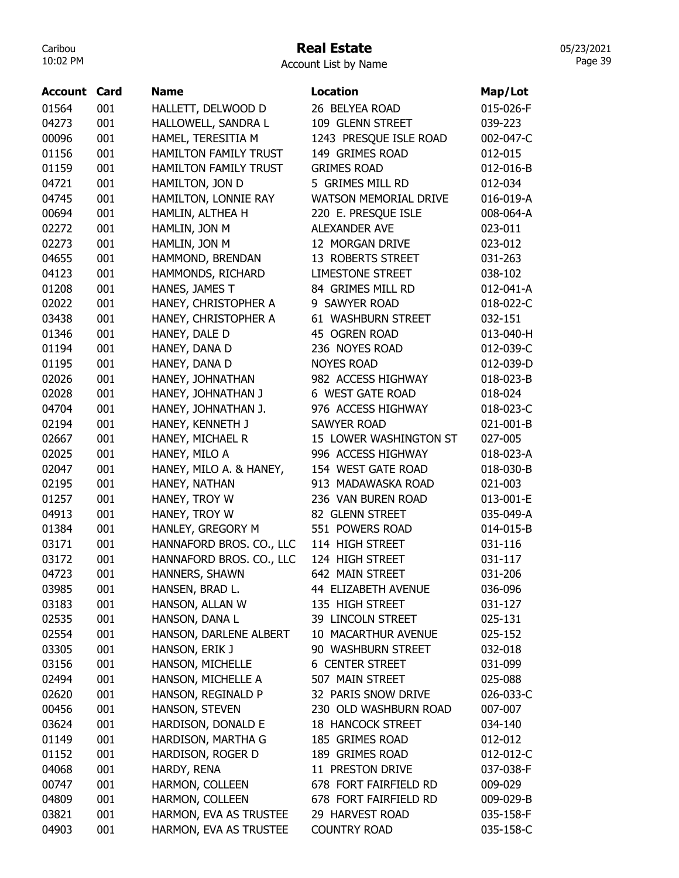## Real Estate

Account List by Name

| Account | Card | <b>Name</b>                  | <b>Location</b>              | Map/Lot   |
|---------|------|------------------------------|------------------------------|-----------|
| 01564   | 001  | HALLETT, DELWOOD D           | 26 BELYEA ROAD               | 015-026-F |
| 04273   | 001  | HALLOWELL, SANDRA L          | 109 GLENN STREET             | 039-223   |
| 00096   | 001  | HAMEL, TERESITIA M           | 1243 PRESQUE ISLE ROAD       | 002-047-C |
| 01156   | 001  | <b>HAMILTON FAMILY TRUST</b> | 149 GRIMES ROAD              | 012-015   |
| 01159   | 001  | <b>HAMILTON FAMILY TRUST</b> | <b>GRIMES ROAD</b>           | 012-016-B |
| 04721   | 001  | HAMILTON, JON D              | 5 GRIMES MILL RD             | 012-034   |
| 04745   | 001  | HAMILTON, LONNIE RAY         | <b>WATSON MEMORIAL DRIVE</b> | 016-019-A |
| 00694   | 001  | HAMLIN, ALTHEA H             | 220 E. PRESQUE ISLE          | 008-064-A |
| 02272   | 001  | HAMLIN, JON M                | <b>ALEXANDER AVE</b>         | 023-011   |
| 02273   | 001  | HAMLIN, JON M                | 12 MORGAN DRIVE              | 023-012   |
| 04655   | 001  | HAMMOND, BRENDAN             | 13 ROBERTS STREET            | 031-263   |
| 04123   | 001  | HAMMONDS, RICHARD            | <b>LIMESTONE STREET</b>      | 038-102   |
| 01208   | 001  | HANES, JAMES T               | 84 GRIMES MILL RD            | 012-041-A |
| 02022   | 001  | HANEY, CHRISTOPHER A         | 9 SAWYER ROAD                | 018-022-C |
| 03438   | 001  | HANEY, CHRISTOPHER A         | 61 WASHBURN STREET           | 032-151   |
| 01346   | 001  | HANEY, DALE D                | 45 OGREN ROAD                | 013-040-H |
| 01194   | 001  | HANEY, DANA D                | 236 NOYES ROAD               | 012-039-C |
| 01195   | 001  | HANEY, DANA D                | <b>NOYES ROAD</b>            | 012-039-D |
| 02026   | 001  | HANEY, JOHNATHAN             | 982 ACCESS HIGHWAY           | 018-023-B |
| 02028   | 001  | HANEY, JOHNATHAN J           | 6 WEST GATE ROAD             | 018-024   |
| 04704   | 001  | HANEY, JOHNATHAN J.          | 976 ACCESS HIGHWAY           | 018-023-C |
| 02194   | 001  | HANEY, KENNETH J             | <b>SAWYER ROAD</b>           | 021-001-B |
| 02667   | 001  | HANEY, MICHAEL R             | 15 LOWER WASHINGTON ST       | 027-005   |
| 02025   | 001  | HANEY, MILO A                | 996 ACCESS HIGHWAY           | 018-023-A |
| 02047   | 001  | HANEY, MILO A. & HANEY,      | 154 WEST GATE ROAD           | 018-030-B |
| 02195   | 001  | HANEY, NATHAN                | 913 MADAWASKA ROAD           | 021-003   |
| 01257   | 001  | HANEY, TROY W                | 236 VAN BUREN ROAD           | 013-001-E |
| 04913   | 001  | HANEY, TROY W                | 82 GLENN STREET              | 035-049-A |
| 01384   | 001  | HANLEY, GREGORY M            | 551 POWERS ROAD              | 014-015-B |
| 03171   | 001  | HANNAFORD BROS. CO., LLC     | 114 HIGH STREET              | 031-116   |
| 03172   | 001  | HANNAFORD BROS. CO., LLC     | 124 HIGH STREET              | 031-117   |
| 04723   | 001  | HANNERS, SHAWN               | 642 MAIN STREET              | 031-206   |
| 03985   | 001  | HANSEN, BRAD L.              | 44 ELIZABETH AVENUE          | 036-096   |
| 03183   | 001  | HANSON, ALLAN W              | 135 HIGH STREET              | 031-127   |
| 02535   | 001  | HANSON, DANA L               | 39 LINCOLN STREET            | 025-131   |
| 02554   | 001  | HANSON, DARLENE ALBERT       | 10 MACARTHUR AVENUE          | 025-152   |
| 03305   | 001  | HANSON, ERIK J               | 90 WASHBURN STREET           | 032-018   |
| 03156   | 001  | HANSON, MICHELLE             | <b>6 CENTER STREET</b>       | 031-099   |
| 02494   | 001  | HANSON, MICHELLE A           | 507 MAIN STREET              | 025-088   |
| 02620   | 001  | HANSON, REGINALD P           | 32 PARIS SNOW DRIVE          | 026-033-C |
| 00456   | 001  | HANSON, STEVEN               | 230 OLD WASHBURN ROAD        | 007-007   |
| 03624   | 001  | HARDISON, DONALD E           | <b>18 HANCOCK STREET</b>     | 034-140   |
| 01149   | 001  | HARDISON, MARTHA G           | 185 GRIMES ROAD              | 012-012   |
| 01152   | 001  | HARDISON, ROGER D            | 189 GRIMES ROAD              | 012-012-C |
| 04068   | 001  | HARDY, RENA                  | 11 PRESTON DRIVE             | 037-038-F |
| 00747   | 001  | HARMON, COLLEEN              | 678 FORT FAIRFIELD RD        | 009-029   |
| 04809   | 001  | HARMON, COLLEEN              | 678 FORT FAIRFIELD RD        | 009-029-B |
| 03821   | 001  | HARMON, EVA AS TRUSTEE       | 29 HARVEST ROAD              | 035-158-F |
| 04903   | 001  | HARMON, EVA AS TRUSTEE       | <b>COUNTRY ROAD</b>          | 035-158-C |
|         |      |                              |                              |           |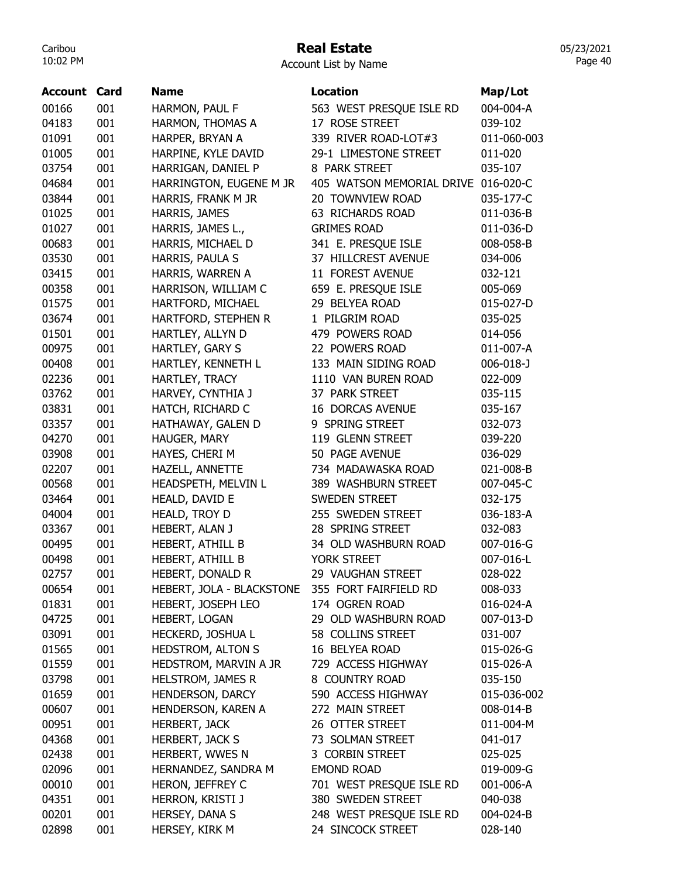# Real Estate

Account List by Name

| Account | Card | <b>Name</b>                                     | <b>Location</b>                     | Map/Lot     |
|---------|------|-------------------------------------------------|-------------------------------------|-------------|
| 00166   | 001  | HARMON, PAUL F                                  | 563 WEST PRESQUE ISLE RD            | 004-004-A   |
| 04183   | 001  | HARMON, THOMAS A                                | 17 ROSE STREET                      | 039-102     |
| 01091   | 001  | HARPER, BRYAN A                                 | 339 RIVER ROAD-LOT#3                | 011-060-003 |
| 01005   | 001  | HARPINE, KYLE DAVID                             | 29-1 LIMESTONE STREET               | 011-020     |
| 03754   | 001  | HARRIGAN, DANIEL P                              | 8 PARK STREET                       | 035-107     |
| 04684   | 001  | HARRINGTON, EUGENE M JR                         | 405 WATSON MEMORIAL DRIVE 016-020-C |             |
| 03844   | 001  | HARRIS, FRANK M JR                              | 20 TOWNVIEW ROAD                    | 035-177-C   |
| 01025   | 001  | HARRIS, JAMES                                   | 63 RICHARDS ROAD                    | 011-036-B   |
| 01027   | 001  | HARRIS, JAMES L.,                               | <b>GRIMES ROAD</b>                  | 011-036-D   |
| 00683   | 001  | HARRIS, MICHAEL D                               | 341 E. PRESQUE ISLE                 | 008-058-B   |
| 03530   | 001  | HARRIS, PAULA S                                 | 37 HILLCREST AVENUE                 | 034-006     |
| 03415   | 001  | HARRIS, WARREN A                                | 11 FOREST AVENUE                    | 032-121     |
| 00358   | 001  | HARRISON, WILLIAM C                             | 659 E. PRESQUE ISLE                 | 005-069     |
| 01575   | 001  | HARTFORD, MICHAEL                               | 29 BELYEA ROAD                      | 015-027-D   |
| 03674   | 001  | HARTFORD, STEPHEN R                             | 1 PILGRIM ROAD                      | 035-025     |
| 01501   | 001  | HARTLEY, ALLYN D                                | 479 POWERS ROAD                     | 014-056     |
| 00975   | 001  | HARTLEY, GARY S                                 | 22 POWERS ROAD                      | 011-007-A   |
| 00408   | 001  | HARTLEY, KENNETH L                              | 133 MAIN SIDING ROAD                | 006-018-J   |
| 02236   | 001  | HARTLEY, TRACY                                  | 1110 VAN BUREN ROAD                 | 022-009     |
| 03762   | 001  | HARVEY, CYNTHIA J                               | 37 PARK STREET                      | 035-115     |
| 03831   | 001  | HATCH, RICHARD C                                | <b>16 DORCAS AVENUE</b>             | 035-167     |
| 03357   | 001  | HATHAWAY, GALEN D                               | 9 SPRING STREET                     | 032-073     |
| 04270   | 001  | HAUGER, MARY                                    | 119 GLENN STREET                    | 039-220     |
| 03908   | 001  | HAYES, CHERI M                                  | 50 PAGE AVENUE                      | 036-029     |
| 02207   | 001  | HAZELL, ANNETTE                                 | 734 MADAWASKA ROAD                  | 021-008-B   |
| 00568   | 001  | HEADSPETH, MELVIN L                             | 389 WASHBURN STREET                 | 007-045-C   |
| 03464   | 001  | HEALD, DAVID E                                  | <b>SWEDEN STREET</b>                | 032-175     |
| 04004   | 001  | HEALD, TROY D                                   | 255 SWEDEN STREET                   | 036-183-A   |
| 03367   | 001  | HEBERT, ALAN J                                  | 28 SPRING STREET                    | 032-083     |
| 00495   | 001  | HEBERT, ATHILL B                                | 34 OLD WASHBURN ROAD                | 007-016-G   |
| 00498   | 001  | HEBERT, ATHILL B                                | YORK STREET                         | 007-016-L   |
| 02757   | 001  | HEBERT, DONALD R                                | 29 VAUGHAN STREET                   | 028-022     |
| 00654   | 001  | HEBERT, JOLA - BLACKSTONE 355 FORT FAIRFIELD RD |                                     | 008-033     |
| 01831   | 001  | HEBERT, JOSEPH LEO                              | 174 OGREN ROAD                      | 016-024-A   |
| 04725   | 001  | HEBERT, LOGAN                                   | 29 OLD WASHBURN ROAD                | 007-013-D   |
| 03091   | 001  | HECKERD, JOSHUA L                               | 58 COLLINS STREET                   | 031-007     |
| 01565   | 001  | <b>HEDSTROM, ALTON S</b>                        | 16 BELYEA ROAD                      | 015-026-G   |
| 01559   | 001  | HEDSTROM, MARVIN A JR                           | 729 ACCESS HIGHWAY                  | 015-026-A   |
| 03798   | 001  | <b>HELSTROM, JAMES R</b>                        | 8 COUNTRY ROAD                      | 035-150     |
| 01659   | 001  | HENDERSON, DARCY                                | 590 ACCESS HIGHWAY                  | 015-036-002 |
| 00607   | 001  | HENDERSON, KAREN A                              | 272 MAIN STREET                     | 008-014-B   |
| 00951   | 001  |                                                 |                                     |             |
|         | 001  | <b>HERBERT, JACK</b>                            | 26 OTTER STREET                     | 011-004-M   |
| 04368   |      | <b>HERBERT, JACK S</b>                          | 73 SOLMAN STREET                    | 041-017     |
| 02438   | 001  | HERBERT, WWES N                                 | 3 CORBIN STREET                     | 025-025     |
| 02096   | 001  | HERNANDEZ, SANDRA M                             | <b>EMOND ROAD</b>                   | 019-009-G   |
| 00010   | 001  | HERON, JEFFREY C                                | 701 WEST PRESQUE ISLE RD            | 001-006-A   |
| 04351   | 001  | HERRON, KRISTI J                                | 380 SWEDEN STREET                   | 040-038     |
| 00201   | 001  | HERSEY, DANA S                                  | 248 WEST PRESQUE ISLE RD            | 004-024-B   |
| 02898   | 001  | HERSEY, KIRK M                                  | 24 SINCOCK STREET                   | 028-140     |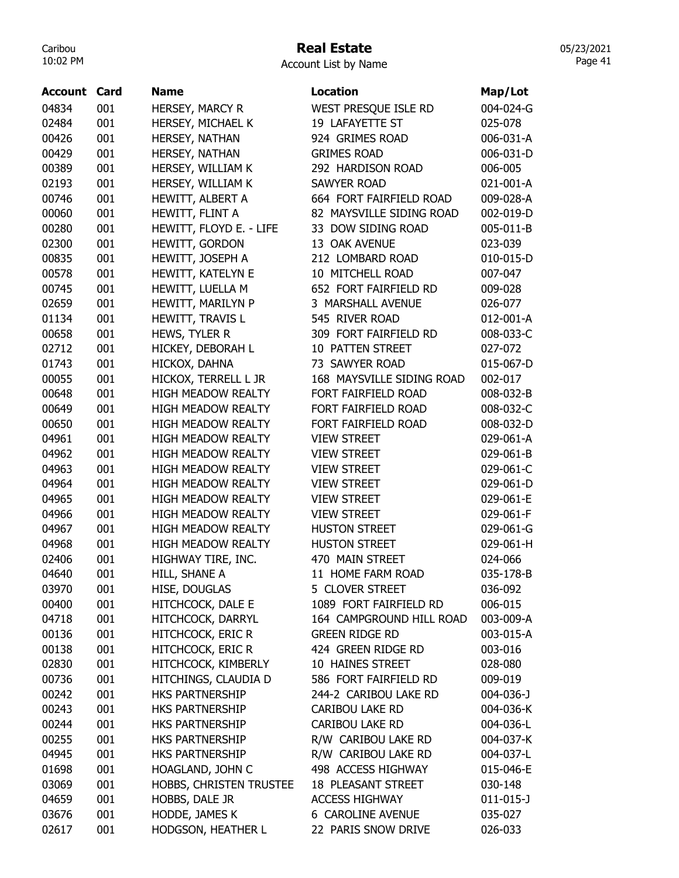# Real Estate

|  | <b>Account List by Name</b> |  |  |  |
|--|-----------------------------|--|--|--|
|--|-----------------------------|--|--|--|

|         | Card | <b>Name</b>                            | <b>Location</b>           |                 |
|---------|------|----------------------------------------|---------------------------|-----------------|
| Account |      |                                        |                           | Map/Lot         |
| 04834   | 001  | HERSEY, MARCY R                        | WEST PRESQUE ISLE RD      | 004-024-G       |
| 02484   | 001  | HERSEY, MICHAEL K                      | 19 LAFAYETTE ST           | 025-078         |
| 00426   | 001  | HERSEY, NATHAN                         | 924 GRIMES ROAD           | 006-031-A       |
| 00429   | 001  | HERSEY, NATHAN                         | <b>GRIMES ROAD</b>        | 006-031-D       |
| 00389   | 001  | HERSEY, WILLIAM K                      | 292 HARDISON ROAD         | 006-005         |
| 02193   | 001  | HERSEY, WILLIAM K                      | <b>SAWYER ROAD</b>        | 021-001-A       |
| 00746   | 001  | HEWITT, ALBERT A                       | 664 FORT FAIRFIELD ROAD   | 009-028-A       |
| 00060   | 001  | HEWITT, FLINT A                        | 82 MAYSVILLE SIDING ROAD  | 002-019-D       |
| 00280   | 001  | HEWITT, FLOYD E. - LIFE                | 33 DOW SIDING ROAD        | 005-011-B       |
| 02300   | 001  | HEWITT, GORDON                         | 13 OAK AVENUE             | 023-039         |
| 00835   | 001  | HEWITT, JOSEPH A                       | 212 LOMBARD ROAD          | 010-015-D       |
| 00578   | 001  | HEWITT, KATELYN E                      | 10 MITCHELL ROAD          | 007-047         |
| 00745   | 001  | HEWITT, LUELLA M                       | 652 FORT FAIRFIELD RD     | 009-028         |
| 02659   | 001  | HEWITT, MARILYN P                      | 3 MARSHALL AVENUE         | 026-077         |
| 01134   | 001  | HEWITT, TRAVIS L                       | 545 RIVER ROAD            | 012-001-A       |
| 00658   | 001  | HEWS, TYLER R                          | 309 FORT FAIRFIELD RD     | 008-033-C       |
| 02712   | 001  | HICKEY, DEBORAH L                      | 10 PATTEN STREET          | 027-072         |
| 01743   | 001  | HICKOX, DAHNA                          | 73 SAWYER ROAD            | 015-067-D       |
| 00055   | 001  | HICKOX, TERRELL L JR                   | 168 MAYSVILLE SIDING ROAD | 002-017         |
| 00648   | 001  | <b>HIGH MEADOW REALTY</b>              | FORT FAIRFIELD ROAD       | 008-032-B       |
| 00649   | 001  | <b>HIGH MEADOW REALTY</b>              | FORT FAIRFIELD ROAD       | 008-032-C       |
| 00650   | 001  | <b>HIGH MEADOW REALTY</b>              | FORT FAIRFIELD ROAD       | 008-032-D       |
| 04961   | 001  | <b>HIGH MEADOW REALTY</b>              | <b>VIEW STREET</b>        | 029-061-A       |
| 04962   | 001  | <b>HIGH MEADOW REALTY</b>              | <b>VIEW STREET</b>        | 029-061-B       |
| 04963   | 001  | <b>HIGH MEADOW REALTY</b>              | <b>VIEW STREET</b>        | 029-061-C       |
| 04964   | 001  | <b>HIGH MEADOW REALTY</b>              | <b>VIEW STREET</b>        | 029-061-D       |
| 04965   | 001  | <b>HIGH MEADOW REALTY</b>              | <b>VIEW STREET</b>        | 029-061-E       |
| 04966   | 001  | <b>HIGH MEADOW REALTY</b>              | <b>VIEW STREET</b>        | 029-061-F       |
| 04967   | 001  | <b>HIGH MEADOW REALTY</b>              | <b>HUSTON STREET</b>      | 029-061-G       |
| 04968   | 001  | HIGH MEADOW REALTY                     | <b>HUSTON STREET</b>      | 029-061-H       |
| 02406   | 001  | HIGHWAY TIRE, INC.                     | 470 MAIN STREET           | 024-066         |
| 04640   | 001  | HILL, SHANE A                          | 11 HOME FARM ROAD         | 035-178-B       |
| 03970   | 001  | HISE, DOUGLAS                          | 5 CLOVER STREET           | 036-092         |
| 00400   | 001  | HITCHCOCK, DALE E                      | 1089 FORT FAIRFIELD RD    | 006-015         |
|         | 001  |                                        | 164 CAMPGROUND HILL ROAD  | 003-009-A       |
| 04718   |      | HITCHCOCK, DARRYL<br>HITCHCOCK, ERIC R | <b>GREEN RIDGE RD</b>     |                 |
| 00136   | 001  |                                        | 424 GREEN RIDGE RD        | 003-015-A       |
| 00138   | 001  | <b>HITCHCOCK, ERIC R</b>               |                           | 003-016         |
| 02830   | 001  | HITCHCOCK, KIMBERLY                    | 10 HAINES STREET          | 028-080         |
| 00736   | 001  | HITCHINGS, CLAUDIA D                   | 586 FORT FAIRFIELD RD     | 009-019         |
| 00242   | 001  | HKS PARTNERSHIP                        | 244-2 CARIBOU LAKE RD     | $004 - 036 - J$ |
| 00243   | 001  | <b>HKS PARTNERSHIP</b>                 | <b>CARIBOU LAKE RD</b>    | 004-036-K       |
| 00244   | 001  | HKS PARTNERSHIP                        | <b>CARIBOU LAKE RD</b>    | 004-036-L       |
| 00255   | 001  | HKS PARTNERSHIP                        | R/W CARIBOU LAKE RD       | 004-037-K       |
| 04945   | 001  | HKS PARTNERSHIP                        | R/W CARIBOU LAKE RD       | 004-037-L       |
| 01698   | 001  | HOAGLAND, JOHN C                       | 498 ACCESS HIGHWAY        | 015-046-E       |
| 03069   | 001  | HOBBS, CHRISTEN TRUSTEE                | <b>18 PLEASANT STREET</b> | 030-148         |
| 04659   | 001  | HOBBS, DALE JR                         | <b>ACCESS HIGHWAY</b>     | $011 - 015 - J$ |
| 03676   | 001  | HODDE, JAMES K                         | <b>6 CAROLINE AVENUE</b>  | 035-027         |
| 02617   | 001  | HODGSON, HEATHER L                     | 22 PARIS SNOW DRIVE       | 026-033         |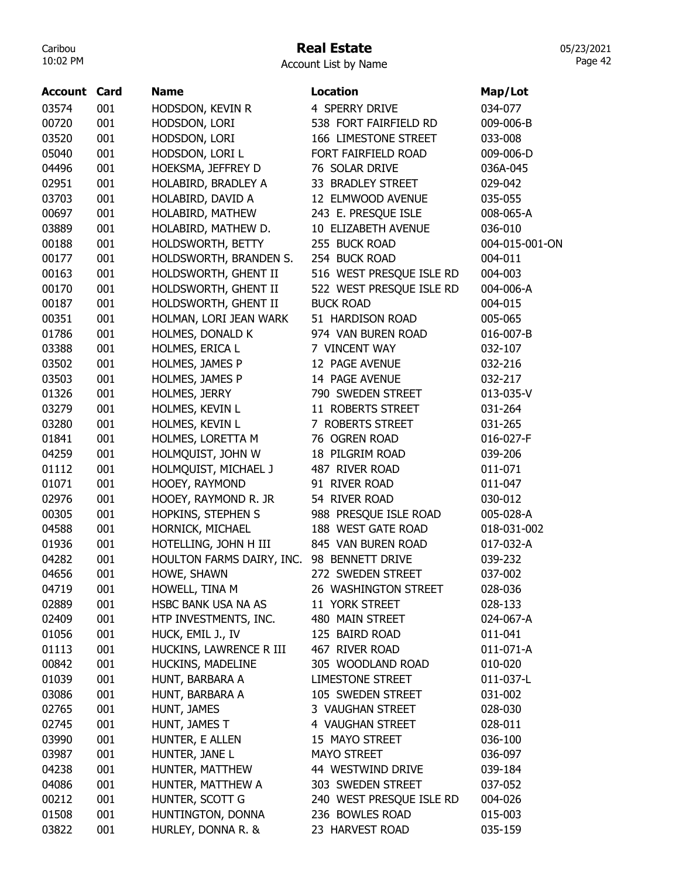# Real Estate

Account List by Name

| <b>Account Card</b> |     | <b>Name</b>               | <b>Location</b>          | Map/Lot        |
|---------------------|-----|---------------------------|--------------------------|----------------|
| 03574               | 001 | HODSDON, KEVIN R          | 4 SPERRY DRIVE           | 034-077        |
| 00720               | 001 | HODSDON, LORI             | 538 FORT FAIRFIELD RD    | 009-006-B      |
| 03520               | 001 | HODSDON, LORI             | 166 LIMESTONE STREET     | 033-008        |
| 05040               | 001 | HODSDON, LORI L           | FORT FAIRFIELD ROAD      | 009-006-D      |
| 04496               | 001 | HOEKSMA, JEFFREY D        | 76 SOLAR DRIVE           | 036A-045       |
| 02951               | 001 | HOLABIRD, BRADLEY A       | 33 BRADLEY STREET        | 029-042        |
| 03703               | 001 | HOLABIRD, DAVID A         | 12 ELMWOOD AVENUE        | 035-055        |
| 00697               | 001 | HOLABIRD, MATHEW          | 243 E. PRESQUE ISLE      | 008-065-A      |
| 03889               | 001 | HOLABIRD, MATHEW D.       | 10 ELIZABETH AVENUE      | 036-010        |
| 00188               | 001 | HOLDSWORTH, BETTY         | 255 BUCK ROAD            | 004-015-001-ON |
| 00177               | 001 | HOLDSWORTH, BRANDEN S.    | 254 BUCK ROAD            | 004-011        |
| 00163               | 001 | HOLDSWORTH, GHENT II      | 516 WEST PRESQUE ISLE RD | 004-003        |
| 00170               | 001 | HOLDSWORTH, GHENT II      | 522 WEST PRESQUE ISLE RD | 004-006-A      |
| 00187               | 001 | HOLDSWORTH, GHENT II      | <b>BUCK ROAD</b>         | 004-015        |
| 00351               | 001 | HOLMAN, LORI JEAN WARK    | 51 HARDISON ROAD         | 005-065        |
| 01786               | 001 | HOLMES, DONALD K          | 974 VAN BUREN ROAD       | 016-007-B      |
| 03388               | 001 | HOLMES, ERICA L           | 7 VINCENT WAY            | 032-107        |
| 03502               | 001 | HOLMES, JAMES P           | 12 PAGE AVENUE           | 032-216        |
| 03503               | 001 | HOLMES, JAMES P           | 14 PAGE AVENUE           | 032-217        |
| 01326               | 001 | HOLMES, JERRY             | 790 SWEDEN STREET        | 013-035-V      |
| 03279               | 001 | HOLMES, KEVIN L           | 11 ROBERTS STREET        | 031-264        |
| 03280               | 001 | HOLMES, KEVIN L           | 7 ROBERTS STREET         | 031-265        |
| 01841               | 001 | HOLMES, LORETTA M         | 76 OGREN ROAD            | 016-027-F      |
| 04259               | 001 | HOLMQUIST, JOHN W         | 18 PILGRIM ROAD          | 039-206        |
| 01112               | 001 | HOLMQUIST, MICHAEL J      | 487 RIVER ROAD           | 011-071        |
| 01071               | 001 | HOOEY, RAYMOND            | 91 RIVER ROAD            | 011-047        |
| 02976               | 001 | HOOEY, RAYMOND R. JR      | 54 RIVER ROAD            | 030-012        |
| 00305               | 001 | HOPKINS, STEPHEN S        | 988 PRESQUE ISLE ROAD    | 005-028-A      |
| 04588               | 001 | HORNICK, MICHAEL          | 188 WEST GATE ROAD       | 018-031-002    |
| 01936               | 001 | HOTELLING, JOHN H III     | 845 VAN BUREN ROAD       | 017-032-A      |
| 04282               | 001 | HOULTON FARMS DAIRY, INC. | 98 BENNETT DRIVE         | 039-232        |
| 04656               | 001 | HOWE, SHAWN               | 272 SWEDEN STREET        | 037-002        |
| 04719               | 001 | HOWELL, TINA M            | 26 WASHINGTON STREET     | 028-036        |
| 02889               | 001 | HSBC BANK USA NA AS       | 11 YORK STREET           | 028-133        |
| 02409               | 001 | HTP INVESTMENTS, INC.     | 480 MAIN STREET          | 024-067-A      |
| 01056               | 001 | HUCK, EMIL J., IV         | 125 BAIRD ROAD           | 011-041        |
| 01113               | 001 | HUCKINS, LAWRENCE R III   | 467 RIVER ROAD           | 011-071-A      |
| 00842               | 001 | HUCKINS, MADELINE         | 305 WOODLAND ROAD        | 010-020        |
| 01039               | 001 | HUNT, BARBARA A           | <b>LIMESTONE STREET</b>  | 011-037-L      |
| 03086               | 001 | HUNT, BARBARA A           | 105 SWEDEN STREET        | 031-002        |
| 02765               | 001 | HUNT, JAMES               | 3 VAUGHAN STREET         | 028-030        |
| 02745               | 001 | HUNT, JAMES T             | 4 VAUGHAN STREET         | 028-011        |
| 03990               | 001 | HUNTER, E ALLEN           | 15 MAYO STREET           | 036-100        |
| 03987               | 001 | HUNTER, JANE L            | <b>MAYO STREET</b>       | 036-097        |
| 04238               | 001 | HUNTER, MATTHEW           | 44 WESTWIND DRIVE        | 039-184        |
| 04086               | 001 | HUNTER, MATTHEW A         | 303 SWEDEN STREET        | 037-052        |
| 00212               | 001 | HUNTER, SCOTT G           | 240 WEST PRESQUE ISLE RD | 004-026        |
| 01508               | 001 | HUNTINGTON, DONNA         | 236 BOWLES ROAD          | 015-003        |
| 03822               | 001 | HURLEY, DONNA R. &        | 23 HARVEST ROAD          | 035-159        |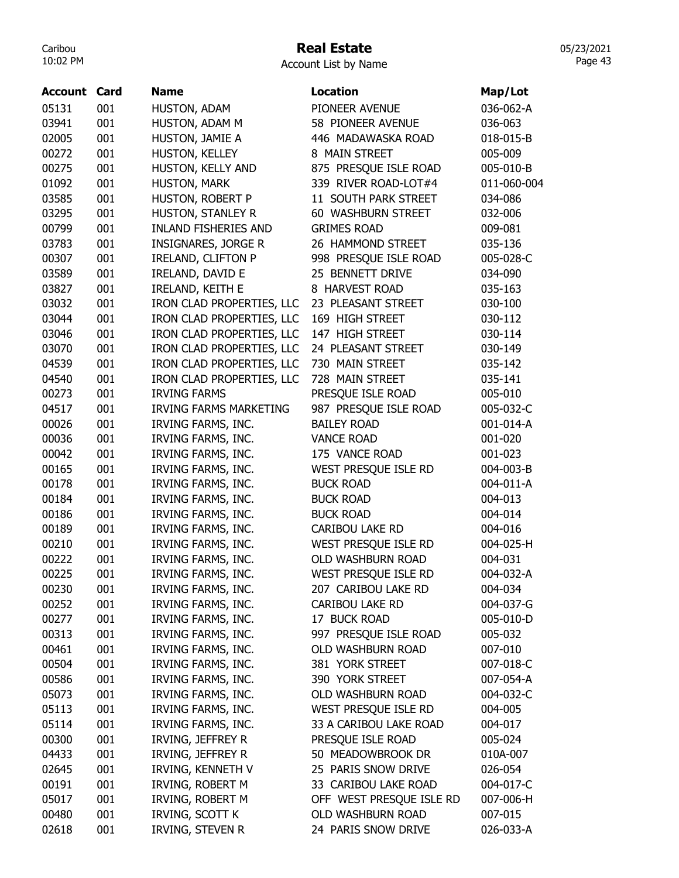# Real Estate

| <b>Account List by Name</b> |  |  |  |
|-----------------------------|--|--|--|
|-----------------------------|--|--|--|

| <b>Account Card</b> |     | <b>Name</b>                   | <b>Location</b>          | Map/Lot            |
|---------------------|-----|-------------------------------|--------------------------|--------------------|
| 05131               | 001 | HUSTON, ADAM                  | PIONEER AVENUE           | 036-062-A          |
| 03941               | 001 | HUSTON, ADAM M                | 58 PIONEER AVENUE        | 036-063            |
| 02005               | 001 | HUSTON, JAMIE A               | 446 MADAWASKA ROAD       | 018-015-B          |
| 00272               | 001 | HUSTON, KELLEY                | 8 MAIN STREET            | 005-009            |
| 00275               | 001 | HUSTON, KELLY AND             | 875 PRESQUE ISLE ROAD    | 005-010-B          |
| 01092               | 001 | HUSTON, MARK                  | 339 RIVER ROAD-LOT#4     | 011-060-004        |
| 03585               | 001 | HUSTON, ROBERT P              | 11 SOUTH PARK STREET     | 034-086            |
| 03295               | 001 | HUSTON, STANLEY R             | 60 WASHBURN STREET       | 032-006            |
| 00799               | 001 | <b>INLAND FISHERIES AND</b>   | <b>GRIMES ROAD</b>       | 009-081            |
| 03783               | 001 | <b>INSIGNARES, JORGE R</b>    | 26 HAMMOND STREET        | 035-136            |
| 00307               | 001 | <b>IRELAND, CLIFTON P</b>     | 998 PRESQUE ISLE ROAD    | 005-028-C          |
| 03589               | 001 | IRELAND, DAVID E              | 25 BENNETT DRIVE         | 034-090            |
| 03827               | 001 |                               | 8 HARVEST ROAD           |                    |
| 03032               | 001 | <b>IRELAND, KEITH E</b>       |                          | 035-163<br>030-100 |
|                     |     | IRON CLAD PROPERTIES, LLC     | 23 PLEASANT STREET       |                    |
| 03044               | 001 | IRON CLAD PROPERTIES, LLC     | 169 HIGH STREET          | 030-112            |
| 03046               | 001 | IRON CLAD PROPERTIES, LLC     | 147 HIGH STREET          | 030-114            |
| 03070               | 001 | IRON CLAD PROPERTIES, LLC     | 24 PLEASANT STREET       | 030-149            |
| 04539               | 001 | IRON CLAD PROPERTIES, LLC     | 730 MAIN STREET          | 035-142            |
| 04540               | 001 | IRON CLAD PROPERTIES, LLC     | 728 MAIN STREET          | 035-141            |
| 00273               | 001 | <b>IRVING FARMS</b>           | PRESQUE ISLE ROAD        | 005-010            |
| 04517               | 001 | <b>IRVING FARMS MARKETING</b> | 987 PRESQUE ISLE ROAD    | 005-032-C          |
| 00026               | 001 | IRVING FARMS, INC.            | <b>BAILEY ROAD</b>       | 001-014-A          |
| 00036               | 001 | IRVING FARMS, INC.            | <b>VANCE ROAD</b>        | 001-020            |
| 00042               | 001 | IRVING FARMS, INC.            | 175 VANCE ROAD           | 001-023            |
| 00165               | 001 | IRVING FARMS, INC.            | WEST PRESQUE ISLE RD     | 004-003-B          |
| 00178               | 001 | IRVING FARMS, INC.            | <b>BUCK ROAD</b>         | 004-011-A          |
| 00184               | 001 | IRVING FARMS, INC.            | <b>BUCK ROAD</b>         | 004-013            |
| 00186               | 001 | IRVING FARMS, INC.            | <b>BUCK ROAD</b>         | 004-014            |
| 00189               | 001 | IRVING FARMS, INC.            | <b>CARIBOU LAKE RD</b>   | 004-016            |
| 00210               | 001 | <b>IRVING FARMS, INC.</b>     | WEST PRESQUE ISLE RD     | 004-025-H          |
| 00222               | 001 | IRVING FARMS, INC.            | OLD WASHBURN ROAD        | 004-031            |
| 00225               | 001 | <b>IRVING FARMS, INC.</b>     | WEST PRESQUE ISLE RD     | 004-032-A          |
| 00230               | 001 | IRVING FARMS, INC.            | 207 CARIBOU LAKE RD      | 004-034            |
| 00252               | 001 | IRVING FARMS, INC.            | CARIBOU LAKE RD          | 004-037-G          |
| 00277               | 001 | IRVING FARMS, INC.            | 17 BUCK ROAD             | 005-010-D          |
| 00313               | 001 | IRVING FARMS, INC.            | 997 PRESQUE ISLE ROAD    | 005-032            |
| 00461               | 001 | IRVING FARMS, INC.            | OLD WASHBURN ROAD        | 007-010            |
| 00504               | 001 | IRVING FARMS, INC.            | 381 YORK STREET          | 007-018-C          |
| 00586               | 001 | IRVING FARMS, INC.            | 390 YORK STREET          | 007-054-A          |
| 05073               | 001 | IRVING FARMS, INC.            | OLD WASHBURN ROAD        | 004-032-C          |
| 05113               | 001 | IRVING FARMS, INC.            | WEST PRESQUE ISLE RD     | 004-005            |
| 05114               | 001 | IRVING FARMS, INC.            | 33 A CARIBOU LAKE ROAD   | 004-017            |
| 00300               | 001 | IRVING, JEFFREY R             | PRESQUE ISLE ROAD        | 005-024            |
| 04433               | 001 | IRVING, JEFFREY R             | 50 MEADOWBROOK DR        | 010A-007           |
| 02645               | 001 | IRVING, KENNETH V             | 25 PARIS SNOW DRIVE      | 026-054            |
| 00191               | 001 | IRVING, ROBERT M              | 33 CARIBOU LAKE ROAD     | 004-017-C          |
| 05017               | 001 | IRVING, ROBERT M              | OFF WEST PRESQUE ISLE RD | 007-006-H          |
| 00480               | 001 | IRVING, SCOTT K               | OLD WASHBURN ROAD        | 007-015            |
| 02618               | 001 | IRVING, STEVEN R              | 24 PARIS SNOW DRIVE      | 026-033-A          |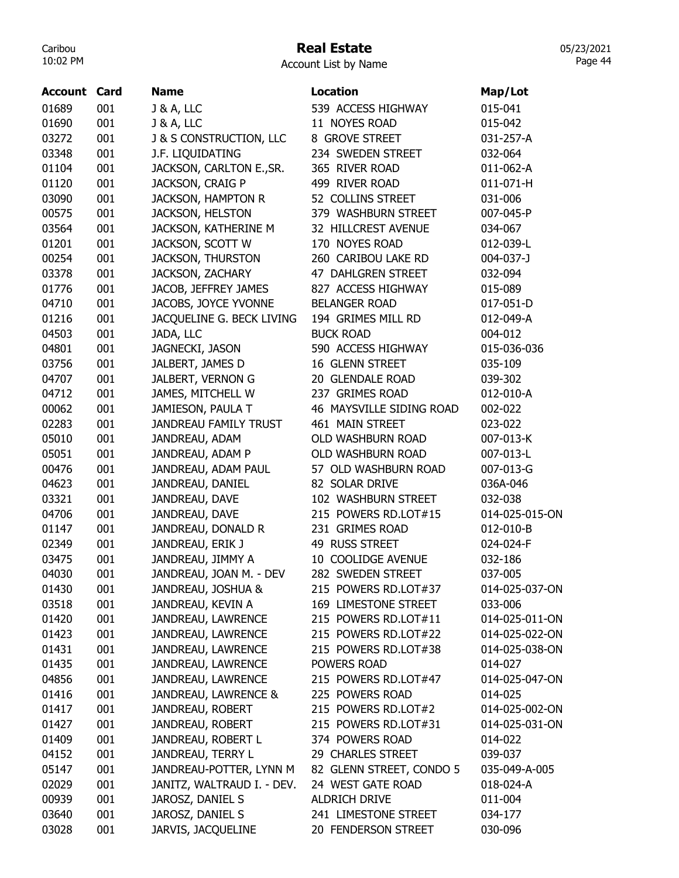#### Real Estate

Account List by Name

| <b>Account Card</b> |     | <b>Name</b>                | <b>Location</b>          | Map/Lot        |
|---------------------|-----|----------------------------|--------------------------|----------------|
| 01689               | 001 | <b>J &amp; A, LLC</b>      | 539 ACCESS HIGHWAY       | 015-041        |
| 01690               | 001 | <b>J &amp; A, LLC</b>      | 11 NOYES ROAD            | 015-042        |
| 03272               | 001 | J & S CONSTRUCTION, LLC    | 8 GROVE STREET           | 031-257-A      |
| 03348               | 001 | J.F. LIQUIDATING           | 234 SWEDEN STREET        | 032-064        |
| 01104               | 001 | JACKSON, CARLTON E., SR.   | 365 RIVER ROAD           | 011-062-A      |
| 01120               | 001 | JACKSON, CRAIG P           | 499 RIVER ROAD           | 011-071-H      |
| 03090               | 001 | <b>JACKSON, HAMPTON R</b>  | 52 COLLINS STREET        | 031-006        |
| 00575               | 001 | <b>JACKSON, HELSTON</b>    | 379 WASHBURN STREET      | 007-045-P      |
| 03564               | 001 | JACKSON, KATHERINE M       | 32 HILLCREST AVENUE      | 034-067        |
| 01201               | 001 | JACKSON, SCOTT W           | 170 NOYES ROAD           | 012-039-L      |
| 00254               | 001 | <b>JACKSON, THURSTON</b>   | 260 CARIBOU LAKE RD      | 004-037-J      |
| 03378               | 001 | JACKSON, ZACHARY           | 47 DAHLGREN STREET       | 032-094        |
| 01776               | 001 | JACOB, JEFFREY JAMES       | 827 ACCESS HIGHWAY       | 015-089        |
| 04710               | 001 | JACOBS, JOYCE YVONNE       | <b>BELANGER ROAD</b>     | 017-051-D      |
| 01216               | 001 | JACQUELINE G. BECK LIVING  | 194 GRIMES MILL RD       | 012-049-A      |
| 04503               | 001 | JADA, LLC                  | <b>BUCK ROAD</b>         | 004-012        |
| 04801               | 001 | JAGNECKI, JASON            | 590 ACCESS HIGHWAY       | 015-036-036    |
| 03756               | 001 | JALBERT, JAMES D           | 16 GLENN STREET          | 035-109        |
| 04707               | 001 | JALBERT, VERNON G          | 20 GLENDALE ROAD         | 039-302        |
| 04712               | 001 | JAMES, MITCHELL W          | 237 GRIMES ROAD          | 012-010-A      |
| 00062               | 001 | JAMIESON, PAULA T          | 46 MAYSVILLE SIDING ROAD | 002-022        |
| 02283               | 001 | JANDREAU FAMILY TRUST      | 461 MAIN STREET          | 023-022        |
| 05010               | 001 | JANDREAU, ADAM             | OLD WASHBURN ROAD        | 007-013-K      |
| 05051               | 001 | JANDREAU, ADAM P           | OLD WASHBURN ROAD        | 007-013-L      |
| 00476               | 001 | JANDREAU, ADAM PAUL        | 57 OLD WASHBURN ROAD     | 007-013-G      |
| 04623               | 001 | JANDREAU, DANIEL           | 82 SOLAR DRIVE           | 036A-046       |
| 03321               | 001 | JANDREAU, DAVE             | 102 WASHBURN STREET      | 032-038        |
| 04706               | 001 | JANDREAU, DAVE             | 215 POWERS RD.LOT#15     | 014-025-015-ON |
| 01147               | 001 | JANDREAU, DONALD R         | 231 GRIMES ROAD          | 012-010-B      |
| 02349               | 001 | JANDREAU, ERIK J           | 49 RUSS STREET           | 024-024-F      |
| 03475               | 001 | JANDREAU, JIMMY A          | 10 COOLIDGE AVENUE       | 032-186        |
| 04030               | 001 | JANDREAU, JOAN M. - DEV    | 282 SWEDEN STREET        | 037-005        |
| 01430               | 001 | JANDREAU, JOSHUA &         | 215 POWERS RD.LOT#37     | 014-025-037-ON |
| 03518               | 001 | JANDREAU, KEVIN A          | 169 LIMESTONE STREET     | 033-006        |
| 01420               | 001 | JANDREAU, LAWRENCE         | 215 POWERS RD.LOT#11     | 014-025-011-ON |
| 01423               | 001 | JANDREAU, LAWRENCE         | 215 POWERS RD.LOT#22     | 014-025-022-ON |
| 01431               | 001 | JANDREAU, LAWRENCE         | 215 POWERS RD.LOT#38     | 014-025-038-ON |
| 01435               | 001 | JANDREAU, LAWRENCE         | POWERS ROAD              | 014-027        |
| 04856               | 001 | JANDREAU, LAWRENCE         | 215 POWERS RD.LOT#47     | 014-025-047-ON |
| 01416               | 001 | JANDREAU, LAWRENCE &       | 225 POWERS ROAD          | 014-025        |
| 01417               | 001 | JANDREAU, ROBERT           | 215 POWERS RD.LOT#2      | 014-025-002-ON |
| 01427               | 001 | JANDREAU, ROBERT           | 215 POWERS RD.LOT#31     | 014-025-031-ON |
| 01409               | 001 | JANDREAU, ROBERT L         | 374 POWERS ROAD          | 014-022        |
| 04152               | 001 | JANDREAU, TERRY L          | 29 CHARLES STREET        | 039-037        |
| 05147               | 001 | JANDREAU-POTTER, LYNN M    | 82 GLENN STREET, CONDO 5 | 035-049-A-005  |
| 02029               | 001 | JANITZ, WALTRAUD I. - DEV. | 24 WEST GATE ROAD        | 018-024-A      |
| 00939               | 001 | JAROSZ, DANIEL S           | ALDRICH DRIVE            | 011-004        |
| 03640               | 001 | JAROSZ, DANIEL S           | 241 LIMESTONE STREET     | 034-177        |
| 03028               | 001 | JARVIS, JACQUELINE         | 20 FENDERSON STREET      | 030-096        |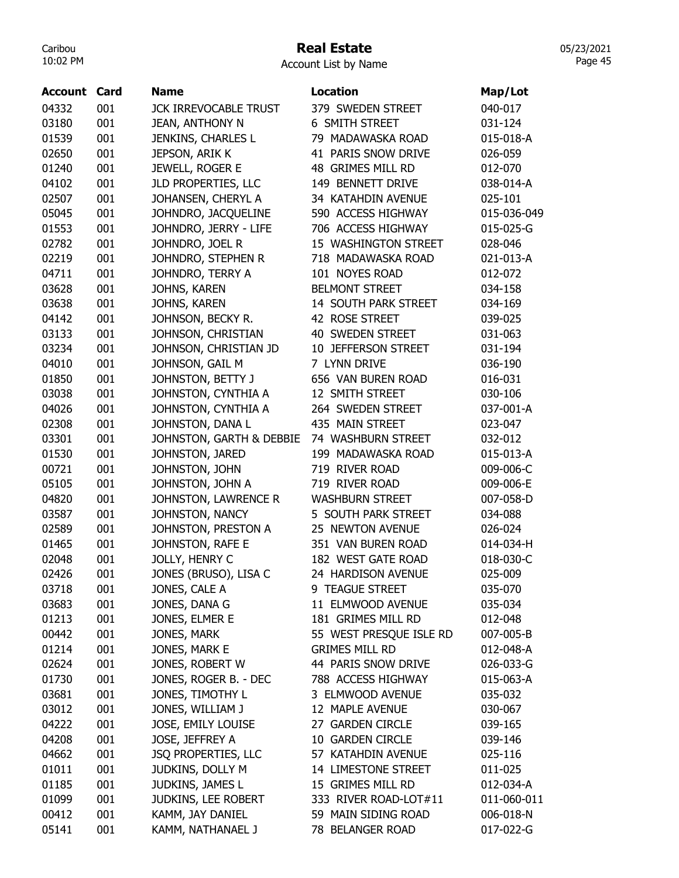## Real Estate

Account List by Name

| <b>Account Card</b> |            | <b>Name</b>                             | <b>Location</b>                          | Map/Lot                  |
|---------------------|------------|-----------------------------------------|------------------------------------------|--------------------------|
| 04332               | 001        | <b>JCK IRREVOCABLE TRUST</b>            | 379 SWEDEN STREET                        | 040-017                  |
| 03180               | 001        | <b>JEAN, ANTHONY N</b>                  | 6 SMITH STREET                           | 031-124                  |
| 01539               | 001        | JENKINS, CHARLES L                      | 79 MADAWASKA ROAD                        | 015-018-A                |
| 02650               | 001        | JEPSON, ARIK K                          | 41 PARIS SNOW DRIVE                      | 026-059                  |
| 01240               | 001        | JEWELL, ROGER E                         | 48 GRIMES MILL RD                        | 012-070                  |
| 04102               | 001        | JLD PROPERTIES, LLC                     | 149 BENNETT DRIVE                        | 038-014-A                |
| 02507               | 001        | JOHANSEN, CHERYL A                      | 34 KATAHDIN AVENUE                       | 025-101                  |
| 05045               | 001        | JOHNDRO, JACQUELINE                     | 590 ACCESS HIGHWAY                       | 015-036-049              |
| 01553               | 001        | JOHNDRO, JERRY - LIFE                   | 706 ACCESS HIGHWAY                       | 015-025-G                |
| 02782               | 001        | JOHNDRO, JOEL R                         | 15 WASHINGTON STREET                     | 028-046                  |
| 02219               | 001        | JOHNDRO, STEPHEN R                      | 718 MADAWASKA ROAD                       | 021-013-A                |
| 04711               | 001        | JOHNDRO, TERRY A                        | 101 NOYES ROAD                           | 012-072                  |
| 03628               | 001        | JOHNS, KAREN                            | <b>BELMONT STREET</b>                    | 034-158                  |
| 03638               | 001        | JOHNS, KAREN                            | 14 SOUTH PARK STREET                     | 034-169                  |
| 04142               | 001        | JOHNSON, BECKY R.                       | 42 ROSE STREET                           | 039-025                  |
| 03133               | 001        | JOHNSON, CHRISTIAN                      | <b>40 SWEDEN STREET</b>                  | 031-063                  |
| 03234               | 001        | JOHNSON, CHRISTIAN JD                   | 10 JEFFERSON STREET                      | 031-194                  |
| 04010               | 001        | JOHNSON, GAIL M                         | 7 LYNN DRIVE                             | 036-190                  |
| 01850               | 001        | JOHNSTON, BETTY J                       | 656 VAN BUREN ROAD                       | 016-031                  |
| 03038               | 001        | JOHNSTON, CYNTHIA A                     | 12 SMITH STREET                          | 030-106                  |
| 04026               | 001        | JOHNSTON, CYNTHIA A                     | 264 SWEDEN STREET                        | 037-001-A                |
| 02308               | 001        | JOHNSTON, DANA L                        | 435 MAIN STREET                          | 023-047                  |
| 03301               | 001        | JOHNSTON, GARTH & DEBBIE                | 74 WASHBURN STREET                       | 032-012                  |
| 01530               | 001        | JOHNSTON, JARED                         | 199 MADAWASKA ROAD                       | 015-013-A                |
| 00721               | 001        | JOHNSTON, JOHN                          | 719 RIVER ROAD                           | 009-006-C                |
| 05105               | 001        | JOHNSTON, JOHN A                        | 719 RIVER ROAD                           | 009-006-E                |
| 04820               | 001        | JOHNSTON, LAWRENCE R                    | <b>WASHBURN STREET</b>                   | 007-058-D                |
| 03587               | 001        | JOHNSTON, NANCY                         | 5 SOUTH PARK STREET                      | 034-088                  |
| 02589               | 001        | JOHNSTON, PRESTON A                     | 25 NEWTON AVENUE                         | 026-024                  |
| 01465               | 001        | JOHNSTON, RAFE E                        | 351 VAN BUREN ROAD                       | 014-034-H                |
| 02048               | 001        | JOLLY, HENRY C                          | 182 WEST GATE ROAD                       | 018-030-C                |
| 02426               | 001        | JONES (BRUSO), LISA C                   | 24 HARDISON AVENUE                       | 025-009                  |
| 03718               | 001        | JONES, CALE A                           | 9 TEAGUE STREET                          | 035-070                  |
| 03683               | 001        | JONES, DANA G                           | 11 ELMWOOD AVENUE                        | 035-034                  |
| 01213               | 001        | JONES, ELMER E                          | 181 GRIMES MILL RD                       | 012-048                  |
| 00442               | 001        | JONES, MARK                             | 55 WEST PRESQUE ISLE RD                  | 007-005-B                |
| 01214               | 001        | JONES, MARK E                           | <b>GRIMES MILL RD</b>                    | 012-048-A                |
| 02624               | 001        | JONES, ROBERT W                         | 44 PARIS SNOW DRIVE                      | 026-033-G                |
| 01730               | 001        | JONES, ROGER B. - DEC                   | 788 ACCESS HIGHWAY                       | 015-063-A                |
| 03681               | 001        | JONES, TIMOTHY L                        | 3 ELMWOOD AVENUE                         | 035-032                  |
| 03012               | 001        | JONES, WILLIAM J                        | 12 MAPLE AVENUE                          | 030-067                  |
| 04222               | 001        | JOSE, EMILY LOUISE                      | 27 GARDEN CIRCLE                         | 039-165                  |
| 04208               | 001        | JOSE, JEFFREY A                         | 10 GARDEN CIRCLE                         | 039-146                  |
| 04662               | 001        | JSQ PROPERTIES, LLC                     | 57 KATAHDIN AVENUE                       | 025-116                  |
|                     |            |                                         |                                          |                          |
| 01011<br>01185      | 001<br>001 | JUDKINS, DOLLY M<br>JUDKINS, JAMES L    | 14 LIMESTONE STREET<br>15 GRIMES MILL RD | 011-025                  |
| 01099               | 001        |                                         | 333 RIVER ROAD-LOT#11                    | 012-034-A<br>011-060-011 |
| 00412               | 001        | JUDKINS, LEE ROBERT<br>KAMM, JAY DANIEL | 59 MAIN SIDING ROAD                      |                          |
| 05141               | 001        |                                         |                                          | 006-018-N                |
|                     |            | KAMM, NATHANAEL J                       | 78 BELANGER ROAD                         | 017-022-G                |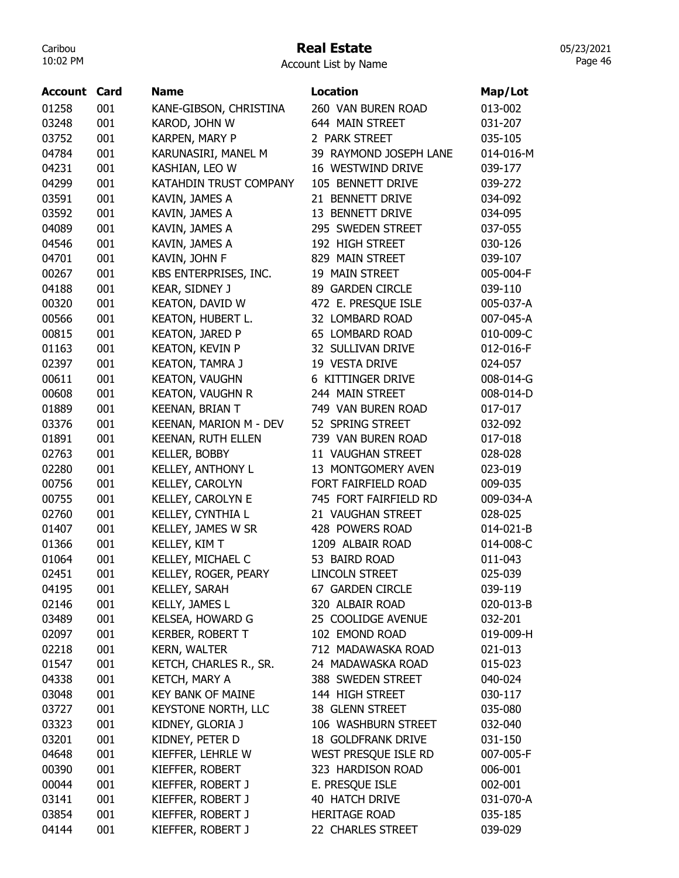## Real Estate

Account List by Name

| Account | Card | <b>Name</b>                | <b>Location</b>           | Map/Lot   |
|---------|------|----------------------------|---------------------------|-----------|
| 01258   | 001  | KANE-GIBSON, CHRISTINA     | 260 VAN BUREN ROAD        | 013-002   |
| 03248   | 001  | KAROD, JOHN W              | 644 MAIN STREET           | 031-207   |
| 03752   | 001  | KARPEN, MARY P             | 2 PARK STREET             | 035-105   |
| 04784   | 001  | KARUNASIRI, MANEL M        | 39 RAYMOND JOSEPH LANE    | 014-016-M |
| 04231   | 001  | KASHIAN, LEO W             | 16 WESTWIND DRIVE         | 039-177   |
| 04299   | 001  | KATAHDIN TRUST COMPANY     | 105 BENNETT DRIVE         | 039-272   |
| 03591   | 001  | KAVIN, JAMES A             | 21 BENNETT DRIVE          | 034-092   |
| 03592   | 001  | KAVIN, JAMES A             | 13 BENNETT DRIVE          | 034-095   |
| 04089   | 001  | KAVIN, JAMES A             | 295 SWEDEN STREET         | 037-055   |
| 04546   | 001  | KAVIN, JAMES A             | 192 HIGH STREET           | 030-126   |
| 04701   | 001  | KAVIN, JOHN F              | 829 MAIN STREET           | 039-107   |
| 00267   | 001  | KBS ENTERPRISES, INC.      | 19 MAIN STREET            | 005-004-F |
| 04188   | 001  | KEAR, SIDNEY J             | 89 GARDEN CIRCLE          | 039-110   |
| 00320   | 001  | <b>KEATON, DAVID W</b>     | 472 E. PRESQUE ISLE       | 005-037-A |
| 00566   | 001  | KEATON, HUBERT L.          | 32 LOMBARD ROAD           | 007-045-A |
| 00815   | 001  | <b>KEATON, JARED P</b>     | 65 LOMBARD ROAD           | 010-009-C |
| 01163   | 001  | <b>KEATON, KEVIN P</b>     | 32 SULLIVAN DRIVE         | 012-016-F |
| 02397   | 001  | <b>KEATON, TAMRA J</b>     | 19 VESTA DRIVE            | 024-057   |
| 00611   | 001  | <b>KEATON, VAUGHN</b>      | 6 KITTINGER DRIVE         | 008-014-G |
| 00608   | 001  | <b>KEATON, VAUGHN R</b>    | 244 MAIN STREET           | 008-014-D |
| 01889   | 001  | <b>KEENAN, BRIAN T</b>     | 749 VAN BUREN ROAD        | 017-017   |
| 03376   | 001  | KEENAN, MARION M - DEV     | 52 SPRING STREET          | 032-092   |
| 01891   | 001  | KEENAN, RUTH ELLEN         | 739 VAN BUREN ROAD        | 017-018   |
| 02763   | 001  | <b>KELLER, BOBBY</b>       | 11 VAUGHAN STREET         | 028-028   |
| 02280   | 001  | <b>KELLEY, ANTHONY L</b>   | 13 MONTGOMERY AVEN        | 023-019   |
| 00756   | 001  | KELLEY, CAROLYN            | FORT FAIRFIELD ROAD       | 009-035   |
| 00755   | 001  | KELLEY, CAROLYN E          | 745 FORT FAIRFIELD RD     | 009-034-A |
| 02760   | 001  | KELLEY, CYNTHIA L          | 21 VAUGHAN STREET         | 028-025   |
| 01407   | 001  | KELLEY, JAMES W SR         | 428 POWERS ROAD           | 014-021-B |
| 01366   | 001  | KELLEY, KIM T              | 1209 ALBAIR ROAD          | 014-008-C |
| 01064   | 001  | KELLEY, MICHAEL C          | 53 BAIRD ROAD             | 011-043   |
| 02451   | 001  | KELLEY, ROGER, PEARY       | <b>LINCOLN STREET</b>     | 025-039   |
| 04195   | 001  | <b>KELLEY, SARAH</b>       | 67 GARDEN CIRCLE          | 039-119   |
| 02146   | 001  | KELLY, JAMES L             | 320 ALBAIR ROAD           | 020-013-B |
| 03489   | 001  | KELSEA, HOWARD G           | 25 COOLIDGE AVENUE        | 032-201   |
| 02097   | 001  | <b>KERBER, ROBERT T</b>    | 102 EMOND ROAD            | 019-009-H |
| 02218   | 001  | <b>KERN, WALTER</b>        | 712 MADAWASKA ROAD        | 021-013   |
| 01547   | 001  | KETCH, CHARLES R., SR.     | 24 MADAWASKA ROAD         | 015-023   |
| 04338   | 001  | KETCH, MARY A              | 388 SWEDEN STREET         | 040-024   |
| 03048   | 001  | <b>KEY BANK OF MAINE</b>   | 144 HIGH STREET           | 030-117   |
| 03727   | 001  | <b>KEYSTONE NORTH, LLC</b> | 38 GLENN STREET           | 035-080   |
| 03323   | 001  | KIDNEY, GLORIA J           | 106 WASHBURN STREET       | 032-040   |
| 03201   | 001  | KIDNEY, PETER D            | <b>18 GOLDFRANK DRIVE</b> | 031-150   |
| 04648   | 001  | KIEFFER, LEHRLE W          | WEST PRESQUE ISLE RD      | 007-005-F |
| 00390   | 001  | KIEFFER, ROBERT            | 323 HARDISON ROAD         | 006-001   |
| 00044   | 001  | KIEFFER, ROBERT J          | E. PRESQUE ISLE           | 002-001   |
| 03141   | 001  | KIEFFER, ROBERT J          | 40 HATCH DRIVE            | 031-070-A |
| 03854   | 001  | KIEFFER, ROBERT J          | <b>HERITAGE ROAD</b>      | 035-185   |
| 04144   | 001  | KIEFFER, ROBERT J          | 22 CHARLES STREET         | 039-029   |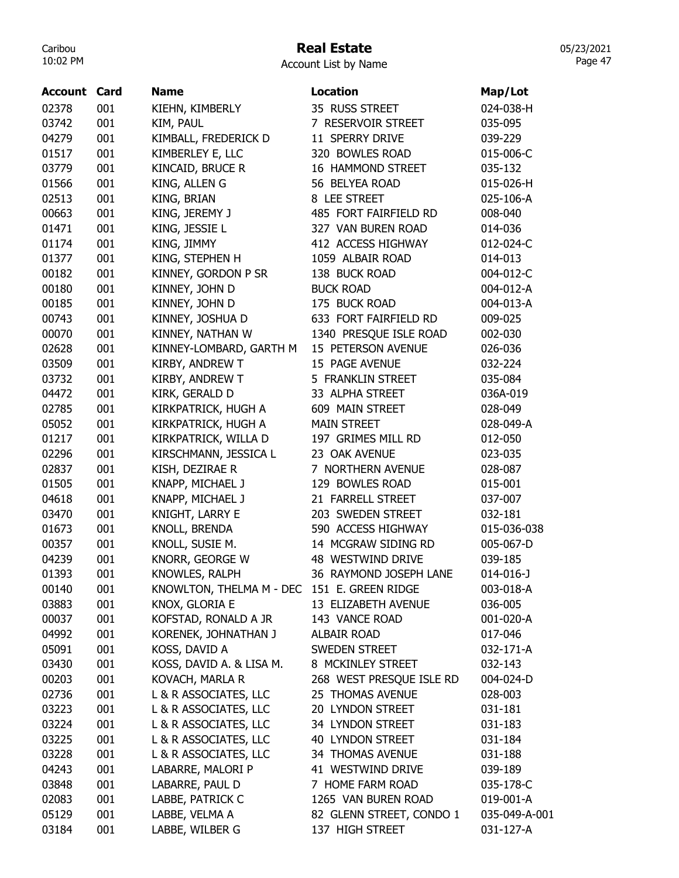## Real Estate

05/23/2021 Page 47

Account List by Name

| <b>Account Card</b> |     | <b>Name</b>                                 | <b>Location</b>          | Map/Lot       |
|---------------------|-----|---------------------------------------------|--------------------------|---------------|
| 02378               | 001 | KIEHN, KIMBERLY                             | 35 RUSS STREET           | 024-038-H     |
| 03742               | 001 | KIM, PAUL                                   | 7 RESERVOIR STREET       | 035-095       |
| 04279               | 001 | KIMBALL, FREDERICK D                        | 11 SPERRY DRIVE          | 039-229       |
| 01517               | 001 | KIMBERLEY E, LLC                            | 320 BOWLES ROAD          | 015-006-C     |
| 03779               | 001 | KINCAID, BRUCE R                            | 16 HAMMOND STREET        | 035-132       |
| 01566               | 001 | KING, ALLEN G                               | 56 BELYEA ROAD           | 015-026-H     |
| 02513               | 001 | KING, BRIAN                                 | 8 LEE STREET             | 025-106-A     |
| 00663               | 001 | KING, JEREMY J                              | 485 FORT FAIRFIELD RD    | 008-040       |
| 01471               | 001 | KING, JESSIE L                              | 327 VAN BUREN ROAD       | 014-036       |
| 01174               | 001 | KING, JIMMY                                 | 412 ACCESS HIGHWAY       | 012-024-C     |
| 01377               | 001 | KING, STEPHEN H                             | 1059 ALBAIR ROAD         | 014-013       |
| 00182               | 001 | KINNEY, GORDON P SR                         | 138 BUCK ROAD            | 004-012-C     |
| 00180               | 001 | KINNEY, JOHN D                              | <b>BUCK ROAD</b>         | 004-012-A     |
| 00185               | 001 | KINNEY, JOHN D                              | 175 BUCK ROAD            | 004-013-A     |
| 00743               | 001 | KINNEY, JOSHUA D                            | 633 FORT FAIRFIELD RD    | 009-025       |
| 00070               | 001 | KINNEY, NATHAN W                            | 1340 PRESQUE ISLE ROAD   | 002-030       |
| 02628               | 001 | KINNEY-LOMBARD, GARTH M                     | 15 PETERSON AVENUE       | 026-036       |
| 03509               | 001 | KIRBY, ANDREW T                             | 15 PAGE AVENUE           | 032-224       |
| 03732               | 001 | KIRBY, ANDREW T                             | 5 FRANKLIN STREET        | 035-084       |
| 04472               | 001 | KIRK, GERALD D                              | 33 ALPHA STREET          | 036A-019      |
| 02785               | 001 | KIRKPATRICK, HUGH A                         | 609 MAIN STREET          | 028-049       |
| 05052               | 001 | KIRKPATRICK, HUGH A                         | <b>MAIN STREET</b>       | 028-049-A     |
| 01217               | 001 | KIRKPATRICK, WILLA D                        | 197 GRIMES MILL RD       | 012-050       |
| 02296               | 001 | KIRSCHMANN, JESSICA L                       | 23 OAK AVENUE            | 023-035       |
| 02837               | 001 | KISH, DEZIRAE R                             | 7 NORTHERN AVENUE        | 028-087       |
| 01505               | 001 | KNAPP, MICHAEL J                            | 129 BOWLES ROAD          | 015-001       |
| 04618               | 001 | KNAPP, MICHAEL J                            | 21 FARRELL STREET        | 037-007       |
| 03470               | 001 | KNIGHT, LARRY E                             | 203 SWEDEN STREET        | 032-181       |
| 01673               | 001 | KNOLL, BRENDA                               | 590 ACCESS HIGHWAY       | 015-036-038   |
| 00357               | 001 | KNOLL, SUSIE M.                             | 14 MCGRAW SIDING RD      | 005-067-D     |
| 04239               | 001 | KNORR, GEORGE W                             | 48 WESTWIND DRIVE        | 039-185       |
| 01393               | 001 | KNOWLES, RALPH                              | 36 RAYMOND JOSEPH LANE   | 014-016-J     |
| 00140               | 001 | KNOWLTON, THELMA M - DEC 151 E. GREEN RIDGE |                          | 003-018-A     |
| 03883               | 001 | KNOX, GLORIA E                              | 13 ELIZABETH AVENUE      | 036-005       |
| 00037               | 001 | KOFSTAD, RONALD A JR                        | 143 VANCE ROAD           | 001-020-A     |
| 04992               | 001 | KORENEK, JOHNATHAN J                        | ALBAIR ROAD              | 017-046       |
| 05091               | 001 | KOSS, DAVID A                               | SWEDEN STREET            | 032-171-A     |
| 03430               | 001 | KOSS, DAVID A. & LISA M.                    | 8 MCKINLEY STREET        | 032-143       |
| 00203               | 001 | KOVACH, MARLA R                             | 268 WEST PRESQUE ISLE RD | 004-024-D     |
| 02736               | 001 | L & R ASSOCIATES, LLC                       | 25 THOMAS AVENUE         | 028-003       |
| 03223               | 001 | L & R ASSOCIATES, LLC                       | 20 LYNDON STREET         | 031-181       |
| 03224               | 001 | L & R ASSOCIATES, LLC                       | 34 LYNDON STREET         | 031-183       |
| 03225               | 001 | L & R ASSOCIATES, LLC                       | 40 LYNDON STREET         | 031-184       |
| 03228               | 001 | L & R ASSOCIATES, LLC                       | 34 THOMAS AVENUE         | 031-188       |
| 04243               | 001 | LABARRE, MALORI P                           | 41 WESTWIND DRIVE        | 039-189       |
| 03848               | 001 | LABARRE, PAUL D                             | 7 HOME FARM ROAD         | 035-178-C     |
| 02083               | 001 | LABBE, PATRICK C                            | 1265 VAN BUREN ROAD      | 019-001-A     |
| 05129               | 001 | LABBE, VELMA A                              | 82 GLENN STREET, CONDO 1 | 035-049-A-001 |
| 03184               | 001 | LABBE, WILBER G                             | 137 HIGH STREET          | 031-127-A     |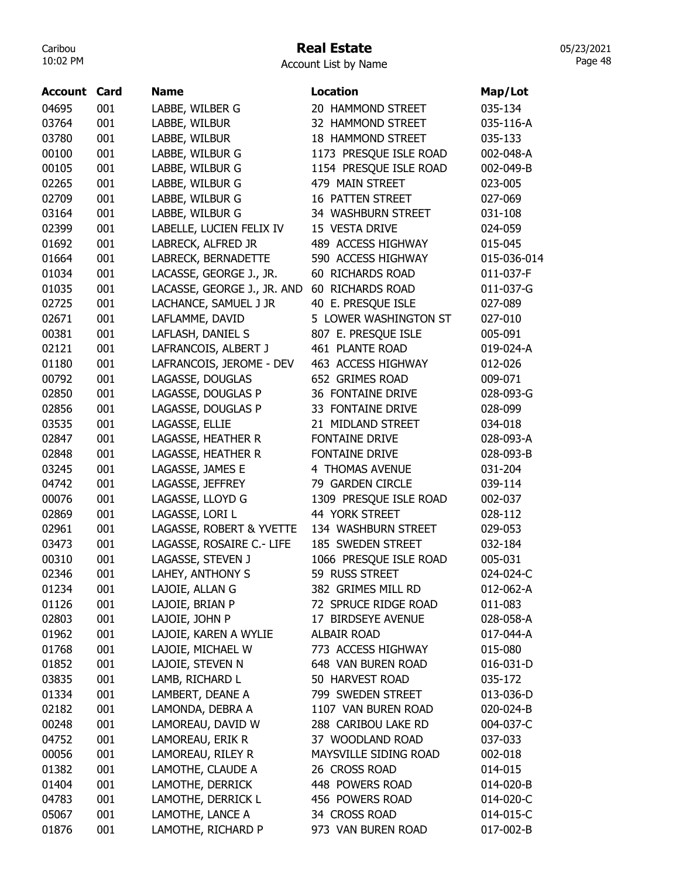# Real Estate

| Account List by Name |  |  |
|----------------------|--|--|
|                      |  |  |

| <b>Account Card</b> |     | <b>Name</b>                 | <b>Location</b>                          | Map/Lot     |
|---------------------|-----|-----------------------------|------------------------------------------|-------------|
| 04695               | 001 | LABBE, WILBER G             | 20 HAMMOND STREET                        | 035-134     |
| 03764               | 001 | LABBE, WILBUR               | 32 HAMMOND STREET                        | 035-116-A   |
| 03780               | 001 | LABBE, WILBUR               | <b>18 HAMMOND STREET</b>                 | 035-133     |
| 00100               | 001 | LABBE, WILBUR G             | 1173 PRESQUE ISLE ROAD                   | 002-048-A   |
| 00105               | 001 | LABBE, WILBUR G             | 1154 PRESQUE ISLE ROAD                   | 002-049-B   |
| 02265               | 001 | LABBE, WILBUR G             | 479 MAIN STREET                          | 023-005     |
| 02709               | 001 | LABBE, WILBUR G             | <b>16 PATTEN STREET</b>                  | 027-069     |
| 03164               | 001 | LABBE, WILBUR G             | 34 WASHBURN STREET                       | 031-108     |
| 02399               | 001 | LABELLE, LUCIEN FELIX IV    | 15 VESTA DRIVE                           | 024-059     |
| 01692               | 001 | LABRECK, ALFRED JR          | 489 ACCESS HIGHWAY                       | 015-045     |
| 01664               | 001 | LABRECK, BERNADETTE         | 590 ACCESS HIGHWAY                       | 015-036-014 |
| 01034               | 001 | LACASSE, GEORGE J., JR.     | 60 RICHARDS ROAD                         | 011-037-F   |
| 01035               | 001 | LACASSE, GEORGE J., JR. AND | 60 RICHARDS ROAD                         | 011-037-G   |
| 02725               | 001 | LACHANCE, SAMUEL J JR       | 40 E. PRESQUE ISLE                       | 027-089     |
| 02671               | 001 | LAFLAMME, DAVID             | 5 LOWER WASHINGTON ST                    | 027-010     |
| 00381               | 001 | LAFLASH, DANIEL S           | 807 E. PRESQUE ISLE                      | 005-091     |
| 02121               | 001 | LAFRANCOIS, ALBERT J        | 461 PLANTE ROAD                          | 019-024-A   |
| 01180               | 001 | LAFRANCOIS, JEROME - DEV    | 463 ACCESS HIGHWAY                       | 012-026     |
| 00792               | 001 | LAGASSE, DOUGLAS            | 652 GRIMES ROAD                          | 009-071     |
| 02850               | 001 | LAGASSE, DOUGLAS P          | 36 FONTAINE DRIVE                        | 028-093-G   |
| 02856               | 001 | LAGASSE, DOUGLAS P          | 33 FONTAINE DRIVE                        | 028-099     |
| 03535               | 001 | LAGASSE, ELLIE              | 21 MIDLAND STREET                        | 034-018     |
| 02847               | 001 | LAGASSE, HEATHER R          | <b>FONTAINE DRIVE</b>                    | 028-093-A   |
| 02848               | 001 | LAGASSE, HEATHER R          | FONTAINE DRIVE                           | 028-093-B   |
| 03245               | 001 | LAGASSE, JAMES E            | 4 THOMAS AVENUE                          | 031-204     |
| 04742               | 001 | LAGASSE, JEFFREY            | 79 GARDEN CIRCLE                         | 039-114     |
| 00076               | 001 | LAGASSE, LLOYD G            | 1309 PRESQUE ISLE ROAD                   | 002-037     |
| 02869               | 001 | LAGASSE, LORI L             | 44 YORK STREET                           | 028-112     |
| 02961               | 001 | LAGASSE, ROBERT & YVETTE    | 134 WASHBURN STREET                      | 029-053     |
| 03473               | 001 | LAGASSE, ROSAIRE C.- LIFE   | 185 SWEDEN STREET                        | 032-184     |
| 00310               | 001 | LAGASSE, STEVEN J           | 1066 PRESQUE ISLE ROAD                   | 005-031     |
| 02346               |     |                             | 59 RUSS STREET                           | 024-024-C   |
|                     | 001 | LAHEY, ANTHONY S            | 382 GRIMES MILL RD                       |             |
| 01234               | 001 | LAJOIE, ALLAN G             | 72 SPRUCE RIDGE ROAD                     | 012-062-A   |
| 01126               | 001 | LAJOIE, BRIAN P             |                                          | 011-083     |
| 02803               | 001 | LAJOIE, JOHN P              | 17 BIRDSEYE AVENUE<br><b>ALBAIR ROAD</b> | 028-058-A   |
| 01962               | 001 | LAJOIE, KAREN A WYLIE       |                                          | 017-044-A   |
| 01768               | 001 | LAJOIE, MICHAEL W           | 773 ACCESS HIGHWAY                       | 015-080     |
| 01852               | 001 | LAJOIE, STEVEN N            | 648 VAN BUREN ROAD                       | 016-031-D   |
| 03835               | 001 | LAMB, RICHARD L             | 50 HARVEST ROAD                          | 035-172     |
| 01334               | 001 | LAMBERT, DEANE A            | 799 SWEDEN STREET                        | 013-036-D   |
| 02182               | 001 | LAMONDA, DEBRA A            | 1107 VAN BUREN ROAD                      | 020-024-B   |
| 00248               | 001 | LAMOREAU, DAVID W           | 288 CARIBOU LAKE RD                      | 004-037-C   |
| 04752               | 001 | LAMOREAU, ERIK R            | 37 WOODLAND ROAD                         | 037-033     |
| 00056               | 001 | LAMOREAU, RILEY R           | MAYSVILLE SIDING ROAD                    | 002-018     |
| 01382               | 001 | LAMOTHE, CLAUDE A           | 26 CROSS ROAD                            | 014-015     |
| 01404               | 001 | LAMOTHE, DERRICK            | 448 POWERS ROAD                          | 014-020-B   |
| 04783               | 001 | LAMOTHE, DERRICK L          | 456 POWERS ROAD                          | 014-020-C   |
| 05067               | 001 | LAMOTHE, LANCE A            | 34 CROSS ROAD                            | 014-015-C   |
| 01876               | 001 | LAMOTHE, RICHARD P          | 973 VAN BUREN ROAD                       | 017-002-B   |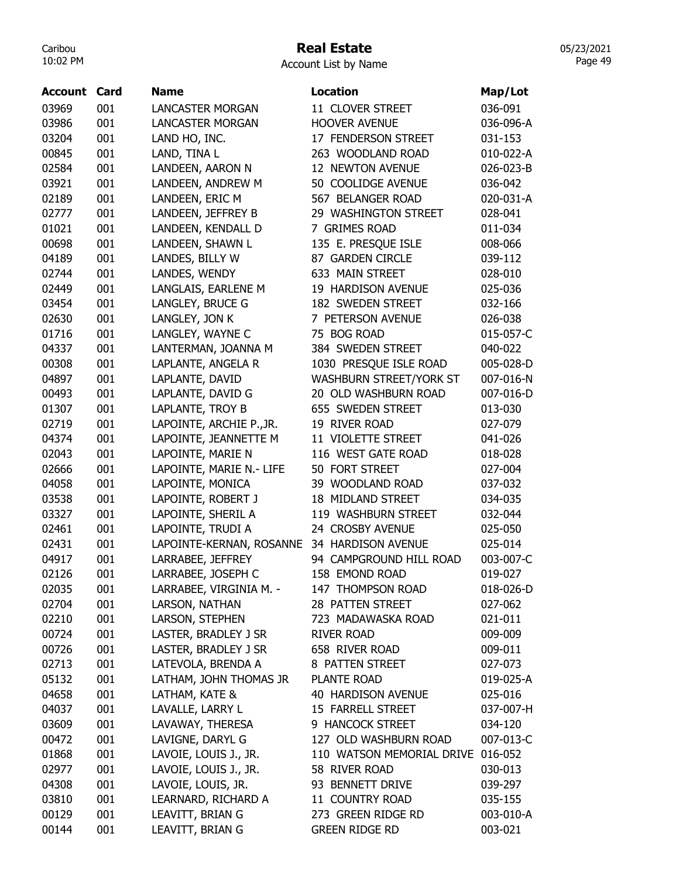# Real Estate

| Account List by Name |  |  |  |
|----------------------|--|--|--|
|----------------------|--|--|--|

| Account | Card       | <b>Name</b>              | <b>Location</b>                   | Map/Lot   |
|---------|------------|--------------------------|-----------------------------------|-----------|
| 03969   | 001        | <b>LANCASTER MORGAN</b>  | 11 CLOVER STREET                  | 036-091   |
| 03986   | 001        | <b>LANCASTER MORGAN</b>  | <b>HOOVER AVENUE</b>              | 036-096-A |
| 03204   | 001        | LAND HO, INC.            | 17 FENDERSON STREET               | 031-153   |
| 00845   | 001        | LAND, TINA L             | 263 WOODLAND ROAD                 | 010-022-A |
| 02584   | 001        | LANDEEN, AARON N         | 12 NEWTON AVENUE                  | 026-023-B |
| 03921   | 001        | LANDEEN, ANDREW M        | 50 COOLIDGE AVENUE                | 036-042   |
| 02189   | 001        | LANDEEN, ERIC M          | 567 BELANGER ROAD                 | 020-031-A |
| 02777   | 001        | LANDEEN, JEFFREY B       | 29 WASHINGTON STREET              | 028-041   |
| 01021   | 001        | LANDEEN, KENDALL D       | 7 GRIMES ROAD                     | 011-034   |
| 00698   | 001        | LANDEEN, SHAWN L         | 135 E. PRESQUE ISLE               | 008-066   |
| 04189   | 001        | LANDES, BILLY W          | 87 GARDEN CIRCLE                  | 039-112   |
| 02744   | 001        | LANDES, WENDY            | 633 MAIN STREET                   | 028-010   |
| 02449   | 001        | LANGLAIS, EARLENE M      | 19 HARDISON AVENUE                | 025-036   |
| 03454   | 001        | LANGLEY, BRUCE G         | 182 SWEDEN STREET                 | 032-166   |
| 02630   | 001        | LANGLEY, JON K           | 7 PETERSON AVENUE                 | 026-038   |
| 01716   | 001        | LANGLEY, WAYNE C         | 75 BOG ROAD                       | 015-057-C |
| 04337   | 001        | LANTERMAN, JOANNA M      | 384 SWEDEN STREET                 | 040-022   |
| 00308   | 001        | LAPLANTE, ANGELA R       | 1030 PRESQUE ISLE ROAD            | 005-028-D |
| 04897   | 001        | LAPLANTE, DAVID          | WASHBURN STREET/YORK ST           | 007-016-N |
| 00493   | 001        | LAPLANTE, DAVID G        | 20 OLD WASHBURN ROAD              | 007-016-D |
| 01307   | 001        | LAPLANTE, TROY B         | 655 SWEDEN STREET                 | 013-030   |
| 02719   | 001        | LAPOINTE, ARCHIE P., JR. | 19 RIVER ROAD                     | 027-079   |
| 04374   | 001        | LAPOINTE, JEANNETTE M    | 11 VIOLETTE STREET                | 041-026   |
| 02043   | 001        | LAPOINTE, MARIE N        | 116 WEST GATE ROAD                | 018-028   |
| 02666   | 001        | LAPOINTE, MARIE N.- LIFE | 50 FORT STREET                    | 027-004   |
| 04058   | 001        | LAPOINTE, MONICA         | 39 WOODLAND ROAD                  | 037-032   |
| 03538   | 001        | LAPOINTE, ROBERT J       | 18 MIDLAND STREET                 | 034-035   |
| 03327   | 001        | LAPOINTE, SHERIL A       | 119 WASHBURN STREET               | 032-044   |
| 02461   | 001        | LAPOINTE, TRUDI A        | 24 CROSBY AVENUE                  | 025-050   |
| 02431   | 001        | LAPOINTE-KERNAN, ROSANNE | 34 HARDISON AVENUE                | 025-014   |
| 04917   | 001        | LARRABEE, JEFFREY        | 94 CAMPGROUND HILL ROAD           | 003-007-C |
| 02126   | 001        | LARRABEE, JOSEPH C       | 158 EMOND ROAD                    | 019-027   |
| 02035   | 001        | LARRABEE, VIRGINIA M. -  | 147 THOMPSON ROAD                 | 018-026-D |
| 02704   | 001        | LARSON, NATHAN           | 28 PATTEN STREET                  | 027-062   |
| 02210   | 001        | LARSON, STEPHEN          | 723 MADAWASKA ROAD                | 021-011   |
| 00724   | 001        | LASTER, BRADLEY J SR     | <b>RIVER ROAD</b>                 | 009-009   |
| 00726   | 001        | LASTER, BRADLEY J SR     | 658 RIVER ROAD                    | 009-011   |
| 02713   | 001        | LATEVOLA, BRENDA A       | 8 PATTEN STREET                   | 027-073   |
| 05132   | 001        | LATHAM, JOHN THOMAS JR   | PLANTE ROAD                       | 019-025-A |
| 04658   | 001        | LATHAM, KATE &           | 40 HARDISON AVENUE                | 025-016   |
| 04037   | 001        | LAVALLE, LARRY L         | 15 FARRELL STREET                 | 037-007-H |
| 03609   | 001        | LAVAWAY, THERESA         | 9 HANCOCK STREET                  | 034-120   |
| 00472   | 001        | LAVIGNE, DARYL G         | 127 OLD WASHBURN ROAD             | 007-013-C |
| 01868   | 001        | LAVOIE, LOUIS J., JR.    | 110 WATSON MEMORIAL DRIVE         | 016-052   |
|         |            |                          |                                   |           |
| 02977   | 001<br>001 | LAVOIE, LOUIS J., JR.    | 58 RIVER ROAD<br>93 BENNETT DRIVE | 030-013   |
| 04308   | 001        | LAVOIE, LOUIS, JR.       | 11 COUNTRY ROAD                   | 039-297   |
| 03810   |            | LEARNARD, RICHARD A      |                                   | 035-155   |
| 00129   | 001        | LEAVITT, BRIAN G         | 273 GREEN RIDGE RD                | 003-010-A |
| 00144   | 001        | LEAVITT, BRIAN G         | <b>GREEN RIDGE RD</b>             | 003-021   |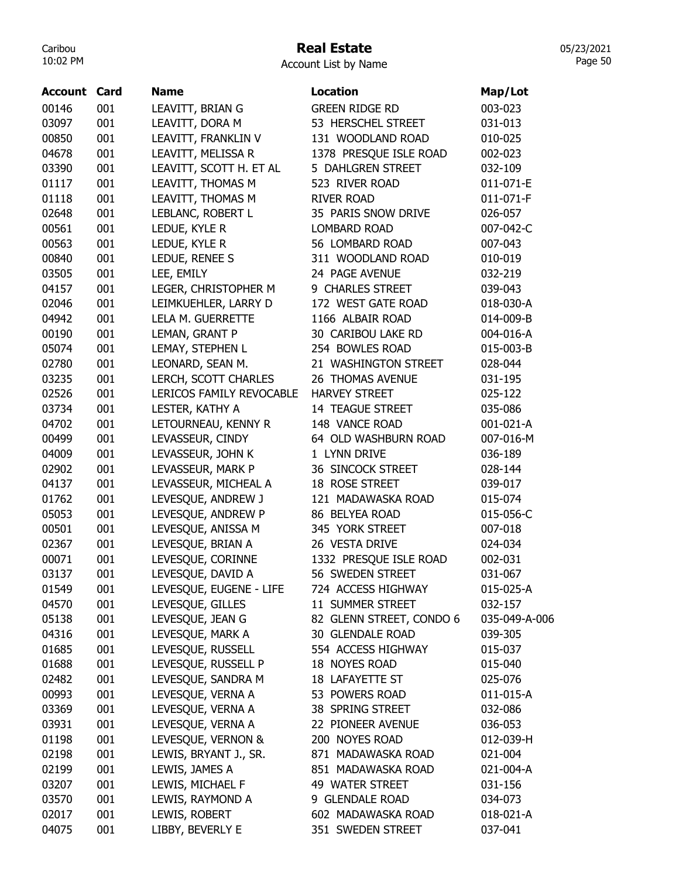## Real Estate

05/23/2021 Page 50

Account List by Name

| <b>Account Card</b> |     | <b>Name</b>              | <b>Location</b>          | Map/Lot       |
|---------------------|-----|--------------------------|--------------------------|---------------|
| 00146               | 001 | LEAVITT, BRIAN G         | <b>GREEN RIDGE RD</b>    | 003-023       |
| 03097               | 001 | LEAVITT, DORA M          | 53 HERSCHEL STREET       | 031-013       |
| 00850               | 001 | LEAVITT, FRANKLIN V      | 131 WOODLAND ROAD        | 010-025       |
| 04678               | 001 | LEAVITT, MELISSA R       | 1378 PRESQUE ISLE ROAD   | 002-023       |
| 03390               | 001 | LEAVITT, SCOTT H. ET AL  | 5 DAHLGREN STREET        | 032-109       |
| 01117               | 001 | LEAVITT, THOMAS M        | 523 RIVER ROAD           | 011-071-E     |
| 01118               | 001 | LEAVITT, THOMAS M        | <b>RIVER ROAD</b>        | 011-071-F     |
| 02648               | 001 | LEBLANC, ROBERT L        | 35 PARIS SNOW DRIVE      | 026-057       |
| 00561               | 001 | LEDUE, KYLE R            | LOMBARD ROAD             | 007-042-C     |
| 00563               | 001 | LEDUE, KYLE R            | 56 LOMBARD ROAD          | 007-043       |
| 00840               | 001 | LEDUE, RENEE S           | 311 WOODLAND ROAD        | 010-019       |
| 03505               | 001 | LEE, EMILY               | 24 PAGE AVENUE           | 032-219       |
| 04157               | 001 | LEGER, CHRISTOPHER M     | 9 CHARLES STREET         | 039-043       |
| 02046               | 001 | LEIMKUEHLER, LARRY D     | 172 WEST GATE ROAD       | 018-030-A     |
| 04942               | 001 | LELA M. GUERRETTE        | 1166 ALBAIR ROAD         | 014-009-B     |
| 00190               | 001 | LEMAN, GRANT P           | 30 CARIBOU LAKE RD       | 004-016-A     |
| 05074               | 001 | LEMAY, STEPHEN L         | 254 BOWLES ROAD          | 015-003-B     |
| 02780               | 001 | LEONARD, SEAN M.         | 21 WASHINGTON STREET     | 028-044       |
| 03235               | 001 | LERCH, SCOTT CHARLES     | 26 THOMAS AVENUE         | 031-195       |
| 02526               | 001 | LERICOS FAMILY REVOCABLE | <b>HARVEY STREET</b>     | 025-122       |
| 03734               | 001 | LESTER, KATHY A          | 14 TEAGUE STREET         | 035-086       |
| 04702               | 001 | LETOURNEAU, KENNY R      | 148 VANCE ROAD           | 001-021-A     |
| 00499               | 001 | LEVASSEUR, CINDY         | 64 OLD WASHBURN ROAD     | 007-016-M     |
| 04009               | 001 | LEVASSEUR, JOHN K        | 1 LYNN DRIVE             | 036-189       |
| 02902               | 001 | LEVASSEUR, MARK P        | 36 SINCOCK STREET        | 028-144       |
| 04137               | 001 | LEVASSEUR, MICHEAL A     | 18 ROSE STREET           | 039-017       |
| 01762               | 001 | LEVESQUE, ANDREW J       | 121 MADAWASKA ROAD       | 015-074       |
| 05053               | 001 | LEVESQUE, ANDREW P       | 86 BELYEA ROAD           | 015-056-C     |
| 00501               | 001 | LEVESQUE, ANISSA M       | 345 YORK STREET          | 007-018       |
| 02367               | 001 | LEVESQUE, BRIAN A        | 26 VESTA DRIVE           | 024-034       |
| 00071               | 001 | LEVESQUE, CORINNE        | 1332 PRESQUE ISLE ROAD   | 002-031       |
| 03137               | 001 | LEVESQUE, DAVID A        | 56 SWEDEN STREET         | 031-067       |
| 01549               | 001 | LEVESQUE, EUGENE - LIFE  | 724 ACCESS HIGHWAY       | 015-025-A     |
| 04570               | 001 | LEVESQUE, GILLES         | 11 SUMMER STREET         | 032-157       |
| 05138               | 001 | LEVESQUE, JEAN G         | 82 GLENN STREET, CONDO 6 | 035-049-A-006 |
| 04316               | 001 | LEVESQUE, MARK A         | 30 GLENDALE ROAD         | 039-305       |
| 01685               | 001 | LEVESQUE, RUSSELL        | 554 ACCESS HIGHWAY       | 015-037       |
| 01688               | 001 | LEVESQUE, RUSSELL P      | 18 NOYES ROAD            | 015-040       |
| 02482               | 001 | LEVESQUE, SANDRA M       | 18 LAFAYETTE ST          | 025-076       |
| 00993               | 001 | LEVESQUE, VERNA A        | 53 POWERS ROAD           | 011-015-A     |
| 03369               | 001 | LEVESQUE, VERNA A        | 38 SPRING STREET         | 032-086       |
| 03931               | 001 | LEVESQUE, VERNA A        | 22 PIONEER AVENUE        | 036-053       |
| 01198               | 001 | LEVESQUE, VERNON &       | 200 NOYES ROAD           | 012-039-H     |
| 02198               | 001 | LEWIS, BRYANT J., SR.    | 871 MADAWASKA ROAD       | 021-004       |
| 02199               | 001 | LEWIS, JAMES A           | 851 MADAWASKA ROAD       | 021-004-A     |
| 03207               | 001 | LEWIS, MICHAEL F         | 49 WATER STREET          | 031-156       |
| 03570               | 001 | LEWIS, RAYMOND A         | 9 GLENDALE ROAD          | 034-073       |
| 02017               | 001 | LEWIS, ROBERT            | 602 MADAWASKA ROAD       | 018-021-A     |
| 04075               | 001 | LIBBY, BEVERLY E         | 351 SWEDEN STREET        | 037-041       |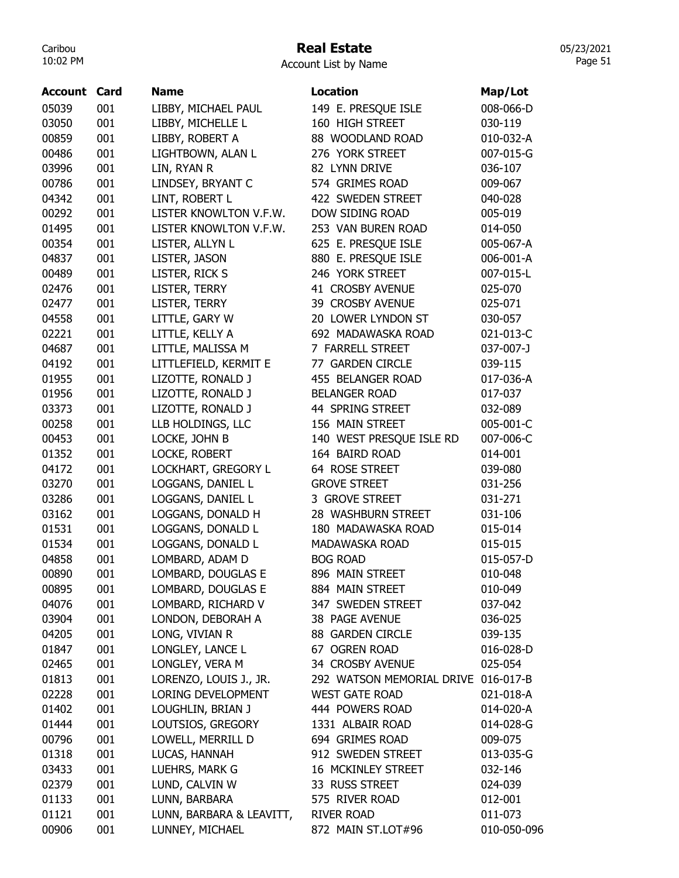# Real Estate

|  | <b>Account List by Name</b> |  |  |  |
|--|-----------------------------|--|--|--|
|--|-----------------------------|--|--|--|

| Account | Card | <b>Name</b>              | <b>Location</b>           | Map/Lot     |
|---------|------|--------------------------|---------------------------|-------------|
| 05039   | 001  | LIBBY, MICHAEL PAUL      | 149 E. PRESQUE ISLE       | 008-066-D   |
| 03050   | 001  | LIBBY, MICHELLE L        | 160 HIGH STREET           | 030-119     |
| 00859   | 001  | LIBBY, ROBERT A          | 88 WOODLAND ROAD          | 010-032-A   |
| 00486   | 001  | LIGHTBOWN, ALAN L        | 276 YORK STREET           | 007-015-G   |
| 03996   | 001  | LIN, RYAN R              | 82 LYNN DRIVE             | 036-107     |
| 00786   | 001  | LINDSEY, BRYANT C        | 574 GRIMES ROAD           | 009-067     |
| 04342   | 001  | LINT, ROBERT L           | 422 SWEDEN STREET         | 040-028     |
| 00292   | 001  | LISTER KNOWLTON V.F.W.   | DOW SIDING ROAD           | 005-019     |
| 01495   | 001  | LISTER KNOWLTON V.F.W.   | 253 VAN BUREN ROAD        | 014-050     |
| 00354   | 001  | LISTER, ALLYN L          | 625 E. PRESQUE ISLE       | 005-067-A   |
| 04837   | 001  | LISTER, JASON            | 880 E. PRESQUE ISLE       | 006-001-A   |
| 00489   | 001  | LISTER, RICK S           | 246 YORK STREET           | 007-015-L   |
| 02476   | 001  | LISTER, TERRY            | 41 CROSBY AVENUE          | 025-070     |
| 02477   | 001  | LISTER, TERRY            | 39 CROSBY AVENUE          | 025-071     |
| 04558   | 001  | LITTLE, GARY W           | 20 LOWER LYNDON ST        | 030-057     |
| 02221   | 001  | LITTLE, KELLY A          | 692 MADAWASKA ROAD        | 021-013-C   |
| 04687   | 001  | LITTLE, MALISSA M        | 7 FARRELL STREET          | 037-007-J   |
| 04192   | 001  | LITTLEFIELD, KERMIT E    | 77 GARDEN CIRCLE          | 039-115     |
| 01955   | 001  | LIZOTTE, RONALD J        | 455 BELANGER ROAD         | 017-036-A   |
| 01956   | 001  | LIZOTTE, RONALD J        | <b>BELANGER ROAD</b>      | 017-037     |
| 03373   | 001  | LIZOTTE, RONALD J        | 44 SPRING STREET          | 032-089     |
| 00258   | 001  | LLB HOLDINGS, LLC        | 156 MAIN STREET           | 005-001-C   |
| 00453   | 001  | LOCKE, JOHN B            | 140 WEST PRESQUE ISLE RD  | 007-006-C   |
| 01352   | 001  | LOCKE, ROBERT            | 164 BAIRD ROAD            | 014-001     |
| 04172   | 001  | LOCKHART, GREGORY L      | 64 ROSE STREET            | 039-080     |
| 03270   | 001  | LOGGANS, DANIEL L        | <b>GROVE STREET</b>       | 031-256     |
| 03286   | 001  | LOGGANS, DANIEL L        | 3 GROVE STREET            | 031-271     |
| 03162   | 001  | LOGGANS, DONALD H        | 28 WASHBURN STREET        | 031-106     |
| 01531   | 001  | LOGGANS, DONALD L        | 180 MADAWASKA ROAD        | 015-014     |
| 01534   | 001  | LOGGANS, DONALD L        | <b>MADAWASKA ROAD</b>     | 015-015     |
| 04858   | 001  | LOMBARD, ADAM D          | <b>BOG ROAD</b>           | 015-057-D   |
| 00890   | 001  | LOMBARD, DOUGLAS E       | 896 MAIN STREET           | 010-048     |
| 00895   | 001  | LOMBARD, DOUGLAS E       | 884 MAIN STREET           | 010-049     |
| 04076   | 001  | LOMBARD, RICHARD V       | 347 SWEDEN STREET         | 037-042     |
| 03904   | 001  | LONDON, DEBORAH A        | 38 PAGE AVENUE            | 036-025     |
| 04205   | 001  | LONG, VIVIAN R           | 88 GARDEN CIRCLE          | 039-135     |
| 01847   | 001  | LONGLEY, LANCE L         | 67 OGREN ROAD             | 016-028-D   |
| 02465   | 001  | LONGLEY, VERA M          | 34 CROSBY AVENUE          | 025-054     |
| 01813   | 001  | LORENZO, LOUIS J., JR.   | 292 WATSON MEMORIAL DRIVE | 016-017-B   |
| 02228   | 001  | LORING DEVELOPMENT       | <b>WEST GATE ROAD</b>     | 021-018-A   |
| 01402   | 001  | LOUGHLIN, BRIAN J        | 444 POWERS ROAD           | 014-020-A   |
| 01444   | 001  | LOUTSIOS, GREGORY        | 1331 ALBAIR ROAD          | 014-028-G   |
| 00796   | 001  | LOWELL, MERRILL D        | 694 GRIMES ROAD           | 009-075     |
| 01318   | 001  | LUCAS, HANNAH            | 912 SWEDEN STREET         | 013-035-G   |
| 03433   | 001  | LUEHRS, MARK G           | 16 MCKINLEY STREET        | 032-146     |
| 02379   | 001  | LUND, CALVIN W           | 33 RUSS STREET            | 024-039     |
| 01133   | 001  | LUNN, BARBARA            | 575 RIVER ROAD            | 012-001     |
| 01121   | 001  | LUNN, BARBARA & LEAVITT, | <b>RIVER ROAD</b>         | 011-073     |
| 00906   | 001  | LUNNEY, MICHAEL          | 872 MAIN ST.LOT#96        | 010-050-096 |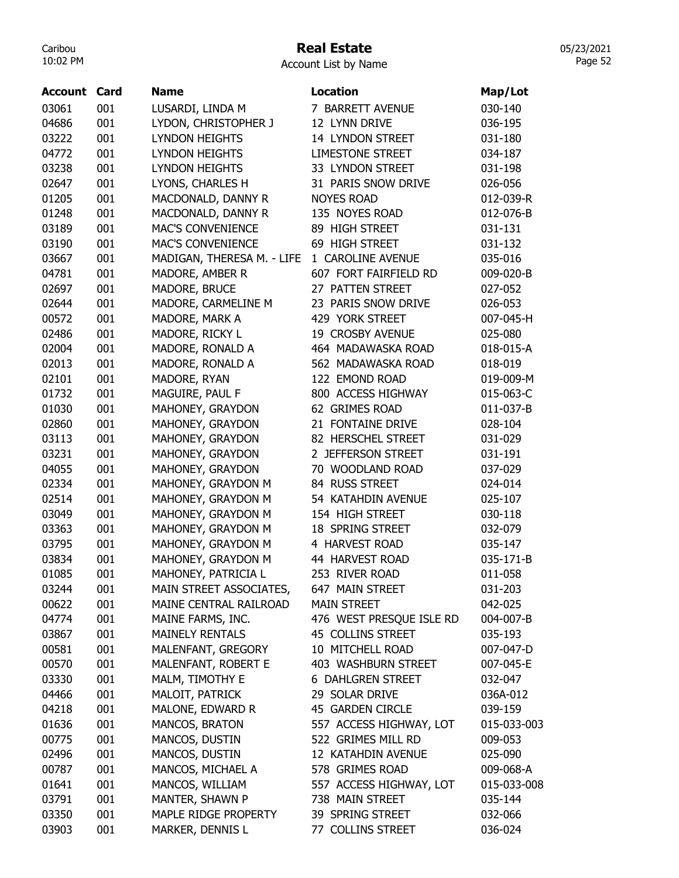## Real Estate

Account List by Name

| <b>Account Card</b> |     | <b>Name</b>                | <b>Location</b>          | Map/Lot     |
|---------------------|-----|----------------------------|--------------------------|-------------|
| 03061               | 001 | LUSARDI, LINDA M           | 7 BARRETT AVENUE         | 030-140     |
| 04686               | 001 | LYDON, CHRISTOPHER J       | 12 LYNN DRIVE            | 036-195     |
| 03222               | 001 | <b>LYNDON HEIGHTS</b>      | 14 LYNDON STREET         | 031-180     |
| 04772               | 001 | <b>LYNDON HEIGHTS</b>      | <b>LIMESTONE STREET</b>  | 034-187     |
| 03238               | 001 | <b>LYNDON HEIGHTS</b>      | 33 LYNDON STREET         | 031-198     |
| 02647               | 001 | LYONS, CHARLES H           | 31 PARIS SNOW DRIVE      | 026-056     |
| 01205               | 001 | MACDONALD, DANNY R         | <b>NOYES ROAD</b>        | 012-039-R   |
| 01248               | 001 | MACDONALD, DANNY R         | 135 NOYES ROAD           | 012-076-B   |
| 03189               | 001 | <b>MAC'S CONVENIENCE</b>   | 89 HIGH STREET           | 031-131     |
| 03190               | 001 | <b>MAC'S CONVENIENCE</b>   | 69 HIGH STREET           | 031-132     |
| 03667               | 001 | MADIGAN, THERESA M. - LIFE | 1 CAROLINE AVENUE        | 035-016     |
| 04781               | 001 | MADORE, AMBER R            | 607 FORT FAIRFIELD RD    | 009-020-B   |
| 02697               | 001 | MADORE, BRUCE              | 27 PATTEN STREET         | 027-052     |
| 02644               | 001 | MADORE, CARMELINE M        | 23 PARIS SNOW DRIVE      | 026-053     |
| 00572               | 001 | MADORE, MARK A             | 429 YORK STREET          | 007-045-H   |
| 02486               | 001 | MADORE, RICKY L            | 19 CROSBY AVENUE         | 025-080     |
| 02004               | 001 | MADORE, RONALD A           | 464 MADAWASKA ROAD       | 018-015-A   |
| 02013               | 001 | MADORE, RONALD A           | 562 MADAWASKA ROAD       | 018-019     |
| 02101               | 001 | MADORE, RYAN               | 122 EMOND ROAD           | 019-009-M   |
| 01732               | 001 | MAGUIRE, PAUL F            | 800 ACCESS HIGHWAY       | 015-063-C   |
| 01030               | 001 | MAHONEY, GRAYDON           | 62 GRIMES ROAD           | 011-037-B   |
| 02860               | 001 | MAHONEY, GRAYDON           | 21 FONTAINE DRIVE        | 028-104     |
| 03113               | 001 | MAHONEY, GRAYDON           | 82 HERSCHEL STREET       | 031-029     |
| 03231               | 001 | MAHONEY, GRAYDON           | 2 JEFFERSON STREET       | 031-191     |
| 04055               | 001 | MAHONEY, GRAYDON           | 70 WOODLAND ROAD         | 037-029     |
| 02334               | 001 | MAHONEY, GRAYDON M         | 84 RUSS STREET           | 024-014     |
| 02514               | 001 | MAHONEY, GRAYDON M         | 54 KATAHDIN AVENUE       | 025-107     |
| 03049               | 001 | MAHONEY, GRAYDON M         | 154 HIGH STREET          | 030-118     |
| 03363               | 001 | MAHONEY, GRAYDON M         | 18 SPRING STREET         | 032-079     |
| 03795               | 001 | MAHONEY, GRAYDON M         | 4 HARVEST ROAD           | 035-147     |
| 03834               | 001 | MAHONEY, GRAYDON M         | 44 HARVEST ROAD          | 035-171-B   |
| 01085               | 001 | MAHONEY, PATRICIA L        | 253 RIVER ROAD           | 011-058     |
| 03244               | 001 | MAIN STREET ASSOCIATES,    | 647 MAIN STREET          | 031-203     |
| 00622               | 001 | MAINE CENTRAL RAILROAD     | <b>MAIN STREET</b>       | 042-025     |
| 04774               | 001 | MAINE FARMS, INC.          | 476 WEST PRESQUE ISLE RD | 004-007-B   |
| 03867               | 001 | <b>MAINELY RENTALS</b>     | 45 COLLINS STREET        | 035-193     |
| 00581               | 001 | MALENFANT, GREGORY         | 10 MITCHELL ROAD         | 007-047-D   |
| 00570               | 001 | MALENFANT, ROBERT E        | 403 WASHBURN STREET      | 007-045-E   |
| 03330               | 001 | MALM, TIMOTHY E            | <b>6 DAHLGREN STREET</b> | 032-047     |
| 04466               | 001 | MALOIT, PATRICK            | 29 SOLAR DRIVE           | 036A-012    |
| 04218               | 001 | MALONE, EDWARD R           | 45 GARDEN CIRCLE         | 039-159     |
| 01636               | 001 | MANCOS, BRATON             | 557 ACCESS HIGHWAY, LOT  | 015-033-003 |
| 00775               | 001 | MANCOS, DUSTIN             | 522 GRIMES MILL RD       | 009-053     |
| 02496               | 001 | MANCOS, DUSTIN             | 12 KATAHDIN AVENUE       | 025-090     |
| 00787               | 001 | MANCOS, MICHAEL A          | 578 GRIMES ROAD          | 009-068-A   |
| 01641               | 001 | MANCOS, WILLIAM            | 557 ACCESS HIGHWAY, LOT  | 015-033-008 |
| 03791               | 001 | MANTER, SHAWN P            | 738 MAIN STREET          | 035-144     |
| 03350               | 001 | MAPLE RIDGE PROPERTY       | 39 SPRING STREET         | 032-066     |
| 03903               | 001 | MARKER, DENNIS L           | 77 COLLINS STREET        | 036-024     |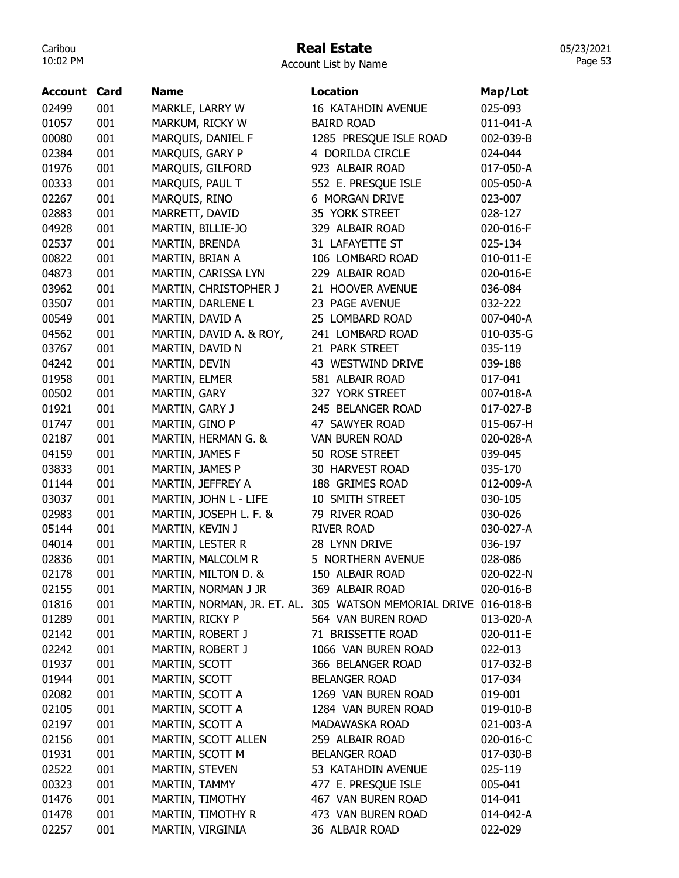## Real Estate

Account List by Name

| <b>Account Card</b> |     | <b>Name</b>             | <b>Location</b>                                                 | Map/Lot   |
|---------------------|-----|-------------------------|-----------------------------------------------------------------|-----------|
| 02499               | 001 | MARKLE, LARRY W         | 16 KATAHDIN AVENUE                                              | 025-093   |
| 01057               | 001 | MARKUM, RICKY W         | <b>BAIRD ROAD</b>                                               | 011-041-A |
| 00080               | 001 | MARQUIS, DANIEL F       | 1285 PRESQUE ISLE ROAD                                          | 002-039-B |
| 02384               | 001 | MARQUIS, GARY P         | 4 DORILDA CIRCLE                                                | 024-044   |
| 01976               | 001 | MARQUIS, GILFORD        | 923 ALBAIR ROAD                                                 | 017-050-A |
| 00333               | 001 | MARQUIS, PAUL T         | 552 E. PRESQUE ISLE                                             | 005-050-A |
| 02267               | 001 | MARQUIS, RINO           | 6 MORGAN DRIVE                                                  | 023-007   |
| 02883               | 001 | MARRETT, DAVID          | 35 YORK STREET                                                  | 028-127   |
| 04928               | 001 | MARTIN, BILLIE-JO       | 329 ALBAIR ROAD                                                 | 020-016-F |
| 02537               | 001 | MARTIN, BRENDA          | 31 LAFAYETTE ST                                                 | 025-134   |
| 00822               | 001 | MARTIN, BRIAN A         | 106 LOMBARD ROAD                                                | 010-011-E |
| 04873               | 001 | MARTIN, CARISSA LYN     | 229 ALBAIR ROAD                                                 | 020-016-E |
| 03962               | 001 | MARTIN, CHRISTOPHER J   | 21 HOOVER AVENUE                                                | 036-084   |
| 03507               | 001 | MARTIN, DARLENE L       | 23 PAGE AVENUE                                                  | 032-222   |
| 00549               | 001 | MARTIN, DAVID A         | 25 LOMBARD ROAD                                                 | 007-040-A |
| 04562               | 001 | MARTIN, DAVID A. & ROY, | 241 LOMBARD ROAD                                                | 010-035-G |
| 03767               | 001 | MARTIN, DAVID N         | 21 PARK STREET                                                  | 035-119   |
| 04242               | 001 | MARTIN, DEVIN           | 43 WESTWIND DRIVE                                               | 039-188   |
| 01958               | 001 | MARTIN, ELMER           | 581 ALBAIR ROAD                                                 | 017-041   |
| 00502               | 001 | MARTIN, GARY            | 327 YORK STREET                                                 | 007-018-A |
| 01921               | 001 | MARTIN, GARY J          | 245 BELANGER ROAD                                               | 017-027-B |
| 01747               | 001 | MARTIN, GINO P          | 47 SAWYER ROAD                                                  | 015-067-H |
| 02187               | 001 | MARTIN, HERMAN G. &     | <b>VAN BUREN ROAD</b>                                           | 020-028-A |
| 04159               | 001 | MARTIN, JAMES F         | 50 ROSE STREET                                                  | 039-045   |
| 03833               | 001 | MARTIN, JAMES P         | 30 HARVEST ROAD                                                 | 035-170   |
| 01144               | 001 | MARTIN, JEFFREY A       | 188 GRIMES ROAD                                                 | 012-009-A |
| 03037               | 001 | MARTIN, JOHN L - LIFE   | 10 SMITH STREET                                                 | 030-105   |
| 02983               | 001 | MARTIN, JOSEPH L. F. &  | 79 RIVER ROAD                                                   | 030-026   |
| 05144               | 001 | MARTIN, KEVIN J         | <b>RIVER ROAD</b>                                               | 030-027-A |
| 04014               | 001 | MARTIN, LESTER R        | 28 LYNN DRIVE                                                   | 036-197   |
| 02836               | 001 | MARTIN, MALCOLM R       | 5 NORTHERN AVENUE                                               | 028-086   |
| 02178               | 001 | MARTIN, MILTON D. &     | 150 ALBAIR ROAD                                                 | 020-022-N |
| 02155               | 001 | MARTIN, NORMAN J JR     | 369 ALBAIR ROAD                                                 | 020-016-B |
| 01816               | 001 |                         | MARTIN, NORMAN, JR. ET. AL. 305 WATSON MEMORIAL DRIVE 016-018-B |           |
| 01289               | 001 | MARTIN, RICKY P         | 564 VAN BUREN ROAD                                              | 013-020-A |
| 02142               | 001 | MARTIN, ROBERT J        | 71 BRISSETTE ROAD                                               | 020-011-E |
| 02242               | 001 | MARTIN, ROBERT J        | 1066 VAN BUREN ROAD                                             | 022-013   |
| 01937               | 001 | MARTIN, SCOTT           | 366 BELANGER ROAD                                               | 017-032-B |
| 01944               | 001 | MARTIN, SCOTT           | <b>BELANGER ROAD</b>                                            | 017-034   |
| 02082               | 001 | MARTIN, SCOTT A         | 1269 VAN BUREN ROAD                                             | 019-001   |
| 02105               | 001 | MARTIN, SCOTT A         | 1284 VAN BUREN ROAD                                             | 019-010-B |
| 02197               | 001 | MARTIN, SCOTT A         | MADAWASKA ROAD                                                  | 021-003-A |
| 02156               | 001 | MARTIN, SCOTT ALLEN     | 259 ALBAIR ROAD                                                 | 020-016-C |
| 01931               | 001 | MARTIN, SCOTT M         | <b>BELANGER ROAD</b>                                            | 017-030-B |
| 02522               | 001 | MARTIN, STEVEN          | 53 KATAHDIN AVENUE                                              | 025-119   |
| 00323               | 001 | MARTIN, TAMMY           | 477 E. PRESQUE ISLE                                             | 005-041   |
| 01476               | 001 | MARTIN, TIMOTHY         | 467 VAN BUREN ROAD                                              | 014-041   |
| 01478               | 001 | MARTIN, TIMOTHY R       | 473 VAN BUREN ROAD                                              | 014-042-A |
| 02257               | 001 | MARTIN, VIRGINIA        | 36 ALBAIR ROAD                                                  | 022-029   |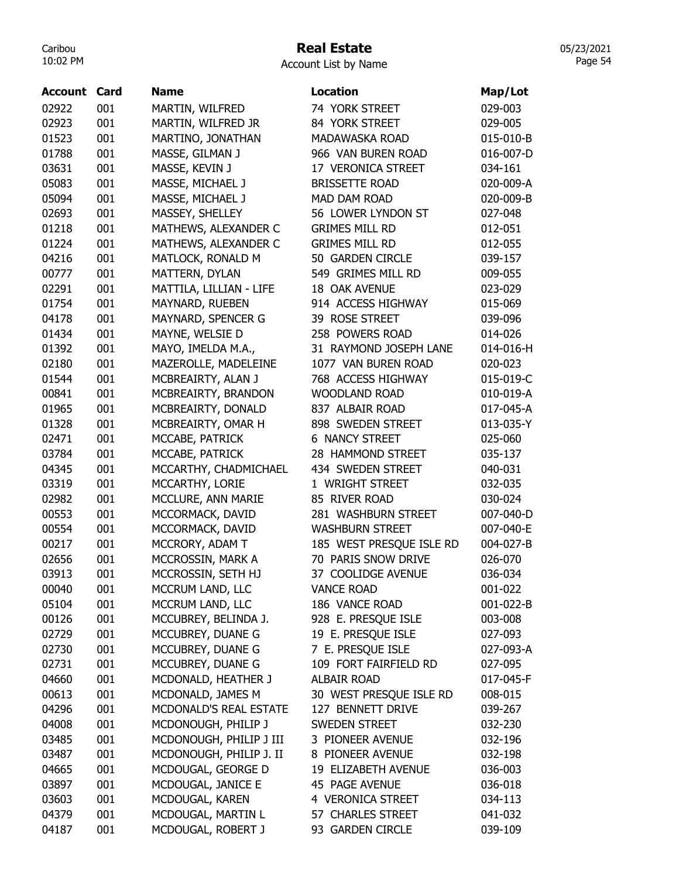# Real Estate

| Account | Card | <b>Name</b>             | <b>Location</b>          | Map/Lot   |
|---------|------|-------------------------|--------------------------|-----------|
| 02922   | 001  | MARTIN, WILFRED         | 74 YORK STREET           | 029-003   |
| 02923   | 001  | MARTIN, WILFRED JR      | 84 YORK STREET           | 029-005   |
| 01523   | 001  | MARTINO, JONATHAN       | <b>MADAWASKA ROAD</b>    | 015-010-B |
| 01788   | 001  | MASSE, GILMAN J         | 966 VAN BUREN ROAD       | 016-007-D |
| 03631   | 001  | MASSE, KEVIN J          | 17 VERONICA STREET       | 034-161   |
| 05083   | 001  | MASSE, MICHAEL J        | <b>BRISSETTE ROAD</b>    | 020-009-A |
| 05094   | 001  | MASSE, MICHAEL J        | MAD DAM ROAD             | 020-009-B |
| 02693   | 001  | MASSEY, SHELLEY         | 56 LOWER LYNDON ST       | 027-048   |
| 01218   | 001  | MATHEWS, ALEXANDER C    | <b>GRIMES MILL RD</b>    | 012-051   |
| 01224   | 001  | MATHEWS, ALEXANDER C    | <b>GRIMES MILL RD</b>    | 012-055   |
| 04216   | 001  | MATLOCK, RONALD M       | 50 GARDEN CIRCLE         | 039-157   |
| 00777   | 001  | MATTERN, DYLAN          | 549 GRIMES MILL RD       | 009-055   |
| 02291   | 001  | MATTILA, LILLIAN - LIFE | 18 OAK AVENUE            | 023-029   |
| 01754   | 001  | MAYNARD, RUEBEN         | 914 ACCESS HIGHWAY       | 015-069   |
| 04178   | 001  | MAYNARD, SPENCER G      | 39 ROSE STREET           | 039-096   |
| 01434   | 001  | MAYNE, WELSIE D         | 258 POWERS ROAD          | 014-026   |
| 01392   | 001  | MAYO, IMELDA M.A.,      | 31 RAYMOND JOSEPH LANE   | 014-016-H |
| 02180   | 001  | MAZEROLLE, MADELEINE    | 1077 VAN BUREN ROAD      | 020-023   |
| 01544   | 001  | MCBREAIRTY, ALAN J      | 768 ACCESS HIGHWAY       | 015-019-C |
| 00841   | 001  | MCBREAIRTY, BRANDON     | <b>WOODLAND ROAD</b>     | 010-019-A |
| 01965   | 001  | MCBREAIRTY, DONALD      | 837 ALBAIR ROAD          | 017-045-A |
| 01328   | 001  | MCBREAIRTY, OMAR H      | 898 SWEDEN STREET        | 013-035-Y |
| 02471   | 001  | MCCABE, PATRICK         | <b>6 NANCY STREET</b>    | 025-060   |
| 03784   | 001  |                         | 28 HAMMOND STREET        |           |
|         |      | MCCABE, PATRICK         |                          | 035-137   |
| 04345   | 001  | MCCARTHY, CHADMICHAEL   | 434 SWEDEN STREET        | 040-031   |
| 03319   | 001  | MCCARTHY, LORIE         | 1 WRIGHT STREET          | 032-035   |
| 02982   | 001  | MCCLURE, ANN MARIE      | 85 RIVER ROAD            | 030-024   |
| 00553   | 001  | MCCORMACK, DAVID        | 281 WASHBURN STREET      | 007-040-D |
| 00554   | 001  | MCCORMACK, DAVID        | <b>WASHBURN STREET</b>   | 007-040-E |
| 00217   | 001  | MCCRORY, ADAM T         | 185 WEST PRESQUE ISLE RD | 004-027-B |
| 02656   | 001  | MCCROSSIN, MARK A       | 70 PARIS SNOW DRIVE      | 026-070   |
| 03913   | 001  | MCCROSSIN, SETH HJ      | 37 COOLIDGE AVENUE       | 036-034   |
| 00040   | 001  | MCCRUM LAND, LLC        | <b>VANCE ROAD</b>        | 001-022   |
| 05104   | 001  | MCCRUM LAND, LLC        | 186 VANCE ROAD           | 001-022-B |
| 00126   | 001  | MCCUBREY, BELINDA J.    | 928 E. PRESQUE ISLE      | 003-008   |
| 02729   | 001  | MCCUBREY, DUANE G       | 19 E. PRESQUE ISLE       | 027-093   |
| 02730   | 001  | MCCUBREY, DUANE G       | 7 E. PRESQUE ISLE        | 027-093-A |
| 02731   | 001  | MCCUBREY, DUANE G       | 109 FORT FAIRFIELD RD    | 027-095   |
| 04660   | 001  | MCDONALD, HEATHER J     | <b>ALBAIR ROAD</b>       | 017-045-F |
| 00613   | 001  | MCDONALD, JAMES M       | 30 WEST PRESQUE ISLE RD  | 008-015   |
| 04296   | 001  | MCDONALD'S REAL ESTATE  | 127 BENNETT DRIVE        | 039-267   |
| 04008   | 001  | MCDONOUGH, PHILIP J     | <b>SWEDEN STREET</b>     | 032-230   |
| 03485   | 001  | MCDONOUGH, PHILIP J III | 3 PIONEER AVENUE         | 032-196   |
| 03487   | 001  | MCDONOUGH, PHILIP J. II | 8 PIONEER AVENUE         | 032-198   |
| 04665   | 001  | MCDOUGAL, GEORGE D      | 19 ELIZABETH AVENUE      | 036-003   |
| 03897   | 001  | MCDOUGAL, JANICE E      | <b>45 PAGE AVENUE</b>    | 036-018   |
| 03603   | 001  | MCDOUGAL, KAREN         | 4 VERONICA STREET        | 034-113   |
| 04379   | 001  | MCDOUGAL, MARTIN L      | 57 CHARLES STREET        | 041-032   |
| 04187   | 001  | MCDOUGAL, ROBERT J      | 93 GARDEN CIRCLE         | 039-109   |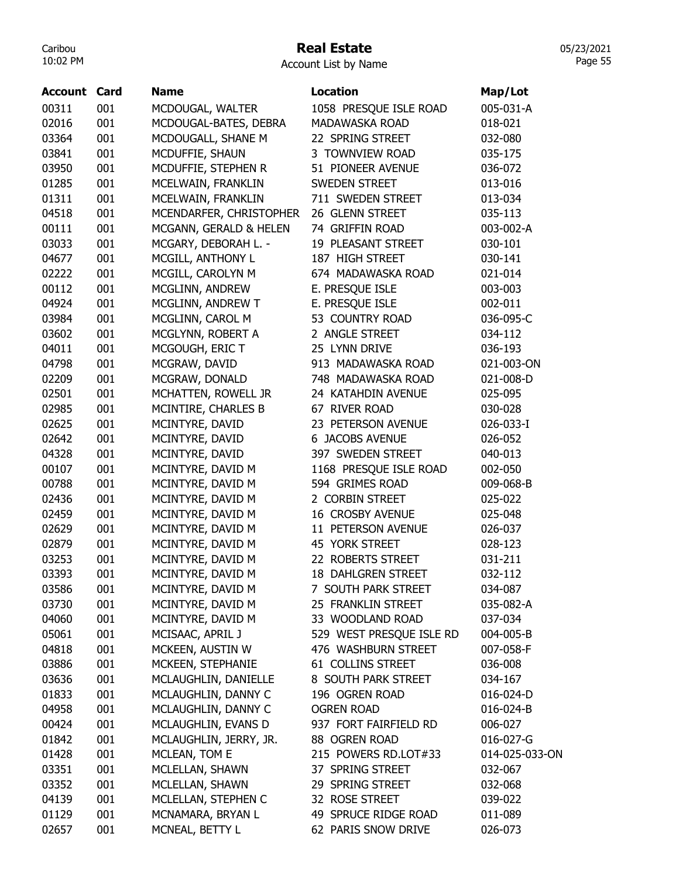## Real Estate

Account List by Name

| <b>Account Card</b> |     | <b>Name</b>             | <b>Location</b>           | Map/Lot        |
|---------------------|-----|-------------------------|---------------------------|----------------|
| 00311               | 001 | MCDOUGAL, WALTER        | 1058 PRESQUE ISLE ROAD    | 005-031-A      |
| 02016               | 001 | MCDOUGAL-BATES, DEBRA   | MADAWASKA ROAD            | 018-021        |
| 03364               | 001 | MCDOUGALL, SHANE M      | 22 SPRING STREET          | 032-080        |
| 03841               | 001 | MCDUFFIE, SHAUN         | 3 TOWNVIEW ROAD           | 035-175        |
| 03950               | 001 | MCDUFFIE, STEPHEN R     | 51 PIONEER AVENUE         | 036-072        |
| 01285               | 001 | MCELWAIN, FRANKLIN      | SWEDEN STREET             | 013-016        |
| 01311               | 001 | MCELWAIN, FRANKLIN      | 711 SWEDEN STREET         | 013-034        |
| 04518               | 001 | MCENDARFER, CHRISTOPHER | 26 GLENN STREET           | 035-113        |
| 00111               | 001 | MCGANN, GERALD & HELEN  | 74 GRIFFIN ROAD           | 003-002-A      |
| 03033               | 001 | MCGARY, DEBORAH L. -    | 19 PLEASANT STREET        | 030-101        |
| 04677               | 001 | MCGILL, ANTHONY L       | 187 HIGH STREET           | 030-141        |
| 02222               | 001 | MCGILL, CAROLYN M       | 674 MADAWASKA ROAD        | 021-014        |
| 00112               | 001 | MCGLINN, ANDREW         | E. PRESQUE ISLE           | 003-003        |
| 04924               | 001 | MCGLINN, ANDREW T       | E. PRESQUE ISLE           | 002-011        |
| 03984               | 001 | MCGLINN, CAROL M        | 53 COUNTRY ROAD           | 036-095-C      |
| 03602               | 001 | MCGLYNN, ROBERT A       | 2 ANGLE STREET            | 034-112        |
| 04011               | 001 | MCGOUGH, ERIC T         | 25 LYNN DRIVE             | 036-193        |
| 04798               | 001 | MCGRAW, DAVID           | 913 MADAWASKA ROAD        | 021-003-ON     |
| 02209               | 001 | MCGRAW, DONALD          | 748 MADAWASKA ROAD        | 021-008-D      |
| 02501               | 001 | MCHATTEN, ROWELL JR     | 24 KATAHDIN AVENUE        | 025-095        |
| 02985               | 001 | MCINTIRE, CHARLES B     | 67 RIVER ROAD             | 030-028        |
| 02625               | 001 | MCINTYRE, DAVID         | 23 PETERSON AVENUE        | 026-033-I      |
| 02642               | 001 | MCINTYRE, DAVID         | <b>6 JACOBS AVENUE</b>    | 026-052        |
| 04328               | 001 | MCINTYRE, DAVID         | 397 SWEDEN STREET         | 040-013        |
| 00107               | 001 | MCINTYRE, DAVID M       | 1168 PRESQUE ISLE ROAD    | 002-050        |
| 00788               | 001 | MCINTYRE, DAVID M       | 594 GRIMES ROAD           | 009-068-B      |
| 02436               | 001 | MCINTYRE, DAVID M       | 2 CORBIN STREET           | 025-022        |
| 02459               | 001 | MCINTYRE, DAVID M       | <b>16 CROSBY AVENUE</b>   | 025-048        |
| 02629               | 001 | MCINTYRE, DAVID M       | 11 PETERSON AVENUE        | 026-037        |
| 02879               | 001 | MCINTYRE, DAVID M       | 45 YORK STREET            | 028-123        |
| 03253               | 001 | MCINTYRE, DAVID M       | 22 ROBERTS STREET         | 031-211        |
| 03393               | 001 | MCINTYRE, DAVID M       | <b>18 DAHLGREN STREET</b> | 032-112        |
| 03586               | 001 | MCINTYRE, DAVID M       | 7 SOUTH PARK STREET       | 034-087        |
| 03730               | 001 | MCINTYRE, DAVID M       | 25 FRANKLIN STREET        | 035-082-A      |
| 04060               | 001 | MCINTYRE, DAVID M       | 33 WOODLAND ROAD          | 037-034        |
| 05061               | 001 | MCISAAC, APRIL J        | 529 WEST PRESQUE ISLE RD  | 004-005-B      |
| 04818               | 001 | MCKEEN, AUSTIN W        | 476 WASHBURN STREET       | 007-058-F      |
| 03886               | 001 | MCKEEN, STEPHANIE       | 61 COLLINS STREET         | 036-008        |
| 03636               | 001 | MCLAUGHLIN, DANIELLE    | 8 SOUTH PARK STREET       | 034-167        |
| 01833               | 001 | MCLAUGHLIN, DANNY C     | 196 OGREN ROAD            | 016-024-D      |
| 04958               | 001 | MCLAUGHLIN, DANNY C     | <b>OGREN ROAD</b>         | 016-024-B      |
| 00424               | 001 | MCLAUGHLIN, EVANS D     | 937 FORT FAIRFIELD RD     | 006-027        |
| 01842               | 001 | MCLAUGHLIN, JERRY, JR.  | 88 OGREN ROAD             | 016-027-G      |
| 01428               | 001 | MCLEAN, TOM E           | 215 POWERS RD.LOT#33      | 014-025-033-ON |
| 03351               | 001 | MCLELLAN, SHAWN         | 37 SPRING STREET          | 032-067        |
| 03352               | 001 | MCLELLAN, SHAWN         | 29 SPRING STREET          | 032-068        |
| 04139               | 001 | MCLELLAN, STEPHEN C     | 32 ROSE STREET            | 039-022        |
| 01129               | 001 | MCNAMARA, BRYAN L       | 49 SPRUCE RIDGE ROAD      | 011-089        |
| 02657               | 001 | MCNEAL, BETTY L         | 62 PARIS SNOW DRIVE       | 026-073        |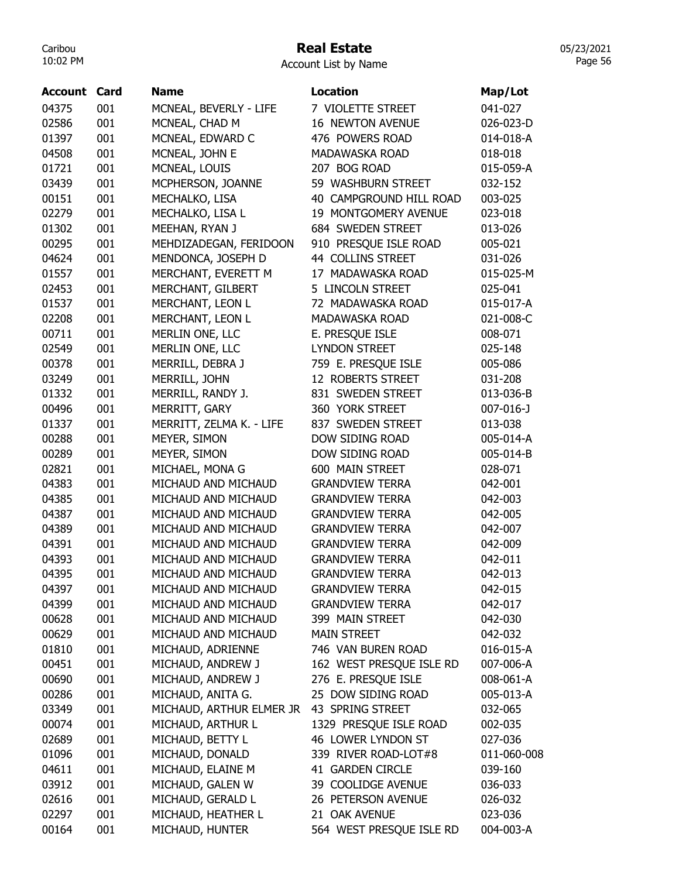## Real Estate

05/23/2021 Page 56

Account List by Name

| Account | Card | <b>Name</b>              | <b>Location</b>          | Map/Lot     |
|---------|------|--------------------------|--------------------------|-------------|
| 04375   | 001  | MCNEAL, BEVERLY - LIFE   | 7 VIOLETTE STREET        | 041-027     |
| 02586   | 001  | MCNEAL, CHAD M           | <b>16 NEWTON AVENUE</b>  | 026-023-D   |
| 01397   | 001  | MCNEAL, EDWARD C         | 476 POWERS ROAD          | 014-018-A   |
| 04508   | 001  | MCNEAL, JOHN E           | MADAWASKA ROAD           | 018-018     |
| 01721   | 001  | MCNEAL, LOUIS            | 207 BOG ROAD             | 015-059-A   |
| 03439   | 001  | MCPHERSON, JOANNE        | 59 WASHBURN STREET       | 032-152     |
| 00151   | 001  | MECHALKO, LISA           | 40 CAMPGROUND HILL ROAD  | 003-025     |
| 02279   | 001  | MECHALKO, LISA L         | 19 MONTGOMERY AVENUE     | 023-018     |
| 01302   | 001  | MEEHAN, RYAN J           | 684 SWEDEN STREET        | 013-026     |
| 00295   | 001  | MEHDIZADEGAN, FERIDOON   | 910 PRESQUE ISLE ROAD    | 005-021     |
| 04624   | 001  | MENDONCA, JOSEPH D       | 44 COLLINS STREET        | 031-026     |
| 01557   | 001  | MERCHANT, EVERETT M      | 17 MADAWASKA ROAD        | 015-025-M   |
| 02453   | 001  | MERCHANT, GILBERT        | 5 LINCOLN STREET         | 025-041     |
| 01537   | 001  | MERCHANT, LEON L         | 72 MADAWASKA ROAD        | 015-017-A   |
| 02208   | 001  | MERCHANT, LEON L         | <b>MADAWASKA ROAD</b>    | 021-008-C   |
| 00711   | 001  | MERLIN ONE, LLC          | E. PRESQUE ISLE          | 008-071     |
| 02549   | 001  | MERLIN ONE, LLC          | <b>LYNDON STREET</b>     | 025-148     |
| 00378   | 001  | MERRILL, DEBRA J         | 759 E. PRESQUE ISLE      | 005-086     |
| 03249   | 001  | MERRILL, JOHN            | 12 ROBERTS STREET        | 031-208     |
| 01332   | 001  | MERRILL, RANDY J.        | 831 SWEDEN STREET        | 013-036-B   |
| 00496   | 001  | MERRITT, GARY            | 360 YORK STREET          | 007-016-J   |
| 01337   | 001  | MERRITT, ZELMA K. - LIFE | 837 SWEDEN STREET        | 013-038     |
| 00288   | 001  | MEYER, SIMON             | DOW SIDING ROAD          | 005-014-A   |
| 00289   | 001  | MEYER, SIMON             | DOW SIDING ROAD          | 005-014-B   |
| 02821   | 001  | MICHAEL, MONA G          | 600 MAIN STREET          | 028-071     |
| 04383   | 001  | MICHAUD AND MICHAUD      | <b>GRANDVIEW TERRA</b>   | 042-001     |
| 04385   | 001  | MICHAUD AND MICHAUD      | <b>GRANDVIEW TERRA</b>   | 042-003     |
| 04387   | 001  | MICHAUD AND MICHAUD      | <b>GRANDVIEW TERRA</b>   | 042-005     |
| 04389   | 001  | MICHAUD AND MICHAUD      | <b>GRANDVIEW TERRA</b>   | 042-007     |
| 04391   | 001  | MICHAUD AND MICHAUD      | <b>GRANDVIEW TERRA</b>   | 042-009     |
| 04393   | 001  | MICHAUD AND MICHAUD      | <b>GRANDVIEW TERRA</b>   | 042-011     |
| 04395   | 001  | MICHAUD AND MICHAUD      | <b>GRANDVIEW TERRA</b>   | 042-013     |
| 04397   | 001  | MICHAUD AND MICHAUD      | <b>GRANDVIEW TERRA</b>   | 042-015     |
| 04399   | 001  | MICHAUD AND MICHAUD      | <b>GRANDVIEW TERRA</b>   | 042-017     |
| 00628   | 001  | MICHAUD AND MICHAUD      | 399 MAIN STREET          | 042-030     |
| 00629   | 001  | MICHAUD AND MICHAUD      | <b>MAIN STREET</b>       | 042-032     |
| 01810   | 001  | MICHAUD, ADRIENNE        | 746 VAN BUREN ROAD       | 016-015-A   |
| 00451   | 001  | MICHAUD, ANDREW J        | 162 WEST PRESQUE ISLE RD | 007-006-A   |
| 00690   | 001  | MICHAUD, ANDREW J        | 276 E. PRESQUE ISLE      | 008-061-A   |
| 00286   | 001  | MICHAUD, ANITA G.        | 25 DOW SIDING ROAD       | 005-013-A   |
| 03349   | 001  | MICHAUD, ARTHUR ELMER JR | 43 SPRING STREET         | 032-065     |
| 00074   | 001  | MICHAUD, ARTHUR L        | 1329 PRESQUE ISLE ROAD   | 002-035     |
| 02689   | 001  | MICHAUD, BETTY L         | 46 LOWER LYNDON ST       | 027-036     |
| 01096   | 001  | MICHAUD, DONALD          | 339 RIVER ROAD-LOT#8     | 011-060-008 |
| 04611   | 001  | MICHAUD, ELAINE M        | 41 GARDEN CIRCLE         | 039-160     |
| 03912   | 001  | MICHAUD, GALEN W         | 39 COOLIDGE AVENUE       | 036-033     |
| 02616   | 001  | MICHAUD, GERALD L        | 26 PETERSON AVENUE       | 026-032     |
| 02297   | 001  | MICHAUD, HEATHER L       | 21 OAK AVENUE            | 023-036     |
| 00164   | 001  | MICHAUD, HUNTER          | 564 WEST PRESQUE ISLE RD | 004-003-A   |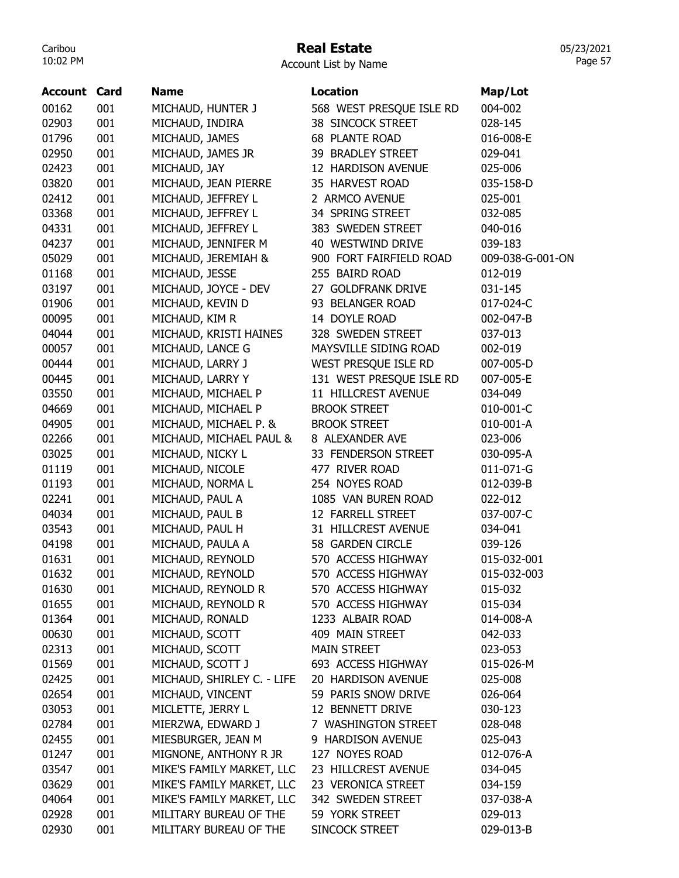## Real Estate

Account List by Name

| <b>Account Card</b> |     | <b>Name</b>                | <b>Location</b>          | Map/Lot          |
|---------------------|-----|----------------------------|--------------------------|------------------|
| 00162               | 001 | MICHAUD, HUNTER J          | 568 WEST PRESQUE ISLE RD | 004-002          |
| 02903               | 001 | MICHAUD, INDIRA            | <b>38 SINCOCK STREET</b> | 028-145          |
| 01796               | 001 | MICHAUD, JAMES             | <b>68 PLANTE ROAD</b>    | 016-008-E        |
| 02950               | 001 | MICHAUD, JAMES JR          | 39 BRADLEY STREET        | 029-041          |
| 02423               | 001 | MICHAUD, JAY               | 12 HARDISON AVENUE       | 025-006          |
| 03820               | 001 | MICHAUD, JEAN PIERRE       | 35 HARVEST ROAD          | 035-158-D        |
| 02412               | 001 | MICHAUD, JEFFREY L         | 2 ARMCO AVENUE           | 025-001          |
| 03368               | 001 | MICHAUD, JEFFREY L         | 34 SPRING STREET         | 032-085          |
| 04331               | 001 | MICHAUD, JEFFREY L         | 383 SWEDEN STREET        | 040-016          |
| 04237               | 001 | MICHAUD, JENNIFER M        | 40 WESTWIND DRIVE        | 039-183          |
| 05029               | 001 | MICHAUD, JEREMIAH &        | 900 FORT FAIRFIELD ROAD  | 009-038-G-001-ON |
| 01168               | 001 | MICHAUD, JESSE             | 255 BAIRD ROAD           | 012-019          |
| 03197               | 001 | MICHAUD, JOYCE - DEV       | 27 GOLDFRANK DRIVE       | 031-145          |
| 01906               | 001 | MICHAUD, KEVIN D           | 93 BELANGER ROAD         | 017-024-C        |
| 00095               | 001 | MICHAUD, KIM R             | 14 DOYLE ROAD            | 002-047-B        |
| 04044               | 001 | MICHAUD, KRISTI HAINES     | 328 SWEDEN STREET        | 037-013          |
| 00057               | 001 | MICHAUD, LANCE G           | MAYSVILLE SIDING ROAD    | 002-019          |
| 00444               | 001 | MICHAUD, LARRY J           | WEST PRESQUE ISLE RD     | 007-005-D        |
| 00445               | 001 | MICHAUD, LARRY Y           | 131 WEST PRESQUE ISLE RD | 007-005-E        |
| 03550               | 001 | MICHAUD, MICHAEL P         | 11 HILLCREST AVENUE      | 034-049          |
| 04669               | 001 | MICHAUD, MICHAEL P         | <b>BROOK STREET</b>      | 010-001-C        |
| 04905               | 001 | MICHAUD, MICHAEL P. &      | <b>BROOK STREET</b>      | 010-001-A        |
| 02266               | 001 | MICHAUD, MICHAEL PAUL &    | 8 ALEXANDER AVE          | 023-006          |
| 03025               | 001 | MICHAUD, NICKY L           | 33 FENDERSON STREET      | 030-095-A        |
| 01119               | 001 | MICHAUD, NICOLE            | 477 RIVER ROAD           | 011-071-G        |
| 01193               | 001 | MICHAUD, NORMA L           | 254 NOYES ROAD           | 012-039-B        |
| 02241               | 001 | MICHAUD, PAUL A            | 1085 VAN BUREN ROAD      | 022-012          |
| 04034               | 001 | MICHAUD, PAUL B            | 12 FARRELL STREET        | 037-007-C        |
| 03543               | 001 | MICHAUD, PAUL H            | 31 HILLCREST AVENUE      | 034-041          |
| 04198               | 001 | MICHAUD, PAULA A           | 58 GARDEN CIRCLE         | 039-126          |
| 01631               | 001 | MICHAUD, REYNOLD           | 570 ACCESS HIGHWAY       | 015-032-001      |
| 01632               | 001 | MICHAUD, REYNOLD           | 570 ACCESS HIGHWAY       | 015-032-003      |
| 01630               | 001 | MICHAUD, REYNOLD R         | 570 ACCESS HIGHWAY       | 015-032          |
| 01655               | 001 | MICHAUD, REYNOLD R         | 570 ACCESS HIGHWAY       | 015-034          |
| 01364               | 001 | MICHAUD, RONALD            | 1233 ALBAIR ROAD         | 014-008-A        |
| 00630               | 001 | MICHAUD, SCOTT             | 409 MAIN STREET          | 042-033          |
| 02313               | 001 | MICHAUD, SCOTT             | <b>MAIN STREET</b>       | 023-053          |
| 01569               | 001 | MICHAUD, SCOTT J           | 693 ACCESS HIGHWAY       | 015-026-M        |
| 02425               | 001 | MICHAUD, SHIRLEY C. - LIFE | 20 HARDISON AVENUE       | 025-008          |
| 02654               | 001 | MICHAUD, VINCENT           | 59 PARIS SNOW DRIVE      | 026-064          |
| 03053               | 001 | MICLETTE, JERRY L          | 12 BENNETT DRIVE         | 030-123          |
| 02784               | 001 | MIERZWA, EDWARD J          | 7 WASHINGTON STREET      | 028-048          |
| 02455               | 001 | MIESBURGER, JEAN M         | 9 HARDISON AVENUE        | 025-043          |
| 01247               | 001 | MIGNONE, ANTHONY R JR      | 127 NOYES ROAD           | 012-076-A        |
| 03547               | 001 | MIKE'S FAMILY MARKET, LLC  | 23 HILLCREST AVENUE      | 034-045          |
| 03629               | 001 | MIKE'S FAMILY MARKET, LLC  | 23 VERONICA STREET       | 034-159          |
| 04064               | 001 | MIKE'S FAMILY MARKET, LLC  | 342 SWEDEN STREET        | 037-038-A        |
| 02928               | 001 | MILITARY BUREAU OF THE     | 59 YORK STREET           | 029-013          |
| 02930               | 001 | MILITARY BUREAU OF THE     | SINCOCK STREET           | 029-013-B        |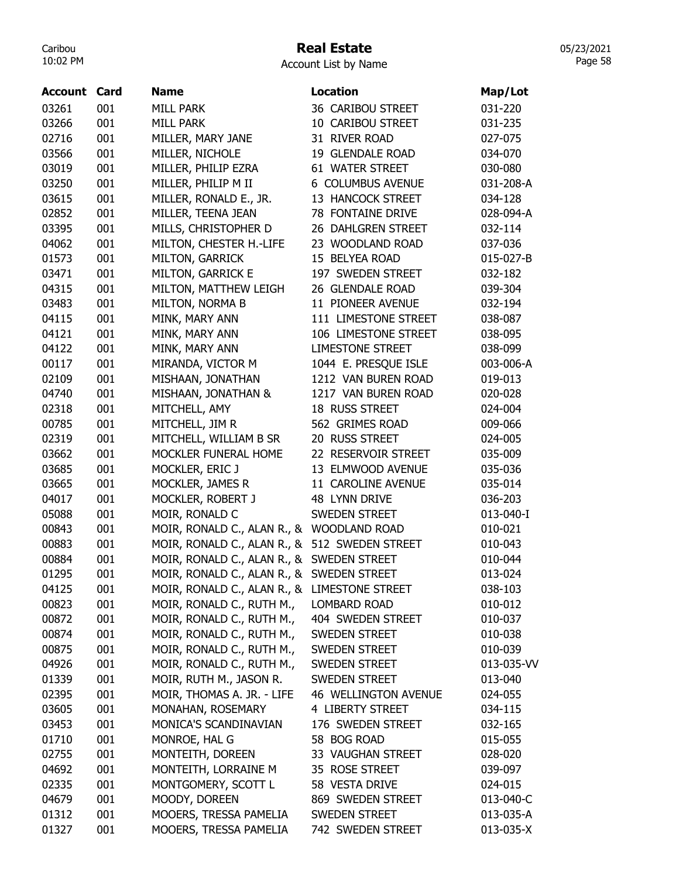## Real Estate

Account List by Name

| 03261<br>001<br><b>MILL PARK</b><br>36 CARIBOU STREET<br>031-220<br>03266<br>001<br><b>MILL PARK</b><br>10 CARIBOU STREET<br>031-235<br>02716<br>001<br>MILLER, MARY JANE<br>31 RIVER ROAD<br>027-075<br>03566<br>001<br>MILLER, NICHOLE<br>19 GLENDALE ROAD<br>034-070<br>03019<br>001<br>MILLER, PHILIP EZRA<br>61 WATER STREET<br>030-080<br>001<br>03250<br>MILLER, PHILIP M II<br>6 COLUMBUS AVENUE<br>031-208-A<br>03615<br>001<br>MILLER, RONALD E., JR.<br>13 HANCOCK STREET<br>034-128<br>02852<br>001<br>MILLER, TEENA JEAN<br>78 FONTAINE DRIVE<br>028-094-A<br>03395<br>001<br>MILLS, CHRISTOPHER D<br>26 DAHLGREN STREET<br>032-114<br>04062<br>001<br>MILTON, CHESTER H.-LIFE<br>23 WOODLAND ROAD<br>037-036<br>01573<br>001<br>MILTON, GARRICK<br>15 BELYEA ROAD<br>015-027-B<br>03471<br>001<br>MILTON, GARRICK E<br>197 SWEDEN STREET<br>032-182<br>04315<br>001<br>26 GLENDALE ROAD<br>MILTON, MATTHEW LEIGH<br>039-304<br>001<br>03483<br>MILTON, NORMA B<br>11 PIONEER AVENUE<br>032-194<br>04115<br>001<br>MINK, MARY ANN<br>111 LIMESTONE STREET<br>038-087<br>04121<br>001<br>MINK, MARY ANN<br>106 LIMESTONE STREET<br>038-095<br>04122<br>001<br>MINK, MARY ANN<br><b>LIMESTONE STREET</b><br>038-099<br>00117<br>001<br>MIRANDA, VICTOR M<br>1044 E. PRESQUE ISLE<br>003-006-A<br>02109<br>001<br>MISHAAN, JONATHAN<br>1212 VAN BUREN ROAD<br>019-013<br>04740<br>001<br>MISHAAN, JONATHAN &<br>1217 VAN BUREN ROAD<br>020-028<br>02318<br>001<br>MITCHELL, AMY<br>18 RUSS STREET<br>024-004<br>00785<br>001<br>MITCHELL, JIM R<br>562 GRIMES ROAD<br>009-066<br>02319<br>001<br>MITCHELL, WILLIAM B SR<br>20 RUSS STREET<br>024-005<br>03662<br>22 RESERVOIR STREET<br>001<br>MOCKLER FUNERAL HOME<br>035-009<br>03685<br>001<br>MOCKLER, ERIC J<br>13 ELMWOOD AVENUE<br>035-036<br>03665<br>001<br>MOCKLER, JAMES R<br>11 CAROLINE AVENUE<br>035-014<br>04017<br>001<br>MOCKLER, ROBERT J<br>48 LYNN DRIVE<br>036-203<br>05088<br>001<br>MOIR, RONALD C<br>SWEDEN STREET<br>013-040-I<br>00843<br>001<br>MOIR, RONALD C., ALAN R., & WOODLAND ROAD<br>010-021<br>00883<br>MOIR, RONALD C., ALAN R., & 512 SWEDEN STREET<br>001<br>010-043<br>00884<br>001<br>MOIR, RONALD C., ALAN R., & SWEDEN STREET<br>010-044<br>01295<br>001<br>MOIR, RONALD C., ALAN R., & SWEDEN STREET<br>013-024<br>MOIR, RONALD C., ALAN R., & LIMESTONE STREET<br>001<br>04125<br>038-103<br>MOIR, RONALD C., RUTH M.,<br>00823<br>001<br><b>LOMBARD ROAD</b><br>010-012<br>00872<br>MOIR, RONALD C., RUTH M.,<br>001<br>404 SWEDEN STREET<br>010-037<br>00874<br>001<br>MOIR, RONALD C., RUTH M.,<br>SWEDEN STREET<br>010-038<br>00875<br>001<br>MOIR, RONALD C., RUTH M.,<br>SWEDEN STREET<br>010-039<br>MOIR, RONALD C., RUTH M.,<br>04926<br>001<br>SWEDEN STREET<br>013-035-VV | <b>Account Card</b> |     | <b>Name</b>             | <b>Location</b>      | Map/Lot |
|--------------------------------------------------------------------------------------------------------------------------------------------------------------------------------------------------------------------------------------------------------------------------------------------------------------------------------------------------------------------------------------------------------------------------------------------------------------------------------------------------------------------------------------------------------------------------------------------------------------------------------------------------------------------------------------------------------------------------------------------------------------------------------------------------------------------------------------------------------------------------------------------------------------------------------------------------------------------------------------------------------------------------------------------------------------------------------------------------------------------------------------------------------------------------------------------------------------------------------------------------------------------------------------------------------------------------------------------------------------------------------------------------------------------------------------------------------------------------------------------------------------------------------------------------------------------------------------------------------------------------------------------------------------------------------------------------------------------------------------------------------------------------------------------------------------------------------------------------------------------------------------------------------------------------------------------------------------------------------------------------------------------------------------------------------------------------------------------------------------------------------------------------------------------------------------------------------------------------------------------------------------------------------------------------------------------------------------------------------------------------------------------------------------------------------------------------------------------------------------------------------------------------------------------------------------------------------------------------------------------------------------------------------------------------------------------------------------------------------------------------------------------------------------------|---------------------|-----|-------------------------|----------------------|---------|
|                                                                                                                                                                                                                                                                                                                                                                                                                                                                                                                                                                                                                                                                                                                                                                                                                                                                                                                                                                                                                                                                                                                                                                                                                                                                                                                                                                                                                                                                                                                                                                                                                                                                                                                                                                                                                                                                                                                                                                                                                                                                                                                                                                                                                                                                                                                                                                                                                                                                                                                                                                                                                                                                                                                                                                                            |                     |     |                         |                      |         |
|                                                                                                                                                                                                                                                                                                                                                                                                                                                                                                                                                                                                                                                                                                                                                                                                                                                                                                                                                                                                                                                                                                                                                                                                                                                                                                                                                                                                                                                                                                                                                                                                                                                                                                                                                                                                                                                                                                                                                                                                                                                                                                                                                                                                                                                                                                                                                                                                                                                                                                                                                                                                                                                                                                                                                                                            |                     |     |                         |                      |         |
|                                                                                                                                                                                                                                                                                                                                                                                                                                                                                                                                                                                                                                                                                                                                                                                                                                                                                                                                                                                                                                                                                                                                                                                                                                                                                                                                                                                                                                                                                                                                                                                                                                                                                                                                                                                                                                                                                                                                                                                                                                                                                                                                                                                                                                                                                                                                                                                                                                                                                                                                                                                                                                                                                                                                                                                            |                     |     |                         |                      |         |
|                                                                                                                                                                                                                                                                                                                                                                                                                                                                                                                                                                                                                                                                                                                                                                                                                                                                                                                                                                                                                                                                                                                                                                                                                                                                                                                                                                                                                                                                                                                                                                                                                                                                                                                                                                                                                                                                                                                                                                                                                                                                                                                                                                                                                                                                                                                                                                                                                                                                                                                                                                                                                                                                                                                                                                                            |                     |     |                         |                      |         |
|                                                                                                                                                                                                                                                                                                                                                                                                                                                                                                                                                                                                                                                                                                                                                                                                                                                                                                                                                                                                                                                                                                                                                                                                                                                                                                                                                                                                                                                                                                                                                                                                                                                                                                                                                                                                                                                                                                                                                                                                                                                                                                                                                                                                                                                                                                                                                                                                                                                                                                                                                                                                                                                                                                                                                                                            |                     |     |                         |                      |         |
|                                                                                                                                                                                                                                                                                                                                                                                                                                                                                                                                                                                                                                                                                                                                                                                                                                                                                                                                                                                                                                                                                                                                                                                                                                                                                                                                                                                                                                                                                                                                                                                                                                                                                                                                                                                                                                                                                                                                                                                                                                                                                                                                                                                                                                                                                                                                                                                                                                                                                                                                                                                                                                                                                                                                                                                            |                     |     |                         |                      |         |
|                                                                                                                                                                                                                                                                                                                                                                                                                                                                                                                                                                                                                                                                                                                                                                                                                                                                                                                                                                                                                                                                                                                                                                                                                                                                                                                                                                                                                                                                                                                                                                                                                                                                                                                                                                                                                                                                                                                                                                                                                                                                                                                                                                                                                                                                                                                                                                                                                                                                                                                                                                                                                                                                                                                                                                                            |                     |     |                         |                      |         |
|                                                                                                                                                                                                                                                                                                                                                                                                                                                                                                                                                                                                                                                                                                                                                                                                                                                                                                                                                                                                                                                                                                                                                                                                                                                                                                                                                                                                                                                                                                                                                                                                                                                                                                                                                                                                                                                                                                                                                                                                                                                                                                                                                                                                                                                                                                                                                                                                                                                                                                                                                                                                                                                                                                                                                                                            |                     |     |                         |                      |         |
|                                                                                                                                                                                                                                                                                                                                                                                                                                                                                                                                                                                                                                                                                                                                                                                                                                                                                                                                                                                                                                                                                                                                                                                                                                                                                                                                                                                                                                                                                                                                                                                                                                                                                                                                                                                                                                                                                                                                                                                                                                                                                                                                                                                                                                                                                                                                                                                                                                                                                                                                                                                                                                                                                                                                                                                            |                     |     |                         |                      |         |
|                                                                                                                                                                                                                                                                                                                                                                                                                                                                                                                                                                                                                                                                                                                                                                                                                                                                                                                                                                                                                                                                                                                                                                                                                                                                                                                                                                                                                                                                                                                                                                                                                                                                                                                                                                                                                                                                                                                                                                                                                                                                                                                                                                                                                                                                                                                                                                                                                                                                                                                                                                                                                                                                                                                                                                                            |                     |     |                         |                      |         |
|                                                                                                                                                                                                                                                                                                                                                                                                                                                                                                                                                                                                                                                                                                                                                                                                                                                                                                                                                                                                                                                                                                                                                                                                                                                                                                                                                                                                                                                                                                                                                                                                                                                                                                                                                                                                                                                                                                                                                                                                                                                                                                                                                                                                                                                                                                                                                                                                                                                                                                                                                                                                                                                                                                                                                                                            |                     |     |                         |                      |         |
|                                                                                                                                                                                                                                                                                                                                                                                                                                                                                                                                                                                                                                                                                                                                                                                                                                                                                                                                                                                                                                                                                                                                                                                                                                                                                                                                                                                                                                                                                                                                                                                                                                                                                                                                                                                                                                                                                                                                                                                                                                                                                                                                                                                                                                                                                                                                                                                                                                                                                                                                                                                                                                                                                                                                                                                            |                     |     |                         |                      |         |
|                                                                                                                                                                                                                                                                                                                                                                                                                                                                                                                                                                                                                                                                                                                                                                                                                                                                                                                                                                                                                                                                                                                                                                                                                                                                                                                                                                                                                                                                                                                                                                                                                                                                                                                                                                                                                                                                                                                                                                                                                                                                                                                                                                                                                                                                                                                                                                                                                                                                                                                                                                                                                                                                                                                                                                                            |                     |     |                         |                      |         |
|                                                                                                                                                                                                                                                                                                                                                                                                                                                                                                                                                                                                                                                                                                                                                                                                                                                                                                                                                                                                                                                                                                                                                                                                                                                                                                                                                                                                                                                                                                                                                                                                                                                                                                                                                                                                                                                                                                                                                                                                                                                                                                                                                                                                                                                                                                                                                                                                                                                                                                                                                                                                                                                                                                                                                                                            |                     |     |                         |                      |         |
|                                                                                                                                                                                                                                                                                                                                                                                                                                                                                                                                                                                                                                                                                                                                                                                                                                                                                                                                                                                                                                                                                                                                                                                                                                                                                                                                                                                                                                                                                                                                                                                                                                                                                                                                                                                                                                                                                                                                                                                                                                                                                                                                                                                                                                                                                                                                                                                                                                                                                                                                                                                                                                                                                                                                                                                            |                     |     |                         |                      |         |
|                                                                                                                                                                                                                                                                                                                                                                                                                                                                                                                                                                                                                                                                                                                                                                                                                                                                                                                                                                                                                                                                                                                                                                                                                                                                                                                                                                                                                                                                                                                                                                                                                                                                                                                                                                                                                                                                                                                                                                                                                                                                                                                                                                                                                                                                                                                                                                                                                                                                                                                                                                                                                                                                                                                                                                                            |                     |     |                         |                      |         |
|                                                                                                                                                                                                                                                                                                                                                                                                                                                                                                                                                                                                                                                                                                                                                                                                                                                                                                                                                                                                                                                                                                                                                                                                                                                                                                                                                                                                                                                                                                                                                                                                                                                                                                                                                                                                                                                                                                                                                                                                                                                                                                                                                                                                                                                                                                                                                                                                                                                                                                                                                                                                                                                                                                                                                                                            |                     |     |                         |                      |         |
|                                                                                                                                                                                                                                                                                                                                                                                                                                                                                                                                                                                                                                                                                                                                                                                                                                                                                                                                                                                                                                                                                                                                                                                                                                                                                                                                                                                                                                                                                                                                                                                                                                                                                                                                                                                                                                                                                                                                                                                                                                                                                                                                                                                                                                                                                                                                                                                                                                                                                                                                                                                                                                                                                                                                                                                            |                     |     |                         |                      |         |
|                                                                                                                                                                                                                                                                                                                                                                                                                                                                                                                                                                                                                                                                                                                                                                                                                                                                                                                                                                                                                                                                                                                                                                                                                                                                                                                                                                                                                                                                                                                                                                                                                                                                                                                                                                                                                                                                                                                                                                                                                                                                                                                                                                                                                                                                                                                                                                                                                                                                                                                                                                                                                                                                                                                                                                                            |                     |     |                         |                      |         |
|                                                                                                                                                                                                                                                                                                                                                                                                                                                                                                                                                                                                                                                                                                                                                                                                                                                                                                                                                                                                                                                                                                                                                                                                                                                                                                                                                                                                                                                                                                                                                                                                                                                                                                                                                                                                                                                                                                                                                                                                                                                                                                                                                                                                                                                                                                                                                                                                                                                                                                                                                                                                                                                                                                                                                                                            |                     |     |                         |                      |         |
|                                                                                                                                                                                                                                                                                                                                                                                                                                                                                                                                                                                                                                                                                                                                                                                                                                                                                                                                                                                                                                                                                                                                                                                                                                                                                                                                                                                                                                                                                                                                                                                                                                                                                                                                                                                                                                                                                                                                                                                                                                                                                                                                                                                                                                                                                                                                                                                                                                                                                                                                                                                                                                                                                                                                                                                            |                     |     |                         |                      |         |
|                                                                                                                                                                                                                                                                                                                                                                                                                                                                                                                                                                                                                                                                                                                                                                                                                                                                                                                                                                                                                                                                                                                                                                                                                                                                                                                                                                                                                                                                                                                                                                                                                                                                                                                                                                                                                                                                                                                                                                                                                                                                                                                                                                                                                                                                                                                                                                                                                                                                                                                                                                                                                                                                                                                                                                                            |                     |     |                         |                      |         |
|                                                                                                                                                                                                                                                                                                                                                                                                                                                                                                                                                                                                                                                                                                                                                                                                                                                                                                                                                                                                                                                                                                                                                                                                                                                                                                                                                                                                                                                                                                                                                                                                                                                                                                                                                                                                                                                                                                                                                                                                                                                                                                                                                                                                                                                                                                                                                                                                                                                                                                                                                                                                                                                                                                                                                                                            |                     |     |                         |                      |         |
|                                                                                                                                                                                                                                                                                                                                                                                                                                                                                                                                                                                                                                                                                                                                                                                                                                                                                                                                                                                                                                                                                                                                                                                                                                                                                                                                                                                                                                                                                                                                                                                                                                                                                                                                                                                                                                                                                                                                                                                                                                                                                                                                                                                                                                                                                                                                                                                                                                                                                                                                                                                                                                                                                                                                                                                            |                     |     |                         |                      |         |
|                                                                                                                                                                                                                                                                                                                                                                                                                                                                                                                                                                                                                                                                                                                                                                                                                                                                                                                                                                                                                                                                                                                                                                                                                                                                                                                                                                                                                                                                                                                                                                                                                                                                                                                                                                                                                                                                                                                                                                                                                                                                                                                                                                                                                                                                                                                                                                                                                                                                                                                                                                                                                                                                                                                                                                                            |                     |     |                         |                      |         |
|                                                                                                                                                                                                                                                                                                                                                                                                                                                                                                                                                                                                                                                                                                                                                                                                                                                                                                                                                                                                                                                                                                                                                                                                                                                                                                                                                                                                                                                                                                                                                                                                                                                                                                                                                                                                                                                                                                                                                                                                                                                                                                                                                                                                                                                                                                                                                                                                                                                                                                                                                                                                                                                                                                                                                                                            |                     |     |                         |                      |         |
|                                                                                                                                                                                                                                                                                                                                                                                                                                                                                                                                                                                                                                                                                                                                                                                                                                                                                                                                                                                                                                                                                                                                                                                                                                                                                                                                                                                                                                                                                                                                                                                                                                                                                                                                                                                                                                                                                                                                                                                                                                                                                                                                                                                                                                                                                                                                                                                                                                                                                                                                                                                                                                                                                                                                                                                            |                     |     |                         |                      |         |
|                                                                                                                                                                                                                                                                                                                                                                                                                                                                                                                                                                                                                                                                                                                                                                                                                                                                                                                                                                                                                                                                                                                                                                                                                                                                                                                                                                                                                                                                                                                                                                                                                                                                                                                                                                                                                                                                                                                                                                                                                                                                                                                                                                                                                                                                                                                                                                                                                                                                                                                                                                                                                                                                                                                                                                                            |                     |     |                         |                      |         |
|                                                                                                                                                                                                                                                                                                                                                                                                                                                                                                                                                                                                                                                                                                                                                                                                                                                                                                                                                                                                                                                                                                                                                                                                                                                                                                                                                                                                                                                                                                                                                                                                                                                                                                                                                                                                                                                                                                                                                                                                                                                                                                                                                                                                                                                                                                                                                                                                                                                                                                                                                                                                                                                                                                                                                                                            |                     |     |                         |                      |         |
|                                                                                                                                                                                                                                                                                                                                                                                                                                                                                                                                                                                                                                                                                                                                                                                                                                                                                                                                                                                                                                                                                                                                                                                                                                                                                                                                                                                                                                                                                                                                                                                                                                                                                                                                                                                                                                                                                                                                                                                                                                                                                                                                                                                                                                                                                                                                                                                                                                                                                                                                                                                                                                                                                                                                                                                            |                     |     |                         |                      |         |
|                                                                                                                                                                                                                                                                                                                                                                                                                                                                                                                                                                                                                                                                                                                                                                                                                                                                                                                                                                                                                                                                                                                                                                                                                                                                                                                                                                                                                                                                                                                                                                                                                                                                                                                                                                                                                                                                                                                                                                                                                                                                                                                                                                                                                                                                                                                                                                                                                                                                                                                                                                                                                                                                                                                                                                                            |                     |     |                         |                      |         |
|                                                                                                                                                                                                                                                                                                                                                                                                                                                                                                                                                                                                                                                                                                                                                                                                                                                                                                                                                                                                                                                                                                                                                                                                                                                                                                                                                                                                                                                                                                                                                                                                                                                                                                                                                                                                                                                                                                                                                                                                                                                                                                                                                                                                                                                                                                                                                                                                                                                                                                                                                                                                                                                                                                                                                                                            |                     |     |                         |                      |         |
|                                                                                                                                                                                                                                                                                                                                                                                                                                                                                                                                                                                                                                                                                                                                                                                                                                                                                                                                                                                                                                                                                                                                                                                                                                                                                                                                                                                                                                                                                                                                                                                                                                                                                                                                                                                                                                                                                                                                                                                                                                                                                                                                                                                                                                                                                                                                                                                                                                                                                                                                                                                                                                                                                                                                                                                            |                     |     |                         |                      |         |
|                                                                                                                                                                                                                                                                                                                                                                                                                                                                                                                                                                                                                                                                                                                                                                                                                                                                                                                                                                                                                                                                                                                                                                                                                                                                                                                                                                                                                                                                                                                                                                                                                                                                                                                                                                                                                                                                                                                                                                                                                                                                                                                                                                                                                                                                                                                                                                                                                                                                                                                                                                                                                                                                                                                                                                                            |                     |     |                         |                      |         |
|                                                                                                                                                                                                                                                                                                                                                                                                                                                                                                                                                                                                                                                                                                                                                                                                                                                                                                                                                                                                                                                                                                                                                                                                                                                                                                                                                                                                                                                                                                                                                                                                                                                                                                                                                                                                                                                                                                                                                                                                                                                                                                                                                                                                                                                                                                                                                                                                                                                                                                                                                                                                                                                                                                                                                                                            |                     |     |                         |                      |         |
|                                                                                                                                                                                                                                                                                                                                                                                                                                                                                                                                                                                                                                                                                                                                                                                                                                                                                                                                                                                                                                                                                                                                                                                                                                                                                                                                                                                                                                                                                                                                                                                                                                                                                                                                                                                                                                                                                                                                                                                                                                                                                                                                                                                                                                                                                                                                                                                                                                                                                                                                                                                                                                                                                                                                                                                            |                     |     |                         |                      |         |
|                                                                                                                                                                                                                                                                                                                                                                                                                                                                                                                                                                                                                                                                                                                                                                                                                                                                                                                                                                                                                                                                                                                                                                                                                                                                                                                                                                                                                                                                                                                                                                                                                                                                                                                                                                                                                                                                                                                                                                                                                                                                                                                                                                                                                                                                                                                                                                                                                                                                                                                                                                                                                                                                                                                                                                                            |                     |     |                         |                      |         |
|                                                                                                                                                                                                                                                                                                                                                                                                                                                                                                                                                                                                                                                                                                                                                                                                                                                                                                                                                                                                                                                                                                                                                                                                                                                                                                                                                                                                                                                                                                                                                                                                                                                                                                                                                                                                                                                                                                                                                                                                                                                                                                                                                                                                                                                                                                                                                                                                                                                                                                                                                                                                                                                                                                                                                                                            |                     |     |                         |                      |         |
|                                                                                                                                                                                                                                                                                                                                                                                                                                                                                                                                                                                                                                                                                                                                                                                                                                                                                                                                                                                                                                                                                                                                                                                                                                                                                                                                                                                                                                                                                                                                                                                                                                                                                                                                                                                                                                                                                                                                                                                                                                                                                                                                                                                                                                                                                                                                                                                                                                                                                                                                                                                                                                                                                                                                                                                            | 01339               | 001 | MOIR, RUTH M., JASON R. | <b>SWEDEN STREET</b> | 013-040 |
| 001<br>MOIR, THOMAS A. JR. - LIFE<br>02395<br><b>46 WELLINGTON AVENUE</b><br>024-055                                                                                                                                                                                                                                                                                                                                                                                                                                                                                                                                                                                                                                                                                                                                                                                                                                                                                                                                                                                                                                                                                                                                                                                                                                                                                                                                                                                                                                                                                                                                                                                                                                                                                                                                                                                                                                                                                                                                                                                                                                                                                                                                                                                                                                                                                                                                                                                                                                                                                                                                                                                                                                                                                                       |                     |     |                         |                      |         |
| 03605<br>001<br>MONAHAN, ROSEMARY<br>4 LIBERTY STREET<br>034-115                                                                                                                                                                                                                                                                                                                                                                                                                                                                                                                                                                                                                                                                                                                                                                                                                                                                                                                                                                                                                                                                                                                                                                                                                                                                                                                                                                                                                                                                                                                                                                                                                                                                                                                                                                                                                                                                                                                                                                                                                                                                                                                                                                                                                                                                                                                                                                                                                                                                                                                                                                                                                                                                                                                           |                     |     |                         |                      |         |
| 03453<br>001<br>MONICA'S SCANDINAVIAN<br>176 SWEDEN STREET<br>032-165                                                                                                                                                                                                                                                                                                                                                                                                                                                                                                                                                                                                                                                                                                                                                                                                                                                                                                                                                                                                                                                                                                                                                                                                                                                                                                                                                                                                                                                                                                                                                                                                                                                                                                                                                                                                                                                                                                                                                                                                                                                                                                                                                                                                                                                                                                                                                                                                                                                                                                                                                                                                                                                                                                                      |                     |     |                         |                      |         |
| 58 BOG ROAD<br>01710<br>001<br>MONROE, HAL G<br>015-055                                                                                                                                                                                                                                                                                                                                                                                                                                                                                                                                                                                                                                                                                                                                                                                                                                                                                                                                                                                                                                                                                                                                                                                                                                                                                                                                                                                                                                                                                                                                                                                                                                                                                                                                                                                                                                                                                                                                                                                                                                                                                                                                                                                                                                                                                                                                                                                                                                                                                                                                                                                                                                                                                                                                    |                     |     |                         |                      |         |
| 33 VAUGHAN STREET<br>02755<br>001<br>MONTEITH, DOREEN<br>028-020                                                                                                                                                                                                                                                                                                                                                                                                                                                                                                                                                                                                                                                                                                                                                                                                                                                                                                                                                                                                                                                                                                                                                                                                                                                                                                                                                                                                                                                                                                                                                                                                                                                                                                                                                                                                                                                                                                                                                                                                                                                                                                                                                                                                                                                                                                                                                                                                                                                                                                                                                                                                                                                                                                                           |                     |     |                         |                      |         |
| 04692<br>001<br>MONTEITH, LORRAINE M<br>35 ROSE STREET<br>039-097                                                                                                                                                                                                                                                                                                                                                                                                                                                                                                                                                                                                                                                                                                                                                                                                                                                                                                                                                                                                                                                                                                                                                                                                                                                                                                                                                                                                                                                                                                                                                                                                                                                                                                                                                                                                                                                                                                                                                                                                                                                                                                                                                                                                                                                                                                                                                                                                                                                                                                                                                                                                                                                                                                                          |                     |     |                         |                      |         |
| MONTGOMERY, SCOTT L<br>58 VESTA DRIVE<br>02335<br>001<br>024-015                                                                                                                                                                                                                                                                                                                                                                                                                                                                                                                                                                                                                                                                                                                                                                                                                                                                                                                                                                                                                                                                                                                                                                                                                                                                                                                                                                                                                                                                                                                                                                                                                                                                                                                                                                                                                                                                                                                                                                                                                                                                                                                                                                                                                                                                                                                                                                                                                                                                                                                                                                                                                                                                                                                           |                     |     |                         |                      |         |
| MOODY, DOREEN<br>04679<br>001<br>869 SWEDEN STREET<br>013-040-C                                                                                                                                                                                                                                                                                                                                                                                                                                                                                                                                                                                                                                                                                                                                                                                                                                                                                                                                                                                                                                                                                                                                                                                                                                                                                                                                                                                                                                                                                                                                                                                                                                                                                                                                                                                                                                                                                                                                                                                                                                                                                                                                                                                                                                                                                                                                                                                                                                                                                                                                                                                                                                                                                                                            |                     |     |                         |                      |         |
| 01312<br>001<br>SWEDEN STREET<br>MOOERS, TRESSA PAMELIA<br>013-035-A                                                                                                                                                                                                                                                                                                                                                                                                                                                                                                                                                                                                                                                                                                                                                                                                                                                                                                                                                                                                                                                                                                                                                                                                                                                                                                                                                                                                                                                                                                                                                                                                                                                                                                                                                                                                                                                                                                                                                                                                                                                                                                                                                                                                                                                                                                                                                                                                                                                                                                                                                                                                                                                                                                                       |                     |     |                         |                      |         |
| 01327<br>001<br>MOOERS, TRESSA PAMELIA<br>013-035-X<br>742 SWEDEN STREET                                                                                                                                                                                                                                                                                                                                                                                                                                                                                                                                                                                                                                                                                                                                                                                                                                                                                                                                                                                                                                                                                                                                                                                                                                                                                                                                                                                                                                                                                                                                                                                                                                                                                                                                                                                                                                                                                                                                                                                                                                                                                                                                                                                                                                                                                                                                                                                                                                                                                                                                                                                                                                                                                                                   |                     |     |                         |                      |         |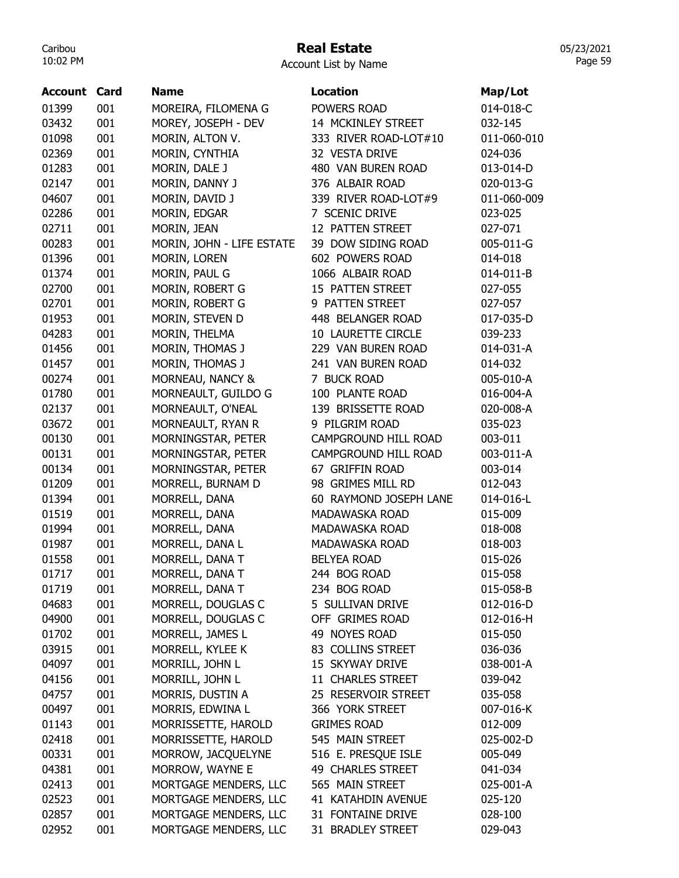## Real Estate

05/23/2021 Page 59

Account List by Name

| Account | Card | <b>Name</b>               | <b>Location</b>        | Map/Lot     |
|---------|------|---------------------------|------------------------|-------------|
| 01399   | 001  | MOREIRA, FILOMENA G       | POWERS ROAD            | 014-018-C   |
| 03432   | 001  | MOREY, JOSEPH - DEV       | 14 MCKINLEY STREET     | 032-145     |
| 01098   | 001  | MORIN, ALTON V.           | 333 RIVER ROAD-LOT#10  | 011-060-010 |
| 02369   | 001  | MORIN, CYNTHIA            | 32 VESTA DRIVE         | 024-036     |
| 01283   | 001  | MORIN, DALE J             | 480 VAN BUREN ROAD     | 013-014-D   |
| 02147   | 001  | MORIN, DANNY J            | 376 ALBAIR ROAD        | 020-013-G   |
| 04607   | 001  | MORIN, DAVID J            | 339 RIVER ROAD-LOT#9   | 011-060-009 |
| 02286   | 001  | MORIN, EDGAR              | 7 SCENIC DRIVE         | 023-025     |
| 02711   | 001  | MORIN, JEAN               | 12 PATTEN STREET       | 027-071     |
| 00283   | 001  | MORIN, JOHN - LIFE ESTATE | 39 DOW SIDING ROAD     | 005-011-G   |
| 01396   | 001  | MORIN, LOREN              | 602 POWERS ROAD        | 014-018     |
| 01374   | 001  | MORIN, PAUL G             | 1066 ALBAIR ROAD       | 014-011-B   |
| 02700   | 001  | MORIN, ROBERT G           | 15 PATTEN STREET       | 027-055     |
| 02701   | 001  | MORIN, ROBERT G           | 9 PATTEN STREET        | 027-057     |
| 01953   | 001  | MORIN, STEVEN D           | 448 BELANGER ROAD      | 017-035-D   |
| 04283   | 001  | MORIN, THELMA             | 10 LAURETTE CIRCLE     | 039-233     |
| 01456   | 001  | MORIN, THOMAS J           | 229 VAN BUREN ROAD     | 014-031-A   |
| 01457   | 001  | MORIN, THOMAS J           | 241 VAN BUREN ROAD     | 014-032     |
| 00274   | 001  | MORNEAU, NANCY &          | 7 BUCK ROAD            | 005-010-A   |
| 01780   | 001  | MORNEAULT, GUILDO G       | 100 PLANTE ROAD        | 016-004-A   |
| 02137   | 001  | MORNEAULT, O'NEAL         | 139 BRISSETTE ROAD     | 020-008-A   |
| 03672   | 001  | MORNEAULT, RYAN R         | 9 PILGRIM ROAD         | 035-023     |
| 00130   | 001  | MORNINGSTAR, PETER        | CAMPGROUND HILL ROAD   | 003-011     |
| 00131   | 001  | MORNINGSTAR, PETER        | CAMPGROUND HILL ROAD   | 003-011-A   |
| 00134   | 001  | MORNINGSTAR, PETER        | 67 GRIFFIN ROAD        | 003-014     |
| 01209   | 001  | MORRELL, BURNAM D         | 98 GRIMES MILL RD      | 012-043     |
| 01394   | 001  | MORRELL, DANA             | 60 RAYMOND JOSEPH LANE | 014-016-L   |
| 01519   | 001  | MORRELL, DANA             | MADAWASKA ROAD         | 015-009     |
| 01994   | 001  | MORRELL, DANA             | MADAWASKA ROAD         | 018-008     |
| 01987   | 001  | MORRELL, DANA L           | MADAWASKA ROAD         | 018-003     |
| 01558   | 001  | MORRELL, DANA T           | <b>BELYEA ROAD</b>     | 015-026     |
| 01717   | 001  | MORRELL, DANA T           | 244 BOG ROAD           | 015-058     |
| 01719   | 001  | MORRELL, DANA T           | 234 BOG ROAD           | 015-058-B   |
| 04683   | 001  | MORRELL, DOUGLAS C        | 5 SULLIVAN DRIVE       | 012-016-D   |
| 04900   | 001  | MORRELL, DOUGLAS C        | OFF GRIMES ROAD        | 012-016-H   |
| 01702   | 001  | MORRELL, JAMES L          | 49 NOYES ROAD          | 015-050     |
| 03915   | 001  | MORRELL, KYLEE K          | 83 COLLINS STREET      | 036-036     |
| 04097   | 001  | MORRILL, JOHN L           | 15 SKYWAY DRIVE        | 038-001-A   |
| 04156   | 001  | MORRILL, JOHN L           | 11 CHARLES STREET      | 039-042     |
| 04757   | 001  | MORRIS, DUSTIN A          | 25 RESERVOIR STREET    | 035-058     |
| 00497   | 001  | MORRIS, EDWINA L          | 366 YORK STREET        | 007-016-K   |
| 01143   | 001  |                           | <b>GRIMES ROAD</b>     | 012-009     |
|         | 001  | MORRISSETTE, HAROLD       |                        |             |
| 02418   |      | MORRISSETTE, HAROLD       | 545 MAIN STREET        | 025-002-D   |
| 00331   | 001  | MORROW, JACQUELYNE        | 516 E. PRESQUE ISLE    | 005-049     |
| 04381   | 001  | MORROW, WAYNE E           | 49 CHARLES STREET      | 041-034     |
| 02413   | 001  | MORTGAGE MENDERS, LLC     | 565 MAIN STREET        | 025-001-A   |
| 02523   | 001  | MORTGAGE MENDERS, LLC     | 41 KATAHDIN AVENUE     | 025-120     |
| 02857   | 001  | MORTGAGE MENDERS, LLC     | 31 FONTAINE DRIVE      | 028-100     |
| 02952   | 001  | MORTGAGE MENDERS, LLC     | 31 BRADLEY STREET      | 029-043     |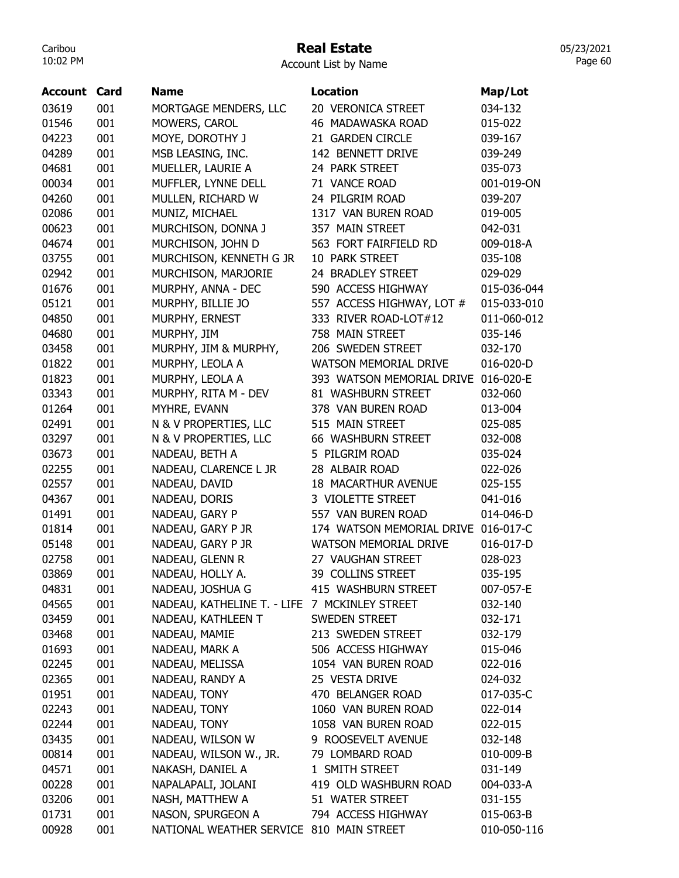## Real Estate

Account List by Name

| <b>Account Card</b> |     | <b>Name</b>                                   | <b>Location</b>              | Map/Lot     |
|---------------------|-----|-----------------------------------------------|------------------------------|-------------|
| 03619               | 001 | MORTGAGE MENDERS, LLC                         | 20 VERONICA STREET           | 034-132     |
| 01546               | 001 | MOWERS, CAROL                                 | 46 MADAWASKA ROAD            | 015-022     |
| 04223               | 001 | MOYE, DOROTHY J                               | 21 GARDEN CIRCLE             | 039-167     |
| 04289               | 001 | MSB LEASING, INC.                             | 142 BENNETT DRIVE            | 039-249     |
| 04681               | 001 | MUELLER, LAURIE A                             | 24 PARK STREET               | 035-073     |
| 00034               | 001 | MUFFLER, LYNNE DELL                           | 71 VANCE ROAD                | 001-019-ON  |
| 04260               | 001 | MULLEN, RICHARD W                             | 24 PILGRIM ROAD              | 039-207     |
| 02086               | 001 | MUNIZ, MICHAEL                                | 1317 VAN BUREN ROAD          | 019-005     |
| 00623               | 001 | MURCHISON, DONNA J                            | 357 MAIN STREET              | 042-031     |
| 04674               | 001 | MURCHISON, JOHN D                             | 563 FORT FAIRFIELD RD        | 009-018-A   |
| 03755               | 001 | MURCHISON, KENNETH G JR                       | 10 PARK STREET               | 035-108     |
| 02942               | 001 | MURCHISON, MARJORIE                           | 24 BRADLEY STREET            | 029-029     |
| 01676               | 001 | MURPHY, ANNA - DEC                            | 590 ACCESS HIGHWAY           | 015-036-044 |
| 05121               | 001 | MURPHY, BILLIE JO                             | 557 ACCESS HIGHWAY, LOT #    | 015-033-010 |
| 04850               | 001 | MURPHY, ERNEST                                | 333 RIVER ROAD-LOT#12        | 011-060-012 |
| 04680               | 001 | MURPHY, JIM                                   | 758 MAIN STREET              | 035-146     |
| 03458               | 001 | MURPHY, JIM & MURPHY,                         | 206 SWEDEN STREET            | 032-170     |
| 01822               | 001 | MURPHY, LEOLA A                               | <b>WATSON MEMORIAL DRIVE</b> | 016-020-D   |
| 01823               | 001 | MURPHY, LEOLA A                               | 393 WATSON MEMORIAL DRIVE    | 016-020-E   |
| 03343               | 001 | MURPHY, RITA M - DEV                          | 81 WASHBURN STREET           | 032-060     |
| 01264               | 001 | MYHRE, EVANN                                  | 378 VAN BUREN ROAD           | 013-004     |
| 02491               | 001 | N & V PROPERTIES, LLC                         | 515 MAIN STREET              | 025-085     |
| 03297               | 001 | N & V PROPERTIES, LLC                         | 66 WASHBURN STREET           | 032-008     |
| 03673               | 001 | NADEAU, BETH A                                | 5 PILGRIM ROAD               | 035-024     |
| 02255               | 001 | NADEAU, CLARENCE L JR                         | 28 ALBAIR ROAD               | 022-026     |
| 02557               | 001 | NADEAU, DAVID                                 | <b>18 MACARTHUR AVENUE</b>   | 025-155     |
| 04367               | 001 | NADEAU, DORIS                                 | 3 VIOLETTE STREET            | 041-016     |
| 01491               | 001 | NADEAU, GARY P                                | 557 VAN BUREN ROAD           | 014-046-D   |
| 01814               | 001 | NADEAU, GARY P JR                             | 174 WATSON MEMORIAL DRIVE    | 016-017-C   |
| 05148               | 001 | NADEAU, GARY P JR                             | <b>WATSON MEMORIAL DRIVE</b> | 016-017-D   |
| 02758               | 001 | NADEAU, GLENN R                               | 27 VAUGHAN STREET            | 028-023     |
| 03869               | 001 | NADEAU, HOLLY A.                              | 39 COLLINS STREET            | 035-195     |
| 04831               | 001 | NADEAU, JOSHUA G                              | 415 WASHBURN STREET          | 007-057-E   |
| 04565               | 001 | NADEAU, KATHELINE T. - LIFE 7 MCKINLEY STREET |                              | 032-140     |
| 03459               | 001 | NADEAU, KATHLEEN T                            | SWEDEN STREET                | 032-171     |
| 03468               | 001 | NADEAU, MAMIE                                 | 213 SWEDEN STREET            | 032-179     |
| 01693               | 001 | NADEAU, MARK A                                | 506 ACCESS HIGHWAY           | 015-046     |
| 02245               | 001 | NADEAU, MELISSA                               | 1054 VAN BUREN ROAD          | 022-016     |
| 02365               | 001 | NADEAU, RANDY A                               | 25 VESTA DRIVE               | 024-032     |
| 01951               | 001 | NADEAU, TONY                                  | 470 BELANGER ROAD            | 017-035-C   |
| 02243               | 001 | NADEAU, TONY                                  | 1060 VAN BUREN ROAD          | 022-014     |
| 02244               | 001 | NADEAU, TONY                                  | 1058 VAN BUREN ROAD          | 022-015     |
| 03435               | 001 | NADEAU, WILSON W                              | 9 ROOSEVELT AVENUE           | 032-148     |
| 00814               | 001 | NADEAU, WILSON W., JR.                        | 79 LOMBARD ROAD              | 010-009-B   |
| 04571               | 001 | NAKASH, DANIEL A                              | 1 SMITH STREET               | 031-149     |
| 00228               | 001 | NAPALAPALI, JOLANI                            | 419 OLD WASHBURN ROAD        | 004-033-A   |
| 03206               | 001 | NASH, MATTHEW A                               | 51 WATER STREET              | 031-155     |
| 01731               | 001 | NASON, SPURGEON A                             | 794 ACCESS HIGHWAY           | 015-063-B   |
| 00928               | 001 | NATIONAL WEATHER SERVICE 810 MAIN STREET      |                              | 010-050-116 |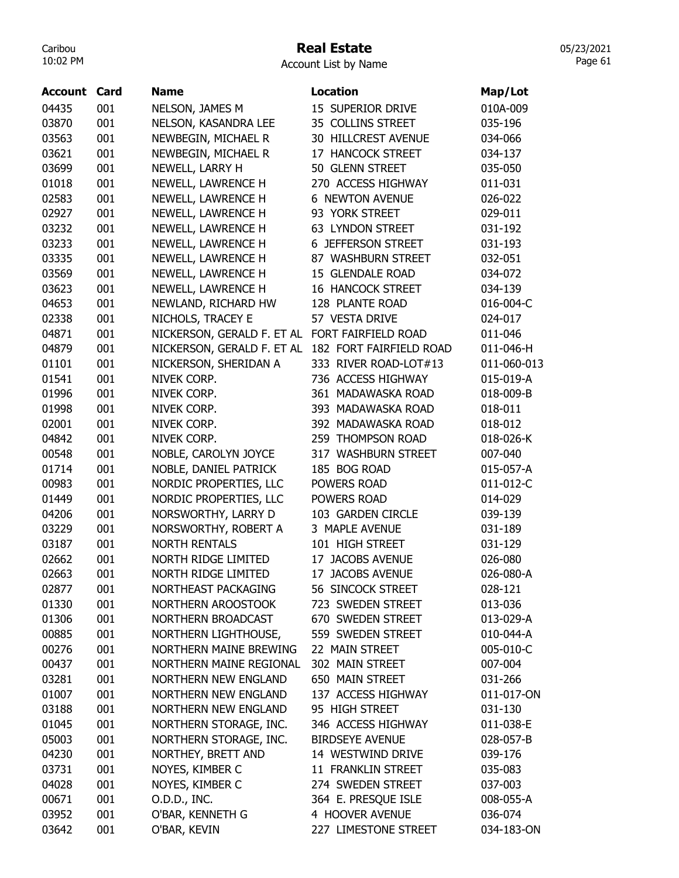#### Real Estate

Account List by Name

| Account | Card | <b>Name</b>                                    | <b>Location</b>          | Map/Lot     |
|---------|------|------------------------------------------------|--------------------------|-------------|
| 04435   | 001  | NELSON, JAMES M                                | 15 SUPERIOR DRIVE        | 010A-009    |
| 03870   | 001  | NELSON, KASANDRA LEE                           | 35 COLLINS STREET        | 035-196     |
| 03563   | 001  | NEWBEGIN, MICHAEL R                            | 30 HILLCREST AVENUE      | 034-066     |
| 03621   | 001  | NEWBEGIN, MICHAEL R                            | 17 HANCOCK STREET        | 034-137     |
| 03699   | 001  | NEWELL, LARRY H                                | 50 GLENN STREET          | 035-050     |
| 01018   | 001  | NEWELL, LAWRENCE H                             | 270 ACCESS HIGHWAY       | 011-031     |
| 02583   | 001  | NEWELL, LAWRENCE H                             | <b>6 NEWTON AVENUE</b>   | 026-022     |
| 02927   | 001  | NEWELL, LAWRENCE H                             | 93 YORK STREET           | 029-011     |
| 03232   | 001  | NEWELL, LAWRENCE H                             | 63 LYNDON STREET         | 031-192     |
| 03233   | 001  | NEWELL, LAWRENCE H                             | 6 JEFFERSON STREET       | 031-193     |
| 03335   | 001  | NEWELL, LAWRENCE H                             | 87 WASHBURN STREET       | 032-051     |
| 03569   | 001  | NEWELL, LAWRENCE H                             | 15 GLENDALE ROAD         | 034-072     |
| 03623   | 001  | NEWELL, LAWRENCE H                             | <b>16 HANCOCK STREET</b> | 034-139     |
| 04653   | 001  | NEWLAND, RICHARD HW                            | 128 PLANTE ROAD          | 016-004-C   |
| 02338   | 001  | NICHOLS, TRACEY E                              | 57 VESTA DRIVE           | 024-017     |
| 04871   | 001  | NICKERSON, GERALD F. ET AL FORT FAIRFIELD ROAD |                          | 011-046     |
| 04879   | 001  | NICKERSON, GERALD F. ET AL                     | 182 FORT FAIRFIELD ROAD  | 011-046-H   |
| 01101   | 001  | NICKERSON, SHERIDAN A                          | 333 RIVER ROAD-LOT#13    | 011-060-013 |
| 01541   | 001  | NIVEK CORP.                                    | 736 ACCESS HIGHWAY       | 015-019-A   |
| 01996   | 001  | NIVEK CORP.                                    | 361 MADAWASKA ROAD       | 018-009-B   |
| 01998   | 001  | NIVEK CORP.                                    | 393 MADAWASKA ROAD       | 018-011     |
| 02001   | 001  | NIVEK CORP.                                    | 392 MADAWASKA ROAD       | 018-012     |
| 04842   | 001  | NIVEK CORP.                                    | 259 THOMPSON ROAD        | 018-026-K   |
| 00548   | 001  | NOBLE, CAROLYN JOYCE                           | 317 WASHBURN STREET      | 007-040     |
| 01714   | 001  | NOBLE, DANIEL PATRICK                          | 185 BOG ROAD             | 015-057-A   |
| 00983   | 001  | NORDIC PROPERTIES, LLC                         | POWERS ROAD              | 011-012-C   |
| 01449   | 001  | NORDIC PROPERTIES, LLC                         | POWERS ROAD              | 014-029     |
| 04206   | 001  | NORSWORTHY, LARRY D                            | 103 GARDEN CIRCLE        | 039-139     |
| 03229   | 001  | NORSWORTHY, ROBERT A                           | 3 MAPLE AVENUE           | 031-189     |
| 03187   | 001  | <b>NORTH RENTALS</b>                           | 101 HIGH STREET          | 031-129     |
| 02662   | 001  | NORTH RIDGE LIMITED                            | 17 JACOBS AVENUE         | 026-080     |
| 02663   | 001  | NORTH RIDGE LIMITED                            | 17 JACOBS AVENUE         | 026-080-A   |
| 02877   | 001  | NORTHEAST PACKAGING                            | 56 SINCOCK STREET        | 028-121     |
| 01330   | 001  | NORTHERN AROOSTOOK                             | 723 SWEDEN STREET        | 013-036     |
| 01306   | 001  | NORTHERN BROADCAST                             | 670 SWEDEN STREET        | 013-029-A   |
| 00885   | 001  | NORTHERN LIGHTHOUSE,                           | 559 SWEDEN STREET        | 010-044-A   |
| 00276   | 001  | NORTHERN MAINE BREWING                         | 22 MAIN STREET           | 005-010-C   |
| 00437   | 001  | NORTHERN MAINE REGIONAL                        | 302 MAIN STREET          | 007-004     |
| 03281   | 001  | NORTHERN NEW ENGLAND                           | 650 MAIN STREET          | 031-266     |
| 01007   | 001  | <b>NORTHERN NEW ENGLAND</b>                    | 137 ACCESS HIGHWAY       | 011-017-ON  |
| 03188   | 001  | <b>NORTHERN NEW ENGLAND</b>                    | 95 HIGH STREET           | 031-130     |
| 01045   | 001  | NORTHERN STORAGE, INC.                         | 346 ACCESS HIGHWAY       | 011-038-E   |
| 05003   | 001  | NORTHERN STORAGE, INC.                         | <b>BIRDSEYE AVENUE</b>   | 028-057-B   |
| 04230   | 001  | NORTHEY, BRETT AND                             | 14 WESTWIND DRIVE        | 039-176     |
| 03731   | 001  | NOYES, KIMBER C                                | 11 FRANKLIN STREET       | 035-083     |
| 04028   | 001  | NOYES, KIMBER C                                | 274 SWEDEN STREET        | 037-003     |
| 00671   | 001  | O.D.D., INC.                                   | 364 E. PRESQUE ISLE      | 008-055-A   |
| 03952   | 001  | O'BAR, KENNETH G                               | 4 HOOVER AVENUE          | 036-074     |
| 03642   | 001  | O'BAR, KEVIN                                   | 227 LIMESTONE STREET     | 034-183-ON  |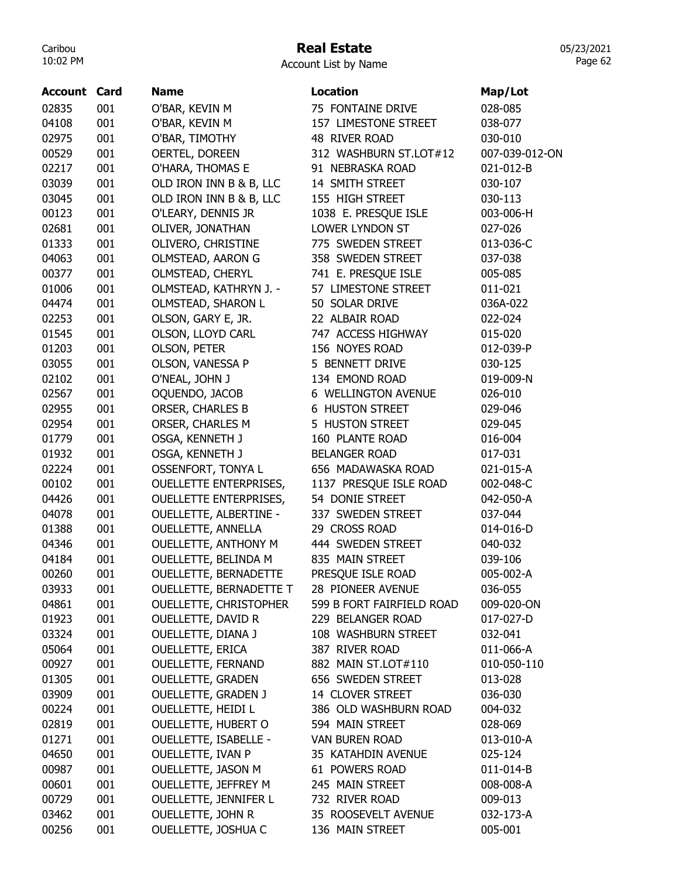# Real Estate

|  | <b>Account List by Name</b> |  |  |  |
|--|-----------------------------|--|--|--|
|--|-----------------------------|--|--|--|

| <b>Account Card</b> |     | <b>Name</b>                   | Location                                  |                |
|---------------------|-----|-------------------------------|-------------------------------------------|----------------|
|                     |     |                               |                                           | Map/Lot        |
| 02835               | 001 | O'BAR, KEVIN M                | 75 FONTAINE DRIVE<br>157 LIMESTONE STREET | 028-085        |
| 04108               | 001 | O'BAR, KEVIN M                |                                           | 038-077        |
| 02975               | 001 | O'BAR, TIMOTHY                | 48 RIVER ROAD                             | 030-010        |
| 00529               | 001 | OERTEL, DOREEN                | 312 WASHBURN ST.LOT#12                    | 007-039-012-ON |
| 02217               | 001 | O'HARA, THOMAS E              | 91 NEBRASKA ROAD                          | 021-012-B      |
| 03039               | 001 | OLD IRON INN B & B, LLC       | 14 SMITH STREET<br>155 HIGH STREET        | 030-107        |
| 03045               | 001 | OLD IRON INN B & B, LLC       |                                           | 030-113        |
| 00123               | 001 | O'LEARY, DENNIS JR            | 1038 E. PRESQUE ISLE                      | 003-006-H      |
| 02681               | 001 | OLIVER, JONATHAN              | LOWER LYNDON ST                           | 027-026        |
| 01333               | 001 | OLIVERO, CHRISTINE            | 775 SWEDEN STREET                         | 013-036-C      |
| 04063               | 001 | OLMSTEAD, AARON G             | 358 SWEDEN STREET                         | 037-038        |
| 00377               | 001 | OLMSTEAD, CHERYL              | 741 E. PRESQUE ISLE                       | 005-085        |
| 01006               | 001 | OLMSTEAD, KATHRYN J. -        | 57 LIMESTONE STREET                       | 011-021        |
| 04474               | 001 | OLMSTEAD, SHARON L            | 50 SOLAR DRIVE                            | 036A-022       |
| 02253               | 001 | OLSON, GARY E, JR.            | 22 ALBAIR ROAD                            | 022-024        |
| 01545               | 001 | OLSON, LLOYD CARL             | 747 ACCESS HIGHWAY                        | 015-020        |
| 01203               | 001 | <b>OLSON, PETER</b>           | 156 NOYES ROAD                            | 012-039-P      |
| 03055               | 001 | OLSON, VANESSA P              | 5 BENNETT DRIVE                           | 030-125        |
| 02102               | 001 | O'NEAL, JOHN J                | 134 EMOND ROAD                            | 019-009-N      |
| 02567               | 001 | OQUENDO, JACOB                | 6 WELLINGTON AVENUE                       | 026-010        |
| 02955               | 001 | ORSER, CHARLES B              | <b>6 HUSTON STREET</b>                    | 029-046        |
| 02954               | 001 | ORSER, CHARLES M              | 5 HUSTON STREET                           | 029-045        |
| 01779               | 001 | OSGA, KENNETH J               | 160 PLANTE ROAD                           | 016-004        |
| 01932               | 001 | OSGA, KENNETH J               | <b>BELANGER ROAD</b>                      | 017-031        |
| 02224               | 001 | <b>OSSENFORT, TONYA L</b>     | 656 MADAWASKA ROAD                        | 021-015-A      |
| 00102               | 001 | <b>OUELLETTE ENTERPRISES,</b> | 1137 PRESQUE ISLE ROAD                    | 002-048-C      |
| 04426               | 001 | <b>OUELLETTE ENTERPRISES,</b> | 54 DONIE STREET                           | 042-050-A      |
| 04078               | 001 | <b>OUELLETTE, ALBERTINE -</b> | 337 SWEDEN STREET                         | 037-044        |
| 01388               | 001 | <b>OUELLETTE, ANNELLA</b>     | 29 CROSS ROAD                             | 014-016-D      |
| 04346               | 001 | <b>OUELLETTE, ANTHONY M</b>   | 444 SWEDEN STREET                         | 040-032        |
| 04184               | 001 | OUELLETTE, BELINDA M          | 835 MAIN STREET                           | 039-106        |
| 00260               | 001 | <b>OUELLETTE, BERNADETTE</b>  | PRESQUE ISLE ROAD                         | 005-002-A      |
| 03933               | 001 | OUELLETTE, BERNADETTE T       | 28 PIONEER AVENUE                         | 036-055        |
| 04861               | 001 | OUELLETTE, CHRISTOPHER        | 599 B FORT FAIRFIELD ROAD                 | 009-020-ON     |
| 01923               | 001 | OUELLETTE, DAVID R            | 229 BELANGER ROAD                         | 017-027-D      |
| 03324               | 001 | OUELLETTE, DIANA J            | 108 WASHBURN STREET                       | 032-041        |
| 05064               | 001 | <b>OUELLETTE, ERICA</b>       | 387 RIVER ROAD                            | 011-066-A      |
| 00927               | 001 | OUELLETTE, FERNAND            | 882 MAIN ST.LOT#110                       | 010-050-110    |
| 01305               | 001 | <b>OUELLETTE, GRADEN</b>      | 656 SWEDEN STREET                         | 013-028        |
| 03909               | 001 | <b>OUELLETTE, GRADEN J</b>    | 14 CLOVER STREET                          | 036-030        |
| 00224               | 001 | <b>OUELLETTE, HEIDI L</b>     | 386 OLD WASHBURN ROAD                     | 004-032        |
| 02819               | 001 | <b>OUELLETTE, HUBERT O</b>    | 594 MAIN STREET                           | 028-069        |
| 01271               | 001 | <b>OUELLETTE, ISABELLE -</b>  | VAN BUREN ROAD                            | 013-010-A      |
| 04650               | 001 | OUELLETTE, IVAN P             | 35 KATAHDIN AVENUE                        | 025-124        |
| 00987               | 001 | OUELLETTE, JASON M            | 61 POWERS ROAD                            | 011-014-B      |
| 00601               | 001 | OUELLETTE, JEFFREY M          | 245 MAIN STREET                           | 008-008-A      |
| 00729               | 001 | <b>OUELLETTE, JENNIFER L</b>  | 732 RIVER ROAD                            | 009-013        |
| 03462               | 001 | <b>OUELLETTE, JOHN R</b>      | 35 ROOSEVELT AVENUE                       | 032-173-A      |
| 00256               | 001 | OUELLETTE, JOSHUA C           | 136 MAIN STREET                           | 005-001        |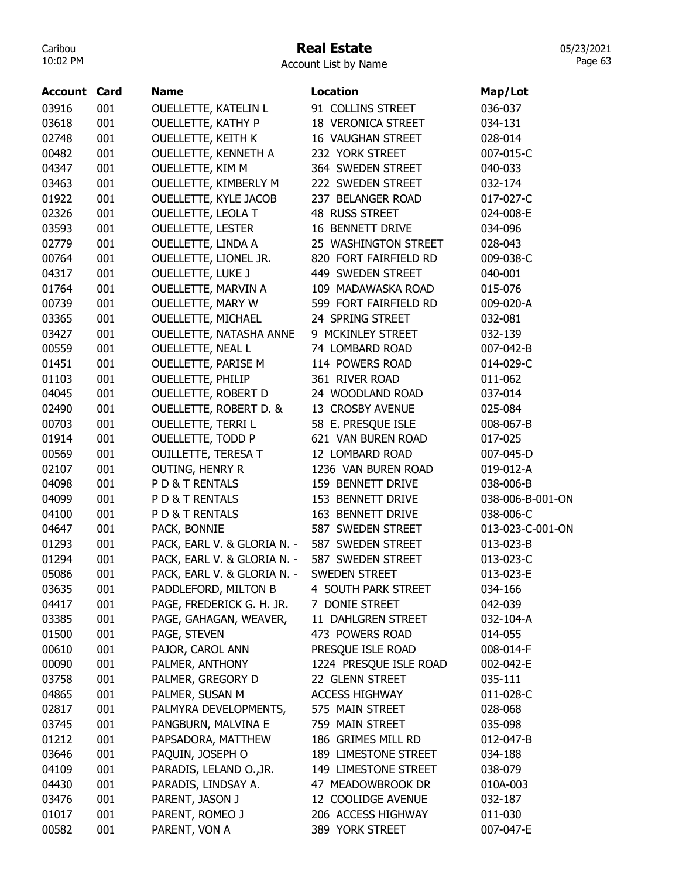## Real Estate

Account List by Name

| <b>Account Card</b> |     | <b>Name</b>                 | <b>Location</b>           | Map/Lot          |
|---------------------|-----|-----------------------------|---------------------------|------------------|
| 03916               | 001 | <b>OUELLETTE, KATELIN L</b> | 91 COLLINS STREET         | 036-037          |
| 03618               | 001 | <b>OUELLETTE, KATHY P</b>   | <b>18 VERONICA STREET</b> | 034-131          |
| 02748               | 001 | <b>OUELLETTE, KEITH K</b>   | <b>16 VAUGHAN STREET</b>  | 028-014          |
| 00482               | 001 | <b>OUELLETTE, KENNETH A</b> | 232 YORK STREET           | 007-015-C        |
| 04347               | 001 | <b>OUELLETTE, KIM M</b>     | 364 SWEDEN STREET         | 040-033          |
| 03463               | 001 | OUELLETTE, KIMBERLY M       | 222 SWEDEN STREET         | 032-174          |
| 01922               | 001 | OUELLETTE, KYLE JACOB       | 237 BELANGER ROAD         | 017-027-C        |
| 02326               | 001 | <b>OUELLETTE, LEOLA T</b>   | 48 RUSS STREET            | 024-008-E        |
| 03593               | 001 | <b>OUELLETTE, LESTER</b>    | 16 BENNETT DRIVE          | 034-096          |
| 02779               | 001 | <b>OUELLETTE, LINDA A</b>   | 25 WASHINGTON STREET      | 028-043          |
| 00764               | 001 | OUELLETTE, LIONEL JR.       | 820 FORT FAIRFIELD RD     | 009-038-C        |
| 04317               | 001 | <b>OUELLETTE, LUKE J</b>    | 449 SWEDEN STREET         | 040-001          |
| 01764               | 001 | OUELLETTE, MARVIN A         | 109 MADAWASKA ROAD        | 015-076          |
| 00739               | 001 | OUELLETTE, MARY W           | 599 FORT FAIRFIELD RD     | 009-020-A        |
| 03365               | 001 | <b>OUELLETTE, MICHAEL</b>   | 24 SPRING STREET          | 032-081          |
| 03427               | 001 | OUELLETTE, NATASHA ANNE     | 9 MCKINLEY STREET         | 032-139          |
| 00559               | 001 | <b>OUELLETTE, NEAL L</b>    | 74 LOMBARD ROAD           | 007-042-B        |
| 01451               | 001 | <b>OUELLETTE, PARISE M</b>  | 114 POWERS ROAD           | 014-029-C        |
| 01103               | 001 | <b>OUELLETTE, PHILIP</b>    | 361 RIVER ROAD            | 011-062          |
| 04045               | 001 | OUELLETTE, ROBERT D         | 24 WOODLAND ROAD          | 037-014          |
| 02490               | 001 | OUELLETTE, ROBERT D. &      | 13 CROSBY AVENUE          | 025-084          |
| 00703               | 001 | <b>OUELLETTE, TERRI L</b>   | 58 E. PRESQUE ISLE        | 008-067-B        |
| 01914               | 001 | OUELLETTE, TODD P           | 621 VAN BUREN ROAD        | 017-025          |
| 00569               | 001 | <b>OUILLETTE, TERESA T</b>  | 12 LOMBARD ROAD           | 007-045-D        |
| 02107               | 001 | <b>OUTING, HENRY R</b>      | 1236 VAN BUREN ROAD       | 019-012-A        |
| 04098               | 001 | PD& T RENTALS               | 159 BENNETT DRIVE         | 038-006-B        |
| 04099               | 001 | PD& T RENTALS               | 153 BENNETT DRIVE         | 038-006-B-001-ON |
| 04100               | 001 | PD& T RENTALS               | 163 BENNETT DRIVE         | 038-006-C        |
| 04647               | 001 | PACK, BONNIE                | 587 SWEDEN STREET         | 013-023-C-001-ON |
| 01293               | 001 | PACK, EARL V. & GLORIA N. - | 587 SWEDEN STREET         | 013-023-B        |
| 01294               | 001 | PACK, EARL V. & GLORIA N. - | 587 SWEDEN STREET         | 013-023-C        |
| 05086               | 001 | PACK, EARL V. & GLORIA N. - | <b>SWEDEN STREET</b>      | 013-023-E        |
| 03635               | 001 | PADDLEFORD, MILTON B        | 4 SOUTH PARK STREET       | 034-166          |
| 04417               | 001 | PAGE, FREDERICK G. H. JR.   | 7 DONIE STREET            | 042-039          |
| 03385               | 001 | PAGE, GAHAGAN, WEAVER,      | 11 DAHLGREN STREET        | 032-104-A        |
| 01500               | 001 | PAGE, STEVEN                | 473 POWERS ROAD           | 014-055          |
| 00610               | 001 | PAJOR, CAROL ANN            | PRESQUE ISLE ROAD         | 008-014-F        |
| 00090               | 001 | PALMER, ANTHONY             | 1224 PRESQUE ISLE ROAD    | 002-042-E        |
| 03758               | 001 | PALMER, GREGORY D           | 22 GLENN STREET           | 035-111          |
| 04865               | 001 | PALMER, SUSAN M             | <b>ACCESS HIGHWAY</b>     | 011-028-C        |
| 02817               | 001 | PALMYRA DEVELOPMENTS,       | 575 MAIN STREET           | 028-068          |
| 03745               | 001 | PANGBURN, MALVINA E         | 759 MAIN STREET           | 035-098          |
| 01212               | 001 | PAPSADORA, MATTHEW          | 186 GRIMES MILL RD        | 012-047-B        |
| 03646               | 001 | PAQUIN, JOSEPH O            | 189 LIMESTONE STREET      | 034-188          |
| 04109               | 001 | PARADIS, LELAND O., JR.     | 149 LIMESTONE STREET      | 038-079          |
| 04430               | 001 | PARADIS, LINDSAY A.         | 47 MEADOWBROOK DR         | 010A-003         |
| 03476               | 001 | PARENT, JASON J             | 12 COOLIDGE AVENUE        | 032-187          |
| 01017               | 001 | PARENT, ROMEO J             | 206 ACCESS HIGHWAY        | 011-030          |
| 00582               | 001 | PARENT, VON A               | 389 YORK STREET           | 007-047-E        |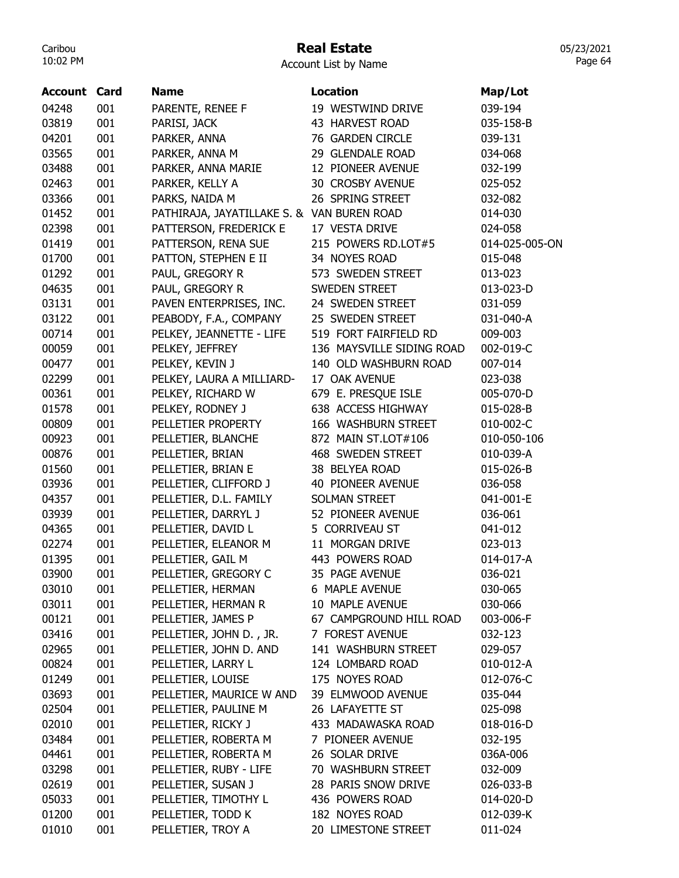# Real Estate

Account List by Name

| <b>Account Card</b> |     | <b>Name</b>                                | <b>Location</b>           | Map/Lot        |
|---------------------|-----|--------------------------------------------|---------------------------|----------------|
| 04248               | 001 | PARENTE, RENEE F                           | 19 WESTWIND DRIVE         | 039-194        |
| 03819               | 001 | PARISI, JACK                               | 43 HARVEST ROAD           | 035-158-B      |
| 04201               | 001 | PARKER, ANNA                               | 76 GARDEN CIRCLE          | 039-131        |
| 03565               | 001 | PARKER, ANNA M                             | 29 GLENDALE ROAD          | 034-068        |
| 03488               | 001 | PARKER, ANNA MARIE                         | 12 PIONEER AVENUE         | 032-199        |
| 02463               | 001 | PARKER, KELLY A                            | 30 CROSBY AVENUE          | 025-052        |
| 03366               | 001 | PARKS, NAIDA M                             | 26 SPRING STREET          | 032-082        |
| 01452               | 001 | PATHIRAJA, JAYATILLAKE S. & VAN BUREN ROAD |                           | 014-030        |
| 02398               | 001 | PATTERSON, FREDERICK E                     | 17 VESTA DRIVE            | 024-058        |
| 01419               | 001 | PATTERSON, RENA SUE                        | 215 POWERS RD.LOT#5       | 014-025-005-ON |
| 01700               | 001 | PATTON, STEPHEN E II                       | 34 NOYES ROAD             | 015-048        |
| 01292               | 001 | PAUL, GREGORY R                            | 573 SWEDEN STREET         | 013-023        |
| 04635               | 001 | PAUL, GREGORY R                            | <b>SWEDEN STREET</b>      | 013-023-D      |
| 03131               | 001 | PAVEN ENTERPRISES, INC.                    | 24 SWEDEN STREET          | 031-059        |
| 03122               | 001 | PEABODY, F.A., COMPANY                     | 25 SWEDEN STREET          | 031-040-A      |
| 00714               | 001 | PELKEY, JEANNETTE - LIFE                   | 519 FORT FAIRFIELD RD     | 009-003        |
| 00059               | 001 | PELKEY, JEFFREY                            | 136 MAYSVILLE SIDING ROAD | 002-019-C      |
| 00477               | 001 | PELKEY, KEVIN J                            | 140 OLD WASHBURN ROAD     | 007-014        |
| 02299               | 001 | PELKEY, LAURA A MILLIARD-                  | 17 OAK AVENUE             | 023-038        |
| 00361               | 001 | PELKEY, RICHARD W                          | 679 E. PRESQUE ISLE       | 005-070-D      |
| 01578               | 001 | PELKEY, RODNEY J                           | 638 ACCESS HIGHWAY        | 015-028-B      |
| 00809               | 001 | PELLETIER PROPERTY                         | 166 WASHBURN STREET       | 010-002-C      |
| 00923               | 001 | PELLETIER, BLANCHE                         | 872 MAIN ST.LOT#106       | 010-050-106    |
| 00876               | 001 | PELLETIER, BRIAN                           | 468 SWEDEN STREET         | 010-039-A      |
| 01560               | 001 | PELLETIER, BRIAN E                         | 38 BELYEA ROAD            | 015-026-B      |
| 03936               | 001 | PELLETIER, CLIFFORD J                      | 40 PIONEER AVENUE         | 036-058        |
| 04357               | 001 | PELLETIER, D.L. FAMILY                     | <b>SOLMAN STREET</b>      | 041-001-E      |
| 03939               | 001 | PELLETIER, DARRYL J                        | 52 PIONEER AVENUE         | 036-061        |
| 04365               | 001 | PELLETIER, DAVID L                         | 5 CORRIVEAU ST            | 041-012        |
| 02274               | 001 | PELLETIER, ELEANOR M                       | 11 MORGAN DRIVE           | 023-013        |
| 01395               | 001 | PELLETIER, GAIL M                          | 443 POWERS ROAD           | 014-017-A      |
| 03900               | 001 | PELLETIER, GREGORY C                       | 35 PAGE AVENUE            | 036-021        |
| 03010               | 001 | PELLETIER, HERMAN                          | 6 MAPLE AVENUE            | 030-065        |
| 03011               | 001 | PELLETIER, HERMAN R                        | 10 MAPLE AVENUE           | 030-066        |
| 00121               | 001 | PELLETIER, JAMES P                         | 67 CAMPGROUND HILL ROAD   | 003-006-F      |
| 03416               | 001 | PELLETIER, JOHN D., JR.                    | 7 FOREST AVENUE           | 032-123        |
| 02965               | 001 | PELLETIER, JOHN D. AND                     | 141 WASHBURN STREET       | 029-057        |
| 00824               | 001 | PELLETIER, LARRY L                         | 124 LOMBARD ROAD          | 010-012-A      |
| 01249               | 001 | PELLETIER, LOUISE                          | 175 NOYES ROAD            | 012-076-C      |
| 03693               | 001 | PELLETIER, MAURICE W AND                   | 39 ELMWOOD AVENUE         | 035-044        |
| 02504               | 001 | PELLETIER, PAULINE M                       | 26 LAFAYETTE ST           | 025-098        |
| 02010               | 001 | PELLETIER, RICKY J                         | 433 MADAWASKA ROAD        | 018-016-D      |
| 03484               | 001 | PELLETIER, ROBERTA M                       | 7 PIONEER AVENUE          | 032-195        |
| 04461               | 001 | PELLETIER, ROBERTA M                       | 26 SOLAR DRIVE            | 036A-006       |
| 03298               | 001 | PELLETIER, RUBY - LIFE                     | 70 WASHBURN STREET        | 032-009        |
| 02619               | 001 | PELLETIER, SUSAN J                         | 28 PARIS SNOW DRIVE       | 026-033-B      |
| 05033               | 001 | PELLETIER, TIMOTHY L                       | 436 POWERS ROAD           | 014-020-D      |
| 01200               | 001 | PELLETIER, TODD K                          | 182 NOYES ROAD            | 012-039-K      |
| 01010               | 001 | PELLETIER, TROY A                          | 20 LIMESTONE STREET       | 011-024        |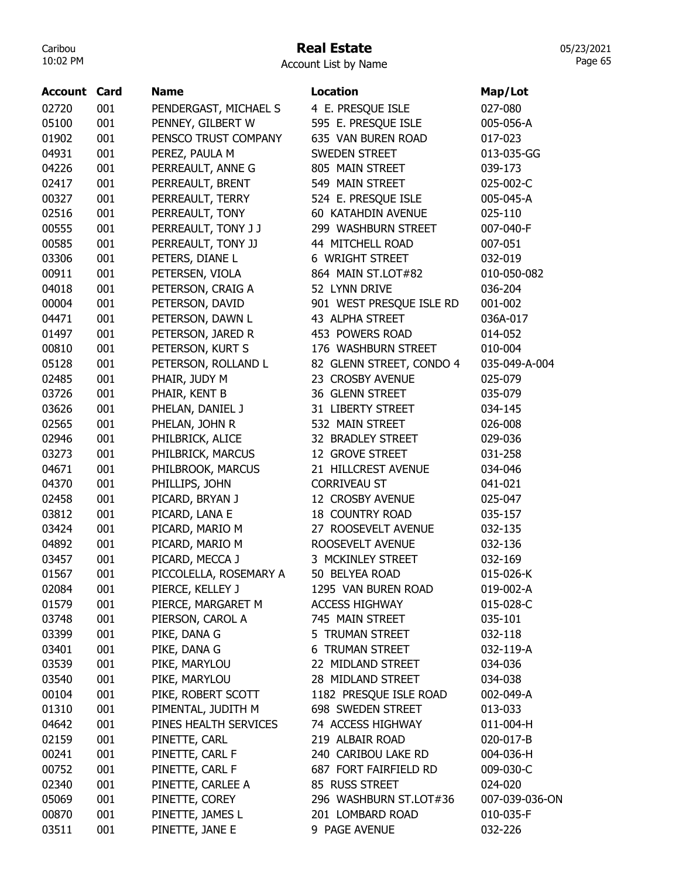## Real Estate

Account List by Name

| <b>Account Card</b> |     | <b>Name</b>            | <b>Location</b>          | Map/Lot        |
|---------------------|-----|------------------------|--------------------------|----------------|
| 02720               | 001 | PENDERGAST, MICHAEL S  | 4 E. PRESQUE ISLE        | 027-080        |
| 05100               | 001 | PENNEY, GILBERT W      | 595 E. PRESQUE ISLE      | 005-056-A      |
| 01902               | 001 | PENSCO TRUST COMPANY   | 635 VAN BUREN ROAD       | 017-023        |
| 04931               | 001 | PEREZ, PAULA M         | SWEDEN STREET            | 013-035-GG     |
| 04226               | 001 | PERREAULT, ANNE G      | 805 MAIN STREET          | 039-173        |
| 02417               | 001 | PERREAULT, BRENT       | 549 MAIN STREET          | 025-002-C      |
| 00327               | 001 | PERREAULT, TERRY       | 524 E. PRESQUE ISLE      | 005-045-A      |
| 02516               | 001 | PERREAULT, TONY        | 60 KATAHDIN AVENUE       | 025-110        |
| 00555               | 001 | PERREAULT, TONY J J    | 299 WASHBURN STREET      | 007-040-F      |
| 00585               | 001 | PERREAULT, TONY JJ     | 44 MITCHELL ROAD         | 007-051        |
| 03306               | 001 | PETERS, DIANE L        | 6 WRIGHT STREET          | 032-019        |
| 00911               | 001 | PETERSEN, VIOLA        | 864 MAIN ST.LOT#82       | 010-050-082    |
| 04018               | 001 | PETERSON, CRAIG A      | 52 LYNN DRIVE            | 036-204        |
| 00004               | 001 | PETERSON, DAVID        | 901 WEST PRESQUE ISLE RD | 001-002        |
| 04471               | 001 | PETERSON, DAWN L       | 43 ALPHA STREET          | 036A-017       |
| 01497               | 001 | PETERSON, JARED R      | 453 POWERS ROAD          | 014-052        |
| 00810               | 001 | PETERSON, KURT S       | 176 WASHBURN STREET      | 010-004        |
| 05128               | 001 | PETERSON, ROLLAND L    | 82 GLENN STREET, CONDO 4 | 035-049-A-004  |
| 02485               | 001 | PHAIR, JUDY M          | 23 CROSBY AVENUE         | 025-079        |
| 03726               | 001 | PHAIR, KENT B          | 36 GLENN STREET          | 035-079        |
| 03626               | 001 | PHELAN, DANIEL J       | 31 LIBERTY STREET        | 034-145        |
| 02565               | 001 | PHELAN, JOHN R         | 532 MAIN STREET          | 026-008        |
| 02946               | 001 | PHILBRICK, ALICE       | 32 BRADLEY STREET        | 029-036        |
| 03273               | 001 | PHILBRICK, MARCUS      | 12 GROVE STREET          | 031-258        |
| 04671               | 001 | PHILBROOK, MARCUS      | 21 HILLCREST AVENUE      | 034-046        |
| 04370               | 001 | PHILLIPS, JOHN         | <b>CORRIVEAU ST</b>      | 041-021        |
| 02458               | 001 | PICARD, BRYAN J        | 12 CROSBY AVENUE         | 025-047        |
| 03812               | 001 | PICARD, LANA E         | <b>18 COUNTRY ROAD</b>   | 035-157        |
| 03424               | 001 | PICARD, MARIO M        | 27 ROOSEVELT AVENUE      | 032-135        |
| 04892               | 001 | PICARD, MARIO M        | ROOSEVELT AVENUE         | 032-136        |
| 03457               | 001 | PICARD, MECCA J        | 3 MCKINLEY STREET        | 032-169        |
| 01567               | 001 | PICCOLELLA, ROSEMARY A | 50 BELYEA ROAD           | 015-026-K      |
| 02084               | 001 | PIERCE, KELLEY J       | 1295 VAN BUREN ROAD      | 019-002-A      |
| 01579               | 001 | PIERCE, MARGARET M     | <b>ACCESS HIGHWAY</b>    | 015-028-C      |
| 03748               | 001 | PIERSON, CAROL A       | 745 MAIN STREET          | 035-101        |
| 03399               | 001 | PIKE, DANA G           | 5 TRUMAN STREET          | 032-118        |
| 03401               | 001 | PIKE, DANA G           | 6 TRUMAN STREET          | 032-119-A      |
| 03539               | 001 | PIKE, MARYLOU          | 22 MIDLAND STREET        | 034-036        |
| 03540               | 001 | PIKE, MARYLOU          | 28 MIDLAND STREET        | 034-038        |
| 00104               | 001 | PIKE, ROBERT SCOTT     | 1182 PRESQUE ISLE ROAD   | 002-049-A      |
| 01310               | 001 | PIMENTAL, JUDITH M     | 698 SWEDEN STREET        | 013-033        |
| 04642               | 001 | PINES HEALTH SERVICES  | 74 ACCESS HIGHWAY        | 011-004-H      |
| 02159               | 001 | PINETTE, CARL          | 219 ALBAIR ROAD          | 020-017-B      |
| 00241               | 001 | PINETTE, CARL F        | 240 CARIBOU LAKE RD      | 004-036-H      |
| 00752               | 001 | PINETTE, CARL F        | 687 FORT FAIRFIELD RD    | 009-030-C      |
| 02340               | 001 | PINETTE, CARLEE A      | 85 RUSS STREET           | 024-020        |
| 05069               | 001 | PINETTE, COREY         | 296 WASHBURN ST.LOT#36   | 007-039-036-ON |
| 00870               | 001 | PINETTE, JAMES L       | 201 LOMBARD ROAD         | 010-035-F      |
| 03511               | 001 | PINETTE, JANE E        | 9 PAGE AVENUE            | 032-226        |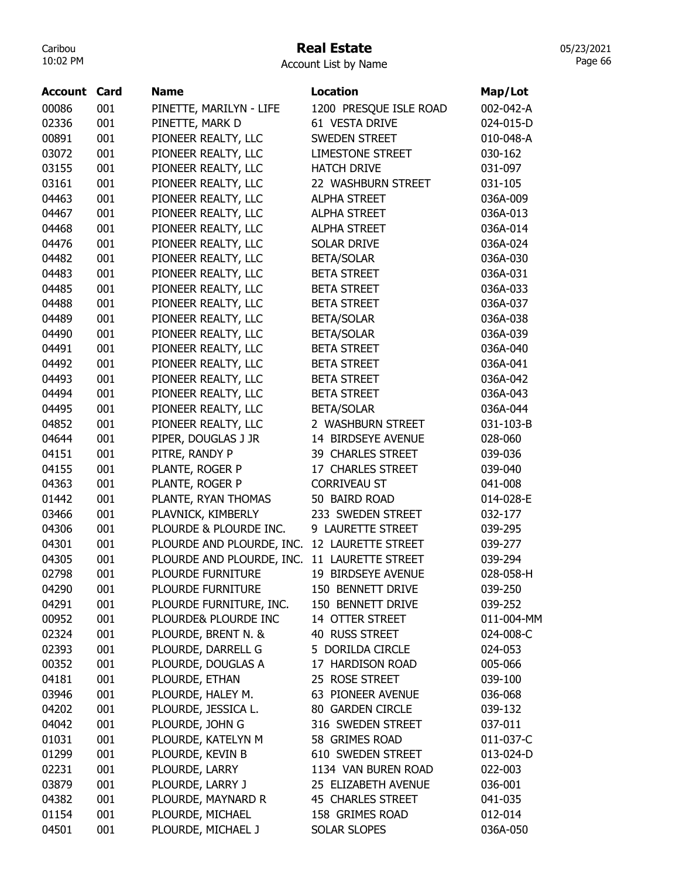## Real Estate

05/23/2021 Page 66

Account List by Name

| Account | Card | <b>Name</b>               | <b>Location</b>          | Map/Lot    |
|---------|------|---------------------------|--------------------------|------------|
| 00086   | 001  | PINETTE, MARILYN - LIFE   | 1200 PRESQUE ISLE ROAD   | 002-042-A  |
| 02336   | 001  | PINETTE, MARK D           | 61 VESTA DRIVE           | 024-015-D  |
| 00891   | 001  | PIONEER REALTY, LLC       | <b>SWEDEN STREET</b>     | 010-048-A  |
| 03072   | 001  | PIONEER REALTY, LLC       | <b>LIMESTONE STREET</b>  | 030-162    |
| 03155   | 001  | PIONEER REALTY, LLC       | <b>HATCH DRIVE</b>       | 031-097    |
| 03161   | 001  | PIONEER REALTY, LLC       | 22 WASHBURN STREET       | 031-105    |
| 04463   | 001  | PIONEER REALTY, LLC       | <b>ALPHA STREET</b>      | 036A-009   |
| 04467   | 001  | PIONEER REALTY, LLC       | <b>ALPHA STREET</b>      | 036A-013   |
| 04468   | 001  | PIONEER REALTY, LLC       | <b>ALPHA STREET</b>      | 036A-014   |
| 04476   | 001  | PIONEER REALTY, LLC       | <b>SOLAR DRIVE</b>       | 036A-024   |
| 04482   | 001  | PIONEER REALTY, LLC       | <b>BETA/SOLAR</b>        | 036A-030   |
| 04483   | 001  | PIONEER REALTY, LLC       | <b>BETA STREET</b>       | 036A-031   |
| 04485   | 001  | PIONEER REALTY, LLC       | <b>BETA STREET</b>       | 036A-033   |
| 04488   | 001  | PIONEER REALTY, LLC       | <b>BETA STREET</b>       | 036A-037   |
| 04489   | 001  | PIONEER REALTY, LLC       | <b>BETA/SOLAR</b>        | 036A-038   |
| 04490   | 001  | PIONEER REALTY, LLC       | <b>BETA/SOLAR</b>        | 036A-039   |
| 04491   | 001  | PIONEER REALTY, LLC       | <b>BETA STREET</b>       | 036A-040   |
| 04492   | 001  | PIONEER REALTY, LLC       | <b>BETA STREET</b>       | 036A-041   |
| 04493   | 001  | PIONEER REALTY, LLC       | <b>BETA STREET</b>       | 036A-042   |
| 04494   | 001  | PIONEER REALTY, LLC       | <b>BETA STREET</b>       | 036A-043   |
| 04495   | 001  | PIONEER REALTY, LLC       | <b>BETA/SOLAR</b>        | 036A-044   |
| 04852   | 001  | PIONEER REALTY, LLC       | 2 WASHBURN STREET        | 031-103-B  |
| 04644   | 001  | PIPER, DOUGLAS J JR       | 14 BIRDSEYE AVENUE       | 028-060    |
| 04151   | 001  | PITRE, RANDY P            | 39 CHARLES STREET        | 039-036    |
| 04155   | 001  | PLANTE, ROGER P           | 17 CHARLES STREET        | 039-040    |
| 04363   | 001  | PLANTE, ROGER P           | <b>CORRIVEAU ST</b>      | 041-008    |
| 01442   | 001  | PLANTE, RYAN THOMAS       | 50 BAIRD ROAD            | 014-028-E  |
| 03466   | 001  | PLAVNICK, KIMBERLY        | 233 SWEDEN STREET        | 032-177    |
| 04306   | 001  | PLOURDE & PLOURDE INC.    | 9 LAURETTE STREET        | 039-295    |
| 04301   | 001  | PLOURDE AND PLOURDE, INC. | 12 LAURETTE STREET       | 039-277    |
| 04305   | 001  | PLOURDE AND PLOURDE, INC. | 11 LAURETTE STREET       | 039-294    |
| 02798   | 001  | PLOURDE FURNITURE         | 19 BIRDSEYE AVENUE       | 028-058-H  |
| 04290   | 001  | <b>PLOURDE FURNITURE</b>  | 150 BENNETT DRIVE        | 039-250    |
| 04291   | 001  | PLOURDE FURNITURE, INC.   | 150 BENNETT DRIVE        | 039-252    |
| 00952   | 001  | PLOURDE& PLOURDE INC      | 14 OTTER STREET          | 011-004-MM |
| 02324   | 001  | PLOURDE, BRENT N. &       | 40 RUSS STREET           | 024-008-C  |
|         | 001  |                           | 5 DORILDA CIRCLE         |            |
| 02393   |      | PLOURDE, DARRELL G        |                          | 024-053    |
| 00352   | 001  | PLOURDE, DOUGLAS A        | 17 HARDISON ROAD         | 005-066    |
| 04181   | 001  | PLOURDE, ETHAN            | 25 ROSE STREET           | 039-100    |
| 03946   | 001  | PLOURDE, HALEY M.         | 63 PIONEER AVENUE        | 036-068    |
| 04202   | 001  | PLOURDE, JESSICA L.       | 80 GARDEN CIRCLE         | 039-132    |
| 04042   | 001  | PLOURDE, JOHN G           | 316 SWEDEN STREET        | 037-011    |
| 01031   | 001  | PLOURDE, KATELYN M        | 58 GRIMES ROAD           | 011-037-C  |
| 01299   | 001  | PLOURDE, KEVIN B          | 610 SWEDEN STREET        | 013-024-D  |
| 02231   | 001  | PLOURDE, LARRY            | 1134 VAN BUREN ROAD      | 022-003    |
| 03879   | 001  | PLOURDE, LARRY J          | 25 ELIZABETH AVENUE      | 036-001    |
| 04382   | 001  | PLOURDE, MAYNARD R        | <b>45 CHARLES STREET</b> | 041-035    |
| 01154   | 001  | PLOURDE, MICHAEL          | 158 GRIMES ROAD          | 012-014    |
| 04501   | 001  | PLOURDE, MICHAEL J        | SOLAR SLOPES             | 036A-050   |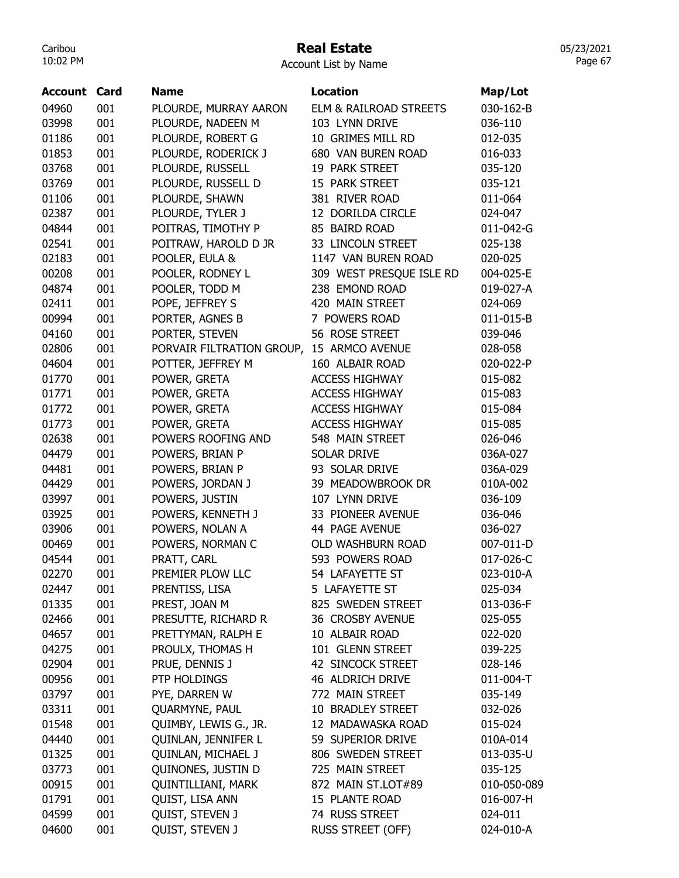## Real Estate

Account List by Name

| Account | Card | <b>Name</b>               | <b>Location</b>          | Map/Lot     |
|---------|------|---------------------------|--------------------------|-------------|
| 04960   | 001  | PLOURDE, MURRAY AARON     | ELM & RAILROAD STREETS   | 030-162-B   |
| 03998   | 001  | PLOURDE, NADEEN M         | 103 LYNN DRIVE           | 036-110     |
| 01186   | 001  | PLOURDE, ROBERT G         | 10 GRIMES MILL RD        | 012-035     |
| 01853   | 001  | PLOURDE, RODERICK J       | 680 VAN BUREN ROAD       | 016-033     |
| 03768   | 001  | PLOURDE, RUSSELL          | 19 PARK STREET           | 035-120     |
| 03769   | 001  | PLOURDE, RUSSELL D        | 15 PARK STREET           | 035-121     |
| 01106   | 001  | PLOURDE, SHAWN            | 381 RIVER ROAD           | 011-064     |
| 02387   | 001  | PLOURDE, TYLER J          | 12 DORILDA CIRCLE        | 024-047     |
| 04844   | 001  | POITRAS, TIMOTHY P        | 85 BAIRD ROAD            | 011-042-G   |
| 02541   | 001  | POITRAW, HAROLD D JR      | 33 LINCOLN STREET        | 025-138     |
| 02183   | 001  | POOLER, EULA &            | 1147 VAN BUREN ROAD      | 020-025     |
| 00208   | 001  | POOLER, RODNEY L          | 309 WEST PRESQUE ISLE RD | 004-025-E   |
| 04874   | 001  | POOLER, TODD M            | 238 EMOND ROAD           | 019-027-A   |
| 02411   | 001  | POPE, JEFFREY S           | 420 MAIN STREET          | 024-069     |
| 00994   | 001  | PORTER, AGNES B           | 7 POWERS ROAD            | 011-015-B   |
| 04160   | 001  | PORTER, STEVEN            | 56 ROSE STREET           | 039-046     |
| 02806   | 001  | PORVAIR FILTRATION GROUP, | 15 ARMCO AVENUE          | 028-058     |
| 04604   | 001  | POTTER, JEFFREY M         | 160 ALBAIR ROAD          | 020-022-P   |
| 01770   | 001  | POWER, GRETA              | <b>ACCESS HIGHWAY</b>    | 015-082     |
| 01771   | 001  | POWER, GRETA              | <b>ACCESS HIGHWAY</b>    | 015-083     |
| 01772   | 001  | POWER, GRETA              | <b>ACCESS HIGHWAY</b>    | 015-084     |
| 01773   | 001  | POWER, GRETA              | <b>ACCESS HIGHWAY</b>    | 015-085     |
| 02638   | 001  | POWERS ROOFING AND        | 548 MAIN STREET          | 026-046     |
| 04479   | 001  | POWERS, BRIAN P           | <b>SOLAR DRIVE</b>       | 036A-027    |
| 04481   | 001  | POWERS, BRIAN P           | 93 SOLAR DRIVE           | 036A-029    |
| 04429   | 001  | POWERS, JORDAN J          | 39 MEADOWBROOK DR        | 010A-002    |
| 03997   | 001  | POWERS, JUSTIN            | 107 LYNN DRIVE           | 036-109     |
| 03925   | 001  | POWERS, KENNETH J         | 33 PIONEER AVENUE        | 036-046     |
| 03906   | 001  | POWERS, NOLAN A           | 44 PAGE AVENUE           | 036-027     |
| 00469   | 001  | POWERS, NORMAN C          | OLD WASHBURN ROAD        | 007-011-D   |
| 04544   | 001  | PRATT, CARL               | 593 POWERS ROAD          | 017-026-C   |
| 02270   | 001  | PREMIER PLOW LLC          | 54 LAFAYETTE ST          | 023-010-A   |
| 02447   | 001  | PRENTISS, LISA            | 5 LAFAYETTE ST           | 025-034     |
| 01335   | 001  | PREST, JOAN M             | 825 SWEDEN STREET        | 013-036-F   |
| 02466   | 001  | PRESUTTE, RICHARD R       | 36 CROSBY AVENUE         | 025-055     |
| 04657   | 001  | PRETTYMAN, RALPH E        | 10 ALBAIR ROAD           | 022-020     |
| 04275   | 001  | PROULX, THOMAS H          | 101 GLENN STREET         | 039-225     |
| 02904   | 001  | PRUE, DENNIS J            | 42 SINCOCK STREET        | 028-146     |
| 00956   | 001  | PTP HOLDINGS              | 46 ALDRICH DRIVE         | 011-004-T   |
| 03797   | 001  | PYE, DARREN W             | 772 MAIN STREET          | 035-149     |
| 03311   | 001  | QUARMYNE, PAUL            | 10 BRADLEY STREET        | 032-026     |
| 01548   | 001  | QUIMBY, LEWIS G., JR.     | 12 MADAWASKA ROAD        | 015-024     |
| 04440   | 001  | QUINLAN, JENNIFER L       | 59 SUPERIOR DRIVE        | 010A-014    |
| 01325   | 001  | QUINLAN, MICHAEL J        | 806 SWEDEN STREET        | 013-035-U   |
| 03773   | 001  | QUINONES, JUSTIN D        | 725 MAIN STREET          | 035-125     |
| 00915   | 001  | <b>QUINTILLIANI, MARK</b> | 872 MAIN ST.LOT#89       | 010-050-089 |
| 01791   | 001  | QUIST, LISA ANN           | 15 PLANTE ROAD           | 016-007-H   |
| 04599   | 001  | QUIST, STEVEN J           | 74 RUSS STREET           | 024-011     |
| 04600   | 001  | QUIST, STEVEN J           | <b>RUSS STREET (OFF)</b> | 024-010-A   |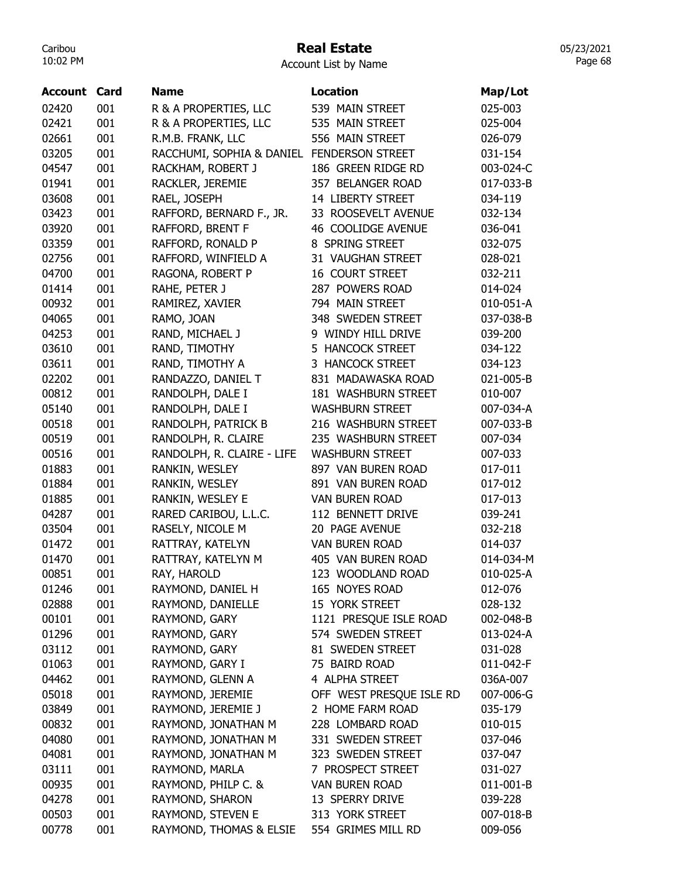### Real Estate

Account List by Name

| Account | Card | Name                                       | <b>Location</b>           | Map/Lot   |
|---------|------|--------------------------------------------|---------------------------|-----------|
| 02420   | 001  | R & A PROPERTIES, LLC                      | 539 MAIN STREET           | 025-003   |
| 02421   | 001  | R & A PROPERTIES, LLC                      | 535 MAIN STREET           | 025-004   |
| 02661   | 001  | R.M.B. FRANK, LLC                          | 556 MAIN STREET           | 026-079   |
| 03205   | 001  | RACCHUMI, SOPHIA & DANIEL FENDERSON STREET |                           | 031-154   |
| 04547   | 001  | RACKHAM, ROBERT J                          | 186 GREEN RIDGE RD        | 003-024-C |
| 01941   | 001  | RACKLER, JEREMIE                           | 357 BELANGER ROAD         | 017-033-B |
| 03608   | 001  | RAEL, JOSEPH                               | 14 LIBERTY STREET         | 034-119   |
| 03423   | 001  | RAFFORD, BERNARD F., JR.                   | 33 ROOSEVELT AVENUE       | 032-134   |
| 03920   | 001  | RAFFORD, BRENT F                           | <b>46 COOLIDGE AVENUE</b> | 036-041   |
| 03359   | 001  | RAFFORD, RONALD P                          | 8 SPRING STREET           | 032-075   |
| 02756   | 001  | RAFFORD, WINFIELD A                        | 31 VAUGHAN STREET         | 028-021   |
| 04700   | 001  |                                            | <b>16 COURT STREET</b>    | 032-211   |
| 01414   | 001  | RAGONA, ROBERT P                           | 287 POWERS ROAD           |           |
|         |      | RAHE, PETER J                              | 794 MAIN STREET           | 014-024   |
| 00932   | 001  | RAMIREZ, XAVIER                            |                           | 010-051-A |
| 04065   | 001  | RAMO, JOAN                                 | 348 SWEDEN STREET         | 037-038-B |
| 04253   | 001  | RAND, MICHAEL J                            | 9 WINDY HILL DRIVE        | 039-200   |
| 03610   | 001  | RAND, TIMOTHY                              | 5 HANCOCK STREET          | 034-122   |
| 03611   | 001  | RAND, TIMOTHY A                            | 3 HANCOCK STREET          | 034-123   |
| 02202   | 001  | RANDAZZO, DANIEL T                         | 831 MADAWASKA ROAD        | 021-005-B |
| 00812   | 001  | RANDOLPH, DALE I                           | 181 WASHBURN STREET       | 010-007   |
| 05140   | 001  | RANDOLPH, DALE I                           | <b>WASHBURN STREET</b>    | 007-034-A |
| 00518   | 001  | RANDOLPH, PATRICK B                        | 216 WASHBURN STREET       | 007-033-B |
| 00519   | 001  | RANDOLPH, R. CLAIRE                        | 235 WASHBURN STREET       | 007-034   |
| 00516   | 001  | RANDOLPH, R. CLAIRE - LIFE                 | <b>WASHBURN STREET</b>    | 007-033   |
| 01883   | 001  | RANKIN, WESLEY                             | 897 VAN BUREN ROAD        | 017-011   |
| 01884   | 001  | RANKIN, WESLEY                             | 891 VAN BUREN ROAD        | 017-012   |
| 01885   | 001  | RANKIN, WESLEY E                           | <b>VAN BUREN ROAD</b>     | 017-013   |
| 04287   | 001  | RARED CARIBOU, L.L.C.                      | 112 BENNETT DRIVE         | 039-241   |
| 03504   | 001  | RASELY, NICOLE M                           | 20 PAGE AVENUE            | 032-218   |
| 01472   | 001  | RATTRAY, KATELYN                           | <b>VAN BUREN ROAD</b>     | 014-037   |
| 01470   | 001  | RATTRAY, KATELYN M                         | 405 VAN BUREN ROAD        | 014-034-M |
| 00851   | 001  | RAY, HAROLD                                | 123 WOODLAND ROAD         | 010-025-A |
| 01246   | 001  | RAYMOND, DANIEL H                          | 165 NOYES ROAD            | 012-076   |
| 02888   | 001  | RAYMOND, DANIELLE                          | 15 YORK STREET            | 028-132   |
| 00101   | 001  | RAYMOND, GARY                              | 1121 PRESQUE ISLE ROAD    | 002-048-B |
| 01296   | 001  | RAYMOND, GARY                              | 574 SWEDEN STREET         | 013-024-A |
| 03112   | 001  | RAYMOND, GARY                              | 81 SWEDEN STREET          | 031-028   |
| 01063   | 001  | RAYMOND, GARY I                            | 75 BAIRD ROAD             | 011-042-F |
| 04462   | 001  | RAYMOND, GLENN A                           | 4 ALPHA STREET            | 036A-007  |
| 05018   | 001  | RAYMOND, JEREMIE                           | OFF WEST PRESQUE ISLE RD  | 007-006-G |
| 03849   | 001  | RAYMOND, JEREMIE J                         | 2 HOME FARM ROAD          | 035-179   |
| 00832   | 001  | RAYMOND, JONATHAN M                        | 228 LOMBARD ROAD          | 010-015   |
| 04080   | 001  | RAYMOND, JONATHAN M                        | 331 SWEDEN STREET         | 037-046   |
| 04081   | 001  | RAYMOND, JONATHAN M                        | 323 SWEDEN STREET         | 037-047   |
| 03111   | 001  | RAYMOND, MARLA                             | 7 PROSPECT STREET         | 031-027   |
| 00935   | 001  | RAYMOND, PHILP C. &                        | <b>VAN BUREN ROAD</b>     | 011-001-B |
| 04278   | 001  | RAYMOND, SHARON                            | 13 SPERRY DRIVE           | 039-228   |
| 00503   | 001  | RAYMOND, STEVEN E                          | 313 YORK STREET           | 007-018-B |
| 00778   | 001  | RAYMOND, THOMAS & ELSIE                    | 554 GRIMES MILL RD        | 009-056   |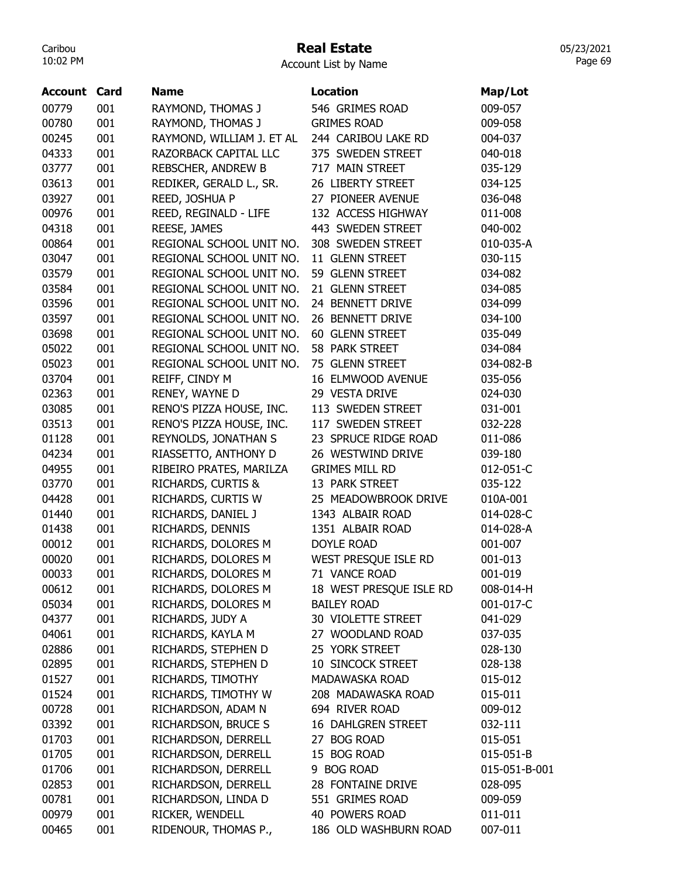## Real Estate

Account List by Name

| <b>Account Card</b> |     | <b>Name</b>               | <b>Location</b>         | Map/Lot       |
|---------------------|-----|---------------------------|-------------------------|---------------|
| 00779               | 001 | RAYMOND, THOMAS J         | 546 GRIMES ROAD         | 009-057       |
| 00780               | 001 | RAYMOND, THOMAS J         | <b>GRIMES ROAD</b>      | 009-058       |
| 00245               | 001 | RAYMOND, WILLIAM J. ET AL | 244 CARIBOU LAKE RD     | 004-037       |
| 04333               | 001 | RAZORBACK CAPITAL LLC     | 375 SWEDEN STREET       | 040-018       |
| 03777               | 001 | REBSCHER, ANDREW B        | 717 MAIN STREET         | 035-129       |
| 03613               | 001 | REDIKER, GERALD L., SR.   | 26 LIBERTY STREET       | 034-125       |
| 03927               | 001 | REED, JOSHUA P            | 27 PIONEER AVENUE       | 036-048       |
| 00976               | 001 | REED, REGINALD - LIFE     | 132 ACCESS HIGHWAY      | 011-008       |
| 04318               | 001 | REESE, JAMES              | 443 SWEDEN STREET       | 040-002       |
| 00864               | 001 | REGIONAL SCHOOL UNIT NO.  | 308 SWEDEN STREET       | 010-035-A     |
| 03047               | 001 | REGIONAL SCHOOL UNIT NO.  | 11 GLENN STREET         | 030-115       |
| 03579               | 001 | REGIONAL SCHOOL UNIT NO.  | 59 GLENN STREET         | 034-082       |
| 03584               | 001 | REGIONAL SCHOOL UNIT NO.  | 21 GLENN STREET         | 034-085       |
| 03596               | 001 | REGIONAL SCHOOL UNIT NO.  | 24 BENNETT DRIVE        | 034-099       |
| 03597               | 001 | REGIONAL SCHOOL UNIT NO.  | 26 BENNETT DRIVE        | 034-100       |
| 03698               | 001 | REGIONAL SCHOOL UNIT NO.  | 60 GLENN STREET         | 035-049       |
| 05022               | 001 | REGIONAL SCHOOL UNIT NO.  | 58 PARK STREET          | 034-084       |
| 05023               | 001 | REGIONAL SCHOOL UNIT NO.  | 75 GLENN STREET         | 034-082-B     |
| 03704               | 001 | REIFF, CINDY M            | 16 ELMWOOD AVENUE       | 035-056       |
| 02363               | 001 | RENEY, WAYNE D            | 29 VESTA DRIVE          | 024-030       |
| 03085               | 001 | RENO'S PIZZA HOUSE, INC.  | 113 SWEDEN STREET       | 031-001       |
| 03513               | 001 | RENO'S PIZZA HOUSE, INC.  | 117 SWEDEN STREET       | 032-228       |
| 01128               | 001 | REYNOLDS, JONATHAN S      | 23 SPRUCE RIDGE ROAD    | 011-086       |
| 04234               | 001 | RIASSETTO, ANTHONY D      | 26 WESTWIND DRIVE       | 039-180       |
| 04955               | 001 | RIBEIRO PRATES, MARILZA   | <b>GRIMES MILL RD</b>   | 012-051-C     |
| 03770               | 001 | RICHARDS, CURTIS &        | 13 PARK STREET          | 035-122       |
| 04428               | 001 | RICHARDS, CURTIS W        | 25 MEADOWBROOK DRIVE    | 010A-001      |
| 01440               | 001 | RICHARDS, DANIEL J        | 1343 ALBAIR ROAD        | 014-028-C     |
| 01438               | 001 | RICHARDS, DENNIS          | 1351 ALBAIR ROAD        | 014-028-A     |
| 00012               | 001 | RICHARDS, DOLORES M       | <b>DOYLE ROAD</b>       | 001-007       |
| 00020               | 001 | RICHARDS, DOLORES M       | WEST PRESQUE ISLE RD    | 001-013       |
| 00033               | 001 | RICHARDS, DOLORES M       | 71 VANCE ROAD           | 001-019       |
| 00612               | 001 | RICHARDS, DOLORES M       | 18 WEST PRESQUE ISLE RD | 008-014-H     |
| 05034               | 001 | RICHARDS, DOLORES M       | <b>BAILEY ROAD</b>      | 001-017-C     |
| 04377               | 001 | RICHARDS, JUDY A          | 30 VIOLETTE STREET      | 041-029       |
| 04061               | 001 | RICHARDS, KAYLA M         | 27 WOODLAND ROAD        | 037-035       |
| 02886               | 001 | RICHARDS, STEPHEN D       | 25 YORK STREET          | 028-130       |
| 02895               | 001 | RICHARDS, STEPHEN D       | 10 SINCOCK STREET       | 028-138       |
| 01527               | 001 | RICHARDS, TIMOTHY         | MADAWASKA ROAD          | 015-012       |
| 01524               | 001 | RICHARDS, TIMOTHY W       | 208 MADAWASKA ROAD      | 015-011       |
| 00728               | 001 | RICHARDSON, ADAM N        | 694 RIVER ROAD          | 009-012       |
| 03392               | 001 | RICHARDSON, BRUCE S       | 16 DAHLGREN STREET      | 032-111       |
| 01703               | 001 | RICHARDSON, DERRELL       | 27 BOG ROAD             | 015-051       |
| 01705               | 001 | RICHARDSON, DERRELL       | 15 BOG ROAD             | 015-051-B     |
| 01706               | 001 | RICHARDSON, DERRELL       | 9 BOG ROAD              | 015-051-B-001 |
| 02853               | 001 | RICHARDSON, DERRELL       | 28 FONTAINE DRIVE       | 028-095       |
| 00781               | 001 | RICHARDSON, LINDA D       | 551 GRIMES ROAD         | 009-059       |
| 00979               | 001 | RICKER, WENDELL           | 40 POWERS ROAD          | 011-011       |
| 00465               | 001 | RIDENOUR, THOMAS P.,      | 186 OLD WASHBURN ROAD   | 007-011       |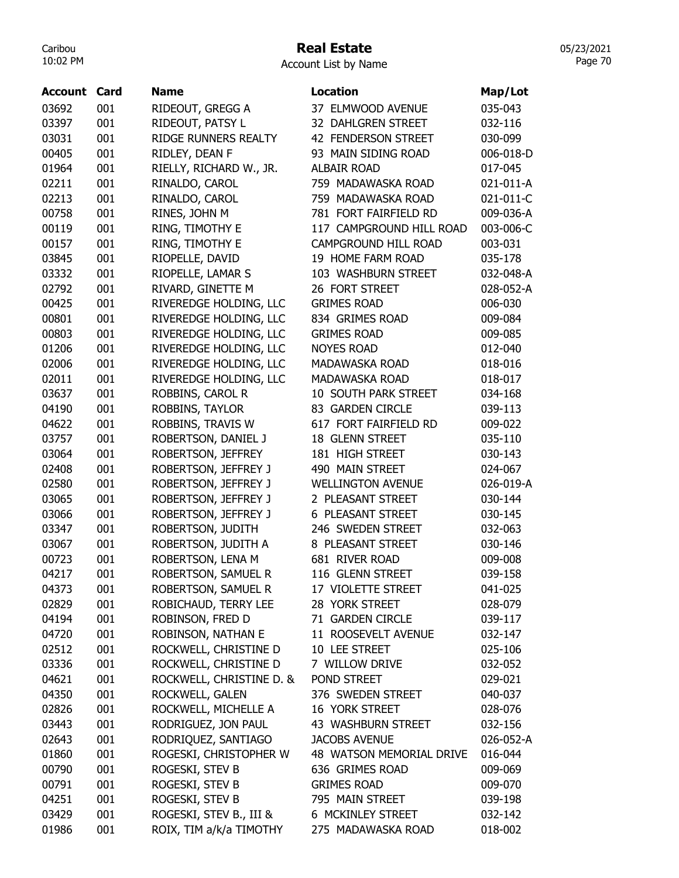## Real Estate

05/23/2021 Page 70

Account List by Name

| <b>Account</b> | Card | <b>Name</b>              | <b>Location</b>          | Map/Lot   |
|----------------|------|--------------------------|--------------------------|-----------|
| 03692          | 001  | RIDEOUT, GREGG A         | 37 ELMWOOD AVENUE        | 035-043   |
| 03397          | 001  | RIDEOUT, PATSY L         | 32 DAHLGREN STREET       | 032-116   |
| 03031          | 001  | RIDGE RUNNERS REALTY     | 42 FENDERSON STREET      | 030-099   |
| 00405          | 001  | RIDLEY, DEAN F           | 93 MAIN SIDING ROAD      | 006-018-D |
| 01964          | 001  | RIELLY, RICHARD W., JR.  | <b>ALBAIR ROAD</b>       | 017-045   |
| 02211          | 001  | RINALDO, CAROL           | 759 MADAWASKA ROAD       | 021-011-A |
| 02213          | 001  | RINALDO, CAROL           | 759 MADAWASKA ROAD       | 021-011-C |
| 00758          | 001  | RINES, JOHN M            | 781 FORT FAIRFIELD RD    | 009-036-A |
| 00119          | 001  | RING, TIMOTHY E          | 117 CAMPGROUND HILL ROAD | 003-006-C |
| 00157          | 001  | RING, TIMOTHY E          | CAMPGROUND HILL ROAD     | 003-031   |
| 03845          | 001  | RIOPELLE, DAVID          | 19 HOME FARM ROAD        | 035-178   |
| 03332          | 001  | RIOPELLE, LAMAR S        | 103 WASHBURN STREET      | 032-048-A |
| 02792          | 001  | RIVARD, GINETTE M        | 26 FORT STREET           | 028-052-A |
| 00425          | 001  | RIVEREDGE HOLDING, LLC   | <b>GRIMES ROAD</b>       | 006-030   |
| 00801          | 001  | RIVEREDGE HOLDING, LLC   | 834 GRIMES ROAD          | 009-084   |
| 00803          | 001  | RIVEREDGE HOLDING, LLC   | <b>GRIMES ROAD</b>       | 009-085   |
| 01206          | 001  | RIVEREDGE HOLDING, LLC   | <b>NOYES ROAD</b>        | 012-040   |
| 02006          | 001  | RIVEREDGE HOLDING, LLC   | MADAWASKA ROAD           | 018-016   |
| 02011          | 001  | RIVEREDGE HOLDING, LLC   | MADAWASKA ROAD           | 018-017   |
| 03637          | 001  | ROBBINS, CAROL R         | 10 SOUTH PARK STREET     | 034-168   |
| 04190          | 001  | ROBBINS, TAYLOR          | 83 GARDEN CIRCLE         | 039-113   |
| 04622          | 001  | ROBBINS, TRAVIS W        | 617 FORT FAIRFIELD RD    | 009-022   |
| 03757          | 001  | ROBERTSON, DANIEL J      | 18 GLENN STREET          | 035-110   |
| 03064          | 001  | ROBERTSON, JEFFREY       | 181 HIGH STREET          | 030-143   |
| 02408          | 001  | ROBERTSON, JEFFREY J     | 490 MAIN STREET          | 024-067   |
| 02580          | 001  | ROBERTSON, JEFFREY J     | <b>WELLINGTON AVENUE</b> | 026-019-A |
| 03065          | 001  | ROBERTSON, JEFFREY J     | 2 PLEASANT STREET        | 030-144   |
| 03066          | 001  | ROBERTSON, JEFFREY J     | 6 PLEASANT STREET        | 030-145   |
| 03347          | 001  | ROBERTSON, JUDITH        | 246 SWEDEN STREET        | 032-063   |
| 03067          | 001  | ROBERTSON, JUDITH A      | 8 PLEASANT STREET        | 030-146   |
| 00723          | 001  | ROBERTSON, LENA M        | 681 RIVER ROAD           | 009-008   |
| 04217          | 001  | ROBERTSON, SAMUEL R      | 116 GLENN STREET         | 039-158   |
| 04373          | 001  | ROBERTSON, SAMUEL R      | 17 VIOLETTE STREET       | 041-025   |
| 02829          | 001  | ROBICHAUD, TERRY LEE     | 28 YORK STREET           | 028-079   |
| 04194          | 001  | ROBINSON, FRED D         | 71 GARDEN CIRCLE         | 039-117   |
| 04720          | 001  | ROBINSON, NATHAN E       | 11 ROOSEVELT AVENUE      | 032-147   |
| 02512          | 001  | ROCKWELL, CHRISTINE D    | 10 LEE STREET            | 025-106   |
| 03336          | 001  | ROCKWELL, CHRISTINE D    | 7 WILLOW DRIVE           | 032-052   |
| 04621          | 001  | ROCKWELL, CHRISTINE D. & | POND STREET              | 029-021   |
| 04350          | 001  | ROCKWELL, GALEN          | 376 SWEDEN STREET        | 040-037   |
| 02826          | 001  | ROCKWELL, MICHELLE A     | 16 YORK STREET           | 028-076   |
| 03443          | 001  | RODRIGUEZ, JON PAUL      | 43 WASHBURN STREET       | 032-156   |
| 02643          | 001  | RODRIQUEZ, SANTIAGO      | <b>JACOBS AVENUE</b>     | 026-052-A |
| 01860          | 001  | ROGESKI, CHRISTOPHER W   | 48 WATSON MEMORIAL DRIVE | 016-044   |
| 00790          | 001  | ROGESKI, STEV B          | 636 GRIMES ROAD          | 009-069   |
| 00791          | 001  | ROGESKI, STEV B          | <b>GRIMES ROAD</b>       | 009-070   |
| 04251          | 001  | ROGESKI, STEV B          | 795 MAIN STREET          | 039-198   |
| 03429          | 001  | ROGESKI, STEV B., III &  | 6 MCKINLEY STREET        | 032-142   |
| 01986          | 001  | ROIX, TIM a/k/a TIMOTHY  | 275 MADAWASKA ROAD       | 018-002   |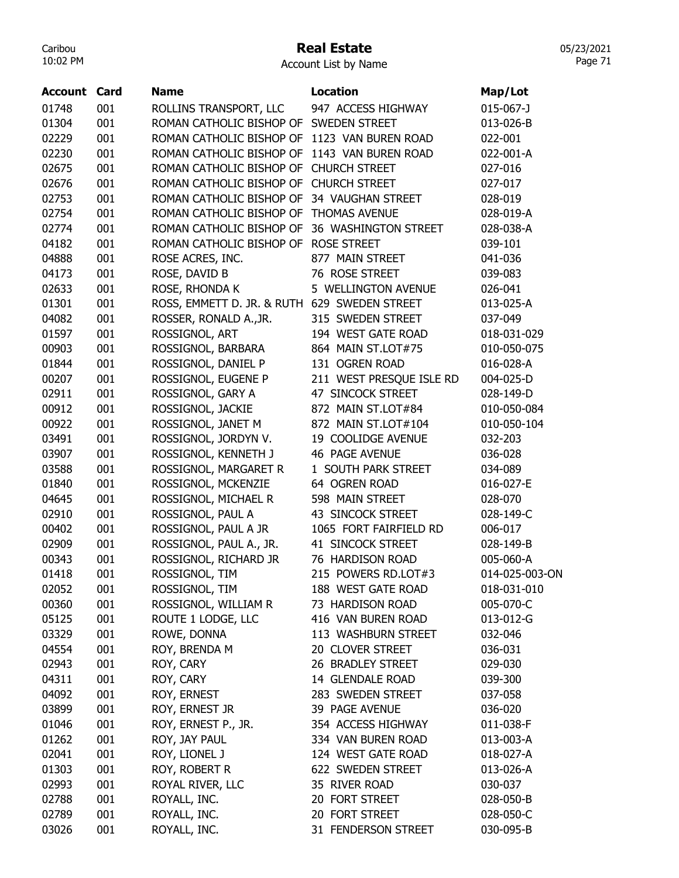## Real Estate

05/23/2021 Page 71

Account List by Name

| <b>Account Card</b> |     | <b>Name</b>                                  | <b>Location</b>          | Map/Lot         |
|---------------------|-----|----------------------------------------------|--------------------------|-----------------|
| 01748               | 001 | ROLLINS TRANSPORT, LLC                       | 947 ACCESS HIGHWAY       | $015 - 067 - J$ |
| 01304               | 001 | ROMAN CATHOLIC BISHOP OF SWEDEN STREET       |                          | 013-026-B       |
| 02229               | 001 | ROMAN CATHOLIC BISHOP OF 1123 VAN BUREN ROAD |                          | 022-001         |
| 02230               | 001 | ROMAN CATHOLIC BISHOP OF 1143 VAN BUREN ROAD |                          | 022-001-A       |
| 02675               | 001 | ROMAN CATHOLIC BISHOP OF                     | <b>CHURCH STREET</b>     | 027-016         |
| 02676               | 001 | ROMAN CATHOLIC BISHOP OF CHURCH STREET       |                          | 027-017         |
| 02753               | 001 | ROMAN CATHOLIC BISHOP OF 34 VAUGHAN STREET   |                          | 028-019         |
| 02754               | 001 | ROMAN CATHOLIC BISHOP OF THOMAS AVENUE       |                          | 028-019-A       |
| 02774               | 001 | ROMAN CATHOLIC BISHOP OF                     | 36 WASHINGTON STREET     | 028-038-A       |
| 04182               | 001 | ROMAN CATHOLIC BISHOP OF                     | <b>ROSE STREET</b>       | 039-101         |
| 04888               | 001 | ROSE ACRES, INC.                             | 877 MAIN STREET          | 041-036         |
| 04173               | 001 | ROSE, DAVID B                                | 76 ROSE STREET           | 039-083         |
| 02633               | 001 | ROSE, RHONDA K                               | 5 WELLINGTON AVENUE      | 026-041         |
| 01301               | 001 | ROSS, EMMETT D. JR. & RUTH 629 SWEDEN STREET |                          | 013-025-A       |
| 04082               | 001 | ROSSER, RONALD A., JR.                       | 315 SWEDEN STREET        | 037-049         |
| 01597               | 001 | ROSSIGNOL, ART                               | 194 WEST GATE ROAD       | 018-031-029     |
| 00903               | 001 | ROSSIGNOL, BARBARA                           | 864 MAIN ST.LOT#75       | 010-050-075     |
| 01844               | 001 | ROSSIGNOL, DANIEL P                          | 131 OGREN ROAD           | 016-028-A       |
| 00207               | 001 | ROSSIGNOL, EUGENE P                          | 211 WEST PRESQUE ISLE RD | 004-025-D       |
| 02911               | 001 | ROSSIGNOL, GARY A                            | 47 SINCOCK STREET        | 028-149-D       |
| 00912               | 001 | ROSSIGNOL, JACKIE                            | 872 MAIN ST.LOT#84       | 010-050-084     |
| 00922               | 001 | ROSSIGNOL, JANET M                           | 872 MAIN ST.LOT#104      | 010-050-104     |
| 03491               | 001 | ROSSIGNOL, JORDYN V.                         | 19 COOLIDGE AVENUE       | 032-203         |
| 03907               | 001 | ROSSIGNOL, KENNETH J                         | <b>46 PAGE AVENUE</b>    | 036-028         |
| 03588               | 001 | ROSSIGNOL, MARGARET R                        | 1 SOUTH PARK STREET      | 034-089         |
| 01840               | 001 | ROSSIGNOL, MCKENZIE                          | 64 OGREN ROAD            | 016-027-E       |
| 04645               | 001 | ROSSIGNOL, MICHAEL R                         | 598 MAIN STREET          | 028-070         |
| 02910               | 001 | ROSSIGNOL, PAUL A                            | 43 SINCOCK STREET        | 028-149-C       |
| 00402               | 001 | ROSSIGNOL, PAUL A JR                         | 1065 FORT FAIRFIELD RD   | 006-017         |
| 02909               | 001 | ROSSIGNOL, PAUL A., JR.                      | 41 SINCOCK STREET        | 028-149-B       |
| 00343               | 001 | ROSSIGNOL, RICHARD JR                        | 76 HARDISON ROAD         | 005-060-A       |
| 01418               | 001 | ROSSIGNOL, TIM                               | 215 POWERS RD.LOT#3      | 014-025-003-ON  |
| 02052               | 001 | ROSSIGNOL, TIM                               | 188 WEST GATE ROAD       | 018-031-010     |
| 00360               | 001 | ROSSIGNOL, WILLIAM R                         | 73 HARDISON ROAD         | 005-070-C       |
| 05125               | 001 | ROUTE 1 LODGE, LLC                           | 416 VAN BUREN ROAD       | 013-012-G       |
| 03329               | 001 | ROWE, DONNA                                  | 113 WASHBURN STREET      | 032-046         |
| 04554               | 001 | ROY, BRENDA M                                | 20 CLOVER STREET         | 036-031         |
| 02943               | 001 | ROY, CARY                                    | 26 BRADLEY STREET        | 029-030         |
| 04311               | 001 | ROY, CARY                                    | 14 GLENDALE ROAD         | 039-300         |
| 04092               | 001 | ROY, ERNEST                                  | 283 SWEDEN STREET        | 037-058         |
| 03899               | 001 | ROY, ERNEST JR                               | 39 PAGE AVENUE           | 036-020         |
| 01046               | 001 | ROY, ERNEST P., JR.                          | 354 ACCESS HIGHWAY       | 011-038-F       |
| 01262               | 001 | ROY, JAY PAUL                                | 334 VAN BUREN ROAD       | 013-003-A       |
| 02041               | 001 | ROY, LIONEL J                                | 124 WEST GATE ROAD       | 018-027-A       |
| 01303               | 001 | ROY, ROBERT R                                | 622 SWEDEN STREET        | 013-026-A       |
| 02993               | 001 | ROYAL RIVER, LLC                             | 35 RIVER ROAD            | 030-037         |
| 02788               | 001 | ROYALL, INC.                                 | 20 FORT STREET           | 028-050-B       |
| 02789               | 001 | ROYALL, INC.                                 | 20 FORT STREET           | 028-050-C       |
| 03026               | 001 | ROYALL, INC.                                 | 31 FENDERSON STREET      | 030-095-B       |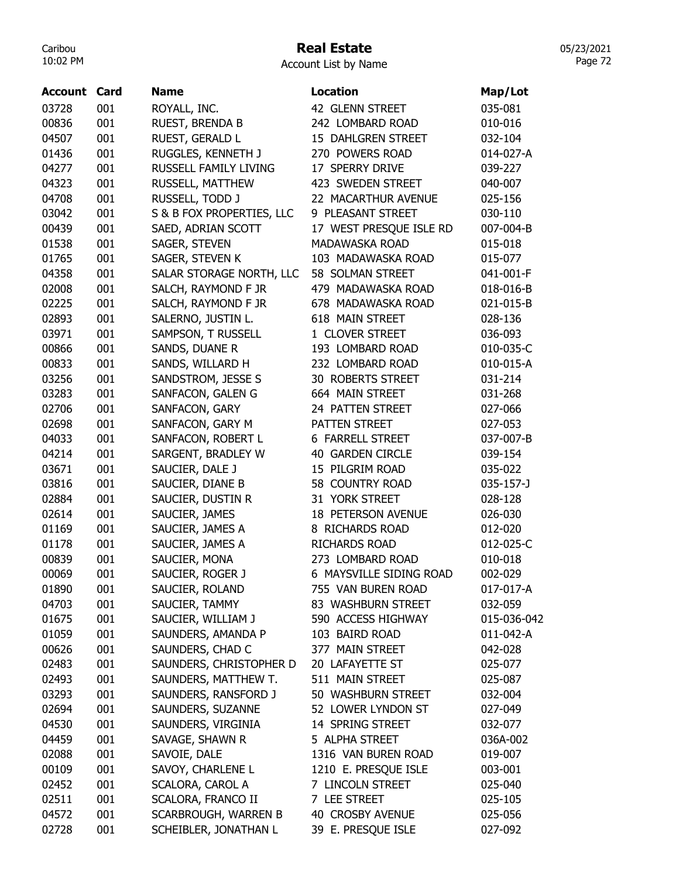# Real Estate

| Account List by Name |  |  |
|----------------------|--|--|
|----------------------|--|--|

| 03728<br>001<br>42 GLENN STREET<br>035-081<br>ROYALL, INC.<br>00836<br>001<br>RUEST, BRENDA B<br>242 LOMBARD ROAD<br>010-016<br>04507<br>001<br>RUEST, GERALD L<br>15 DAHLGREN STREET<br>032-104<br>001<br>RUGGLES, KENNETH J<br>270 POWERS ROAD<br>014-027-A<br>01436<br>04277<br>001<br>17 SPERRY DRIVE<br>RUSSELL FAMILY LIVING<br>039-227<br>04323<br>001<br>423 SWEDEN STREET<br>RUSSELL, MATTHEW<br>040-007<br>04708<br>001<br>22 MACARTHUR AVENUE<br>RUSSELL, TODD J<br>025-156<br>03042<br>001<br>S & B FOX PROPERTIES, LLC<br>9 PLEASANT STREET<br>030-110<br>00439<br>001<br>SAED, ADRIAN SCOTT<br>17 WEST PRESQUE ISLE RD<br>007-004-B<br>01538<br>001<br>MADAWASKA ROAD<br>SAGER, STEVEN<br>015-018<br>01765<br>001<br>SAGER, STEVEN K<br>103 MADAWASKA ROAD<br>015-077<br>04358<br>001<br>SALAR STORAGE NORTH, LLC<br>58 SOLMAN STREET<br>041-001-F<br>001<br>479 MADAWASKA ROAD<br>02008<br>SALCH, RAYMOND F JR<br>018-016-B<br>02225<br>001<br>678 MADAWASKA ROAD<br>SALCH, RAYMOND F JR<br>021-015-B<br>02893<br>001<br>SALERNO, JUSTIN L.<br>618 MAIN STREET<br>028-136<br>03971<br>001<br>SAMPSON, T RUSSELL<br>1 CLOVER STREET<br>036-093<br>00866<br>001<br>SANDS, DUANE R<br>193 LOMBARD ROAD<br>010-035-C<br>001<br>00833<br>SANDS, WILLARD H<br>232 LOMBARD ROAD<br>010-015-A<br>03256<br>001<br>SANDSTROM, JESSE S<br><b>30 ROBERTS STREET</b><br>031-214<br>03283<br>001<br>SANFACON, GALEN G<br>664 MAIN STREET<br>031-268<br>001<br>24 PATTEN STREET<br>02706<br>SANFACON, GARY<br>027-066<br>001<br>02698<br>PATTEN STREET<br>SANFACON, GARY M<br>027-053<br>04033<br>001<br>SANFACON, ROBERT L<br><b>6 FARRELL STREET</b><br>037-007-B<br>04214<br>001<br>SARGENT, BRADLEY W<br><b>40 GARDEN CIRCLE</b><br>039-154<br>03671<br>001<br>15 PILGRIM ROAD<br>SAUCIER, DALE J<br>035-022<br>03816<br>001<br>58 COUNTRY ROAD<br>SAUCIER, DIANE B<br>035-157-J<br>001<br>SAUCIER, DUSTIN R<br>31 YORK STREET<br>02884<br>028-128<br>02614<br>001<br>SAUCIER, JAMES<br><b>18 PETERSON AVENUE</b><br>026-030<br>001<br>8 RICHARDS ROAD<br>01169<br>SAUCIER, JAMES A<br>012-020<br>01178<br>001<br>SAUCIER, JAMES A<br><b>RICHARDS ROAD</b><br>012-025-C<br>00839<br>001<br>SAUCIER, MONA<br>273 LOMBARD ROAD<br>010-018<br>6 MAYSVILLE SIDING ROAD<br>002-029<br>00069<br>001<br>SAUCIER, ROGER J<br>01890<br>001<br>SAUCIER, ROLAND<br>755 VAN BUREN ROAD<br>017-017-A<br>04703<br>001<br>SAUCIER, TAMMY<br>83 WASHBURN STREET<br>032-059<br>SAUCIER, WILLIAM J<br>590 ACCESS HIGHWAY<br>01675<br>001<br>015-036-042<br>01059<br>SAUNDERS, AMANDA P<br>103 BAIRD ROAD<br>011-042-A<br>001<br>SAUNDERS, CHAD C<br>377 MAIN STREET<br>00626<br>001<br>042-028<br>SAUNDERS, CHRISTOPHER D<br>02483<br>001<br>20 LAFAYETTE ST<br>025-077<br>SAUNDERS, MATTHEW T.<br>001<br>511 MAIN STREET<br>02493<br>025-087<br>001<br>SAUNDERS, RANSFORD J<br>50 WASHBURN STREET<br>03293<br>032-004<br>02694<br>001<br>SAUNDERS, SUZANNE<br>52 LOWER LYNDON ST<br>027-049<br>001<br>SAUNDERS, VIRGINIA<br>04530<br>14 SPRING STREET<br>032-077<br>001<br>SAVAGE, SHAWN R<br>04459<br>5 ALPHA STREET<br>036A-002<br>02088<br>001<br>SAVOIE, DALE<br>1316 VAN BUREN ROAD<br>019-007<br>00109<br>001<br>SAVOY, CHARLENE L<br>1210 E. PRESQUE ISLE<br>003-001<br>SCALORA, CAROL A<br>001<br>7 LINCOLN STREET<br>02452<br>025-040<br>001<br>SCALORA, FRANCO II<br>7 LEE STREET<br>02511<br>025-105<br>04572<br>SCARBROUGH, WARREN B<br>40 CROSBY AVENUE<br>001<br>025-056 | <b>Account Card</b> |     | <b>Name</b>           | <b>Location</b>    | Map/Lot |
|---------------------------------------------------------------------------------------------------------------------------------------------------------------------------------------------------------------------------------------------------------------------------------------------------------------------------------------------------------------------------------------------------------------------------------------------------------------------------------------------------------------------------------------------------------------------------------------------------------------------------------------------------------------------------------------------------------------------------------------------------------------------------------------------------------------------------------------------------------------------------------------------------------------------------------------------------------------------------------------------------------------------------------------------------------------------------------------------------------------------------------------------------------------------------------------------------------------------------------------------------------------------------------------------------------------------------------------------------------------------------------------------------------------------------------------------------------------------------------------------------------------------------------------------------------------------------------------------------------------------------------------------------------------------------------------------------------------------------------------------------------------------------------------------------------------------------------------------------------------------------------------------------------------------------------------------------------------------------------------------------------------------------------------------------------------------------------------------------------------------------------------------------------------------------------------------------------------------------------------------------------------------------------------------------------------------------------------------------------------------------------------------------------------------------------------------------------------------------------------------------------------------------------------------------------------------------------------------------------------------------------------------------------------------------------------------------------------------------------------------------------------------------------------------------------------------------------------------------------------------------------------------------------------------------------------------------------------------------------------------------------------------------------------------------------------------------------------------------------------------------------------------------------------------------------------------------------------------------------------------------------------------------------------------------------------------------------------------------------------------------------------------------------------------------------------------------------------------------|---------------------|-----|-----------------------|--------------------|---------|
|                                                                                                                                                                                                                                                                                                                                                                                                                                                                                                                                                                                                                                                                                                                                                                                                                                                                                                                                                                                                                                                                                                                                                                                                                                                                                                                                                                                                                                                                                                                                                                                                                                                                                                                                                                                                                                                                                                                                                                                                                                                                                                                                                                                                                                                                                                                                                                                                                                                                                                                                                                                                                                                                                                                                                                                                                                                                                                                                                                                                                                                                                                                                                                                                                                                                                                                                                                                                                                                                           |                     |     |                       |                    |         |
|                                                                                                                                                                                                                                                                                                                                                                                                                                                                                                                                                                                                                                                                                                                                                                                                                                                                                                                                                                                                                                                                                                                                                                                                                                                                                                                                                                                                                                                                                                                                                                                                                                                                                                                                                                                                                                                                                                                                                                                                                                                                                                                                                                                                                                                                                                                                                                                                                                                                                                                                                                                                                                                                                                                                                                                                                                                                                                                                                                                                                                                                                                                                                                                                                                                                                                                                                                                                                                                                           |                     |     |                       |                    |         |
|                                                                                                                                                                                                                                                                                                                                                                                                                                                                                                                                                                                                                                                                                                                                                                                                                                                                                                                                                                                                                                                                                                                                                                                                                                                                                                                                                                                                                                                                                                                                                                                                                                                                                                                                                                                                                                                                                                                                                                                                                                                                                                                                                                                                                                                                                                                                                                                                                                                                                                                                                                                                                                                                                                                                                                                                                                                                                                                                                                                                                                                                                                                                                                                                                                                                                                                                                                                                                                                                           |                     |     |                       |                    |         |
|                                                                                                                                                                                                                                                                                                                                                                                                                                                                                                                                                                                                                                                                                                                                                                                                                                                                                                                                                                                                                                                                                                                                                                                                                                                                                                                                                                                                                                                                                                                                                                                                                                                                                                                                                                                                                                                                                                                                                                                                                                                                                                                                                                                                                                                                                                                                                                                                                                                                                                                                                                                                                                                                                                                                                                                                                                                                                                                                                                                                                                                                                                                                                                                                                                                                                                                                                                                                                                                                           |                     |     |                       |                    |         |
|                                                                                                                                                                                                                                                                                                                                                                                                                                                                                                                                                                                                                                                                                                                                                                                                                                                                                                                                                                                                                                                                                                                                                                                                                                                                                                                                                                                                                                                                                                                                                                                                                                                                                                                                                                                                                                                                                                                                                                                                                                                                                                                                                                                                                                                                                                                                                                                                                                                                                                                                                                                                                                                                                                                                                                                                                                                                                                                                                                                                                                                                                                                                                                                                                                                                                                                                                                                                                                                                           |                     |     |                       |                    |         |
|                                                                                                                                                                                                                                                                                                                                                                                                                                                                                                                                                                                                                                                                                                                                                                                                                                                                                                                                                                                                                                                                                                                                                                                                                                                                                                                                                                                                                                                                                                                                                                                                                                                                                                                                                                                                                                                                                                                                                                                                                                                                                                                                                                                                                                                                                                                                                                                                                                                                                                                                                                                                                                                                                                                                                                                                                                                                                                                                                                                                                                                                                                                                                                                                                                                                                                                                                                                                                                                                           |                     |     |                       |                    |         |
|                                                                                                                                                                                                                                                                                                                                                                                                                                                                                                                                                                                                                                                                                                                                                                                                                                                                                                                                                                                                                                                                                                                                                                                                                                                                                                                                                                                                                                                                                                                                                                                                                                                                                                                                                                                                                                                                                                                                                                                                                                                                                                                                                                                                                                                                                                                                                                                                                                                                                                                                                                                                                                                                                                                                                                                                                                                                                                                                                                                                                                                                                                                                                                                                                                                                                                                                                                                                                                                                           |                     |     |                       |                    |         |
|                                                                                                                                                                                                                                                                                                                                                                                                                                                                                                                                                                                                                                                                                                                                                                                                                                                                                                                                                                                                                                                                                                                                                                                                                                                                                                                                                                                                                                                                                                                                                                                                                                                                                                                                                                                                                                                                                                                                                                                                                                                                                                                                                                                                                                                                                                                                                                                                                                                                                                                                                                                                                                                                                                                                                                                                                                                                                                                                                                                                                                                                                                                                                                                                                                                                                                                                                                                                                                                                           |                     |     |                       |                    |         |
|                                                                                                                                                                                                                                                                                                                                                                                                                                                                                                                                                                                                                                                                                                                                                                                                                                                                                                                                                                                                                                                                                                                                                                                                                                                                                                                                                                                                                                                                                                                                                                                                                                                                                                                                                                                                                                                                                                                                                                                                                                                                                                                                                                                                                                                                                                                                                                                                                                                                                                                                                                                                                                                                                                                                                                                                                                                                                                                                                                                                                                                                                                                                                                                                                                                                                                                                                                                                                                                                           |                     |     |                       |                    |         |
|                                                                                                                                                                                                                                                                                                                                                                                                                                                                                                                                                                                                                                                                                                                                                                                                                                                                                                                                                                                                                                                                                                                                                                                                                                                                                                                                                                                                                                                                                                                                                                                                                                                                                                                                                                                                                                                                                                                                                                                                                                                                                                                                                                                                                                                                                                                                                                                                                                                                                                                                                                                                                                                                                                                                                                                                                                                                                                                                                                                                                                                                                                                                                                                                                                                                                                                                                                                                                                                                           |                     |     |                       |                    |         |
|                                                                                                                                                                                                                                                                                                                                                                                                                                                                                                                                                                                                                                                                                                                                                                                                                                                                                                                                                                                                                                                                                                                                                                                                                                                                                                                                                                                                                                                                                                                                                                                                                                                                                                                                                                                                                                                                                                                                                                                                                                                                                                                                                                                                                                                                                                                                                                                                                                                                                                                                                                                                                                                                                                                                                                                                                                                                                                                                                                                                                                                                                                                                                                                                                                                                                                                                                                                                                                                                           |                     |     |                       |                    |         |
|                                                                                                                                                                                                                                                                                                                                                                                                                                                                                                                                                                                                                                                                                                                                                                                                                                                                                                                                                                                                                                                                                                                                                                                                                                                                                                                                                                                                                                                                                                                                                                                                                                                                                                                                                                                                                                                                                                                                                                                                                                                                                                                                                                                                                                                                                                                                                                                                                                                                                                                                                                                                                                                                                                                                                                                                                                                                                                                                                                                                                                                                                                                                                                                                                                                                                                                                                                                                                                                                           |                     |     |                       |                    |         |
|                                                                                                                                                                                                                                                                                                                                                                                                                                                                                                                                                                                                                                                                                                                                                                                                                                                                                                                                                                                                                                                                                                                                                                                                                                                                                                                                                                                                                                                                                                                                                                                                                                                                                                                                                                                                                                                                                                                                                                                                                                                                                                                                                                                                                                                                                                                                                                                                                                                                                                                                                                                                                                                                                                                                                                                                                                                                                                                                                                                                                                                                                                                                                                                                                                                                                                                                                                                                                                                                           |                     |     |                       |                    |         |
|                                                                                                                                                                                                                                                                                                                                                                                                                                                                                                                                                                                                                                                                                                                                                                                                                                                                                                                                                                                                                                                                                                                                                                                                                                                                                                                                                                                                                                                                                                                                                                                                                                                                                                                                                                                                                                                                                                                                                                                                                                                                                                                                                                                                                                                                                                                                                                                                                                                                                                                                                                                                                                                                                                                                                                                                                                                                                                                                                                                                                                                                                                                                                                                                                                                                                                                                                                                                                                                                           |                     |     |                       |                    |         |
|                                                                                                                                                                                                                                                                                                                                                                                                                                                                                                                                                                                                                                                                                                                                                                                                                                                                                                                                                                                                                                                                                                                                                                                                                                                                                                                                                                                                                                                                                                                                                                                                                                                                                                                                                                                                                                                                                                                                                                                                                                                                                                                                                                                                                                                                                                                                                                                                                                                                                                                                                                                                                                                                                                                                                                                                                                                                                                                                                                                                                                                                                                                                                                                                                                                                                                                                                                                                                                                                           |                     |     |                       |                    |         |
|                                                                                                                                                                                                                                                                                                                                                                                                                                                                                                                                                                                                                                                                                                                                                                                                                                                                                                                                                                                                                                                                                                                                                                                                                                                                                                                                                                                                                                                                                                                                                                                                                                                                                                                                                                                                                                                                                                                                                                                                                                                                                                                                                                                                                                                                                                                                                                                                                                                                                                                                                                                                                                                                                                                                                                                                                                                                                                                                                                                                                                                                                                                                                                                                                                                                                                                                                                                                                                                                           |                     |     |                       |                    |         |
|                                                                                                                                                                                                                                                                                                                                                                                                                                                                                                                                                                                                                                                                                                                                                                                                                                                                                                                                                                                                                                                                                                                                                                                                                                                                                                                                                                                                                                                                                                                                                                                                                                                                                                                                                                                                                                                                                                                                                                                                                                                                                                                                                                                                                                                                                                                                                                                                                                                                                                                                                                                                                                                                                                                                                                                                                                                                                                                                                                                                                                                                                                                                                                                                                                                                                                                                                                                                                                                                           |                     |     |                       |                    |         |
|                                                                                                                                                                                                                                                                                                                                                                                                                                                                                                                                                                                                                                                                                                                                                                                                                                                                                                                                                                                                                                                                                                                                                                                                                                                                                                                                                                                                                                                                                                                                                                                                                                                                                                                                                                                                                                                                                                                                                                                                                                                                                                                                                                                                                                                                                                                                                                                                                                                                                                                                                                                                                                                                                                                                                                                                                                                                                                                                                                                                                                                                                                                                                                                                                                                                                                                                                                                                                                                                           |                     |     |                       |                    |         |
|                                                                                                                                                                                                                                                                                                                                                                                                                                                                                                                                                                                                                                                                                                                                                                                                                                                                                                                                                                                                                                                                                                                                                                                                                                                                                                                                                                                                                                                                                                                                                                                                                                                                                                                                                                                                                                                                                                                                                                                                                                                                                                                                                                                                                                                                                                                                                                                                                                                                                                                                                                                                                                                                                                                                                                                                                                                                                                                                                                                                                                                                                                                                                                                                                                                                                                                                                                                                                                                                           |                     |     |                       |                    |         |
|                                                                                                                                                                                                                                                                                                                                                                                                                                                                                                                                                                                                                                                                                                                                                                                                                                                                                                                                                                                                                                                                                                                                                                                                                                                                                                                                                                                                                                                                                                                                                                                                                                                                                                                                                                                                                                                                                                                                                                                                                                                                                                                                                                                                                                                                                                                                                                                                                                                                                                                                                                                                                                                                                                                                                                                                                                                                                                                                                                                                                                                                                                                                                                                                                                                                                                                                                                                                                                                                           |                     |     |                       |                    |         |
|                                                                                                                                                                                                                                                                                                                                                                                                                                                                                                                                                                                                                                                                                                                                                                                                                                                                                                                                                                                                                                                                                                                                                                                                                                                                                                                                                                                                                                                                                                                                                                                                                                                                                                                                                                                                                                                                                                                                                                                                                                                                                                                                                                                                                                                                                                                                                                                                                                                                                                                                                                                                                                                                                                                                                                                                                                                                                                                                                                                                                                                                                                                                                                                                                                                                                                                                                                                                                                                                           |                     |     |                       |                    |         |
|                                                                                                                                                                                                                                                                                                                                                                                                                                                                                                                                                                                                                                                                                                                                                                                                                                                                                                                                                                                                                                                                                                                                                                                                                                                                                                                                                                                                                                                                                                                                                                                                                                                                                                                                                                                                                                                                                                                                                                                                                                                                                                                                                                                                                                                                                                                                                                                                                                                                                                                                                                                                                                                                                                                                                                                                                                                                                                                                                                                                                                                                                                                                                                                                                                                                                                                                                                                                                                                                           |                     |     |                       |                    |         |
|                                                                                                                                                                                                                                                                                                                                                                                                                                                                                                                                                                                                                                                                                                                                                                                                                                                                                                                                                                                                                                                                                                                                                                                                                                                                                                                                                                                                                                                                                                                                                                                                                                                                                                                                                                                                                                                                                                                                                                                                                                                                                                                                                                                                                                                                                                                                                                                                                                                                                                                                                                                                                                                                                                                                                                                                                                                                                                                                                                                                                                                                                                                                                                                                                                                                                                                                                                                                                                                                           |                     |     |                       |                    |         |
|                                                                                                                                                                                                                                                                                                                                                                                                                                                                                                                                                                                                                                                                                                                                                                                                                                                                                                                                                                                                                                                                                                                                                                                                                                                                                                                                                                                                                                                                                                                                                                                                                                                                                                                                                                                                                                                                                                                                                                                                                                                                                                                                                                                                                                                                                                                                                                                                                                                                                                                                                                                                                                                                                                                                                                                                                                                                                                                                                                                                                                                                                                                                                                                                                                                                                                                                                                                                                                                                           |                     |     |                       |                    |         |
|                                                                                                                                                                                                                                                                                                                                                                                                                                                                                                                                                                                                                                                                                                                                                                                                                                                                                                                                                                                                                                                                                                                                                                                                                                                                                                                                                                                                                                                                                                                                                                                                                                                                                                                                                                                                                                                                                                                                                                                                                                                                                                                                                                                                                                                                                                                                                                                                                                                                                                                                                                                                                                                                                                                                                                                                                                                                                                                                                                                                                                                                                                                                                                                                                                                                                                                                                                                                                                                                           |                     |     |                       |                    |         |
|                                                                                                                                                                                                                                                                                                                                                                                                                                                                                                                                                                                                                                                                                                                                                                                                                                                                                                                                                                                                                                                                                                                                                                                                                                                                                                                                                                                                                                                                                                                                                                                                                                                                                                                                                                                                                                                                                                                                                                                                                                                                                                                                                                                                                                                                                                                                                                                                                                                                                                                                                                                                                                                                                                                                                                                                                                                                                                                                                                                                                                                                                                                                                                                                                                                                                                                                                                                                                                                                           |                     |     |                       |                    |         |
|                                                                                                                                                                                                                                                                                                                                                                                                                                                                                                                                                                                                                                                                                                                                                                                                                                                                                                                                                                                                                                                                                                                                                                                                                                                                                                                                                                                                                                                                                                                                                                                                                                                                                                                                                                                                                                                                                                                                                                                                                                                                                                                                                                                                                                                                                                                                                                                                                                                                                                                                                                                                                                                                                                                                                                                                                                                                                                                                                                                                                                                                                                                                                                                                                                                                                                                                                                                                                                                                           |                     |     |                       |                    |         |
|                                                                                                                                                                                                                                                                                                                                                                                                                                                                                                                                                                                                                                                                                                                                                                                                                                                                                                                                                                                                                                                                                                                                                                                                                                                                                                                                                                                                                                                                                                                                                                                                                                                                                                                                                                                                                                                                                                                                                                                                                                                                                                                                                                                                                                                                                                                                                                                                                                                                                                                                                                                                                                                                                                                                                                                                                                                                                                                                                                                                                                                                                                                                                                                                                                                                                                                                                                                                                                                                           |                     |     |                       |                    |         |
|                                                                                                                                                                                                                                                                                                                                                                                                                                                                                                                                                                                                                                                                                                                                                                                                                                                                                                                                                                                                                                                                                                                                                                                                                                                                                                                                                                                                                                                                                                                                                                                                                                                                                                                                                                                                                                                                                                                                                                                                                                                                                                                                                                                                                                                                                                                                                                                                                                                                                                                                                                                                                                                                                                                                                                                                                                                                                                                                                                                                                                                                                                                                                                                                                                                                                                                                                                                                                                                                           |                     |     |                       |                    |         |
|                                                                                                                                                                                                                                                                                                                                                                                                                                                                                                                                                                                                                                                                                                                                                                                                                                                                                                                                                                                                                                                                                                                                                                                                                                                                                                                                                                                                                                                                                                                                                                                                                                                                                                                                                                                                                                                                                                                                                                                                                                                                                                                                                                                                                                                                                                                                                                                                                                                                                                                                                                                                                                                                                                                                                                                                                                                                                                                                                                                                                                                                                                                                                                                                                                                                                                                                                                                                                                                                           |                     |     |                       |                    |         |
|                                                                                                                                                                                                                                                                                                                                                                                                                                                                                                                                                                                                                                                                                                                                                                                                                                                                                                                                                                                                                                                                                                                                                                                                                                                                                                                                                                                                                                                                                                                                                                                                                                                                                                                                                                                                                                                                                                                                                                                                                                                                                                                                                                                                                                                                                                                                                                                                                                                                                                                                                                                                                                                                                                                                                                                                                                                                                                                                                                                                                                                                                                                                                                                                                                                                                                                                                                                                                                                                           |                     |     |                       |                    |         |
|                                                                                                                                                                                                                                                                                                                                                                                                                                                                                                                                                                                                                                                                                                                                                                                                                                                                                                                                                                                                                                                                                                                                                                                                                                                                                                                                                                                                                                                                                                                                                                                                                                                                                                                                                                                                                                                                                                                                                                                                                                                                                                                                                                                                                                                                                                                                                                                                                                                                                                                                                                                                                                                                                                                                                                                                                                                                                                                                                                                                                                                                                                                                                                                                                                                                                                                                                                                                                                                                           |                     |     |                       |                    |         |
|                                                                                                                                                                                                                                                                                                                                                                                                                                                                                                                                                                                                                                                                                                                                                                                                                                                                                                                                                                                                                                                                                                                                                                                                                                                                                                                                                                                                                                                                                                                                                                                                                                                                                                                                                                                                                                                                                                                                                                                                                                                                                                                                                                                                                                                                                                                                                                                                                                                                                                                                                                                                                                                                                                                                                                                                                                                                                                                                                                                                                                                                                                                                                                                                                                                                                                                                                                                                                                                                           |                     |     |                       |                    |         |
|                                                                                                                                                                                                                                                                                                                                                                                                                                                                                                                                                                                                                                                                                                                                                                                                                                                                                                                                                                                                                                                                                                                                                                                                                                                                                                                                                                                                                                                                                                                                                                                                                                                                                                                                                                                                                                                                                                                                                                                                                                                                                                                                                                                                                                                                                                                                                                                                                                                                                                                                                                                                                                                                                                                                                                                                                                                                                                                                                                                                                                                                                                                                                                                                                                                                                                                                                                                                                                                                           |                     |     |                       |                    |         |
|                                                                                                                                                                                                                                                                                                                                                                                                                                                                                                                                                                                                                                                                                                                                                                                                                                                                                                                                                                                                                                                                                                                                                                                                                                                                                                                                                                                                                                                                                                                                                                                                                                                                                                                                                                                                                                                                                                                                                                                                                                                                                                                                                                                                                                                                                                                                                                                                                                                                                                                                                                                                                                                                                                                                                                                                                                                                                                                                                                                                                                                                                                                                                                                                                                                                                                                                                                                                                                                                           |                     |     |                       |                    |         |
|                                                                                                                                                                                                                                                                                                                                                                                                                                                                                                                                                                                                                                                                                                                                                                                                                                                                                                                                                                                                                                                                                                                                                                                                                                                                                                                                                                                                                                                                                                                                                                                                                                                                                                                                                                                                                                                                                                                                                                                                                                                                                                                                                                                                                                                                                                                                                                                                                                                                                                                                                                                                                                                                                                                                                                                                                                                                                                                                                                                                                                                                                                                                                                                                                                                                                                                                                                                                                                                                           |                     |     |                       |                    |         |
|                                                                                                                                                                                                                                                                                                                                                                                                                                                                                                                                                                                                                                                                                                                                                                                                                                                                                                                                                                                                                                                                                                                                                                                                                                                                                                                                                                                                                                                                                                                                                                                                                                                                                                                                                                                                                                                                                                                                                                                                                                                                                                                                                                                                                                                                                                                                                                                                                                                                                                                                                                                                                                                                                                                                                                                                                                                                                                                                                                                                                                                                                                                                                                                                                                                                                                                                                                                                                                                                           |                     |     |                       |                    |         |
|                                                                                                                                                                                                                                                                                                                                                                                                                                                                                                                                                                                                                                                                                                                                                                                                                                                                                                                                                                                                                                                                                                                                                                                                                                                                                                                                                                                                                                                                                                                                                                                                                                                                                                                                                                                                                                                                                                                                                                                                                                                                                                                                                                                                                                                                                                                                                                                                                                                                                                                                                                                                                                                                                                                                                                                                                                                                                                                                                                                                                                                                                                                                                                                                                                                                                                                                                                                                                                                                           |                     |     |                       |                    |         |
|                                                                                                                                                                                                                                                                                                                                                                                                                                                                                                                                                                                                                                                                                                                                                                                                                                                                                                                                                                                                                                                                                                                                                                                                                                                                                                                                                                                                                                                                                                                                                                                                                                                                                                                                                                                                                                                                                                                                                                                                                                                                                                                                                                                                                                                                                                                                                                                                                                                                                                                                                                                                                                                                                                                                                                                                                                                                                                                                                                                                                                                                                                                                                                                                                                                                                                                                                                                                                                                                           |                     |     |                       |                    |         |
|                                                                                                                                                                                                                                                                                                                                                                                                                                                                                                                                                                                                                                                                                                                                                                                                                                                                                                                                                                                                                                                                                                                                                                                                                                                                                                                                                                                                                                                                                                                                                                                                                                                                                                                                                                                                                                                                                                                                                                                                                                                                                                                                                                                                                                                                                                                                                                                                                                                                                                                                                                                                                                                                                                                                                                                                                                                                                                                                                                                                                                                                                                                                                                                                                                                                                                                                                                                                                                                                           |                     |     |                       |                    |         |
|                                                                                                                                                                                                                                                                                                                                                                                                                                                                                                                                                                                                                                                                                                                                                                                                                                                                                                                                                                                                                                                                                                                                                                                                                                                                                                                                                                                                                                                                                                                                                                                                                                                                                                                                                                                                                                                                                                                                                                                                                                                                                                                                                                                                                                                                                                                                                                                                                                                                                                                                                                                                                                                                                                                                                                                                                                                                                                                                                                                                                                                                                                                                                                                                                                                                                                                                                                                                                                                                           |                     |     |                       |                    |         |
|                                                                                                                                                                                                                                                                                                                                                                                                                                                                                                                                                                                                                                                                                                                                                                                                                                                                                                                                                                                                                                                                                                                                                                                                                                                                                                                                                                                                                                                                                                                                                                                                                                                                                                                                                                                                                                                                                                                                                                                                                                                                                                                                                                                                                                                                                                                                                                                                                                                                                                                                                                                                                                                                                                                                                                                                                                                                                                                                                                                                                                                                                                                                                                                                                                                                                                                                                                                                                                                                           |                     |     |                       |                    |         |
|                                                                                                                                                                                                                                                                                                                                                                                                                                                                                                                                                                                                                                                                                                                                                                                                                                                                                                                                                                                                                                                                                                                                                                                                                                                                                                                                                                                                                                                                                                                                                                                                                                                                                                                                                                                                                                                                                                                                                                                                                                                                                                                                                                                                                                                                                                                                                                                                                                                                                                                                                                                                                                                                                                                                                                                                                                                                                                                                                                                                                                                                                                                                                                                                                                                                                                                                                                                                                                                                           |                     |     |                       |                    |         |
|                                                                                                                                                                                                                                                                                                                                                                                                                                                                                                                                                                                                                                                                                                                                                                                                                                                                                                                                                                                                                                                                                                                                                                                                                                                                                                                                                                                                                                                                                                                                                                                                                                                                                                                                                                                                                                                                                                                                                                                                                                                                                                                                                                                                                                                                                                                                                                                                                                                                                                                                                                                                                                                                                                                                                                                                                                                                                                                                                                                                                                                                                                                                                                                                                                                                                                                                                                                                                                                                           |                     |     |                       |                    |         |
|                                                                                                                                                                                                                                                                                                                                                                                                                                                                                                                                                                                                                                                                                                                                                                                                                                                                                                                                                                                                                                                                                                                                                                                                                                                                                                                                                                                                                                                                                                                                                                                                                                                                                                                                                                                                                                                                                                                                                                                                                                                                                                                                                                                                                                                                                                                                                                                                                                                                                                                                                                                                                                                                                                                                                                                                                                                                                                                                                                                                                                                                                                                                                                                                                                                                                                                                                                                                                                                                           |                     |     |                       |                    |         |
|                                                                                                                                                                                                                                                                                                                                                                                                                                                                                                                                                                                                                                                                                                                                                                                                                                                                                                                                                                                                                                                                                                                                                                                                                                                                                                                                                                                                                                                                                                                                                                                                                                                                                                                                                                                                                                                                                                                                                                                                                                                                                                                                                                                                                                                                                                                                                                                                                                                                                                                                                                                                                                                                                                                                                                                                                                                                                                                                                                                                                                                                                                                                                                                                                                                                                                                                                                                                                                                                           |                     |     |                       |                    |         |
|                                                                                                                                                                                                                                                                                                                                                                                                                                                                                                                                                                                                                                                                                                                                                                                                                                                                                                                                                                                                                                                                                                                                                                                                                                                                                                                                                                                                                                                                                                                                                                                                                                                                                                                                                                                                                                                                                                                                                                                                                                                                                                                                                                                                                                                                                                                                                                                                                                                                                                                                                                                                                                                                                                                                                                                                                                                                                                                                                                                                                                                                                                                                                                                                                                                                                                                                                                                                                                                                           |                     |     |                       |                    |         |
|                                                                                                                                                                                                                                                                                                                                                                                                                                                                                                                                                                                                                                                                                                                                                                                                                                                                                                                                                                                                                                                                                                                                                                                                                                                                                                                                                                                                                                                                                                                                                                                                                                                                                                                                                                                                                                                                                                                                                                                                                                                                                                                                                                                                                                                                                                                                                                                                                                                                                                                                                                                                                                                                                                                                                                                                                                                                                                                                                                                                                                                                                                                                                                                                                                                                                                                                                                                                                                                                           |                     |     |                       |                    |         |
|                                                                                                                                                                                                                                                                                                                                                                                                                                                                                                                                                                                                                                                                                                                                                                                                                                                                                                                                                                                                                                                                                                                                                                                                                                                                                                                                                                                                                                                                                                                                                                                                                                                                                                                                                                                                                                                                                                                                                                                                                                                                                                                                                                                                                                                                                                                                                                                                                                                                                                                                                                                                                                                                                                                                                                                                                                                                                                                                                                                                                                                                                                                                                                                                                                                                                                                                                                                                                                                                           | 02728               | 001 | SCHEIBLER, JONATHAN L | 39 E. PRESQUE ISLE | 027-092 |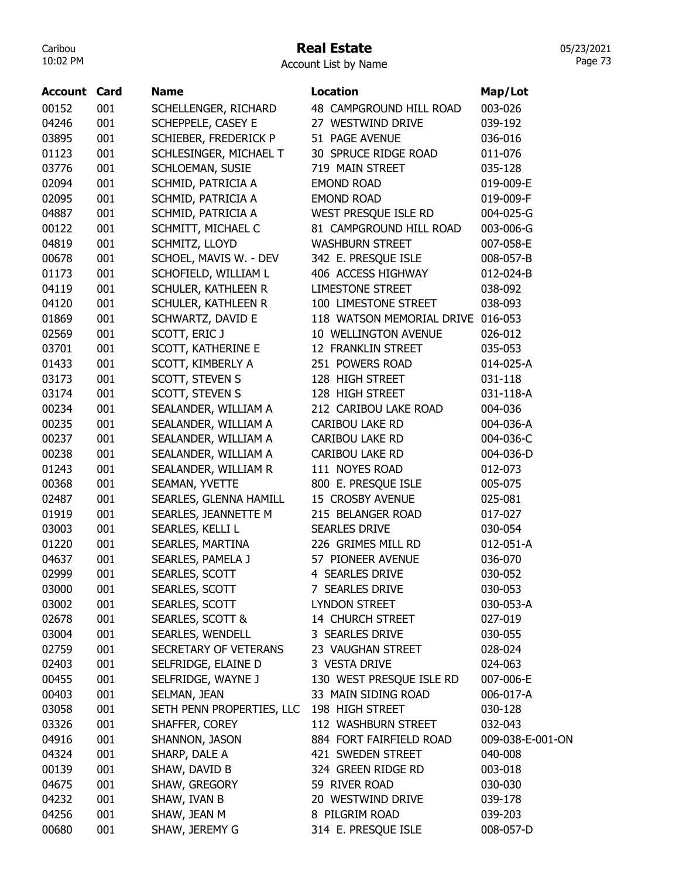### Real Estate

Account List by Name

| <b>Account Card</b> |     | <b>Name</b>               | <b>Location</b>                   | Map/Lot          |
|---------------------|-----|---------------------------|-----------------------------------|------------------|
| 00152               | 001 | SCHELLENGER, RICHARD      | 48 CAMPGROUND HILL ROAD           | 003-026          |
| 04246               | 001 | SCHEPPELE, CASEY E        | 27 WESTWIND DRIVE                 | 039-192          |
| 03895               | 001 | SCHIEBER, FREDERICK P     | 51 PAGE AVENUE                    | 036-016          |
| 01123               | 001 | SCHLESINGER, MICHAEL T    | 30 SPRUCE RIDGE ROAD              | 011-076          |
| 03776               | 001 | SCHLOEMAN, SUSIE          | 719 MAIN STREET                   | 035-128          |
| 02094               | 001 | SCHMID, PATRICIA A        | <b>EMOND ROAD</b>                 | 019-009-E        |
| 02095               | 001 | SCHMID, PATRICIA A        | <b>EMOND ROAD</b>                 | 019-009-F        |
| 04887               | 001 | SCHMID, PATRICIA A        | WEST PRESQUE ISLE RD              | 004-025-G        |
| 00122               | 001 | SCHMITT, MICHAEL C        | 81 CAMPGROUND HILL ROAD           | 003-006-G        |
| 04819               | 001 | SCHMITZ, LLOYD            | <b>WASHBURN STREET</b>            | 007-058-E        |
| 00678               | 001 | SCHOEL, MAVIS W. - DEV    | 342 E. PRESQUE ISLE               | 008-057-B        |
| 01173               | 001 | SCHOFIELD, WILLIAM L      | 406 ACCESS HIGHWAY                | 012-024-B        |
| 04119               | 001 | SCHULER, KATHLEEN R       | <b>LIMESTONE STREET</b>           | 038-092          |
| 04120               | 001 | SCHULER, KATHLEEN R       | 100 LIMESTONE STREET              | 038-093          |
| 01869               | 001 | SCHWARTZ, DAVID E         | 118 WATSON MEMORIAL DRIVE 016-053 |                  |
| 02569               | 001 | SCOTT, ERIC J             | 10 WELLINGTON AVENUE              | 026-012          |
| 03701               | 001 | SCOTT, KATHERINE E        | 12 FRANKLIN STREET                | 035-053          |
| 01433               | 001 | SCOTT, KIMBERLY A         | 251 POWERS ROAD                   | 014-025-A        |
| 03173               | 001 | SCOTT, STEVEN S           | 128 HIGH STREET                   | 031-118          |
| 03174               | 001 | SCOTT, STEVEN S           | 128 HIGH STREET                   | 031-118-A        |
| 00234               | 001 | SEALANDER, WILLIAM A      | 212 CARIBOU LAKE ROAD             | 004-036          |
| 00235               | 001 | SEALANDER, WILLIAM A      | CARIBOU LAKE RD                   | 004-036-A        |
| 00237               | 001 | SEALANDER, WILLIAM A      | CARIBOU LAKE RD                   | 004-036-C        |
| 00238               | 001 | SEALANDER, WILLIAM A      | CARIBOU LAKE RD                   | 004-036-D        |
| 01243               | 001 | SEALANDER, WILLIAM R      | 111 NOYES ROAD                    | 012-073          |
| 00368               | 001 | SEAMAN, YVETTE            | 800 E. PRESQUE ISLE               | 005-075          |
| 02487               | 001 | SEARLES, GLENNA HAMILL    | 15 CROSBY AVENUE                  | 025-081          |
| 01919               | 001 | SEARLES, JEANNETTE M      | 215 BELANGER ROAD                 | 017-027          |
| 03003               | 001 | SEARLES, KELLI L          | <b>SEARLES DRIVE</b>              | 030-054          |
| 01220               | 001 | SEARLES, MARTINA          | 226 GRIMES MILL RD                | 012-051-A        |
| 04637               | 001 | SEARLES, PAMELA J         | 57 PIONEER AVENUE                 | 036-070          |
| 02999               | 001 | SEARLES, SCOTT            | 4 SEARLES DRIVE                   | 030-052          |
| 03000               | 001 | SEARLES, SCOTT            | 7 SEARLES DRIVE                   | 030-053          |
| 03002               | 001 | SEARLES, SCOTT            | <b>LYNDON STREET</b>              | 030-053-A        |
| 02678               | 001 | SEARLES, SCOTT &          | 14 CHURCH STREET                  | 027-019          |
| 03004               | 001 | SEARLES, WENDELL          | 3 SEARLES DRIVE                   | 030-055          |
| 02759               | 001 | SECRETARY OF VETERANS     | 23 VAUGHAN STREET                 | 028-024          |
| 02403               | 001 | SELFRIDGE, ELAINE D       | 3 VESTA DRIVE                     | 024-063          |
| 00455               | 001 | SELFRIDGE, WAYNE J        | 130 WEST PRESQUE ISLE RD          | 007-006-E        |
| 00403               | 001 | SELMAN, JEAN              | 33 MAIN SIDING ROAD               | 006-017-A        |
| 03058               | 001 | SETH PENN PROPERTIES, LLC | 198 HIGH STREET                   | 030-128          |
| 03326               | 001 | SHAFFER, COREY            | 112 WASHBURN STREET               | 032-043          |
| 04916               | 001 | SHANNON, JASON            | 884 FORT FAIRFIELD ROAD           | 009-038-E-001-ON |
| 04324               | 001 | SHARP, DALE A             | 421 SWEDEN STREET                 | 040-008          |
| 00139               | 001 | SHAW, DAVID B             | 324 GREEN RIDGE RD                | 003-018          |
| 04675               | 001 | SHAW, GREGORY             | 59 RIVER ROAD                     | 030-030          |
| 04232               | 001 | SHAW, IVAN B              | 20 WESTWIND DRIVE                 | 039-178          |
| 04256               | 001 | SHAW, JEAN M              | 8 PILGRIM ROAD                    | 039-203          |
| 00680               | 001 | SHAW, JEREMY G            | 314 E. PRESQUE ISLE               | 008-057-D        |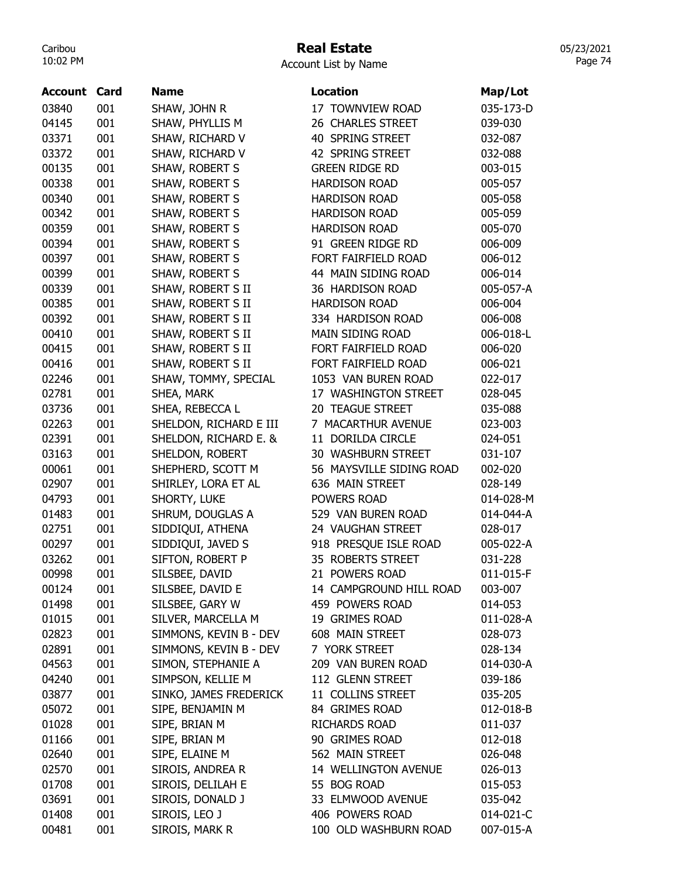### Real Estate

|  | <b>Account List by Name</b> |  |  |  |
|--|-----------------------------|--|--|--|
|--|-----------------------------|--|--|--|

| 03840<br>001<br>SHAW, JOHN R<br>17 TOWNVIEW ROAD<br>035-173-D<br>04145<br>001<br>SHAW, PHYLLIS M<br>26 CHARLES STREET<br>039-030<br>001<br>SHAW, RICHARD V<br>40 SPRING STREET<br>03371<br>032-087 |
|----------------------------------------------------------------------------------------------------------------------------------------------------------------------------------------------------|
|                                                                                                                                                                                                    |
|                                                                                                                                                                                                    |
|                                                                                                                                                                                                    |
| 03372<br>001<br>SHAW, RICHARD V<br>42 SPRING STREET<br>032-088                                                                                                                                     |
| 00135<br>001<br>SHAW, ROBERT S<br><b>GREEN RIDGE RD</b><br>003-015                                                                                                                                 |
| 00338<br>001<br>SHAW, ROBERT S<br><b>HARDISON ROAD</b><br>005-057                                                                                                                                  |
| 001<br>00340<br>SHAW, ROBERT S<br><b>HARDISON ROAD</b><br>005-058                                                                                                                                  |
| SHAW, ROBERT S<br>00342<br>001<br><b>HARDISON ROAD</b><br>005-059                                                                                                                                  |
| <b>HARDISON ROAD</b><br>00359<br>001<br>SHAW, ROBERT S<br>005-070                                                                                                                                  |
| 001<br>91 GREEN RIDGE RD<br>00394<br>SHAW, ROBERT S<br>006-009                                                                                                                                     |
| 001<br>00397<br>SHAW, ROBERT S<br>FORT FAIRFIELD ROAD<br>006-012                                                                                                                                   |
| 44 MAIN SIDING ROAD<br>001<br>SHAW, ROBERT S<br>00399<br>006-014                                                                                                                                   |
| 00339<br>001<br>SHAW, ROBERT S II<br>36 HARDISON ROAD<br>005-057-A                                                                                                                                 |
| 00385<br>001<br>SHAW, ROBERT S II<br><b>HARDISON ROAD</b><br>006-004                                                                                                                               |
| 001<br>SHAW, ROBERT S II<br>00392<br>334 HARDISON ROAD<br>006-008                                                                                                                                  |
| SHAW, ROBERT S II<br>00410<br>001<br><b>MAIN SIDING ROAD</b><br>006-018-L                                                                                                                          |
| 00415<br>001<br>SHAW, ROBERT S II<br>FORT FAIRFIELD ROAD<br>006-020                                                                                                                                |
| 001<br>FORT FAIRFIELD ROAD<br>00416<br>SHAW, ROBERT S II<br>006-021                                                                                                                                |
| 001<br>02246<br>SHAW, TOMMY, SPECIAL<br>1053 VAN BUREN ROAD<br>022-017                                                                                                                             |
| 001<br>17 WASHINGTON STREET<br>02781<br>SHEA, MARK<br>028-045                                                                                                                                      |
| 001<br>SHEA, REBECCA L<br>20 TEAGUE STREET<br>03736<br>035-088                                                                                                                                     |
| 02263<br>001<br>SHELDON, RICHARD E III<br>7 MACARTHUR AVENUE<br>023-003                                                                                                                            |
| 02391<br>001<br>SHELDON, RICHARD E. &<br>11 DORILDA CIRCLE<br>024-051                                                                                                                              |
| SHELDON, ROBERT<br>03163<br>001<br>30 WASHBURN STREET<br>031-107                                                                                                                                   |
| 00061<br>001<br>SHEPHERD, SCOTT M<br>56 MAYSVILLE SIDING ROAD<br>002-020                                                                                                                           |
| 001<br>02907<br>SHIRLEY, LORA ET AL<br>636 MAIN STREET<br>028-149                                                                                                                                  |
| 001<br>SHORTY, LUKE<br>POWERS ROAD<br>04793<br>014-028-M                                                                                                                                           |
| 001<br>SHRUM, DOUGLAS A<br>529 VAN BUREN ROAD<br>01483<br>014-044-A                                                                                                                                |
| 001<br>SIDDIQUI, ATHENA<br>24 VAUGHAN STREET<br>02751<br>028-017                                                                                                                                   |
| 918 PRESQUE ISLE ROAD<br>00297<br>001<br>SIDDIQUI, JAVED S<br>005-022-A                                                                                                                            |
| SIFTON, ROBERT P<br>35 ROBERTS STREET<br>03262<br>001<br>031-228                                                                                                                                   |
| SILSBEE, DAVID<br>POWERS ROAD<br>00998<br>001<br>011-015-F<br>21                                                                                                                                   |
| SILSBEE, DAVID E<br>00124<br>001<br>14 CAMPGROUND HILL ROAD<br>003-007                                                                                                                             |
| 001<br>SILSBEE, GARY W<br>459 POWERS ROAD<br>01498<br>014-053                                                                                                                                      |
| SILVER, MARCELLA M<br>01015<br>001<br>19 GRIMES ROAD<br>011-028-A                                                                                                                                  |
| 02823<br>SIMMONS, KEVIN B - DEV<br>001<br>608 MAIN STREET<br>028-073                                                                                                                               |
| SIMMONS, KEVIN B - DEV<br>7 YORK STREET<br>02891<br>001<br>028-134                                                                                                                                 |
| SIMON, STEPHANIE A<br>04563<br>001<br>209 VAN BUREN ROAD<br>014-030-A                                                                                                                              |
| SIMPSON, KELLIE M<br>112 GLENN STREET<br>04240<br>001<br>039-186                                                                                                                                   |
| SINKO, JAMES FREDERICK<br>11 COLLINS STREET<br>03877<br>001<br>035-205                                                                                                                             |
| 05072<br>001<br>84 GRIMES ROAD<br>SIPE, BENJAMIN M<br>012-018-B                                                                                                                                    |
| 001<br>01028<br>SIPE, BRIAN M<br>RICHARDS ROAD<br>011-037                                                                                                                                          |
| 01166<br>001<br>SIPE, BRIAN M<br>90 GRIMES ROAD<br>012-018                                                                                                                                         |
| 02640<br>SIPE, ELAINE M<br>562 MAIN STREET<br>001<br>026-048                                                                                                                                       |
| 02570<br>001<br>SIROIS, ANDREA R<br>14 WELLINGTON AVENUE<br>026-013                                                                                                                                |
| SIROIS, DELILAH E<br>001<br>55 BOG ROAD<br>01708<br>015-053                                                                                                                                        |
| SIROIS, DONALD J<br>33 ELMWOOD AVENUE<br>03691<br>001<br>035-042                                                                                                                                   |
| SIROIS, LEO J<br>406 POWERS ROAD<br>01408<br>001<br>014-021-C                                                                                                                                      |
| 001<br>SIROIS, MARK R<br>00481<br>100 OLD WASHBURN ROAD<br>007-015-A                                                                                                                               |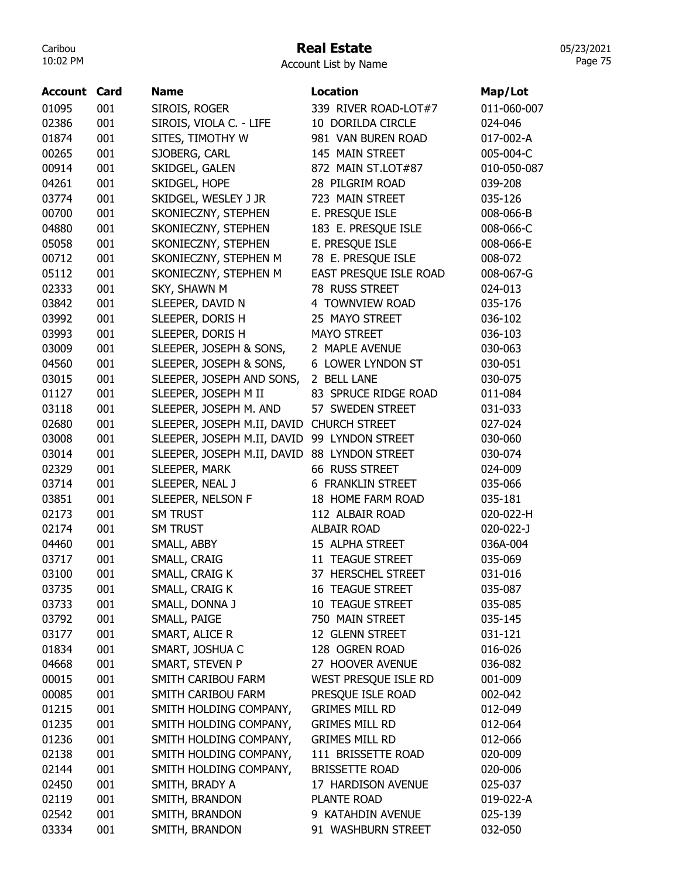### Real Estate

| Account List by Name |  |  |
|----------------------|--|--|
|----------------------|--|--|

| <b>Account Card</b> |            | <b>Name</b>                                  | <b>Location</b>          | Map/Lot     |
|---------------------|------------|----------------------------------------------|--------------------------|-------------|
| 01095               | 001        | SIROIS, ROGER                                | 339 RIVER ROAD-LOT#7     | 011-060-007 |
| 02386               | 001        | SIROIS, VIOLA C. - LIFE                      | 10 DORILDA CIRCLE        | 024-046     |
| 01874               | 001        | SITES, TIMOTHY W                             | 981 VAN BUREN ROAD       | 017-002-A   |
| 00265               | 001        | SJOBERG, CARL                                | 145 MAIN STREET          | 005-004-C   |
| 00914               | 001        | SKIDGEL, GALEN                               | 872 MAIN ST.LOT#87       | 010-050-087 |
| 04261               | 001        | SKIDGEL, HOPE                                | 28 PILGRIM ROAD          | 039-208     |
| 03774               | 001        | SKIDGEL, WESLEY J JR                         | 723 MAIN STREET          | 035-126     |
| 00700               | 001        | SKONIECZNY, STEPHEN                          | E. PRESQUE ISLE          | 008-066-B   |
| 04880               | 001        | SKONIECZNY, STEPHEN                          | 183 E. PRESQUE ISLE      | 008-066-C   |
| 05058               | 001        | SKONIECZNY, STEPHEN                          | E. PRESQUE ISLE          | 008-066-E   |
| 00712               | 001        | SKONIECZNY, STEPHEN M                        | 78 E. PRESQUE ISLE       | 008-072     |
| 05112               | 001        | SKONIECZNY, STEPHEN M                        | EAST PRESQUE ISLE ROAD   | 008-067-G   |
| 02333               | 001        | SKY, SHAWN M                                 | 78 RUSS STREET           | 024-013     |
| 03842               | 001        | SLEEPER, DAVID N                             | 4 TOWNVIEW ROAD          | 035-176     |
| 03992               | 001        | SLEEPER, DORIS H                             | 25 MAYO STREET           | 036-102     |
| 03993               | 001        | SLEEPER, DORIS H                             | <b>MAYO STREET</b>       | 036-103     |
| 03009               | 001        | SLEEPER, JOSEPH & SONS,                      | 2 MAPLE AVENUE           | 030-063     |
| 04560               | 001        | SLEEPER, JOSEPH & SONS,                      | 6 LOWER LYNDON ST        | 030-051     |
| 03015               | 001        | SLEEPER, JOSEPH AND SONS,                    | 2 BELL LANE              | 030-075     |
| 01127               | 001        | SLEEPER, JOSEPH M II                         | 83 SPRUCE RIDGE ROAD     | 011-084     |
| 03118               | 001        | SLEEPER, JOSEPH M. AND                       | 57 SWEDEN STREET         | 031-033     |
| 02680               | 001        | SLEEPER, JOSEPH M.II, DAVID CHURCH STREET    |                          | 027-024     |
| 03008               | 001        | SLEEPER, JOSEPH M.II, DAVID 99 LYNDON STREET |                          | 030-060     |
| 03014               | 001        | SLEEPER, JOSEPH M.II, DAVID                  | 88 LYNDON STREET         | 030-074     |
| 02329               | 001        | SLEEPER, MARK                                | 66 RUSS STREET           | 024-009     |
| 03714               | 001        | SLEEPER, NEAL J                              | <b>6 FRANKLIN STREET</b> | 035-066     |
| 03851               | 001        | SLEEPER, NELSON F                            | 18 HOME FARM ROAD        | 035-181     |
| 02173               | 001        | <b>SM TRUST</b>                              | 112 ALBAIR ROAD          | 020-022-H   |
| 02174               | 001        | <b>SM TRUST</b>                              | <b>ALBAIR ROAD</b>       | 020-022-J   |
| 04460               | 001        | SMALL, ABBY                                  | 15 ALPHA STREET          | 036A-004    |
| 03717               | 001        | SMALL, CRAIG                                 | 11 TEAGUE STREET         | 035-069     |
| 03100               | 001        | SMALL, CRAIG K                               | 37 HERSCHEL STREET       | 031-016     |
| 03735               | 001        | SMALL, CRAIG K                               | <b>16 TEAGUE STREET</b>  | 035-087     |
| 03733               | 001        | SMALL, DONNA J                               | 10 TEAGUE STREET         | 035-085     |
| 03792               | 001        | SMALL, PAIGE                                 | 750 MAIN STREET          | 035-145     |
| 03177               | 001        | SMART, ALICE R                               | 12 GLENN STREET          | 031-121     |
| 01834               | 001        | SMART, JOSHUA C                              | 128 OGREN ROAD           | 016-026     |
| 04668               |            | SMART, STEVEN P                              | 27 HOOVER AVENUE         | 036-082     |
| 00015               | 001<br>001 | SMITH CARIBOU FARM                           | WEST PRESQUE ISLE RD     |             |
|                     | 001        | SMITH CARIBOU FARM                           | PRESQUE ISLE ROAD        | 001-009     |
| 00085               |            |                                              |                          | 002-042     |
| 01215               | 001        | SMITH HOLDING COMPANY,                       | <b>GRIMES MILL RD</b>    | 012-049     |
| 01235               | 001        | SMITH HOLDING COMPANY,                       | GRIMES MILL RD           | 012-064     |
| 01236               | 001        | SMITH HOLDING COMPANY,                       | <b>GRIMES MILL RD</b>    | 012-066     |
| 02138               | 001        | SMITH HOLDING COMPANY,                       | 111 BRISSETTE ROAD       | 020-009     |
| 02144               | 001        | SMITH HOLDING COMPANY,                       | <b>BRISSETTE ROAD</b>    | 020-006     |
| 02450               | 001        | SMITH, BRADY A                               | 17 HARDISON AVENUE       | 025-037     |
| 02119               | 001        | SMITH, BRANDON                               | PLANTE ROAD              | 019-022-A   |
| 02542               | 001        | SMITH, BRANDON                               | 9 KATAHDIN AVENUE        | 025-139     |
| 03334               | 001        | SMITH, BRANDON                               | 91 WASHBURN STREET       | 032-050     |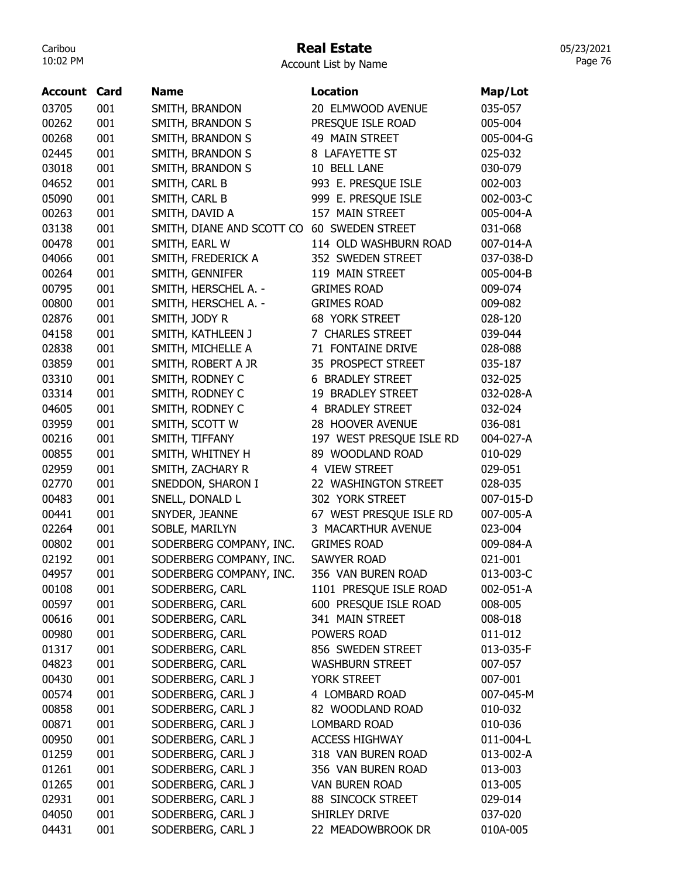### Real Estate

Account List by Name

| Account | Card | <b>Name</b>               | Location                 | Map/Lot   |
|---------|------|---------------------------|--------------------------|-----------|
| 03705   | 001  | SMITH, BRANDON            | 20 ELMWOOD AVENUE        | 035-057   |
| 00262   | 001  | SMITH, BRANDON S          | PRESQUE ISLE ROAD        | 005-004   |
| 00268   | 001  | SMITH, BRANDON S          | 49 MAIN STREET           | 005-004-G |
| 02445   | 001  | SMITH, BRANDON S          | 8 LAFAYETTE ST           | 025-032   |
| 03018   | 001  | SMITH, BRANDON S          | 10 BELL LANE             | 030-079   |
| 04652   | 001  | SMITH, CARL B             | 993 E. PRESQUE ISLE      | 002-003   |
| 05090   | 001  | SMITH, CARL B             | 999 E. PRESQUE ISLE      | 002-003-C |
| 00263   | 001  | SMITH, DAVID A            | 157 MAIN STREET          | 005-004-A |
| 03138   | 001  | SMITH, DIANE AND SCOTT CO | 60 SWEDEN STREET         | 031-068   |
| 00478   | 001  | SMITH, EARL W             | 114 OLD WASHBURN ROAD    | 007-014-A |
| 04066   | 001  | SMITH, FREDERICK A        | 352 SWEDEN STREET        | 037-038-D |
| 00264   | 001  | SMITH, GENNIFER           | 119 MAIN STREET          | 005-004-B |
| 00795   | 001  | SMITH, HERSCHEL A. -      | <b>GRIMES ROAD</b>       | 009-074   |
| 00800   | 001  | SMITH, HERSCHEL A. -      | <b>GRIMES ROAD</b>       | 009-082   |
| 02876   | 001  | SMITH, JODY R             | <b>68 YORK STREET</b>    | 028-120   |
| 04158   | 001  | SMITH, KATHLEEN J         | 7 CHARLES STREET         | 039-044   |
| 02838   | 001  | SMITH, MICHELLE A         | 71 FONTAINE DRIVE        | 028-088   |
| 03859   | 001  | SMITH, ROBERT A JR        | 35 PROSPECT STREET       | 035-187   |
| 03310   | 001  | SMITH, RODNEY C           | <b>6 BRADLEY STREET</b>  | 032-025   |
| 03314   | 001  | SMITH, RODNEY C           | 19 BRADLEY STREET        | 032-028-A |
| 04605   | 001  | SMITH, RODNEY C           | 4 BRADLEY STREET         | 032-024   |
| 03959   | 001  | SMITH, SCOTT W            | 28 HOOVER AVENUE         | 036-081   |
| 00216   | 001  | SMITH, TIFFANY            | 197 WEST PRESQUE ISLE RD | 004-027-A |
| 00855   | 001  | SMITH, WHITNEY H          | 89 WOODLAND ROAD         | 010-029   |
| 02959   | 001  | SMITH, ZACHARY R          | 4 VIEW STREET            | 029-051   |
| 02770   | 001  | SNEDDON, SHARON I         | 22 WASHINGTON STREET     | 028-035   |
| 00483   | 001  | SNELL, DONALD L           | 302 YORK STREET          | 007-015-D |
| 00441   | 001  | SNYDER, JEANNE            | 67 WEST PRESQUE ISLE RD  | 007-005-A |
| 02264   | 001  | SOBLE, MARILYN            | 3 MACARTHUR AVENUE       | 023-004   |
| 00802   | 001  | SODERBERG COMPANY, INC.   | <b>GRIMES ROAD</b>       | 009-084-A |
| 02192   | 001  | SODERBERG COMPANY, INC.   | <b>SAWYER ROAD</b>       | 021-001   |
| 04957   | 001  | SODERBERG COMPANY, INC.   | 356 VAN BUREN ROAD       | 013-003-C |
| 00108   | 001  | SODERBERG, CARL           | 1101 PRESQUE ISLE ROAD   | 002-051-A |
| 00597   | 001  | SODERBERG, CARL           | 600 PRESQUE ISLE ROAD    | 008-005   |
| 00616   | 001  | SODERBERG, CARL           | 341 MAIN STREET          | 008-018   |
| 00980   | 001  | SODERBERG, CARL           | POWERS ROAD              | 011-012   |
| 01317   | 001  | SODERBERG, CARL           | 856 SWEDEN STREET        | 013-035-F |
| 04823   | 001  | SODERBERG, CARL           | <b>WASHBURN STREET</b>   | 007-057   |
| 00430   | 001  | SODERBERG, CARL J         | YORK STREET              | 007-001   |
| 00574   | 001  | SODERBERG, CARL J         | 4 LOMBARD ROAD           | 007-045-M |
| 00858   | 001  | SODERBERG, CARL J         | 82 WOODLAND ROAD         | 010-032   |
| 00871   | 001  | SODERBERG, CARL J         | <b>LOMBARD ROAD</b>      | 010-036   |
| 00950   | 001  | SODERBERG, CARL J         | <b>ACCESS HIGHWAY</b>    | 011-004-L |
| 01259   | 001  | SODERBERG, CARL J         | 318 VAN BUREN ROAD       | 013-002-A |
| 01261   | 001  | SODERBERG, CARL J         | 356 VAN BUREN ROAD       | 013-003   |
| 01265   | 001  | SODERBERG, CARL J         | <b>VAN BUREN ROAD</b>    | 013-005   |
| 02931   | 001  | SODERBERG, CARL J         | 88 SINCOCK STREET        | 029-014   |
| 04050   | 001  | SODERBERG, CARL J         | SHIRLEY DRIVE            | 037-020   |
| 04431   | 001  | SODERBERG, CARL J         | 22 MEADOWBROOK DR        | 010A-005  |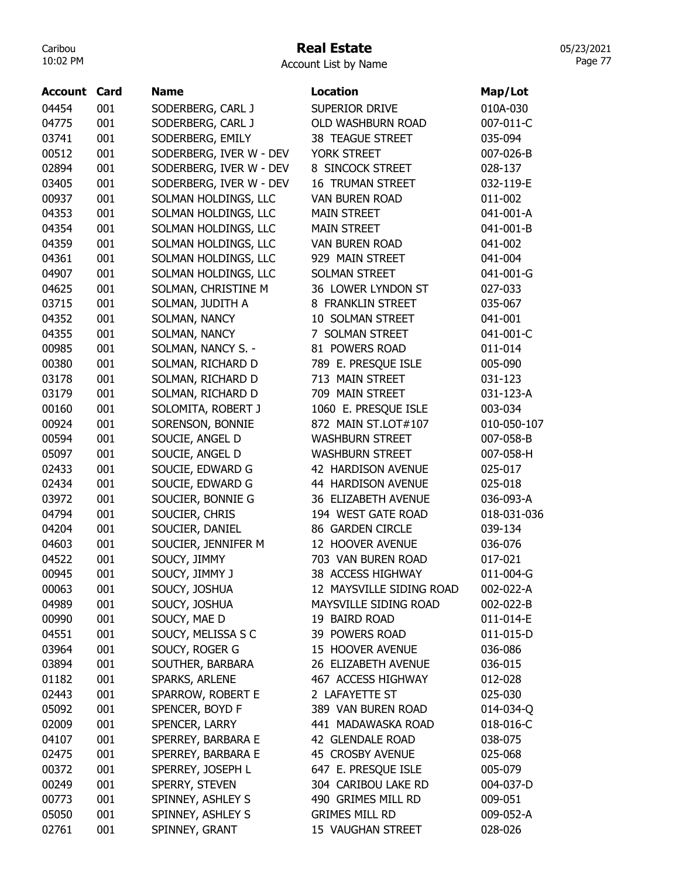### Real Estate

| Account List by Name |  |  |
|----------------------|--|--|
|----------------------|--|--|

| Account        | Card | <b>Name</b>             | <b>Location</b>          | Map/Lot     |
|----------------|------|-------------------------|--------------------------|-------------|
| 04454          | 001  | SODERBERG, CARL J       | SUPERIOR DRIVE           | 010A-030    |
| 04775          | 001  | SODERBERG, CARL J       | OLD WASHBURN ROAD        | 007-011-C   |
| 03741          | 001  | SODERBERG, EMILY        | <b>38 TEAGUE STREET</b>  | 035-094     |
| 00512          | 001  | SODERBERG, IVER W - DEV | YORK STREET              | 007-026-B   |
| 02894          | 001  | SODERBERG, IVER W - DEV | 8 SINCOCK STREET         | 028-137     |
| 03405          | 001  | SODERBERG, IVER W - DEV | <b>16 TRUMAN STREET</b>  | 032-119-E   |
| 00937          | 001  | SOLMAN HOLDINGS, LLC    | <b>VAN BUREN ROAD</b>    | 011-002     |
| 04353          | 001  | SOLMAN HOLDINGS, LLC    | <b>MAIN STREET</b>       | 041-001-A   |
| 04354          | 001  | SOLMAN HOLDINGS, LLC    | <b>MAIN STREET</b>       | 041-001-B   |
| 04359          | 001  | SOLMAN HOLDINGS, LLC    | VAN BUREN ROAD           | 041-002     |
| 04361          | 001  | SOLMAN HOLDINGS, LLC    | 929 MAIN STREET          | 041-004     |
| 04907          | 001  | SOLMAN HOLDINGS, LLC    | <b>SOLMAN STREET</b>     | 041-001-G   |
| 04625          | 001  | SOLMAN, CHRISTINE M     | 36 LOWER LYNDON ST       | 027-033     |
| 03715          | 001  |                         | 8 FRANKLIN STREET        | 035-067     |
|                |      | SOLMAN, JUDITH A        | 10 SOLMAN STREET         |             |
| 04352          | 001  | SOLMAN, NANCY           |                          | 041-001     |
| 04355          | 001  | SOLMAN, NANCY           | 7 SOLMAN STREET          | 041-001-C   |
| 00985          | 001  | SOLMAN, NANCY S. -      | 81 POWERS ROAD           | 011-014     |
| 00380          | 001  | SOLMAN, RICHARD D       | 789 E. PRESQUE ISLE      | 005-090     |
| 03178<br>03179 | 001  | SOLMAN, RICHARD D       | 713 MAIN STREET          | 031-123     |
|                | 001  | SOLMAN, RICHARD D       | 709 MAIN STREET          | 031-123-A   |
| 00160          | 001  | SOLOMITA, ROBERT J      | 1060 E. PRESQUE ISLE     | 003-034     |
| 00924          | 001  | SORENSON, BONNIE        | 872 MAIN ST.LOT#107      | 010-050-107 |
| 00594          | 001  | SOUCIE, ANGEL D         | <b>WASHBURN STREET</b>   | 007-058-B   |
| 05097          | 001  | SOUCIE, ANGEL D         | <b>WASHBURN STREET</b>   | 007-058-H   |
| 02433          | 001  | SOUCIE, EDWARD G        | 42 HARDISON AVENUE       | 025-017     |
| 02434          | 001  | SOUCIE, EDWARD G        | 44 HARDISON AVENUE       | 025-018     |
| 03972          | 001  | SOUCIER, BONNIE G       | 36 ELIZABETH AVENUE      | 036-093-A   |
| 04794          | 001  | SOUCIER, CHRIS          | 194 WEST GATE ROAD       | 018-031-036 |
| 04204          | 001  | SOUCIER, DANIEL         | 86 GARDEN CIRCLE         | 039-134     |
| 04603          | 001  | SOUCIER, JENNIFER M     | 12 HOOVER AVENUE         | 036-076     |
| 04522          | 001  | SOUCY, JIMMY            | 703 VAN BUREN ROAD       | 017-021     |
| 00945          | 001  | SOUCY, JIMMY J          | 38 ACCESS HIGHWAY        | 011-004-G   |
| 00063          | 001  | SOUCY, JOSHUA           | 12 MAYSVILLE SIDING ROAD | 002-022-A   |
| 04989          | 001  | SOUCY, JOSHUA           | MAYSVILLE SIDING ROAD    | 002-022-B   |
| 00990          | 001  | SOUCY, MAE D            | 19 BAIRD ROAD            | 011-014-E   |
| 04551          | 001  | SOUCY, MELISSA S C      | 39 POWERS ROAD           | 011-015-D   |
| 03964          | 001  | SOUCY, ROGER G          | 15 HOOVER AVENUE         | 036-086     |
| 03894          | 001  | SOUTHER, BARBARA        | 26 ELIZABETH AVENUE      | 036-015     |
| 01182          | 001  | SPARKS, ARLENE          | 467 ACCESS HIGHWAY       | 012-028     |
| 02443          | 001  | SPARROW, ROBERT E       | 2 LAFAYETTE ST           | 025-030     |
| 05092          | 001  | SPENCER, BOYD F         | 389 VAN BUREN ROAD       | 014-034-Q   |
| 02009          | 001  | SPENCER, LARRY          | 441 MADAWASKA ROAD       | 018-016-C   |
| 04107          | 001  | SPERREY, BARBARA E      | 42 GLENDALE ROAD         | 038-075     |
| 02475          | 001  | SPERREY, BARBARA E      | 45 CROSBY AVENUE         | 025-068     |
| 00372          | 001  | SPERREY, JOSEPH L       | 647 E. PRESQUE ISLE      | 005-079     |
| 00249          | 001  | SPERRY, STEVEN          | 304 CARIBOU LAKE RD      | 004-037-D   |
| 00773          | 001  | SPINNEY, ASHLEY S       | 490 GRIMES MILL RD       | 009-051     |
| 05050          | 001  | SPINNEY, ASHLEY S       | <b>GRIMES MILL RD</b>    | 009-052-A   |
| 02761          | 001  | SPINNEY, GRANT          | 15 VAUGHAN STREET        | 028-026     |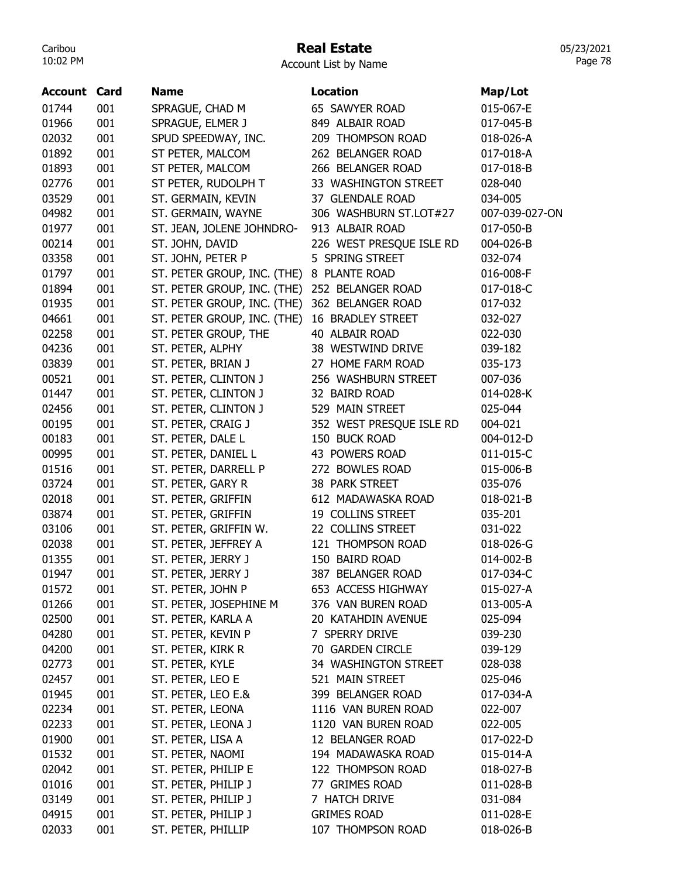### Real Estate

Account List by Name

| 001<br>SPRAGUE, CHAD M<br>65 SAWYER ROAD<br>015-067-E<br>001<br>SPRAGUE, ELMER J<br>849 ALBAIR ROAD<br>017-045-B<br>001<br>SPUD SPEEDWAY, INC.<br>209 THOMPSON ROAD<br>018-026-A<br>001<br>ST PETER, MALCOM<br>262 BELANGER ROAD<br>017-018-A<br>001<br>ST PETER, MALCOM<br>266 BELANGER ROAD<br>017-018-B<br>001<br>ST PETER, RUDOLPH T<br>33 WASHINGTON STREET<br>028-040<br>001<br>ST. GERMAIN, KEVIN<br>37 GLENDALE ROAD<br>034-005<br>001<br>ST. GERMAIN, WAYNE<br>306 WASHBURN ST.LOT#27<br>007-039-027-ON<br>001<br>ST. JEAN, JOLENE JOHNDRO-<br>913 ALBAIR ROAD<br>017-050-B<br>001<br>ST. JOHN, DAVID<br>226 WEST PRESQUE ISLE RD<br>004-026-B<br>001<br>ST. JOHN, PETER P<br>5 SPRING STREET<br>032-074<br>001<br>ST. PETER GROUP, INC. (THE) 8 PLANTE ROAD<br>016-008-F<br>001<br>ST. PETER GROUP, INC. (THE)<br>252 BELANGER ROAD<br>017-018-C<br>001<br>ST. PETER GROUP, INC. (THE)<br>362 BELANGER ROAD<br>017-032<br>001<br>ST. PETER GROUP, INC. (THE)<br><b>16 BRADLEY STREET</b><br>032-027<br>02258<br>001<br>ST. PETER GROUP, THE<br>40 ALBAIR ROAD<br>022-030<br>04236<br>001<br>38 WESTWIND DRIVE<br>ST. PETER, ALPHY<br>039-182<br>001<br>03839<br>ST. PETER, BRIAN J<br>27 HOME FARM ROAD<br>035-173<br>001<br>00521<br>ST. PETER, CLINTON J<br>256 WASHBURN STREET<br>007-036<br>001<br>ST. PETER, CLINTON J<br>01447<br>32 BAIRD ROAD<br>014-028-K<br>001<br>02456<br>ST. PETER, CLINTON J<br>529 MAIN STREET<br>025-044<br>001<br>00195<br>ST. PETER, CRAIG J<br>352 WEST PRESQUE ISLE RD<br>004-021<br>00183<br>001<br>ST. PETER, DALE L<br>150 BUCK ROAD<br>004-012-D<br>001<br>ST. PETER, DANIEL L<br>00995<br>43 POWERS ROAD<br>011-015-C<br>01516<br>001<br>ST. PETER, DARRELL P<br>272 BOWLES ROAD<br>015-006-B<br>03724<br>001<br>ST. PETER, GARY R<br>38 PARK STREET<br>035-076<br>001<br>02018<br>ST. PETER, GRIFFIN<br>612 MADAWASKA ROAD<br>018-021-B<br>001<br>03874<br>ST. PETER, GRIFFIN<br>19 COLLINS STREET<br>035-201<br>03106<br>001<br>ST. PETER, GRIFFIN W.<br>22 COLLINS STREET<br>031-022<br>02038<br>001<br>121 THOMPSON ROAD<br>ST. PETER, JEFFREY A<br>018-026-G<br>01355<br>001<br>ST. PETER, JERRY J<br>150 BAIRD ROAD<br>014-002-B<br>017-034-C<br>01947<br>001<br>ST. PETER, JERRY J<br>387 BELANGER ROAD<br>001<br>ST. PETER, JOHN P<br>653 ACCESS HIGHWAY<br>01572<br>015-027-A<br>01266<br>001<br>ST. PETER, JOSEPHINE M<br>376 VAN BUREN ROAD<br>013-005-A<br>02500<br>ST. PETER, KARLA A<br>001<br>20 KATAHDIN AVENUE<br>025-094<br>04280<br>001<br>ST. PETER, KEVIN P<br>7 SPERRY DRIVE<br>039-230<br>04200<br>001<br>70 GARDEN CIRCLE<br>ST. PETER, KIRK R<br>039-129<br>02773<br>001<br>ST. PETER, KYLE<br>34 WASHINGTON STREET<br>028-038<br>ST. PETER, LEO E<br>02457<br>001<br>521 MAIN STREET<br>025-046<br>01945<br>001<br>ST. PETER, LEO E.&<br>399 BELANGER ROAD<br>017-034-A<br>02234<br>001<br>ST. PETER, LEONA<br>1116 VAN BUREN ROAD<br>022-007<br>02233<br>001<br>ST. PETER, LEONA J<br>1120 VAN BUREN ROAD<br>022-005<br>01900<br>001<br>ST. PETER, LISA A<br>12 BELANGER ROAD<br>017-022-D<br>01532<br>001<br>194 MADAWASKA ROAD<br>ST. PETER, NAOMI<br>015-014-A<br>001<br>02042<br>ST. PETER, PHILIP E<br>122 THOMPSON ROAD<br>018-027-B<br>01016<br>001<br>ST. PETER, PHILIP J<br>77 GRIMES ROAD<br>011-028-B<br>03149<br>001<br>ST. PETER, PHILIP J<br>7 HATCH DRIVE<br>031-084<br>04915<br>001<br>ST. PETER, PHILIP J<br><b>GRIMES ROAD</b><br>011-028-E | <b>Account Card</b> |     | <b>Name</b>        | Location          | Map/Lot   |
|---------------------------------------------------------------------------------------------------------------------------------------------------------------------------------------------------------------------------------------------------------------------------------------------------------------------------------------------------------------------------------------------------------------------------------------------------------------------------------------------------------------------------------------------------------------------------------------------------------------------------------------------------------------------------------------------------------------------------------------------------------------------------------------------------------------------------------------------------------------------------------------------------------------------------------------------------------------------------------------------------------------------------------------------------------------------------------------------------------------------------------------------------------------------------------------------------------------------------------------------------------------------------------------------------------------------------------------------------------------------------------------------------------------------------------------------------------------------------------------------------------------------------------------------------------------------------------------------------------------------------------------------------------------------------------------------------------------------------------------------------------------------------------------------------------------------------------------------------------------------------------------------------------------------------------------------------------------------------------------------------------------------------------------------------------------------------------------------------------------------------------------------------------------------------------------------------------------------------------------------------------------------------------------------------------------------------------------------------------------------------------------------------------------------------------------------------------------------------------------------------------------------------------------------------------------------------------------------------------------------------------------------------------------------------------------------------------------------------------------------------------------------------------------------------------------------------------------------------------------------------------------------------------------------------------------------------------------------------------------------------------------------------------------------------------------------------------------------------------------------------------------------------------------------------------------------------------------------------------------------------------------------------------------------------------------------------------------------------------------------------------------------------------------------------------------------|---------------------|-----|--------------------|-------------------|-----------|
|                                                                                                                                                                                                                                                                                                                                                                                                                                                                                                                                                                                                                                                                                                                                                                                                                                                                                                                                                                                                                                                                                                                                                                                                                                                                                                                                                                                                                                                                                                                                                                                                                                                                                                                                                                                                                                                                                                                                                                                                                                                                                                                                                                                                                                                                                                                                                                                                                                                                                                                                                                                                                                                                                                                                                                                                                                                                                                                                                                                                                                                                                                                                                                                                                                                                                                                                                                                                                                             | 01744               |     |                    |                   |           |
|                                                                                                                                                                                                                                                                                                                                                                                                                                                                                                                                                                                                                                                                                                                                                                                                                                                                                                                                                                                                                                                                                                                                                                                                                                                                                                                                                                                                                                                                                                                                                                                                                                                                                                                                                                                                                                                                                                                                                                                                                                                                                                                                                                                                                                                                                                                                                                                                                                                                                                                                                                                                                                                                                                                                                                                                                                                                                                                                                                                                                                                                                                                                                                                                                                                                                                                                                                                                                                             | 01966               |     |                    |                   |           |
|                                                                                                                                                                                                                                                                                                                                                                                                                                                                                                                                                                                                                                                                                                                                                                                                                                                                                                                                                                                                                                                                                                                                                                                                                                                                                                                                                                                                                                                                                                                                                                                                                                                                                                                                                                                                                                                                                                                                                                                                                                                                                                                                                                                                                                                                                                                                                                                                                                                                                                                                                                                                                                                                                                                                                                                                                                                                                                                                                                                                                                                                                                                                                                                                                                                                                                                                                                                                                                             | 02032               |     |                    |                   |           |
|                                                                                                                                                                                                                                                                                                                                                                                                                                                                                                                                                                                                                                                                                                                                                                                                                                                                                                                                                                                                                                                                                                                                                                                                                                                                                                                                                                                                                                                                                                                                                                                                                                                                                                                                                                                                                                                                                                                                                                                                                                                                                                                                                                                                                                                                                                                                                                                                                                                                                                                                                                                                                                                                                                                                                                                                                                                                                                                                                                                                                                                                                                                                                                                                                                                                                                                                                                                                                                             | 01892               |     |                    |                   |           |
|                                                                                                                                                                                                                                                                                                                                                                                                                                                                                                                                                                                                                                                                                                                                                                                                                                                                                                                                                                                                                                                                                                                                                                                                                                                                                                                                                                                                                                                                                                                                                                                                                                                                                                                                                                                                                                                                                                                                                                                                                                                                                                                                                                                                                                                                                                                                                                                                                                                                                                                                                                                                                                                                                                                                                                                                                                                                                                                                                                                                                                                                                                                                                                                                                                                                                                                                                                                                                                             | 01893               |     |                    |                   |           |
|                                                                                                                                                                                                                                                                                                                                                                                                                                                                                                                                                                                                                                                                                                                                                                                                                                                                                                                                                                                                                                                                                                                                                                                                                                                                                                                                                                                                                                                                                                                                                                                                                                                                                                                                                                                                                                                                                                                                                                                                                                                                                                                                                                                                                                                                                                                                                                                                                                                                                                                                                                                                                                                                                                                                                                                                                                                                                                                                                                                                                                                                                                                                                                                                                                                                                                                                                                                                                                             | 02776               |     |                    |                   |           |
|                                                                                                                                                                                                                                                                                                                                                                                                                                                                                                                                                                                                                                                                                                                                                                                                                                                                                                                                                                                                                                                                                                                                                                                                                                                                                                                                                                                                                                                                                                                                                                                                                                                                                                                                                                                                                                                                                                                                                                                                                                                                                                                                                                                                                                                                                                                                                                                                                                                                                                                                                                                                                                                                                                                                                                                                                                                                                                                                                                                                                                                                                                                                                                                                                                                                                                                                                                                                                                             | 03529               |     |                    |                   |           |
|                                                                                                                                                                                                                                                                                                                                                                                                                                                                                                                                                                                                                                                                                                                                                                                                                                                                                                                                                                                                                                                                                                                                                                                                                                                                                                                                                                                                                                                                                                                                                                                                                                                                                                                                                                                                                                                                                                                                                                                                                                                                                                                                                                                                                                                                                                                                                                                                                                                                                                                                                                                                                                                                                                                                                                                                                                                                                                                                                                                                                                                                                                                                                                                                                                                                                                                                                                                                                                             | 04982               |     |                    |                   |           |
|                                                                                                                                                                                                                                                                                                                                                                                                                                                                                                                                                                                                                                                                                                                                                                                                                                                                                                                                                                                                                                                                                                                                                                                                                                                                                                                                                                                                                                                                                                                                                                                                                                                                                                                                                                                                                                                                                                                                                                                                                                                                                                                                                                                                                                                                                                                                                                                                                                                                                                                                                                                                                                                                                                                                                                                                                                                                                                                                                                                                                                                                                                                                                                                                                                                                                                                                                                                                                                             | 01977               |     |                    |                   |           |
|                                                                                                                                                                                                                                                                                                                                                                                                                                                                                                                                                                                                                                                                                                                                                                                                                                                                                                                                                                                                                                                                                                                                                                                                                                                                                                                                                                                                                                                                                                                                                                                                                                                                                                                                                                                                                                                                                                                                                                                                                                                                                                                                                                                                                                                                                                                                                                                                                                                                                                                                                                                                                                                                                                                                                                                                                                                                                                                                                                                                                                                                                                                                                                                                                                                                                                                                                                                                                                             | 00214               |     |                    |                   |           |
|                                                                                                                                                                                                                                                                                                                                                                                                                                                                                                                                                                                                                                                                                                                                                                                                                                                                                                                                                                                                                                                                                                                                                                                                                                                                                                                                                                                                                                                                                                                                                                                                                                                                                                                                                                                                                                                                                                                                                                                                                                                                                                                                                                                                                                                                                                                                                                                                                                                                                                                                                                                                                                                                                                                                                                                                                                                                                                                                                                                                                                                                                                                                                                                                                                                                                                                                                                                                                                             | 03358               |     |                    |                   |           |
|                                                                                                                                                                                                                                                                                                                                                                                                                                                                                                                                                                                                                                                                                                                                                                                                                                                                                                                                                                                                                                                                                                                                                                                                                                                                                                                                                                                                                                                                                                                                                                                                                                                                                                                                                                                                                                                                                                                                                                                                                                                                                                                                                                                                                                                                                                                                                                                                                                                                                                                                                                                                                                                                                                                                                                                                                                                                                                                                                                                                                                                                                                                                                                                                                                                                                                                                                                                                                                             | 01797               |     |                    |                   |           |
|                                                                                                                                                                                                                                                                                                                                                                                                                                                                                                                                                                                                                                                                                                                                                                                                                                                                                                                                                                                                                                                                                                                                                                                                                                                                                                                                                                                                                                                                                                                                                                                                                                                                                                                                                                                                                                                                                                                                                                                                                                                                                                                                                                                                                                                                                                                                                                                                                                                                                                                                                                                                                                                                                                                                                                                                                                                                                                                                                                                                                                                                                                                                                                                                                                                                                                                                                                                                                                             | 01894               |     |                    |                   |           |
|                                                                                                                                                                                                                                                                                                                                                                                                                                                                                                                                                                                                                                                                                                                                                                                                                                                                                                                                                                                                                                                                                                                                                                                                                                                                                                                                                                                                                                                                                                                                                                                                                                                                                                                                                                                                                                                                                                                                                                                                                                                                                                                                                                                                                                                                                                                                                                                                                                                                                                                                                                                                                                                                                                                                                                                                                                                                                                                                                                                                                                                                                                                                                                                                                                                                                                                                                                                                                                             | 01935               |     |                    |                   |           |
|                                                                                                                                                                                                                                                                                                                                                                                                                                                                                                                                                                                                                                                                                                                                                                                                                                                                                                                                                                                                                                                                                                                                                                                                                                                                                                                                                                                                                                                                                                                                                                                                                                                                                                                                                                                                                                                                                                                                                                                                                                                                                                                                                                                                                                                                                                                                                                                                                                                                                                                                                                                                                                                                                                                                                                                                                                                                                                                                                                                                                                                                                                                                                                                                                                                                                                                                                                                                                                             | 04661               |     |                    |                   |           |
|                                                                                                                                                                                                                                                                                                                                                                                                                                                                                                                                                                                                                                                                                                                                                                                                                                                                                                                                                                                                                                                                                                                                                                                                                                                                                                                                                                                                                                                                                                                                                                                                                                                                                                                                                                                                                                                                                                                                                                                                                                                                                                                                                                                                                                                                                                                                                                                                                                                                                                                                                                                                                                                                                                                                                                                                                                                                                                                                                                                                                                                                                                                                                                                                                                                                                                                                                                                                                                             |                     |     |                    |                   |           |
|                                                                                                                                                                                                                                                                                                                                                                                                                                                                                                                                                                                                                                                                                                                                                                                                                                                                                                                                                                                                                                                                                                                                                                                                                                                                                                                                                                                                                                                                                                                                                                                                                                                                                                                                                                                                                                                                                                                                                                                                                                                                                                                                                                                                                                                                                                                                                                                                                                                                                                                                                                                                                                                                                                                                                                                                                                                                                                                                                                                                                                                                                                                                                                                                                                                                                                                                                                                                                                             |                     |     |                    |                   |           |
|                                                                                                                                                                                                                                                                                                                                                                                                                                                                                                                                                                                                                                                                                                                                                                                                                                                                                                                                                                                                                                                                                                                                                                                                                                                                                                                                                                                                                                                                                                                                                                                                                                                                                                                                                                                                                                                                                                                                                                                                                                                                                                                                                                                                                                                                                                                                                                                                                                                                                                                                                                                                                                                                                                                                                                                                                                                                                                                                                                                                                                                                                                                                                                                                                                                                                                                                                                                                                                             |                     |     |                    |                   |           |
|                                                                                                                                                                                                                                                                                                                                                                                                                                                                                                                                                                                                                                                                                                                                                                                                                                                                                                                                                                                                                                                                                                                                                                                                                                                                                                                                                                                                                                                                                                                                                                                                                                                                                                                                                                                                                                                                                                                                                                                                                                                                                                                                                                                                                                                                                                                                                                                                                                                                                                                                                                                                                                                                                                                                                                                                                                                                                                                                                                                                                                                                                                                                                                                                                                                                                                                                                                                                                                             |                     |     |                    |                   |           |
|                                                                                                                                                                                                                                                                                                                                                                                                                                                                                                                                                                                                                                                                                                                                                                                                                                                                                                                                                                                                                                                                                                                                                                                                                                                                                                                                                                                                                                                                                                                                                                                                                                                                                                                                                                                                                                                                                                                                                                                                                                                                                                                                                                                                                                                                                                                                                                                                                                                                                                                                                                                                                                                                                                                                                                                                                                                                                                                                                                                                                                                                                                                                                                                                                                                                                                                                                                                                                                             |                     |     |                    |                   |           |
|                                                                                                                                                                                                                                                                                                                                                                                                                                                                                                                                                                                                                                                                                                                                                                                                                                                                                                                                                                                                                                                                                                                                                                                                                                                                                                                                                                                                                                                                                                                                                                                                                                                                                                                                                                                                                                                                                                                                                                                                                                                                                                                                                                                                                                                                                                                                                                                                                                                                                                                                                                                                                                                                                                                                                                                                                                                                                                                                                                                                                                                                                                                                                                                                                                                                                                                                                                                                                                             |                     |     |                    |                   |           |
|                                                                                                                                                                                                                                                                                                                                                                                                                                                                                                                                                                                                                                                                                                                                                                                                                                                                                                                                                                                                                                                                                                                                                                                                                                                                                                                                                                                                                                                                                                                                                                                                                                                                                                                                                                                                                                                                                                                                                                                                                                                                                                                                                                                                                                                                                                                                                                                                                                                                                                                                                                                                                                                                                                                                                                                                                                                                                                                                                                                                                                                                                                                                                                                                                                                                                                                                                                                                                                             |                     |     |                    |                   |           |
|                                                                                                                                                                                                                                                                                                                                                                                                                                                                                                                                                                                                                                                                                                                                                                                                                                                                                                                                                                                                                                                                                                                                                                                                                                                                                                                                                                                                                                                                                                                                                                                                                                                                                                                                                                                                                                                                                                                                                                                                                                                                                                                                                                                                                                                                                                                                                                                                                                                                                                                                                                                                                                                                                                                                                                                                                                                                                                                                                                                                                                                                                                                                                                                                                                                                                                                                                                                                                                             |                     |     |                    |                   |           |
|                                                                                                                                                                                                                                                                                                                                                                                                                                                                                                                                                                                                                                                                                                                                                                                                                                                                                                                                                                                                                                                                                                                                                                                                                                                                                                                                                                                                                                                                                                                                                                                                                                                                                                                                                                                                                                                                                                                                                                                                                                                                                                                                                                                                                                                                                                                                                                                                                                                                                                                                                                                                                                                                                                                                                                                                                                                                                                                                                                                                                                                                                                                                                                                                                                                                                                                                                                                                                                             |                     |     |                    |                   |           |
|                                                                                                                                                                                                                                                                                                                                                                                                                                                                                                                                                                                                                                                                                                                                                                                                                                                                                                                                                                                                                                                                                                                                                                                                                                                                                                                                                                                                                                                                                                                                                                                                                                                                                                                                                                                                                                                                                                                                                                                                                                                                                                                                                                                                                                                                                                                                                                                                                                                                                                                                                                                                                                                                                                                                                                                                                                                                                                                                                                                                                                                                                                                                                                                                                                                                                                                                                                                                                                             |                     |     |                    |                   |           |
|                                                                                                                                                                                                                                                                                                                                                                                                                                                                                                                                                                                                                                                                                                                                                                                                                                                                                                                                                                                                                                                                                                                                                                                                                                                                                                                                                                                                                                                                                                                                                                                                                                                                                                                                                                                                                                                                                                                                                                                                                                                                                                                                                                                                                                                                                                                                                                                                                                                                                                                                                                                                                                                                                                                                                                                                                                                                                                                                                                                                                                                                                                                                                                                                                                                                                                                                                                                                                                             |                     |     |                    |                   |           |
|                                                                                                                                                                                                                                                                                                                                                                                                                                                                                                                                                                                                                                                                                                                                                                                                                                                                                                                                                                                                                                                                                                                                                                                                                                                                                                                                                                                                                                                                                                                                                                                                                                                                                                                                                                                                                                                                                                                                                                                                                                                                                                                                                                                                                                                                                                                                                                                                                                                                                                                                                                                                                                                                                                                                                                                                                                                                                                                                                                                                                                                                                                                                                                                                                                                                                                                                                                                                                                             |                     |     |                    |                   |           |
|                                                                                                                                                                                                                                                                                                                                                                                                                                                                                                                                                                                                                                                                                                                                                                                                                                                                                                                                                                                                                                                                                                                                                                                                                                                                                                                                                                                                                                                                                                                                                                                                                                                                                                                                                                                                                                                                                                                                                                                                                                                                                                                                                                                                                                                                                                                                                                                                                                                                                                                                                                                                                                                                                                                                                                                                                                                                                                                                                                                                                                                                                                                                                                                                                                                                                                                                                                                                                                             |                     |     |                    |                   |           |
|                                                                                                                                                                                                                                                                                                                                                                                                                                                                                                                                                                                                                                                                                                                                                                                                                                                                                                                                                                                                                                                                                                                                                                                                                                                                                                                                                                                                                                                                                                                                                                                                                                                                                                                                                                                                                                                                                                                                                                                                                                                                                                                                                                                                                                                                                                                                                                                                                                                                                                                                                                                                                                                                                                                                                                                                                                                                                                                                                                                                                                                                                                                                                                                                                                                                                                                                                                                                                                             |                     |     |                    |                   |           |
|                                                                                                                                                                                                                                                                                                                                                                                                                                                                                                                                                                                                                                                                                                                                                                                                                                                                                                                                                                                                                                                                                                                                                                                                                                                                                                                                                                                                                                                                                                                                                                                                                                                                                                                                                                                                                                                                                                                                                                                                                                                                                                                                                                                                                                                                                                                                                                                                                                                                                                                                                                                                                                                                                                                                                                                                                                                                                                                                                                                                                                                                                                                                                                                                                                                                                                                                                                                                                                             |                     |     |                    |                   |           |
|                                                                                                                                                                                                                                                                                                                                                                                                                                                                                                                                                                                                                                                                                                                                                                                                                                                                                                                                                                                                                                                                                                                                                                                                                                                                                                                                                                                                                                                                                                                                                                                                                                                                                                                                                                                                                                                                                                                                                                                                                                                                                                                                                                                                                                                                                                                                                                                                                                                                                                                                                                                                                                                                                                                                                                                                                                                                                                                                                                                                                                                                                                                                                                                                                                                                                                                                                                                                                                             |                     |     |                    |                   |           |
|                                                                                                                                                                                                                                                                                                                                                                                                                                                                                                                                                                                                                                                                                                                                                                                                                                                                                                                                                                                                                                                                                                                                                                                                                                                                                                                                                                                                                                                                                                                                                                                                                                                                                                                                                                                                                                                                                                                                                                                                                                                                                                                                                                                                                                                                                                                                                                                                                                                                                                                                                                                                                                                                                                                                                                                                                                                                                                                                                                                                                                                                                                                                                                                                                                                                                                                                                                                                                                             |                     |     |                    |                   |           |
|                                                                                                                                                                                                                                                                                                                                                                                                                                                                                                                                                                                                                                                                                                                                                                                                                                                                                                                                                                                                                                                                                                                                                                                                                                                                                                                                                                                                                                                                                                                                                                                                                                                                                                                                                                                                                                                                                                                                                                                                                                                                                                                                                                                                                                                                                                                                                                                                                                                                                                                                                                                                                                                                                                                                                                                                                                                                                                                                                                                                                                                                                                                                                                                                                                                                                                                                                                                                                                             |                     |     |                    |                   |           |
|                                                                                                                                                                                                                                                                                                                                                                                                                                                                                                                                                                                                                                                                                                                                                                                                                                                                                                                                                                                                                                                                                                                                                                                                                                                                                                                                                                                                                                                                                                                                                                                                                                                                                                                                                                                                                                                                                                                                                                                                                                                                                                                                                                                                                                                                                                                                                                                                                                                                                                                                                                                                                                                                                                                                                                                                                                                                                                                                                                                                                                                                                                                                                                                                                                                                                                                                                                                                                                             |                     |     |                    |                   |           |
|                                                                                                                                                                                                                                                                                                                                                                                                                                                                                                                                                                                                                                                                                                                                                                                                                                                                                                                                                                                                                                                                                                                                                                                                                                                                                                                                                                                                                                                                                                                                                                                                                                                                                                                                                                                                                                                                                                                                                                                                                                                                                                                                                                                                                                                                                                                                                                                                                                                                                                                                                                                                                                                                                                                                                                                                                                                                                                                                                                                                                                                                                                                                                                                                                                                                                                                                                                                                                                             |                     |     |                    |                   |           |
|                                                                                                                                                                                                                                                                                                                                                                                                                                                                                                                                                                                                                                                                                                                                                                                                                                                                                                                                                                                                                                                                                                                                                                                                                                                                                                                                                                                                                                                                                                                                                                                                                                                                                                                                                                                                                                                                                                                                                                                                                                                                                                                                                                                                                                                                                                                                                                                                                                                                                                                                                                                                                                                                                                                                                                                                                                                                                                                                                                                                                                                                                                                                                                                                                                                                                                                                                                                                                                             |                     |     |                    |                   |           |
|                                                                                                                                                                                                                                                                                                                                                                                                                                                                                                                                                                                                                                                                                                                                                                                                                                                                                                                                                                                                                                                                                                                                                                                                                                                                                                                                                                                                                                                                                                                                                                                                                                                                                                                                                                                                                                                                                                                                                                                                                                                                                                                                                                                                                                                                                                                                                                                                                                                                                                                                                                                                                                                                                                                                                                                                                                                                                                                                                                                                                                                                                                                                                                                                                                                                                                                                                                                                                                             |                     |     |                    |                   |           |
|                                                                                                                                                                                                                                                                                                                                                                                                                                                                                                                                                                                                                                                                                                                                                                                                                                                                                                                                                                                                                                                                                                                                                                                                                                                                                                                                                                                                                                                                                                                                                                                                                                                                                                                                                                                                                                                                                                                                                                                                                                                                                                                                                                                                                                                                                                                                                                                                                                                                                                                                                                                                                                                                                                                                                                                                                                                                                                                                                                                                                                                                                                                                                                                                                                                                                                                                                                                                                                             |                     |     |                    |                   |           |
|                                                                                                                                                                                                                                                                                                                                                                                                                                                                                                                                                                                                                                                                                                                                                                                                                                                                                                                                                                                                                                                                                                                                                                                                                                                                                                                                                                                                                                                                                                                                                                                                                                                                                                                                                                                                                                                                                                                                                                                                                                                                                                                                                                                                                                                                                                                                                                                                                                                                                                                                                                                                                                                                                                                                                                                                                                                                                                                                                                                                                                                                                                                                                                                                                                                                                                                                                                                                                                             |                     |     |                    |                   |           |
|                                                                                                                                                                                                                                                                                                                                                                                                                                                                                                                                                                                                                                                                                                                                                                                                                                                                                                                                                                                                                                                                                                                                                                                                                                                                                                                                                                                                                                                                                                                                                                                                                                                                                                                                                                                                                                                                                                                                                                                                                                                                                                                                                                                                                                                                                                                                                                                                                                                                                                                                                                                                                                                                                                                                                                                                                                                                                                                                                                                                                                                                                                                                                                                                                                                                                                                                                                                                                                             |                     |     |                    |                   |           |
|                                                                                                                                                                                                                                                                                                                                                                                                                                                                                                                                                                                                                                                                                                                                                                                                                                                                                                                                                                                                                                                                                                                                                                                                                                                                                                                                                                                                                                                                                                                                                                                                                                                                                                                                                                                                                                                                                                                                                                                                                                                                                                                                                                                                                                                                                                                                                                                                                                                                                                                                                                                                                                                                                                                                                                                                                                                                                                                                                                                                                                                                                                                                                                                                                                                                                                                                                                                                                                             |                     |     |                    |                   |           |
|                                                                                                                                                                                                                                                                                                                                                                                                                                                                                                                                                                                                                                                                                                                                                                                                                                                                                                                                                                                                                                                                                                                                                                                                                                                                                                                                                                                                                                                                                                                                                                                                                                                                                                                                                                                                                                                                                                                                                                                                                                                                                                                                                                                                                                                                                                                                                                                                                                                                                                                                                                                                                                                                                                                                                                                                                                                                                                                                                                                                                                                                                                                                                                                                                                                                                                                                                                                                                                             |                     |     |                    |                   |           |
|                                                                                                                                                                                                                                                                                                                                                                                                                                                                                                                                                                                                                                                                                                                                                                                                                                                                                                                                                                                                                                                                                                                                                                                                                                                                                                                                                                                                                                                                                                                                                                                                                                                                                                                                                                                                                                                                                                                                                                                                                                                                                                                                                                                                                                                                                                                                                                                                                                                                                                                                                                                                                                                                                                                                                                                                                                                                                                                                                                                                                                                                                                                                                                                                                                                                                                                                                                                                                                             |                     |     |                    |                   |           |
|                                                                                                                                                                                                                                                                                                                                                                                                                                                                                                                                                                                                                                                                                                                                                                                                                                                                                                                                                                                                                                                                                                                                                                                                                                                                                                                                                                                                                                                                                                                                                                                                                                                                                                                                                                                                                                                                                                                                                                                                                                                                                                                                                                                                                                                                                                                                                                                                                                                                                                                                                                                                                                                                                                                                                                                                                                                                                                                                                                                                                                                                                                                                                                                                                                                                                                                                                                                                                                             |                     |     |                    |                   |           |
|                                                                                                                                                                                                                                                                                                                                                                                                                                                                                                                                                                                                                                                                                                                                                                                                                                                                                                                                                                                                                                                                                                                                                                                                                                                                                                                                                                                                                                                                                                                                                                                                                                                                                                                                                                                                                                                                                                                                                                                                                                                                                                                                                                                                                                                                                                                                                                                                                                                                                                                                                                                                                                                                                                                                                                                                                                                                                                                                                                                                                                                                                                                                                                                                                                                                                                                                                                                                                                             |                     |     |                    |                   |           |
|                                                                                                                                                                                                                                                                                                                                                                                                                                                                                                                                                                                                                                                                                                                                                                                                                                                                                                                                                                                                                                                                                                                                                                                                                                                                                                                                                                                                                                                                                                                                                                                                                                                                                                                                                                                                                                                                                                                                                                                                                                                                                                                                                                                                                                                                                                                                                                                                                                                                                                                                                                                                                                                                                                                                                                                                                                                                                                                                                                                                                                                                                                                                                                                                                                                                                                                                                                                                                                             |                     |     |                    |                   |           |
|                                                                                                                                                                                                                                                                                                                                                                                                                                                                                                                                                                                                                                                                                                                                                                                                                                                                                                                                                                                                                                                                                                                                                                                                                                                                                                                                                                                                                                                                                                                                                                                                                                                                                                                                                                                                                                                                                                                                                                                                                                                                                                                                                                                                                                                                                                                                                                                                                                                                                                                                                                                                                                                                                                                                                                                                                                                                                                                                                                                                                                                                                                                                                                                                                                                                                                                                                                                                                                             |                     |     |                    |                   |           |
|                                                                                                                                                                                                                                                                                                                                                                                                                                                                                                                                                                                                                                                                                                                                                                                                                                                                                                                                                                                                                                                                                                                                                                                                                                                                                                                                                                                                                                                                                                                                                                                                                                                                                                                                                                                                                                                                                                                                                                                                                                                                                                                                                                                                                                                                                                                                                                                                                                                                                                                                                                                                                                                                                                                                                                                                                                                                                                                                                                                                                                                                                                                                                                                                                                                                                                                                                                                                                                             |                     |     |                    |                   |           |
|                                                                                                                                                                                                                                                                                                                                                                                                                                                                                                                                                                                                                                                                                                                                                                                                                                                                                                                                                                                                                                                                                                                                                                                                                                                                                                                                                                                                                                                                                                                                                                                                                                                                                                                                                                                                                                                                                                                                                                                                                                                                                                                                                                                                                                                                                                                                                                                                                                                                                                                                                                                                                                                                                                                                                                                                                                                                                                                                                                                                                                                                                                                                                                                                                                                                                                                                                                                                                                             | 02033               | 001 | ST. PETER, PHILLIP | 107 THOMPSON ROAD | 018-026-B |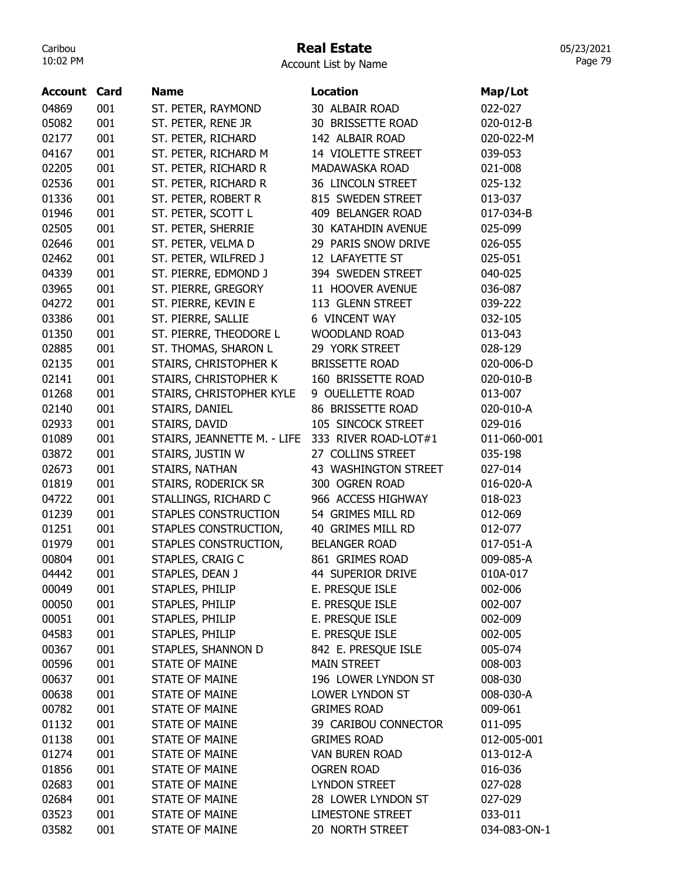# Real Estate

| Account List by Name |  |  |
|----------------------|--|--|
|----------------------|--|--|

| <b>Account Card</b> |     | <b>Name</b>                 | <b>Location</b>         | Map/Lot      |
|---------------------|-----|-----------------------------|-------------------------|--------------|
| 04869               | 001 | ST. PETER, RAYMOND          | 30 ALBAIR ROAD          | 022-027      |
| 05082               | 001 | ST. PETER, RENE JR          | 30 BRISSETTE ROAD       | 020-012-B    |
| 02177               | 001 | ST. PETER, RICHARD          | 142 ALBAIR ROAD         | 020-022-M    |
| 04167               | 001 | ST. PETER, RICHARD M        | 14 VIOLETTE STREET      | 039-053      |
| 02205               | 001 | ST. PETER, RICHARD R        | MADAWASKA ROAD          | 021-008      |
| 02536               | 001 | ST. PETER, RICHARD R        | 36 LINCOLN STREET       | 025-132      |
| 01336               | 001 | ST. PETER, ROBERT R         | 815 SWEDEN STREET       | 013-037      |
| 01946               | 001 | ST. PETER, SCOTT L          | 409 BELANGER ROAD       | 017-034-B    |
| 02505               | 001 | ST. PETER, SHERRIE          | 30 KATAHDIN AVENUE      | 025-099      |
| 02646               | 001 | ST. PETER, VELMA D          | 29 PARIS SNOW DRIVE     | 026-055      |
| 02462               | 001 | ST. PETER, WILFRED J        | 12 LAFAYETTE ST         | 025-051      |
| 04339               | 001 | ST. PIERRE, EDMOND J        | 394 SWEDEN STREET       | 040-025      |
| 03965               | 001 | ST. PIERRE, GREGORY         | 11 HOOVER AVENUE        | 036-087      |
| 04272               | 001 | ST. PIERRE, KEVIN E         | 113 GLENN STREET        | 039-222      |
| 03386               | 001 | ST. PIERRE, SALLIE          | <b>6 VINCENT WAY</b>    | 032-105      |
| 01350               | 001 | ST. PIERRE, THEODORE L      | <b>WOODLAND ROAD</b>    | 013-043      |
| 02885               | 001 | ST. THOMAS, SHARON L        | 29 YORK STREET          | 028-129      |
| 02135               | 001 | STAIRS, CHRISTOPHER K       | <b>BRISSETTE ROAD</b>   | 020-006-D    |
| 02141               | 001 | STAIRS, CHRISTOPHER K       | 160 BRISSETTE ROAD      | 020-010-B    |
| 01268               | 001 | STAIRS, CHRISTOPHER KYLE    | 9 OUELLETTE ROAD        | 013-007      |
| 02140               | 001 | STAIRS, DANIEL              | 86 BRISSETTE ROAD       | 020-010-A    |
| 02933               | 001 | STAIRS, DAVID               | 105 SINCOCK STREET      | 029-016      |
| 01089               | 001 | STAIRS, JEANNETTE M. - LIFE | 333 RIVER ROAD-LOT#1    | 011-060-001  |
| 03872               | 001 | STAIRS, JUSTIN W            | 27 COLLINS STREET       | 035-198      |
| 02673               | 001 | STAIRS, NATHAN              | 43 WASHINGTON STREET    | 027-014      |
| 01819               | 001 | STAIRS, RODERICK SR         | 300 OGREN ROAD          | 016-020-A    |
| 04722               | 001 | STALLINGS, RICHARD C        | 966 ACCESS HIGHWAY      | 018-023      |
| 01239               | 001 | STAPLES CONSTRUCTION        | 54 GRIMES MILL RD       | 012-069      |
| 01251               | 001 | STAPLES CONSTRUCTION,       | 40 GRIMES MILL RD       | 012-077      |
| 01979               | 001 | STAPLES CONSTRUCTION,       | <b>BELANGER ROAD</b>    | 017-051-A    |
| 00804               | 001 | STAPLES, CRAIG C            | 861 GRIMES ROAD         | 009-085-A    |
| 04442               | 001 | STAPLES, DEAN J             | 44 SUPERIOR DRIVE       | 010A-017     |
| 00049               | 001 | STAPLES, PHILIP             | E. PRESQUE ISLE         | 002-006      |
| 00050               | 001 | STAPLES, PHILIP             | E. PRESQUE ISLE         | 002-007      |
| 00051               | 001 | STAPLES, PHILIP             | E. PRESQUE ISLE         | 002-009      |
| 04583               | 001 | STAPLES, PHILIP             | E. PRESQUE ISLE         | 002-005      |
| 00367               | 001 | STAPLES, SHANNON D          | 842 E. PRESQUE ISLE     | 005-074      |
| 00596               | 001 | <b>STATE OF MAINE</b>       | <b>MAIN STREET</b>      | 008-003      |
| 00637               | 001 | <b>STATE OF MAINE</b>       | 196 LOWER LYNDON ST     | 008-030      |
| 00638               | 001 | <b>STATE OF MAINE</b>       | LOWER LYNDON ST         | 008-030-A    |
| 00782               | 001 | <b>STATE OF MAINE</b>       | <b>GRIMES ROAD</b>      | 009-061      |
| 01132               | 001 | <b>STATE OF MAINE</b>       | 39 CARIBOU CONNECTOR    | 011-095      |
| 01138               | 001 | <b>STATE OF MAINE</b>       | <b>GRIMES ROAD</b>      | 012-005-001  |
| 01274               | 001 | <b>STATE OF MAINE</b>       | VAN BUREN ROAD          | 013-012-A    |
| 01856               | 001 | <b>STATE OF MAINE</b>       | <b>OGREN ROAD</b>       | 016-036      |
| 02683               | 001 | <b>STATE OF MAINE</b>       | <b>LYNDON STREET</b>    | 027-028      |
| 02684               | 001 | <b>STATE OF MAINE</b>       | 28 LOWER LYNDON ST      | 027-029      |
| 03523               | 001 | <b>STATE OF MAINE</b>       | <b>LIMESTONE STREET</b> | 033-011      |
| 03582               | 001 | <b>STATE OF MAINE</b>       | 20 NORTH STREET         | 034-083-ON-1 |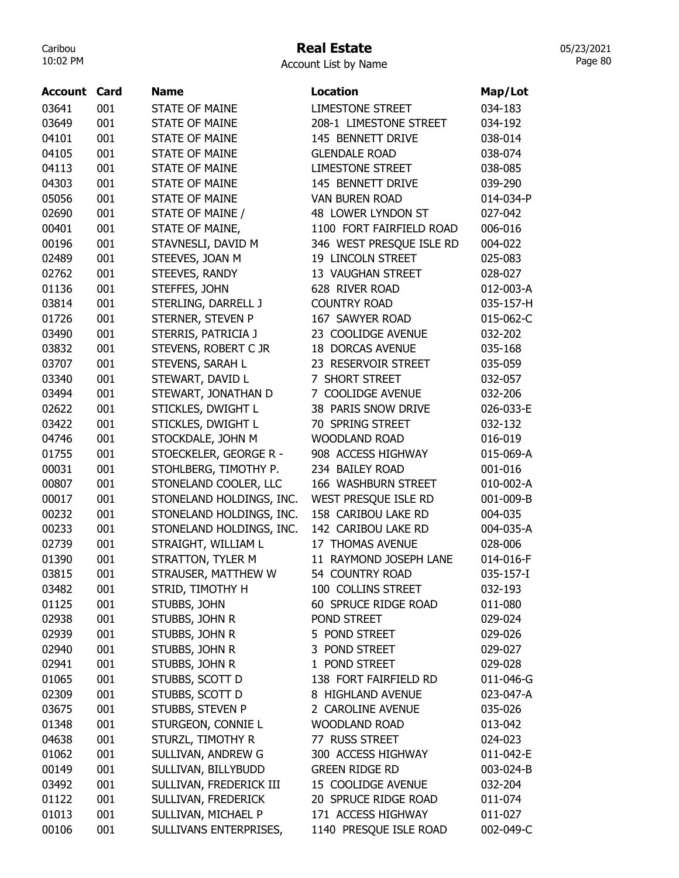### Real Estate

| Account List by Name |  |  |  |
|----------------------|--|--|--|
|----------------------|--|--|--|

| <b>Account Card</b> |     | Name                                | Location                 | Map/Lot   |
|---------------------|-----|-------------------------------------|--------------------------|-----------|
| 03641               | 001 | <b>STATE OF MAINE</b>               | <b>LIMESTONE STREET</b>  | 034-183   |
| 03649               | 001 | <b>STATE OF MAINE</b>               | 208-1 LIMESTONE STREET   | 034-192   |
| 04101               | 001 | <b>STATE OF MAINE</b>               | 145 BENNETT DRIVE        | 038-014   |
| 04105               | 001 | <b>STATE OF MAINE</b>               | <b>GLENDALE ROAD</b>     | 038-074   |
| 04113               | 001 | <b>STATE OF MAINE</b>               | <b>LIMESTONE STREET</b>  | 038-085   |
| 04303               | 001 | <b>STATE OF MAINE</b>               | 145 BENNETT DRIVE        | 039-290   |
| 05056               | 001 | <b>STATE OF MAINE</b>               | <b>VAN BUREN ROAD</b>    | 014-034-P |
| 02690               | 001 | STATE OF MAINE /                    | 48 LOWER LYNDON ST       | 027-042   |
| 00401               | 001 | STATE OF MAINE,                     | 1100 FORT FAIRFIELD ROAD | 006-016   |
| 00196               | 001 | STAVNESLI, DAVID M                  | 346 WEST PRESQUE ISLE RD | 004-022   |
| 02489               | 001 | STEEVES, JOAN M                     | 19 LINCOLN STREET        | 025-083   |
| 02762               | 001 | STEEVES, RANDY                      | 13 VAUGHAN STREET        | 028-027   |
| 01136               | 001 | STEFFES, JOHN                       | 628 RIVER ROAD           | 012-003-A |
| 03814               | 001 | STERLING, DARRELL J                 | <b>COUNTRY ROAD</b>      | 035-157-H |
| 01726               | 001 | STERNER, STEVEN P                   | 167 SAWYER ROAD          | 015-062-C |
| 03490               | 001 | STERRIS, PATRICIA J                 | 23 COOLIDGE AVENUE       | 032-202   |
| 03832               | 001 | STEVENS, ROBERT C JR                | <b>18 DORCAS AVENUE</b>  | 035-168   |
| 03707               | 001 | STEVENS, SARAH L                    | 23 RESERVOIR STREET      | 035-059   |
| 03340               | 001 | STEWART, DAVID L                    | 7 SHORT STREET           | 032-057   |
| 03494               | 001 | STEWART, JONATHAN D                 | 7 COOLIDGE AVENUE        | 032-206   |
| 02622               | 001 | STICKLES, DWIGHT L                  | 38 PARIS SNOW DRIVE      | 026-033-E |
| 03422               | 001 | STICKLES, DWIGHT L                  | 70 SPRING STREET         | 032-132   |
| 04746               | 001 | STOCKDALE, JOHN M                   | <b>WOODLAND ROAD</b>     | 016-019   |
| 01755               | 001 | STOECKELER, GEORGE R -              | 908 ACCESS HIGHWAY       | 015-069-A |
| 00031               | 001 | STOHLBERG, TIMOTHY P.               | 234 BAILEY ROAD          | 001-016   |
| 00807               | 001 | STONELAND COOLER, LLC               | 166 WASHBURN STREET      | 010-002-A |
| 00017               | 001 | STONELAND HOLDINGS, INC.            | WEST PRESQUE ISLE RD     | 001-009-B |
| 00232               | 001 | STONELAND HOLDINGS, INC.            | 158 CARIBOU LAKE RD      | 004-035   |
| 00233               | 001 | STONELAND HOLDINGS, INC.            | 142 CARIBOU LAKE RD      | 004-035-A |
| 02739               | 001 | STRAIGHT, WILLIAM L                 | 17 THOMAS AVENUE         | 028-006   |
| 01390               | 001 | STRATTON, TYLER M                   | 11 RAYMOND JOSEPH LANE   | 014-016-F |
| 03815               | 001 | STRAUSER, MATTHEW W                 | 54 COUNTRY ROAD          | 035-157-I |
| 03482               | 001 | STRID, TIMOTHY H                    | 100 COLLINS STREET       | 032-193   |
| 01125               | 001 | STUBBS, JOHN                        | 60 SPRUCE RIDGE ROAD     | 011-080   |
| 02938               | 001 | STUBBS, JOHN R                      | POND STREET              | 029-024   |
| 02939               | 001 | STUBBS, JOHN R                      | 5 POND STREET            | 029-026   |
| 02940               | 001 | STUBBS, JOHN R                      | 3 POND STREET            | 029-027   |
| 02941               | 001 | STUBBS, JOHN R                      | 1 POND STREET            | 029-028   |
| 01065               | 001 | STUBBS, SCOTT D                     | 138 FORT FAIRFIELD RD    | 011-046-G |
|                     |     |                                     | 8 HIGHLAND AVENUE        | 023-047-A |
| 02309               | 001 | STUBBS, SCOTT D<br>STUBBS, STEVEN P | 2 CAROLINE AVENUE        |           |
| 03675               | 001 |                                     | WOODLAND ROAD            | 035-026   |
| 01348               | 001 | STURGEON, CONNIE L                  |                          | 013-042   |
| 04638               | 001 | STURZL, TIMOTHY R                   | 77 RUSS STREET           | 024-023   |
| 01062               | 001 | SULLIVAN, ANDREW G                  | 300 ACCESS HIGHWAY       | 011-042-E |
| 00149               | 001 | SULLIVAN, BILLYBUDD                 | <b>GREEN RIDGE RD</b>    | 003-024-B |
| 03492               | 001 | SULLIVAN, FREDERICK III             | 15 COOLIDGE AVENUE       | 032-204   |
| 01122               | 001 | SULLIVAN, FREDERICK                 | 20 SPRUCE RIDGE ROAD     | 011-074   |
| 01013               | 001 | SULLIVAN, MICHAEL P                 | 171 ACCESS HIGHWAY       | 011-027   |
| 00106               | 001 | SULLIVANS ENTERPRISES,              | 1140 PRESQUE ISLE ROAD   | 002-049-C |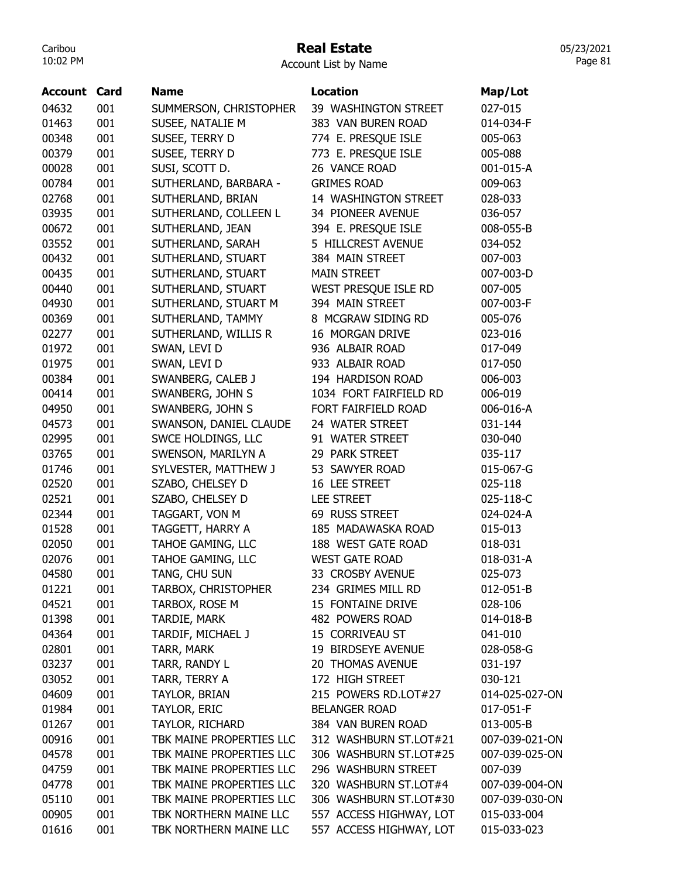### Real Estate

Account List by Name

| <b>Account Card</b> |     | <b>Name</b>              | <b>Location</b>         | Map/Lot        |
|---------------------|-----|--------------------------|-------------------------|----------------|
| 04632               | 001 | SUMMERSON, CHRISTOPHER   | 39 WASHINGTON STREET    | 027-015        |
| 01463               | 001 | SUSEE, NATALIE M         | 383 VAN BUREN ROAD      | 014-034-F      |
| 00348               | 001 | SUSEE, TERRY D           | 774 E. PRESQUE ISLE     | 005-063        |
| 00379               | 001 | SUSEE, TERRY D           | 773 E. PRESQUE ISLE     | 005-088        |
| 00028               | 001 | SUSI, SCOTT D.           | 26 VANCE ROAD           | 001-015-A      |
| 00784               | 001 | SUTHERLAND, BARBARA -    | <b>GRIMES ROAD</b>      | 009-063        |
| 02768               | 001 | SUTHERLAND, BRIAN        | 14 WASHINGTON STREET    | 028-033        |
| 03935               | 001 | SUTHERLAND, COLLEEN L    | 34 PIONEER AVENUE       | 036-057        |
| 00672               | 001 | SUTHERLAND, JEAN         | 394 E. PRESQUE ISLE     | 008-055-B      |
| 03552               | 001 | SUTHERLAND, SARAH        | 5 HILLCREST AVENUE      | 034-052        |
| 00432               | 001 | SUTHERLAND, STUART       | 384 MAIN STREET         | 007-003        |
| 00435               | 001 | SUTHERLAND, STUART       | <b>MAIN STREET</b>      | 007-003-D      |
| 00440               | 001 | SUTHERLAND, STUART       | WEST PRESQUE ISLE RD    | 007-005        |
| 04930               | 001 | SUTHERLAND, STUART M     | 394 MAIN STREET         | 007-003-F      |
| 00369               | 001 | SUTHERLAND, TAMMY        | 8 MCGRAW SIDING RD      | 005-076        |
| 02277               | 001 | SUTHERLAND, WILLIS R     | 16 MORGAN DRIVE         | 023-016        |
| 01972               | 001 | SWAN, LEVI D             | 936 ALBAIR ROAD         | 017-049        |
| 01975               | 001 | SWAN, LEVI D             | 933 ALBAIR ROAD         | 017-050        |
| 00384               | 001 | SWANBERG, CALEB J        | 194 HARDISON ROAD       | 006-003        |
| 00414               | 001 | SWANBERG, JOHN S         | 1034 FORT FAIRFIELD RD  | 006-019        |
| 04950               | 001 | SWANBERG, JOHN S         | FORT FAIRFIELD ROAD     | 006-016-A      |
| 04573               | 001 | SWANSON, DANIEL CLAUDE   | 24 WATER STREET         | 031-144        |
| 02995               | 001 | SWCE HOLDINGS, LLC       | 91 WATER STREET         | 030-040        |
| 03765               | 001 | SWENSON, MARILYN A       | 29 PARK STREET          | 035-117        |
| 01746               | 001 | SYLVESTER, MATTHEW J     | 53 SAWYER ROAD          | 015-067-G      |
| 02520               | 001 | SZABO, CHELSEY D         | 16 LEE STREET           | 025-118        |
| 02521               | 001 | SZABO, CHELSEY D         | <b>LEE STREET</b>       | 025-118-C      |
| 02344               | 001 | TAGGART, VON M           | 69 RUSS STREET          | 024-024-A      |
| 01528               | 001 | TAGGETT, HARRY A         | 185 MADAWASKA ROAD      | 015-013        |
| 02050               | 001 | TAHOE GAMING, LLC        | 188 WEST GATE ROAD      | 018-031        |
| 02076               | 001 | TAHOE GAMING, LLC        | <b>WEST GATE ROAD</b>   | 018-031-A      |
| 04580               | 001 | TANG, CHU SUN            | 33 CROSBY AVENUE        | 025-073        |
| 01221               | 001 | TARBOX, CHRISTOPHER      | 234 GRIMES MILL RD      | 012-051-B      |
| 04521               | 001 | TARBOX, ROSE M           | 15 FONTAINE DRIVE       | 028-106        |
| 01398               | 001 | TARDIE, MARK             | 482 POWERS ROAD         | 014-018-B      |
| 04364               | 001 | TARDIF, MICHAEL J        | 15 CORRIVEAU ST         | 041-010        |
| 02801               | 001 | TARR, MARK               | 19 BIRDSEYE AVENUE      | 028-058-G      |
| 03237               | 001 | TARR, RANDY L            | 20 THOMAS AVENUE        | 031-197        |
| 03052               | 001 | TARR, TERRY A            | 172 HIGH STREET         | 030-121        |
| 04609               | 001 | TAYLOR, BRIAN            | 215 POWERS RD.LOT#27    | 014-025-027-ON |
| 01984               | 001 | TAYLOR, ERIC             | <b>BELANGER ROAD</b>    | 017-051-F      |
| 01267               | 001 | TAYLOR, RICHARD          | 384 VAN BUREN ROAD      | 013-005-B      |
| 00916               | 001 | TBK MAINE PROPERTIES LLC | 312 WASHBURN ST.LOT#21  | 007-039-021-ON |
| 04578               | 001 | TBK MAINE PROPERTIES LLC | 306 WASHBURN ST.LOT#25  | 007-039-025-ON |
| 04759               | 001 | TBK MAINE PROPERTIES LLC | 296 WASHBURN STREET     | 007-039        |
| 04778               | 001 | TBK MAINE PROPERTIES LLC | 320 WASHBURN ST.LOT#4   | 007-039-004-ON |
| 05110               | 001 | TBK MAINE PROPERTIES LLC | 306 WASHBURN ST.LOT#30  | 007-039-030-ON |
| 00905               | 001 | TBK NORTHERN MAINE LLC   | 557 ACCESS HIGHWAY, LOT | 015-033-004    |
| 01616               | 001 | TBK NORTHERN MAINE LLC   | 557 ACCESS HIGHWAY, LOT | 015-033-023    |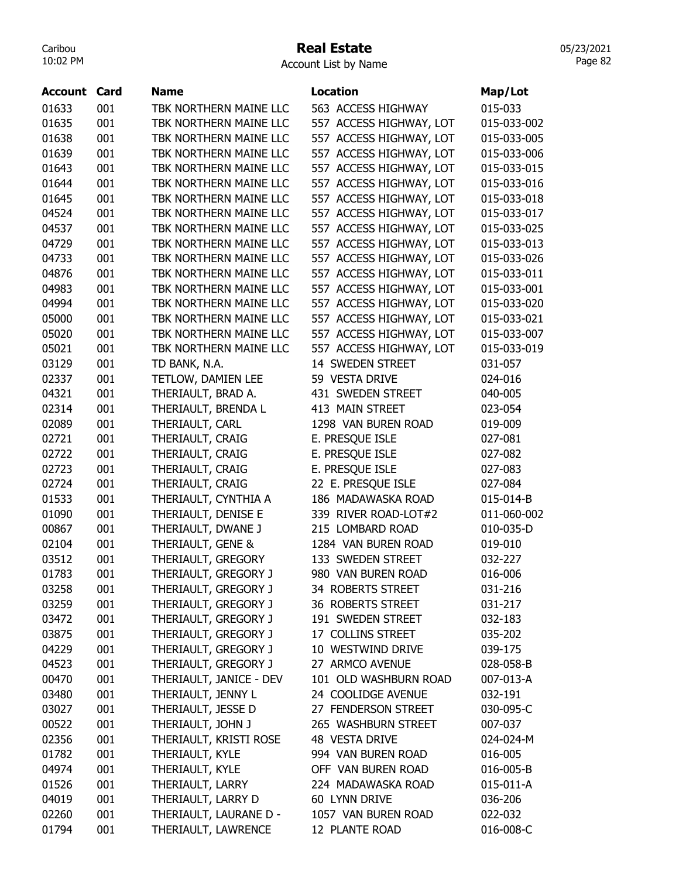#### Real Estate

Account List by Name

| <b>Account Card</b> |     | <b>Name</b>             | <b>Location</b>         | Map/Lot     |
|---------------------|-----|-------------------------|-------------------------|-------------|
| 01633               | 001 | TBK NORTHERN MAINE LLC  | 563 ACCESS HIGHWAY      | 015-033     |
| 01635               | 001 | TBK NORTHERN MAINE LLC  | 557 ACCESS HIGHWAY, LOT | 015-033-002 |
| 01638               | 001 | TBK NORTHERN MAINE LLC  | 557 ACCESS HIGHWAY, LOT | 015-033-005 |
| 01639               | 001 | TBK NORTHERN MAINE LLC  | 557 ACCESS HIGHWAY, LOT | 015-033-006 |
| 01643               | 001 | TBK NORTHERN MAINE LLC  | 557 ACCESS HIGHWAY, LOT | 015-033-015 |
| 01644               | 001 | TBK NORTHERN MAINE LLC  | 557 ACCESS HIGHWAY, LOT | 015-033-016 |
| 01645               | 001 | TBK NORTHERN MAINE LLC  | 557 ACCESS HIGHWAY, LOT | 015-033-018 |
| 04524               | 001 | TBK NORTHERN MAINE LLC  | 557 ACCESS HIGHWAY, LOT | 015-033-017 |
| 04537               | 001 | TBK NORTHERN MAINE LLC  | 557 ACCESS HIGHWAY, LOT | 015-033-025 |
| 04729               | 001 | TBK NORTHERN MAINE LLC  | 557 ACCESS HIGHWAY, LOT | 015-033-013 |
| 04733               | 001 | TBK NORTHERN MAINE LLC  | 557 ACCESS HIGHWAY, LOT | 015-033-026 |
| 04876               | 001 | TBK NORTHERN MAINE LLC  | 557 ACCESS HIGHWAY, LOT | 015-033-011 |
| 04983               | 001 | TBK NORTHERN MAINE LLC  | 557 ACCESS HIGHWAY, LOT | 015-033-001 |
| 04994               | 001 | TBK NORTHERN MAINE LLC  | 557 ACCESS HIGHWAY, LOT | 015-033-020 |
| 05000               | 001 | TBK NORTHERN MAINE LLC  | 557 ACCESS HIGHWAY, LOT | 015-033-021 |
| 05020               | 001 | TBK NORTHERN MAINE LLC  | 557 ACCESS HIGHWAY, LOT | 015-033-007 |
| 05021               | 001 | TBK NORTHERN MAINE LLC  | 557 ACCESS HIGHWAY, LOT | 015-033-019 |
| 03129               | 001 | TD BANK, N.A.           | 14 SWEDEN STREET        | 031-057     |
| 02337               | 001 | TETLOW, DAMIEN LEE      | 59 VESTA DRIVE          | 024-016     |
| 04321               | 001 | THERIAULT, BRAD A.      | 431 SWEDEN STREET       | 040-005     |
| 02314               | 001 | THERIAULT, BRENDA L     | 413 MAIN STREET         | 023-054     |
| 02089               | 001 | THERIAULT, CARL         | 1298 VAN BUREN ROAD     | 019-009     |
| 02721               | 001 | THERIAULT, CRAIG        | E. PRESQUE ISLE         | 027-081     |
| 02722               | 001 | THERIAULT, CRAIG        | E. PRESQUE ISLE         | 027-082     |
| 02723               | 001 | THERIAULT, CRAIG        | E. PRESQUE ISLE         | 027-083     |
| 02724               | 001 | THERIAULT, CRAIG        | 22 E. PRESQUE ISLE      | 027-084     |
| 01533               | 001 | THERIAULT, CYNTHIA A    | 186 MADAWASKA ROAD      | 015-014-B   |
| 01090               | 001 | THERIAULT, DENISE E     | 339 RIVER ROAD-LOT#2    | 011-060-002 |
| 00867               | 001 | THERIAULT, DWANE J      | 215 LOMBARD ROAD        | 010-035-D   |
| 02104               | 001 | THERIAULT, GENE &       | 1284 VAN BUREN ROAD     | 019-010     |
| 03512               | 001 | THERIAULT, GREGORY      | 133 SWEDEN STREET       | 032-227     |
| 01783               | 001 | THERIAULT, GREGORY J    | 980 VAN BUREN ROAD      | 016-006     |
| 03258               | 001 | THERIAULT, GREGORY J    | 34 ROBERTS STREET       | 031-216     |
| 03259               | 001 | THERIAULT, GREGORY J    | 36 ROBERTS STREET       | 031-217     |
| 03472               | 001 | THERIAULT, GREGORY J    | 191 SWEDEN STREET       | 032-183     |
| 03875               | 001 | THERIAULT, GREGORY J    | 17 COLLINS STREET       | 035-202     |
| 04229               | 001 | THERIAULT, GREGORY J    | 10 WESTWIND DRIVE       | 039-175     |
| 04523               | 001 | THERIAULT, GREGORY J    | 27 ARMCO AVENUE         | 028-058-B   |
| 00470               | 001 | THERIAULT, JANICE - DEV | 101 OLD WASHBURN ROAD   | 007-013-A   |
| 03480               | 001 | THERIAULT, JENNY L      | 24 COOLIDGE AVENUE      | 032-191     |
| 03027               | 001 | THERIAULT, JESSE D      | 27 FENDERSON STREET     | 030-095-C   |
| 00522               | 001 | THERIAULT, JOHN J       | 265 WASHBURN STREET     | 007-037     |
| 02356               | 001 | THERIAULT, KRISTI ROSE  | 48 VESTA DRIVE          | 024-024-M   |
| 01782               | 001 | THERIAULT, KYLE         | 994 VAN BUREN ROAD      | 016-005     |
| 04974               | 001 | THERIAULT, KYLE         | OFF VAN BUREN ROAD      | 016-005-B   |
| 01526               | 001 | THERIAULT, LARRY        | 224 MADAWASKA ROAD      | 015-011-A   |
| 04019               | 001 | THERIAULT, LARRY D      | 60 LYNN DRIVE           | 036-206     |
| 02260               | 001 | THERIAULT, LAURANE D -  | 1057 VAN BUREN ROAD     | 022-032     |
| 01794               | 001 | THERIAULT, LAWRENCE     | 12 PLANTE ROAD          | 016-008-C   |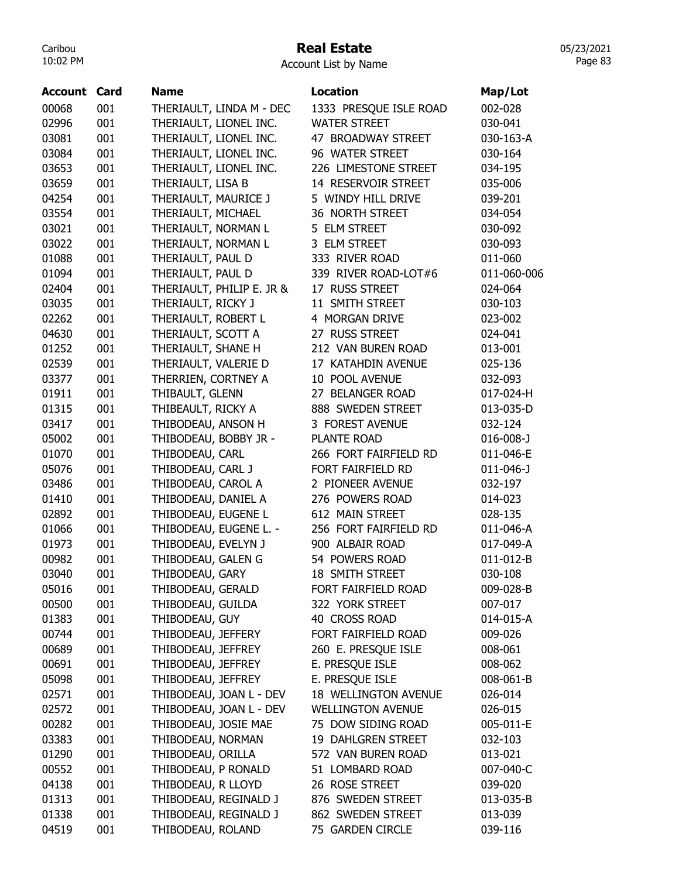### Real Estate

05/23/2021 Page 83

Account List by Name

| Account | Card | <b>Name</b>               | <b>Location</b>          | Map/Lot         |
|---------|------|---------------------------|--------------------------|-----------------|
| 00068   | 001  | THERIAULT, LINDA M - DEC  | 1333 PRESQUE ISLE ROAD   | 002-028         |
| 02996   | 001  | THERIAULT, LIONEL INC.    | <b>WATER STREET</b>      | 030-041         |
| 03081   | 001  | THERIAULT, LIONEL INC.    | 47 BROADWAY STREET       | 030-163-A       |
| 03084   | 001  | THERIAULT, LIONEL INC.    | 96 WATER STREET          | 030-164         |
| 03653   | 001  | THERIAULT, LIONEL INC.    | 226 LIMESTONE STREET     | 034-195         |
| 03659   | 001  | THERIAULT, LISA B         | 14 RESERVOIR STREET      | 035-006         |
| 04254   | 001  | THERIAULT, MAURICE J      | 5 WINDY HILL DRIVE       | 039-201         |
| 03554   | 001  | THERIAULT, MICHAEL        | 36 NORTH STREET          | 034-054         |
| 03021   | 001  | THERIAULT, NORMAN L       | 5 ELM STREET             | 030-092         |
| 03022   | 001  | THERIAULT, NORMAN L       | 3 ELM STREET             | 030-093         |
| 01088   | 001  | THERIAULT, PAUL D         | 333 RIVER ROAD           | 011-060         |
| 01094   | 001  | THERIAULT, PAUL D         | 339 RIVER ROAD-LOT#6     | 011-060-006     |
| 02404   | 001  | THERIAULT, PHILIP E. JR & | 17 RUSS STREET           | 024-064         |
| 03035   | 001  | THERIAULT, RICKY J        | 11 SMITH STREET          | 030-103         |
| 02262   | 001  | THERIAULT, ROBERT L       | 4 MORGAN DRIVE           | 023-002         |
| 04630   | 001  | THERIAULT, SCOTT A        | 27 RUSS STREET           | 024-041         |
| 01252   | 001  | THERIAULT, SHANE H        | 212 VAN BUREN ROAD       | 013-001         |
| 02539   | 001  | THERIAULT, VALERIE D      | 17 KATAHDIN AVENUE       | 025-136         |
| 03377   | 001  | THERRIEN, CORTNEY A       | 10 POOL AVENUE           | 032-093         |
| 01911   | 001  | THIBAULT, GLENN           | 27 BELANGER ROAD         | 017-024-H       |
| 01315   | 001  | THIBEAULT, RICKY A        | 888 SWEDEN STREET        | 013-035-D       |
| 03417   | 001  | THIBODEAU, ANSON H        | 3 FOREST AVENUE          | 032-124         |
| 05002   | 001  | THIBODEAU, BOBBY JR -     | PLANTE ROAD              | $016 - 008 - J$ |
| 01070   | 001  | THIBODEAU, CARL           | 266 FORT FAIRFIELD RD    | 011-046-E       |
| 05076   | 001  | THIBODEAU, CARL J         | FORT FAIRFIELD RD        | $011 - 046 - J$ |
| 03486   | 001  | THIBODEAU, CAROL A        | 2 PIONEER AVENUE         | 032-197         |
| 01410   | 001  | THIBODEAU, DANIEL A       | 276 POWERS ROAD          | 014-023         |
| 02892   | 001  | THIBODEAU, EUGENE L       | 612 MAIN STREET          | 028-135         |
| 01066   | 001  | THIBODEAU, EUGENE L. -    | 256 FORT FAIRFIELD RD    | 011-046-A       |
| 01973   | 001  | THIBODEAU, EVELYN J       | 900 ALBAIR ROAD          | 017-049-A       |
| 00982   | 001  | THIBODEAU, GALEN G        | 54 POWERS ROAD           | 011-012-B       |
| 03040   | 001  | THIBODEAU, GARY           | 18 SMITH STREET          | 030-108         |
| 05016   | 001  | THIBODEAU, GERALD         | FORT FAIRFIELD ROAD      | 009-028-B       |
| 00500   | 001  | THIBODEAU, GUILDA         | 322 YORK STREET          | 007-017         |
| 01383   | 001  | THIBODEAU, GUY            | 40 CROSS ROAD            | 014-015-A       |
| 00744   | 001  | THIBODEAU, JEFFERY        | FORT FAIRFIELD ROAD      | 009-026         |
| 00689   | 001  | THIBODEAU, JEFFREY        | 260 E. PRESQUE ISLE      | 008-061         |
| 00691   | 001  | THIBODEAU, JEFFREY        | E. PRESQUE ISLE          | 008-062         |
| 05098   | 001  | THIBODEAU, JEFFREY        | E. PRESQUE ISLE          | 008-061-B       |
| 02571   | 001  | THIBODEAU, JOAN L - DEV   | 18 WELLINGTON AVENUE     | 026-014         |
| 02572   | 001  | THIBODEAU, JOAN L - DEV   | <b>WELLINGTON AVENUE</b> | 026-015         |
| 00282   | 001  | THIBODEAU, JOSIE MAE      | 75 DOW SIDING ROAD       | 005-011-E       |
| 03383   | 001  | THIBODEAU, NORMAN         | 19 DAHLGREN STREET       | 032-103         |
| 01290   | 001  | THIBODEAU, ORILLA         | 572 VAN BUREN ROAD       | 013-021         |
| 00552   | 001  | THIBODEAU, P RONALD       | 51 LOMBARD ROAD          | 007-040-C       |
| 04138   | 001  | THIBODEAU, R LLOYD        | 26 ROSE STREET           | 039-020         |
| 01313   | 001  | THIBODEAU, REGINALD J     | 876 SWEDEN STREET        | 013-035-B       |
| 01338   | 001  | THIBODEAU, REGINALD J     | 862 SWEDEN STREET        | 013-039         |
| 04519   | 001  | THIBODEAU, ROLAND         | 75 GARDEN CIRCLE         | 039-116         |
|         |      |                           |                          |                 |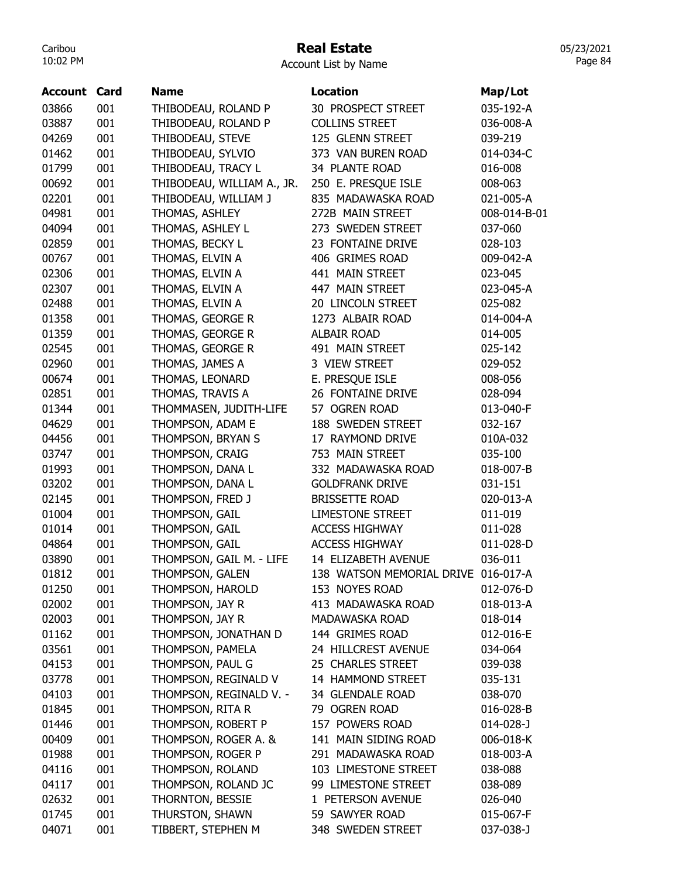### Real Estate

05/23/2021 Page 84

Account List by Name

| Account | Card | <b>Name</b>                | <b>Location</b>                     | Map/Lot         |
|---------|------|----------------------------|-------------------------------------|-----------------|
| 03866   | 001  | THIBODEAU, ROLAND P        | 30 PROSPECT STREET                  | 035-192-A       |
| 03887   | 001  | THIBODEAU, ROLAND P        | <b>COLLINS STREET</b>               | 036-008-A       |
| 04269   | 001  | THIBODEAU, STEVE           | 125 GLENN STREET                    | 039-219         |
| 01462   | 001  | THIBODEAU, SYLVIO          | 373 VAN BUREN ROAD                  | 014-034-C       |
| 01799   | 001  | THIBODEAU, TRACY L         | 34 PLANTE ROAD                      | 016-008         |
| 00692   | 001  | THIBODEAU, WILLIAM A., JR. | 250 E. PRESQUE ISLE                 | 008-063         |
| 02201   | 001  | THIBODEAU, WILLIAM J       | 835 MADAWASKA ROAD                  | 021-005-A       |
| 04981   | 001  | THOMAS, ASHLEY             | 272B MAIN STREET                    | 008-014-B-01    |
| 04094   | 001  | THOMAS, ASHLEY L           | 273 SWEDEN STREET                   | 037-060         |
| 02859   | 001  | THOMAS, BECKY L            | 23 FONTAINE DRIVE                   | 028-103         |
| 00767   | 001  | THOMAS, ELVIN A            | 406 GRIMES ROAD                     | 009-042-A       |
| 02306   | 001  | THOMAS, ELVIN A            | 441 MAIN STREET                     | 023-045         |
| 02307   | 001  | THOMAS, ELVIN A            | 447 MAIN STREET                     | 023-045-A       |
| 02488   | 001  | THOMAS, ELVIN A            | 20 LINCOLN STREET                   | 025-082         |
| 01358   | 001  | THOMAS, GEORGE R           | 1273 ALBAIR ROAD                    | 014-004-A       |
| 01359   | 001  | THOMAS, GEORGE R           | <b>ALBAIR ROAD</b>                  | 014-005         |
| 02545   | 001  | THOMAS, GEORGE R           | 491 MAIN STREET                     | 025-142         |
| 02960   | 001  | THOMAS, JAMES A            | 3 VIEW STREET                       | 029-052         |
| 00674   | 001  | THOMAS, LEONARD            | E. PRESQUE ISLE                     | 008-056         |
| 02851   | 001  | THOMAS, TRAVIS A           | 26 FONTAINE DRIVE                   | 028-094         |
| 01344   | 001  | THOMMASEN, JUDITH-LIFE     | 57 OGREN ROAD                       | 013-040-F       |
| 04629   | 001  | THOMPSON, ADAM E           | 188 SWEDEN STREET                   | 032-167         |
| 04456   | 001  | THOMPSON, BRYAN S          | 17 RAYMOND DRIVE                    | 010A-032        |
| 03747   | 001  | THOMPSON, CRAIG            | 753 MAIN STREET                     | 035-100         |
| 01993   | 001  | THOMPSON, DANA L           | 332 MADAWASKA ROAD                  | 018-007-B       |
| 03202   | 001  | THOMPSON, DANA L           | <b>GOLDFRANK DRIVE</b>              | 031-151         |
| 02145   | 001  | THOMPSON, FRED J           | <b>BRISSETTE ROAD</b>               | 020-013-A       |
| 01004   | 001  | THOMPSON, GAIL             | <b>LIMESTONE STREET</b>             | 011-019         |
| 01014   | 001  | THOMPSON, GAIL             | <b>ACCESS HIGHWAY</b>               | 011-028         |
| 04864   | 001  | THOMPSON, GAIL             | <b>ACCESS HIGHWAY</b>               | 011-028-D       |
| 03890   | 001  | THOMPSON, GAIL M. - LIFE   | 14 ELIZABETH AVENUE                 | 036-011         |
| 01812   | 001  | THOMPSON, GALEN            | 138 WATSON MEMORIAL DRIVE 016-017-A |                 |
| 01250   | 001  | THOMPSON, HAROLD           | 153 NOYES ROAD                      | 012-076-D       |
| 02002   | 001  | THOMPSON, JAY R            | 413 MADAWASKA ROAD                  | 018-013-A       |
| 02003   | 001  | THOMPSON, JAY R            | MADAWASKA ROAD                      | 018-014         |
| 01162   | 001  | THOMPSON, JONATHAN D       | 144 GRIMES ROAD                     | 012-016-E       |
| 03561   | 001  | THOMPSON, PAMELA           | 24 HILLCREST AVENUE                 | 034-064         |
| 04153   | 001  | THOMPSON, PAUL G           | 25 CHARLES STREET                   | 039-038         |
| 03778   | 001  | THOMPSON, REGINALD V       | 14 HAMMOND STREET                   | 035-131         |
| 04103   | 001  | THOMPSON, REGINALD V. -    | 34 GLENDALE ROAD                    | 038-070         |
| 01845   | 001  | THOMPSON, RITA R           | 79 OGREN ROAD                       | 016-028-B       |
| 01446   | 001  | THOMPSON, ROBERT P         | 157 POWERS ROAD                     | $014 - 028 - J$ |
| 00409   | 001  | THOMPSON, ROGER A. &       | 141 MAIN SIDING ROAD                | 006-018-K       |
| 01988   | 001  | THOMPSON, ROGER P          | 291 MADAWASKA ROAD                  | 018-003-A       |
| 04116   | 001  | THOMPSON, ROLAND           | 103 LIMESTONE STREET                | 038-088         |
| 04117   | 001  | THOMPSON, ROLAND JC        | 99 LIMESTONE STREET                 | 038-089         |
| 02632   | 001  | THORNTON, BESSIE           | 1 PETERSON AVENUE                   | 026-040         |
| 01745   | 001  | THURSTON, SHAWN            | 59 SAWYER ROAD                      | 015-067-F       |
| 04071   | 001  | TIBBERT, STEPHEN M         | 348 SWEDEN STREET                   | 037-038-J       |
|         |      |                            |                                     |                 |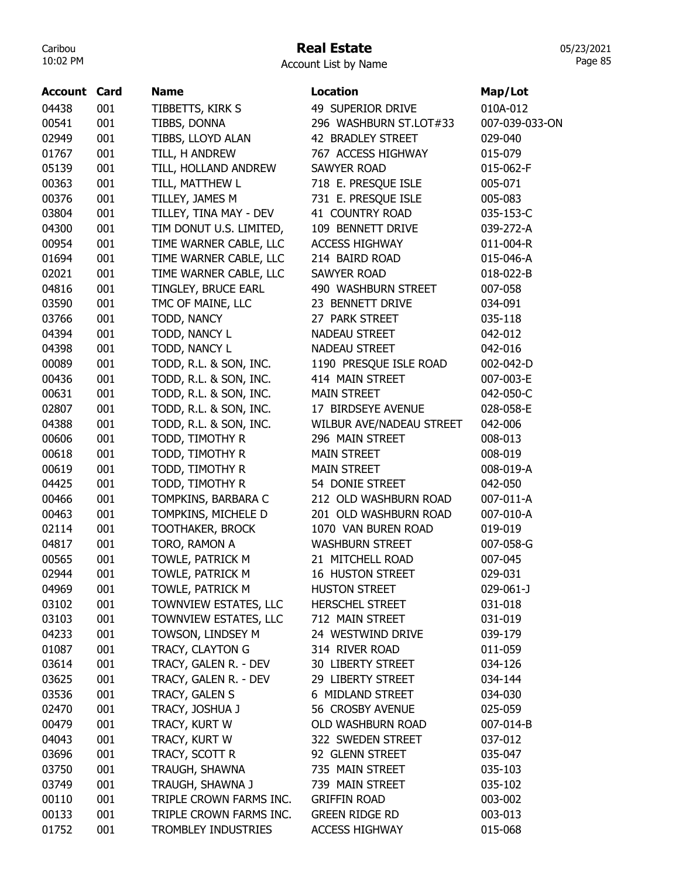## Real Estate

| Account List by Name |  |  |  |  |
|----------------------|--|--|--|--|
|----------------------|--|--|--|--|

| <b>Account Card</b> |     | <b>Name</b>             | <b>Location</b>          | Map/Lot        |
|---------------------|-----|-------------------------|--------------------------|----------------|
| 04438               | 001 | TIBBETTS, KIRK S        | 49 SUPERIOR DRIVE        | 010A-012       |
| 00541               | 001 | TIBBS, DONNA            | 296 WASHBURN ST.LOT#33   | 007-039-033-ON |
| 02949               | 001 | TIBBS, LLOYD ALAN       | 42 BRADLEY STREET        | 029-040        |
| 01767               | 001 | TILL, H ANDREW          | 767 ACCESS HIGHWAY       | 015-079        |
| 05139               | 001 | TILL, HOLLAND ANDREW    | <b>SAWYER ROAD</b>       | 015-062-F      |
| 00363               | 001 | TILL, MATTHEW L         | 718 E. PRESQUE ISLE      | 005-071        |
| 00376               | 001 | TILLEY, JAMES M         | 731 E. PRESQUE ISLE      | 005-083        |
| 03804               | 001 | TILLEY, TINA MAY - DEV  | 41 COUNTRY ROAD          | 035-153-C      |
| 04300               | 001 | TIM DONUT U.S. LIMITED, | 109 BENNETT DRIVE        | 039-272-A      |
| 00954               | 001 | TIME WARNER CABLE, LLC  | <b>ACCESS HIGHWAY</b>    | 011-004-R      |
| 01694               | 001 | TIME WARNER CABLE, LLC  | 214 BAIRD ROAD           | 015-046-A      |
| 02021               | 001 | TIME WARNER CABLE, LLC  | <b>SAWYER ROAD</b>       | 018-022-B      |
| 04816               | 001 | TINGLEY, BRUCE EARL     | 490 WASHBURN STREET      | 007-058        |
| 03590               | 001 | TMC OF MAINE, LLC       | 23 BENNETT DRIVE         | 034-091        |
| 03766               | 001 | TODD, NANCY             | 27 PARK STREET           | 035-118        |
| 04394               | 001 | TODD, NANCY L           | <b>NADEAU STREET</b>     | 042-012        |
| 04398               | 001 | TODD, NANCY L           | <b>NADEAU STREET</b>     | 042-016        |
| 00089               | 001 | TODD, R.L. & SON, INC.  | 1190 PRESQUE ISLE ROAD   | 002-042-D      |
| 00436               | 001 | TODD, R.L. & SON, INC.  | 414 MAIN STREET          | 007-003-E      |
| 00631               | 001 | TODD, R.L. & SON, INC.  | <b>MAIN STREET</b>       | 042-050-C      |
| 02807               | 001 | TODD, R.L. & SON, INC.  | 17 BIRDSEYE AVENUE       | 028-058-E      |
| 04388               | 001 | TODD, R.L. & SON, INC.  | WILBUR AVE/NADEAU STREET | 042-006        |
| 00606               | 001 | TODD, TIMOTHY R         | 296 MAIN STREET          | 008-013        |
| 00618               | 001 | TODD, TIMOTHY R         | <b>MAIN STREET</b>       | 008-019        |
| 00619               | 001 | TODD, TIMOTHY R         | <b>MAIN STREET</b>       | 008-019-A      |
| 04425               | 001 | TODD, TIMOTHY R         | 54 DONIE STREET          | 042-050        |
| 00466               | 001 | TOMPKINS, BARBARA C     | 212 OLD WASHBURN ROAD    | 007-011-A      |
| 00463               | 001 | TOMPKINS, MICHELE D     | 201 OLD WASHBURN ROAD    | 007-010-A      |
| 02114               | 001 | <b>TOOTHAKER, BROCK</b> | 1070 VAN BUREN ROAD      | 019-019        |
| 04817               | 001 | TORO, RAMON A           | <b>WASHBURN STREET</b>   | 007-058-G      |
| 00565               | 001 | TOWLE, PATRICK M        | 21 MITCHELL ROAD         | 007-045        |
| 02944               | 001 | TOWLE, PATRICK M        | <b>16 HUSTON STREET</b>  | 029-031        |
| 04969               | 001 | TOWLE, PATRICK M        | <b>HUSTON STREET</b>     | 029-061-J      |
| 03102               | 001 | TOWNVIEW ESTATES, LLC   | <b>HERSCHEL STREET</b>   | 031-018        |
| 03103               | 001 | TOWNVIEW ESTATES, LLC   | 712 MAIN STREET          | 031-019        |
| 04233               | 001 | TOWSON, LINDSEY M       | 24 WESTWIND DRIVE        | 039-179        |
| 01087               | 001 | TRACY, CLAYTON G        | 314 RIVER ROAD           | 011-059        |
| 03614               | 001 | TRACY, GALEN R. - DEV   | 30 LIBERTY STREET        | 034-126        |
| 03625               | 001 | TRACY, GALEN R. - DEV   | 29 LIBERTY STREET        | 034-144        |
| 03536               | 001 | TRACY, GALEN S          | 6 MIDLAND STREET         | 034-030        |
| 02470               | 001 | TRACY, JOSHUA J         | 56 CROSBY AVENUE         | 025-059        |
| 00479               | 001 | TRACY, KURT W           | OLD WASHBURN ROAD        | 007-014-B      |
| 04043               | 001 | TRACY, KURT W           | 322 SWEDEN STREET        | 037-012        |
| 03696               | 001 | TRACY, SCOTT R          | 92 GLENN STREET          | 035-047        |
| 03750               | 001 | TRAUGH, SHAWNA          | 735 MAIN STREET          | 035-103        |
| 03749               | 001 | TRAUGH, SHAWNA J        | 739 MAIN STREET          | 035-102        |
| 00110               | 001 | TRIPLE CROWN FARMS INC. | <b>GRIFFIN ROAD</b>      | 003-002        |
| 00133               | 001 | TRIPLE CROWN FARMS INC. | <b>GREEN RIDGE RD</b>    | 003-013        |
| 01752               | 001 | TROMBLEY INDUSTRIES     | <b>ACCESS HIGHWAY</b>    | 015-068        |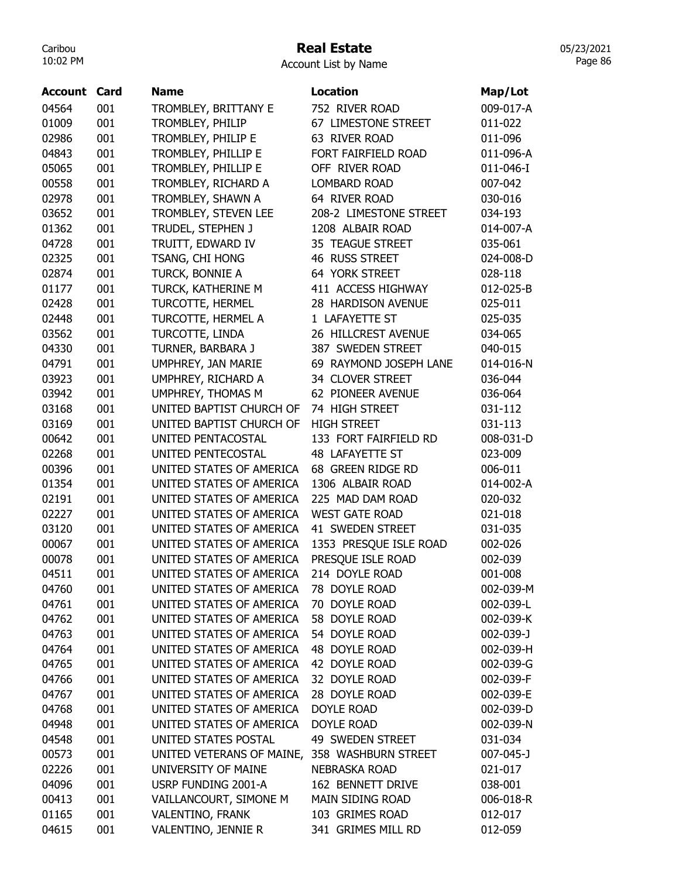### Real Estate

Account List by Name

| Account | Card | <b>Name</b>                                          | <b>Location</b>        | Map/Lot   |
|---------|------|------------------------------------------------------|------------------------|-----------|
| 04564   | 001  | TROMBLEY, BRITTANY E                                 | 752 RIVER ROAD         | 009-017-A |
| 01009   | 001  | TROMBLEY, PHILIP                                     | 67 LIMESTONE STREET    | 011-022   |
| 02986   | 001  | TROMBLEY, PHILIP E                                   | 63 RIVER ROAD          | 011-096   |
| 04843   | 001  | TROMBLEY, PHILLIP E                                  | FORT FAIRFIELD ROAD    | 011-096-A |
| 05065   | 001  | TROMBLEY, PHILLIP E                                  | OFF RIVER ROAD         | 011-046-I |
| 00558   | 001  | TROMBLEY, RICHARD A                                  | <b>LOMBARD ROAD</b>    | 007-042   |
| 02978   | 001  | TROMBLEY, SHAWN A                                    | 64 RIVER ROAD          | 030-016   |
| 03652   | 001  | TROMBLEY, STEVEN LEE                                 | 208-2 LIMESTONE STREET | 034-193   |
| 01362   | 001  | TRUDEL, STEPHEN J                                    | 1208 ALBAIR ROAD       | 014-007-A |
| 04728   | 001  | TRUITT, EDWARD IV                                    | 35 TEAGUE STREET       | 035-061   |
| 02325   | 001  | TSANG, CHI HONG                                      | 46 RUSS STREET         | 024-008-D |
| 02874   | 001  | TURCK, BONNIE A                                      | 64 YORK STREET         | 028-118   |
| 01177   | 001  | TURCK, KATHERINE M                                   | 411 ACCESS HIGHWAY     | 012-025-B |
| 02428   | 001  | <b>TURCOTTE, HERMEL</b>                              | 28 HARDISON AVENUE     | 025-011   |
| 02448   | 001  | TURCOTTE, HERMEL A                                   | 1 LAFAYETTE ST         | 025-035   |
| 03562   | 001  | TURCOTTE, LINDA                                      | 26 HILLCREST AVENUE    | 034-065   |
| 04330   | 001  | TURNER, BARBARA J                                    | 387 SWEDEN STREET      | 040-015   |
| 04791   | 001  | UMPHREY, JAN MARIE                                   | 69 RAYMOND JOSEPH LANE | 014-016-N |
| 03923   | 001  | UMPHREY, RICHARD A                                   | 34 CLOVER STREET       | 036-044   |
| 03942   | 001  | UMPHREY, THOMAS M                                    | 62 PIONEER AVENUE      | 036-064   |
| 03168   | 001  | UNITED BAPTIST CHURCH OF                             | 74 HIGH STREET         | 031-112   |
| 03169   | 001  | UNITED BAPTIST CHURCH OF                             | <b>HIGH STREET</b>     | 031-113   |
| 00642   | 001  | UNITED PENTACOSTAL                                   | 133 FORT FAIRFIELD RD  | 008-031-D |
| 02268   | 001  | UNITED PENTECOSTAL                                   | 48 LAFAYETTE ST        | 023-009   |
| 00396   | 001  | UNITED STATES OF AMERICA                             | 68 GREEN RIDGE RD      | 006-011   |
| 01354   | 001  | UNITED STATES OF AMERICA                             | 1306 ALBAIR ROAD       | 014-002-A |
| 02191   | 001  | UNITED STATES OF AMERICA                             | 225 MAD DAM ROAD       | 020-032   |
| 02227   | 001  | UNITED STATES OF AMERICA                             | <b>WEST GATE ROAD</b>  | 021-018   |
| 03120   | 001  | UNITED STATES OF AMERICA                             | 41 SWEDEN STREET       | 031-035   |
| 00067   | 001  | UNITED STATES OF AMERICA                             | 1353 PRESQUE ISLE ROAD | 002-026   |
| 00078   | 001  | UNITED STATES OF AMERICA                             | PRESQUE ISLE ROAD      | 002-039   |
| 04511   | 001  | UNITED STATES OF AMERICA                             | 214 DOYLE ROAD         | 001-008   |
| 04760   | 001  | UNITED STATES OF AMERICA                             | 78 DOYLE ROAD          | 002-039-M |
| 04761   | 001  | UNITED STATES OF AMERICA                             | 70 DOYLE ROAD          | 002-039-L |
| 04762   | 001  | UNITED STATES OF AMERICA                             | 58 DOYLE ROAD          | 002-039-K |
| 04763   | 001  | UNITED STATES OF AMERICA                             | 54 DOYLE ROAD          | 002-039-J |
|         |      |                                                      |                        |           |
| 04764   | 001  | UNITED STATES OF AMERICA<br>UNITED STATES OF AMERICA | 48 DOYLE ROAD          | 002-039-H |
| 04765   | 001  |                                                      | 42 DOYLE ROAD          | 002-039-G |
| 04766   | 001  | UNITED STATES OF AMERICA                             | 32 DOYLE ROAD          | 002-039-F |
| 04767   | 001  | UNITED STATES OF AMERICA                             | 28 DOYLE ROAD          | 002-039-E |
| 04768   | 001  | UNITED STATES OF AMERICA                             | DOYLE ROAD             | 002-039-D |
| 04948   | 001  | UNITED STATES OF AMERICA                             | DOYLE ROAD             | 002-039-N |
| 04548   | 001  | UNITED STATES POSTAL                                 | 49 SWEDEN STREET       | 031-034   |
| 00573   | 001  | UNITED VETERANS OF MAINE, 358 WASHBURN STREET        |                        | 007-045-J |
| 02226   | 001  | UNIVERSITY OF MAINE                                  | <b>NEBRASKA ROAD</b>   | 021-017   |
| 04096   | 001  | USRP FUNDING 2001-A                                  | 162 BENNETT DRIVE      | 038-001   |
| 00413   | 001  | VAILLANCOURT, SIMONE M                               | MAIN SIDING ROAD       | 006-018-R |
| 01165   | 001  | VALENTINO, FRANK                                     | 103 GRIMES ROAD        | 012-017   |
| 04615   | 001  | VALENTINO, JENNIE R                                  | 341 GRIMES MILL RD     | 012-059   |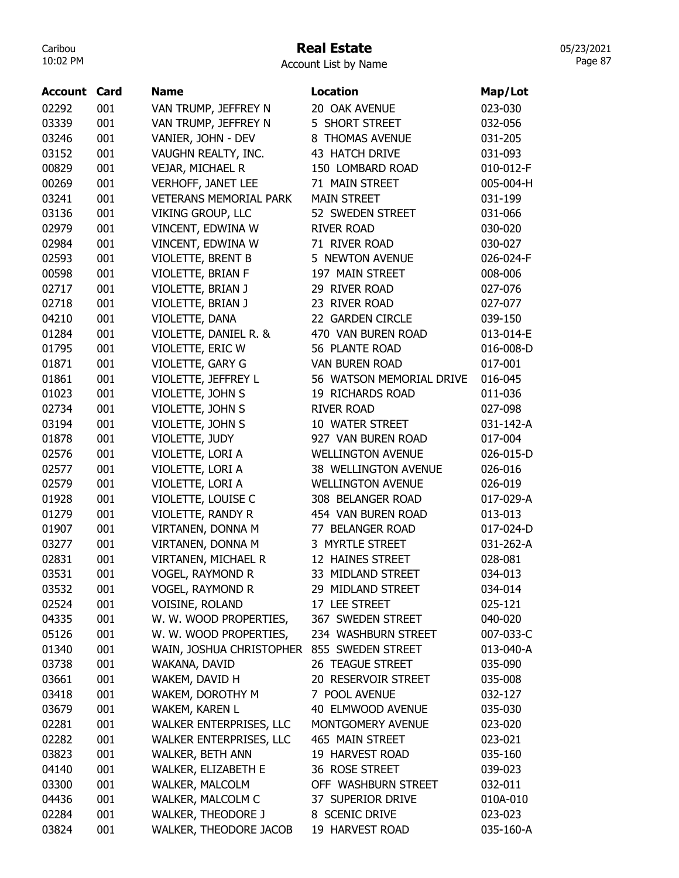## Real Estate

| Account List by Name |  |  |
|----------------------|--|--|
|----------------------|--|--|

| <b>Account Card</b> |     | <b>Name</b>                                | <b>Location</b>          | Map/Lot   |
|---------------------|-----|--------------------------------------------|--------------------------|-----------|
| 02292               | 001 | VAN TRUMP, JEFFREY N                       | 20 OAK AVENUE            | 023-030   |
| 03339               | 001 | VAN TRUMP, JEFFREY N                       | 5 SHORT STREET           | 032-056   |
| 03246               | 001 | VANIER, JOHN - DEV                         | 8 THOMAS AVENUE          | 031-205   |
| 03152               | 001 | VAUGHN REALTY, INC.                        | 43 HATCH DRIVE           | 031-093   |
| 00829               | 001 | VEJAR, MICHAEL R                           | 150 LOMBARD ROAD         | 010-012-F |
| 00269               | 001 | <b>VERHOFF, JANET LEE</b>                  | 71 MAIN STREET           | 005-004-H |
| 03241               | 001 | <b>VETERANS MEMORIAL PARK</b>              | <b>MAIN STREET</b>       | 031-199   |
| 03136               | 001 | <b>VIKING GROUP, LLC</b>                   | 52 SWEDEN STREET         | 031-066   |
| 02979               | 001 | VINCENT, EDWINA W                          | <b>RIVER ROAD</b>        | 030-020   |
| 02984               | 001 | VINCENT, EDWINA W                          | 71 RIVER ROAD            | 030-027   |
| 02593               | 001 | VIOLETTE, BRENT B                          | 5 NEWTON AVENUE          | 026-024-F |
| 00598               | 001 | VIOLETTE, BRIAN F                          | 197 MAIN STREET          | 008-006   |
| 02717               | 001 | VIOLETTE, BRIAN J                          | 29 RIVER ROAD            | 027-076   |
| 02718               | 001 | VIOLETTE, BRIAN J                          | 23 RIVER ROAD            | 027-077   |
| 04210               | 001 | VIOLETTE, DANA                             | 22 GARDEN CIRCLE         | 039-150   |
| 01284               | 001 | VIOLETTE, DANIEL R. &                      | 470 VAN BUREN ROAD       | 013-014-E |
| 01795               | 001 | VIOLETTE, ERIC W                           | 56 PLANTE ROAD           | 016-008-D |
| 01871               | 001 | VIOLETTE, GARY G                           | <b>VAN BUREN ROAD</b>    | 017-001   |
| 01861               | 001 | VIOLETTE, JEFFREY L                        | 56 WATSON MEMORIAL DRIVE | 016-045   |
| 01023               | 001 | VIOLETTE, JOHN S                           | 19 RICHARDS ROAD         | 011-036   |
| 02734               | 001 | VIOLETTE, JOHN S                           | <b>RIVER ROAD</b>        | 027-098   |
| 03194               | 001 | VIOLETTE, JOHN S                           | 10 WATER STREET          | 031-142-A |
| 01878               | 001 | VIOLETTE, JUDY                             | 927 VAN BUREN ROAD       | 017-004   |
| 02576               | 001 | VIOLETTE, LORI A                           | <b>WELLINGTON AVENUE</b> | 026-015-D |
| 02577               | 001 | VIOLETTE, LORI A                           | 38 WELLINGTON AVENUE     | 026-016   |
| 02579               | 001 | VIOLETTE, LORI A                           | <b>WELLINGTON AVENUE</b> | 026-019   |
| 01928               | 001 | VIOLETTE, LOUISE C                         | 308 BELANGER ROAD        | 017-029-A |
| 01279               | 001 | VIOLETTE, RANDY R                          | 454 VAN BUREN ROAD       | 013-013   |
| 01907               | 001 | VIRTANEN, DONNA M                          | 77 BELANGER ROAD         | 017-024-D |
| 03277               | 001 | VIRTANEN, DONNA M                          | 3 MYRTLE STREET          | 031-262-A |
| 02831               | 001 | <b>VIRTANEN, MICHAEL R</b>                 | 12 HAINES STREET         | 028-081   |
| 03531               | 001 | <b>VOGEL, RAYMOND R</b>                    | 33 MIDLAND STREET        | 034-013   |
| 03532               | 001 | VOGEL, RAYMOND R                           | 29 MIDLAND STREET        | 034-014   |
| 02524               | 001 | VOISINE, ROLAND                            | 17 LEE STREET            | 025-121   |
| 04335               | 001 | W. W. WOOD PROPERTIES, 367 SWEDEN STREET   |                          | 040-020   |
| 05126               | 001 | W. W. WOOD PROPERTIES,                     | 234 WASHBURN STREET      | 007-033-C |
| 01340               | 001 | WAIN, JOSHUA CHRISTOPHER 855 SWEDEN STREET |                          | 013-040-A |
| 03738               | 001 | WAKANA, DAVID                              | 26 TEAGUE STREET         | 035-090   |
| 03661               | 001 | WAKEM, DAVID H                             | 20 RESERVOIR STREET      | 035-008   |
| 03418               | 001 | WAKEM, DOROTHY M                           | 7 POOL AVENUE            | 032-127   |
| 03679               | 001 | WAKEM, KAREN L                             | 40 ELMWOOD AVENUE        | 035-030   |
| 02281               | 001 | WALKER ENTERPRISES, LLC                    | MONTGOMERY AVENUE        | 023-020   |
| 02282               | 001 | WALKER ENTERPRISES, LLC                    | 465 MAIN STREET          | 023-021   |
| 03823               | 001 | WALKER, BETH ANN                           | 19 HARVEST ROAD          | 035-160   |
| 04140               | 001 | WALKER, ELIZABETH E                        | 36 ROSE STREET           | 039-023   |
| 03300               | 001 | WALKER, MALCOLM                            | OFF WASHBURN STREET      | 032-011   |
| 04436               | 001 | WALKER, MALCOLM C                          | 37 SUPERIOR DRIVE        | 010A-010  |
| 02284               | 001 | WALKER, THEODORE J                         | 8 SCENIC DRIVE           | 023-023   |
| 03824               | 001 | WALKER, THEODORE JACOB                     | 19 HARVEST ROAD          | 035-160-A |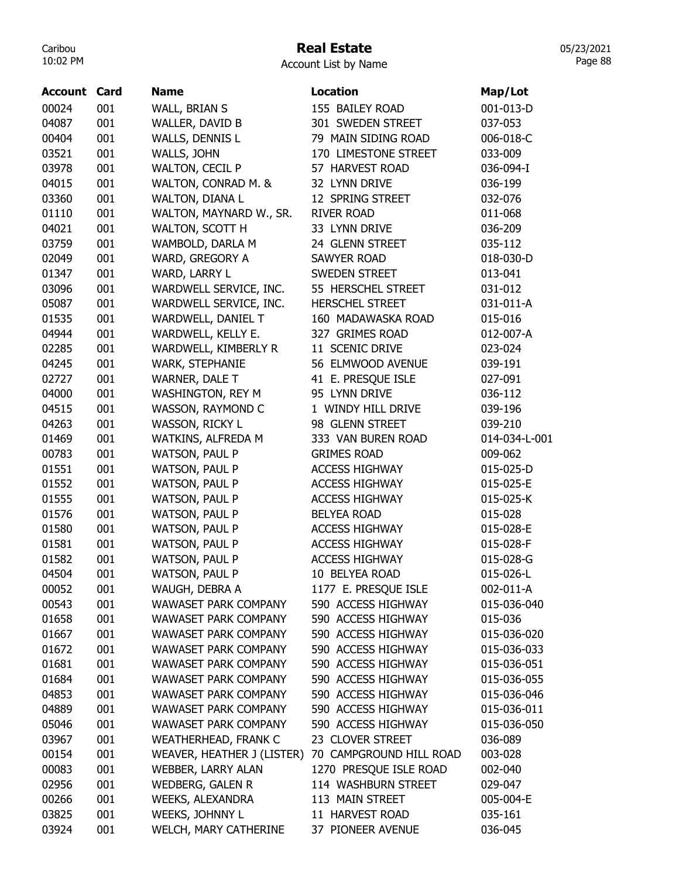### Real Estate

| Account List by Name |  |  |
|----------------------|--|--|
|----------------------|--|--|

| <b>Account Card</b> |     | <b>Name</b>                 | <b>Location</b>         | Map/Lot       |
|---------------------|-----|-----------------------------|-------------------------|---------------|
| 00024               | 001 | WALL, BRIAN S               | 155 BAILEY ROAD         | 001-013-D     |
| 04087               | 001 | WALLER, DAVID B             | 301 SWEDEN STREET       | 037-053       |
| 00404               | 001 | WALLS, DENNIS L             | 79 MAIN SIDING ROAD     | 006-018-C     |
| 03521               | 001 | WALLS, JOHN                 | 170 LIMESTONE STREET    | 033-009       |
| 03978               | 001 | <b>WALTON, CECIL P</b>      | 57 HARVEST ROAD         | 036-094-I     |
| 04015               | 001 | WALTON, CONRAD M. &         | 32 LYNN DRIVE           | 036-199       |
| 03360               | 001 | WALTON, DIANA L             | 12 SPRING STREET        | 032-076       |
| 01110               | 001 | WALTON, MAYNARD W., SR.     | <b>RIVER ROAD</b>       | 011-068       |
| 04021               | 001 | WALTON, SCOTT H             | 33 LYNN DRIVE           | 036-209       |
| 03759               | 001 | WAMBOLD, DARLA M            | 24 GLENN STREET         | 035-112       |
| 02049               | 001 | WARD, GREGORY A             | <b>SAWYER ROAD</b>      | 018-030-D     |
| 01347               | 001 | WARD, LARRY L               | <b>SWEDEN STREET</b>    | 013-041       |
| 03096               | 001 | WARDWELL SERVICE, INC.      | 55 HERSCHEL STREET      | 031-012       |
| 05087               | 001 | WARDWELL SERVICE, INC.      | <b>HERSCHEL STREET</b>  | 031-011-A     |
| 01535               | 001 | WARDWELL, DANIEL T          | 160 MADAWASKA ROAD      | 015-016       |
| 04944               | 001 | WARDWELL, KELLY E.          | 327 GRIMES ROAD         | 012-007-A     |
| 02285               | 001 | WARDWELL, KIMBERLY R        | 11 SCENIC DRIVE         | 023-024       |
| 04245               | 001 | WARK, STEPHANIE             | 56 ELMWOOD AVENUE       | 039-191       |
| 02727               | 001 | WARNER, DALE T              | 41 E. PRESQUE ISLE      | 027-091       |
| 04000               | 001 | WASHINGTON, REY M           | 95 LYNN DRIVE           | 036-112       |
| 04515               | 001 | WASSON, RAYMOND C           | 1 WINDY HILL DRIVE      | 039-196       |
| 04263               | 001 | <b>WASSON, RICKY L</b>      | 98 GLENN STREET         | 039-210       |
| 01469               | 001 | WATKINS, ALFREDA M          | 333 VAN BUREN ROAD      | 014-034-L-001 |
| 00783               | 001 | <b>WATSON, PAUL P</b>       | <b>GRIMES ROAD</b>      | 009-062       |
| 01551               | 001 | <b>WATSON, PAUL P</b>       | <b>ACCESS HIGHWAY</b>   | 015-025-D     |
| 01552               | 001 | <b>WATSON, PAUL P</b>       | <b>ACCESS HIGHWAY</b>   | 015-025-E     |
| 01555               | 001 | WATSON, PAUL P              | <b>ACCESS HIGHWAY</b>   | 015-025-K     |
| 01576               | 001 | WATSON, PAUL P              | <b>BELYEA ROAD</b>      | 015-028       |
| 01580               | 001 | WATSON, PAUL P              | <b>ACCESS HIGHWAY</b>   | 015-028-E     |
| 01581               | 001 | <b>WATSON, PAUL P</b>       | <b>ACCESS HIGHWAY</b>   | 015-028-F     |
| 01582               | 001 | WATSON, PAUL P              | <b>ACCESS HIGHWAY</b>   | 015-028-G     |
| 04504               | 001 | WATSON, PAUL P              | 10 BELYEA ROAD          | 015-026-L     |
| 00052               | 001 | WAUGH, DEBRA A              | 1177 E. PRESQUE ISLE    | 002-011-A     |
| 00543               | 001 | <b>WAWASET PARK COMPANY</b> | 590 ACCESS HIGHWAY      | 015-036-040   |
| 01658               | 001 | <b>WAWASET PARK COMPANY</b> | 590 ACCESS HIGHWAY      | 015-036       |
| 01667               | 001 | WAWASET PARK COMPANY        | 590 ACCESS HIGHWAY      | 015-036-020   |
| 01672               | 001 | <b>WAWASET PARK COMPANY</b> | 590 ACCESS HIGHWAY      | 015-036-033   |
| 01681               | 001 | <b>WAWASET PARK COMPANY</b> | 590 ACCESS HIGHWAY      | 015-036-051   |
| 01684               | 001 | <b>WAWASET PARK COMPANY</b> | 590 ACCESS HIGHWAY      | 015-036-055   |
| 04853               | 001 | <b>WAWASET PARK COMPANY</b> | 590 ACCESS HIGHWAY      | 015-036-046   |
| 04889               | 001 | <b>WAWASET PARK COMPANY</b> | 590 ACCESS HIGHWAY      | 015-036-011   |
| 05046               | 001 | <b>WAWASET PARK COMPANY</b> | 590 ACCESS HIGHWAY      | 015-036-050   |
| 03967               | 001 | WEATHERHEAD, FRANK C        | 23 CLOVER STREET        | 036-089       |
| 00154               | 001 | WEAVER, HEATHER J (LISTER)  | 70 CAMPGROUND HILL ROAD | 003-028       |
| 00083               | 001 | WEBBER, LARRY ALAN          | 1270 PRESQUE ISLE ROAD  | 002-040       |
| 02956               | 001 | <b>WEDBERG, GALEN R</b>     | 114 WASHBURN STREET     | 029-047       |
| 00266               | 001 | WEEKS, ALEXANDRA            | 113 MAIN STREET         | 005-004-E     |
| 03825               | 001 | WEEKS, JOHNNY L             | 11 HARVEST ROAD         | 035-161       |
| 03924               | 001 | WELCH, MARY CATHERINE       | 37 PIONEER AVENUE       | 036-045       |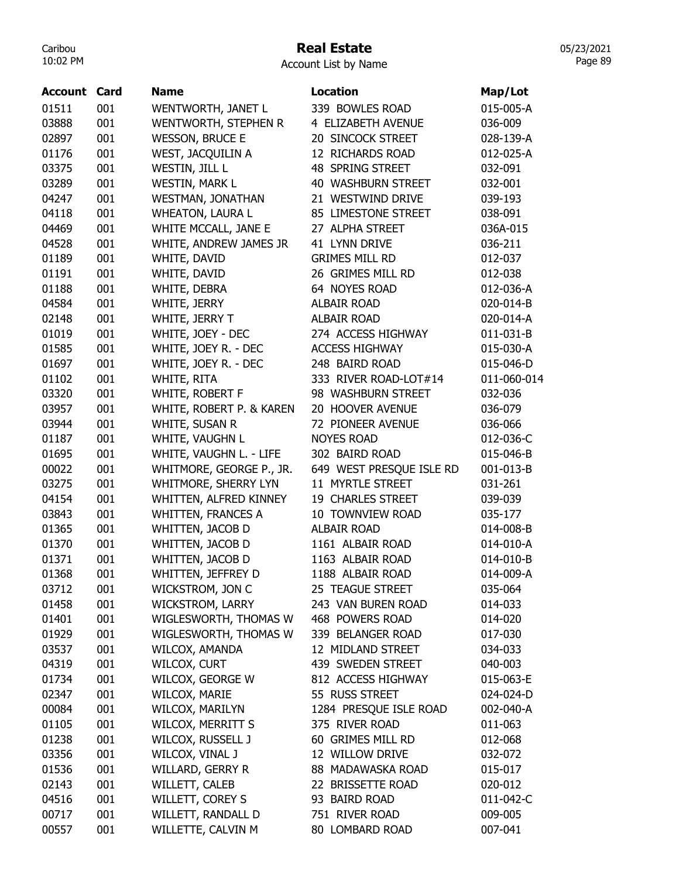### Real Estate

Account List by Name

| <b>Account Card</b> |     | <b>Name</b>              | <b>Location</b>          | Map/Lot     |
|---------------------|-----|--------------------------|--------------------------|-------------|
| 01511               | 001 | WENTWORTH, JANET L       | 339 BOWLES ROAD          | 015-005-A   |
| 03888               | 001 | WENTWORTH, STEPHEN R     | 4 ELIZABETH AVENUE       | 036-009     |
| 02897               | 001 | <b>WESSON, BRUCE E</b>   | 20 SINCOCK STREET        | 028-139-A   |
| 01176               | 001 | WEST, JACQUILIN A        | 12 RICHARDS ROAD         | 012-025-A   |
| 03375               | 001 | WESTIN, JILL L           | 48 SPRING STREET         | 032-091     |
| 03289               | 001 | <b>WESTIN, MARK L</b>    | 40 WASHBURN STREET       | 032-001     |
| 04247               | 001 | <b>WESTMAN, JONATHAN</b> | 21 WESTWIND DRIVE        | 039-193     |
| 04118               | 001 | <b>WHEATON, LAURA L</b>  | 85 LIMESTONE STREET      | 038-091     |
| 04469               | 001 | WHITE MCCALL, JANE E     | 27 ALPHA STREET          | 036A-015    |
| 04528               | 001 | WHITE, ANDREW JAMES JR   | 41 LYNN DRIVE            | 036-211     |
| 01189               | 001 | WHITE, DAVID             | <b>GRIMES MILL RD</b>    | 012-037     |
| 01191               | 001 | WHITE, DAVID             | 26 GRIMES MILL RD        | 012-038     |
| 01188               | 001 | WHITE, DEBRA             | 64 NOYES ROAD            | 012-036-A   |
| 04584               | 001 | WHITE, JERRY             | <b>ALBAIR ROAD</b>       | 020-014-B   |
| 02148               | 001 | WHITE, JERRY T           | <b>ALBAIR ROAD</b>       | 020-014-A   |
| 01019               | 001 | WHITE, JOEY - DEC        | 274 ACCESS HIGHWAY       | 011-031-B   |
| 01585               | 001 | WHITE, JOEY R. - DEC     | <b>ACCESS HIGHWAY</b>    | 015-030-A   |
| 01697               | 001 | WHITE, JOEY R. - DEC     | 248 BAIRD ROAD           | 015-046-D   |
| 01102               | 001 | WHITE, RITA              | 333 RIVER ROAD-LOT#14    | 011-060-014 |
| 03320               | 001 | WHITE, ROBERT F          | 98 WASHBURN STREET       | 032-036     |
| 03957               | 001 | WHITE, ROBERT P. & KAREN | 20 HOOVER AVENUE         | 036-079     |
| 03944               | 001 | WHITE, SUSAN R           | 72 PIONEER AVENUE        | 036-066     |
| 01187               | 001 | WHITE, VAUGHN L          | <b>NOYES ROAD</b>        | 012-036-C   |
| 01695               | 001 | WHITE, VAUGHN L. - LIFE  | 302 BAIRD ROAD           | 015-046-B   |
| 00022               | 001 | WHITMORE, GEORGE P., JR. | 649 WEST PRESQUE ISLE RD | 001-013-B   |
| 03275               | 001 | WHITMORE, SHERRY LYN     | 11 MYRTLE STREET         | 031-261     |
| 04154               | 001 | WHITTEN, ALFRED KINNEY   | 19 CHARLES STREET        | 039-039     |
| 03843               | 001 | WHITTEN, FRANCES A       | 10 TOWNVIEW ROAD         | 035-177     |
| 01365               | 001 | WHITTEN, JACOB D         | <b>ALBAIR ROAD</b>       | 014-008-B   |
| 01370               | 001 | WHITTEN, JACOB D         | 1161 ALBAIR ROAD         | 014-010-A   |
| 01371               | 001 | WHITTEN, JACOB D         | 1163 ALBAIR ROAD         | 014-010-B   |
| 01368               | 001 | WHITTEN, JEFFREY D       | 1188 ALBAIR ROAD         | 014-009-A   |
| 03712               | 001 | WICKSTROM, JON C         | 25 TEAGUE STREET         | 035-064     |
| 01458               | 001 | <b>WICKSTROM, LARRY</b>  | 243 VAN BUREN ROAD       | 014-033     |
| 01401               | 001 | WIGLESWORTH, THOMAS W    | 468 POWERS ROAD          | 014-020     |
| 01929               | 001 | WIGLESWORTH, THOMAS W    | 339 BELANGER ROAD        | 017-030     |
| 03537               | 001 | WILCOX, AMANDA           | 12 MIDLAND STREET        | 034-033     |
| 04319               | 001 | WILCOX, CURT             | 439 SWEDEN STREET        | 040-003     |
| 01734               | 001 | WILCOX, GEORGE W         | 812 ACCESS HIGHWAY       | 015-063-E   |
| 02347               | 001 | WILCOX, MARIE            | 55 RUSS STREET           | 024-024-D   |
| 00084               | 001 | WILCOX, MARILYN          | 1284 PRESQUE ISLE ROAD   | 002-040-A   |
| 01105               | 001 | <b>WILCOX, MERRITT S</b> | 375 RIVER ROAD           | 011-063     |
| 01238               | 001 | WILCOX, RUSSELL J        | 60 GRIMES MILL RD        | 012-068     |
| 03356               | 001 | WILCOX, VINAL J          | 12 WILLOW DRIVE          | 032-072     |
| 01536               | 001 | WILLARD, GERRY R         | 88 MADAWASKA ROAD        | 015-017     |
| 02143               | 001 | WILLETT, CALEB           | 22 BRISSETTE ROAD        | 020-012     |
| 04516               | 001 | WILLETT, COREY S         | 93 BAIRD ROAD            | 011-042-C   |
| 00717               | 001 | WILLETT, RANDALL D       | 751 RIVER ROAD           | 009-005     |
| 00557               | 001 | WILLETTE, CALVIN M       | 80 LOMBARD ROAD          | 007-041     |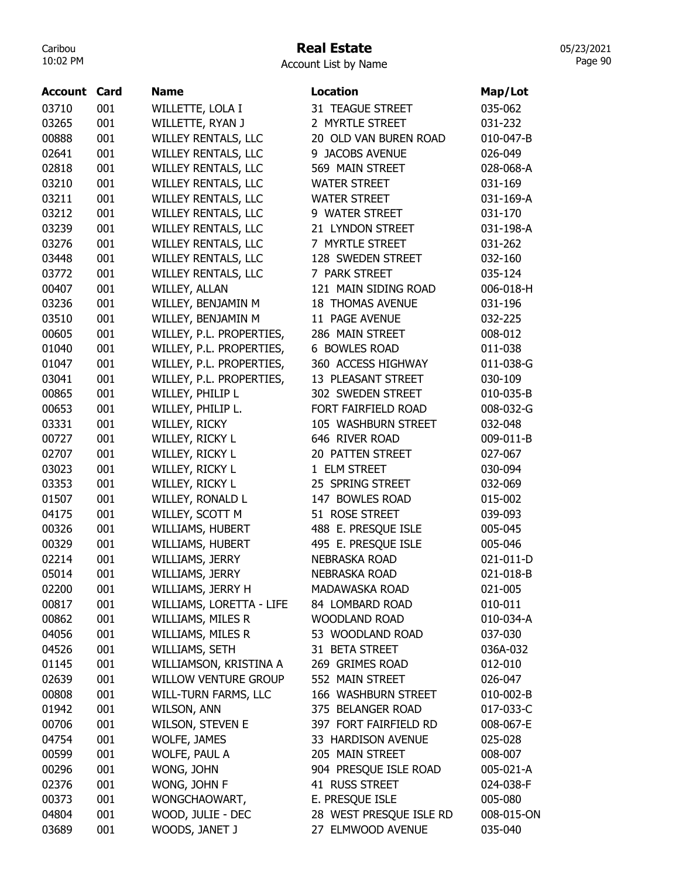### Real Estate

05/23/2021 Page 90

### Account List by Name

| 03710<br>001<br>WILLETTE, LOLA I<br>31 TEAGUE STREET<br>035-062<br>001<br>WILLETTE, RYAN J<br>2 MYRTLE STREET<br>03265<br>031-232 |  |
|-----------------------------------------------------------------------------------------------------------------------------------|--|
|                                                                                                                                   |  |
|                                                                                                                                   |  |
| 00888<br>001<br><b>WILLEY RENTALS, LLC</b><br>20 OLD VAN BUREN ROAD<br>010-047-B                                                  |  |
| 02641<br>001<br><b>WILLEY RENTALS, LLC</b><br>9 JACOBS AVENUE<br>026-049                                                          |  |
| 001<br>02818<br><b>WILLEY RENTALS, LLC</b><br>569 MAIN STREET<br>028-068-A                                                        |  |
| 001<br>03210<br>WILLEY RENTALS, LLC<br><b>WATER STREET</b><br>031-169                                                             |  |
| 03211<br>001<br><b>WILLEY RENTALS, LLC</b><br><b>WATER STREET</b><br>031-169-A                                                    |  |
| 001<br><b>WILLEY RENTALS, LLC</b><br>03212<br>9 WATER STREET<br>031-170                                                           |  |
| 001<br><b>WILLEY RENTALS, LLC</b><br>03239<br>21 LYNDON STREET<br>031-198-A                                                       |  |
| 001<br>7 MYRTLE STREET<br>03276<br>WILLEY RENTALS, LLC<br>031-262                                                                 |  |
| 001<br>03448<br>WILLEY RENTALS, LLC<br>128 SWEDEN STREET<br>032-160                                                               |  |
| 001<br>03772<br>WILLEY RENTALS, LLC<br>7 PARK STREET<br>035-124                                                                   |  |
| 001<br>00407<br>WILLEY, ALLAN<br>121 MAIN SIDING ROAD<br>006-018-H                                                                |  |
| 001<br>WILLEY, BENJAMIN M<br>03236<br><b>18 THOMAS AVENUE</b><br>031-196                                                          |  |
| 03510<br>001<br>WILLEY, BENJAMIN M<br>11 PAGE AVENUE<br>032-225                                                                   |  |
| WILLEY, P.L. PROPERTIES,<br>00605<br>001<br>286 MAIN STREET<br>008-012                                                            |  |
| WILLEY, P.L. PROPERTIES,<br>6 BOWLES ROAD<br>01040<br>001<br>011-038                                                              |  |
| 001<br>360 ACCESS HIGHWAY<br>01047<br>WILLEY, P.L. PROPERTIES,<br>011-038-G                                                       |  |
| 03041<br>001<br>WILLEY, P.L. PROPERTIES,<br>13 PLEASANT STREET<br>030-109                                                         |  |
| 001<br>00865<br>WILLEY, PHILIP L<br>302 SWEDEN STREET<br>010-035-B                                                                |  |
| 001<br>00653<br>WILLEY, PHILIP L.<br>FORT FAIRFIELD ROAD<br>008-032-G                                                             |  |
| 03331<br>001<br>WILLEY, RICKY<br>105 WASHBURN STREET<br>032-048                                                                   |  |
| 001<br>00727<br>WILLEY, RICKY L<br>646 RIVER ROAD<br>009-011-B                                                                    |  |
| WILLEY, RICKY L<br>02707<br>001<br>20 PATTEN STREET<br>027-067                                                                    |  |
| 001<br>WILLEY, RICKY L<br>1 ELM STREET<br>03023<br>030-094                                                                        |  |
| 03353<br>001<br>25 SPRING STREET<br>WILLEY, RICKY L<br>032-069                                                                    |  |
| 001<br>01507<br>WILLEY, RONALD L<br>147 BOWLES ROAD<br>015-002                                                                    |  |
| 51 ROSE STREET<br>04175<br>001<br>WILLEY, SCOTT M<br>039-093                                                                      |  |
| 001<br>488 E. PRESQUE ISLE<br>00326<br>WILLIAMS, HUBERT<br>005-045                                                                |  |
| 001<br>495 E. PRESQUE ISLE<br>00329<br>WILLIAMS, HUBERT<br>005-046                                                                |  |
| 02214<br>001<br>WILLIAMS, JERRY<br><b>NEBRASKA ROAD</b><br>021-011-D                                                              |  |
| WILLIAMS, JERRY<br><b>NEBRASKA ROAD</b><br>05014<br>001<br>021-018-B                                                              |  |
| 02200<br>001<br>WILLIAMS, JERRY H<br>MADAWASKA ROAD<br>021-005                                                                    |  |
| 001<br>00817<br>WILLIAMS, LORETTA - LIFE<br>84 LOMBARD ROAD<br>010-011                                                            |  |
| 00862<br>WILLIAMS, MILES R<br>001<br><b>WOODLAND ROAD</b><br>010-034-A                                                            |  |
| 04056<br>WILLIAMS, MILES R<br>001<br>53 WOODLAND ROAD<br>037-030                                                                  |  |
| 001<br>WILLIAMS, SETH<br>04526<br>31 BETA STREET<br>036A-032                                                                      |  |
| 01145<br>001<br>WILLIAMSON, KRISTINA A<br>269 GRIMES ROAD<br>012-010                                                              |  |
| 001<br><b>WILLOW VENTURE GROUP</b><br>552 MAIN STREET<br>02639<br>026-047                                                         |  |
| 001<br>00808<br><b>WILL-TURN FARMS, LLC</b><br>166 WASHBURN STREET<br>010-002-B                                                   |  |
| 01942<br>001<br>WILSON, ANN<br>375 BELANGER ROAD<br>017-033-C                                                                     |  |
| 00706<br>001<br>397 FORT FAIRFIELD RD<br><b>WILSON, STEVEN E</b><br>008-067-E                                                     |  |
| 04754<br>001<br>WOLFE, JAMES<br>33 HARDISON AVENUE<br>025-028                                                                     |  |
| 205 MAIN STREET<br>00599<br>001<br>WOLFE, PAUL A<br>008-007                                                                       |  |
| 00296<br>001<br>WONG, JOHN<br>904 PRESQUE ISLE ROAD<br>005-021-A                                                                  |  |
| 02376<br>001<br>WONG, JOHN F<br>41 RUSS STREET<br>024-038-F                                                                       |  |
| E. PRESQUE ISLE<br>00373<br>001<br>WONGCHAOWART,<br>005-080                                                                       |  |
| 04804<br>WOOD, JULIE - DEC<br>28 WEST PRESQUE ISLE RD<br>001<br>008-015-ON                                                        |  |
| 27 ELMWOOD AVENUE<br>03689<br>001<br>WOODS, JANET J<br>035-040                                                                    |  |